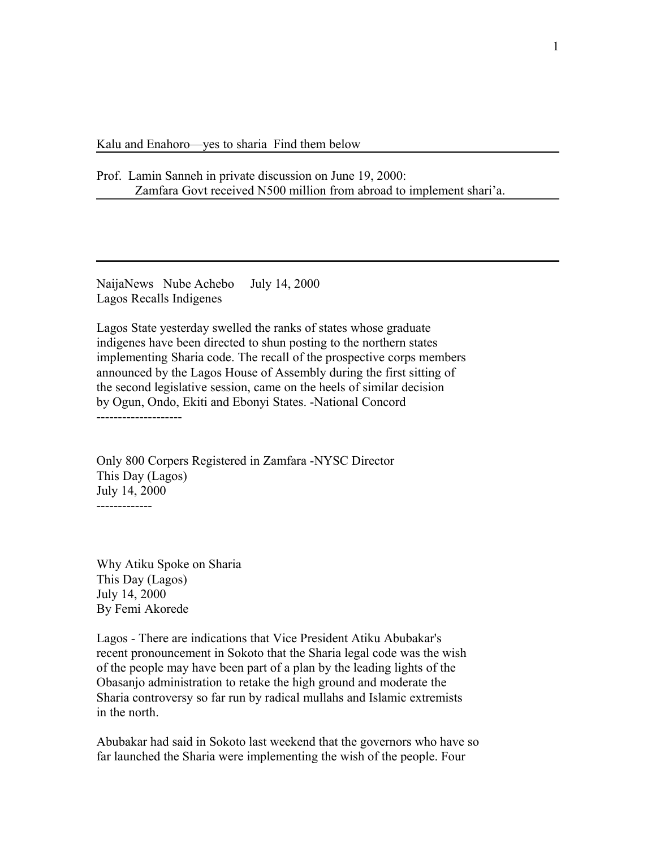Prof. Lamin Sanneh in private discussion on June 19, 2000: Zamfara Govt received N500 million from abroad to implement shari'a.

NaijaNews Nube Achebo July 14, 2000 Lagos Recalls Indigenes

Lagos State yesterday swelled the ranks of states whose graduate indigenes have been directed to shun posting to the northern states implementing Sharia code. The recall of the prospective corps members announced by the Lagos House of Assembly during the first sitting of the second legislative session, came on the heels of similar decision by Ogun, Ondo, Ekiti and Ebonyi States. -National Concord --------------------

Only 800 Corpers Registered in Zamfara -NYSC Director This Day (Lagos) July 14, 2000 -------------

Why Atiku Spoke on Sharia This Day (Lagos) July 14, 2000 By Femi Akorede

Lagos - There are indications that Vice President Atiku Abubakar's recent pronouncement in Sokoto that the Sharia legal code was the wish of the people may have been part of a plan by the leading lights of the Obasanjo administration to retake the high ground and moderate the Sharia controversy so far run by radical mullahs and Islamic extremists in the north.

Abubakar had said in Sokoto last weekend that the governors who have so far launched the Sharia were implementing the wish of the people. Four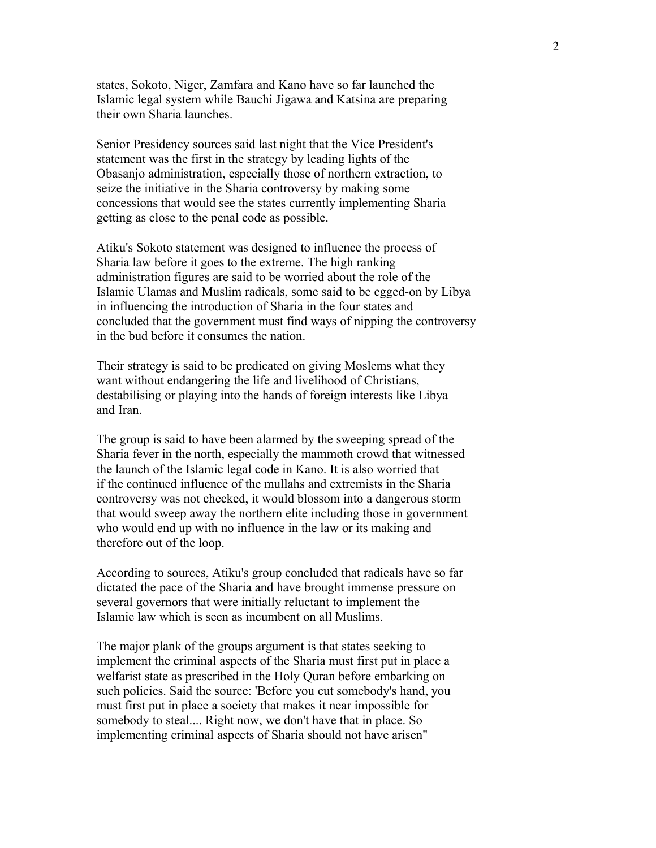states, Sokoto, Niger, Zamfara and Kano have so far launched the Islamic legal system while Bauchi Jigawa and Katsina are preparing their own Sharia launches.

Senior Presidency sources said last night that the Vice President's statement was the first in the strategy by leading lights of the Obasanjo administration, especially those of northern extraction, to seize the initiative in the Sharia controversy by making some concessions that would see the states currently implementing Sharia getting as close to the penal code as possible.

Atiku's Sokoto statement was designed to influence the process of Sharia law before it goes to the extreme. The high ranking administration figures are said to be worried about the role of the Islamic Ulamas and Muslim radicals, some said to be egged-on by Libya in influencing the introduction of Sharia in the four states and concluded that the government must find ways of nipping the controversy in the bud before it consumes the nation.

Their strategy is said to be predicated on giving Moslems what they want without endangering the life and livelihood of Christians, destabilising or playing into the hands of foreign interests like Libya and Iran.

The group is said to have been alarmed by the sweeping spread of the Sharia fever in the north, especially the mammoth crowd that witnessed the launch of the Islamic legal code in Kano. It is also worried that if the continued influence of the mullahs and extremists in the Sharia controversy was not checked, it would blossom into a dangerous storm that would sweep away the northern elite including those in government who would end up with no influence in the law or its making and therefore out of the loop.

According to sources, Atiku's group concluded that radicals have so far dictated the pace of the Sharia and have brought immense pressure on several governors that were initially reluctant to implement the Islamic law which is seen as incumbent on all Muslims.

The major plank of the groups argument is that states seeking to implement the criminal aspects of the Sharia must first put in place a welfarist state as prescribed in the Holy Quran before embarking on such policies. Said the source: 'Before you cut somebody's hand, you must first put in place a society that makes it near impossible for somebody to steal.... Right now, we don't have that in place. So implementing criminal aspects of Sharia should not have arisen"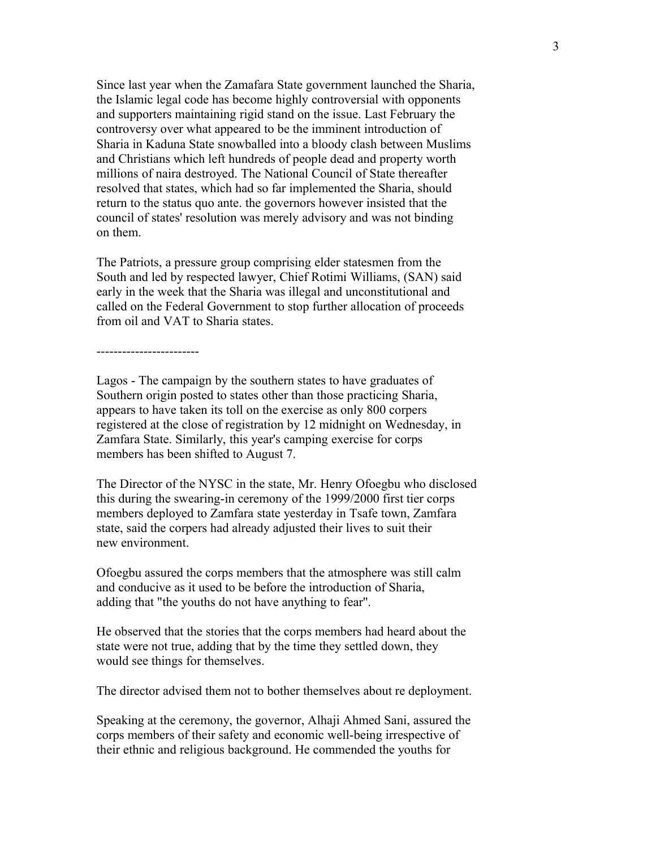Since last year when the Zamafara State government launched the Sharia, the Islamic legal code has become highly controversial with opponents and supporters maintaining rigid stand on the issue. Last February the controversy over what appeared to be the imminent introduction of Sharia in Kaduna State snowballed into a bloody clash between Muslims and Christians which left hundreds of people dead and property worth millions of naira destroyed. The National Council of State thereafter resolved that states, which had so far implemented the Sharia, should return to the status quo ante. the governors however insisted that the council of states' resolution was merely advisory and was not binding on them.

The Patriots, a pressure group comprising elder statesmen from the South and led by respected lawyer, Chief Rotimi Williams, (SAN) said early in the week that the Sharia was illegal and unconstitutional and called on the Federal Government to stop further allocation of proceeds from oil and VAT to Sharia states.

------------------------

Lagos - The campaign by the southern states to have graduates of Southern origin posted to states other than those practicing Sharia, appears to have taken its toll on the exercise as only 800 corpers registered at the close of registration by 12 midnight on Wednesday, in Zamfara State. Similarly, this year's camping exercise for corps members has been shifted to August 7.

The Director of the NYSC in the state, Mr. Henry Ofoegbu who disclosed this during the swearing-in ceremony of the 1999/2000 first tier corps members deployed to Zamfara state yesterday in Tsafe town, Zamfara state, said the corpers had already adjusted their lives to suit their new environment.

Ofoegbu assured the corps members that the atmosphere was still calm and conducive as it used to be before the introduction of Sharia, adding that "the youths do not have anything to fear''.

He observed that the stories that the corps members had heard about the state were not true, adding that by the time they settled down, they would see things for themselves.

The director advised them not to bother themselves about re deployment.

Speaking at the ceremony, the governor, Alhaji Ahmed Sani, assured the corps members of their safety and economic well-being irrespective of their ethnic and religious background. He commended the youths for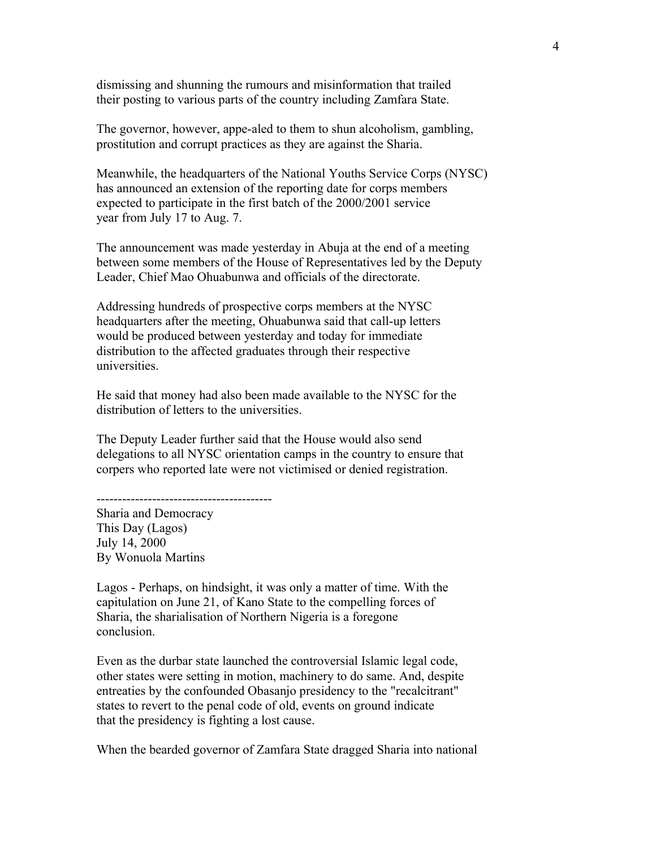dismissing and shunning the rumours and misinformation that trailed their posting to various parts of the country including Zamfara State.

The governor, however, appe-aled to them to shun alcoholism, gambling, prostitution and corrupt practices as they are against the Sharia.

Meanwhile, the headquarters of the National Youths Service Corps (NYSC) has announced an extension of the reporting date for corps members expected to participate in the first batch of the 2000/2001 service year from July 17 to Aug. 7.

The announcement was made yesterday in Abuja at the end of a meeting between some members of the House of Representatives led by the Deputy Leader, Chief Mao Ohuabunwa and officials of the directorate.

Addressing hundreds of prospective corps members at the NYSC headquarters after the meeting, Ohuabunwa said that call-up letters would be produced between yesterday and today for immediate distribution to the affected graduates through their respective universities.

He said that money had also been made available to the NYSC for the distribution of letters to the universities.

The Deputy Leader further said that the House would also send delegations to all NYSC orientation camps in the country to ensure that corpers who reported late were not victimised or denied registration.

-----------------------------------------

Sharia and Democracy This Day (Lagos) July 14, 2000 By Wonuola Martins

Lagos - Perhaps, on hindsight, it was only a matter of time. With the capitulation on June 21, of Kano State to the compelling forces of Sharia, the sharialisation of Northern Nigeria is a foregone conclusion.

Even as the durbar state launched the controversial Islamic legal code, other states were setting in motion, machinery to do same. And, despite entreaties by the confounded Obasanjo presidency to the "recalcitrant" states to revert to the penal code of old, events on ground indicate that the presidency is fighting a lost cause.

When the bearded governor of Zamfara State dragged Sharia into national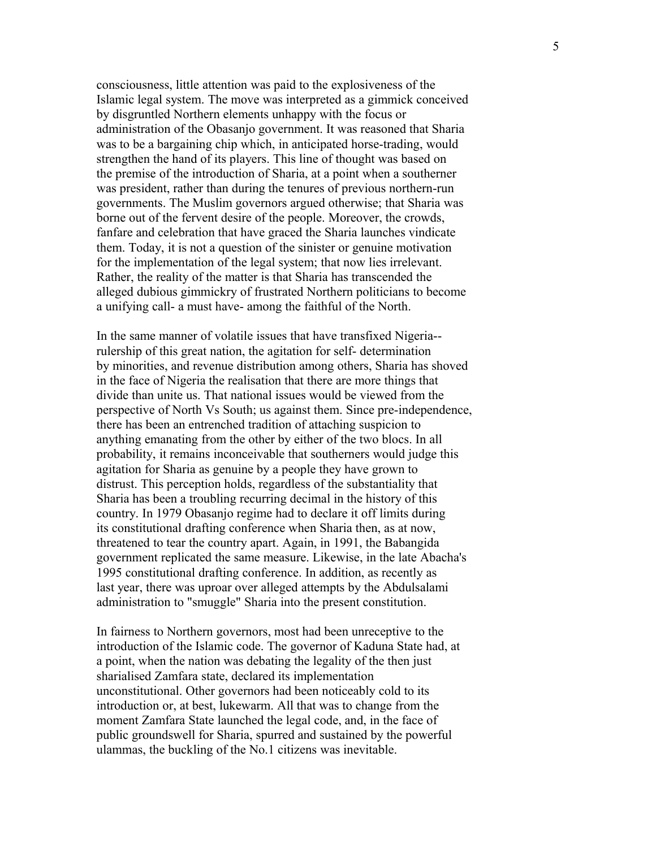consciousness, little attention was paid to the explosiveness of the Islamic legal system. The move was interpreted as a gimmick conceived by disgruntled Northern elements unhappy with the focus or administration of the Obasanjo government. It was reasoned that Sharia was to be a bargaining chip which, in anticipated horse-trading, would strengthen the hand of its players. This line of thought was based on the premise of the introduction of Sharia, at a point when a southerner was president, rather than during the tenures of previous northern-run governments. The Muslim governors argued otherwise; that Sharia was borne out of the fervent desire of the people. Moreover, the crowds, fanfare and celebration that have graced the Sharia launches vindicate them. Today, it is not a question of the sinister or genuine motivation for the implementation of the legal system; that now lies irrelevant. Rather, the reality of the matter is that Sharia has transcended the alleged dubious gimmickry of frustrated Northern politicians to become a unifying call- a must have- among the faithful of the North.

In the same manner of volatile issues that have transfixed Nigeria- rulership of this great nation, the agitation for self- determination by minorities, and revenue distribution among others, Sharia has shoved in the face of Nigeria the realisation that there are more things that divide than unite us. That national issues would be viewed from the perspective of North Vs South; us against them. Since pre-independence, there has been an entrenched tradition of attaching suspicion to anything emanating from the other by either of the two blocs. In all probability, it remains inconceivable that southerners would judge this agitation for Sharia as genuine by a people they have grown to distrust. This perception holds, regardless of the substantiality that Sharia has been a troubling recurring decimal in the history of this country. In 1979 Obasanjo regime had to declare it off limits during its constitutional drafting conference when Sharia then, as at now, threatened to tear the country apart. Again, in 1991, the Babangida government replicated the same measure. Likewise, in the late Abacha's 1995 constitutional drafting conference. In addition, as recently as last year, there was uproar over alleged attempts by the Abdulsalami administration to "smuggle" Sharia into the present constitution.

In fairness to Northern governors, most had been unreceptive to the introduction of the Islamic code. The governor of Kaduna State had, at a point, when the nation was debating the legality of the then just sharialised Zamfara state, declared its implementation unconstitutional. Other governors had been noticeably cold to its introduction or, at best, lukewarm. All that was to change from the moment Zamfara State launched the legal code, and, in the face of public groundswell for Sharia, spurred and sustained by the powerful ulammas, the buckling of the No.1 citizens was inevitable.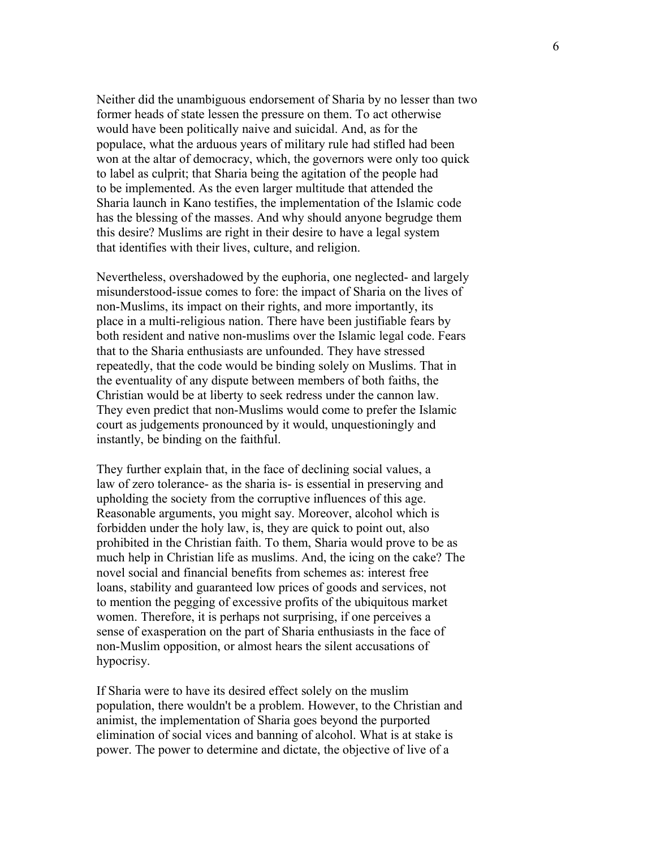Neither did the unambiguous endorsement of Sharia by no lesser than two former heads of state lessen the pressure on them. To act otherwise would have been politically naive and suicidal. And, as for the populace, what the arduous years of military rule had stifled had been won at the altar of democracy, which, the governors were only too quick to label as culprit; that Sharia being the agitation of the people had to be implemented. As the even larger multitude that attended the Sharia launch in Kano testifies, the implementation of the Islamic code has the blessing of the masses. And why should anyone begrudge them this desire? Muslims are right in their desire to have a legal system that identifies with their lives, culture, and religion.

Nevertheless, overshadowed by the euphoria, one neglected- and largely misunderstood-issue comes to fore: the impact of Sharia on the lives of non-Muslims, its impact on their rights, and more importantly, its place in a multi-religious nation. There have been justifiable fears by both resident and native non-muslims over the Islamic legal code. Fears that to the Sharia enthusiasts are unfounded. They have stressed repeatedly, that the code would be binding solely on Muslims. That in the eventuality of any dispute between members of both faiths, the Christian would be at liberty to seek redress under the cannon law. They even predict that non-Muslims would come to prefer the Islamic court as judgements pronounced by it would, unquestioningly and instantly, be binding on the faithful.

They further explain that, in the face of declining social values, a law of zero tolerance- as the sharia is- is essential in preserving and upholding the society from the corruptive influences of this age. Reasonable arguments, you might say. Moreover, alcohol which is forbidden under the holy law, is, they are quick to point out, also prohibited in the Christian faith. To them, Sharia would prove to be as much help in Christian life as muslims. And, the icing on the cake? The novel social and financial benefits from schemes as: interest free loans, stability and guaranteed low prices of goods and services, not to mention the pegging of excessive profits of the ubiquitous market women. Therefore, it is perhaps not surprising, if one perceives a sense of exasperation on the part of Sharia enthusiasts in the face of non-Muslim opposition, or almost hears the silent accusations of hypocrisy.

If Sharia were to have its desired effect solely on the muslim population, there wouldn't be a problem. However, to the Christian and animist, the implementation of Sharia goes beyond the purported elimination of social vices and banning of alcohol. What is at stake is power. The power to determine and dictate, the objective of live of a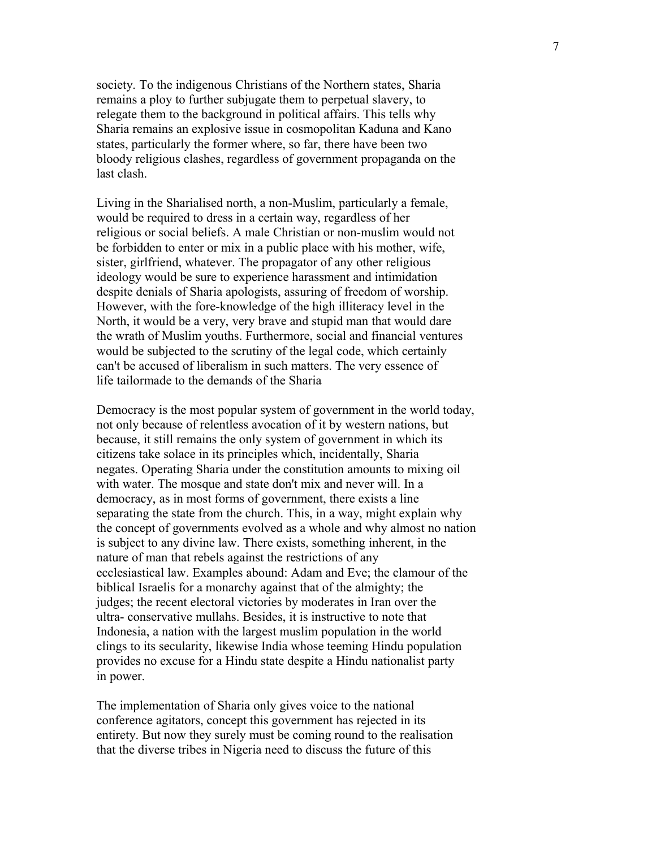society. To the indigenous Christians of the Northern states, Sharia remains a ploy to further subjugate them to perpetual slavery, to relegate them to the background in political affairs. This tells why Sharia remains an explosive issue in cosmopolitan Kaduna and Kano states, particularly the former where, so far, there have been two bloody religious clashes, regardless of government propaganda on the last clash.

Living in the Sharialised north, a non-Muslim, particularly a female, would be required to dress in a certain way, regardless of her religious or social beliefs. A male Christian or non-muslim would not be forbidden to enter or mix in a public place with his mother, wife, sister, girlfriend, whatever. The propagator of any other religious ideology would be sure to experience harassment and intimidation despite denials of Sharia apologists, assuring of freedom of worship. However, with the fore-knowledge of the high illiteracy level in the North, it would be a very, very brave and stupid man that would dare the wrath of Muslim youths. Furthermore, social and financial ventures would be subjected to the scrutiny of the legal code, which certainly can't be accused of liberalism in such matters. The very essence of life tailormade to the demands of the Sharia

Democracy is the most popular system of government in the world today, not only because of relentless avocation of it by western nations, but because, it still remains the only system of government in which its citizens take solace in its principles which, incidentally, Sharia negates. Operating Sharia under the constitution amounts to mixing oil with water. The mosque and state don't mix and never will. In a democracy, as in most forms of government, there exists a line separating the state from the church. This, in a way, might explain why the concept of governments evolved as a whole and why almost no nation is subject to any divine law. There exists, something inherent, in the nature of man that rebels against the restrictions of any ecclesiastical law. Examples abound: Adam and Eve; the clamour of the biblical Israelis for a monarchy against that of the almighty; the judges; the recent electoral victories by moderates in Iran over the ultra- conservative mullahs. Besides, it is instructive to note that Indonesia, a nation with the largest muslim population in the world clings to its secularity, likewise India whose teeming Hindu population provides no excuse for a Hindu state despite a Hindu nationalist party in power.

The implementation of Sharia only gives voice to the national conference agitators, concept this government has rejected in its entirety. But now they surely must be coming round to the realisation that the diverse tribes in Nigeria need to discuss the future of this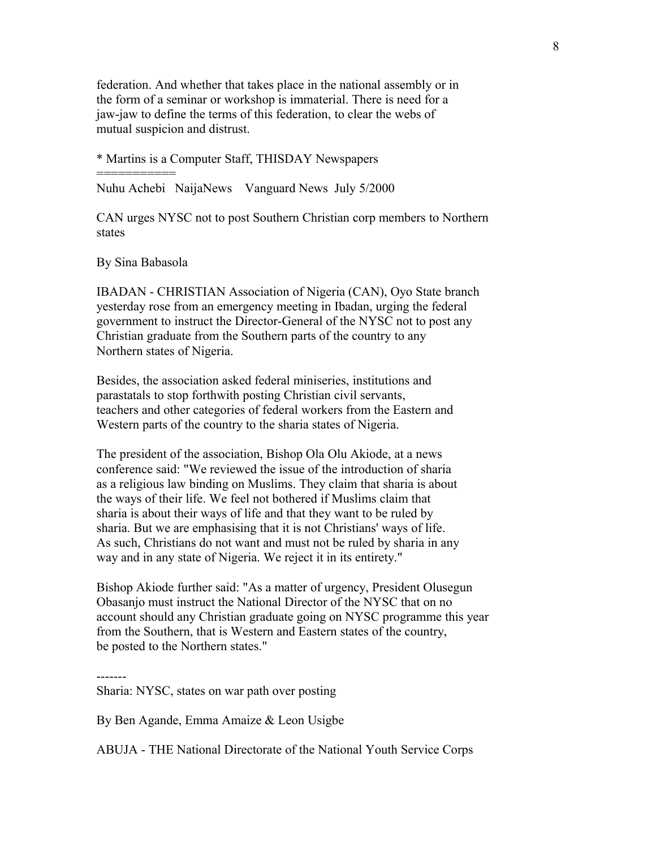federation. And whether that takes place in the national assembly or in the form of a seminar or workshop is immaterial. There is need for a jaw-jaw to define the terms of this federation, to clear the webs of mutual suspicion and distrust.

\* Martins is a Computer Staff, THISDAY Newspapers

Nuhu Achebi NaijaNews Vanguard News July 5/2000

CAN urges NYSC not to post Southern Christian corp members to Northern states

By Sina Babasola

===========

IBADAN - CHRISTIAN Association of Nigeria (CAN), Oyo State branch yesterday rose from an emergency meeting in Ibadan, urging the federal government to instruct the Director-General of the NYSC not to post any Christian graduate from the Southern parts of the country to any Northern states of Nigeria.

Besides, the association asked federal miniseries, institutions and parastatals to stop forthwith posting Christian civil servants, teachers and other categories of federal workers from the Eastern and Western parts of the country to the sharia states of Nigeria.

The president of the association, Bishop Ola Olu Akiode, at a news conference said: "We reviewed the issue of the introduction of sharia as a religious law binding on Muslims. They claim that sharia is about the ways of their life. We feel not bothered if Muslims claim that sharia is about their ways of life and that they want to be ruled by sharia. But we are emphasising that it is not Christians' ways of life. As such, Christians do not want and must not be ruled by sharia in any way and in any state of Nigeria. We reject it in its entirety."

Bishop Akiode further said: "As a matter of urgency, President Olusegun Obasanjo must instruct the National Director of the NYSC that on no account should any Christian graduate going on NYSC programme this year from the Southern, that is Western and Eastern states of the country, be posted to the Northern states."

Sharia: NYSC, states on war path over posting

-------

By Ben Agande, Emma Amaize & Leon Usigbe

ABUJA - THE National Directorate of the National Youth Service Corps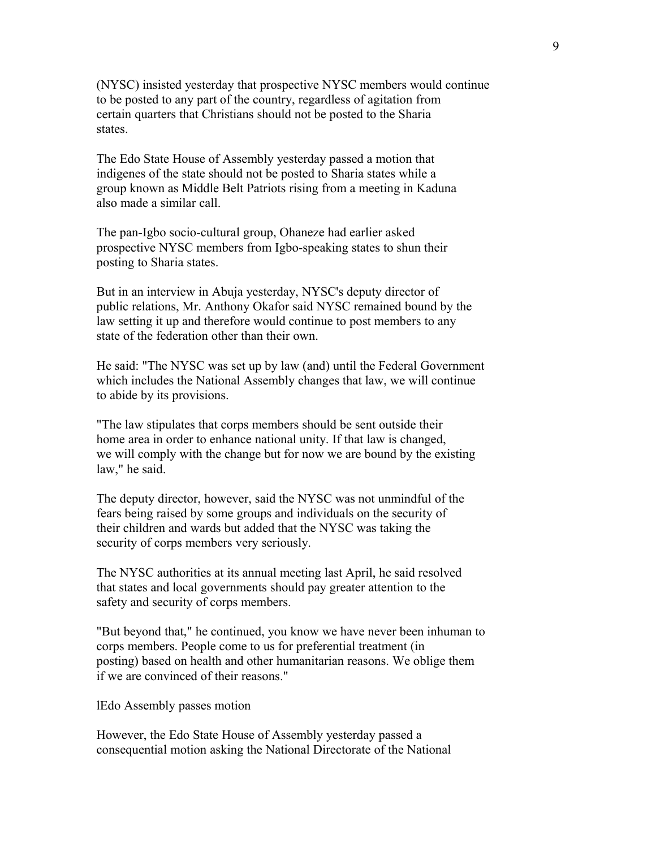(NYSC) insisted yesterday that prospective NYSC members would continue to be posted to any part of the country, regardless of agitation from certain quarters that Christians should not be posted to the Sharia states.

The Edo State House of Assembly yesterday passed a motion that indigenes of the state should not be posted to Sharia states while a group known as Middle Belt Patriots rising from a meeting in Kaduna also made a similar call.

The pan-Igbo socio-cultural group, Ohaneze had earlier asked prospective NYSC members from Igbo-speaking states to shun their posting to Sharia states.

But in an interview in Abuja yesterday, NYSC's deputy director of public relations, Mr. Anthony Okafor said NYSC remained bound by the law setting it up and therefore would continue to post members to any state of the federation other than their own.

He said: "The NYSC was set up by law (and) until the Federal Government which includes the National Assembly changes that law, we will continue to abide by its provisions.

"The law stipulates that corps members should be sent outside their home area in order to enhance national unity. If that law is changed, we will comply with the change but for now we are bound by the existing law," he said.

The deputy director, however, said the NYSC was not unmindful of the fears being raised by some groups and individuals on the security of their children and wards but added that the NYSC was taking the security of corps members very seriously.

The NYSC authorities at its annual meeting last April, he said resolved that states and local governments should pay greater attention to the safety and security of corps members.

"But beyond that," he continued, you know we have never been inhuman to corps members. People come to us for preferential treatment (in posting) based on health and other humanitarian reasons. We oblige them if we are convinced of their reasons."

lEdo Assembly passes motion

However, the Edo State House of Assembly yesterday passed a consequential motion asking the National Directorate of the National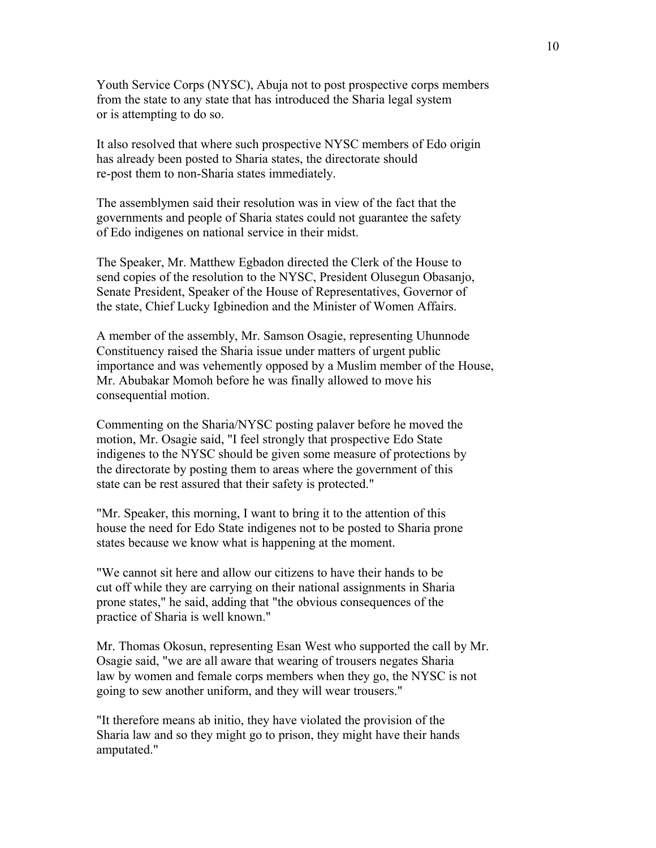Youth Service Corps (NYSC), Abuja not to post prospective corps members from the state to any state that has introduced the Sharia legal system or is attempting to do so.

It also resolved that where such prospective NYSC members of Edo origin has already been posted to Sharia states, the directorate should re-post them to non-Sharia states immediately.

The assemblymen said their resolution was in view of the fact that the governments and people of Sharia states could not guarantee the safety of Edo indigenes on national service in their midst.

The Speaker, Mr. Matthew Egbadon directed the Clerk of the House to send copies of the resolution to the NYSC, President Olusegun Obasanjo, Senate President, Speaker of the House of Representatives, Governor of the state, Chief Lucky Igbinedion and the Minister of Women Affairs.

A member of the assembly, Mr. Samson Osagie, representing Uhunnode Constituency raised the Sharia issue under matters of urgent public importance and was vehemently opposed by a Muslim member of the House, Mr. Abubakar Momoh before he was finally allowed to move his consequential motion.

Commenting on the Sharia/NYSC posting palaver before he moved the motion, Mr. Osagie said, "I feel strongly that prospective Edo State indigenes to the NYSC should be given some measure of protections by the directorate by posting them to areas where the government of this state can be rest assured that their safety is protected."

"Mr. Speaker, this morning, I want to bring it to the attention of this house the need for Edo State indigenes not to be posted to Sharia prone states because we know what is happening at the moment.

"We cannot sit here and allow our citizens to have their hands to be cut off while they are carrying on their national assignments in Sharia prone states," he said, adding that "the obvious consequences of the practice of Sharia is well known."

Mr. Thomas Okosun, representing Esan West who supported the call by Mr. Osagie said, "we are all aware that wearing of trousers negates Sharia law by women and female corps members when they go, the NYSC is not going to sew another uniform, and they will wear trousers."

"It therefore means ab initio, they have violated the provision of the Sharia law and so they might go to prison, they might have their hands amputated."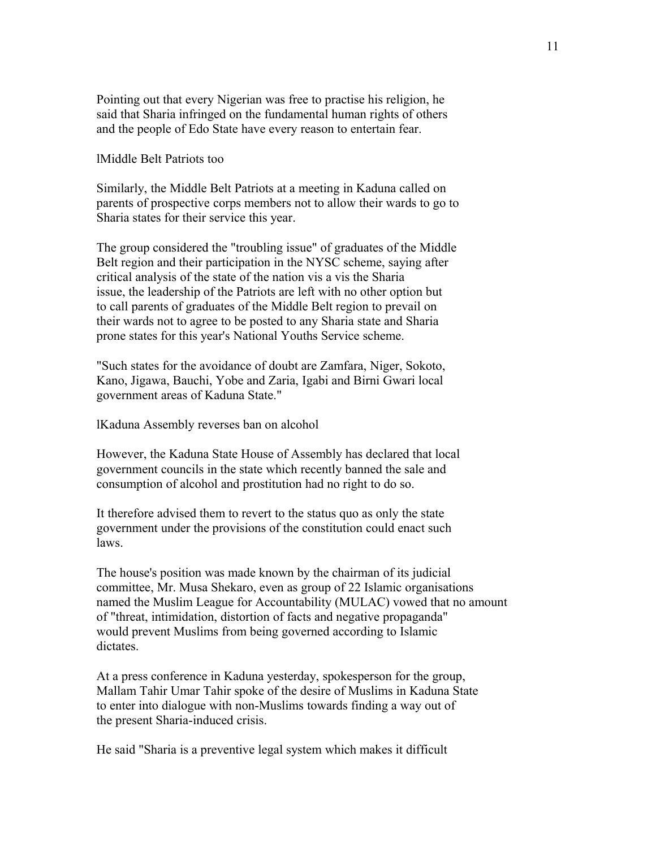Pointing out that every Nigerian was free to practise his religion, he said that Sharia infringed on the fundamental human rights of others and the people of Edo State have every reason to entertain fear.

lMiddle Belt Patriots too

Similarly, the Middle Belt Patriots at a meeting in Kaduna called on parents of prospective corps members not to allow their wards to go to Sharia states for their service this year.

The group considered the "troubling issue" of graduates of the Middle Belt region and their participation in the NYSC scheme, saying after critical analysis of the state of the nation vis a vis the Sharia issue, the leadership of the Patriots are left with no other option but to call parents of graduates of the Middle Belt region to prevail on their wards not to agree to be posted to any Sharia state and Sharia prone states for this year's National Youths Service scheme.

"Such states for the avoidance of doubt are Zamfara, Niger, Sokoto, Kano, Jigawa, Bauchi, Yobe and Zaria, Igabi and Birni Gwari local government areas of Kaduna State."

lKaduna Assembly reverses ban on alcohol

However, the Kaduna State House of Assembly has declared that local government councils in the state which recently banned the sale and consumption of alcohol and prostitution had no right to do so.

It therefore advised them to revert to the status quo as only the state government under the provisions of the constitution could enact such laws.

The house's position was made known by the chairman of its judicial committee, Mr. Musa Shekaro, even as group of 22 Islamic organisations named the Muslim League for Accountability (MULAC) vowed that no amount of "threat, intimidation, distortion of facts and negative propaganda" would prevent Muslims from being governed according to Islamic dictates.

At a press conference in Kaduna yesterday, spokesperson for the group, Mallam Tahir Umar Tahir spoke of the desire of Muslims in Kaduna State to enter into dialogue with non-Muslims towards finding a way out of the present Sharia-induced crisis.

He said "Sharia is a preventive legal system which makes it difficult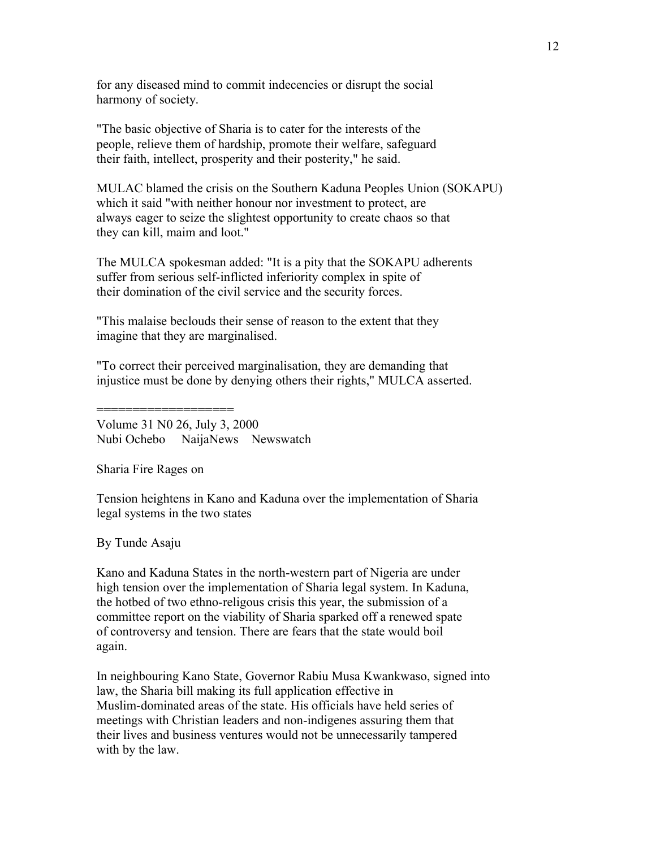for any diseased mind to commit indecencies or disrupt the social harmony of society.

"The basic objective of Sharia is to cater for the interests of the people, relieve them of hardship, promote their welfare, safeguard their faith, intellect, prosperity and their posterity," he said.

MULAC blamed the crisis on the Southern Kaduna Peoples Union (SOKAPU) which it said "with neither honour nor investment to protect, are always eager to seize the slightest opportunity to create chaos so that they can kill, maim and loot."

The MULCA spokesman added: "It is a pity that the SOKAPU adherents suffer from serious self-inflicted inferiority complex in spite of their domination of the civil service and the security forces.

"This malaise beclouds their sense of reason to the extent that they imagine that they are marginalised.

"To correct their perceived marginalisation, they are demanding that injustice must be done by denying others their rights," MULCA asserted.

Volume 31 N0 26, July 3, 2000 Nubi Ochebo NaijaNews Newswatch

Sharia Fire Rages on

===================

Tension heightens in Kano and Kaduna over the implementation of Sharia legal systems in the two states

By Tunde Asaju

Kano and Kaduna States in the north-western part of Nigeria are under high tension over the implementation of Sharia legal system. In Kaduna, the hotbed of two ethno-religous crisis this year, the submission of a committee report on the viability of Sharia sparked off a renewed spate of controversy and tension. There are fears that the state would boil again.

In neighbouring Kano State, Governor Rabiu Musa Kwankwaso, signed into law, the Sharia bill making its full application effective in Muslim-dominated areas of the state. His officials have held series of meetings with Christian leaders and non-indigenes assuring them that their lives and business ventures would not be unnecessarily tampered with by the law.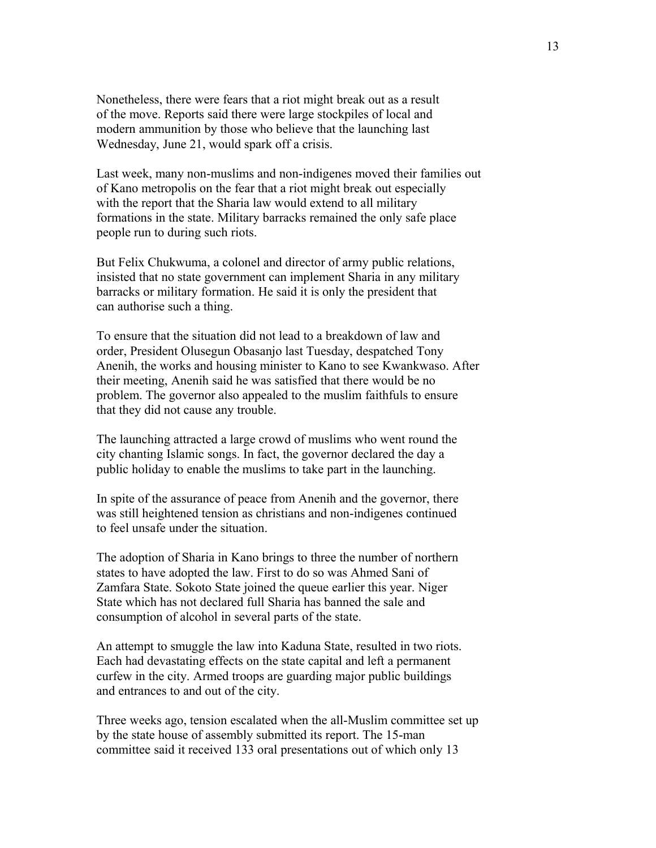Nonetheless, there were fears that a riot might break out as a result of the move. Reports said there were large stockpiles of local and modern ammunition by those who believe that the launching last Wednesday, June 21, would spark off a crisis.

Last week, many non-muslims and non-indigenes moved their families out of Kano metropolis on the fear that a riot might break out especially with the report that the Sharia law would extend to all military formations in the state. Military barracks remained the only safe place people run to during such riots.

But Felix Chukwuma, a colonel and director of army public relations, insisted that no state government can implement Sharia in any military barracks or military formation. He said it is only the president that can authorise such a thing.

To ensure that the situation did not lead to a breakdown of law and order, President Olusegun Obasanjo last Tuesday, despatched Tony Anenih, the works and housing minister to Kano to see Kwankwaso. After their meeting, Anenih said he was satisfied that there would be no problem. The governor also appealed to the muslim faithfuls to ensure that they did not cause any trouble.

The launching attracted a large crowd of muslims who went round the city chanting Islamic songs. In fact, the governor declared the day a public holiday to enable the muslims to take part in the launching.

In spite of the assurance of peace from Anenih and the governor, there was still heightened tension as christians and non-indigenes continued to feel unsafe under the situation.

The adoption of Sharia in Kano brings to three the number of northern states to have adopted the law. First to do so was Ahmed Sani of Zamfara State. Sokoto State joined the queue earlier this year. Niger State which has not declared full Sharia has banned the sale and consumption of alcohol in several parts of the state.

An attempt to smuggle the law into Kaduna State, resulted in two riots. Each had devastating effects on the state capital and left a permanent curfew in the city. Armed troops are guarding major public buildings and entrances to and out of the city.

Three weeks ago, tension escalated when the all-Muslim committee set up by the state house of assembly submitted its report. The 15-man committee said it received 133 oral presentations out of which only 13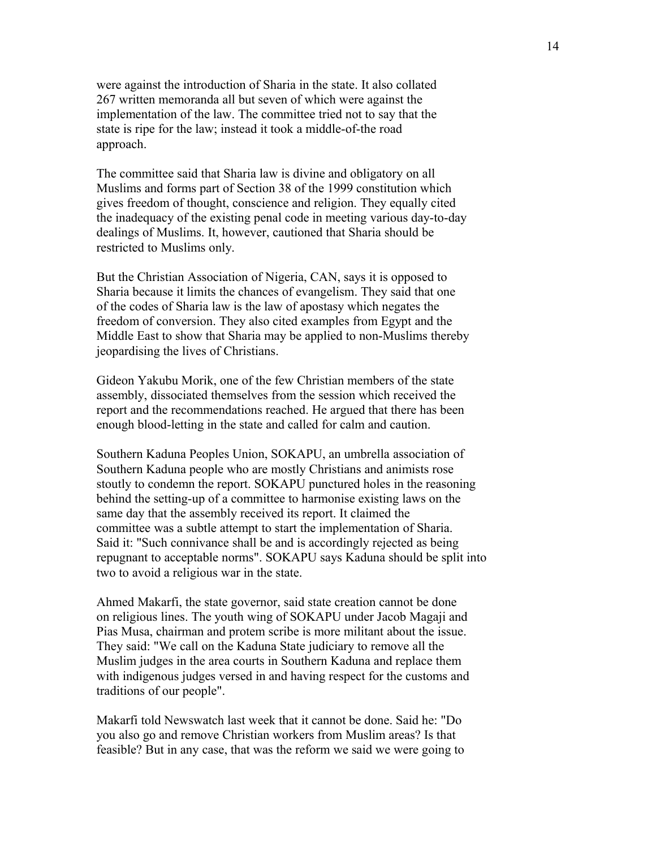were against the introduction of Sharia in the state. It also collated 267 written memoranda all but seven of which were against the implementation of the law. The committee tried not to say that the state is ripe for the law; instead it took a middle-of-the road approach.

The committee said that Sharia law is divine and obligatory on all Muslims and forms part of Section 38 of the 1999 constitution which gives freedom of thought, conscience and religion. They equally cited the inadequacy of the existing penal code in meeting various day-to-day dealings of Muslims. It, however, cautioned that Sharia should be restricted to Muslims only.

But the Christian Association of Nigeria, CAN, says it is opposed to Sharia because it limits the chances of evangelism. They said that one of the codes of Sharia law is the law of apostasy which negates the freedom of conversion. They also cited examples from Egypt and the Middle East to show that Sharia may be applied to non-Muslims thereby jeopardising the lives of Christians.

Gideon Yakubu Morik, one of the few Christian members of the state assembly, dissociated themselves from the session which received the report and the recommendations reached. He argued that there has been enough blood-letting in the state and called for calm and caution.

Southern Kaduna Peoples Union, SOKAPU, an umbrella association of Southern Kaduna people who are mostly Christians and animists rose stoutly to condemn the report. SOKAPU punctured holes in the reasoning behind the setting-up of a committee to harmonise existing laws on the same day that the assembly received its report. It claimed the committee was a subtle attempt to start the implementation of Sharia. Said it: "Such connivance shall be and is accordingly rejected as being repugnant to acceptable norms". SOKAPU says Kaduna should be split into two to avoid a religious war in the state.

Ahmed Makarfi, the state governor, said state creation cannot be done on religious lines. The youth wing of SOKAPU under Jacob Magaji and Pias Musa, chairman and protem scribe is more militant about the issue. They said: "We call on the Kaduna State judiciary to remove all the Muslim judges in the area courts in Southern Kaduna and replace them with indigenous judges versed in and having respect for the customs and traditions of our people".

Makarfi told Newswatch last week that it cannot be done. Said he: "Do you also go and remove Christian workers from Muslim areas? Is that feasible? But in any case, that was the reform we said we were going to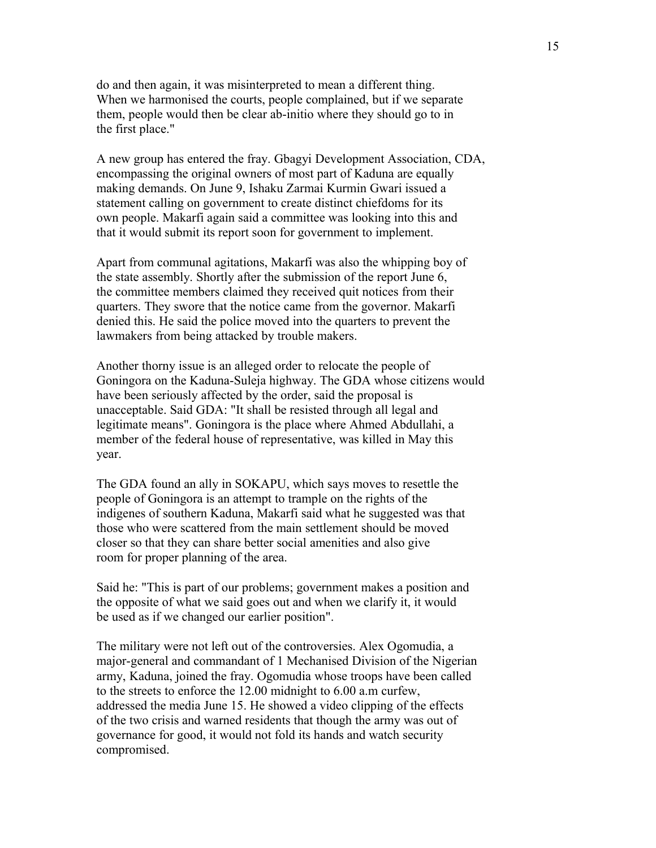do and then again, it was misinterpreted to mean a different thing. When we harmonised the courts, people complained, but if we separate them, people would then be clear ab-initio where they should go to in the first place."

A new group has entered the fray. Gbagyi Development Association, CDA, encompassing the original owners of most part of Kaduna are equally making demands. On June 9, Ishaku Zarmai Kurmin Gwari issued a statement calling on government to create distinct chiefdoms for its own people. Makarfi again said a committee was looking into this and that it would submit its report soon for government to implement.

Apart from communal agitations, Makarfi was also the whipping boy of the state assembly. Shortly after the submission of the report June 6, the committee members claimed they received quit notices from their quarters. They swore that the notice came from the governor. Makarfi denied this. He said the police moved into the quarters to prevent the lawmakers from being attacked by trouble makers.

Another thorny issue is an alleged order to relocate the people of Goningora on the Kaduna-Suleja highway. The GDA whose citizens would have been seriously affected by the order, said the proposal is unacceptable. Said GDA: "It shall be resisted through all legal and legitimate means". Goningora is the place where Ahmed Abdullahi, a member of the federal house of representative, was killed in May this year.

The GDA found an ally in SOKAPU, which says moves to resettle the people of Goningora is an attempt to trample on the rights of the indigenes of southern Kaduna, Makarfi said what he suggested was that those who were scattered from the main settlement should be moved closer so that they can share better social amenities and also give room for proper planning of the area.

Said he: "This is part of our problems; government makes a position and the opposite of what we said goes out and when we clarify it, it would be used as if we changed our earlier position".

The military were not left out of the controversies. Alex Ogomudia, a major-general and commandant of 1 Mechanised Division of the Nigerian army, Kaduna, joined the fray. Ogomudia whose troops have been called to the streets to enforce the 12.00 midnight to 6.00 a.m curfew, addressed the media June 15. He showed a video clipping of the effects of the two crisis and warned residents that though the army was out of governance for good, it would not fold its hands and watch security compromised.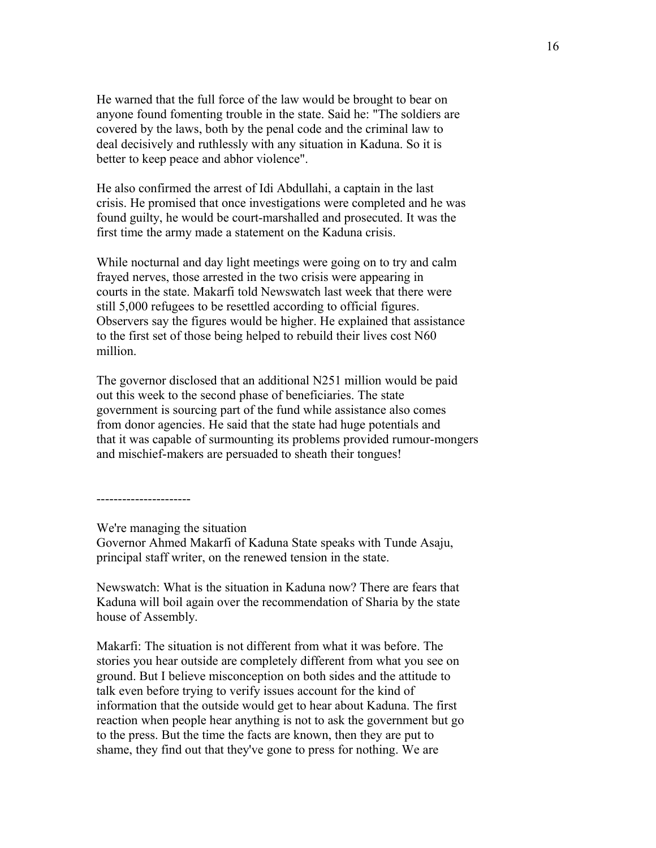He warned that the full force of the law would be brought to bear on anyone found fomenting trouble in the state. Said he: "The soldiers are covered by the laws, both by the penal code and the criminal law to deal decisively and ruthlessly with any situation in Kaduna. So it is better to keep peace and abhor violence".

He also confirmed the arrest of Idi Abdullahi, a captain in the last crisis. He promised that once investigations were completed and he was found guilty, he would be court-marshalled and prosecuted. It was the first time the army made a statement on the Kaduna crisis.

While nocturnal and day light meetings were going on to try and calm frayed nerves, those arrested in the two crisis were appearing in courts in the state. Makarfi told Newswatch last week that there were still 5,000 refugees to be resettled according to official figures. Observers say the figures would be higher. He explained that assistance to the first set of those being helped to rebuild their lives cost N60 million.

The governor disclosed that an additional N251 million would be paid out this week to the second phase of beneficiaries. The state government is sourcing part of the fund while assistance also comes from donor agencies. He said that the state had huge potentials and that it was capable of surmounting its problems provided rumour-mongers and mischief-makers are persuaded to sheath their tongues!

----------------------

We're managing the situation

Governor Ahmed Makarfi of Kaduna State speaks with Tunde Asaju, principal staff writer, on the renewed tension in the state.

Newswatch: What is the situation in Kaduna now? There are fears that Kaduna will boil again over the recommendation of Sharia by the state house of Assembly.

Makarfi: The situation is not different from what it was before. The stories you hear outside are completely different from what you see on ground. But I believe misconception on both sides and the attitude to talk even before trying to verify issues account for the kind of information that the outside would get to hear about Kaduna. The first reaction when people hear anything is not to ask the government but go to the press. But the time the facts are known, then they are put to shame, they find out that they've gone to press for nothing. We are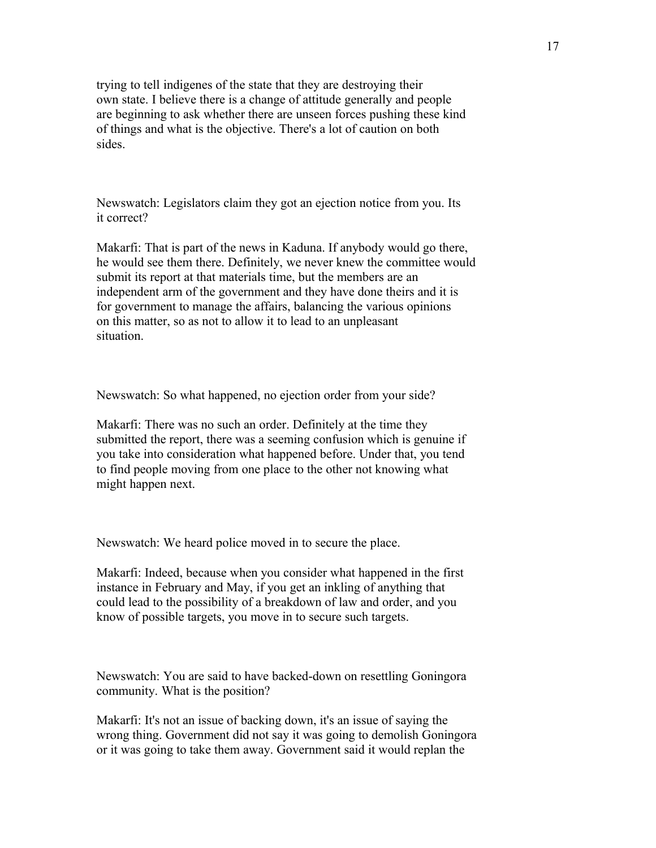trying to tell indigenes of the state that they are destroying their own state. I believe there is a change of attitude generally and people are beginning to ask whether there are unseen forces pushing these kind of things and what is the objective. There's a lot of caution on both sides.

Newswatch: Legislators claim they got an ejection notice from you. Its it correct?

Makarfi: That is part of the news in Kaduna. If anybody would go there, he would see them there. Definitely, we never knew the committee would submit its report at that materials time, but the members are an independent arm of the government and they have done theirs and it is for government to manage the affairs, balancing the various opinions on this matter, so as not to allow it to lead to an unpleasant situation.

Newswatch: So what happened, no ejection order from your side?

Makarfi: There was no such an order. Definitely at the time they submitted the report, there was a seeming confusion which is genuine if you take into consideration what happened before. Under that, you tend to find people moving from one place to the other not knowing what might happen next.

Newswatch: We heard police moved in to secure the place.

Makarfi: Indeed, because when you consider what happened in the first instance in February and May, if you get an inkling of anything that could lead to the possibility of a breakdown of law and order, and you know of possible targets, you move in to secure such targets.

Newswatch: You are said to have backed-down on resettling Goningora community. What is the position?

Makarfi: It's not an issue of backing down, it's an issue of saying the wrong thing. Government did not say it was going to demolish Goningora or it was going to take them away. Government said it would replan the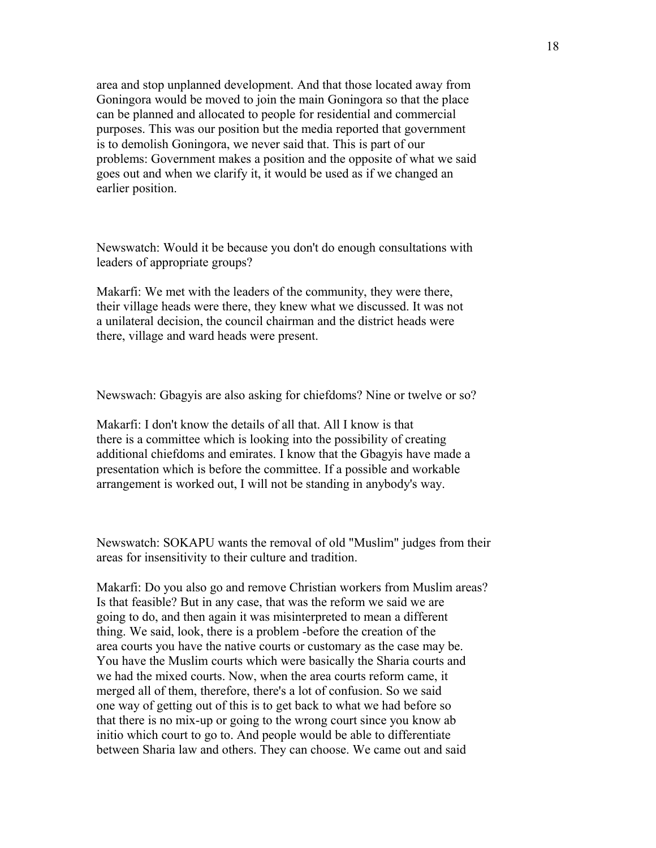area and stop unplanned development. And that those located away from Goningora would be moved to join the main Goningora so that the place can be planned and allocated to people for residential and commercial purposes. This was our position but the media reported that government is to demolish Goningora, we never said that. This is part of our problems: Government makes a position and the opposite of what we said goes out and when we clarify it, it would be used as if we changed an earlier position.

Newswatch: Would it be because you don't do enough consultations with leaders of appropriate groups?

Makarfi: We met with the leaders of the community, they were there, their village heads were there, they knew what we discussed. It was not a unilateral decision, the council chairman and the district heads were there, village and ward heads were present.

Newswach: Gbagyis are also asking for chiefdoms? Nine or twelve or so?

Makarfi: I don't know the details of all that. All I know is that there is a committee which is looking into the possibility of creating additional chiefdoms and emirates. I know that the Gbagyis have made a presentation which is before the committee. If a possible and workable arrangement is worked out, I will not be standing in anybody's way.

Newswatch: SOKAPU wants the removal of old "Muslim" judges from their areas for insensitivity to their culture and tradition.

Makarfi: Do you also go and remove Christian workers from Muslim areas? Is that feasible? But in any case, that was the reform we said we are going to do, and then again it was misinterpreted to mean a different thing. We said, look, there is a problem -before the creation of the area courts you have the native courts or customary as the case may be. You have the Muslim courts which were basically the Sharia courts and we had the mixed courts. Now, when the area courts reform came, it merged all of them, therefore, there's a lot of confusion. So we said one way of getting out of this is to get back to what we had before so that there is no mix-up or going to the wrong court since you know ab initio which court to go to. And people would be able to differentiate between Sharia law and others. They can choose. We came out and said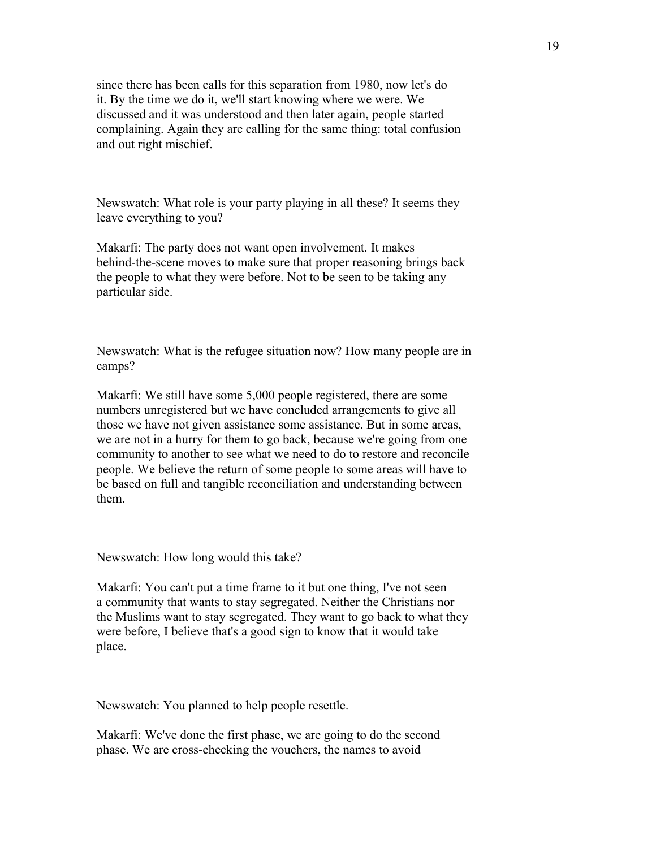since there has been calls for this separation from 1980, now let's do it. By the time we do it, we'll start knowing where we were. We discussed and it was understood and then later again, people started complaining. Again they are calling for the same thing: total confusion and out right mischief.

Newswatch: What role is your party playing in all these? It seems they leave everything to you?

Makarfi: The party does not want open involvement. It makes behind-the-scene moves to make sure that proper reasoning brings back the people to what they were before. Not to be seen to be taking any particular side.

Newswatch: What is the refugee situation now? How many people are in camps?

Makarfi: We still have some 5,000 people registered, there are some numbers unregistered but we have concluded arrangements to give all those we have not given assistance some assistance. But in some areas, we are not in a hurry for them to go back, because we're going from one community to another to see what we need to do to restore and reconcile people. We believe the return of some people to some areas will have to be based on full and tangible reconciliation and understanding between them.

Newswatch: How long would this take?

Makarfi: You can't put a time frame to it but one thing, I've not seen a community that wants to stay segregated. Neither the Christians nor the Muslims want to stay segregated. They want to go back to what they were before, I believe that's a good sign to know that it would take place.

Newswatch: You planned to help people resettle.

Makarfi: We've done the first phase, we are going to do the second phase. We are cross-checking the vouchers, the names to avoid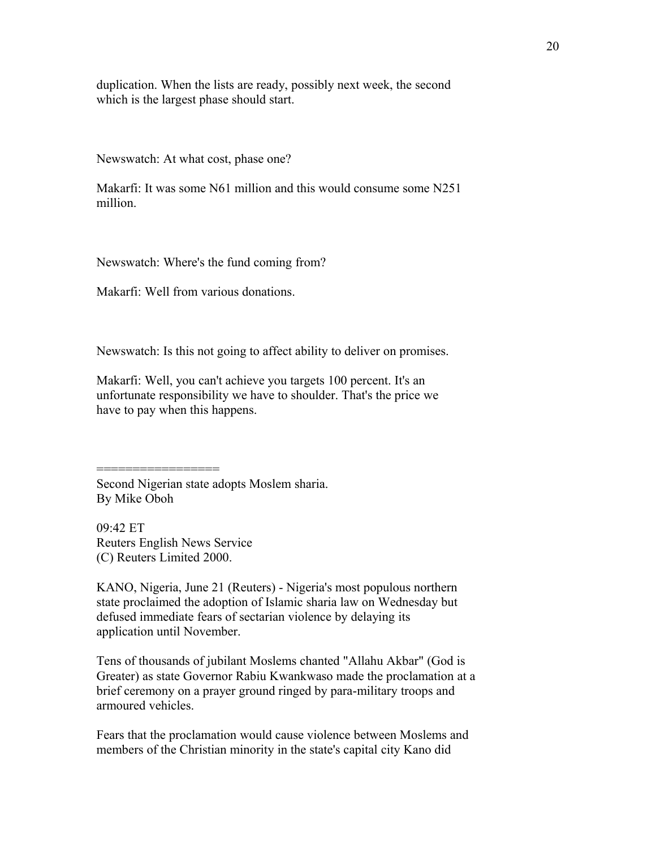duplication. When the lists are ready, possibly next week, the second which is the largest phase should start.

Newswatch: At what cost, phase one?

Makarfi: It was some N61 million and this would consume some N251 million.

Newswatch: Where's the fund coming from?

Makarfi: Well from various donations.

Newswatch: Is this not going to affect ability to deliver on promises.

Makarfi: Well, you can't achieve you targets 100 percent. It's an unfortunate responsibility we have to shoulder. That's the price we have to pay when this happens.

Second Nigerian state adopts Moslem sharia. By Mike Oboh

09:42 ET Reuters English News Service (C) Reuters Limited 2000.

=================

KANO, Nigeria, June 21 (Reuters) - Nigeria's most populous northern state proclaimed the adoption of Islamic sharia law on Wednesday but defused immediate fears of sectarian violence by delaying its application until November.

Tens of thousands of jubilant Moslems chanted "Allahu Akbar" (God is Greater) as state Governor Rabiu Kwankwaso made the proclamation at a brief ceremony on a prayer ground ringed by para-military troops and armoured vehicles.

Fears that the proclamation would cause violence between Moslems and members of the Christian minority in the state's capital city Kano did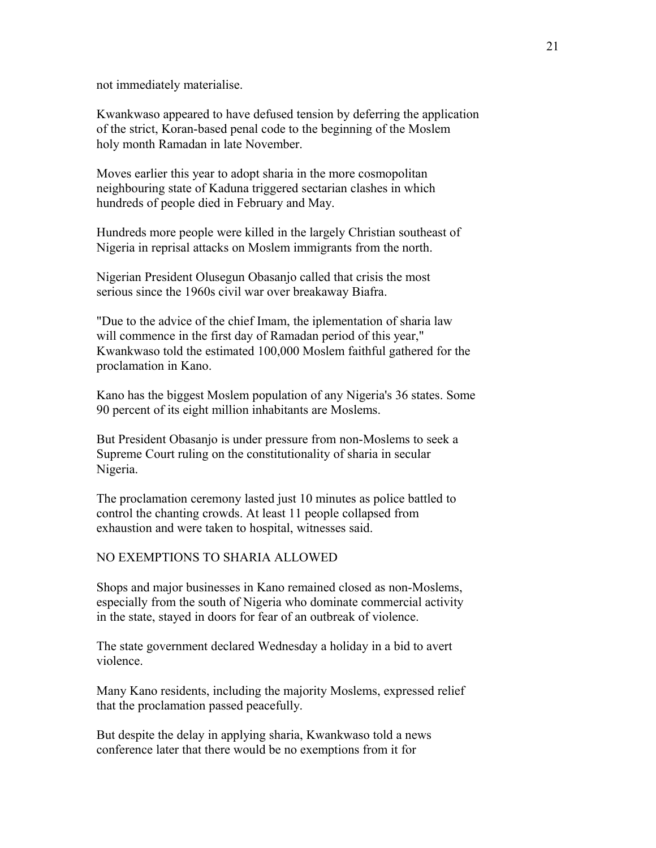not immediately materialise.

Kwankwaso appeared to have defused tension by deferring the application of the strict, Koran-based penal code to the beginning of the Moslem holy month Ramadan in late November.

Moves earlier this year to adopt sharia in the more cosmopolitan neighbouring state of Kaduna triggered sectarian clashes in which hundreds of people died in February and May.

Hundreds more people were killed in the largely Christian southeast of Nigeria in reprisal attacks on Moslem immigrants from the north.

Nigerian President Olusegun Obasanjo called that crisis the most serious since the 1960s civil war over breakaway Biafra.

"Due to the advice of the chief Imam, the iplementation of sharia law will commence in the first day of Ramadan period of this year," Kwankwaso told the estimated 100,000 Moslem faithful gathered for the proclamation in Kano.

Kano has the biggest Moslem population of any Nigeria's 36 states. Some 90 percent of its eight million inhabitants are Moslems.

But President Obasanjo is under pressure from non-Moslems to seek a Supreme Court ruling on the constitutionality of sharia in secular Nigeria.

The proclamation ceremony lasted just 10 minutes as police battled to control the chanting crowds. At least 11 people collapsed from exhaustion and were taken to hospital, witnesses said.

# NO EXEMPTIONS TO SHARIA ALLOWED

Shops and major businesses in Kano remained closed as non-Moslems, especially from the south of Nigeria who dominate commercial activity in the state, stayed in doors for fear of an outbreak of violence.

The state government declared Wednesday a holiday in a bid to avert violence.

Many Kano residents, including the majority Moslems, expressed relief that the proclamation passed peacefully.

But despite the delay in applying sharia, Kwankwaso told a news conference later that there would be no exemptions from it for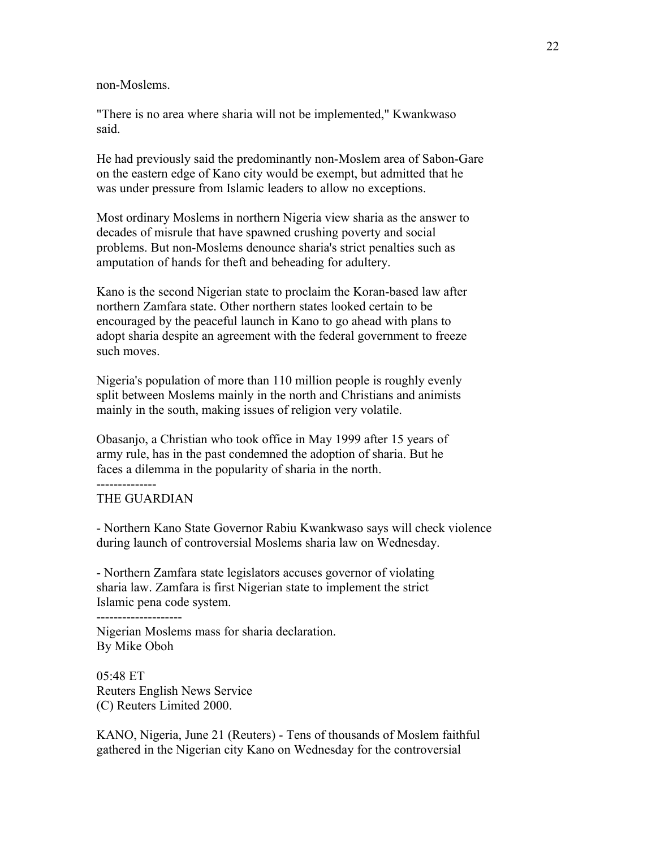non-Moslems.

"There is no area where sharia will not be implemented," Kwankwaso said.

He had previously said the predominantly non-Moslem area of Sabon-Gare on the eastern edge of Kano city would be exempt, but admitted that he was under pressure from Islamic leaders to allow no exceptions.

Most ordinary Moslems in northern Nigeria view sharia as the answer to decades of misrule that have spawned crushing poverty and social problems. But non-Moslems denounce sharia's strict penalties such as amputation of hands for theft and beheading for adultery.

Kano is the second Nigerian state to proclaim the Koran-based law after northern Zamfara state. Other northern states looked certain to be encouraged by the peaceful launch in Kano to go ahead with plans to adopt sharia despite an agreement with the federal government to freeze such moves.

Nigeria's population of more than 110 million people is roughly evenly split between Moslems mainly in the north and Christians and animists mainly in the south, making issues of religion very volatile.

Obasanjo, a Christian who took office in May 1999 after 15 years of army rule, has in the past condemned the adoption of sharia. But he faces a dilemma in the popularity of sharia in the north.

### THE GUARDIAN

--------------

- Northern Kano State Governor Rabiu Kwankwaso says will check violence during launch of controversial Moslems sharia law on Wednesday.

- Northern Zamfara state legislators accuses governor of violating sharia law. Zamfara is first Nigerian state to implement the strict Islamic pena code system. --------------------

Nigerian Moslems mass for sharia declaration. By Mike Oboh

05:48 ET Reuters English News Service (C) Reuters Limited 2000.

KANO, Nigeria, June 21 (Reuters) - Tens of thousands of Moslem faithful gathered in the Nigerian city Kano on Wednesday for the controversial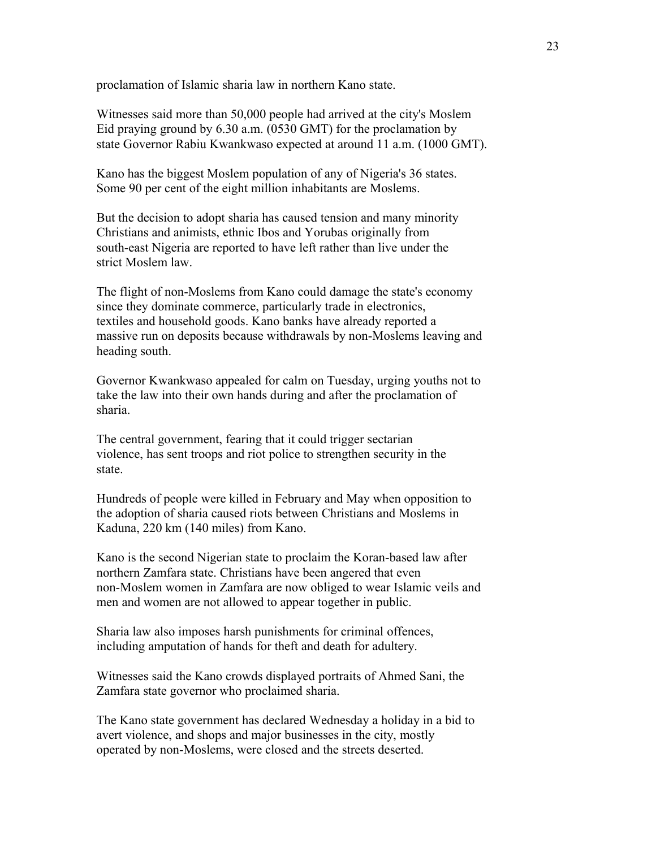proclamation of Islamic sharia law in northern Kano state.

Witnesses said more than 50,000 people had arrived at the city's Moslem Eid praying ground by 6.30 a.m. (0530 GMT) for the proclamation by state Governor Rabiu Kwankwaso expected at around 11 a.m. (1000 GMT).

Kano has the biggest Moslem population of any of Nigeria's 36 states. Some 90 per cent of the eight million inhabitants are Moslems.

But the decision to adopt sharia has caused tension and many minority Christians and animists, ethnic Ibos and Yorubas originally from south-east Nigeria are reported to have left rather than live under the strict Moslem law.

The flight of non-Moslems from Kano could damage the state's economy since they dominate commerce, particularly trade in electronics, textiles and household goods. Kano banks have already reported a massive run on deposits because withdrawals by non-Moslems leaving and heading south.

Governor Kwankwaso appealed for calm on Tuesday, urging youths not to take the law into their own hands during and after the proclamation of sharia.

The central government, fearing that it could trigger sectarian violence, has sent troops and riot police to strengthen security in the state.

Hundreds of people were killed in February and May when opposition to the adoption of sharia caused riots between Christians and Moslems in Kaduna, 220 km (140 miles) from Kano.

Kano is the second Nigerian state to proclaim the Koran-based law after northern Zamfara state. Christians have been angered that even non-Moslem women in Zamfara are now obliged to wear Islamic veils and men and women are not allowed to appear together in public.

Sharia law also imposes harsh punishments for criminal offences, including amputation of hands for theft and death for adultery.

Witnesses said the Kano crowds displayed portraits of Ahmed Sani, the Zamfara state governor who proclaimed sharia.

The Kano state government has declared Wednesday a holiday in a bid to avert violence, and shops and major businesses in the city, mostly operated by non-Moslems, were closed and the streets deserted.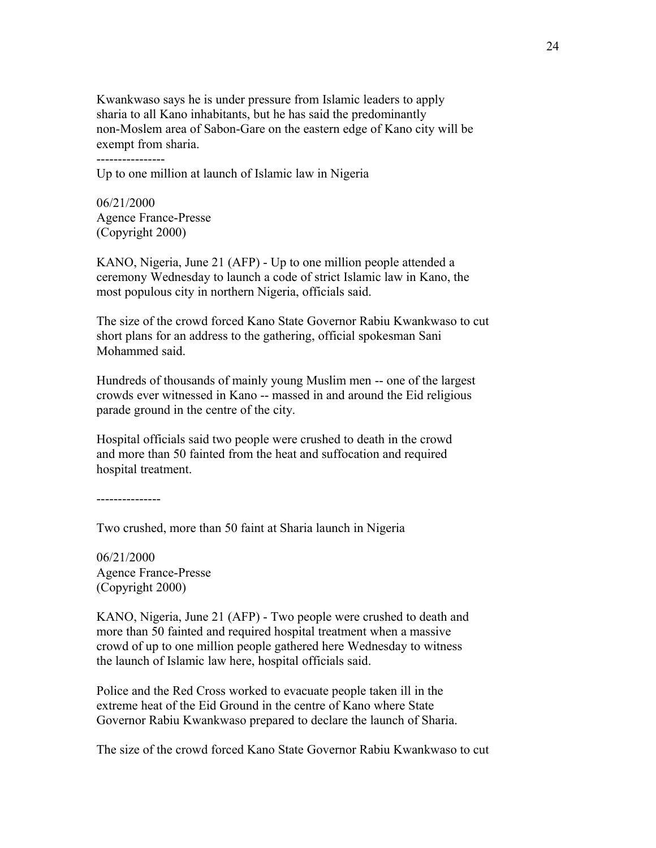Kwankwaso says he is under pressure from Islamic leaders to apply sharia to all Kano inhabitants, but he has said the predominantly non-Moslem area of Sabon-Gare on the eastern edge of Kano city will be exempt from sharia.

----------------

Up to one million at launch of Islamic law in Nigeria

06/21/2000 Agence France-Presse (Copyright 2000)

KANO, Nigeria, June 21 (AFP) - Up to one million people attended a ceremony Wednesday to launch a code of strict Islamic law in Kano, the most populous city in northern Nigeria, officials said.

The size of the crowd forced Kano State Governor Rabiu Kwankwaso to cut short plans for an address to the gathering, official spokesman Sani Mohammed said.

Hundreds of thousands of mainly young Muslim men -- one of the largest crowds ever witnessed in Kano -- massed in and around the Eid religious parade ground in the centre of the city.

Hospital officials said two people were crushed to death in the crowd and more than 50 fainted from the heat and suffocation and required hospital treatment.

---------------

Two crushed, more than 50 faint at Sharia launch in Nigeria

06/21/2000 Agence France-Presse (Copyright 2000)

KANO, Nigeria, June 21 (AFP) - Two people were crushed to death and more than 50 fainted and required hospital treatment when a massive crowd of up to one million people gathered here Wednesday to witness the launch of Islamic law here, hospital officials said.

Police and the Red Cross worked to evacuate people taken ill in the extreme heat of the Eid Ground in the centre of Kano where State Governor Rabiu Kwankwaso prepared to declare the launch of Sharia.

The size of the crowd forced Kano State Governor Rabiu Kwankwaso to cut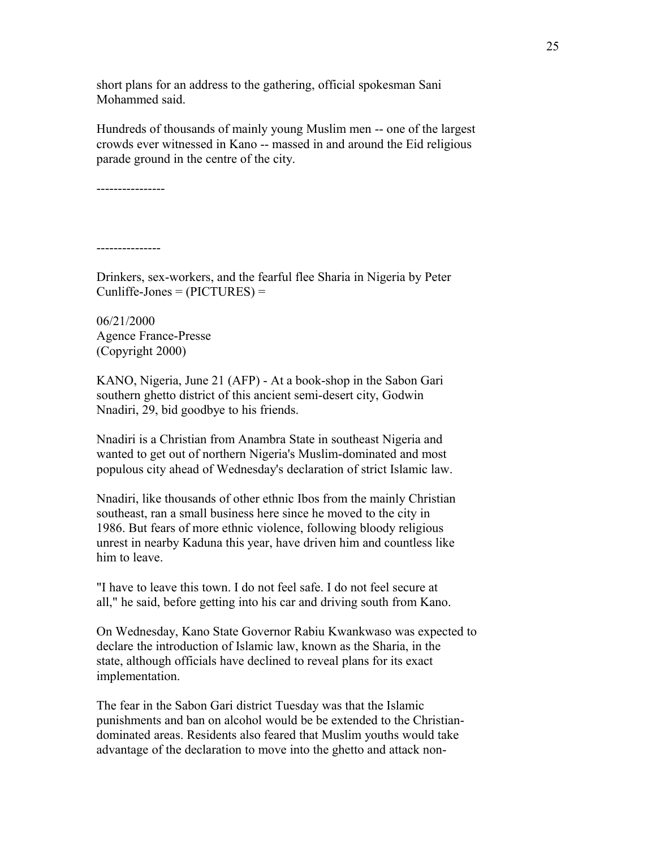short plans for an address to the gathering, official spokesman Sani Mohammed said.

Hundreds of thousands of mainly young Muslim men -- one of the largest crowds ever witnessed in Kano -- massed in and around the Eid religious parade ground in the centre of the city.

----------------

---------------

Drinkers, sex-workers, and the fearful flee Sharia in Nigeria by Peter  $Cunliffe-Jones = (PICTURES) =$ 

06/21/2000 Agence France-Presse (Copyright 2000)

KANO, Nigeria, June 21 (AFP) - At a book-shop in the Sabon Gari southern ghetto district of this ancient semi-desert city, Godwin Nnadiri, 29, bid goodbye to his friends.

Nnadiri is a Christian from Anambra State in southeast Nigeria and wanted to get out of northern Nigeria's Muslim-dominated and most populous city ahead of Wednesday's declaration of strict Islamic law.

Nnadiri, like thousands of other ethnic Ibos from the mainly Christian southeast, ran a small business here since he moved to the city in 1986. But fears of more ethnic violence, following bloody religious unrest in nearby Kaduna this year, have driven him and countless like him to leave.

"I have to leave this town. I do not feel safe. I do not feel secure at all," he said, before getting into his car and driving south from Kano.

On Wednesday, Kano State Governor Rabiu Kwankwaso was expected to declare the introduction of Islamic law, known as the Sharia, in the state, although officials have declined to reveal plans for its exact implementation.

The fear in the Sabon Gari district Tuesday was that the Islamic punishments and ban on alcohol would be be extended to the Christiandominated areas. Residents also feared that Muslim youths would take advantage of the declaration to move into the ghetto and attack non-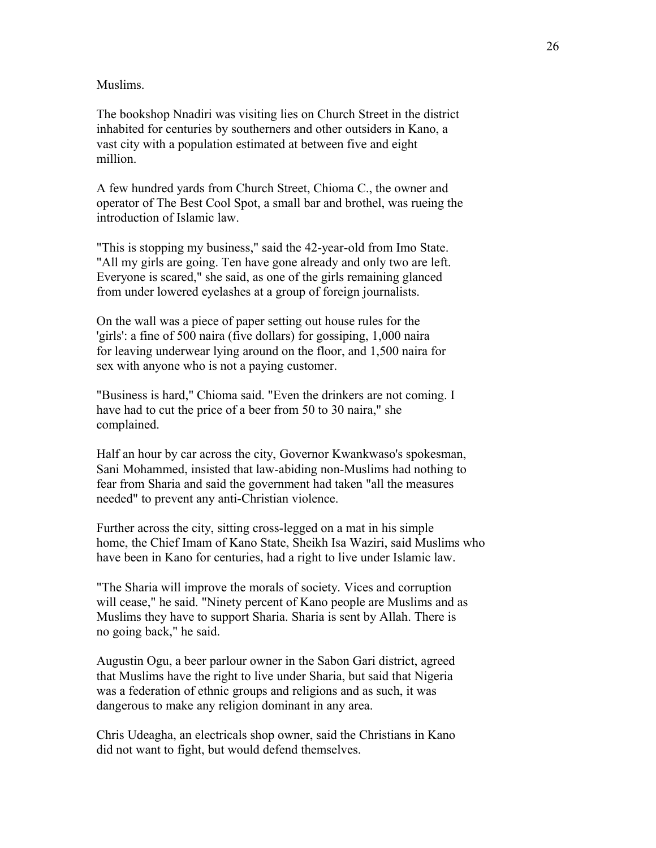#### Muslims.

The bookshop Nnadiri was visiting lies on Church Street in the district inhabited for centuries by southerners and other outsiders in Kano, a vast city with a population estimated at between five and eight million.

A few hundred yards from Church Street, Chioma C., the owner and operator of The Best Cool Spot, a small bar and brothel, was rueing the introduction of Islamic law.

"This is stopping my business," said the 42-year-old from Imo State. "All my girls are going. Ten have gone already and only two are left. Everyone is scared," she said, as one of the girls remaining glanced from under lowered eyelashes at a group of foreign journalists.

On the wall was a piece of paper setting out house rules for the 'girls': a fine of 500 naira (five dollars) for gossiping, 1,000 naira for leaving underwear lying around on the floor, and 1,500 naira for sex with anyone who is not a paying customer.

"Business is hard," Chioma said. "Even the drinkers are not coming. I have had to cut the price of a beer from 50 to 30 naira," she complained.

Half an hour by car across the city, Governor Kwankwaso's spokesman, Sani Mohammed, insisted that law-abiding non-Muslims had nothing to fear from Sharia and said the government had taken "all the measures needed" to prevent any anti-Christian violence.

Further across the city, sitting cross-legged on a mat in his simple home, the Chief Imam of Kano State, Sheikh Isa Waziri, said Muslims who have been in Kano for centuries, had a right to live under Islamic law.

"The Sharia will improve the morals of society. Vices and corruption will cease," he said. "Ninety percent of Kano people are Muslims and as Muslims they have to support Sharia. Sharia is sent by Allah. There is no going back," he said.

Augustin Ogu, a beer parlour owner in the Sabon Gari district, agreed that Muslims have the right to live under Sharia, but said that Nigeria was a federation of ethnic groups and religions and as such, it was dangerous to make any religion dominant in any area.

Chris Udeagha, an electricals shop owner, said the Christians in Kano did not want to fight, but would defend themselves.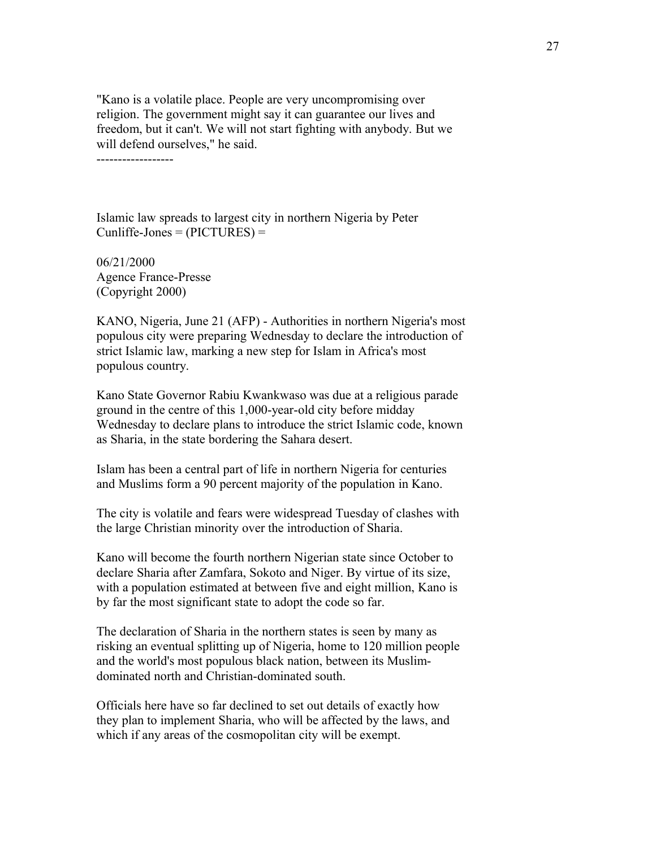"Kano is a volatile place. People are very uncompromising over religion. The government might say it can guarantee our lives and freedom, but it can't. We will not start fighting with anybody. But we will defend ourselves," he said.

------------------

Islamic law spreads to largest city in northern Nigeria by Peter  $Cunlife-Jones = (PICTURES) =$ 

06/21/2000 Agence France-Presse (Copyright 2000)

KANO, Nigeria, June 21 (AFP) - Authorities in northern Nigeria's most populous city were preparing Wednesday to declare the introduction of strict Islamic law, marking a new step for Islam in Africa's most populous country.

Kano State Governor Rabiu Kwankwaso was due at a religious parade ground in the centre of this 1,000-year-old city before midday Wednesday to declare plans to introduce the strict Islamic code, known as Sharia, in the state bordering the Sahara desert.

Islam has been a central part of life in northern Nigeria for centuries and Muslims form a 90 percent majority of the population in Kano.

The city is volatile and fears were widespread Tuesday of clashes with the large Christian minority over the introduction of Sharia.

Kano will become the fourth northern Nigerian state since October to declare Sharia after Zamfara, Sokoto and Niger. By virtue of its size, with a population estimated at between five and eight million, Kano is by far the most significant state to adopt the code so far.

The declaration of Sharia in the northern states is seen by many as risking an eventual splitting up of Nigeria, home to 120 million people and the world's most populous black nation, between its Muslimdominated north and Christian-dominated south.

Officials here have so far declined to set out details of exactly how they plan to implement Sharia, who will be affected by the laws, and which if any areas of the cosmopolitan city will be exempt.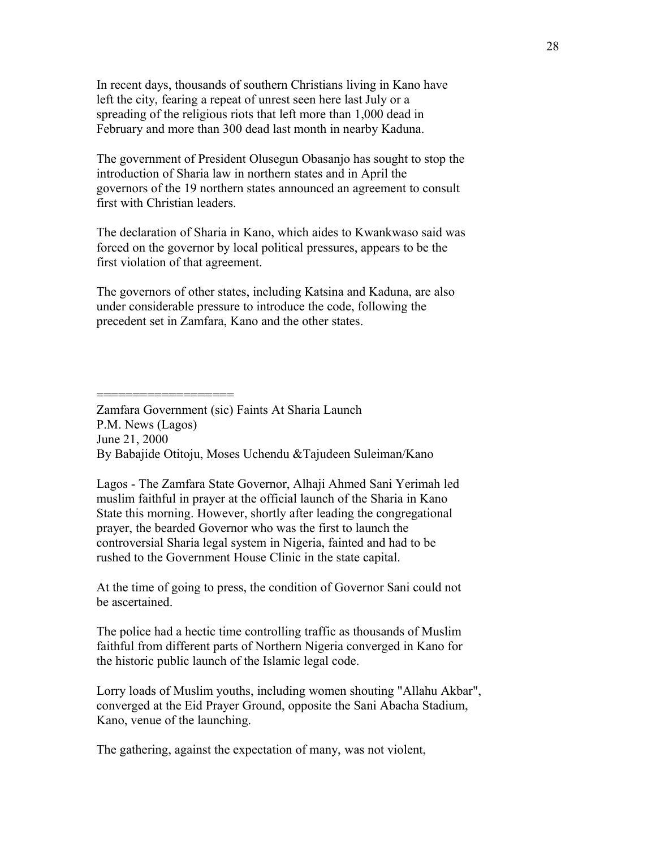In recent days, thousands of southern Christians living in Kano have left the city, fearing a repeat of unrest seen here last July or a spreading of the religious riots that left more than 1,000 dead in February and more than 300 dead last month in nearby Kaduna.

The government of President Olusegun Obasanjo has sought to stop the introduction of Sharia law in northern states and in April the governors of the 19 northern states announced an agreement to consult first with Christian leaders.

The declaration of Sharia in Kano, which aides to Kwankwaso said was forced on the governor by local political pressures, appears to be the first violation of that agreement.

The governors of other states, including Katsina and Kaduna, are also under considerable pressure to introduce the code, following the precedent set in Zamfara, Kano and the other states.

Zamfara Government (sic) Faints At Sharia Launch P.M. News (Lagos) June 21, 2000 By Babajide Otitoju, Moses Uchendu &Tajudeen Suleiman/Kano

===================

Lagos - The Zamfara State Governor, Alhaji Ahmed Sani Yerimah led muslim faithful in prayer at the official launch of the Sharia in Kano State this morning. However, shortly after leading the congregational prayer, the bearded Governor who was the first to launch the controversial Sharia legal system in Nigeria, fainted and had to be rushed to the Government House Clinic in the state capital.

At the time of going to press, the condition of Governor Sani could not be ascertained.

The police had a hectic time controlling traffic as thousands of Muslim faithful from different parts of Northern Nigeria converged in Kano for the historic public launch of the Islamic legal code.

Lorry loads of Muslim youths, including women shouting "Allahu Akbar", converged at the Eid Prayer Ground, opposite the Sani Abacha Stadium, Kano, venue of the launching.

The gathering, against the expectation of many, was not violent,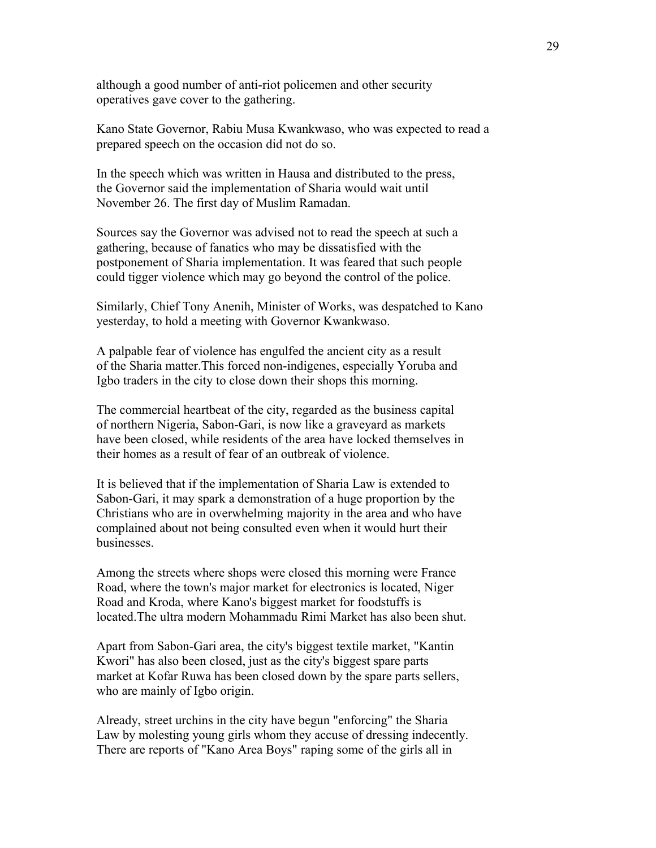although a good number of anti-riot policemen and other security operatives gave cover to the gathering.

Kano State Governor, Rabiu Musa Kwankwaso, who was expected to read a prepared speech on the occasion did not do so.

In the speech which was written in Hausa and distributed to the press, the Governor said the implementation of Sharia would wait until November 26. The first day of Muslim Ramadan.

Sources say the Governor was advised not to read the speech at such a gathering, because of fanatics who may be dissatisfied with the postponement of Sharia implementation. It was feared that such people could tigger violence which may go beyond the control of the police.

Similarly, Chief Tony Anenih, Minister of Works, was despatched to Kano yesterday, to hold a meeting with Governor Kwankwaso.

A palpable fear of violence has engulfed the ancient city as a result of the Sharia matter.This forced non-indigenes, especially Yoruba and Igbo traders in the city to close down their shops this morning.

The commercial heartbeat of the city, regarded as the business capital of northern Nigeria, Sabon-Gari, is now like a graveyard as markets have been closed, while residents of the area have locked themselves in their homes as a result of fear of an outbreak of violence.

It is believed that if the implementation of Sharia Law is extended to Sabon-Gari, it may spark a demonstration of a huge proportion by the Christians who are in overwhelming majority in the area and who have complained about not being consulted even when it would hurt their businesses.

Among the streets where shops were closed this morning were France Road, where the town's major market for electronics is located, Niger Road and Kroda, where Kano's biggest market for foodstuffs is located.The ultra modern Mohammadu Rimi Market has also been shut.

Apart from Sabon-Gari area, the city's biggest textile market, "Kantin Kwori" has also been closed, just as the city's biggest spare parts market at Kofar Ruwa has been closed down by the spare parts sellers, who are mainly of Igbo origin.

Already, street urchins in the city have begun "enforcing" the Sharia Law by molesting young girls whom they accuse of dressing indecently. There are reports of "Kano Area Boys" raping some of the girls all in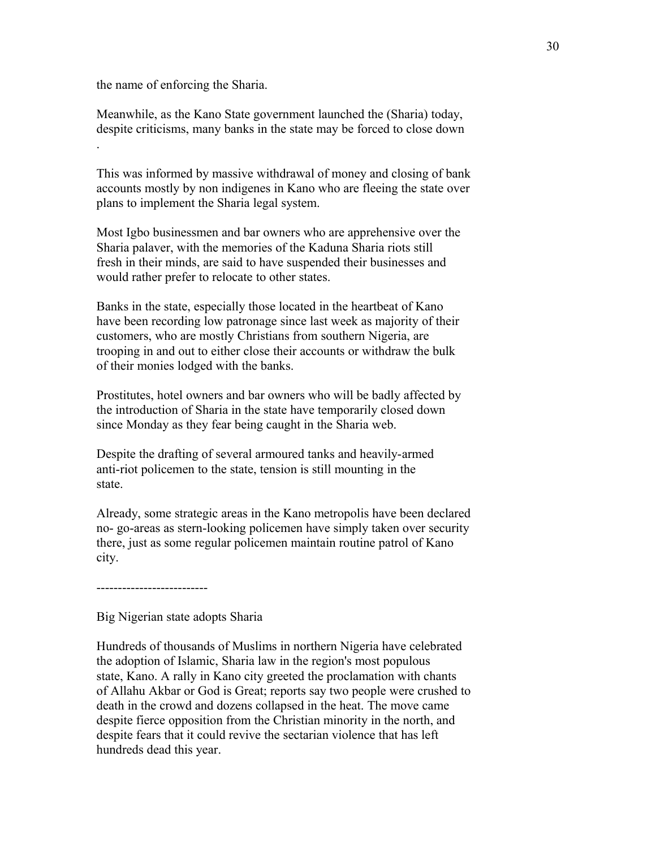the name of enforcing the Sharia.

Meanwhile, as the Kano State government launched the (Sharia) today, despite criticisms, many banks in the state may be forced to close down .

This was informed by massive withdrawal of money and closing of bank accounts mostly by non indigenes in Kano who are fleeing the state over plans to implement the Sharia legal system.

Most Igbo businessmen and bar owners who are apprehensive over the Sharia palaver, with the memories of the Kaduna Sharia riots still fresh in their minds, are said to have suspended their businesses and would rather prefer to relocate to other states.

Banks in the state, especially those located in the heartbeat of Kano have been recording low patronage since last week as majority of their customers, who are mostly Christians from southern Nigeria, are trooping in and out to either close their accounts or withdraw the bulk of their monies lodged with the banks.

Prostitutes, hotel owners and bar owners who will be badly affected by the introduction of Sharia in the state have temporarily closed down since Monday as they fear being caught in the Sharia web.

Despite the drafting of several armoured tanks and heavily-armed anti-riot policemen to the state, tension is still mounting in the state.

Already, some strategic areas in the Kano metropolis have been declared no- go-areas as stern-looking policemen have simply taken over security there, just as some regular policemen maintain routine patrol of Kano city.

--------------------------

Big Nigerian state adopts Sharia

Hundreds of thousands of Muslims in northern Nigeria have celebrated the adoption of Islamic, Sharia law in the region's most populous state, Kano. A rally in Kano city greeted the proclamation with chants of Allahu Akbar or God is Great; reports say two people were crushed to death in the crowd and dozens collapsed in the heat. The move came despite fierce opposition from the Christian minority in the north, and despite fears that it could revive the sectarian violence that has left hundreds dead this year.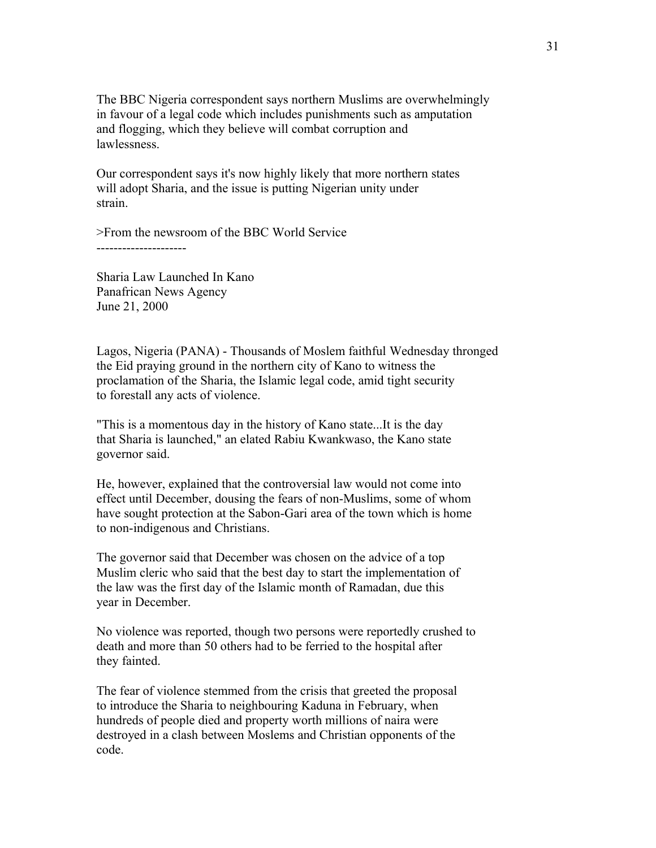The BBC Nigeria correspondent says northern Muslims are overwhelmingly in favour of a legal code which includes punishments such as amputation and flogging, which they believe will combat corruption and lawlessness.

Our correspondent says it's now highly likely that more northern states will adopt Sharia, and the issue is putting Nigerian unity under strain.

>From the newsroom of the BBC World Service ---------------------

Sharia Law Launched In Kano Panafrican News Agency June 21, 2000

Lagos, Nigeria (PANA) - Thousands of Moslem faithful Wednesday thronged the Eid praying ground in the northern city of Kano to witness the proclamation of the Sharia, the Islamic legal code, amid tight security to forestall any acts of violence.

"This is a momentous day in the history of Kano state...It is the day that Sharia is launched," an elated Rabiu Kwankwaso, the Kano state governor said.

He, however, explained that the controversial law would not come into effect until December, dousing the fears of non-Muslims, some of whom have sought protection at the Sabon-Gari area of the town which is home to non-indigenous and Christians.

The governor said that December was chosen on the advice of a top Muslim cleric who said that the best day to start the implementation of the law was the first day of the Islamic month of Ramadan, due this year in December.

No violence was reported, though two persons were reportedly crushed to death and more than 50 others had to be ferried to the hospital after they fainted.

The fear of violence stemmed from the crisis that greeted the proposal to introduce the Sharia to neighbouring Kaduna in February, when hundreds of people died and property worth millions of naira were destroyed in a clash between Moslems and Christian opponents of the code.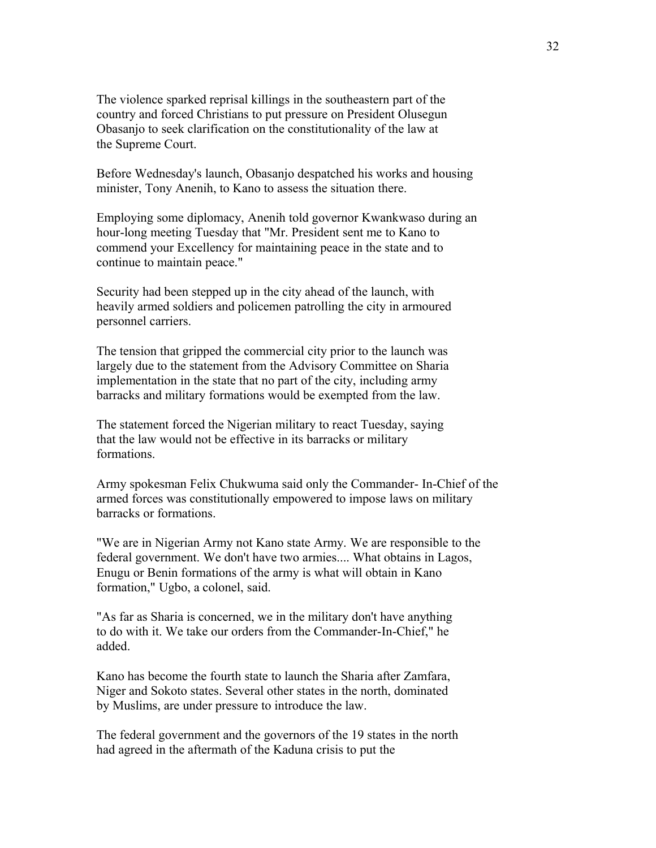The violence sparked reprisal killings in the southeastern part of the country and forced Christians to put pressure on President Olusegun Obasanjo to seek clarification on the constitutionality of the law at the Supreme Court.

Before Wednesday's launch, Obasanjo despatched his works and housing minister, Tony Anenih, to Kano to assess the situation there.

Employing some diplomacy, Anenih told governor Kwankwaso during an hour-long meeting Tuesday that "Mr. President sent me to Kano to commend your Excellency for maintaining peace in the state and to continue to maintain peace."

Security had been stepped up in the city ahead of the launch, with heavily armed soldiers and policemen patrolling the city in armoured personnel carriers.

The tension that gripped the commercial city prior to the launch was largely due to the statement from the Advisory Committee on Sharia implementation in the state that no part of the city, including army barracks and military formations would be exempted from the law.

The statement forced the Nigerian military to react Tuesday, saying that the law would not be effective in its barracks or military formations.

Army spokesman Felix Chukwuma said only the Commander- In-Chief of the armed forces was constitutionally empowered to impose laws on military barracks or formations.

"We are in Nigerian Army not Kano state Army. We are responsible to the federal government. We don't have two armies.... What obtains in Lagos, Enugu or Benin formations of the army is what will obtain in Kano formation," Ugbo, a colonel, said.

"As far as Sharia is concerned, we in the military don't have anything to do with it. We take our orders from the Commander-In-Chief," he added.

Kano has become the fourth state to launch the Sharia after Zamfara, Niger and Sokoto states. Several other states in the north, dominated by Muslims, are under pressure to introduce the law.

The federal government and the governors of the 19 states in the north had agreed in the aftermath of the Kaduna crisis to put the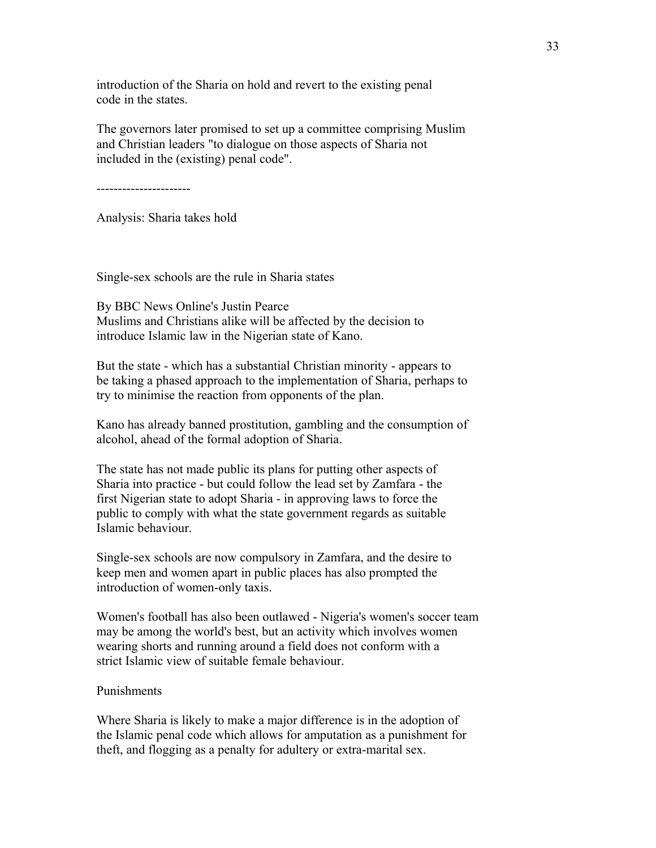introduction of the Sharia on hold and revert to the existing penal code in the states.

The governors later promised to set up a committee comprising Muslim and Christian leaders "to dialogue on those aspects of Sharia not included in the (existing) penal code".

----------------------

Analysis: Sharia takes hold

Single-sex schools are the rule in Sharia states

By BBC News Online's Justin Pearce Muslims and Christians alike will be affected by the decision to introduce Islamic law in the Nigerian state of Kano.

But the state - which has a substantial Christian minority - appears to be taking a phased approach to the implementation of Sharia, perhaps to try to minimise the reaction from opponents of the plan.

Kano has already banned prostitution, gambling and the consumption of alcohol, ahead of the formal adoption of Sharia.

The state has not made public its plans for putting other aspects of Sharia into practice - but could follow the lead set by Zamfara - the first Nigerian state to adopt Sharia - in approving laws to force the public to comply with what the state government regards as suitable Islamic behaviour.

Single-sex schools are now compulsory in Zamfara, and the desire to keep men and women apart in public places has also prompted the introduction of women-only taxis.

Women's football has also been outlawed - Nigeria's women's soccer team may be among the world's best, but an activity which involves women wearing shorts and running around a field does not conform with a strict Islamic view of suitable female behaviour.

# Punishments

Where Sharia is likely to make a major difference is in the adoption of the Islamic penal code which allows for amputation as a punishment for theft, and flogging as a penalty for adultery or extra-marital sex.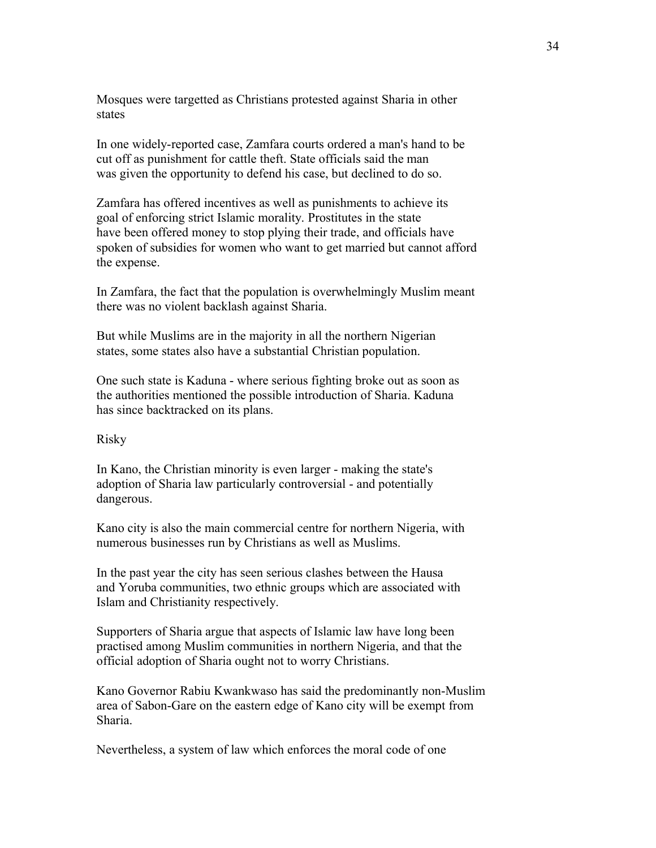Mosques were targetted as Christians protested against Sharia in other states

In one widely-reported case, Zamfara courts ordered a man's hand to be cut off as punishment for cattle theft. State officials said the man was given the opportunity to defend his case, but declined to do so.

Zamfara has offered incentives as well as punishments to achieve its goal of enforcing strict Islamic morality. Prostitutes in the state have been offered money to stop plying their trade, and officials have spoken of subsidies for women who want to get married but cannot afford the expense.

In Zamfara, the fact that the population is overwhelmingly Muslim meant there was no violent backlash against Sharia.

But while Muslims are in the majority in all the northern Nigerian states, some states also have a substantial Christian population.

One such state is Kaduna - where serious fighting broke out as soon as the authorities mentioned the possible introduction of Sharia. Kaduna has since backtracked on its plans.

# Risky

In Kano, the Christian minority is even larger - making the state's adoption of Sharia law particularly controversial - and potentially dangerous.

Kano city is also the main commercial centre for northern Nigeria, with numerous businesses run by Christians as well as Muslims.

In the past year the city has seen serious clashes between the Hausa and Yoruba communities, two ethnic groups which are associated with Islam and Christianity respectively.

Supporters of Sharia argue that aspects of Islamic law have long been practised among Muslim communities in northern Nigeria, and that the official adoption of Sharia ought not to worry Christians.

Kano Governor Rabiu Kwankwaso has said the predominantly non-Muslim area of Sabon-Gare on the eastern edge of Kano city will be exempt from Sharia.

Nevertheless, a system of law which enforces the moral code of one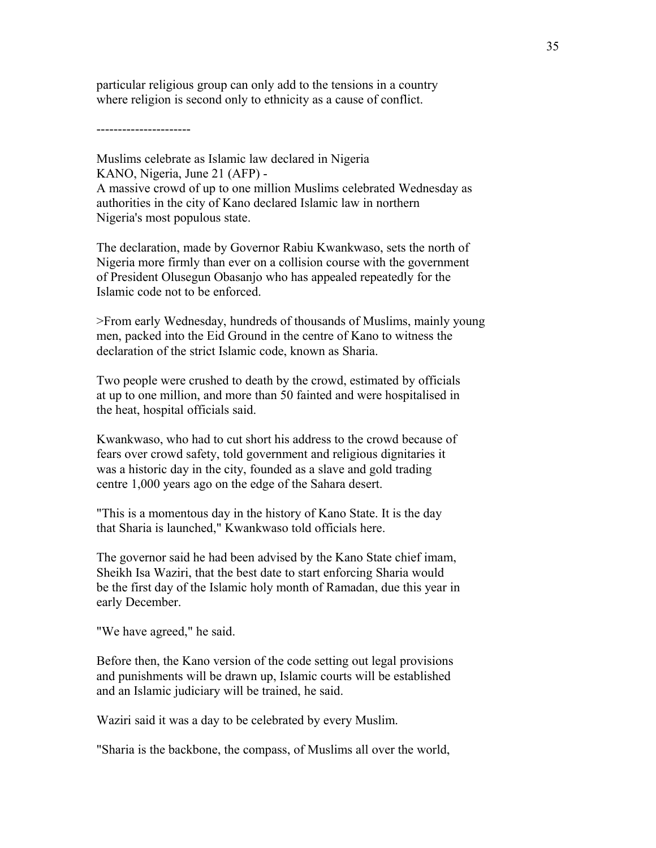particular religious group can only add to the tensions in a country where religion is second only to ethnicity as a cause of conflict.

----------------------

Muslims celebrate as Islamic law declared in Nigeria KANO, Nigeria, June 21 (AFP) - A massive crowd of up to one million Muslims celebrated Wednesday as authorities in the city of Kano declared Islamic law in northern Nigeria's most populous state.

The declaration, made by Governor Rabiu Kwankwaso, sets the north of Nigeria more firmly than ever on a collision course with the government of President Olusegun Obasanjo who has appealed repeatedly for the Islamic code not to be enforced.

>From early Wednesday, hundreds of thousands of Muslims, mainly young men, packed into the Eid Ground in the centre of Kano to witness the declaration of the strict Islamic code, known as Sharia.

Two people were crushed to death by the crowd, estimated by officials at up to one million, and more than 50 fainted and were hospitalised in the heat, hospital officials said.

Kwankwaso, who had to cut short his address to the crowd because of fears over crowd safety, told government and religious dignitaries it was a historic day in the city, founded as a slave and gold trading centre 1,000 years ago on the edge of the Sahara desert.

"This is a momentous day in the history of Kano State. It is the day that Sharia is launched," Kwankwaso told officials here.

The governor said he had been advised by the Kano State chief imam, Sheikh Isa Waziri, that the best date to start enforcing Sharia would be the first day of the Islamic holy month of Ramadan, due this year in early December.

"We have agreed," he said.

Before then, the Kano version of the code setting out legal provisions and punishments will be drawn up, Islamic courts will be established and an Islamic judiciary will be trained, he said.

Waziri said it was a day to be celebrated by every Muslim.

"Sharia is the backbone, the compass, of Muslims all over the world,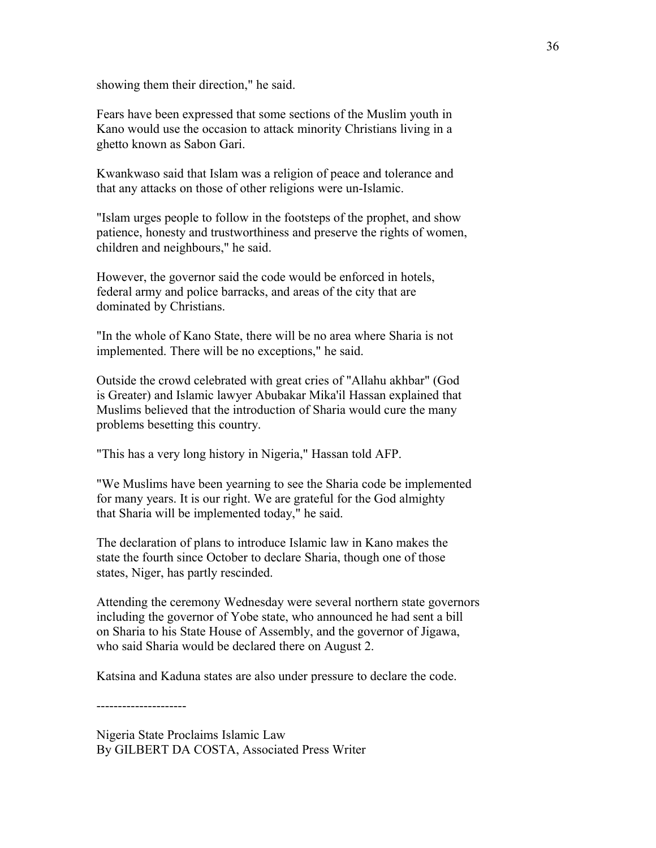showing them their direction," he said.

Fears have been expressed that some sections of the Muslim youth in Kano would use the occasion to attack minority Christians living in a ghetto known as Sabon Gari.

Kwankwaso said that Islam was a religion of peace and tolerance and that any attacks on those of other religions were un-Islamic.

"Islam urges people to follow in the footsteps of the prophet, and show patience, honesty and trustworthiness and preserve the rights of women, children and neighbours," he said.

However, the governor said the code would be enforced in hotels, federal army and police barracks, and areas of the city that are dominated by Christians.

"In the whole of Kano State, there will be no area where Sharia is not implemented. There will be no exceptions," he said.

Outside the crowd celebrated with great cries of "Allahu akhbar" (God is Greater) and Islamic lawyer Abubakar Mika'il Hassan explained that Muslims believed that the introduction of Sharia would cure the many problems besetting this country.

"This has a very long history in Nigeria," Hassan told AFP.

"We Muslims have been yearning to see the Sharia code be implemented for many years. It is our right. We are grateful for the God almighty that Sharia will be implemented today," he said.

The declaration of plans to introduce Islamic law in Kano makes the state the fourth since October to declare Sharia, though one of those states, Niger, has partly rescinded.

Attending the ceremony Wednesday were several northern state governors including the governor of Yobe state, who announced he had sent a bill on Sharia to his State House of Assembly, and the governor of Jigawa, who said Sharia would be declared there on August 2.

Katsina and Kaduna states are also under pressure to declare the code.

---------------------

Nigeria State Proclaims Islamic Law By GILBERT DA COSTA, Associated Press Writer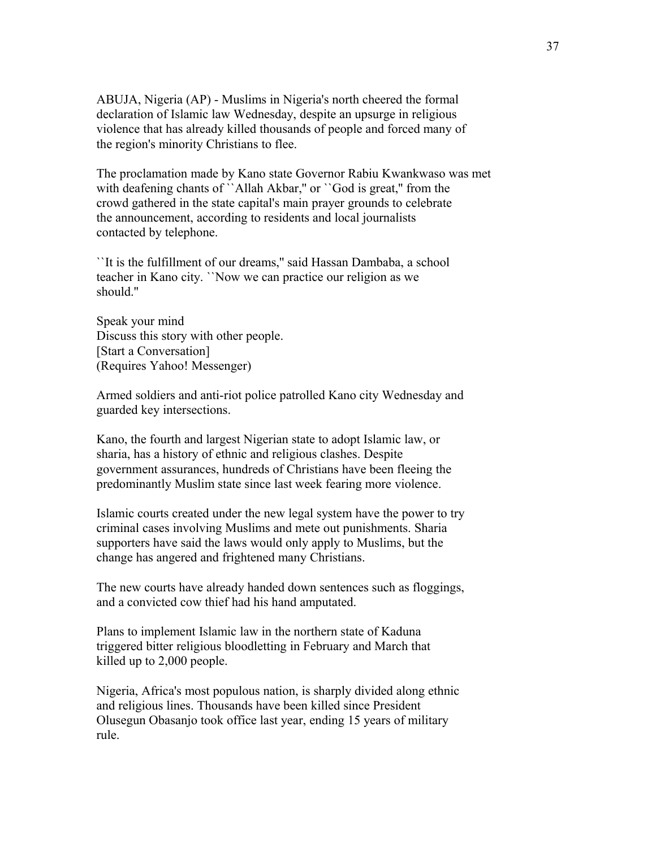ABUJA, Nigeria (AP) - Muslims in Nigeria's north cheered the formal declaration of Islamic law Wednesday, despite an upsurge in religious violence that has already killed thousands of people and forced many of the region's minority Christians to flee.

The proclamation made by Kano state Governor Rabiu Kwankwaso was met with deafening chants of "Allah Akbar," or "God is great," from the crowd gathered in the state capital's main prayer grounds to celebrate the announcement, according to residents and local journalists contacted by telephone.

``It is the fulfillment of our dreams,'' said Hassan Dambaba, a school teacher in Kano city. ``Now we can practice our religion as we should.''

Speak your mind Discuss this story with other people. [Start a Conversation] (Requires Yahoo! Messenger)

Armed soldiers and anti-riot police patrolled Kano city Wednesday and guarded key intersections.

Kano, the fourth and largest Nigerian state to adopt Islamic law, or sharia, has a history of ethnic and religious clashes. Despite government assurances, hundreds of Christians have been fleeing the predominantly Muslim state since last week fearing more violence.

Islamic courts created under the new legal system have the power to try criminal cases involving Muslims and mete out punishments. Sharia supporters have said the laws would only apply to Muslims, but the change has angered and frightened many Christians.

The new courts have already handed down sentences such as floggings, and a convicted cow thief had his hand amputated.

Plans to implement Islamic law in the northern state of Kaduna triggered bitter religious bloodletting in February and March that killed up to 2,000 people.

Nigeria, Africa's most populous nation, is sharply divided along ethnic and religious lines. Thousands have been killed since President Olusegun Obasanjo took office last year, ending 15 years of military rule.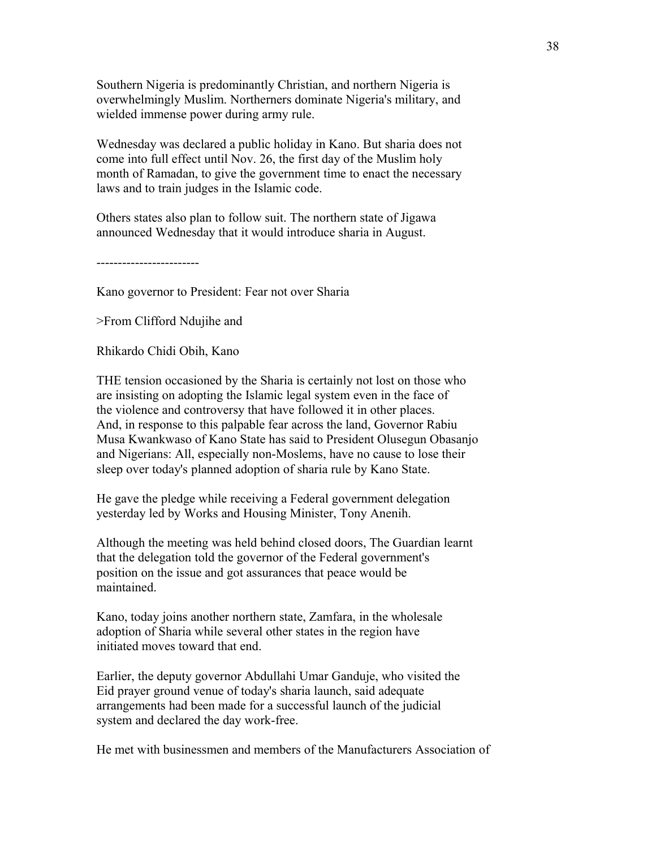Southern Nigeria is predominantly Christian, and northern Nigeria is overwhelmingly Muslim. Northerners dominate Nigeria's military, and wielded immense power during army rule.

Wednesday was declared a public holiday in Kano. But sharia does not come into full effect until Nov. 26, the first day of the Muslim holy month of Ramadan, to give the government time to enact the necessary laws and to train judges in the Islamic code.

Others states also plan to follow suit. The northern state of Jigawa announced Wednesday that it would introduce sharia in August.

------------------------

Kano governor to President: Fear not over Sharia

>From Clifford Ndujihe and

Rhikardo Chidi Obih, Kano

THE tension occasioned by the Sharia is certainly not lost on those who are insisting on adopting the Islamic legal system even in the face of the violence and controversy that have followed it in other places. And, in response to this palpable fear across the land, Governor Rabiu Musa Kwankwaso of Kano State has said to President Olusegun Obasanjo and Nigerians: All, especially non-Moslems, have no cause to lose their sleep over today's planned adoption of sharia rule by Kano State.

He gave the pledge while receiving a Federal government delegation yesterday led by Works and Housing Minister, Tony Anenih.

Although the meeting was held behind closed doors, The Guardian learnt that the delegation told the governor of the Federal government's position on the issue and got assurances that peace would be maintained.

Kano, today joins another northern state, Zamfara, in the wholesale adoption of Sharia while several other states in the region have initiated moves toward that end.

Earlier, the deputy governor Abdullahi Umar Ganduje, who visited the Eid prayer ground venue of today's sharia launch, said adequate arrangements had been made for a successful launch of the judicial system and declared the day work-free.

He met with businessmen and members of the Manufacturers Association of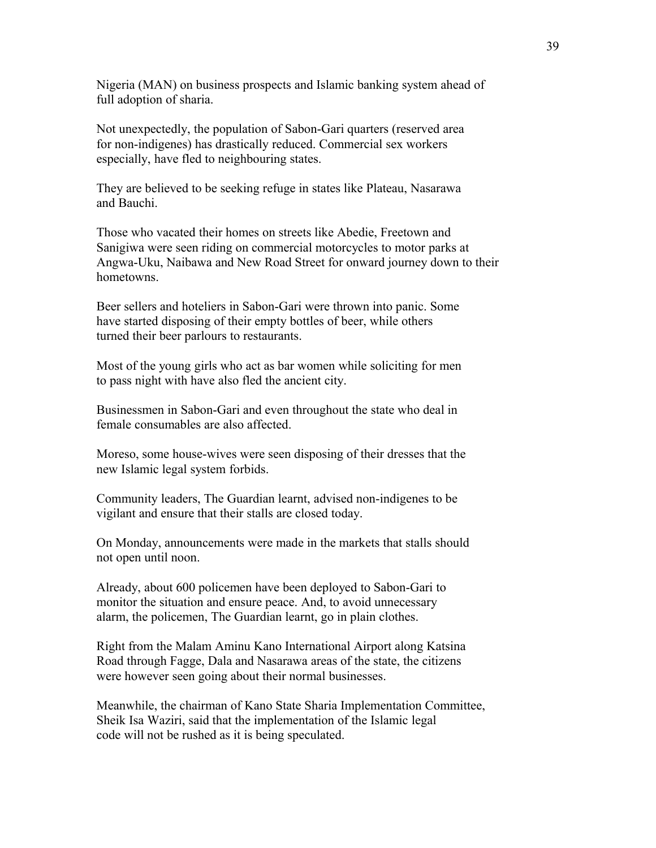Nigeria (MAN) on business prospects and Islamic banking system ahead of full adoption of sharia.

Not unexpectedly, the population of Sabon-Gari quarters (reserved area for non-indigenes) has drastically reduced. Commercial sex workers especially, have fled to neighbouring states.

They are believed to be seeking refuge in states like Plateau, Nasarawa and Bauchi.

Those who vacated their homes on streets like Abedie, Freetown and Sanigiwa were seen riding on commercial motorcycles to motor parks at Angwa-Uku, Naibawa and New Road Street for onward journey down to their hometowns.

Beer sellers and hoteliers in Sabon-Gari were thrown into panic. Some have started disposing of their empty bottles of beer, while others turned their beer parlours to restaurants.

Most of the young girls who act as bar women while soliciting for men to pass night with have also fled the ancient city.

Businessmen in Sabon-Gari and even throughout the state who deal in female consumables are also affected.

Moreso, some house-wives were seen disposing of their dresses that the new Islamic legal system forbids.

Community leaders, The Guardian learnt, advised non-indigenes to be vigilant and ensure that their stalls are closed today.

On Monday, announcements were made in the markets that stalls should not open until noon.

Already, about 600 policemen have been deployed to Sabon-Gari to monitor the situation and ensure peace. And, to avoid unnecessary alarm, the policemen, The Guardian learnt, go in plain clothes.

Right from the Malam Aminu Kano International Airport along Katsina Road through Fagge, Dala and Nasarawa areas of the state, the citizens were however seen going about their normal businesses.

Meanwhile, the chairman of Kano State Sharia Implementation Committee, Sheik Isa Waziri, said that the implementation of the Islamic legal code will not be rushed as it is being speculated.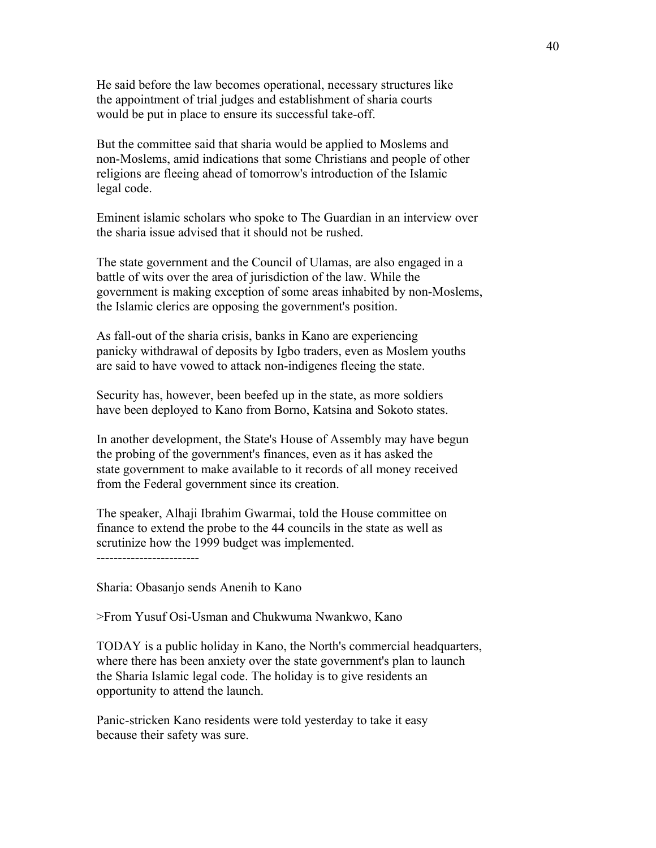He said before the law becomes operational, necessary structures like the appointment of trial judges and establishment of sharia courts would be put in place to ensure its successful take-off.

But the committee said that sharia would be applied to Moslems and non-Moslems, amid indications that some Christians and people of other religions are fleeing ahead of tomorrow's introduction of the Islamic legal code.

Eminent islamic scholars who spoke to The Guardian in an interview over the sharia issue advised that it should not be rushed.

The state government and the Council of Ulamas, are also engaged in a battle of wits over the area of jurisdiction of the law. While the government is making exception of some areas inhabited by non-Moslems, the Islamic clerics are opposing the government's position.

As fall-out of the sharia crisis, banks in Kano are experiencing panicky withdrawal of deposits by Igbo traders, even as Moslem youths are said to have vowed to attack non-indigenes fleeing the state.

Security has, however, been beefed up in the state, as more soldiers have been deployed to Kano from Borno, Katsina and Sokoto states.

In another development, the State's House of Assembly may have begun the probing of the government's finances, even as it has asked the state government to make available to it records of all money received from the Federal government since its creation.

The speaker, Alhaji Ibrahim Gwarmai, told the House committee on finance to extend the probe to the 44 councils in the state as well as scrutinize how the 1999 budget was implemented.

------------------------

Sharia: Obasanjo sends Anenih to Kano

>From Yusuf Osi-Usman and Chukwuma Nwankwo, Kano

TODAY is a public holiday in Kano, the North's commercial headquarters, where there has been anxiety over the state government's plan to launch the Sharia Islamic legal code. The holiday is to give residents an opportunity to attend the launch.

Panic-stricken Kano residents were told yesterday to take it easy because their safety was sure.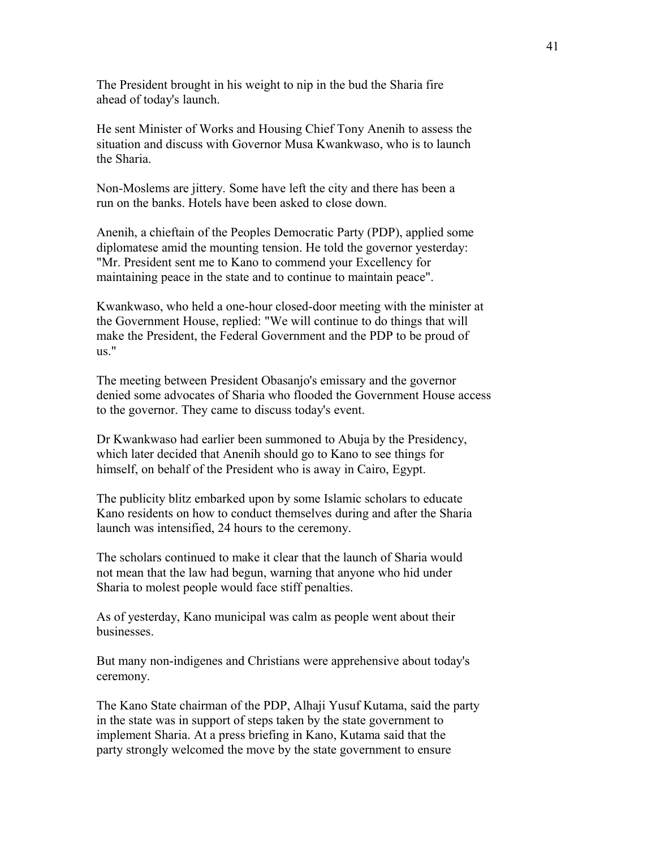The President brought in his weight to nip in the bud the Sharia fire ahead of today's launch.

He sent Minister of Works and Housing Chief Tony Anenih to assess the situation and discuss with Governor Musa Kwankwaso, who is to launch the Sharia.

Non-Moslems are jittery. Some have left the city and there has been a run on the banks. Hotels have been asked to close down.

Anenih, a chieftain of the Peoples Democratic Party (PDP), applied some diplomatese amid the mounting tension. He told the governor yesterday: "Mr. President sent me to Kano to commend your Excellency for maintaining peace in the state and to continue to maintain peace".

Kwankwaso, who held a one-hour closed-door meeting with the minister at the Government House, replied: "We will continue to do things that will make the President, the Federal Government and the PDP to be proud of us."

The meeting between President Obasanjo's emissary and the governor denied some advocates of Sharia who flooded the Government House access to the governor. They came to discuss today's event.

Dr Kwankwaso had earlier been summoned to Abuja by the Presidency, which later decided that Anenih should go to Kano to see things for himself, on behalf of the President who is away in Cairo, Egypt.

The publicity blitz embarked upon by some Islamic scholars to educate Kano residents on how to conduct themselves during and after the Sharia launch was intensified, 24 hours to the ceremony.

The scholars continued to make it clear that the launch of Sharia would not mean that the law had begun, warning that anyone who hid under Sharia to molest people would face stiff penalties.

As of yesterday, Kano municipal was calm as people went about their businesses.

But many non-indigenes and Christians were apprehensive about today's ceremony.

The Kano State chairman of the PDP, Alhaji Yusuf Kutama, said the party in the state was in support of steps taken by the state government to implement Sharia. At a press briefing in Kano, Kutama said that the party strongly welcomed the move by the state government to ensure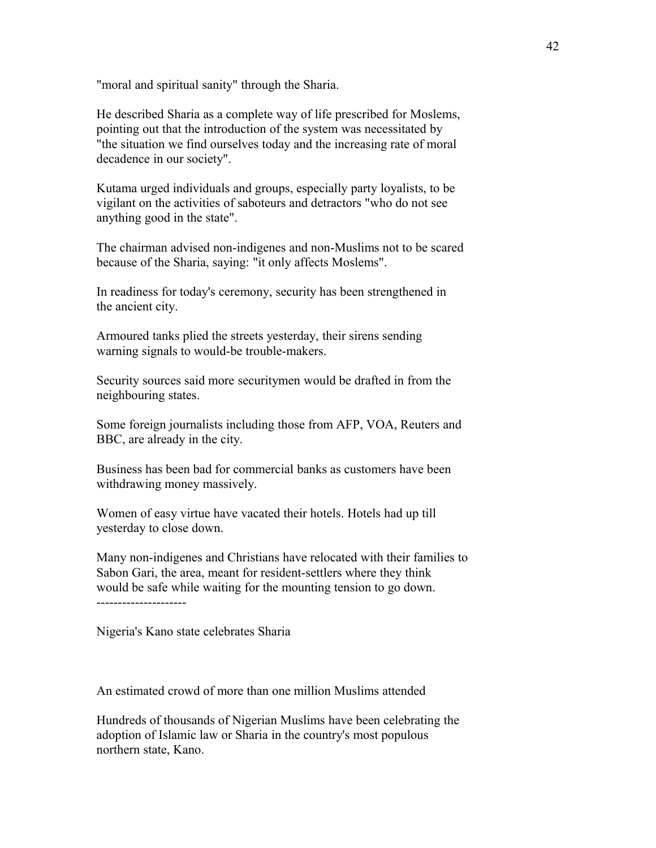"moral and spiritual sanity" through the Sharia.

He described Sharia as a complete way of life prescribed for Moslems, pointing out that the introduction of the system was necessitated by "the situation we find ourselves today and the increasing rate of moral decadence in our society".

Kutama urged individuals and groups, especially party loyalists, to be vigilant on the activities of saboteurs and detractors "who do not see anything good in the state".

The chairman advised non-indigenes and non-Muslims not to be scared because of the Sharia, saying: "it only affects Moslems".

In readiness for today's ceremony, security has been strengthened in the ancient city.

Armoured tanks plied the streets yesterday, their sirens sending warning signals to would-be trouble-makers.

Security sources said more securitymen would be drafted in from the neighbouring states.

Some foreign journalists including those from AFP, VOA, Reuters and BBC, are already in the city.

Business has been bad for commercial banks as customers have been withdrawing money massively.

Women of easy virtue have vacated their hotels. Hotels had up till yesterday to close down.

Many non-indigenes and Christians have relocated with their families to Sabon Gari, the area, meant for resident-settlers where they think would be safe while waiting for the mounting tension to go down. ---------------------

Nigeria's Kano state celebrates Sharia

An estimated crowd of more than one million Muslims attended

Hundreds of thousands of Nigerian Muslims have been celebrating the adoption of Islamic law or Sharia in the country's most populous northern state, Kano.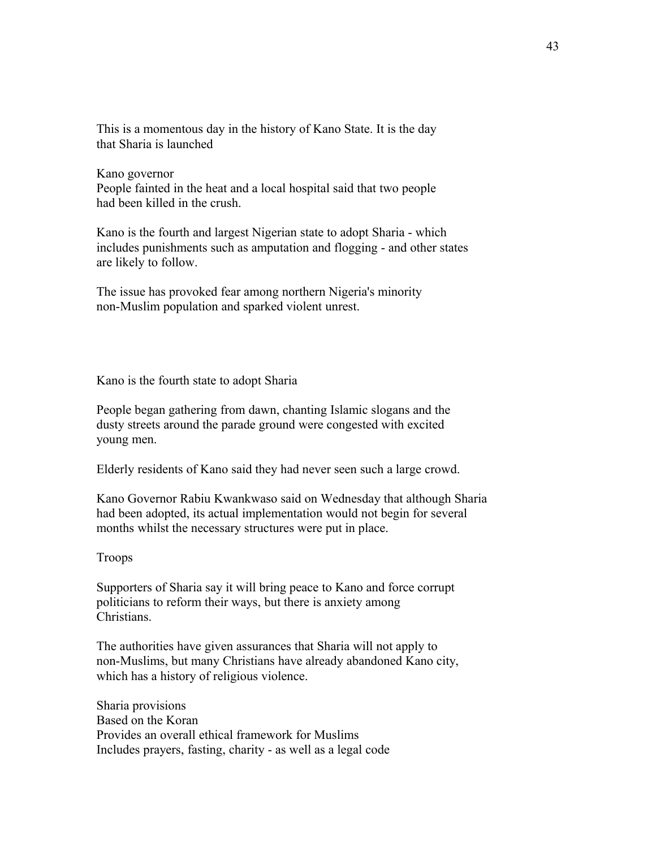This is a momentous day in the history of Kano State. It is the day that Sharia is launched

Kano governor People fainted in the heat and a local hospital said that two people had been killed in the crush.

Kano is the fourth and largest Nigerian state to adopt Sharia - which includes punishments such as amputation and flogging - and other states are likely to follow.

The issue has provoked fear among northern Nigeria's minority non-Muslim population and sparked violent unrest.

Kano is the fourth state to adopt Sharia

People began gathering from dawn, chanting Islamic slogans and the dusty streets around the parade ground were congested with excited young men.

Elderly residents of Kano said they had never seen such a large crowd.

Kano Governor Rabiu Kwankwaso said on Wednesday that although Sharia had been adopted, its actual implementation would not begin for several months whilst the necessary structures were put in place.

Troops

Supporters of Sharia say it will bring peace to Kano and force corrupt politicians to reform their ways, but there is anxiety among Christians.

The authorities have given assurances that Sharia will not apply to non-Muslims, but many Christians have already abandoned Kano city, which has a history of religious violence.

Sharia provisions Based on the Koran Provides an overall ethical framework for Muslims Includes prayers, fasting, charity - as well as a legal code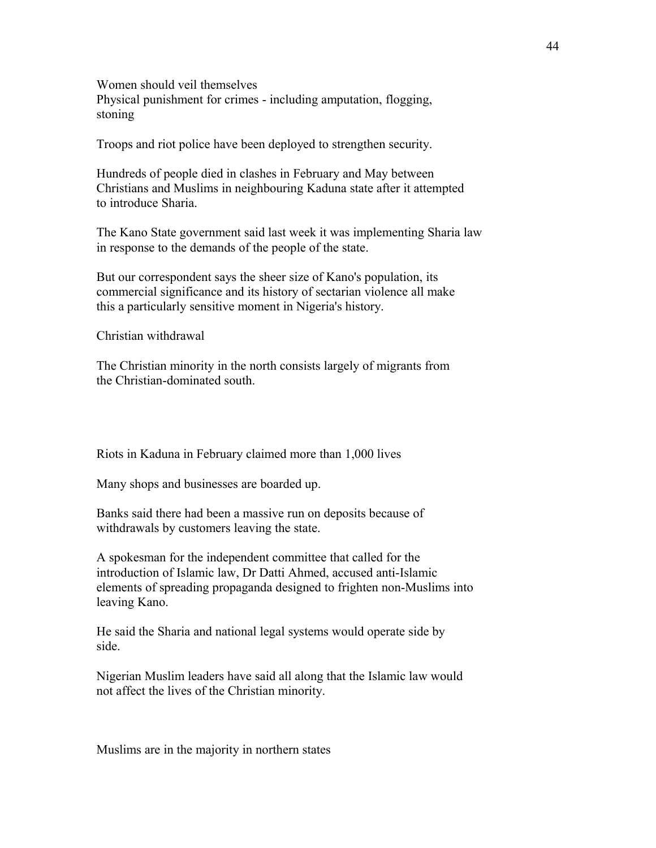Women should veil themselves Physical punishment for crimes - including amputation, flogging, stoning

Troops and riot police have been deployed to strengthen security.

Hundreds of people died in clashes in February and May between Christians and Muslims in neighbouring Kaduna state after it attempted to introduce Sharia.

The Kano State government said last week it was implementing Sharia law in response to the demands of the people of the state.

But our correspondent says the sheer size of Kano's population, its commercial significance and its history of sectarian violence all make this a particularly sensitive moment in Nigeria's history.

Christian withdrawal

The Christian minority in the north consists largely of migrants from the Christian-dominated south.

Riots in Kaduna in February claimed more than 1,000 lives

Many shops and businesses are boarded up.

Banks said there had been a massive run on deposits because of withdrawals by customers leaving the state.

A spokesman for the independent committee that called for the introduction of Islamic law, Dr Datti Ahmed, accused anti-Islamic elements of spreading propaganda designed to frighten non-Muslims into leaving Kano.

He said the Sharia and national legal systems would operate side by side.

Nigerian Muslim leaders have said all along that the Islamic law would not affect the lives of the Christian minority.

Muslims are in the majority in northern states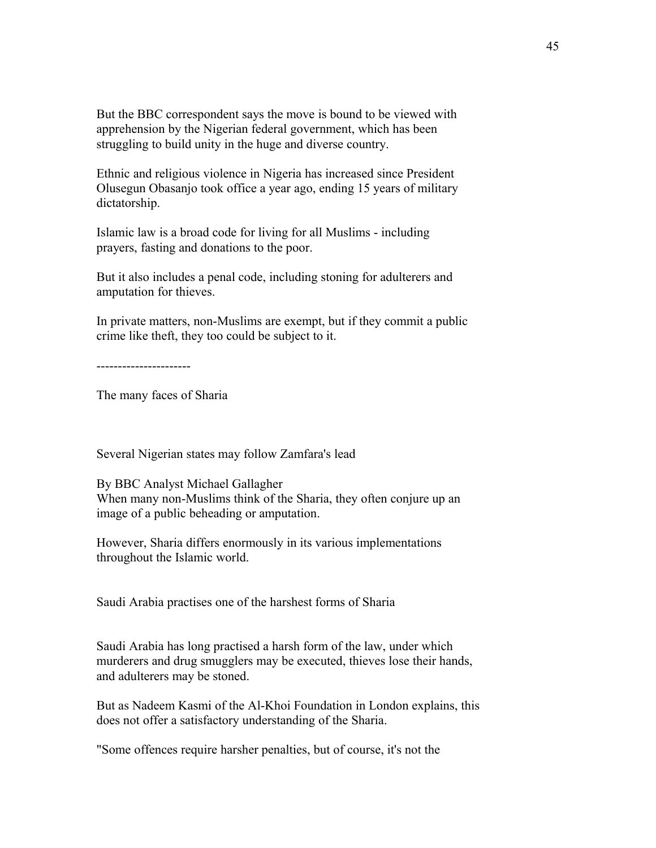But the BBC correspondent says the move is bound to be viewed with apprehension by the Nigerian federal government, which has been struggling to build unity in the huge and diverse country.

Ethnic and religious violence in Nigeria has increased since President Olusegun Obasanjo took office a year ago, ending 15 years of military dictatorship.

Islamic law is a broad code for living for all Muslims - including prayers, fasting and donations to the poor.

But it also includes a penal code, including stoning for adulterers and amputation for thieves.

In private matters, non-Muslims are exempt, but if they commit a public crime like theft, they too could be subject to it.

----------------------

The many faces of Sharia

Several Nigerian states may follow Zamfara's lead

By BBC Analyst Michael Gallagher When many non-Muslims think of the Sharia, they often conjure up an image of a public beheading or amputation.

However, Sharia differs enormously in its various implementations throughout the Islamic world.

Saudi Arabia practises one of the harshest forms of Sharia

Saudi Arabia has long practised a harsh form of the law, under which murderers and drug smugglers may be executed, thieves lose their hands, and adulterers may be stoned.

But as Nadeem Kasmi of the Al-Khoi Foundation in London explains, this does not offer a satisfactory understanding of the Sharia.

"Some offences require harsher penalties, but of course, it's not the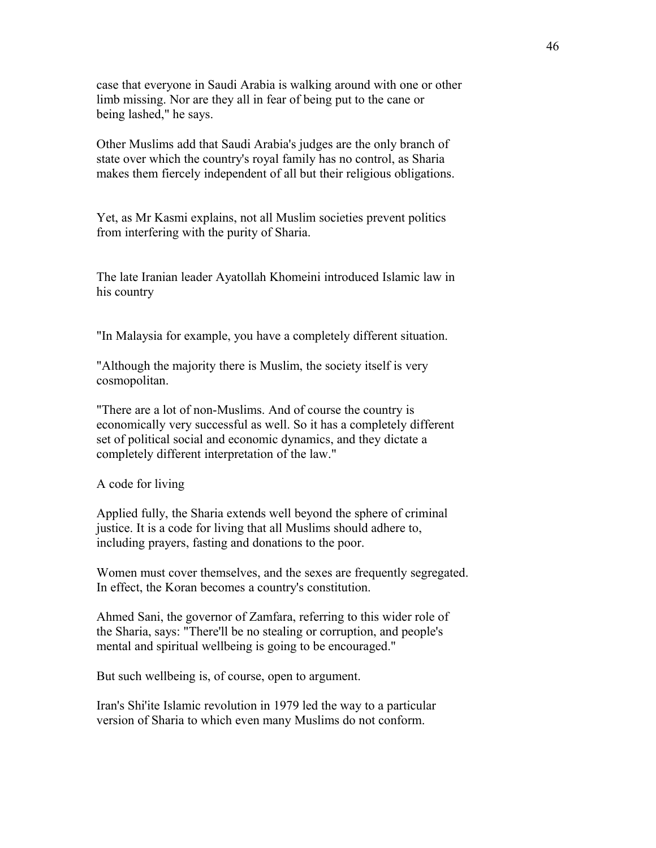case that everyone in Saudi Arabia is walking around with one or other limb missing. Nor are they all in fear of being put to the cane or being lashed," he says.

Other Muslims add that Saudi Arabia's judges are the only branch of state over which the country's royal family has no control, as Sharia makes them fiercely independent of all but their religious obligations.

Yet, as Mr Kasmi explains, not all Muslim societies prevent politics from interfering with the purity of Sharia.

The late Iranian leader Ayatollah Khomeini introduced Islamic law in his country

"In Malaysia for example, you have a completely different situation.

"Although the majority there is Muslim, the society itself is very cosmopolitan.

"There are a lot of non-Muslims. And of course the country is economically very successful as well. So it has a completely different set of political social and economic dynamics, and they dictate a completely different interpretation of the law."

A code for living

Applied fully, the Sharia extends well beyond the sphere of criminal justice. It is a code for living that all Muslims should adhere to, including prayers, fasting and donations to the poor.

Women must cover themselves, and the sexes are frequently segregated. In effect, the Koran becomes a country's constitution.

Ahmed Sani, the governor of Zamfara, referring to this wider role of the Sharia, says: "There'll be no stealing or corruption, and people's mental and spiritual wellbeing is going to be encouraged."

But such wellbeing is, of course, open to argument.

Iran's Shi'ite Islamic revolution in 1979 led the way to a particular version of Sharia to which even many Muslims do not conform.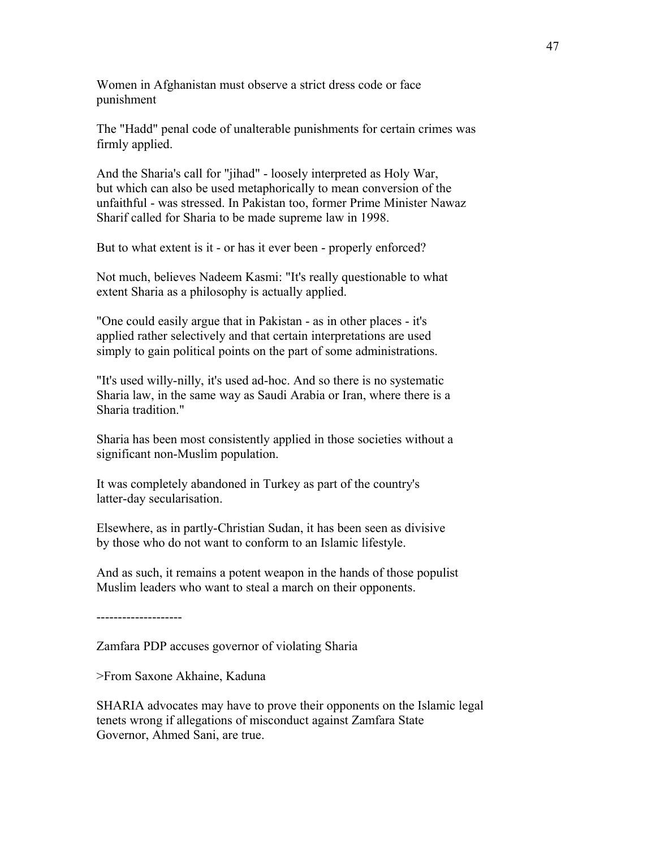Women in Afghanistan must observe a strict dress code or face punishment

The "Hadd" penal code of unalterable punishments for certain crimes was firmly applied.

And the Sharia's call for "jihad" - loosely interpreted as Holy War, but which can also be used metaphorically to mean conversion of the unfaithful - was stressed. In Pakistan too, former Prime Minister Nawaz Sharif called for Sharia to be made supreme law in 1998.

But to what extent is it - or has it ever been - properly enforced?

Not much, believes Nadeem Kasmi: "It's really questionable to what extent Sharia as a philosophy is actually applied.

"One could easily argue that in Pakistan - as in other places - it's applied rather selectively and that certain interpretations are used simply to gain political points on the part of some administrations.

"It's used willy-nilly, it's used ad-hoc. And so there is no systematic Sharia law, in the same way as Saudi Arabia or Iran, where there is a Sharia tradition."

Sharia has been most consistently applied in those societies without a significant non-Muslim population.

It was completely abandoned in Turkey as part of the country's latter-day secularisation.

Elsewhere, as in partly-Christian Sudan, it has been seen as divisive by those who do not want to conform to an Islamic lifestyle.

And as such, it remains a potent weapon in the hands of those populist Muslim leaders who want to steal a march on their opponents.

--------------------

Zamfara PDP accuses governor of violating Sharia

>From Saxone Akhaine, Kaduna

SHARIA advocates may have to prove their opponents on the Islamic legal tenets wrong if allegations of misconduct against Zamfara State Governor, Ahmed Sani, are true.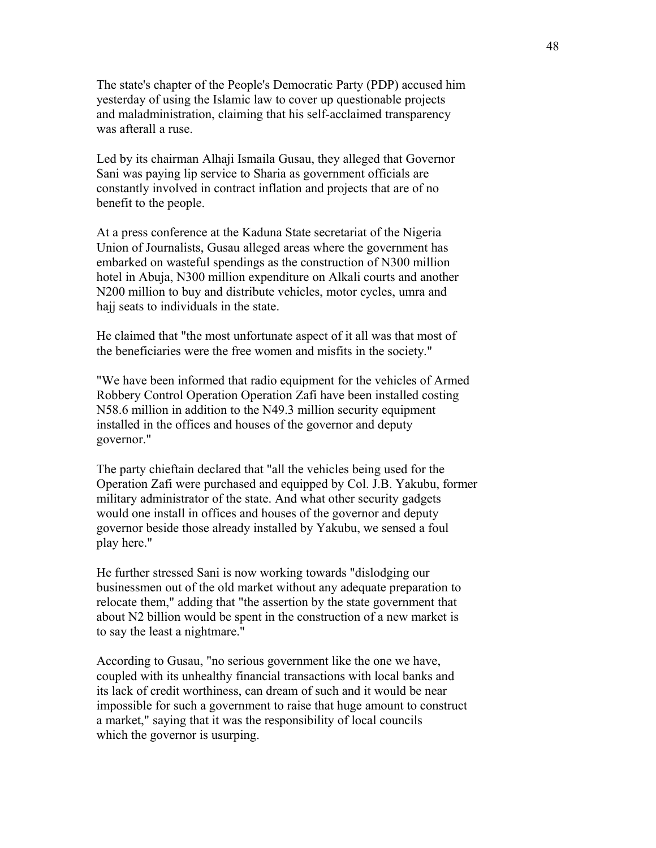The state's chapter of the People's Democratic Party (PDP) accused him yesterday of using the Islamic law to cover up questionable projects and maladministration, claiming that his self-acclaimed transparency was afterall a ruse.

Led by its chairman Alhaji Ismaila Gusau, they alleged that Governor Sani was paying lip service to Sharia as government officials are constantly involved in contract inflation and projects that are of no benefit to the people.

At a press conference at the Kaduna State secretariat of the Nigeria Union of Journalists, Gusau alleged areas where the government has embarked on wasteful spendings as the construction of N300 million hotel in Abuja, N300 million expenditure on Alkali courts and another N200 million to buy and distribute vehicles, motor cycles, umra and hajj seats to individuals in the state.

He claimed that "the most unfortunate aspect of it all was that most of the beneficiaries were the free women and misfits in the society."

"We have been informed that radio equipment for the vehicles of Armed Robbery Control Operation Operation Zafi have been installed costing N58.6 million in addition to the N49.3 million security equipment installed in the offices and houses of the governor and deputy governor."

The party chieftain declared that "all the vehicles being used for the Operation Zafi were purchased and equipped by Col. J.B. Yakubu, former military administrator of the state. And what other security gadgets would one install in offices and houses of the governor and deputy governor beside those already installed by Yakubu, we sensed a foul play here."

He further stressed Sani is now working towards "dislodging our businessmen out of the old market without any adequate preparation to relocate them," adding that "the assertion by the state government that about N2 billion would be spent in the construction of a new market is to say the least a nightmare."

According to Gusau, "no serious government like the one we have, coupled with its unhealthy financial transactions with local banks and its lack of credit worthiness, can dream of such and it would be near impossible for such a government to raise that huge amount to construct a market," saying that it was the responsibility of local councils which the governor is usurping.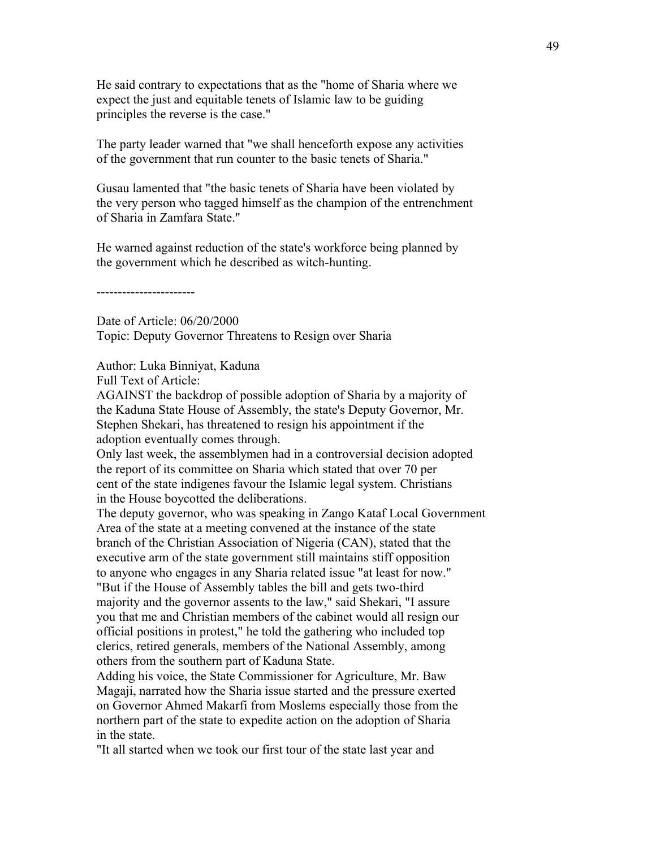He said contrary to expectations that as the "home of Sharia where we expect the just and equitable tenets of Islamic law to be guiding principles the reverse is the case."

The party leader warned that "we shall henceforth expose any activities of the government that run counter to the basic tenets of Sharia."

Gusau lamented that "the basic tenets of Sharia have been violated by the very person who tagged himself as the champion of the entrenchment of Sharia in Zamfara State."

He warned against reduction of the state's workforce being planned by the government which he described as witch-hunting.

-----------------------

Date of Article: 06/20/2000 Topic: Deputy Governor Threatens to Resign over Sharia

Author: Luka Binniyat, Kaduna

Full Text of Article:

AGAINST the backdrop of possible adoption of Sharia by a majority of the Kaduna State House of Assembly, the state's Deputy Governor, Mr. Stephen Shekari, has threatened to resign his appointment if the adoption eventually comes through.

Only last week, the assemblymen had in a controversial decision adopted the report of its committee on Sharia which stated that over 70 per cent of the state indigenes favour the Islamic legal system. Christians in the House boycotted the deliberations.

The deputy governor, who was speaking in Zango Kataf Local Government Area of the state at a meeting convened at the instance of the state branch of the Christian Association of Nigeria (CAN), stated that the executive arm of the state government still maintains stiff opposition to anyone who engages in any Sharia related issue "at least for now." "But if the House of Assembly tables the bill and gets two-third majority and the governor assents to the law," said Shekari, "I assure you that me and Christian members of the cabinet would all resign our official positions in protest," he told the gathering who included top clerics, retired generals, members of the National Assembly, among others from the southern part of Kaduna State.

Adding his voice, the State Commissioner for Agriculture, Mr. Baw Magaji, narrated how the Sharia issue started and the pressure exerted on Governor Ahmed Makarfi from Moslems especially those from the northern part of the state to expedite action on the adoption of Sharia in the state.

"It all started when we took our first tour of the state last year and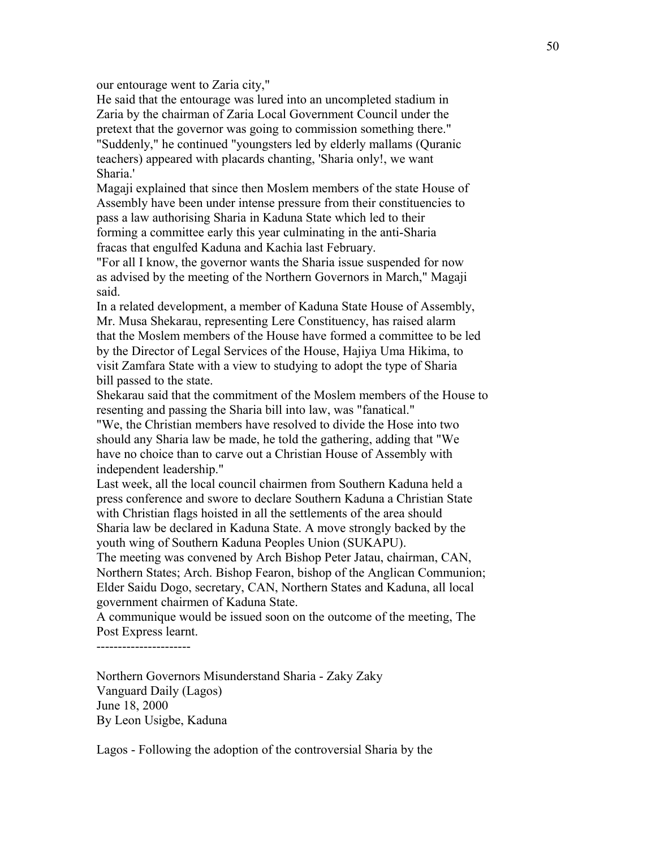our entourage went to Zaria city,"

He said that the entourage was lured into an uncompleted stadium in Zaria by the chairman of Zaria Local Government Council under the pretext that the governor was going to commission something there." "Suddenly," he continued "youngsters led by elderly mallams (Quranic teachers) appeared with placards chanting, 'Sharia only!, we want Sharia.'

Magaji explained that since then Moslem members of the state House of Assembly have been under intense pressure from their constituencies to pass a law authorising Sharia in Kaduna State which led to their forming a committee early this year culminating in the anti-Sharia fracas that engulfed Kaduna and Kachia last February.

"For all I know, the governor wants the Sharia issue suspended for now as advised by the meeting of the Northern Governors in March," Magaji said.

In a related development, a member of Kaduna State House of Assembly, Mr. Musa Shekarau, representing Lere Constituency, has raised alarm that the Moslem members of the House have formed a committee to be led by the Director of Legal Services of the House, Hajiya Uma Hikima, to visit Zamfara State with a view to studying to adopt the type of Sharia bill passed to the state.

Shekarau said that the commitment of the Moslem members of the House to resenting and passing the Sharia bill into law, was "fanatical."

"We, the Christian members have resolved to divide the Hose into two should any Sharia law be made, he told the gathering, adding that "We have no choice than to carve out a Christian House of Assembly with independent leadership."

Last week, all the local council chairmen from Southern Kaduna held a press conference and swore to declare Southern Kaduna a Christian State with Christian flags hoisted in all the settlements of the area should Sharia law be declared in Kaduna State. A move strongly backed by the youth wing of Southern Kaduna Peoples Union (SUKAPU).

The meeting was convened by Arch Bishop Peter Jatau, chairman, CAN, Northern States; Arch. Bishop Fearon, bishop of the Anglican Communion; Elder Saidu Dogo, secretary, CAN, Northern States and Kaduna, all local government chairmen of Kaduna State.

A communique would be issued soon on the outcome of the meeting, The Post Express learnt.

----------------------

Northern Governors Misunderstand Sharia - Zaky Zaky Vanguard Daily (Lagos) June 18, 2000 By Leon Usigbe, Kaduna

Lagos - Following the adoption of the controversial Sharia by the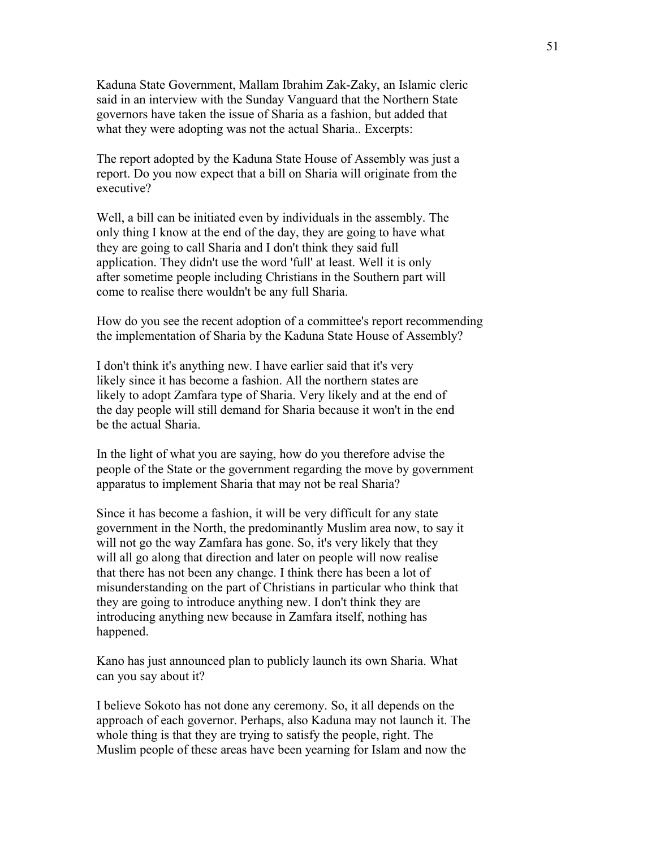Kaduna State Government, Mallam Ibrahim Zak-Zaky, an Islamic cleric said in an interview with the Sunday Vanguard that the Northern State governors have taken the issue of Sharia as a fashion, but added that what they were adopting was not the actual Sharia.. Excerpts:

The report adopted by the Kaduna State House of Assembly was just a report. Do you now expect that a bill on Sharia will originate from the executive?

Well, a bill can be initiated even by individuals in the assembly. The only thing I know at the end of the day, they are going to have what they are going to call Sharia and I don't think they said full application. They didn't use the word 'full' at least. Well it is only after sometime people including Christians in the Southern part will come to realise there wouldn't be any full Sharia.

How do you see the recent adoption of a committee's report recommending the implementation of Sharia by the Kaduna State House of Assembly?

I don't think it's anything new. I have earlier said that it's very likely since it has become a fashion. All the northern states are likely to adopt Zamfara type of Sharia. Very likely and at the end of the day people will still demand for Sharia because it won't in the end be the actual Sharia.

In the light of what you are saying, how do you therefore advise the people of the State or the government regarding the move by government apparatus to implement Sharia that may not be real Sharia?

Since it has become a fashion, it will be very difficult for any state government in the North, the predominantly Muslim area now, to say it will not go the way Zamfara has gone. So, it's very likely that they will all go along that direction and later on people will now realise that there has not been any change. I think there has been a lot of misunderstanding on the part of Christians in particular who think that they are going to introduce anything new. I don't think they are introducing anything new because in Zamfara itself, nothing has happened.

Kano has just announced plan to publicly launch its own Sharia. What can you say about it?

I believe Sokoto has not done any ceremony. So, it all depends on the approach of each governor. Perhaps, also Kaduna may not launch it. The whole thing is that they are trying to satisfy the people, right. The Muslim people of these areas have been yearning for Islam and now the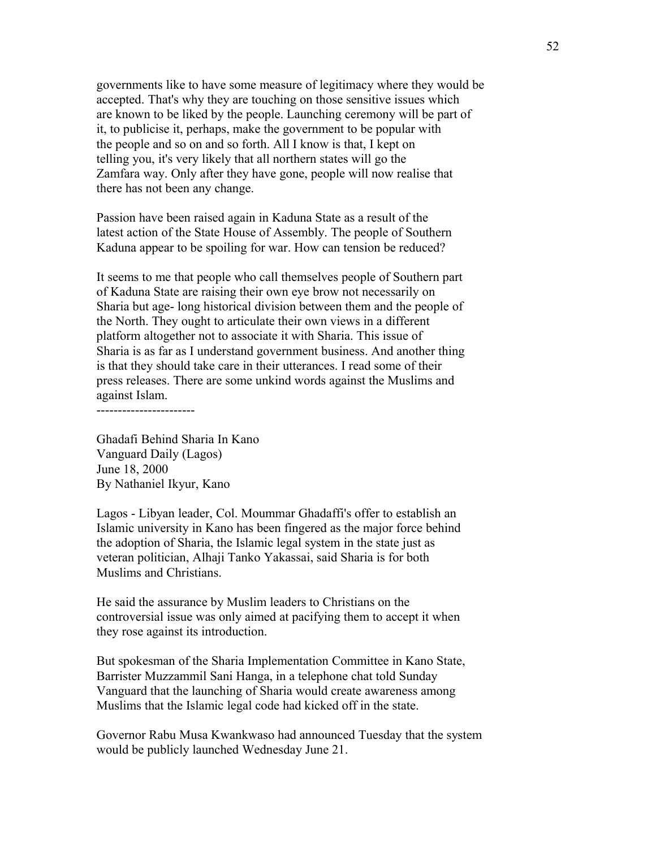governments like to have some measure of legitimacy where they would be accepted. That's why they are touching on those sensitive issues which are known to be liked by the people. Launching ceremony will be part of it, to publicise it, perhaps, make the government to be popular with the people and so on and so forth. All I know is that, I kept on telling you, it's very likely that all northern states will go the Zamfara way. Only after they have gone, people will now realise that there has not been any change.

Passion have been raised again in Kaduna State as a result of the latest action of the State House of Assembly. The people of Southern Kaduna appear to be spoiling for war. How can tension be reduced?

It seems to me that people who call themselves people of Southern part of Kaduna State are raising their own eye brow not necessarily on Sharia but age- long historical division between them and the people of the North. They ought to articulate their own views in a different platform altogether not to associate it with Sharia. This issue of Sharia is as far as I understand government business. And another thing is that they should take care in their utterances. I read some of their press releases. There are some unkind words against the Muslims and against Islam.

-----------------------

Ghadafi Behind Sharia In Kano Vanguard Daily (Lagos) June 18, 2000 By Nathaniel Ikyur, Kano

Lagos - Libyan leader, Col. Moummar Ghadaffi's offer to establish an Islamic university in Kano has been fingered as the major force behind the adoption of Sharia, the Islamic legal system in the state just as veteran politician, Alhaji Tanko Yakassai, said Sharia is for both Muslims and Christians.

He said the assurance by Muslim leaders to Christians on the controversial issue was only aimed at pacifying them to accept it when they rose against its introduction.

But spokesman of the Sharia Implementation Committee in Kano State, Barrister Muzzammil Sani Hanga, in a telephone chat told Sunday Vanguard that the launching of Sharia would create awareness among Muslims that the Islamic legal code had kicked off in the state.

Governor Rabu Musa Kwankwaso had announced Tuesday that the system would be publicly launched Wednesday June 21.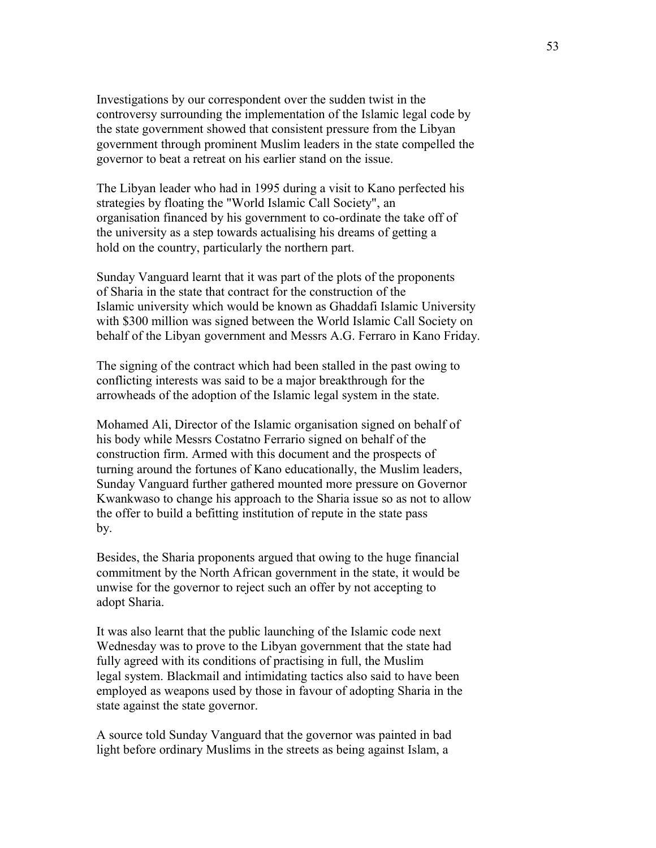Investigations by our correspondent over the sudden twist in the controversy surrounding the implementation of the Islamic legal code by the state government showed that consistent pressure from the Libyan government through prominent Muslim leaders in the state compelled the governor to beat a retreat on his earlier stand on the issue.

The Libyan leader who had in 1995 during a visit to Kano perfected his strategies by floating the "World Islamic Call Society", an organisation financed by his government to co-ordinate the take off of the university as a step towards actualising his dreams of getting a hold on the country, particularly the northern part.

Sunday Vanguard learnt that it was part of the plots of the proponents of Sharia in the state that contract for the construction of the Islamic university which would be known as Ghaddafi Islamic University with \$300 million was signed between the World Islamic Call Society on behalf of the Libyan government and Messrs A.G. Ferraro in Kano Friday.

The signing of the contract which had been stalled in the past owing to conflicting interests was said to be a major breakthrough for the arrowheads of the adoption of the Islamic legal system in the state.

Mohamed Ali, Director of the Islamic organisation signed on behalf of his body while Messrs Costatno Ferrario signed on behalf of the construction firm. Armed with this document and the prospects of turning around the fortunes of Kano educationally, the Muslim leaders, Sunday Vanguard further gathered mounted more pressure on Governor Kwankwaso to change his approach to the Sharia issue so as not to allow the offer to build a befitting institution of repute in the state pass by.

Besides, the Sharia proponents argued that owing to the huge financial commitment by the North African government in the state, it would be unwise for the governor to reject such an offer by not accepting to adopt Sharia.

It was also learnt that the public launching of the Islamic code next Wednesday was to prove to the Libyan government that the state had fully agreed with its conditions of practising in full, the Muslim legal system. Blackmail and intimidating tactics also said to have been employed as weapons used by those in favour of adopting Sharia in the state against the state governor.

A source told Sunday Vanguard that the governor was painted in bad light before ordinary Muslims in the streets as being against Islam, a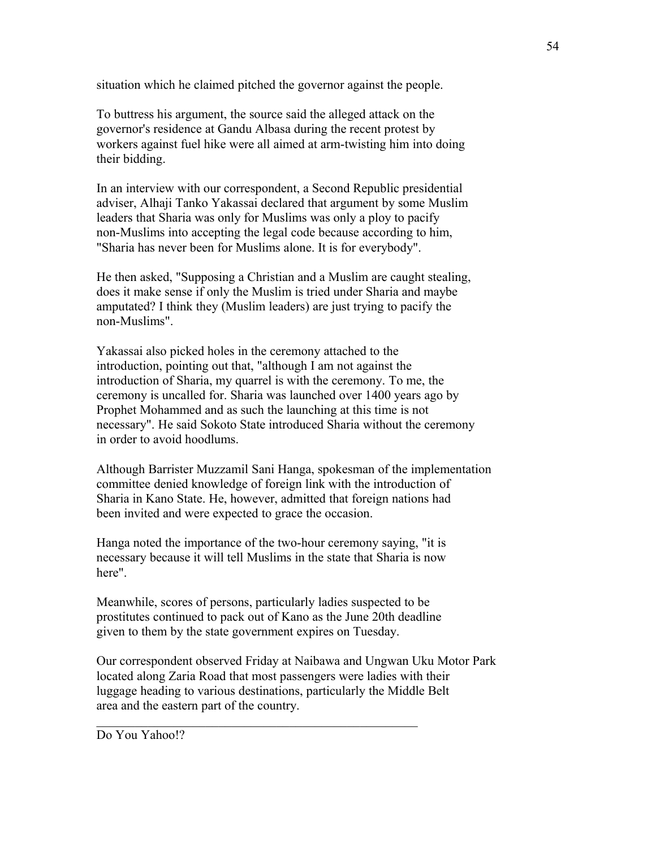situation which he claimed pitched the governor against the people.

To buttress his argument, the source said the alleged attack on the governor's residence at Gandu Albasa during the recent protest by workers against fuel hike were all aimed at arm-twisting him into doing their bidding.

In an interview with our correspondent, a Second Republic presidential adviser, Alhaji Tanko Yakassai declared that argument by some Muslim leaders that Sharia was only for Muslims was only a ploy to pacify non-Muslims into accepting the legal code because according to him, "Sharia has never been for Muslims alone. It is for everybody".

He then asked, "Supposing a Christian and a Muslim are caught stealing, does it make sense if only the Muslim is tried under Sharia and maybe amputated? I think they (Muslim leaders) are just trying to pacify the non-Muslims".

Yakassai also picked holes in the ceremony attached to the introduction, pointing out that, "although I am not against the introduction of Sharia, my quarrel is with the ceremony. To me, the ceremony is uncalled for. Sharia was launched over 1400 years ago by Prophet Mohammed and as such the launching at this time is not necessary". He said Sokoto State introduced Sharia without the ceremony in order to avoid hoodlums.

Although Barrister Muzzamil Sani Hanga, spokesman of the implementation committee denied knowledge of foreign link with the introduction of Sharia in Kano State. He, however, admitted that foreign nations had been invited and were expected to grace the occasion.

Hanga noted the importance of the two-hour ceremony saying, "it is necessary because it will tell Muslims in the state that Sharia is now here".

Meanwhile, scores of persons, particularly ladies suspected to be prostitutes continued to pack out of Kano as the June 20th deadline given to them by the state government expires on Tuesday.

 $\mathcal{L}_\text{max}$  , and the contract of the contract of the contract of the contract of the contract of the contract of the contract of the contract of the contract of the contract of the contract of the contract of the contr

Our correspondent observed Friday at Naibawa and Ungwan Uku Motor Park located along Zaria Road that most passengers were ladies with their luggage heading to various destinations, particularly the Middle Belt area and the eastern part of the country.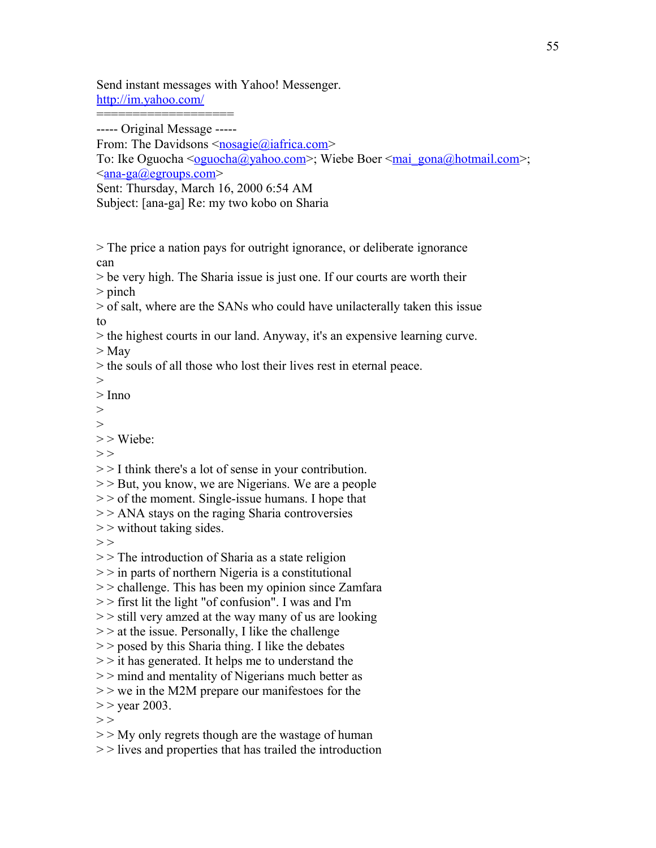Send instant messages with Yahoo! Messenger. <http://im.yahoo.com/> ===================

----- Original Message -----

From: The Davidsons  $\leq$ nosagie@iafrica.com>

To: Ike Oguocha <o<u>guocha@yahoo.com</u>>; Wiebe Boer <<u>mai\_gona@hotmail.com</u>>;  $\langle \text{ana-ga}(\hat{a}) \rangle$ egroups.com

Sent: Thursday, March 16, 2000 6:54 AM

Subject: [ana-ga] Re: my two kobo on Sharia

> The price a nation pays for outright ignorance, or deliberate ignorance can

> be very high. The Sharia issue is just one. If our courts are worth their

> pinch

> of salt, where are the SANs who could have unilacterally taken this issue to

> the highest courts in our land. Anyway, it's an expensive learning curve.

> May

> the souls of all those who lost their lives rest in eternal peace.

 $\geq$ 

> Inno

 $>$ 

 $\geq$ 

 $>$  Wiebe:

 $>$ 

> > I think there's a lot of sense in your contribution.

 $\ge$   $>$  But, you know, we are Nigerians. We are a people

 $\ge$   $>$  of the moment. Single-issue humans. I hope that

 $\ge$  >  $\ge$  ANA stays on the raging Sharia controversies

 $\ge$   $>$  without taking sides.

 $>$ 

 $\ge$  > The introduction of Sharia as a state religion

 $\ge$   $>$  in parts of northern Nigeria is a constitutional

 $\ge$  > challenge. This has been my opinion since Zamfara

 $\ge$  > first lit the light "of confusion". I was and I'm

 $\ge$   $>$  still very amzed at the way many of us are looking

 $\ge$   $>$  at the issue. Personally, I like the challenge

 $\ge$   $>$  posed by this Sharia thing. I like the debates

 $\ge$   $\ge$  it has generated. It helps me to understand the

 $\ge$   $>$  mind and mentality of Nigerians much better as

 $\ge$   $>$  we in the M2M prepare our manifestoes for the

 $>$  year 2003.

 $>$ 

 $>$  My only regrets though are the wastage of human

 $\ge$  > lives and properties that has trailed the introduction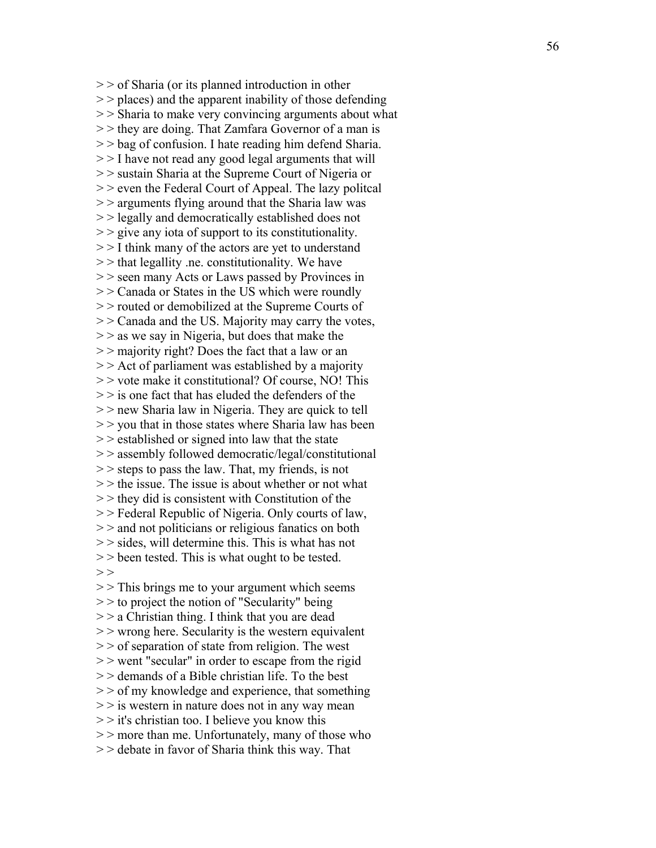$\ge$   $>$  of Sharia (or its planned introduction in other  $\ge$  > places) and the apparent inability of those defending  $\ge$   $>$  Sharia to make very convincing arguments about what > > they are doing. That Zamfara Governor of a man is > > bag of confusion. I hate reading him defend Sharia. > > I have not read any good legal arguments that will > > sustain Sharia at the Supreme Court of Nigeria or > > even the Federal Court of Appeal. The lazy politcal  $\ge$  > arguments flying around that the Sharia law was > > legally and democratically established does not  $\ge$  2 give any iota of support to its constitutionality.  $>> I$  think many of the actors are yet to understand  $\ge$  > that legallity .ne. constitutionality. We have > > seen many Acts or Laws passed by Provinces in  $\geq$   $>$  Canada or States in the US which were roundly > > routed or demobilized at the Supreme Courts of  $\geq$   $>$  Canada and the US. Majority may carry the votes,  $\ge$  >  $>$  as we say in Nigeria, but does that make the  $\ge$  > majority right? Does the fact that a law or an  $\ge$   $>$  Act of parliament was established by a majority > > vote make it constitutional? Of course, NO! This  $\ge$   $>$  is one fact that has eluded the defenders of the  $\ge$  > new Sharia law in Nigeria. They are quick to tell  $\ge$   $>$  you that in those states where Sharia law has been  $\ge$   $>$  established or signed into law that the state > > assembly followed democratic/legal/constitutional  $\ge$  > steps to pass the law. That, my friends, is not  $\ge$   $>$  the issue. The issue is about whether or not what  $\ge$  > they did is consistent with Constitution of the > > Federal Republic of Nigeria. Only courts of law,  $\ge$  > and not politicians or religious fanatics on both  $\ge$   $>$  sides, will determine this. This is what has not  $\ge$  > been tested. This is what ought to be tested.  $>$  $\ge$   $>$  This brings me to your argument which seems  $\ge$   $>$  to project the notion of "Secularity" being  $\ge$  > a Christian thing. I think that you are dead  $\ge$   $>$  wrong here. Secularity is the western equivalent  $\ge$   $>$  of separation of state from religion. The west  $\ge$   $>$  went "secular" in order to escape from the rigid  $\ge$  > demands of a Bible christian life. To the best  $\ge$   $>$  of my knowledge and experience, that something  $\ge$  is western in nature does not in any way mean  $\ge$  it's christian too. I believe you know this  $\ge$  > more than me. Unfortunately, many of those who  $\ge$  > debate in favor of Sharia think this way. That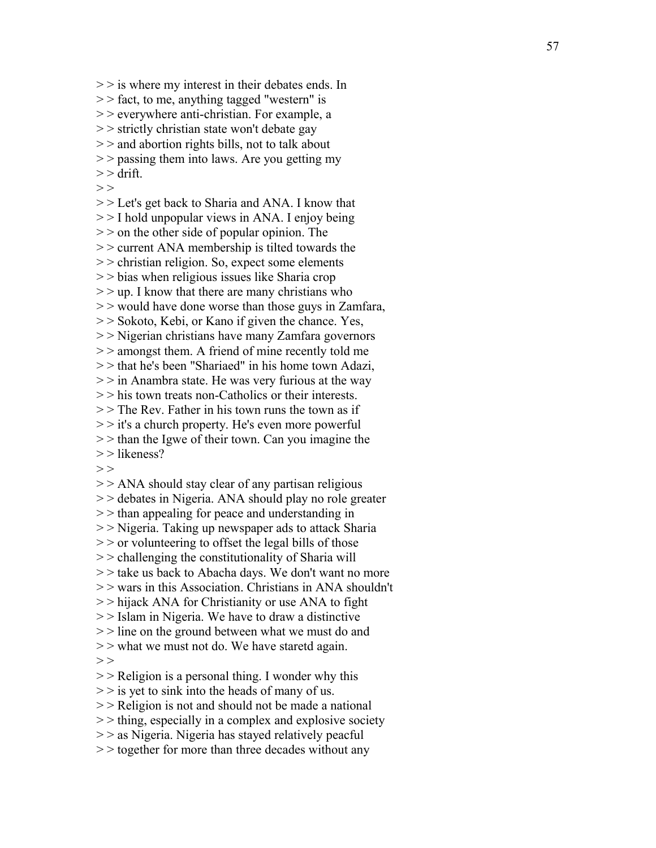- $\ge$  is where my interest in their debates ends. In
- $\ge$  > fact, to me, anything tagged "western" is
- $\geq$  > everywhere anti-christian. For example, a
- $\ge$  > strictly christian state won't debate gay
- $\ge$  > and abortion rights bills, not to talk about
- $\ge$  > passing them into laws. Are you getting my
- $>$  drift.
- $>$

> > Let's get back to Sharia and ANA. I know that

> > I hold unpopular views in ANA. I enjoy being

 $\ge$   $>$  on the other side of popular opinion. The

 $\ge$   $>$  current ANA membership is tilted towards the

- $\ge$  > christian religion. So, expect some elements
- $\ge$   $>$  bias when religious issues like Sharia crop
- $\ge$   $>$  up. I know that there are many christians who
- $\ge$   $>$  would have done worse than those guys in Zamfara,
- $\ge$   $>$  Sokoto, Kebi, or Kano if given the chance. Yes,

> > Nigerian christians have many Zamfara governors

 $\ge$  > amongst them. A friend of mine recently told me

 $\ge$  > that he's been "Shariaed" in his home town Adazi,

 $\ge$   $>$  in Anambra state. He was very furious at the way

 $\ge$   $>$  his town treats non-Catholics or their interests.

- $\ge$   $>$  The Rev. Father in his town runs the town as if
- $\ge$   $>$  it's a church property. He's even more powerful

 $\ge$   $>$  than the Igwe of their town. Can you imagine the

> > likeness?

 $>$ 

 $\ge$  >  $\ge$  ANA should stay clear of any partisan religious

> > debates in Nigeria. ANA should play no role greater

- $\ge$   $>$  than appealing for peace and understanding in
- > > Nigeria. Taking up newspaper ads to attack Sharia
- $\ge$   $>$  or volunteering to offset the legal bills of those
- $\ge$  > challenging the constitutionality of Sharia will
- $\ge$  > take us back to Abacha days. We don't want no more
- $\ge$   $>$  wars in this Association. Christians in ANA shouldn't
- > > hijack ANA for Christianity or use ANA to fight
- $\ge$  > Islam in Nigeria. We have to draw a distinctive
- > > line on the ground between what we must do and
- $\ge$   $>$  what we must not do. We have staretd again.

 $>$ 

- $\geq$  > Religion is a personal thing. I wonder why this
- $\ge$  is yet to sink into the heads of many of us.
- > > Religion is not and should not be made a national
- > > thing, especially in a complex and explosive society
- > > as Nigeria. Nigeria has stayed relatively peacful
- $\ge$   $>$  together for more than three decades without any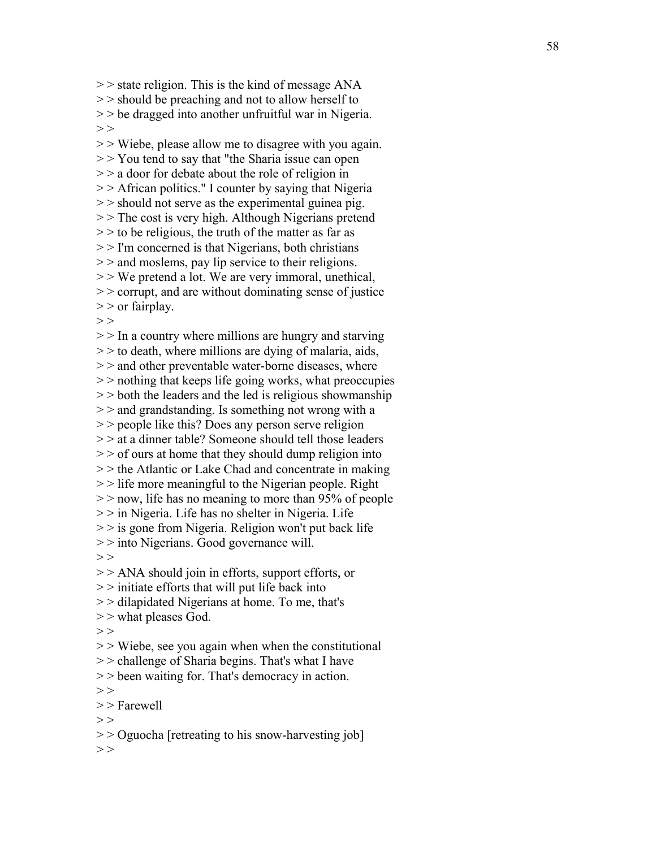- $\ge$  > state religion. This is the kind of message ANA
- $\ge$  > should be preaching and not to allow herself to
- $\ge$  be dragged into another unfruitful war in Nigeria.  $>$
- $\ge$   $>$  Wiebe, please allow me to disagree with you again.
- $\ge$   $>$  You tend to say that "the Sharia issue can open
- $\geq$  a door for debate about the role of religion in
- > > African politics." I counter by saying that Nigeria
- $\ge$  > should not serve as the experimental guinea pig.
- $\ge$   $>$  The cost is very high. Although Nigerians pretend
- $\ge$   $>$  to be religious, the truth of the matter as far as
- $\ge$  > I'm concerned is that Nigerians, both christians
- $\ge$  > and moslems, pay lip service to their religions.
- > > We pretend a lot. We are very immoral, unethical,
- $\geq$   $>$  corrupt, and are without dominating sense of justice
- $>$  or fairplay.

 $>$ 

- $\ge$  > In a country where millions are hungry and starving
- > > to death, where millions are dying of malaria, aids,
- $\ge$  > and other preventable water-borne diseases, where
- > > nothing that keeps life going works, what preoccupies
- $\ge$   $>$  both the leaders and the led is religious showmanship
- $\ge$  > and grandstanding. Is something not wrong with a
- $\ge$  > people like this? Does any person serve religion
- $\ge$  >  $\ge$  at a dinner table? Someone should tell those leaders
- $\ge$   $>$  of ours at home that they should dump religion into
- $\ge$  > the Atlantic or Lake Chad and concentrate in making
- $\ge$  > life more meaningful to the Nigerian people. Right
- $\ge$  > now, life has no meaning to more than 95% of people
- $\ge$   $>$  in Nigeria. Life has no shelter in Nigeria. Life
- $\ge$  is gone from Nigeria. Religion won't put back life
- > > into Nigerians. Good governance will.
- $>$
- > > ANA should join in efforts, support efforts, or
- $\ge$  > initiate efforts that will put life back into
- $\ge$  > dilapidated Nigerians at home. To me, that's
- > > what pleases God.

 $>$ 

- $\ge$   $>$  Wiebe, see you again when when the constitutional
- $\ge$  > challenge of Sharia begins. That's what I have
- > > been waiting for. That's democracy in action.
- $>$
- $>$  Farewell
- $>$
- $\geq$   $\geq$  Oguocha [retreating to his snow-harvesting job]
- $>$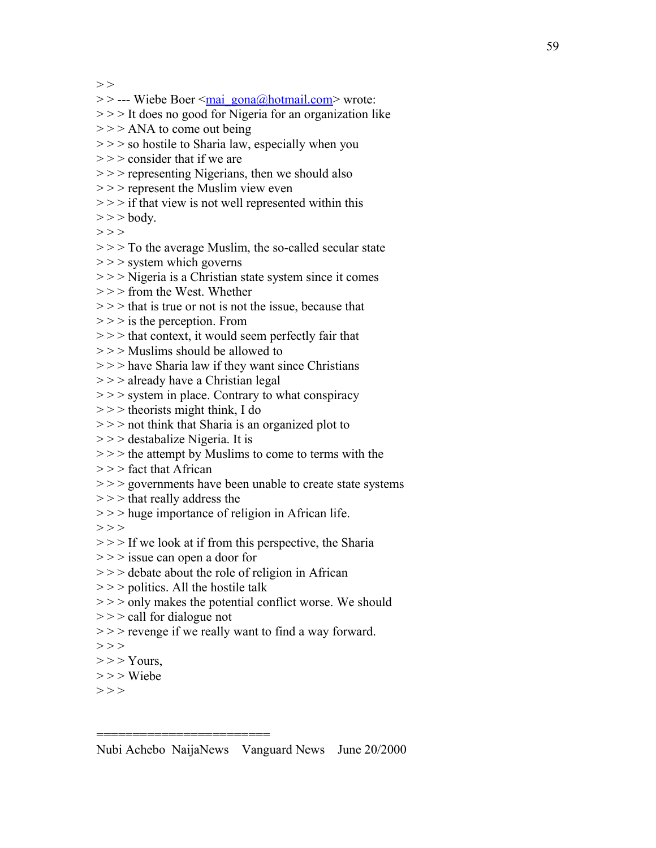- $>$
- > > --- Wiebe Boer [<mai\\_gona@hotmail.com>](mailto:mai_gona@hotmail.com) wrote:
- > > > It does no good for Nigeria for an organization like
- $>>$  ANA to come out being
- $\ge$   $>$   $>$  so hostile to Sharia law, especially when you
- $\ge$  >  $>$  consider that if we are
- $\ge$  >  $>$  representing Nigerians, then we should also
- $\ge$  >  $>$  represent the Muslim view even
- $\ge$   $\ge$  if that view is not well represented within this
- $>>$  body.
- $>$  >  $>$
- $\ge$   $>$   $>$  To the average Muslim, the so-called secular state
- $\ge$  >  $>$  system which governs
- > > > Nigeria is a Christian state system since it comes
- $\ge$  >  $>$  from the West. Whether
- $\ge$   $\ge$   $>$  that is true or not is not the issue, because that
- $\ge$   $>$   $>$  is the perception. From
- $\ge$   $\ge$   $>$  that context, it would seem perfectly fair that
- $\ge$   $>$   $>$  Muslims should be allowed to
- $\ge$   $>$   $>$  have Sharia law if they want since Christians
- > > > already have a Christian legal
- $\ge$  >  $>$  system in place. Contrary to what conspiracy
- $\ge$  >  $>$  theorists might think, I do
- $\ge$   $\ge$   $>$  not think that Sharia is an organized plot to
- > > > destabalize Nigeria. It is
- $\ge$   $>$   $>$  the attempt by Muslims to come to terms with the
- $\ge$  >  $>$  fact that African
- > > > governments have been unable to create state systems
- $\ge$   $>$   $>$  that really address the
- $\ge$  >  $>$  huge importance of religion in African life.

 $>>$ 

- $\ge$  >  $>$  If we look at if from this perspective, the Sharia
- > > > issue can open a door for
- $\ge$   $>$   $>$  debate about the role of religion in African
- $\ge$  >  $>$  politics. All the hostile talk

============================

- $\ge$   $>$   $>$  only makes the potential conflict worse. We should
- $\ge$   $>$   $>$  call for dialogue not
- > > > revenge if we really want to find a way forward.
- $>$  >  $>$
- $>>$  Yours,
- $>>$  Wiebe
- $>>$

Nubi Achebo NaijaNews Vanguard News June 20/2000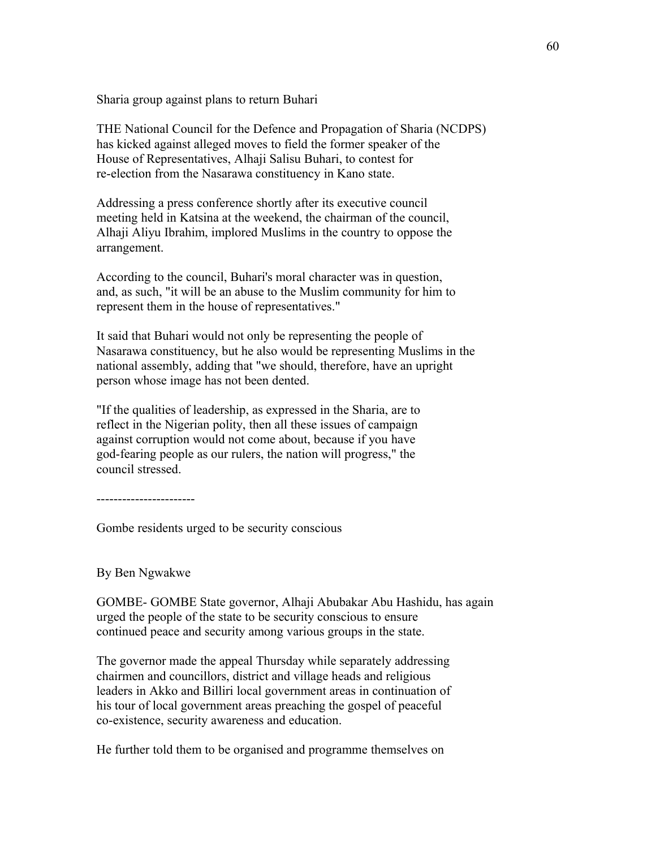Sharia group against plans to return Buhari

THE National Council for the Defence and Propagation of Sharia (NCDPS) has kicked against alleged moves to field the former speaker of the House of Representatives, Alhaji Salisu Buhari, to contest for re-election from the Nasarawa constituency in Kano state.

Addressing a press conference shortly after its executive council meeting held in Katsina at the weekend, the chairman of the council, Alhaji Aliyu Ibrahim, implored Muslims in the country to oppose the arrangement.

According to the council, Buhari's moral character was in question, and, as such, "it will be an abuse to the Muslim community for him to represent them in the house of representatives."

It said that Buhari would not only be representing the people of Nasarawa constituency, but he also would be representing Muslims in the national assembly, adding that "we should, therefore, have an upright person whose image has not been dented.

"If the qualities of leadership, as expressed in the Sharia, are to reflect in the Nigerian polity, then all these issues of campaign against corruption would not come about, because if you have god-fearing people as our rulers, the nation will progress," the council stressed.

-----------------------

Gombe residents urged to be security conscious

By Ben Ngwakwe

GOMBE- GOMBE State governor, Alhaji Abubakar Abu Hashidu, has again urged the people of the state to be security conscious to ensure continued peace and security among various groups in the state.

The governor made the appeal Thursday while separately addressing chairmen and councillors, district and village heads and religious leaders in Akko and Billiri local government areas in continuation of his tour of local government areas preaching the gospel of peaceful co-existence, security awareness and education.

He further told them to be organised and programme themselves on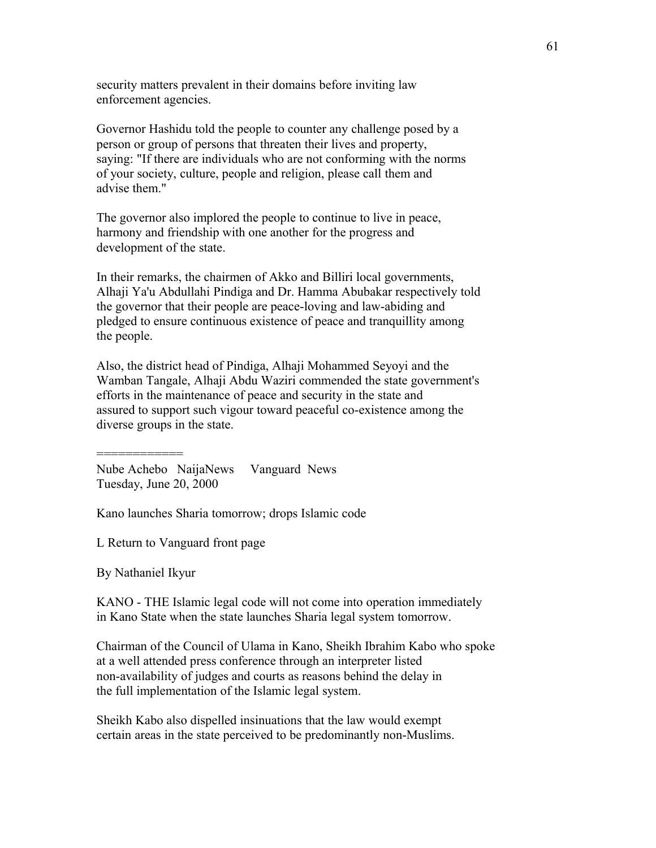security matters prevalent in their domains before inviting law enforcement agencies.

Governor Hashidu told the people to counter any challenge posed by a person or group of persons that threaten their lives and property, saying: "If there are individuals who are not conforming with the norms of your society, culture, people and religion, please call them and advise them."

The governor also implored the people to continue to live in peace, harmony and friendship with one another for the progress and development of the state.

In their remarks, the chairmen of Akko and Billiri local governments, Alhaji Ya'u Abdullahi Pindiga and Dr. Hamma Abubakar respectively told the governor that their people are peace-loving and law-abiding and pledged to ensure continuous existence of peace and tranquillity among the people.

Also, the district head of Pindiga, Alhaji Mohammed Seyoyi and the Wamban Tangale, Alhaji Abdu Waziri commended the state government's efforts in the maintenance of peace and security in the state and assured to support such vigour toward peaceful co-existence among the diverse groups in the state.

============

Nube Achebo NaijaNews Vanguard News Tuesday, June 20, 2000

Kano launches Sharia tomorrow; drops Islamic code

L Return to Vanguard front page

By Nathaniel Ikyur

KANO - THE Islamic legal code will not come into operation immediately in Kano State when the state launches Sharia legal system tomorrow.

Chairman of the Council of Ulama in Kano, Sheikh Ibrahim Kabo who spoke at a well attended press conference through an interpreter listed non-availability of judges and courts as reasons behind the delay in the full implementation of the Islamic legal system.

Sheikh Kabo also dispelled insinuations that the law would exempt certain areas in the state perceived to be predominantly non-Muslims.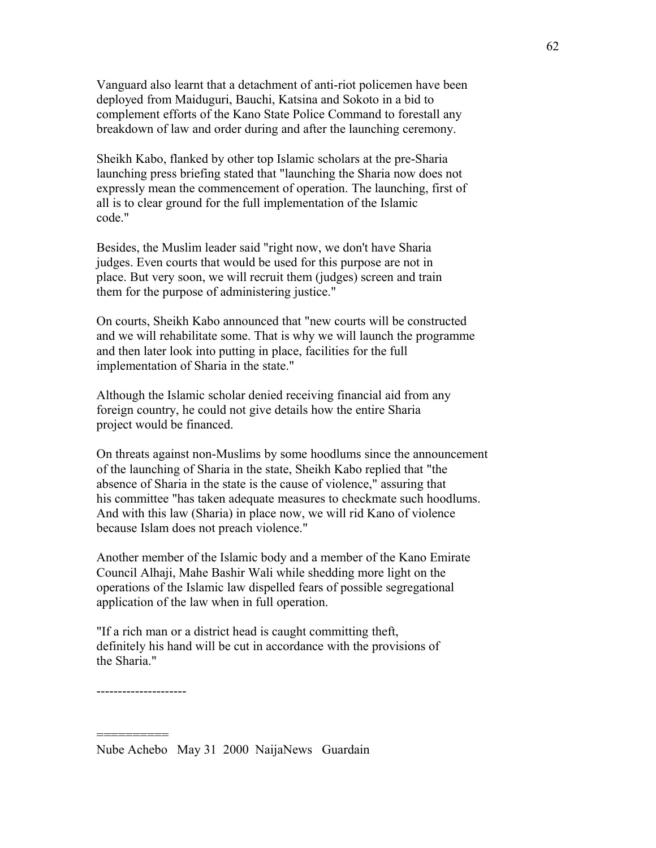Vanguard also learnt that a detachment of anti-riot policemen have been deployed from Maiduguri, Bauchi, Katsina and Sokoto in a bid to complement efforts of the Kano State Police Command to forestall any breakdown of law and order during and after the launching ceremony.

Sheikh Kabo, flanked by other top Islamic scholars at the pre-Sharia launching press briefing stated that "launching the Sharia now does not expressly mean the commencement of operation. The launching, first of all is to clear ground for the full implementation of the Islamic code."

Besides, the Muslim leader said "right now, we don't have Sharia judges. Even courts that would be used for this purpose are not in place. But very soon, we will recruit them (judges) screen and train them for the purpose of administering justice."

On courts, Sheikh Kabo announced that "new courts will be constructed and we will rehabilitate some. That is why we will launch the programme and then later look into putting in place, facilities for the full implementation of Sharia in the state."

Although the Islamic scholar denied receiving financial aid from any foreign country, he could not give details how the entire Sharia project would be financed.

On threats against non-Muslims by some hoodlums since the announcement of the launching of Sharia in the state, Sheikh Kabo replied that "the absence of Sharia in the state is the cause of violence," assuring that his committee "has taken adequate measures to checkmate such hoodlums. And with this law (Sharia) in place now, we will rid Kano of violence because Islam does not preach violence."

Another member of the Islamic body and a member of the Kano Emirate Council Alhaji, Mahe Bashir Wali while shedding more light on the operations of the Islamic law dispelled fears of possible segregational application of the law when in full operation.

"If a rich man or a district head is caught committing theft, definitely his hand will be cut in accordance with the provisions of the Sharia."

---------------------

==========

Nube Achebo May 31 2000 NaijaNews Guardain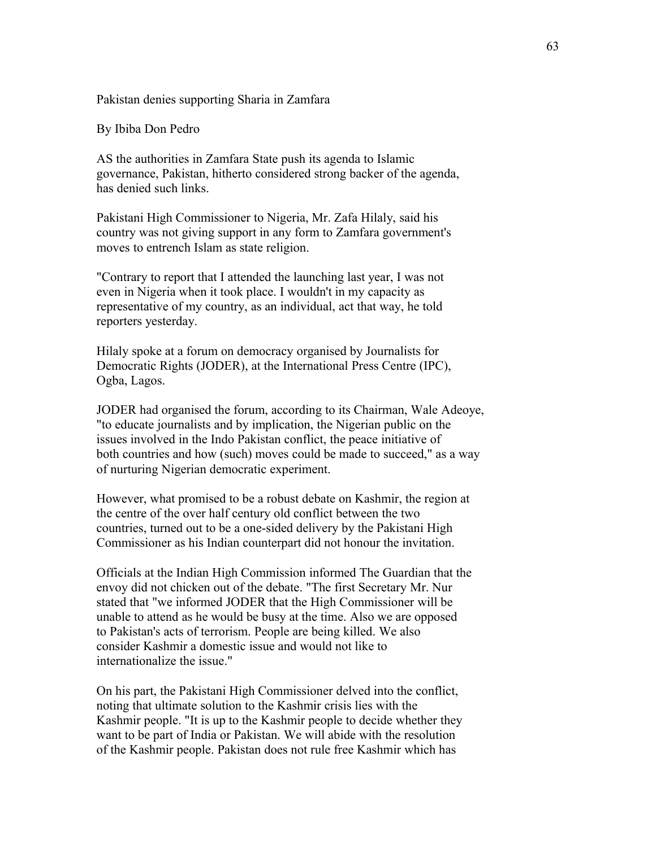Pakistan denies supporting Sharia in Zamfara

By Ibiba Don Pedro

AS the authorities in Zamfara State push its agenda to Islamic governance, Pakistan, hitherto considered strong backer of the agenda, has denied such links.

Pakistani High Commissioner to Nigeria, Mr. Zafa Hilaly, said his country was not giving support in any form to Zamfara government's moves to entrench Islam as state religion.

"Contrary to report that I attended the launching last year, I was not even in Nigeria when it took place. I wouldn't in my capacity as representative of my country, as an individual, act that way, he told reporters yesterday.

Hilaly spoke at a forum on democracy organised by Journalists for Democratic Rights (JODER), at the International Press Centre (IPC), Ogba, Lagos.

JODER had organised the forum, according to its Chairman, Wale Adeoye, "to educate journalists and by implication, the Nigerian public on the issues involved in the Indo Pakistan conflict, the peace initiative of both countries and how (such) moves could be made to succeed," as a way of nurturing Nigerian democratic experiment.

However, what promised to be a robust debate on Kashmir, the region at the centre of the over half century old conflict between the two countries, turned out to be a one-sided delivery by the Pakistani High Commissioner as his Indian counterpart did not honour the invitation.

Officials at the Indian High Commission informed The Guardian that the envoy did not chicken out of the debate. "The first Secretary Mr. Nur stated that "we informed JODER that the High Commissioner will be unable to attend as he would be busy at the time. Also we are opposed to Pakistan's acts of terrorism. People are being killed. We also consider Kashmir a domestic issue and would not like to internationalize the issue."

On his part, the Pakistani High Commissioner delved into the conflict, noting that ultimate solution to the Kashmir crisis lies with the Kashmir people. "It is up to the Kashmir people to decide whether they want to be part of India or Pakistan. We will abide with the resolution of the Kashmir people. Pakistan does not rule free Kashmir which has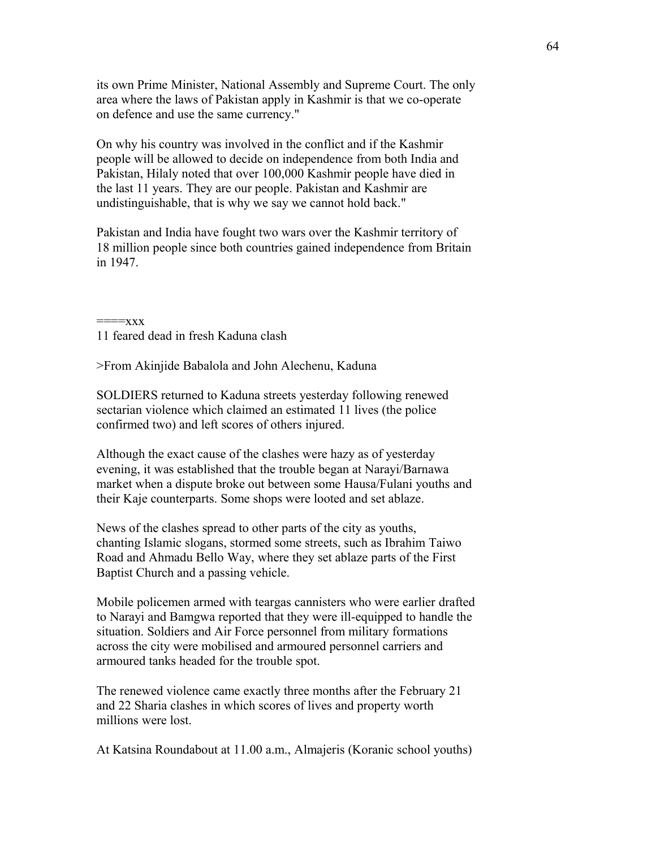its own Prime Minister, National Assembly and Supreme Court. The only area where the laws of Pakistan apply in Kashmir is that we co-operate on defence and use the same currency."

On why his country was involved in the conflict and if the Kashmir people will be allowed to decide on independence from both India and Pakistan, Hilaly noted that over 100,000 Kashmir people have died in the last 11 years. They are our people. Pakistan and Kashmir are undistinguishable, that is why we say we cannot hold back."

Pakistan and India have fought two wars over the Kashmir territory of 18 million people since both countries gained independence from Britain in 1947.

 $==-xxx$ 

11 feared dead in fresh Kaduna clash

>From Akinjide Babalola and John Alechenu, Kaduna

SOLDIERS returned to Kaduna streets yesterday following renewed sectarian violence which claimed an estimated 11 lives (the police confirmed two) and left scores of others injured.

Although the exact cause of the clashes were hazy as of yesterday evening, it was established that the trouble began at Narayi/Barnawa market when a dispute broke out between some Hausa/Fulani youths and their Kaje counterparts. Some shops were looted and set ablaze.

News of the clashes spread to other parts of the city as youths, chanting Islamic slogans, stormed some streets, such as Ibrahim Taiwo Road and Ahmadu Bello Way, where they set ablaze parts of the First Baptist Church and a passing vehicle.

Mobile policemen armed with teargas cannisters who were earlier drafted to Narayi and Bamgwa reported that they were ill-equipped to handle the situation. Soldiers and Air Force personnel from military formations across the city were mobilised and armoured personnel carriers and armoured tanks headed for the trouble spot.

The renewed violence came exactly three months after the February 21 and 22 Sharia clashes in which scores of lives and property worth millions were lost.

At Katsina Roundabout at 11.00 a.m., Almajeris (Koranic school youths)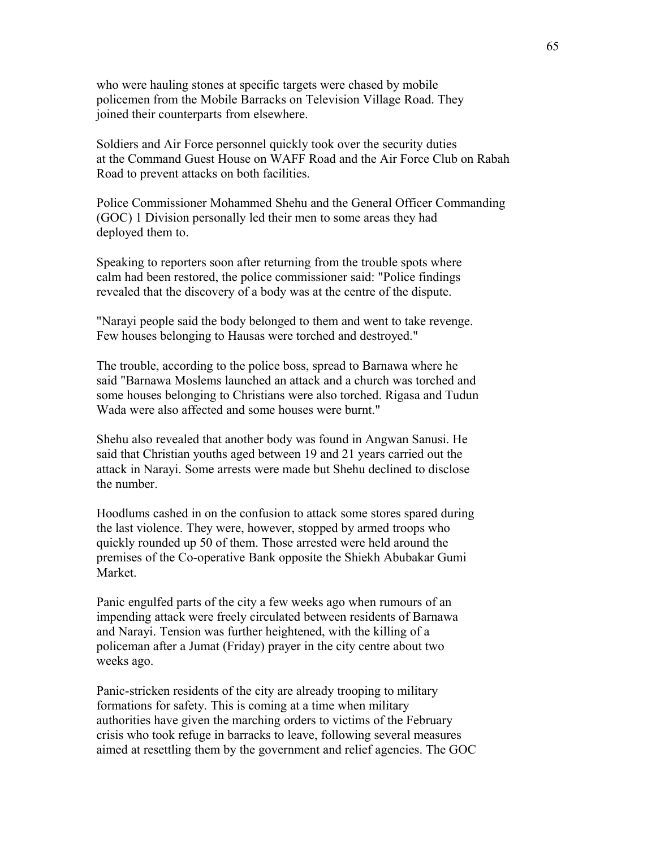who were hauling stones at specific targets were chased by mobile policemen from the Mobile Barracks on Television Village Road. They joined their counterparts from elsewhere.

Soldiers and Air Force personnel quickly took over the security duties at the Command Guest House on WAFF Road and the Air Force Club on Rabah Road to prevent attacks on both facilities.

Police Commissioner Mohammed Shehu and the General Officer Commanding (GOC) 1 Division personally led their men to some areas they had deployed them to.

Speaking to reporters soon after returning from the trouble spots where calm had been restored, the police commissioner said: "Police findings revealed that the discovery of a body was at the centre of the dispute.

"Narayi people said the body belonged to them and went to take revenge. Few houses belonging to Hausas were torched and destroyed."

The trouble, according to the police boss, spread to Barnawa where he said "Barnawa Moslems launched an attack and a church was torched and some houses belonging to Christians were also torched. Rigasa and Tudun Wada were also affected and some houses were burnt."

Shehu also revealed that another body was found in Angwan Sanusi. He said that Christian youths aged between 19 and 21 years carried out the attack in Narayi. Some arrests were made but Shehu declined to disclose the number.

Hoodlums cashed in on the confusion to attack some stores spared during the last violence. They were, however, stopped by armed troops who quickly rounded up 50 of them. Those arrested were held around the premises of the Co-operative Bank opposite the Shiekh Abubakar Gumi Market.

Panic engulfed parts of the city a few weeks ago when rumours of an impending attack were freely circulated between residents of Barnawa and Narayi. Tension was further heightened, with the killing of a policeman after a Jumat (Friday) prayer in the city centre about two weeks ago.

Panic-stricken residents of the city are already trooping to military formations for safety. This is coming at a time when military authorities have given the marching orders to victims of the February crisis who took refuge in barracks to leave, following several measures aimed at resettling them by the government and relief agencies. The GOC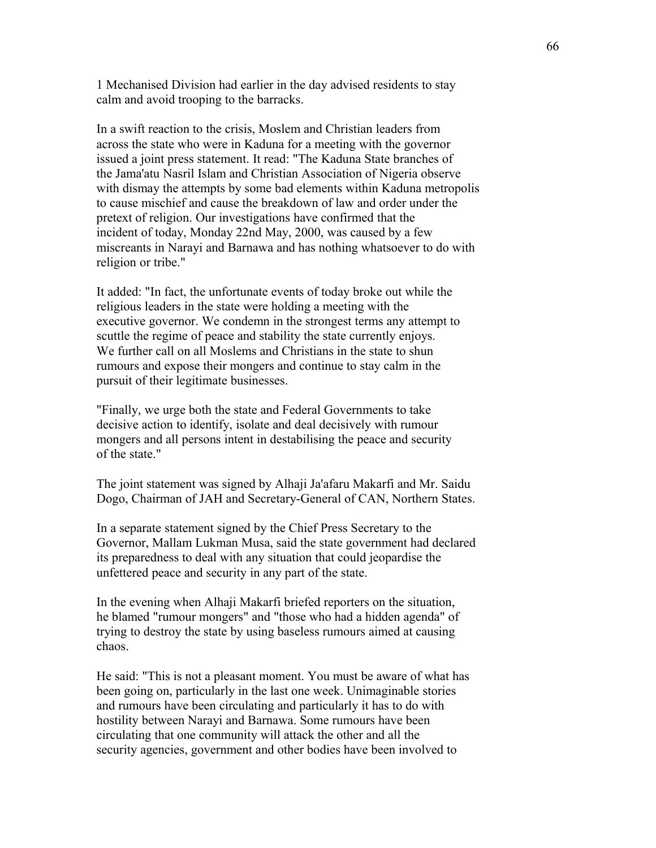1 Mechanised Division had earlier in the day advised residents to stay calm and avoid trooping to the barracks.

In a swift reaction to the crisis, Moslem and Christian leaders from across the state who were in Kaduna for a meeting with the governor issued a joint press statement. It read: "The Kaduna State branches of the Jama'atu Nasril Islam and Christian Association of Nigeria observe with dismay the attempts by some bad elements within Kaduna metropolis to cause mischief and cause the breakdown of law and order under the pretext of religion. Our investigations have confirmed that the incident of today, Monday 22nd May, 2000, was caused by a few miscreants in Narayi and Barnawa and has nothing whatsoever to do with religion or tribe."

It added: "In fact, the unfortunate events of today broke out while the religious leaders in the state were holding a meeting with the executive governor. We condemn in the strongest terms any attempt to scuttle the regime of peace and stability the state currently enjoys. We further call on all Moslems and Christians in the state to shun rumours and expose their mongers and continue to stay calm in the pursuit of their legitimate businesses.

"Finally, we urge both the state and Federal Governments to take decisive action to identify, isolate and deal decisively with rumour mongers and all persons intent in destabilising the peace and security of the state."

The joint statement was signed by Alhaji Ja'afaru Makarfi and Mr. Saidu Dogo, Chairman of JAH and Secretary-General of CAN, Northern States.

In a separate statement signed by the Chief Press Secretary to the Governor, Mallam Lukman Musa, said the state government had declared its preparedness to deal with any situation that could jeopardise the unfettered peace and security in any part of the state.

In the evening when Alhaji Makarfi briefed reporters on the situation, he blamed "rumour mongers" and "those who had a hidden agenda" of trying to destroy the state by using baseless rumours aimed at causing chaos.

He said: "This is not a pleasant moment. You must be aware of what has been going on, particularly in the last one week. Unimaginable stories and rumours have been circulating and particularly it has to do with hostility between Narayi and Barnawa. Some rumours have been circulating that one community will attack the other and all the security agencies, government and other bodies have been involved to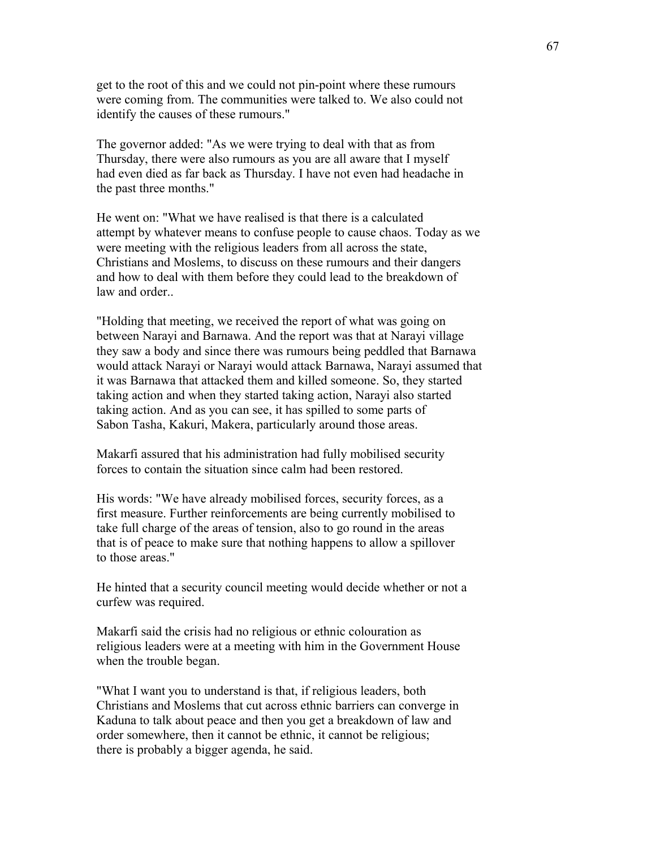get to the root of this and we could not pin-point where these rumours were coming from. The communities were talked to. We also could not identify the causes of these rumours."

The governor added: "As we were trying to deal with that as from Thursday, there were also rumours as you are all aware that I myself had even died as far back as Thursday. I have not even had headache in the past three months."

He went on: "What we have realised is that there is a calculated attempt by whatever means to confuse people to cause chaos. Today as we were meeting with the religious leaders from all across the state, Christians and Moslems, to discuss on these rumours and their dangers and how to deal with them before they could lead to the breakdown of law and order

"Holding that meeting, we received the report of what was going on between Narayi and Barnawa. And the report was that at Narayi village they saw a body and since there was rumours being peddled that Barnawa would attack Narayi or Narayi would attack Barnawa, Narayi assumed that it was Barnawa that attacked them and killed someone. So, they started taking action and when they started taking action, Narayi also started taking action. And as you can see, it has spilled to some parts of Sabon Tasha, Kakuri, Makera, particularly around those areas.

Makarfi assured that his administration had fully mobilised security forces to contain the situation since calm had been restored.

His words: "We have already mobilised forces, security forces, as a first measure. Further reinforcements are being currently mobilised to take full charge of the areas of tension, also to go round in the areas that is of peace to make sure that nothing happens to allow a spillover to those areas."

He hinted that a security council meeting would decide whether or not a curfew was required.

Makarfi said the crisis had no religious or ethnic colouration as religious leaders were at a meeting with him in the Government House when the trouble began.

"What I want you to understand is that, if religious leaders, both Christians and Moslems that cut across ethnic barriers can converge in Kaduna to talk about peace and then you get a breakdown of law and order somewhere, then it cannot be ethnic, it cannot be religious; there is probably a bigger agenda, he said.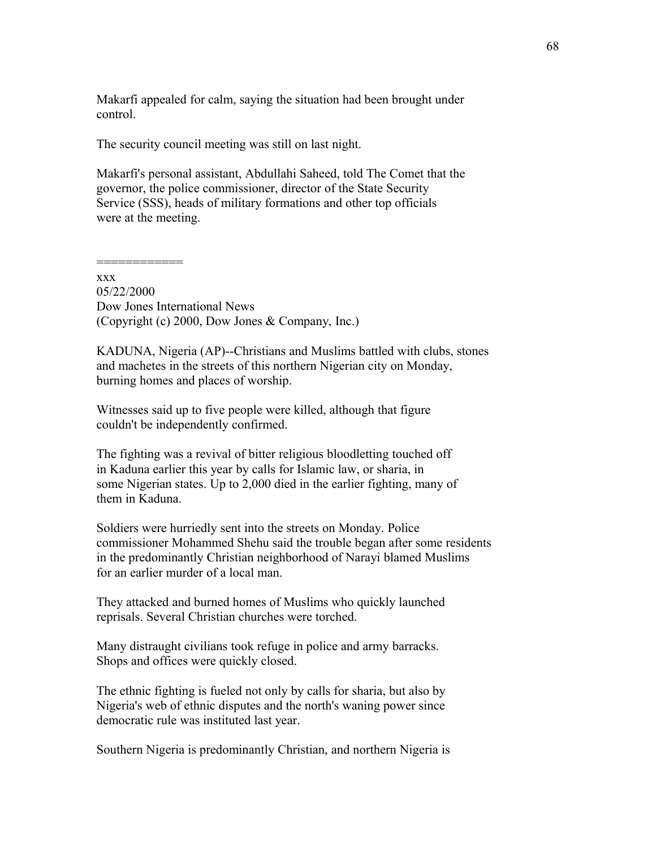Makarfi appealed for calm, saying the situation had been brought under control.

The security council meeting was still on last night.

Makarfi's personal assistant, Abdullahi Saheed, told The Comet that the governor, the police commissioner, director of the State Security Service (SSS), heads of military formations and other top officials were at the meeting.

============

xxx 05/22/2000 Dow Jones International News (Copyright (c) 2000, Dow Jones & Company, Inc.)

KADUNA, Nigeria (AP)--Christians and Muslims battled with clubs, stones and machetes in the streets of this northern Nigerian city on Monday, burning homes and places of worship.

Witnesses said up to five people were killed, although that figure couldn't be independently confirmed.

The fighting was a revival of bitter religious bloodletting touched off in Kaduna earlier this year by calls for Islamic law, or sharia, in some Nigerian states. Up to 2,000 died in the earlier fighting, many of them in Kaduna.

Soldiers were hurriedly sent into the streets on Monday. Police commissioner Mohammed Shehu said the trouble began after some residents in the predominantly Christian neighborhood of Narayi blamed Muslims for an earlier murder of a local man.

They attacked and burned homes of Muslims who quickly launched reprisals. Several Christian churches were torched.

Many distraught civilians took refuge in police and army barracks. Shops and offices were quickly closed.

The ethnic fighting is fueled not only by calls for sharia, but also by Nigeria's web of ethnic disputes and the north's waning power since democratic rule was instituted last year.

Southern Nigeria is predominantly Christian, and northern Nigeria is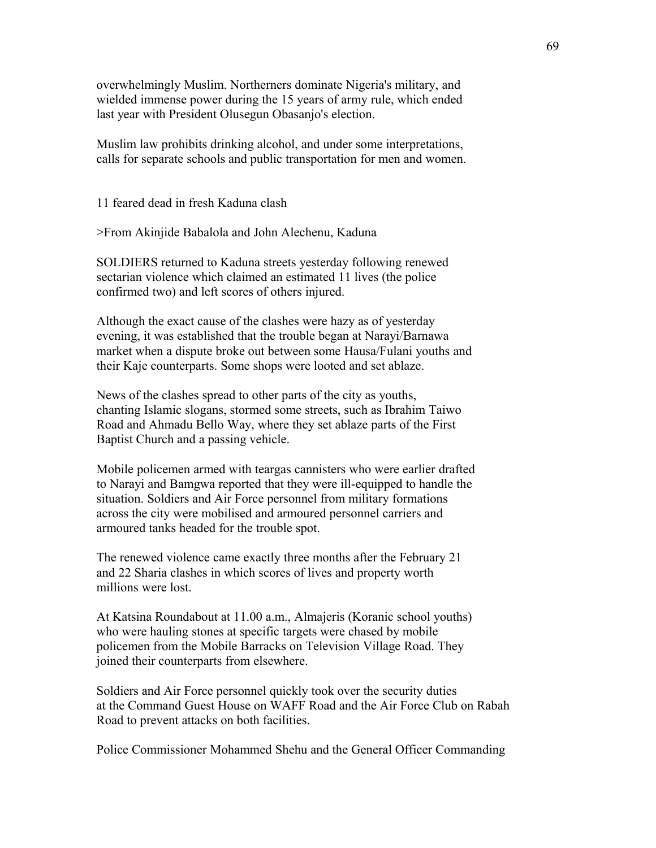overwhelmingly Muslim. Northerners dominate Nigeria's military, and wielded immense power during the 15 years of army rule, which ended last year with President Olusegun Obasanjo's election.

Muslim law prohibits drinking alcohol, and under some interpretations, calls for separate schools and public transportation for men and women.

11 feared dead in fresh Kaduna clash

>From Akinjide Babalola and John Alechenu, Kaduna

SOLDIERS returned to Kaduna streets yesterday following renewed sectarian violence which claimed an estimated 11 lives (the police confirmed two) and left scores of others injured.

Although the exact cause of the clashes were hazy as of yesterday evening, it was established that the trouble began at Narayi/Barnawa market when a dispute broke out between some Hausa/Fulani youths and their Kaje counterparts. Some shops were looted and set ablaze.

News of the clashes spread to other parts of the city as youths, chanting Islamic slogans, stormed some streets, such as Ibrahim Taiwo Road and Ahmadu Bello Way, where they set ablaze parts of the First Baptist Church and a passing vehicle.

Mobile policemen armed with teargas cannisters who were earlier drafted to Narayi and Bamgwa reported that they were ill-equipped to handle the situation. Soldiers and Air Force personnel from military formations across the city were mobilised and armoured personnel carriers and armoured tanks headed for the trouble spot.

The renewed violence came exactly three months after the February 21 and 22 Sharia clashes in which scores of lives and property worth millions were lost.

At Katsina Roundabout at 11.00 a.m., Almajeris (Koranic school youths) who were hauling stones at specific targets were chased by mobile policemen from the Mobile Barracks on Television Village Road. They joined their counterparts from elsewhere.

Soldiers and Air Force personnel quickly took over the security duties at the Command Guest House on WAFF Road and the Air Force Club on Rabah Road to prevent attacks on both facilities.

Police Commissioner Mohammed Shehu and the General Officer Commanding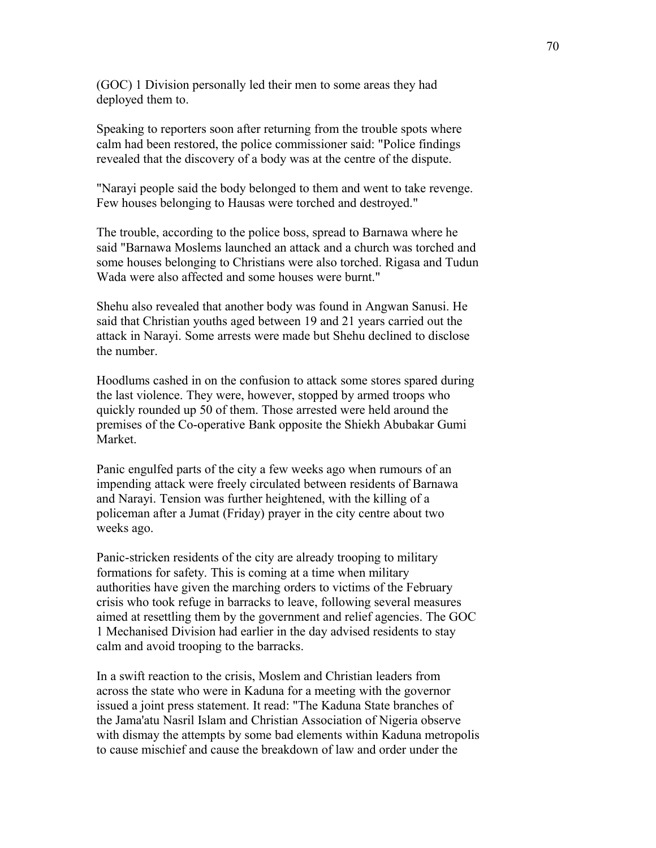(GOC) 1 Division personally led their men to some areas they had deployed them to.

Speaking to reporters soon after returning from the trouble spots where calm had been restored, the police commissioner said: "Police findings revealed that the discovery of a body was at the centre of the dispute.

"Narayi people said the body belonged to them and went to take revenge. Few houses belonging to Hausas were torched and destroyed."

The trouble, according to the police boss, spread to Barnawa where he said "Barnawa Moslems launched an attack and a church was torched and some houses belonging to Christians were also torched. Rigasa and Tudun Wada were also affected and some houses were burnt."

Shehu also revealed that another body was found in Angwan Sanusi. He said that Christian youths aged between 19 and 21 years carried out the attack in Narayi. Some arrests were made but Shehu declined to disclose the number.

Hoodlums cashed in on the confusion to attack some stores spared during the last violence. They were, however, stopped by armed troops who quickly rounded up 50 of them. Those arrested were held around the premises of the Co-operative Bank opposite the Shiekh Abubakar Gumi Market.

Panic engulfed parts of the city a few weeks ago when rumours of an impending attack were freely circulated between residents of Barnawa and Narayi. Tension was further heightened, with the killing of a policeman after a Jumat (Friday) prayer in the city centre about two weeks ago.

Panic-stricken residents of the city are already trooping to military formations for safety. This is coming at a time when military authorities have given the marching orders to victims of the February crisis who took refuge in barracks to leave, following several measures aimed at resettling them by the government and relief agencies. The GOC 1 Mechanised Division had earlier in the day advised residents to stay calm and avoid trooping to the barracks.

In a swift reaction to the crisis, Moslem and Christian leaders from across the state who were in Kaduna for a meeting with the governor issued a joint press statement. It read: "The Kaduna State branches of the Jama'atu Nasril Islam and Christian Association of Nigeria observe with dismay the attempts by some bad elements within Kaduna metropolis to cause mischief and cause the breakdown of law and order under the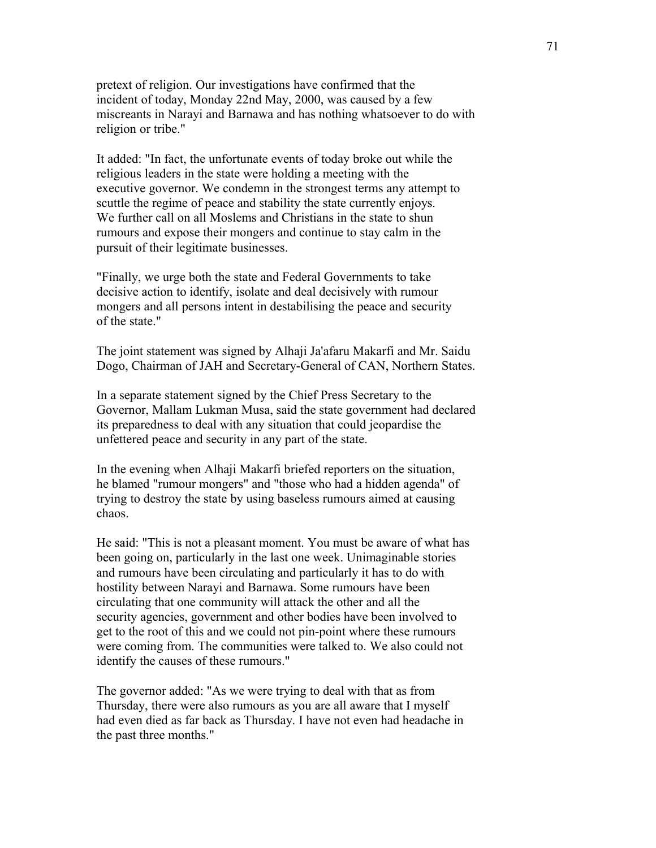pretext of religion. Our investigations have confirmed that the incident of today, Monday 22nd May, 2000, was caused by a few miscreants in Narayi and Barnawa and has nothing whatsoever to do with religion or tribe."

It added: "In fact, the unfortunate events of today broke out while the religious leaders in the state were holding a meeting with the executive governor. We condemn in the strongest terms any attempt to scuttle the regime of peace and stability the state currently enjoys. We further call on all Moslems and Christians in the state to shun rumours and expose their mongers and continue to stay calm in the pursuit of their legitimate businesses.

"Finally, we urge both the state and Federal Governments to take decisive action to identify, isolate and deal decisively with rumour mongers and all persons intent in destabilising the peace and security of the state."

The joint statement was signed by Alhaji Ja'afaru Makarfi and Mr. Saidu Dogo, Chairman of JAH and Secretary-General of CAN, Northern States.

In a separate statement signed by the Chief Press Secretary to the Governor, Mallam Lukman Musa, said the state government had declared its preparedness to deal with any situation that could jeopardise the unfettered peace and security in any part of the state.

In the evening when Alhaji Makarfi briefed reporters on the situation, he blamed "rumour mongers" and "those who had a hidden agenda" of trying to destroy the state by using baseless rumours aimed at causing chaos.

He said: "This is not a pleasant moment. You must be aware of what has been going on, particularly in the last one week. Unimaginable stories and rumours have been circulating and particularly it has to do with hostility between Narayi and Barnawa. Some rumours have been circulating that one community will attack the other and all the security agencies, government and other bodies have been involved to get to the root of this and we could not pin-point where these rumours were coming from. The communities were talked to. We also could not identify the causes of these rumours."

The governor added: "As we were trying to deal with that as from Thursday, there were also rumours as you are all aware that I myself had even died as far back as Thursday. I have not even had headache in the past three months."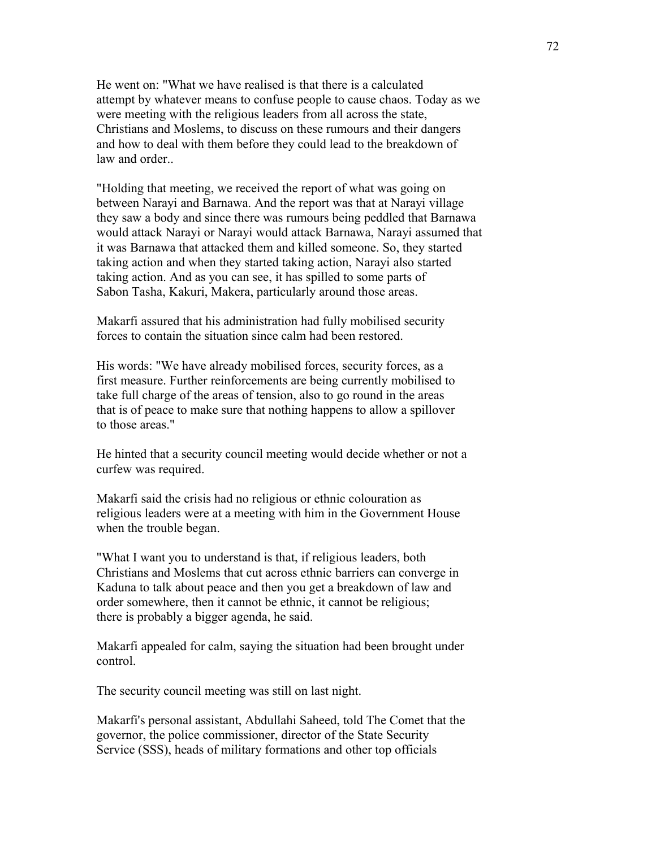He went on: "What we have realised is that there is a calculated attempt by whatever means to confuse people to cause chaos. Today as we were meeting with the religious leaders from all across the state, Christians and Moslems, to discuss on these rumours and their dangers and how to deal with them before they could lead to the breakdown of law and order.

"Holding that meeting, we received the report of what was going on between Narayi and Barnawa. And the report was that at Narayi village they saw a body and since there was rumours being peddled that Barnawa would attack Narayi or Narayi would attack Barnawa, Narayi assumed that it was Barnawa that attacked them and killed someone. So, they started taking action and when they started taking action, Narayi also started taking action. And as you can see, it has spilled to some parts of Sabon Tasha, Kakuri, Makera, particularly around those areas.

Makarfi assured that his administration had fully mobilised security forces to contain the situation since calm had been restored.

His words: "We have already mobilised forces, security forces, as a first measure. Further reinforcements are being currently mobilised to take full charge of the areas of tension, also to go round in the areas that is of peace to make sure that nothing happens to allow a spillover to those areas."

He hinted that a security council meeting would decide whether or not a curfew was required.

Makarfi said the crisis had no religious or ethnic colouration as religious leaders were at a meeting with him in the Government House when the trouble began.

"What I want you to understand is that, if religious leaders, both Christians and Moslems that cut across ethnic barriers can converge in Kaduna to talk about peace and then you get a breakdown of law and order somewhere, then it cannot be ethnic, it cannot be religious; there is probably a bigger agenda, he said.

Makarfi appealed for calm, saying the situation had been brought under control.

The security council meeting was still on last night.

Makarfi's personal assistant, Abdullahi Saheed, told The Comet that the governor, the police commissioner, director of the State Security Service (SSS), heads of military formations and other top officials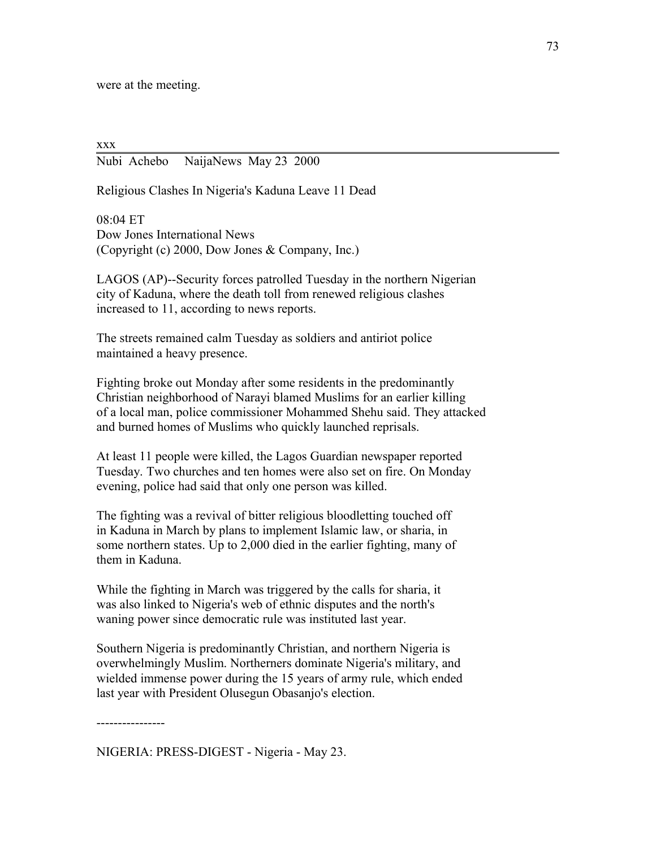were at the meeting.

# xxx Nubi Achebo NaijaNews May 23 2000

Religious Clashes In Nigeria's Kaduna Leave 11 Dead

08:04 ET Dow Jones International News (Copyright (c) 2000, Dow Jones & Company, Inc.)

LAGOS (AP)--Security forces patrolled Tuesday in the northern Nigerian city of Kaduna, where the death toll from renewed religious clashes increased to 11, according to news reports.

The streets remained calm Tuesday as soldiers and antiriot police maintained a heavy presence.

Fighting broke out Monday after some residents in the predominantly Christian neighborhood of Narayi blamed Muslims for an earlier killing of a local man, police commissioner Mohammed Shehu said. They attacked and burned homes of Muslims who quickly launched reprisals.

At least 11 people were killed, the Lagos Guardian newspaper reported Tuesday. Two churches and ten homes were also set on fire. On Monday evening, police had said that only one person was killed.

The fighting was a revival of bitter religious bloodletting touched off in Kaduna in March by plans to implement Islamic law, or sharia, in some northern states. Up to 2,000 died in the earlier fighting, many of them in Kaduna.

While the fighting in March was triggered by the calls for sharia, it was also linked to Nigeria's web of ethnic disputes and the north's waning power since democratic rule was instituted last year.

Southern Nigeria is predominantly Christian, and northern Nigeria is overwhelmingly Muslim. Northerners dominate Nigeria's military, and wielded immense power during the 15 years of army rule, which ended last year with President Olusegun Obasanjo's election.

----------------

NIGERIA: PRESS-DIGEST - Nigeria - May 23.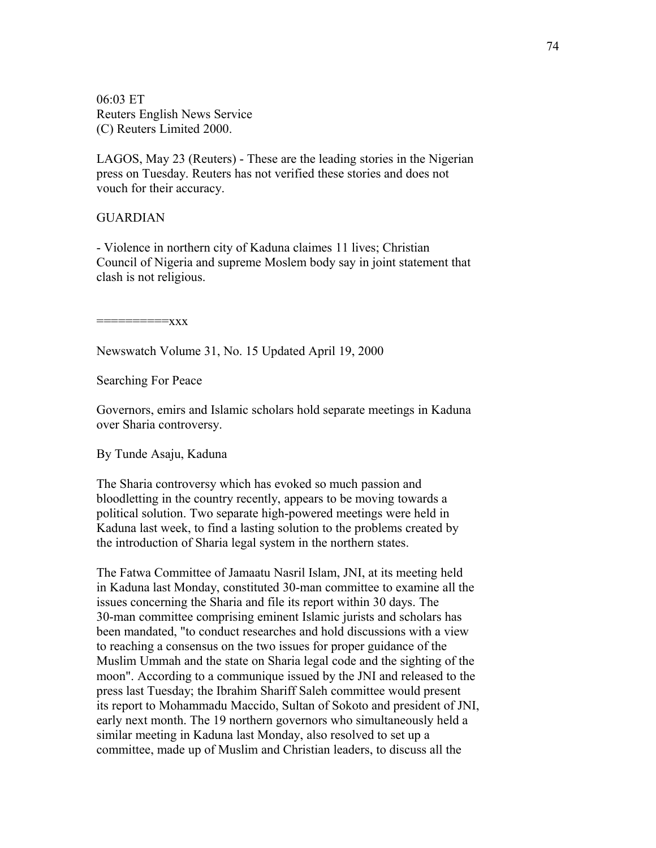06:03 ET Reuters English News Service (C) Reuters Limited 2000.

LAGOS, May 23 (Reuters) - These are the leading stories in the Nigerian press on Tuesday. Reuters has not verified these stories and does not vouch for their accuracy.

## GUARDIAN

- Violence in northern city of Kaduna claimes 11 lives; Christian Council of Nigeria and supreme Moslem body say in joint statement that clash is not religious.

 $=xxx$ 

Newswatch Volume 31, No. 15 Updated April 19, 2000

Searching For Peace

Governors, emirs and Islamic scholars hold separate meetings in Kaduna over Sharia controversy.

By Tunde Asaju, Kaduna

The Sharia controversy which has evoked so much passion and bloodletting in the country recently, appears to be moving towards a political solution. Two separate high-powered meetings were held in Kaduna last week, to find a lasting solution to the problems created by the introduction of Sharia legal system in the northern states.

The Fatwa Committee of Jamaatu Nasril Islam, JNI, at its meeting held in Kaduna last Monday, constituted 30-man committee to examine all the issues concerning the Sharia and file its report within 30 days. The 30-man committee comprising eminent Islamic jurists and scholars has been mandated, "to conduct researches and hold discussions with a view to reaching a consensus on the two issues for proper guidance of the Muslim Ummah and the state on Sharia legal code and the sighting of the moon". According to a communique issued by the JNI and released to the press last Tuesday; the Ibrahim Shariff Saleh committee would present its report to Mohammadu Maccido, Sultan of Sokoto and president of JNI, early next month. The 19 northern governors who simultaneously held a similar meeting in Kaduna last Monday, also resolved to set up a committee, made up of Muslim and Christian leaders, to discuss all the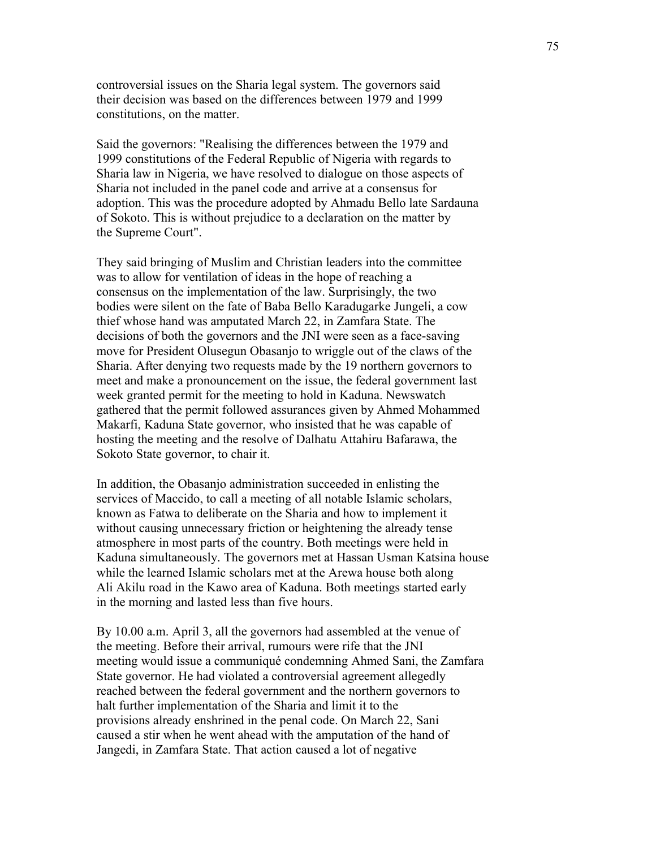controversial issues on the Sharia legal system. The governors said their decision was based on the differences between 1979 and 1999 constitutions, on the matter.

Said the governors: "Realising the differences between the 1979 and 1999 constitutions of the Federal Republic of Nigeria with regards to Sharia law in Nigeria, we have resolved to dialogue on those aspects of Sharia not included in the panel code and arrive at a consensus for adoption. This was the procedure adopted by Ahmadu Bello late Sardauna of Sokoto. This is without prejudice to a declaration on the matter by the Supreme Court".

They said bringing of Muslim and Christian leaders into the committee was to allow for ventilation of ideas in the hope of reaching a consensus on the implementation of the law. Surprisingly, the two bodies were silent on the fate of Baba Bello Karadugarke Jungeli, a cow thief whose hand was amputated March 22, in Zamfara State. The decisions of both the governors and the JNI were seen as a face-saving move for President Olusegun Obasanjo to wriggle out of the claws of the Sharia. After denying two requests made by the 19 northern governors to meet and make a pronouncement on the issue, the federal government last week granted permit for the meeting to hold in Kaduna. Newswatch gathered that the permit followed assurances given by Ahmed Mohammed Makarfi, Kaduna State governor, who insisted that he was capable of hosting the meeting and the resolve of Dalhatu Attahiru Bafarawa, the Sokoto State governor, to chair it.

In addition, the Obasanjo administration succeeded in enlisting the services of Maccido, to call a meeting of all notable Islamic scholars, known as Fatwa to deliberate on the Sharia and how to implement it without causing unnecessary friction or heightening the already tense atmosphere in most parts of the country. Both meetings were held in Kaduna simultaneously. The governors met at Hassan Usman Katsina house while the learned Islamic scholars met at the Arewa house both along Ali Akilu road in the Kawo area of Kaduna. Both meetings started early in the morning and lasted less than five hours.

By 10.00 a.m. April 3, all the governors had assembled at the venue of the meeting. Before their arrival, rumours were rife that the JNI meeting would issue a communiqué condemning Ahmed Sani, the Zamfara State governor. He had violated a controversial agreement allegedly reached between the federal government and the northern governors to halt further implementation of the Sharia and limit it to the provisions already enshrined in the penal code. On March 22, Sani caused a stir when he went ahead with the amputation of the hand of Jangedi, in Zamfara State. That action caused a lot of negative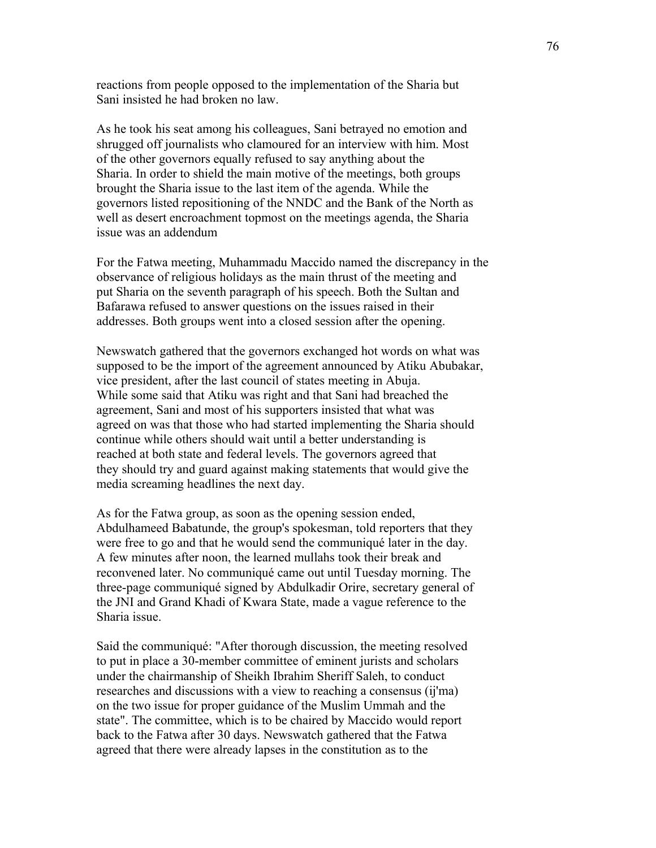reactions from people opposed to the implementation of the Sharia but Sani insisted he had broken no law.

As he took his seat among his colleagues, Sani betrayed no emotion and shrugged off journalists who clamoured for an interview with him. Most of the other governors equally refused to say anything about the Sharia. In order to shield the main motive of the meetings, both groups brought the Sharia issue to the last item of the agenda. While the governors listed repositioning of the NNDC and the Bank of the North as well as desert encroachment topmost on the meetings agenda, the Sharia issue was an addendum

For the Fatwa meeting, Muhammadu Maccido named the discrepancy in the observance of religious holidays as the main thrust of the meeting and put Sharia on the seventh paragraph of his speech. Both the Sultan and Bafarawa refused to answer questions on the issues raised in their addresses. Both groups went into a closed session after the opening.

Newswatch gathered that the governors exchanged hot words on what was supposed to be the import of the agreement announced by Atiku Abubakar, vice president, after the last council of states meeting in Abuja. While some said that Atiku was right and that Sani had breached the agreement, Sani and most of his supporters insisted that what was agreed on was that those who had started implementing the Sharia should continue while others should wait until a better understanding is reached at both state and federal levels. The governors agreed that they should try and guard against making statements that would give the media screaming headlines the next day.

As for the Fatwa group, as soon as the opening session ended, Abdulhameed Babatunde, the group's spokesman, told reporters that they were free to go and that he would send the communiqué later in the day. A few minutes after noon, the learned mullahs took their break and reconvened later. No communiqué came out until Tuesday morning. The three-page communiqué signed by Abdulkadir Orire, secretary general of the JNI and Grand Khadi of Kwara State, made a vague reference to the Sharia issue.

Said the communiqué: "After thorough discussion, the meeting resolved to put in place a 30-member committee of eminent jurists and scholars under the chairmanship of Sheikh Ibrahim Sheriff Saleh, to conduct researches and discussions with a view to reaching a consensus (ij'ma) on the two issue for proper guidance of the Muslim Ummah and the state". The committee, which is to be chaired by Maccido would report back to the Fatwa after 30 days. Newswatch gathered that the Fatwa agreed that there were already lapses in the constitution as to the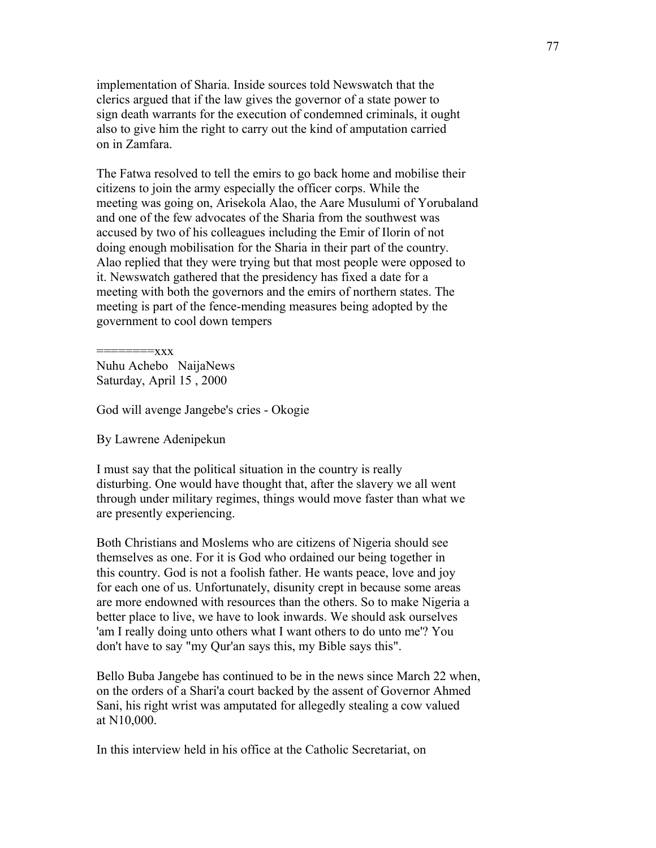implementation of Sharia. Inside sources told Newswatch that the clerics argued that if the law gives the governor of a state power to sign death warrants for the execution of condemned criminals, it ought also to give him the right to carry out the kind of amputation carried on in Zamfara.

The Fatwa resolved to tell the emirs to go back home and mobilise their citizens to join the army especially the officer corps. While the meeting was going on, Arisekola Alao, the Aare Musulumi of Yorubaland and one of the few advocates of the Sharia from the southwest was accused by two of his colleagues including the Emir of Ilorin of not doing enough mobilisation for the Sharia in their part of the country. Alao replied that they were trying but that most people were opposed to it. Newswatch gathered that the presidency has fixed a date for a meeting with both the governors and the emirs of northern states. The meeting is part of the fence-mending measures being adopted by the government to cool down tempers

========xxx Nuhu Achebo NaijaNews Saturday, April 15 , 2000

God will avenge Jangebe's cries - Okogie

By Lawrene Adenipekun

I must say that the political situation in the country is really disturbing. One would have thought that, after the slavery we all went through under military regimes, things would move faster than what we are presently experiencing.

Both Christians and Moslems who are citizens of Nigeria should see themselves as one. For it is God who ordained our being together in this country. God is not a foolish father. He wants peace, love and joy for each one of us. Unfortunately, disunity crept in because some areas are more endowned with resources than the others. So to make Nigeria a better place to live, we have to look inwards. We should ask ourselves 'am I really doing unto others what I want others to do unto me'? You don't have to say "my Qur'an says this, my Bible says this".

Bello Buba Jangebe has continued to be in the news since March 22 when, on the orders of a Shari'a court backed by the assent of Governor Ahmed Sani, his right wrist was amputated for allegedly stealing a cow valued at N10,000.

In this interview held in his office at the Catholic Secretariat, on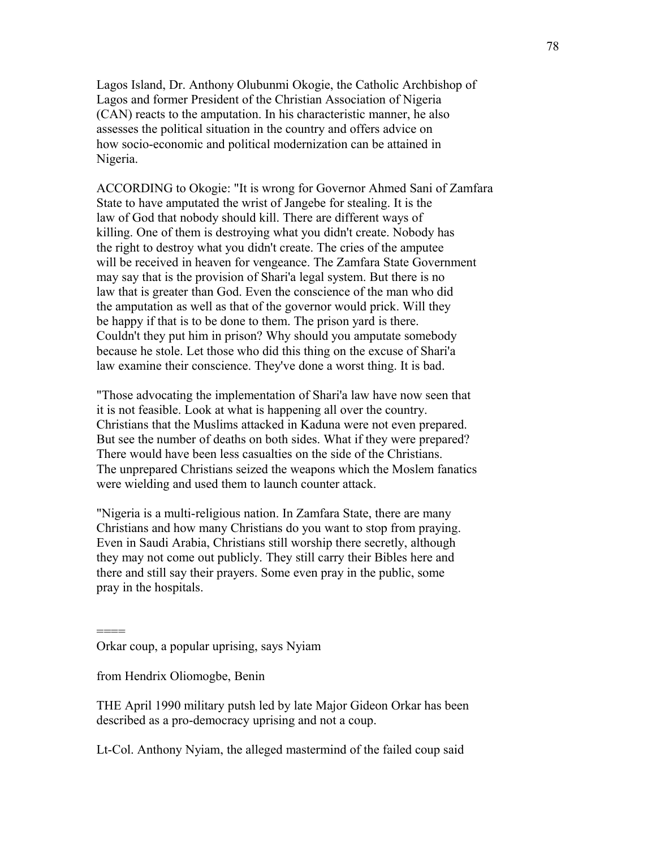Lagos Island, Dr. Anthony Olubunmi Okogie, the Catholic Archbishop of Lagos and former President of the Christian Association of Nigeria (CAN) reacts to the amputation. In his characteristic manner, he also assesses the political situation in the country and offers advice on how socio-economic and political modernization can be attained in Nigeria.

ACCORDING to Okogie: "It is wrong for Governor Ahmed Sani of Zamfara State to have amputated the wrist of Jangebe for stealing. It is the law of God that nobody should kill. There are different ways of killing. One of them is destroying what you didn't create. Nobody has the right to destroy what you didn't create. The cries of the amputee will be received in heaven for vengeance. The Zamfara State Government may say that is the provision of Shari'a legal system. But there is no law that is greater than God. Even the conscience of the man who did the amputation as well as that of the governor would prick. Will they be happy if that is to be done to them. The prison yard is there. Couldn't they put him in prison? Why should you amputate somebody because he stole. Let those who did this thing on the excuse of Shari'a law examine their conscience. They've done a worst thing. It is bad.

"Those advocating the implementation of Shari'a law have now seen that it is not feasible. Look at what is happening all over the country. Christians that the Muslims attacked in Kaduna were not even prepared. But see the number of deaths on both sides. What if they were prepared? There would have been less casualties on the side of the Christians. The unprepared Christians seized the weapons which the Moslem fanatics were wielding and used them to launch counter attack.

"Nigeria is a multi-religious nation. In Zamfara State, there are many Christians and how many Christians do you want to stop from praying. Even in Saudi Arabia, Christians still worship there secretly, although they may not come out publicly. They still carry their Bibles here and there and still say their prayers. Some even pray in the public, some pray in the hospitals.

====

THE April 1990 military putsh led by late Major Gideon Orkar has been described as a pro-democracy uprising and not a coup.

Lt-Col. Anthony Nyiam, the alleged mastermind of the failed coup said

Orkar coup, a popular uprising, says Nyiam

from Hendrix Oliomogbe, Benin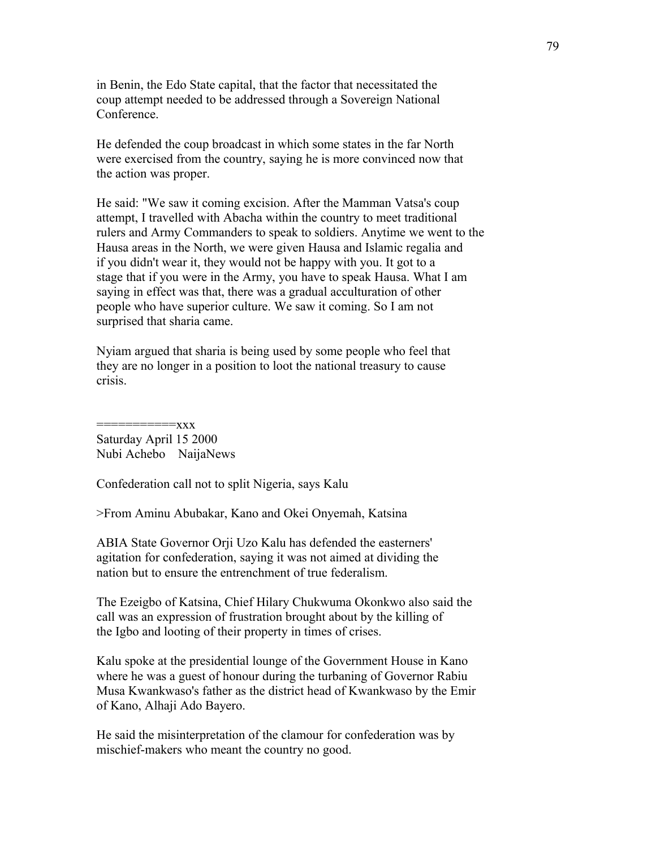in Benin, the Edo State capital, that the factor that necessitated the coup attempt needed to be addressed through a Sovereign National Conference.

He defended the coup broadcast in which some states in the far North were exercised from the country, saying he is more convinced now that the action was proper.

He said: "We saw it coming excision. After the Mamman Vatsa's coup attempt, I travelled with Abacha within the country to meet traditional rulers and Army Commanders to speak to soldiers. Anytime we went to the Hausa areas in the North, we were given Hausa and Islamic regalia and if you didn't wear it, they would not be happy with you. It got to a stage that if you were in the Army, you have to speak Hausa. What I am saying in effect was that, there was a gradual acculturation of other people who have superior culture. We saw it coming. So I am not surprised that sharia came.

Nyiam argued that sharia is being used by some people who feel that they are no longer in a position to loot the national treasury to cause crisis.

===========xxx Saturday April 15 2000 Nubi Achebo NaijaNews

Confederation call not to split Nigeria, says Kalu

>From Aminu Abubakar, Kano and Okei Onyemah, Katsina

ABIA State Governor Orji Uzo Kalu has defended the easterners' agitation for confederation, saying it was not aimed at dividing the nation but to ensure the entrenchment of true federalism.

The Ezeigbo of Katsina, Chief Hilary Chukwuma Okonkwo also said the call was an expression of frustration brought about by the killing of the Igbo and looting of their property in times of crises.

Kalu spoke at the presidential lounge of the Government House in Kano where he was a guest of honour during the turbaning of Governor Rabiu Musa Kwankwaso's father as the district head of Kwankwaso by the Emir of Kano, Alhaji Ado Bayero.

He said the misinterpretation of the clamour for confederation was by mischief-makers who meant the country no good.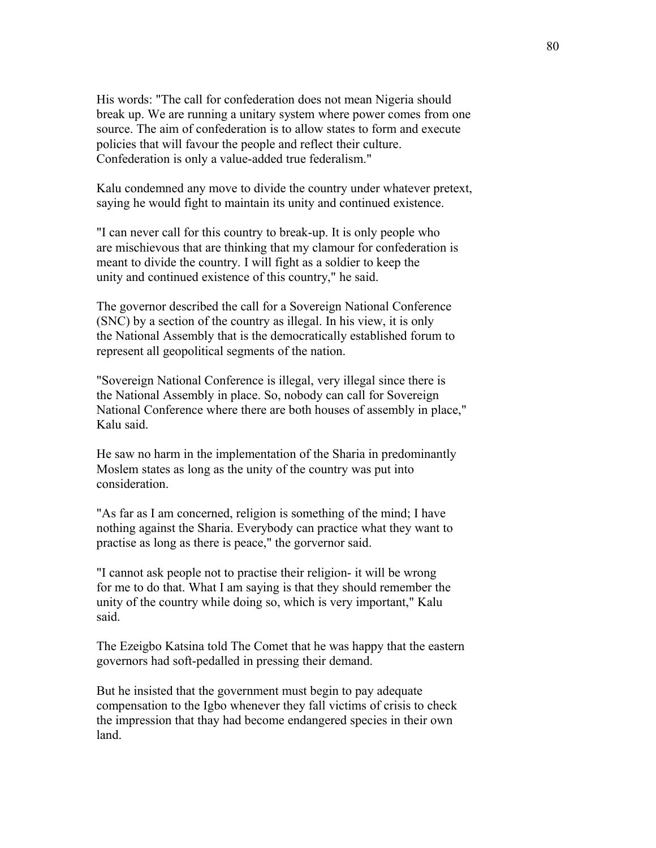His words: "The call for confederation does not mean Nigeria should break up. We are running a unitary system where power comes from one source. The aim of confederation is to allow states to form and execute policies that will favour the people and reflect their culture. Confederation is only a value-added true federalism."

Kalu condemned any move to divide the country under whatever pretext, saying he would fight to maintain its unity and continued existence.

"I can never call for this country to break-up. It is only people who are mischievous that are thinking that my clamour for confederation is meant to divide the country. I will fight as a soldier to keep the unity and continued existence of this country," he said.

The governor described the call for a Sovereign National Conference (SNC) by a section of the country as illegal. In his view, it is only the National Assembly that is the democratically established forum to represent all geopolitical segments of the nation.

"Sovereign National Conference is illegal, very illegal since there is the National Assembly in place. So, nobody can call for Sovereign National Conference where there are both houses of assembly in place," Kalu said.

He saw no harm in the implementation of the Sharia in predominantly Moslem states as long as the unity of the country was put into consideration.

"As far as I am concerned, religion is something of the mind; I have nothing against the Sharia. Everybody can practice what they want to practise as long as there is peace," the gorvernor said.

"I cannot ask people not to practise their religion- it will be wrong for me to do that. What I am saying is that they should remember the unity of the country while doing so, which is very important," Kalu said.

The Ezeigbo Katsina told The Comet that he was happy that the eastern governors had soft-pedalled in pressing their demand.

But he insisted that the government must begin to pay adequate compensation to the Igbo whenever they fall victims of crisis to check the impression that thay had become endangered species in their own land.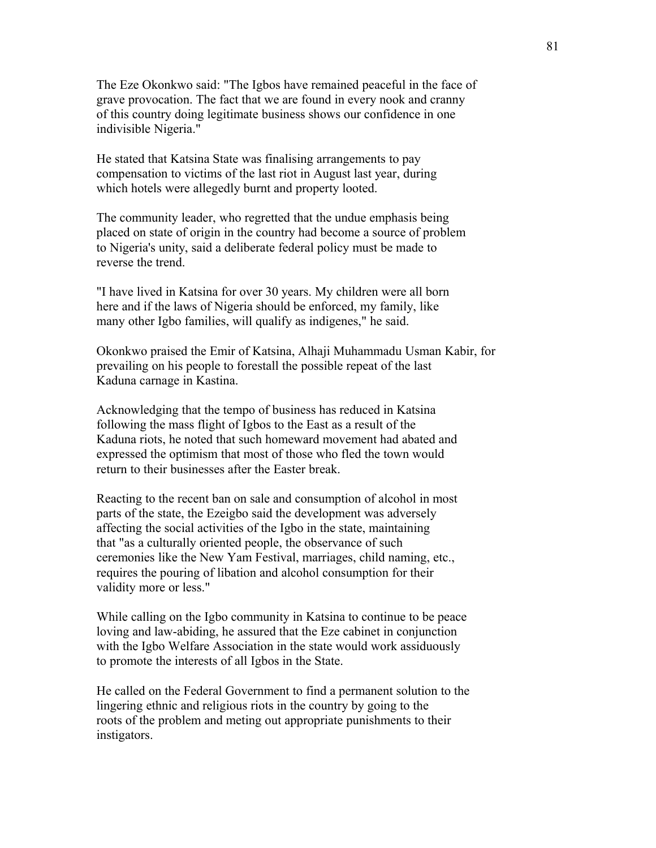The Eze Okonkwo said: "The Igbos have remained peaceful in the face of grave provocation. The fact that we are found in every nook and cranny of this country doing legitimate business shows our confidence in one indivisible Nigeria."

He stated that Katsina State was finalising arrangements to pay compensation to victims of the last riot in August last year, during which hotels were allegedly burnt and property looted.

The community leader, who regretted that the undue emphasis being placed on state of origin in the country had become a source of problem to Nigeria's unity, said a deliberate federal policy must be made to reverse the trend.

"I have lived in Katsina for over 30 years. My children were all born here and if the laws of Nigeria should be enforced, my family, like many other Igbo families, will qualify as indigenes," he said.

Okonkwo praised the Emir of Katsina, Alhaji Muhammadu Usman Kabir, for prevailing on his people to forestall the possible repeat of the last Kaduna carnage in Kastina.

Acknowledging that the tempo of business has reduced in Katsina following the mass flight of Igbos to the East as a result of the Kaduna riots, he noted that such homeward movement had abated and expressed the optimism that most of those who fled the town would return to their businesses after the Easter break.

Reacting to the recent ban on sale and consumption of alcohol in most parts of the state, the Ezeigbo said the development was adversely affecting the social activities of the Igbo in the state, maintaining that "as a culturally oriented people, the observance of such ceremonies like the New Yam Festival, marriages, child naming, etc., requires the pouring of libation and alcohol consumption for their validity more or less."

While calling on the Igbo community in Katsina to continue to be peace loving and law-abiding, he assured that the Eze cabinet in conjunction with the Igbo Welfare Association in the state would work assiduously to promote the interests of all Igbos in the State.

He called on the Federal Government to find a permanent solution to the lingering ethnic and religious riots in the country by going to the roots of the problem and meting out appropriate punishments to their instigators.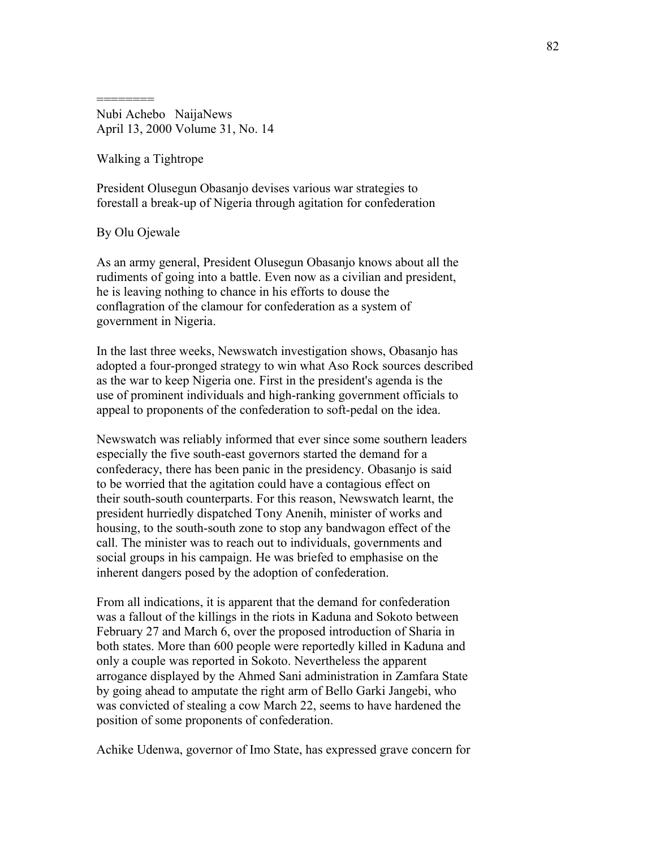Nubi Achebo NaijaNews April 13, 2000 Volume 31, No. 14

Walking a Tightrope

========

President Olusegun Obasanjo devises various war strategies to forestall a break-up of Nigeria through agitation for confederation

By Olu Ojewale

As an army general, President Olusegun Obasanjo knows about all the rudiments of going into a battle. Even now as a civilian and president, he is leaving nothing to chance in his efforts to douse the conflagration of the clamour for confederation as a system of government in Nigeria.

In the last three weeks, Newswatch investigation shows, Obasanjo has adopted a four-pronged strategy to win what Aso Rock sources described as the war to keep Nigeria one. First in the president's agenda is the use of prominent individuals and high-ranking government officials to appeal to proponents of the confederation to soft-pedal on the idea.

Newswatch was reliably informed that ever since some southern leaders especially the five south-east governors started the demand for a confederacy, there has been panic in the presidency. Obasanjo is said to be worried that the agitation could have a contagious effect on their south-south counterparts. For this reason, Newswatch learnt, the president hurriedly dispatched Tony Anenih, minister of works and housing, to the south-south zone to stop any bandwagon effect of the call. The minister was to reach out to individuals, governments and social groups in his campaign. He was briefed to emphasise on the inherent dangers posed by the adoption of confederation.

From all indications, it is apparent that the demand for confederation was a fallout of the killings in the riots in Kaduna and Sokoto between February 27 and March 6, over the proposed introduction of Sharia in both states. More than 600 people were reportedly killed in Kaduna and only a couple was reported in Sokoto. Nevertheless the apparent arrogance displayed by the Ahmed Sani administration in Zamfara State by going ahead to amputate the right arm of Bello Garki Jangebi, who was convicted of stealing a cow March 22, seems to have hardened the position of some proponents of confederation.

Achike Udenwa, governor of Imo State, has expressed grave concern for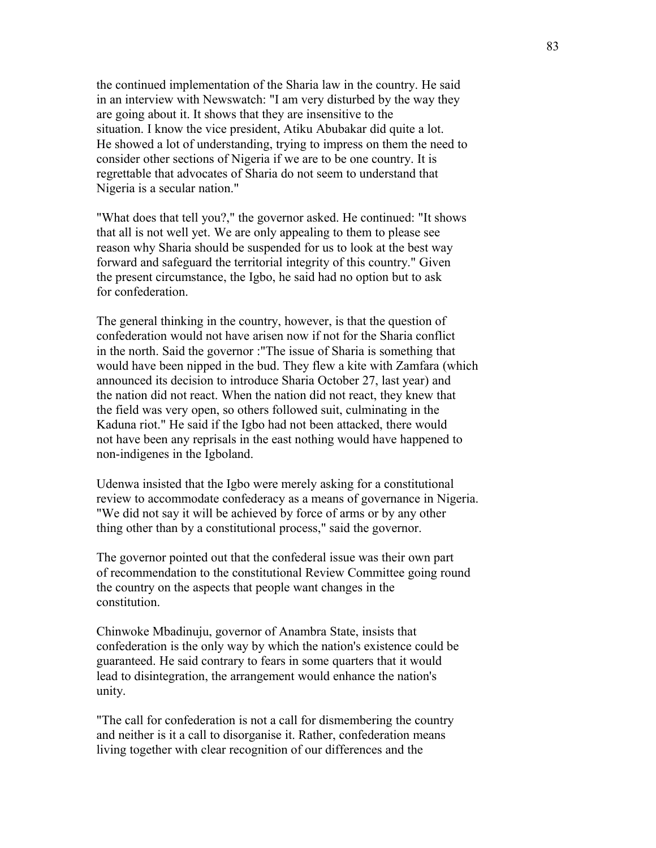the continued implementation of the Sharia law in the country. He said in an interview with Newswatch: "I am very disturbed by the way they are going about it. It shows that they are insensitive to the situation. I know the vice president, Atiku Abubakar did quite a lot. He showed a lot of understanding, trying to impress on them the need to consider other sections of Nigeria if we are to be one country. It is regrettable that advocates of Sharia do not seem to understand that Nigeria is a secular nation."

"What does that tell you?," the governor asked. He continued: "It shows that all is not well yet. We are only appealing to them to please see reason why Sharia should be suspended for us to look at the best way forward and safeguard the territorial integrity of this country." Given the present circumstance, the Igbo, he said had no option but to ask for confederation.

The general thinking in the country, however, is that the question of confederation would not have arisen now if not for the Sharia conflict in the north. Said the governor :"The issue of Sharia is something that would have been nipped in the bud. They flew a kite with Zamfara (which announced its decision to introduce Sharia October 27, last year) and the nation did not react. When the nation did not react, they knew that the field was very open, so others followed suit, culminating in the Kaduna riot." He said if the Igbo had not been attacked, there would not have been any reprisals in the east nothing would have happened to non-indigenes in the Igboland.

Udenwa insisted that the Igbo were merely asking for a constitutional review to accommodate confederacy as a means of governance in Nigeria. "We did not say it will be achieved by force of arms or by any other thing other than by a constitutional process," said the governor.

The governor pointed out that the confederal issue was their own part of recommendation to the constitutional Review Committee going round the country on the aspects that people want changes in the constitution.

Chinwoke Mbadinuju, governor of Anambra State, insists that confederation is the only way by which the nation's existence could be guaranteed. He said contrary to fears in some quarters that it would lead to disintegration, the arrangement would enhance the nation's unity.

"The call for confederation is not a call for dismembering the country and neither is it a call to disorganise it. Rather, confederation means living together with clear recognition of our differences and the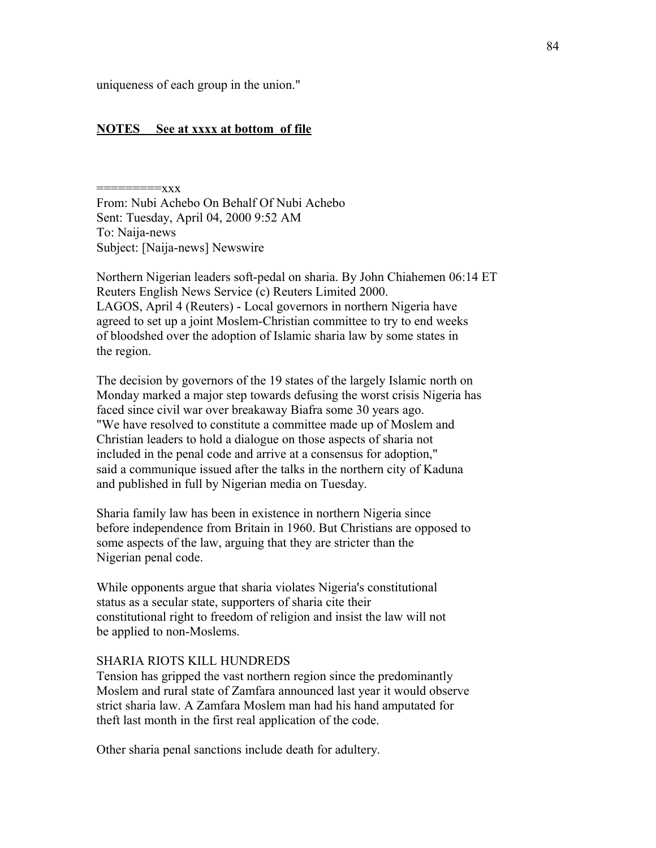uniqueness of each group in the union."

# **NOTES See at xxxx at bottom of file**

=========xxx From: Nubi Achebo On Behalf Of Nubi Achebo Sent: Tuesday, April 04, 2000 9:52 AM To: Naija-news Subject: [Naija-news] Newswire

Northern Nigerian leaders soft-pedal on sharia. By John Chiahemen 06:14 ET Reuters English News Service (c) Reuters Limited 2000. LAGOS, April 4 (Reuters) - Local governors in northern Nigeria have agreed to set up a joint Moslem-Christian committee to try to end weeks of bloodshed over the adoption of Islamic sharia law by some states in the region.

The decision by governors of the 19 states of the largely Islamic north on Monday marked a major step towards defusing the worst crisis Nigeria has faced since civil war over breakaway Biafra some 30 years ago. "We have resolved to constitute a committee made up of Moslem and Christian leaders to hold a dialogue on those aspects of sharia not included in the penal code and arrive at a consensus for adoption," said a communique issued after the talks in the northern city of Kaduna and published in full by Nigerian media on Tuesday.

Sharia family law has been in existence in northern Nigeria since before independence from Britain in 1960. But Christians are opposed to some aspects of the law, arguing that they are stricter than the Nigerian penal code.

While opponents argue that sharia violates Nigeria's constitutional status as a secular state, supporters of sharia cite their constitutional right to freedom of religion and insist the law will not be applied to non-Moslems.

## SHARIA RIOTS KILL HUNDREDS

Tension has gripped the vast northern region since the predominantly Moslem and rural state of Zamfara announced last year it would observe strict sharia law. A Zamfara Moslem man had his hand amputated for theft last month in the first real application of the code.

Other sharia penal sanctions include death for adultery.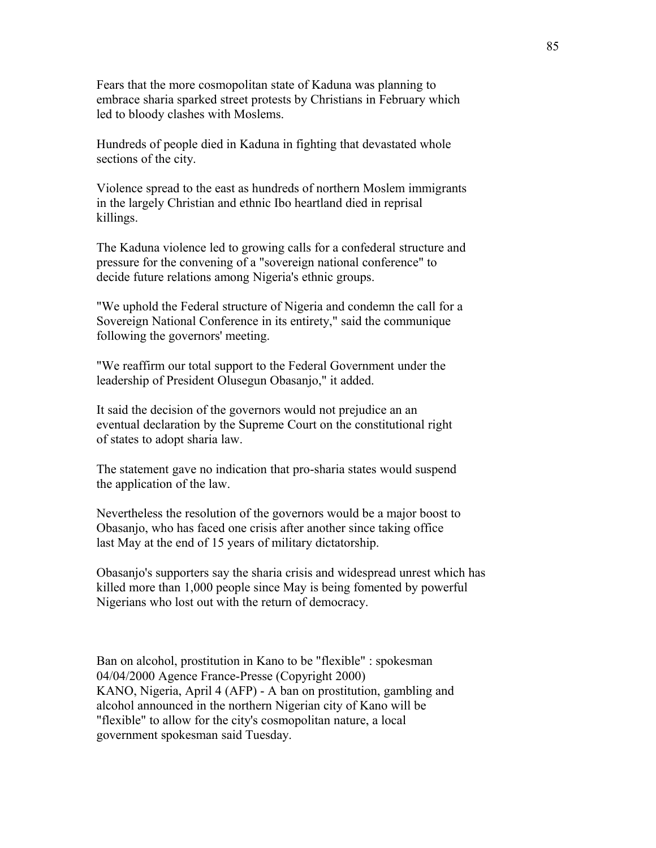Fears that the more cosmopolitan state of Kaduna was planning to embrace sharia sparked street protests by Christians in February which led to bloody clashes with Moslems.

Hundreds of people died in Kaduna in fighting that devastated whole sections of the city.

Violence spread to the east as hundreds of northern Moslem immigrants in the largely Christian and ethnic Ibo heartland died in reprisal killings.

The Kaduna violence led to growing calls for a confederal structure and pressure for the convening of a "sovereign national conference" to decide future relations among Nigeria's ethnic groups.

"We uphold the Federal structure of Nigeria and condemn the call for a Sovereign National Conference in its entirety," said the communique following the governors' meeting.

"We reaffirm our total support to the Federal Government under the leadership of President Olusegun Obasanjo," it added.

It said the decision of the governors would not prejudice an an eventual declaration by the Supreme Court on the constitutional right of states to adopt sharia law.

The statement gave no indication that pro-sharia states would suspend the application of the law.

Nevertheless the resolution of the governors would be a major boost to Obasanjo, who has faced one crisis after another since taking office last May at the end of 15 years of military dictatorship.

Obasanjo's supporters say the sharia crisis and widespread unrest which has killed more than 1,000 people since May is being fomented by powerful Nigerians who lost out with the return of democracy.

Ban on alcohol, prostitution in Kano to be "flexible" : spokesman 04/04/2000 Agence France-Presse (Copyright 2000) KANO, Nigeria, April 4 (AFP) - A ban on prostitution, gambling and alcohol announced in the northern Nigerian city of Kano will be "flexible" to allow for the city's cosmopolitan nature, a local government spokesman said Tuesday.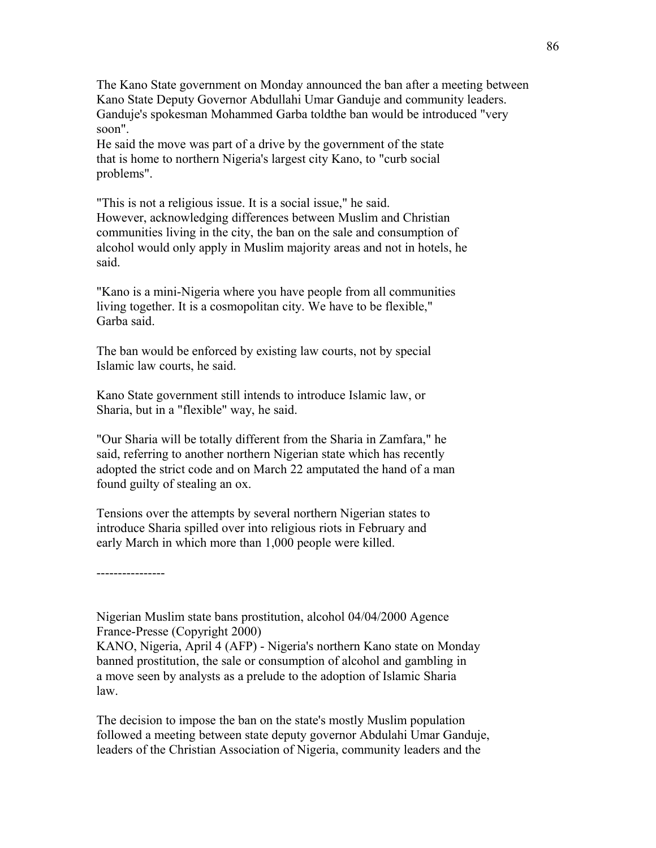The Kano State government on Monday announced the ban after a meeting between Kano State Deputy Governor Abdullahi Umar Ganduje and community leaders. Ganduje's spokesman Mohammed Garba toldthe ban would be introduced "very soon".

He said the move was part of a drive by the government of the state that is home to northern Nigeria's largest city Kano, to "curb social problems".

"This is not a religious issue. It is a social issue," he said. However, acknowledging differences between Muslim and Christian communities living in the city, the ban on the sale and consumption of alcohol would only apply in Muslim majority areas and not in hotels, he said.

"Kano is a mini-Nigeria where you have people from all communities living together. It is a cosmopolitan city. We have to be flexible," Garba said.

The ban would be enforced by existing law courts, not by special Islamic law courts, he said.

Kano State government still intends to introduce Islamic law, or Sharia, but in a "flexible" way, he said.

"Our Sharia will be totally different from the Sharia in Zamfara," he said, referring to another northern Nigerian state which has recently adopted the strict code and on March 22 amputated the hand of a man found guilty of stealing an ox.

Tensions over the attempts by several northern Nigerian states to introduce Sharia spilled over into religious riots in February and early March in which more than 1,000 people were killed.

----------------

Nigerian Muslim state bans prostitution, alcohol 04/04/2000 Agence France-Presse (Copyright 2000)

KANO, Nigeria, April 4 (AFP) - Nigeria's northern Kano state on Monday banned prostitution, the sale or consumption of alcohol and gambling in a move seen by analysts as a prelude to the adoption of Islamic Sharia law.

The decision to impose the ban on the state's mostly Muslim population followed a meeting between state deputy governor Abdulahi Umar Ganduje, leaders of the Christian Association of Nigeria, community leaders and the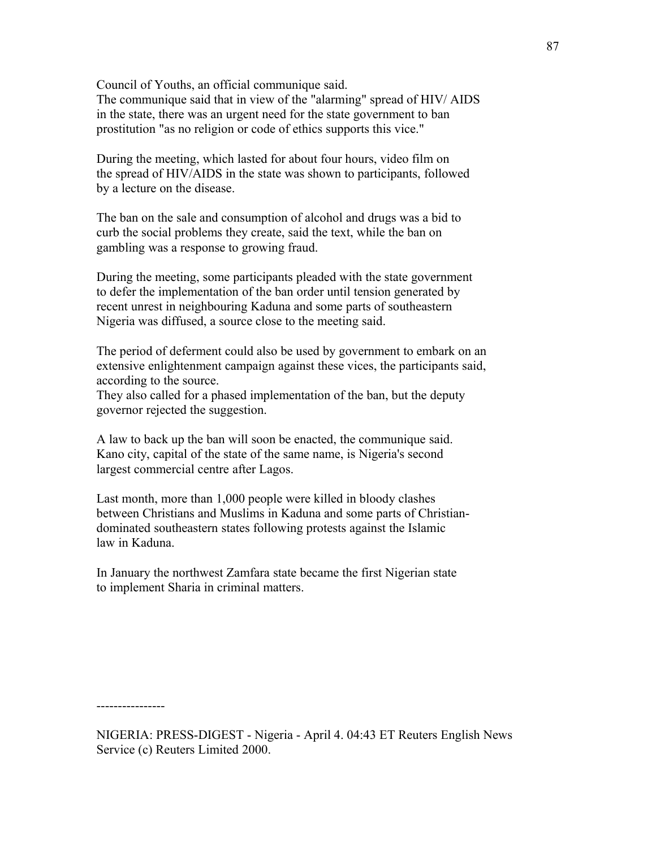Council of Youths, an official communique said.

The communique said that in view of the "alarming" spread of HIV/ AIDS in the state, there was an urgent need for the state government to ban prostitution "as no religion or code of ethics supports this vice."

During the meeting, which lasted for about four hours, video film on the spread of HIV/AIDS in the state was shown to participants, followed by a lecture on the disease.

The ban on the sale and consumption of alcohol and drugs was a bid to curb the social problems they create, said the text, while the ban on gambling was a response to growing fraud.

During the meeting, some participants pleaded with the state government to defer the implementation of the ban order until tension generated by recent unrest in neighbouring Kaduna and some parts of southeastern Nigeria was diffused, a source close to the meeting said.

The period of deferment could also be used by government to embark on an extensive enlightenment campaign against these vices, the participants said, according to the source.

They also called for a phased implementation of the ban, but the deputy governor rejected the suggestion.

A law to back up the ban will soon be enacted, the communique said. Kano city, capital of the state of the same name, is Nigeria's second largest commercial centre after Lagos.

Last month, more than 1,000 people were killed in bloody clashes between Christians and Muslims in Kaduna and some parts of Christiandominated southeastern states following protests against the Islamic law in Kaduna.

In January the northwest Zamfara state became the first Nigerian state to implement Sharia in criminal matters.

----------------

NIGERIA: PRESS-DIGEST - Nigeria - April 4. 04:43 ET Reuters English News Service (c) Reuters Limited 2000.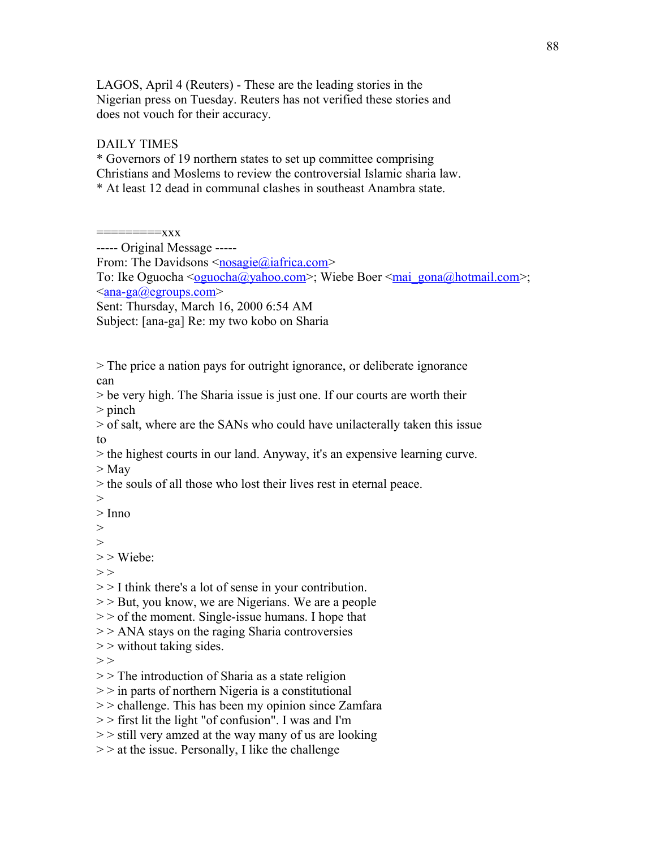LAGOS, April 4 (Reuters) - These are the leading stories in the Nigerian press on Tuesday. Reuters has not verified these stories and does not vouch for their accuracy.

## DAILY TIMES

\* Governors of 19 northern states to set up committee comprising Christians and Moslems to review the controversial Islamic sharia law. \* At least 12 dead in communal clashes in southeast Anambra state.

=========xxx

----- Original Message -----

To: Ike Oguocha <o<u>guocha@yahoo.com</u>>; Wiebe Boer [<mai\\_gona@hotmail.com>](mailto:mai_gona@hotmail.com);  $\langle \text{ana-ga}(\hat{a}) \rangle$ egroups.com>

Sent: Thursday, March 16, 2000 6:54 AM

Subject: [ana-ga] Re: my two kobo on Sharia

> The price a nation pays for outright ignorance, or deliberate ignorance can

> be very high. The Sharia issue is just one. If our courts are worth their

> pinch

> of salt, where are the SANs who could have unilacterally taken this issue to

> the highest courts in our land. Anyway, it's an expensive learning curve.

> May

> the souls of all those who lost their lives rest in eternal peace.

>

> Inno

 $\geq$ 

 $>$ 

 $>$  Wiebe:

 $>$ 

> > I think there's a lot of sense in your contribution.

 $\ge$   $>$  But, you know, we are Nigerians. We are a people

- $\ge$   $>$  of the moment. Single-issue humans. I hope that
- $\ge$  >  $\ge$  ANA stays on the raging Sharia controversies
- > > without taking sides.

 $>$ 

- $\ge$   $>$  The introduction of Sharia as a state religion
- $\ge$  > in parts of northern Nigeria is a constitutional
- $\ge$  > challenge. This has been my opinion since Zamfara
- $\ge$  > first lit the light "of confusion". I was and I'm
- > > still very amzed at the way many of us are looking
- $\ge$  >  $\ge$  at the issue. Personally, I like the challenge

From: The Davidsons  $\leq$ nosagie@iafrica.com>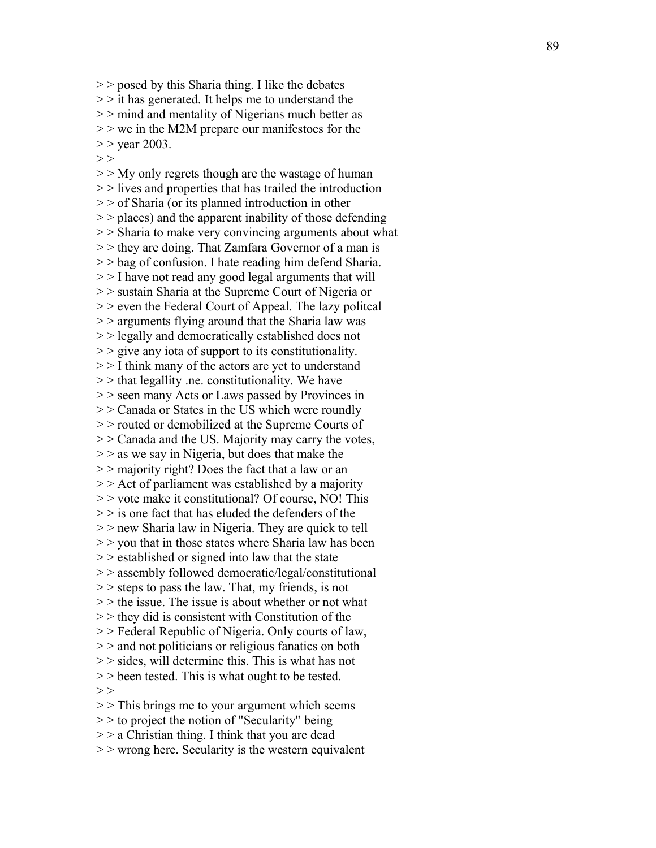$\ge$  > posed by this Sharia thing. I like the debates

 $\ge$   $>$  it has generated. It helps me to understand the

> > mind and mentality of Nigerians much better as

- $\ge$   $>$  we in the M2M prepare our manifestoes for the
- $>$  year 2003.

 $>$ 

 $>$  My only regrets though are the wastage of human  $\ge$  > lives and properties that has trailed the introduction  $\ge$   $>$  of Sharia (or its planned introduction in other  $\ge$  > places) and the apparent inability of those defending > > Sharia to make very convincing arguments about what  $\ge$  > they are doing. That Zamfara Governor of a man is > > bag of confusion. I hate reading him defend Sharia. > > I have not read any good legal arguments that will > > sustain Sharia at the Supreme Court of Nigeria or  $\ge$   $>$  even the Federal Court of Appeal. The lazy politcal  $\ge$  > arguments flying around that the Sharia law was > > legally and democratically established does not  $\ge$   $\ge$  give any iota of support to its constitutionality.  $\ge$  > I think many of the actors are yet to understand  $\ge$  > that legallity .ne. constitutionality. We have > > seen many Acts or Laws passed by Provinces in  $\geq$   $>$  Canada or States in the US which were roundly > > routed or demobilized at the Supreme Courts of  $\geq$   $>$  Canada and the US. Majority may carry the votes,  $\ge$   $>$  as we say in Nigeria, but does that make the  $\ge$  > majority right? Does the fact that a law or an  $\ge$   $>$  Act of parliament was established by a majority > > vote make it constitutional? Of course, NO! This  $\ge$  is one fact that has eluded the defenders of the  $\ge$  > new Sharia law in Nigeria. They are quick to tell  $\ge$   $>$  you that in those states where Sharia law has been  $\ge$   $>$  established or signed into law that the state > > assembly followed democratic/legal/constitutional  $\ge$  > steps to pass the law. That, my friends, is not  $\ge$   $>$  the issue. The issue is about whether or not what  $\ge$  > they did is consistent with Constitution of the > > Federal Republic of Nigeria. Only courts of law, > > and not politicians or religious fanatics on both  $\ge$   $>$  sides, will determine this. This is what has not  $\ge$  > been tested. This is what ought to be tested.  $>$  $\ge$   $>$  This brings me to your argument which seems  $\ge$   $>$  to project the notion of "Secularity" being  $\ge$  > a Christian thing. I think that you are dead

 $\ge$   $>$  wrong here. Secularity is the western equivalent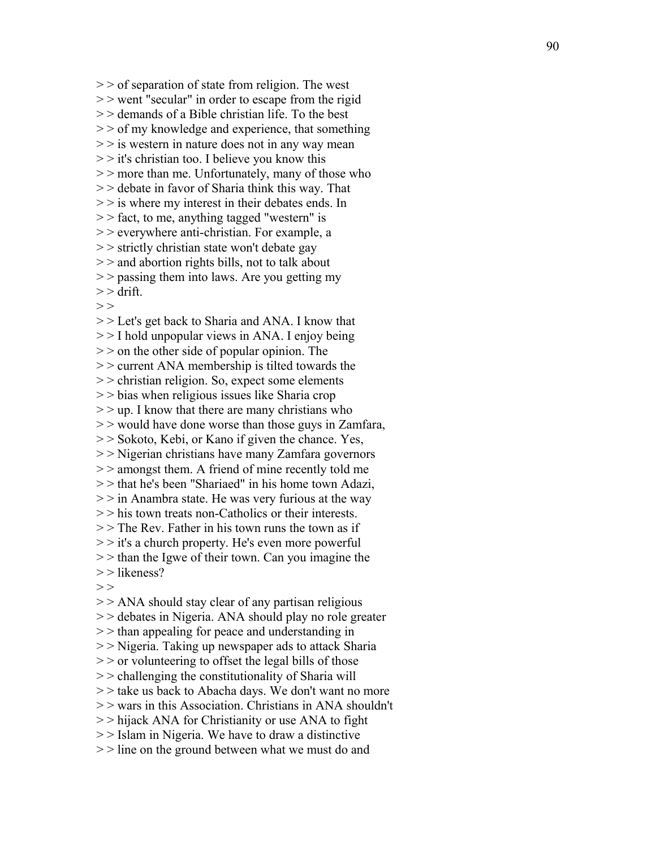- $\ge$   $>$  of separation of state from religion. The west
- $\ge$   $>$  went "secular" in order to escape from the rigid
- $\ge$  > demands of a Bible christian life. To the best
- $\ge$   $>$  of my knowledge and experience, that something
- $\ge$  is western in nature does not in any way mean
- $\ge$  it's christian too. I believe you know this
- $\ge$   $>$  more than me. Unfortunately, many of those who
- $\ge$  > debate in favor of Sharia think this way. That
- $\ge$  is where my interest in their debates ends. In
- $\ge$  > fact, to me, anything tagged "western" is
- $\geq$   $\geq$  everywhere anti-christian. For example, a
- $\ge$  > strictly christian state won't debate gay
- $\ge$  > and abortion rights bills, not to talk about
- $\ge$  > passing them into laws. Are you getting my
- $>$  drift.
- $>$
- $\ge$   $>$  Let's get back to Sharia and ANA. I know that
- $\ge$  > I hold unpopular views in ANA. I enjoy being
- $\ge$   $>$  on the other side of popular opinion. The
- $\ge$   $>$  current ANA membership is tilted towards the
- $\geq$  > christian religion. So, expect some elements
- $\ge$   $>$  bias when religious issues like Sharia crop
- $\ge$   $>$  up. I know that there are many christians who
- $\ge$   $>$  would have done worse than those guys in Zamfara,
- $\ge$   $>$  Sokoto, Kebi, or Kano if given the chance. Yes,
- > > Nigerian christians have many Zamfara governors
- $\ge$  > amongst them. A friend of mine recently told me
- $\ge$  > that he's been "Shariaed" in his home town Adazi,
- $\ge$  > in Anambra state. He was very furious at the way
- $\ge$   $>$  his town treats non-Catholics or their interests.
- $\ge$   $>$  The Rev. Father in his town runs the town as if
- $\ge$   $>$  it's a church property. He's even more powerful
- $\ge$   $>$  than the Igwe of their town. Can you imagine the
- > > likeness?
- $>$
- $\ge$  > ANA should stay clear of any partisan religious
- > > debates in Nigeria. ANA should play no role greater
- $\ge$   $>$  than appealing for peace and understanding in
- > > Nigeria. Taking up newspaper ads to attack Sharia
- $\ge$   $>$  or volunteering to offset the legal bills of those
- $\ge$  > challenging the constitutionality of Sharia will
- $\ge$  > take us back to Abacha days. We don't want no more
- > > wars in this Association. Christians in ANA shouldn't
- > > hijack ANA for Christianity or use ANA to fight
- > > Islam in Nigeria. We have to draw a distinctive
- > > line on the ground between what we must do and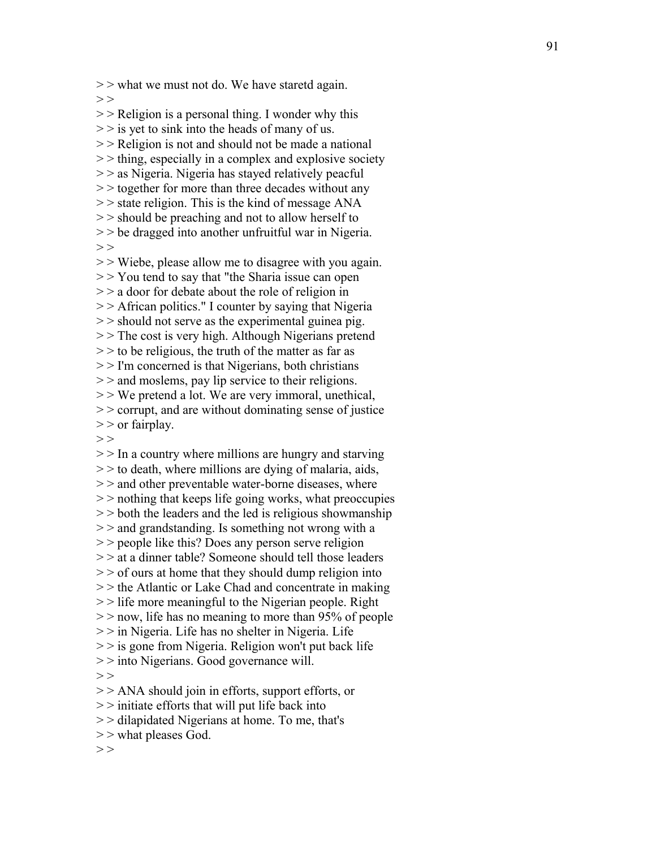$\ge$   $>$  what we must not do. We have staretd again.

#### $>$

- $\geq$  > Religion is a personal thing. I wonder why this
- $\ge$  is yet to sink into the heads of many of us.
- $\ge$  > Religion is not and should not be made a national
- > > thing, especially in a complex and explosive society
- $\ge$  as Nigeria. Nigeria has stayed relatively peacful
- $\ge$   $>$  together for more than three decades without any
- $\ge$  > state religion. This is the kind of message ANA
- > > should be preaching and not to allow herself to

 $\ge$   $>$  be dragged into another unfruitful war in Nigeria.  $>$ 

- $\ge$   $>$  Wiebe, please allow me to disagree with you again.
- $>>$  You tend to say that "the Sharia issue can open
- $\geq$  a door for debate about the role of religion in

 $\ge$  >  $\ge$  African politics." I counter by saying that Nigeria

 $\ge$  > should not serve as the experimental guinea pig.

 $\ge$   $>$  The cost is very high. Although Nigerians pretend

 $\ge$   $>$  to be religious, the truth of the matter as far as

 $\ge$  > I'm concerned is that Nigerians, both christians

 $\ge$  > and moslems, pay lip service to their religions.

 $\ge$   $>$  We pretend a lot. We are very immoral, unethical,

 $\geq$   $>$  corrupt, and are without dominating sense of justice

 $>$  or fairplay.

 $>$ 

 $\ge$  > In a country where millions are hungry and starving

> > to death, where millions are dying of malaria, aids,

 $\ge$  > and other preventable water-borne diseases, where

- > > nothing that keeps life going works, what preoccupies
- $\ge$   $>$  both the leaders and the led is religious showmanship
- $\ge$  > and grandstanding. Is something not wrong with a
- $\ge$  > people like this? Does any person serve religion
- $\ge$  >  $\ge$  at a dinner table? Someone should tell those leaders
- $\ge$   $>$  of ours at home that they should dump religion into
- $\ge$   $>$  the Atlantic or Lake Chad and concentrate in making
- $\ge$  > life more meaningful to the Nigerian people. Right
- $\ge$  > now, life has no meaning to more than 95% of people
- $\ge$   $>$  in Nigeria. Life has no shelter in Nigeria. Life
- $\ge$  is gone from Nigeria. Religion won't put back life
- > > into Nigerians. Good governance will.

 $>$ 

> > ANA should join in efforts, support efforts, or

- $\ge$  > initiate efforts that will put life back into
- $\ge$  > dilapidated Nigerians at home. To me, that's
- $\ge$  > what pleases God.

 $>$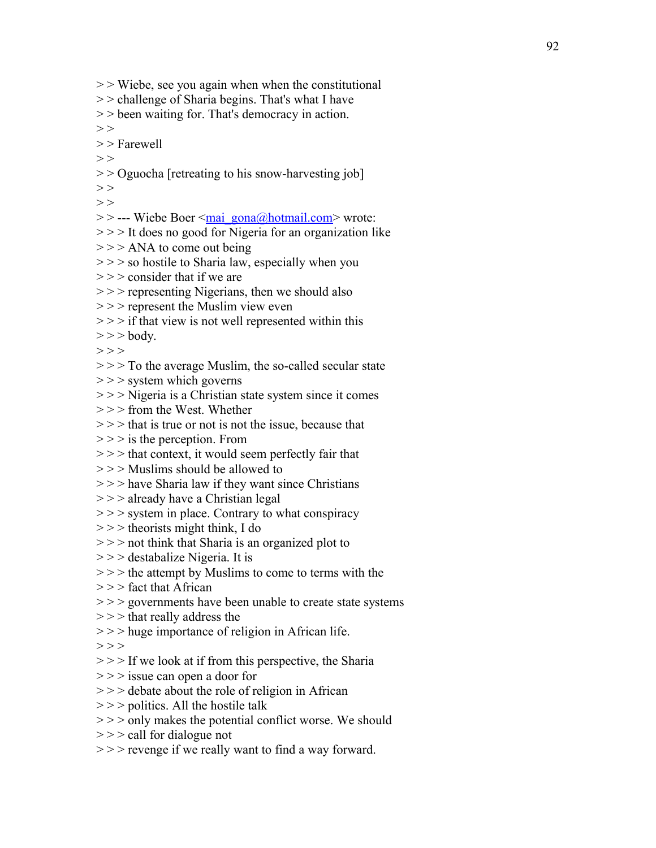- $\ge$   $>$  Wiebe, see you again when when the constitutional
- $\ge$  > challenge of Sharia begins. That's what I have
- > > been waiting for. That's democracy in action.

 $>$ 

- $>$  Farewell
- $>$
- $>$   $\geq$   $\geq$   $\geq$   $\geq$   $\geq$   $\geq$   $\geq$   $\geq$   $\geq$   $\geq$   $\geq$   $\geq$   $\geq$   $\geq$   $\geq$   $\geq$   $\geq$   $\geq$   $\geq$   $\geq$   $\geq$   $\geq$   $\geq$   $\geq$   $\geq$   $\geq$   $\geq$   $\geq$   $\geq$   $\geq$   $\geq$   $\geq$   $\geq$   $\geq$   $\geq$   $\geq$
- $>$
- $>$
- $>$  --- Wiebe Boer  $\leq$ mai\_gona@hotmail.com> wrote:
- $\ge$  >  $>$  It does no good for Nigeria for an organization like
- $>>$  ANA to come out being
- $\ge$   $>$   $>$  so hostile to Sharia law, especially when you
- $\ge$  >  $>$  consider that if we are
- $\ge$  >  $>$  representing Nigerians, then we should also
- $\ge$  >  $>$  represent the Muslim view even
- $\ge$   $\ge$   $>$  if that view is not well represented within this
- $>>$  body.
- $>>$
- $\ge$   $>$   $>$  To the average Muslim, the so-called secular state
- $\ge$  >  $>$  system which governs
- > > > Nigeria is a Christian state system since it comes
- $\ge$  >  $>$  from the West. Whether
- $\ge$   $\ge$   $>$  that is true or not is not the issue, because that
- $\ge$   $>$   $>$  is the perception. From
- $\ge$   $\ge$   $>$  that context, it would seem perfectly fair that
- $\ge$   $>$   $>$  Muslims should be allowed to
- $\ge$   $>$   $>$  have Sharia law if they want since Christians
- > > > already have a Christian legal
- $\ge$  >  $>$  system in place. Contrary to what conspiracy
- $\ge$  >  $>$  theorists might think, I do
- $\ge$   $\ge$   $>$  not think that Sharia is an organized plot to
- > > > destabalize Nigeria. It is
- $\ge$   $\ge$   $>$  the attempt by Muslims to come to terms with the
- $\ge$  >  $>$  fact that African
- $\ge$   $>$   $>$  governments have been unable to create state systems
- $\ge$   $>$   $>$  that really address the
- $\ge$   $>$   $>$  huge importance of religion in African life.

 $>>$ 

- $\ge$  > > If we look at if from this perspective, the Sharia
- $\gg$  >  $>$  issue can open a door for
- $\ge$   $>$   $>$  debate about the role of religion in African
- $\ge$   $>$   $>$  politics. All the hostile talk
- $\ge$   $>$   $>$  only makes the potential conflict worse. We should
- $\ge$   $>$   $>$  call for dialogue not
- $\ge$  >  $>$  revenge if we really want to find a way forward.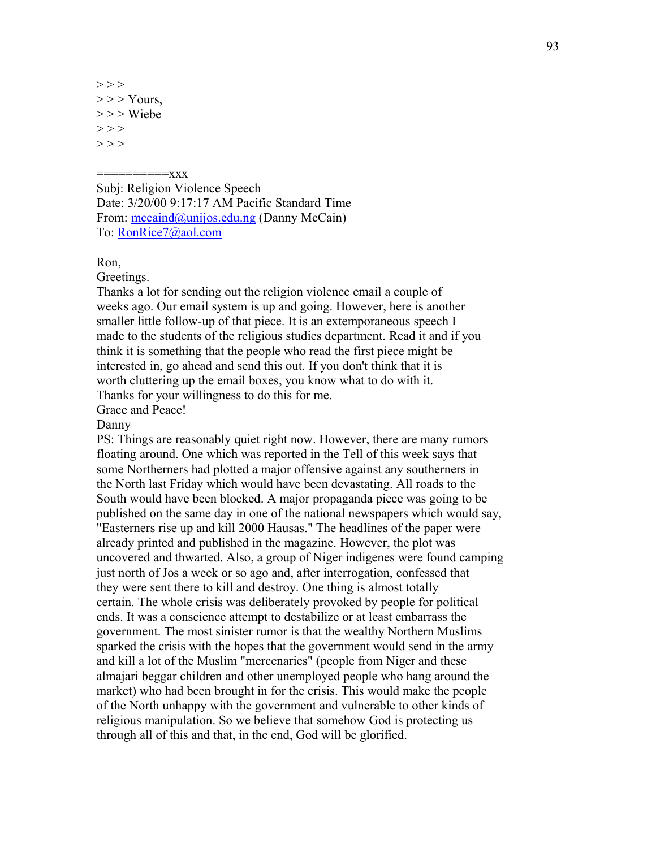```
> >>> Yours,
> > > Wiebe
>>> >
```
# ==========xxx

Subj: Religion Violence Speech Date: 3/20/00 9:17:17 AM Pacific Standard Time From: [mccaind@unijos.edu.ng](mailto:mccaind@unijos.edu.ng) (Danny McCain) To: [RonRice7@aol.com](mailto:RonRice7@aol.com)

### Ron,

Greetings.

Thanks a lot for sending out the religion violence email a couple of weeks ago. Our email system is up and going. However, here is another smaller little follow-up of that piece. It is an extemporaneous speech I made to the students of the religious studies department. Read it and if you think it is something that the people who read the first piece might be interested in, go ahead and send this out. If you don't think that it is worth cluttering up the email boxes, you know what to do with it. Thanks for your willingness to do this for me.

Grace and Peace!

# Danny

PS: Things are reasonably quiet right now. However, there are many rumors floating around. One which was reported in the Tell of this week says that some Northerners had plotted a major offensive against any southerners in the North last Friday which would have been devastating. All roads to the South would have been blocked. A major propaganda piece was going to be published on the same day in one of the national newspapers which would say, "Easterners rise up and kill 2000 Hausas." The headlines of the paper were already printed and published in the magazine. However, the plot was uncovered and thwarted. Also, a group of Niger indigenes were found camping just north of Jos a week or so ago and, after interrogation, confessed that they were sent there to kill and destroy. One thing is almost totally certain. The whole crisis was deliberately provoked by people for political ends. It was a conscience attempt to destabilize or at least embarrass the government. The most sinister rumor is that the wealthy Northern Muslims sparked the crisis with the hopes that the government would send in the army and kill a lot of the Muslim "mercenaries" (people from Niger and these almajari beggar children and other unemployed people who hang around the market) who had been brought in for the crisis. This would make the people of the North unhappy with the government and vulnerable to other kinds of religious manipulation. So we believe that somehow God is protecting us through all of this and that, in the end, God will be glorified.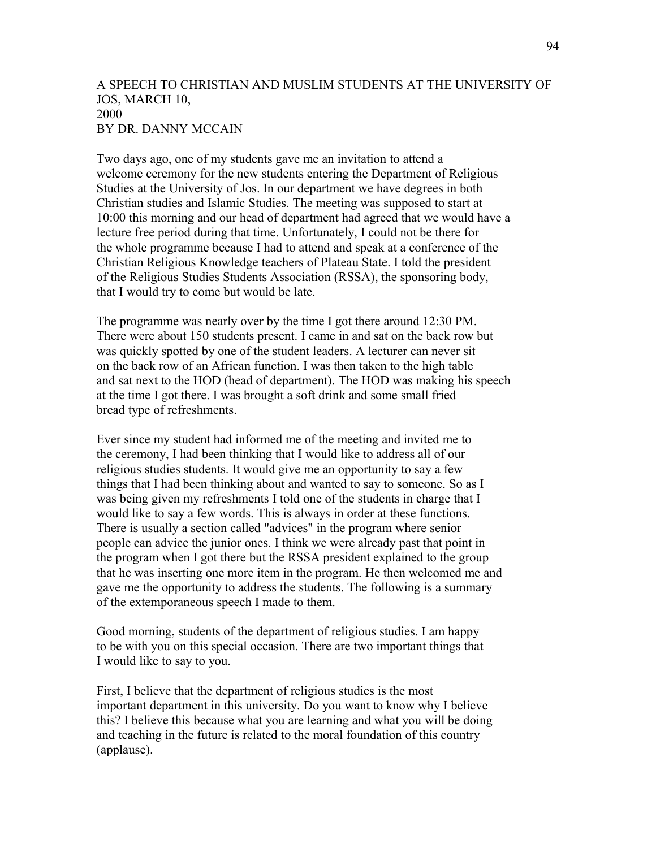# A SPEECH TO CHRISTIAN AND MUSLIM STUDENTS AT THE UNIVERSITY OF JOS, MARCH 10, 2000 BY DR. DANNY MCCAIN

Two days ago, one of my students gave me an invitation to attend a welcome ceremony for the new students entering the Department of Religious Studies at the University of Jos. In our department we have degrees in both Christian studies and Islamic Studies. The meeting was supposed to start at 10:00 this morning and our head of department had agreed that we would have a lecture free period during that time. Unfortunately, I could not be there for the whole programme because I had to attend and speak at a conference of the Christian Religious Knowledge teachers of Plateau State. I told the president of the Religious Studies Students Association (RSSA), the sponsoring body, that I would try to come but would be late.

The programme was nearly over by the time I got there around 12:30 PM. There were about 150 students present. I came in and sat on the back row but was quickly spotted by one of the student leaders. A lecturer can never sit on the back row of an African function. I was then taken to the high table and sat next to the HOD (head of department). The HOD was making his speech at the time I got there. I was brought a soft drink and some small fried bread type of refreshments.

Ever since my student had informed me of the meeting and invited me to the ceremony, I had been thinking that I would like to address all of our religious studies students. It would give me an opportunity to say a few things that I had been thinking about and wanted to say to someone. So as I was being given my refreshments I told one of the students in charge that I would like to say a few words. This is always in order at these functions. There is usually a section called "advices" in the program where senior people can advice the junior ones. I think we were already past that point in the program when I got there but the RSSA president explained to the group that he was inserting one more item in the program. He then welcomed me and gave me the opportunity to address the students. The following is a summary of the extemporaneous speech I made to them.

Good morning, students of the department of religious studies. I am happy to be with you on this special occasion. There are two important things that I would like to say to you.

First, I believe that the department of religious studies is the most important department in this university. Do you want to know why I believe this? I believe this because what you are learning and what you will be doing and teaching in the future is related to the moral foundation of this country (applause).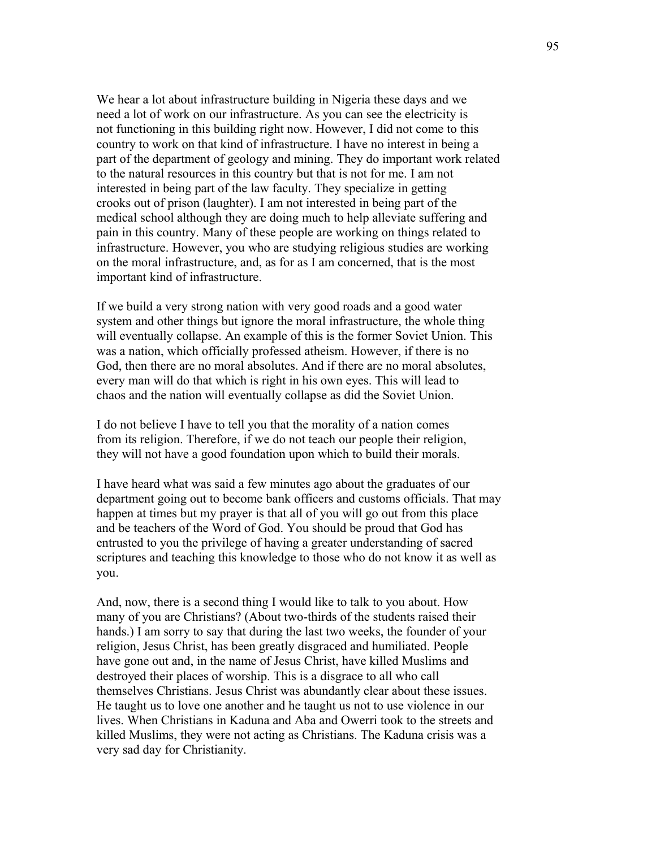We hear a lot about infrastructure building in Nigeria these days and we need a lot of work on our infrastructure. As you can see the electricity is not functioning in this building right now. However, I did not come to this country to work on that kind of infrastructure. I have no interest in being a part of the department of geology and mining. They do important work related to the natural resources in this country but that is not for me. I am not interested in being part of the law faculty. They specialize in getting crooks out of prison (laughter). I am not interested in being part of the medical school although they are doing much to help alleviate suffering and pain in this country. Many of these people are working on things related to infrastructure. However, you who are studying religious studies are working on the moral infrastructure, and, as for as I am concerned, that is the most important kind of infrastructure.

If we build a very strong nation with very good roads and a good water system and other things but ignore the moral infrastructure, the whole thing will eventually collapse. An example of this is the former Soviet Union. This was a nation, which officially professed atheism. However, if there is no God, then there are no moral absolutes. And if there are no moral absolutes, every man will do that which is right in his own eyes. This will lead to chaos and the nation will eventually collapse as did the Soviet Union.

I do not believe I have to tell you that the morality of a nation comes from its religion. Therefore, if we do not teach our people their religion, they will not have a good foundation upon which to build their morals.

I have heard what was said a few minutes ago about the graduates of our department going out to become bank officers and customs officials. That may happen at times but my prayer is that all of you will go out from this place and be teachers of the Word of God. You should be proud that God has entrusted to you the privilege of having a greater understanding of sacred scriptures and teaching this knowledge to those who do not know it as well as you.

And, now, there is a second thing I would like to talk to you about. How many of you are Christians? (About two-thirds of the students raised their hands.) I am sorry to say that during the last two weeks, the founder of your religion, Jesus Christ, has been greatly disgraced and humiliated. People have gone out and, in the name of Jesus Christ, have killed Muslims and destroyed their places of worship. This is a disgrace to all who call themselves Christians. Jesus Christ was abundantly clear about these issues. He taught us to love one another and he taught us not to use violence in our lives. When Christians in Kaduna and Aba and Owerri took to the streets and killed Muslims, they were not acting as Christians. The Kaduna crisis was a very sad day for Christianity.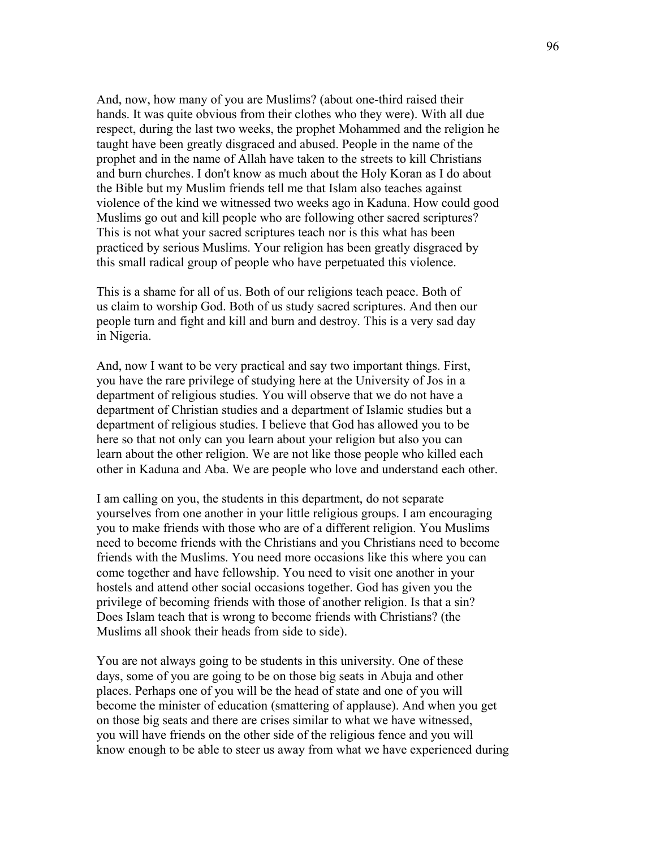And, now, how many of you are Muslims? (about one-third raised their hands. It was quite obvious from their clothes who they were). With all due respect, during the last two weeks, the prophet Mohammed and the religion he taught have been greatly disgraced and abused. People in the name of the prophet and in the name of Allah have taken to the streets to kill Christians and burn churches. I don't know as much about the Holy Koran as I do about the Bible but my Muslim friends tell me that Islam also teaches against violence of the kind we witnessed two weeks ago in Kaduna. How could good Muslims go out and kill people who are following other sacred scriptures? This is not what your sacred scriptures teach nor is this what has been practiced by serious Muslims. Your religion has been greatly disgraced by this small radical group of people who have perpetuated this violence.

This is a shame for all of us. Both of our religions teach peace. Both of us claim to worship God. Both of us study sacred scriptures. And then our people turn and fight and kill and burn and destroy. This is a very sad day in Nigeria.

And, now I want to be very practical and say two important things. First, you have the rare privilege of studying here at the University of Jos in a department of religious studies. You will observe that we do not have a department of Christian studies and a department of Islamic studies but a department of religious studies. I believe that God has allowed you to be here so that not only can you learn about your religion but also you can learn about the other religion. We are not like those people who killed each other in Kaduna and Aba. We are people who love and understand each other.

I am calling on you, the students in this department, do not separate yourselves from one another in your little religious groups. I am encouraging you to make friends with those who are of a different religion. You Muslims need to become friends with the Christians and you Christians need to become friends with the Muslims. You need more occasions like this where you can come together and have fellowship. You need to visit one another in your hostels and attend other social occasions together. God has given you the privilege of becoming friends with those of another religion. Is that a sin? Does Islam teach that is wrong to become friends with Christians? (the Muslims all shook their heads from side to side).

You are not always going to be students in this university. One of these days, some of you are going to be on those big seats in Abuja and other places. Perhaps one of you will be the head of state and one of you will become the minister of education (smattering of applause). And when you get on those big seats and there are crises similar to what we have witnessed, you will have friends on the other side of the religious fence and you will know enough to be able to steer us away from what we have experienced during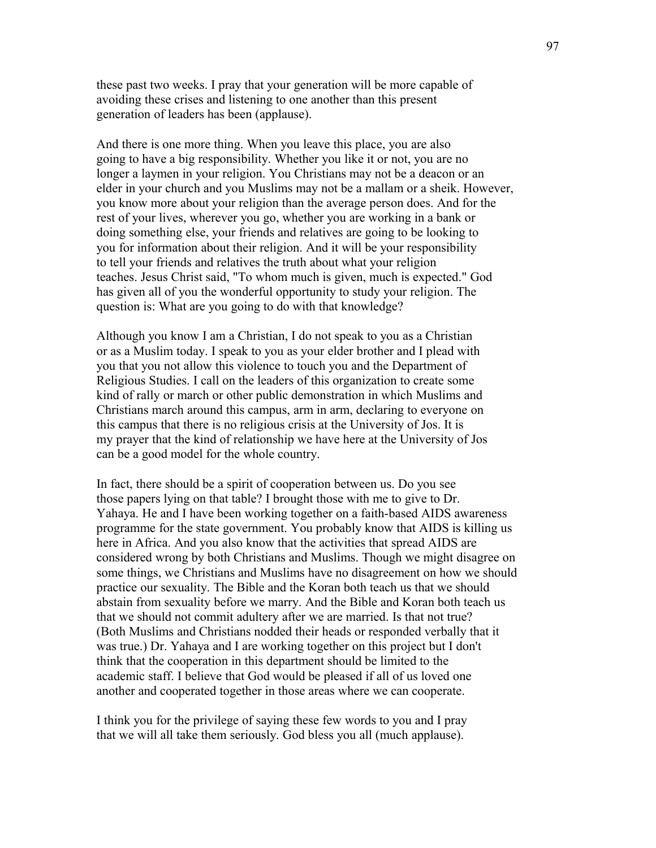these past two weeks. I pray that your generation will be more capable of avoiding these crises and listening to one another than this present generation of leaders has been (applause).

And there is one more thing. When you leave this place, you are also going to have a big responsibility. Whether you like it or not, you are no longer a laymen in your religion. You Christians may not be a deacon or an elder in your church and you Muslims may not be a mallam or a sheik. However, you know more about your religion than the average person does. And for the rest of your lives, wherever you go, whether you are working in a bank or doing something else, your friends and relatives are going to be looking to you for information about their religion. And it will be your responsibility to tell your friends and relatives the truth about what your religion teaches. Jesus Christ said, "To whom much is given, much is expected." God has given all of you the wonderful opportunity to study your religion. The question is: What are you going to do with that knowledge?

Although you know I am a Christian, I do not speak to you as a Christian or as a Muslim today. I speak to you as your elder brother and I plead with you that you not allow this violence to touch you and the Department of Religious Studies. I call on the leaders of this organization to create some kind of rally or march or other public demonstration in which Muslims and Christians march around this campus, arm in arm, declaring to everyone on this campus that there is no religious crisis at the University of Jos. It is my prayer that the kind of relationship we have here at the University of Jos can be a good model for the whole country.

In fact, there should be a spirit of cooperation between us. Do you see those papers lying on that table? I brought those with me to give to Dr. Yahaya. He and I have been working together on a faith-based AIDS awareness programme for the state government. You probably know that AIDS is killing us here in Africa. And you also know that the activities that spread AIDS are considered wrong by both Christians and Muslims. Though we might disagree on some things, we Christians and Muslims have no disagreement on how we should practice our sexuality. The Bible and the Koran both teach us that we should abstain from sexuality before we marry. And the Bible and Koran both teach us that we should not commit adultery after we are married. Is that not true? (Both Muslims and Christians nodded their heads or responded verbally that it was true.) Dr. Yahaya and I are working together on this project but I don't think that the cooperation in this department should be limited to the academic staff. I believe that God would be pleased if all of us loved one another and cooperated together in those areas where we can cooperate.

I think you for the privilege of saying these few words to you and I pray that we will all take them seriously. God bless you all (much applause).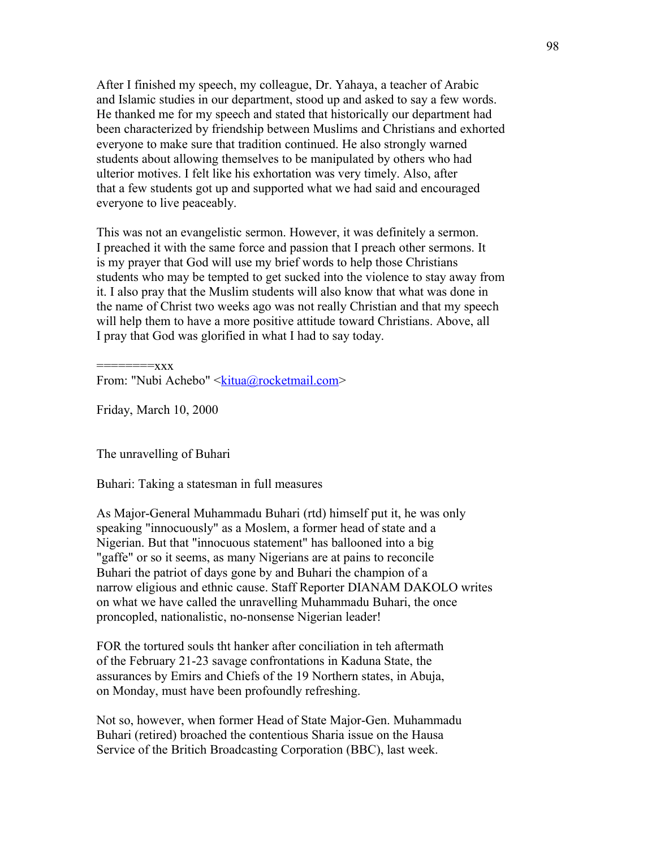After I finished my speech, my colleague, Dr. Yahaya, a teacher of Arabic and Islamic studies in our department, stood up and asked to say a few words. He thanked me for my speech and stated that historically our department had been characterized by friendship between Muslims and Christians and exhorted everyone to make sure that tradition continued. He also strongly warned students about allowing themselves to be manipulated by others who had ulterior motives. I felt like his exhortation was very timely. Also, after that a few students got up and supported what we had said and encouraged everyone to live peaceably.

This was not an evangelistic sermon. However, it was definitely a sermon. I preached it with the same force and passion that I preach other sermons. It is my prayer that God will use my brief words to help those Christians students who may be tempted to get sucked into the violence to stay away from it. I also pray that the Muslim students will also know that what was done in the name of Christ two weeks ago was not really Christian and that my speech will help them to have a more positive attitude toward Christians. Above, all I pray that God was glorified in what I had to say today.

 $=xxx$ 

From: "Nubi Achebo" [<kitua@rocketmail.com>](mailto:kitua@rocketmail.com)

Friday, March 10, 2000

The unravelling of Buhari

Buhari: Taking a statesman in full measures

As Major-General Muhammadu Buhari (rtd) himself put it, he was only speaking "innocuously" as a Moslem, a former head of state and a Nigerian. But that "innocuous statement" has ballooned into a big "gaffe" or so it seems, as many Nigerians are at pains to reconcile Buhari the patriot of days gone by and Buhari the champion of a narrow eligious and ethnic cause. Staff Reporter DIANAM DAKOLO writes on what we have called the unravelling Muhammadu Buhari, the once proncopled, nationalistic, no-nonsense Nigerian leader!

FOR the tortured souls tht hanker after conciliation in teh aftermath of the February 21-23 savage confrontations in Kaduna State, the assurances by Emirs and Chiefs of the 19 Northern states, in Abuja, on Monday, must have been profoundly refreshing.

Not so, however, when former Head of State Major-Gen. Muhammadu Buhari (retired) broached the contentious Sharia issue on the Hausa Service of the Britich Broadcasting Corporation (BBC), last week.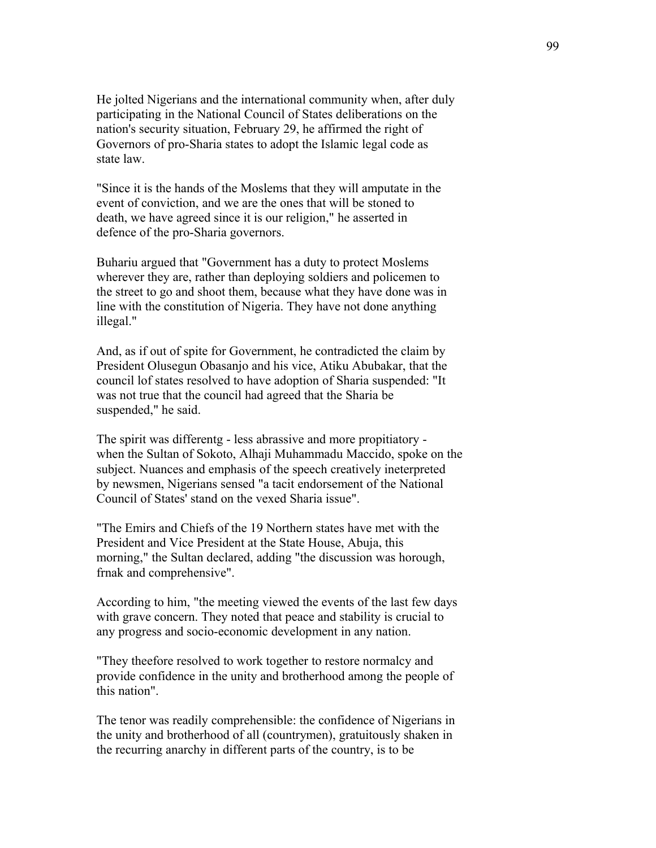He jolted Nigerians and the international community when, after duly participating in the National Council of States deliberations on the nation's security situation, February 29, he affirmed the right of Governors of pro-Sharia states to adopt the Islamic legal code as state law.

"Since it is the hands of the Moslems that they will amputate in the event of conviction, and we are the ones that will be stoned to death, we have agreed since it is our religion," he asserted in defence of the pro-Sharia governors.

Buhariu argued that "Government has a duty to protect Moslems wherever they are, rather than deploying soldiers and policemen to the street to go and shoot them, because what they have done was in line with the constitution of Nigeria. They have not done anything illegal."

And, as if out of spite for Government, he contradicted the claim by President Olusegun Obasanjo and his vice, Atiku Abubakar, that the council lof states resolved to have adoption of Sharia suspended: "It was not true that the council had agreed that the Sharia be suspended," he said.

The spirit was differentg - less abrassive and more propitiatory when the Sultan of Sokoto, Alhaji Muhammadu Maccido, spoke on the subject. Nuances and emphasis of the speech creatively ineterpreted by newsmen, Nigerians sensed "a tacit endorsement of the National Council of States' stand on the vexed Sharia issue".

"The Emirs and Chiefs of the 19 Northern states have met with the President and Vice President at the State House, Abuja, this morning," the Sultan declared, adding "the discussion was horough, frnak and comprehensive".

According to him, "the meeting viewed the events of the last few days with grave concern. They noted that peace and stability is crucial to any progress and socio-economic development in any nation.

"They theefore resolved to work together to restore normalcy and provide confidence in the unity and brotherhood among the people of this nation".

The tenor was readily comprehensible: the confidence of Nigerians in the unity and brotherhood of all (countrymen), gratuitously shaken in the recurring anarchy in different parts of the country, is to be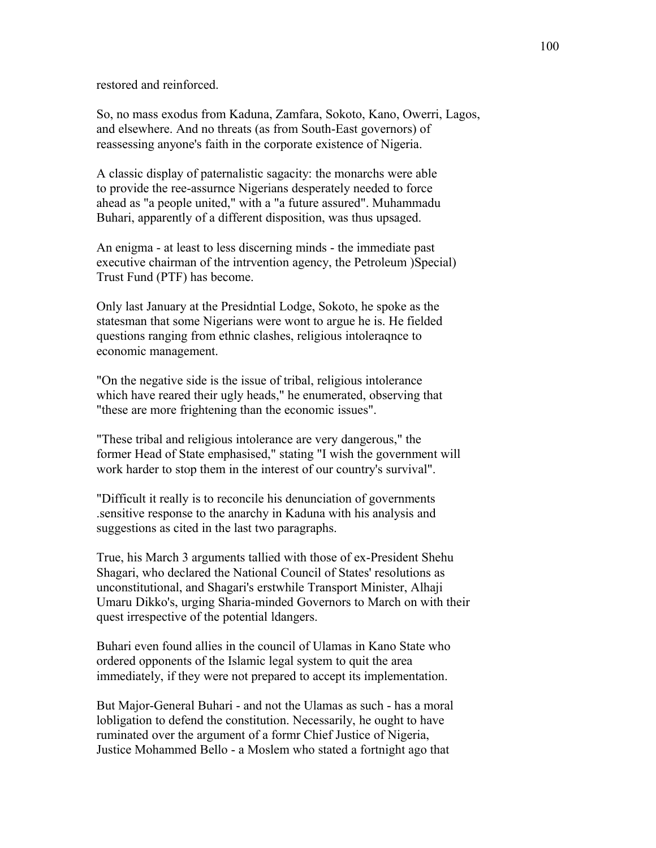restored and reinforced.

So, no mass exodus from Kaduna, Zamfara, Sokoto, Kano, Owerri, Lagos, and elsewhere. And no threats (as from South-East governors) of reassessing anyone's faith in the corporate existence of Nigeria.

A classic display of paternalistic sagacity: the monarchs were able to provide the ree-assurnce Nigerians desperately needed to force ahead as "a people united," with a "a future assured". Muhammadu Buhari, apparently of a different disposition, was thus upsaged.

An enigma - at least to less discerning minds - the immediate past executive chairman of the intrvention agency, the Petroleum )Special) Trust Fund (PTF) has become.

Only last January at the Presidntial Lodge, Sokoto, he spoke as the statesman that some Nigerians were wont to argue he is. He fielded questions ranging from ethnic clashes, religious intoleraqnce to economic management.

"On the negative side is the issue of tribal, religious intolerance which have reared their ugly heads," he enumerated, observing that "these are more frightening than the economic issues".

"These tribal and religious intolerance are very dangerous," the former Head of State emphasised," stating "I wish the government will work harder to stop them in the interest of our country's survival".

"Difficult it really is to reconcile his denunciation of governments .sensitive response to the anarchy in Kaduna with his analysis and suggestions as cited in the last two paragraphs.

True, his March 3 arguments tallied with those of ex-President Shehu Shagari, who declared the National Council of States' resolutions as unconstitutional, and Shagari's erstwhile Transport Minister, Alhaji Umaru Dikko's, urging Sharia-minded Governors to March on with their quest irrespective of the potential ldangers.

Buhari even found allies in the council of Ulamas in Kano State who ordered opponents of the Islamic legal system to quit the area immediately, if they were not prepared to accept its implementation.

But Major-General Buhari - and not the Ulamas as such - has a moral lobligation to defend the constitution. Necessarily, he ought to have ruminated over the argument of a formr Chief Justice of Nigeria, Justice Mohammed Bello - a Moslem who stated a fortnight ago that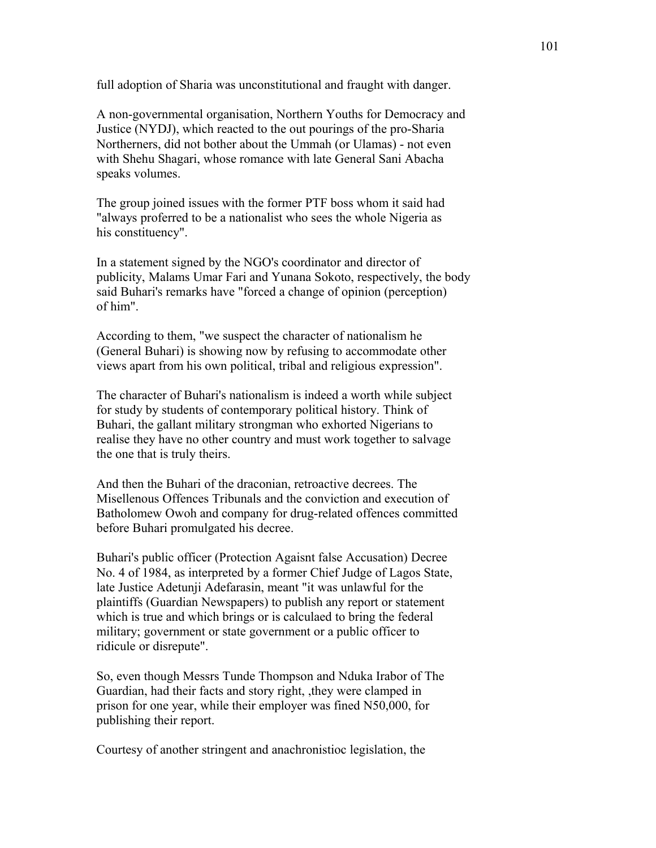full adoption of Sharia was unconstitutional and fraught with danger.

A non-governmental organisation, Northern Youths for Democracy and Justice (NYDJ), which reacted to the out pourings of the pro-Sharia Northerners, did not bother about the Ummah (or Ulamas) - not even with Shehu Shagari, whose romance with late General Sani Abacha speaks volumes.

The group joined issues with the former PTF boss whom it said had "always proferred to be a nationalist who sees the whole Nigeria as his constituency".

In a statement signed by the NGO's coordinator and director of publicity, Malams Umar Fari and Yunana Sokoto, respectively, the body said Buhari's remarks have "forced a change of opinion (perception) of him".

According to them, "we suspect the character of nationalism he (General Buhari) is showing now by refusing to accommodate other views apart from his own political, tribal and religious expression".

The character of Buhari's nationalism is indeed a worth while subject for study by students of contemporary political history. Think of Buhari, the gallant military strongman who exhorted Nigerians to realise they have no other country and must work together to salvage the one that is truly theirs.

And then the Buhari of the draconian, retroactive decrees. The Misellenous Offences Tribunals and the conviction and execution of Batholomew Owoh and company for drug-related offences committed before Buhari promulgated his decree.

Buhari's public officer (Protection Agaisnt false Accusation) Decree No. 4 of 1984, as interpreted by a former Chief Judge of Lagos State, late Justice Adetunji Adefarasin, meant "it was unlawful for the plaintiffs (Guardian Newspapers) to publish any report or statement which is true and which brings or is calculaed to bring the federal military; government or state government or a public officer to ridicule or disrepute".

So, even though Messrs Tunde Thompson and Nduka Irabor of The Guardian, had their facts and story right, ,they were clamped in prison for one year, while their employer was fined N50,000, for publishing their report.

Courtesy of another stringent and anachronistioc legislation, the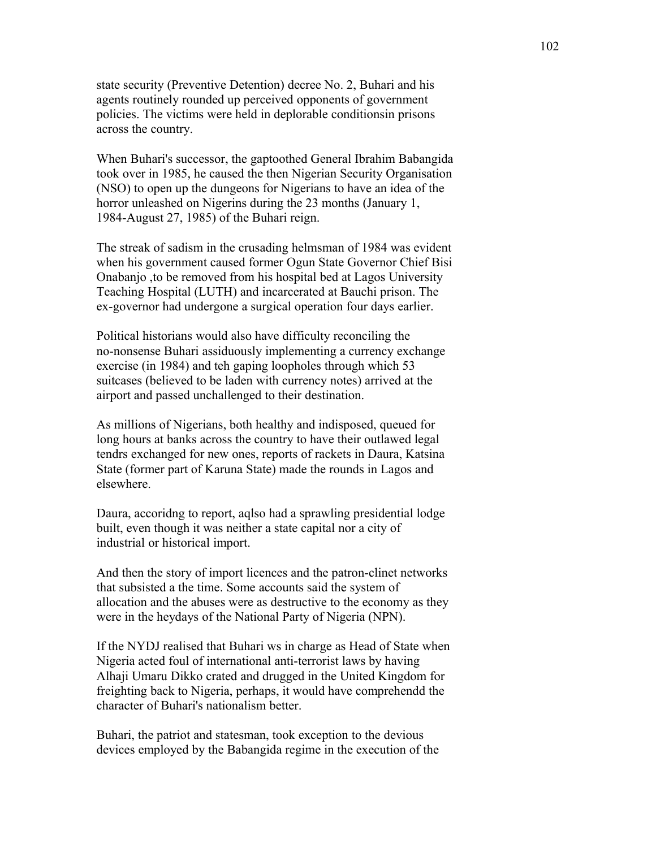state security (Preventive Detention) decree No. 2, Buhari and his agents routinely rounded up perceived opponents of government policies. The victims were held in deplorable conditionsin prisons across the country.

When Buhari's successor, the gaptoothed General Ibrahim Babangida took over in 1985, he caused the then Nigerian Security Organisation (NSO) to open up the dungeons for Nigerians to have an idea of the horror unleashed on Nigerins during the 23 months (January 1, 1984-August 27, 1985) of the Buhari reign.

The streak of sadism in the crusading helmsman of 1984 was evident when his government caused former Ogun State Governor Chief Bisi Onabanjo ,to be removed from his hospital bed at Lagos University Teaching Hospital (LUTH) and incarcerated at Bauchi prison. The ex-governor had undergone a surgical operation four days earlier.

Political historians would also have difficulty reconciling the no-nonsense Buhari assiduously implementing a currency exchange exercise (in 1984) and teh gaping loopholes through which 53 suitcases (believed to be laden with currency notes) arrived at the airport and passed unchallenged to their destination.

As millions of Nigerians, both healthy and indisposed, queued for long hours at banks across the country to have their outlawed legal tendrs exchanged for new ones, reports of rackets in Daura, Katsina State (former part of Karuna State) made the rounds in Lagos and elsewhere.

Daura, accoridng to report, aqlso had a sprawling presidential lodge built, even though it was neither a state capital nor a city of industrial or historical import.

And then the story of import licences and the patron-clinet networks that subsisted a the time. Some accounts said the system of allocation and the abuses were as destructive to the economy as they were in the heydays of the National Party of Nigeria (NPN).

If the NYDJ realised that Buhari ws in charge as Head of State when Nigeria acted foul of international anti-terrorist laws by having Alhaji Umaru Dikko crated and drugged in the United Kingdom for freighting back to Nigeria, perhaps, it would have comprehendd the character of Buhari's nationalism better.

Buhari, the patriot and statesman, took exception to the devious devices employed by the Babangida regime in the execution of the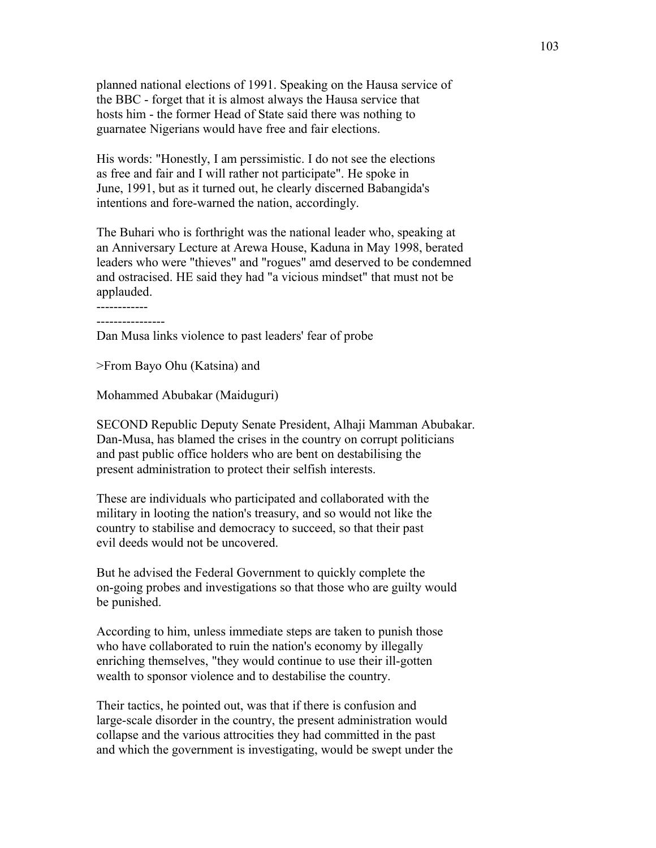planned national elections of 1991. Speaking on the Hausa service of the BBC - forget that it is almost always the Hausa service that hosts him - the former Head of State said there was nothing to guarnatee Nigerians would have free and fair elections.

His words: "Honestly, I am perssimistic. I do not see the elections as free and fair and I will rather not participate". He spoke in June, 1991, but as it turned out, he clearly discerned Babangida's intentions and fore-warned the nation, accordingly.

The Buhari who is forthright was the national leader who, speaking at an Anniversary Lecture at Arewa House, Kaduna in May 1998, berated leaders who were "thieves" and "rogues" amd deserved to be condemned and ostracised. HE said they had "a vicious mindset" that must not be applauded.

------------

----------------

Dan Musa links violence to past leaders' fear of probe

>From Bayo Ohu (Katsina) and

Mohammed Abubakar (Maiduguri)

SECOND Republic Deputy Senate President, Alhaji Mamman Abubakar. Dan-Musa, has blamed the crises in the country on corrupt politicians and past public office holders who are bent on destabilising the present administration to protect their selfish interests.

These are individuals who participated and collaborated with the military in looting the nation's treasury, and so would not like the country to stabilise and democracy to succeed, so that their past evil deeds would not be uncovered.

But he advised the Federal Government to quickly complete the on-going probes and investigations so that those who are guilty would be punished.

According to him, unless immediate steps are taken to punish those who have collaborated to ruin the nation's economy by illegally enriching themselves, "they would continue to use their ill-gotten wealth to sponsor violence and to destabilise the country.

Their tactics, he pointed out, was that if there is confusion and large-scale disorder in the country, the present administration would collapse and the various attrocities they had committed in the past and which the government is investigating, would be swept under the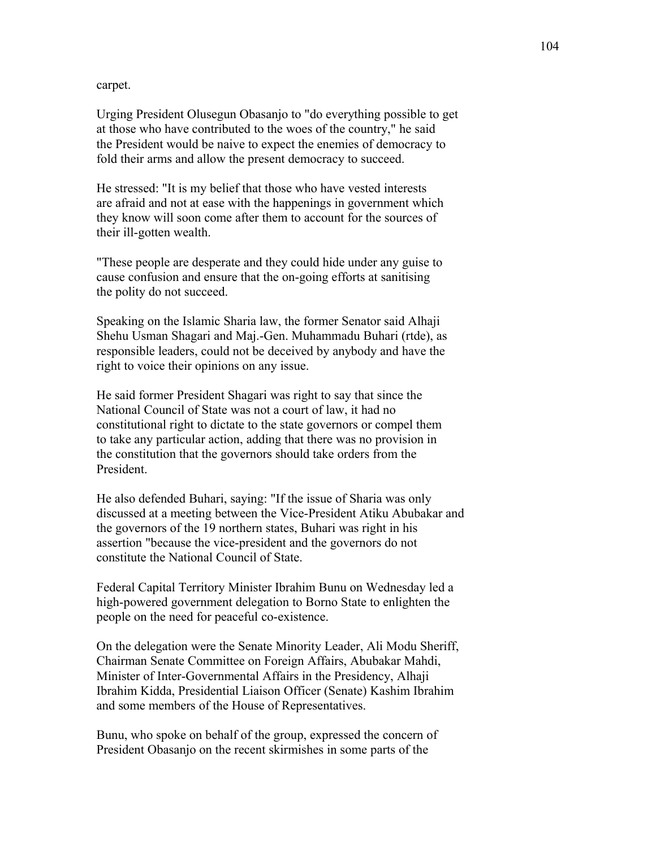### carpet.

Urging President Olusegun Obasanjo to "do everything possible to get at those who have contributed to the woes of the country," he said the President would be naive to expect the enemies of democracy to fold their arms and allow the present democracy to succeed.

He stressed: "It is my belief that those who have vested interests are afraid and not at ease with the happenings in government which they know will soon come after them to account for the sources of their ill-gotten wealth.

"These people are desperate and they could hide under any guise to cause confusion and ensure that the on-going efforts at sanitising the polity do not succeed.

Speaking on the Islamic Sharia law, the former Senator said Alhaji Shehu Usman Shagari and Maj.-Gen. Muhammadu Buhari (rtde), as responsible leaders, could not be deceived by anybody and have the right to voice their opinions on any issue.

He said former President Shagari was right to say that since the National Council of State was not a court of law, it had no constitutional right to dictate to the state governors or compel them to take any particular action, adding that there was no provision in the constitution that the governors should take orders from the President.

He also defended Buhari, saying: "If the issue of Sharia was only discussed at a meeting between the Vice-President Atiku Abubakar and the governors of the 19 northern states, Buhari was right in his assertion "because the vice-president and the governors do not constitute the National Council of State.

Federal Capital Territory Minister Ibrahim Bunu on Wednesday led a high-powered government delegation to Borno State to enlighten the people on the need for peaceful co-existence.

On the delegation were the Senate Minority Leader, Ali Modu Sheriff, Chairman Senate Committee on Foreign Affairs, Abubakar Mahdi, Minister of Inter-Governmental Affairs in the Presidency, Alhaji Ibrahim Kidda, Presidential Liaison Officer (Senate) Kashim Ibrahim and some members of the House of Representatives.

Bunu, who spoke on behalf of the group, expressed the concern of President Obasanjo on the recent skirmishes in some parts of the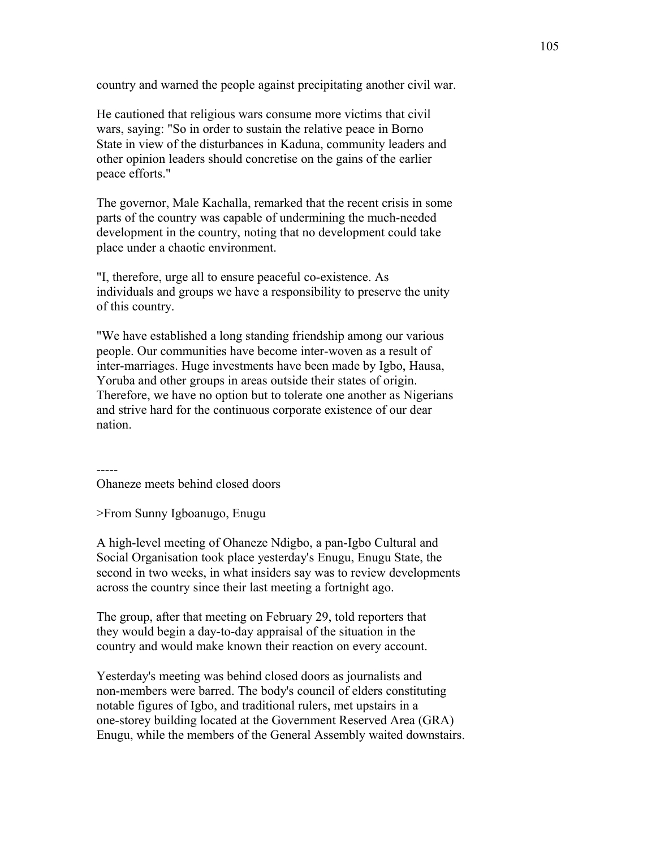country and warned the people against precipitating another civil war.

He cautioned that religious wars consume more victims that civil wars, saying: "So in order to sustain the relative peace in Borno State in view of the disturbances in Kaduna, community leaders and other opinion leaders should concretise on the gains of the earlier peace efforts."

The governor, Male Kachalla, remarked that the recent crisis in some parts of the country was capable of undermining the much-needed development in the country, noting that no development could take place under a chaotic environment.

"I, therefore, urge all to ensure peaceful co-existence. As individuals and groups we have a responsibility to preserve the unity of this country.

"We have established a long standing friendship among our various people. Our communities have become inter-woven as a result of inter-marriages. Huge investments have been made by Igbo, Hausa, Yoruba and other groups in areas outside their states of origin. Therefore, we have no option but to tolerate one another as Nigerians and strive hard for the continuous corporate existence of our dear nation.

Ohaneze meets behind closed doors

>From Sunny Igboanugo, Enugu

-----

A high-level meeting of Ohaneze Ndigbo, a pan-Igbo Cultural and Social Organisation took place yesterday's Enugu, Enugu State, the second in two weeks, in what insiders say was to review developments across the country since their last meeting a fortnight ago.

The group, after that meeting on February 29, told reporters that they would begin a day-to-day appraisal of the situation in the country and would make known their reaction on every account.

Yesterday's meeting was behind closed doors as journalists and non-members were barred. The body's council of elders constituting notable figures of Igbo, and traditional rulers, met upstairs in a one-storey building located at the Government Reserved Area (GRA) Enugu, while the members of the General Assembly waited downstairs.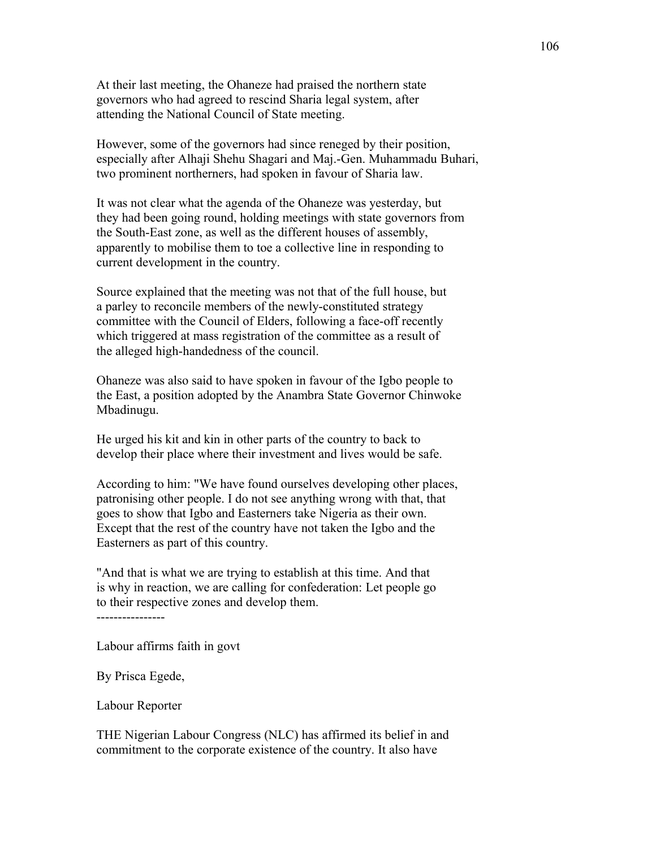At their last meeting, the Ohaneze had praised the northern state governors who had agreed to rescind Sharia legal system, after attending the National Council of State meeting.

However, some of the governors had since reneged by their position, especially after Alhaji Shehu Shagari and Maj.-Gen. Muhammadu Buhari, two prominent northerners, had spoken in favour of Sharia law.

It was not clear what the agenda of the Ohaneze was yesterday, but they had been going round, holding meetings with state governors from the South-East zone, as well as the different houses of assembly, apparently to mobilise them to toe a collective line in responding to current development in the country.

Source explained that the meeting was not that of the full house, but a parley to reconcile members of the newly-constituted strategy committee with the Council of Elders, following a face-off recently which triggered at mass registration of the committee as a result of the alleged high-handedness of the council.

Ohaneze was also said to have spoken in favour of the Igbo people to the East, a position adopted by the Anambra State Governor Chinwoke Mbadinugu.

He urged his kit and kin in other parts of the country to back to develop their place where their investment and lives would be safe.

According to him: "We have found ourselves developing other places, patronising other people. I do not see anything wrong with that, that goes to show that Igbo and Easterners take Nigeria as their own. Except that the rest of the country have not taken the Igbo and the Easterners as part of this country.

"And that is what we are trying to establish at this time. And that is why in reaction, we are calling for confederation: Let people go to their respective zones and develop them. ----------------

Labour affirms faith in govt

By Prisca Egede,

Labour Reporter

THE Nigerian Labour Congress (NLC) has affirmed its belief in and commitment to the corporate existence of the country. It also have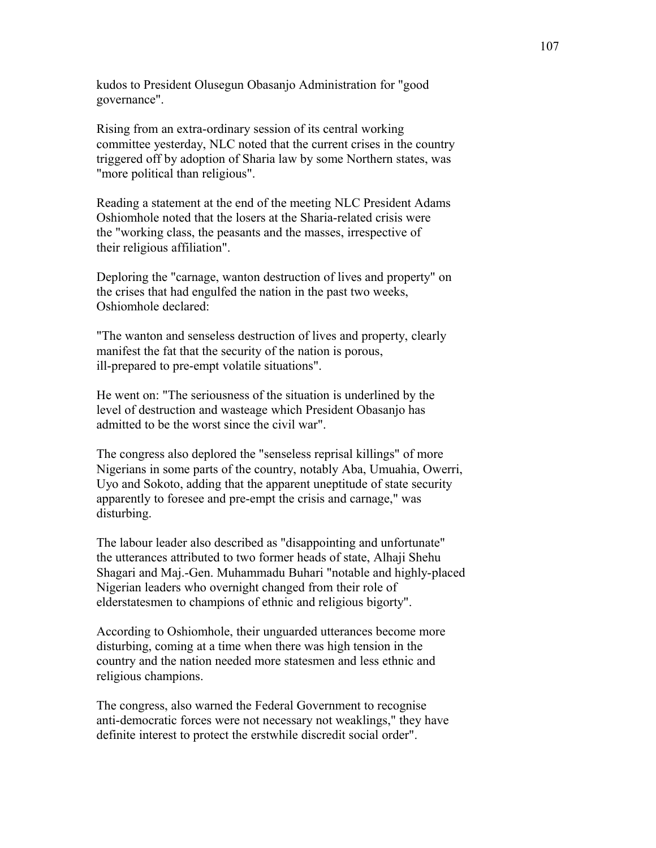kudos to President Olusegun Obasanjo Administration for "good governance".

Rising from an extra-ordinary session of its central working committee yesterday, NLC noted that the current crises in the country triggered off by adoption of Sharia law by some Northern states, was "more political than religious".

Reading a statement at the end of the meeting NLC President Adams Oshiomhole noted that the losers at the Sharia-related crisis were the "working class, the peasants and the masses, irrespective of their religious affiliation".

Deploring the "carnage, wanton destruction of lives and property" on the crises that had engulfed the nation in the past two weeks, Oshiomhole declared:

"The wanton and senseless destruction of lives and property, clearly manifest the fat that the security of the nation is porous, ill-prepared to pre-empt volatile situations".

He went on: "The seriousness of the situation is underlined by the level of destruction and wasteage which President Obasanjo has admitted to be the worst since the civil war".

The congress also deplored the "senseless reprisal killings" of more Nigerians in some parts of the country, notably Aba, Umuahia, Owerri, Uyo and Sokoto, adding that the apparent uneptitude of state security apparently to foresee and pre-empt the crisis and carnage," was disturbing.

The labour leader also described as "disappointing and unfortunate" the utterances attributed to two former heads of state, Alhaji Shehu Shagari and Maj.-Gen. Muhammadu Buhari "notable and highly-placed Nigerian leaders who overnight changed from their role of elderstatesmen to champions of ethnic and religious bigorty".

According to Oshiomhole, their unguarded utterances become more disturbing, coming at a time when there was high tension in the country and the nation needed more statesmen and less ethnic and religious champions.

The congress, also warned the Federal Government to recognise anti-democratic forces were not necessary not weaklings," they have definite interest to protect the erstwhile discredit social order".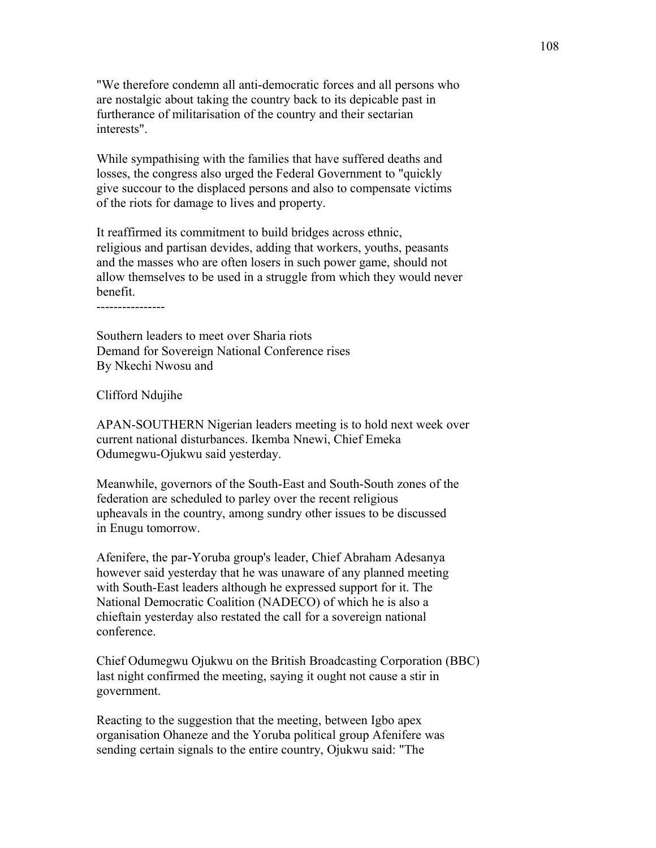"We therefore condemn all anti-democratic forces and all persons who are nostalgic about taking the country back to its depicable past in furtherance of militarisation of the country and their sectarian interests".

While sympathising with the families that have suffered deaths and losses, the congress also urged the Federal Government to "quickly give succour to the displaced persons and also to compensate victims of the riots for damage to lives and property.

It reaffirmed its commitment to build bridges across ethnic, religious and partisan devides, adding that workers, youths, peasants and the masses who are often losers in such power game, should not allow themselves to be used in a struggle from which they would never benefit.

----------------

Southern leaders to meet over Sharia riots Demand for Sovereign National Conference rises By Nkechi Nwosu and

## Clifford Ndujihe

APAN-SOUTHERN Nigerian leaders meeting is to hold next week over current national disturbances. Ikemba Nnewi, Chief Emeka Odumegwu-Ojukwu said yesterday.

Meanwhile, governors of the South-East and South-South zones of the federation are scheduled to parley over the recent religious upheavals in the country, among sundry other issues to be discussed in Enugu tomorrow.

Afenifere, the par-Yoruba group's leader, Chief Abraham Adesanya however said yesterday that he was unaware of any planned meeting with South-East leaders although he expressed support for it. The National Democratic Coalition (NADECO) of which he is also a chieftain yesterday also restated the call for a sovereign national conference.

Chief Odumegwu Ojukwu on the British Broadcasting Corporation (BBC) last night confirmed the meeting, saying it ought not cause a stir in government.

Reacting to the suggestion that the meeting, between Igbo apex organisation Ohaneze and the Yoruba political group Afenifere was sending certain signals to the entire country, Ojukwu said: "The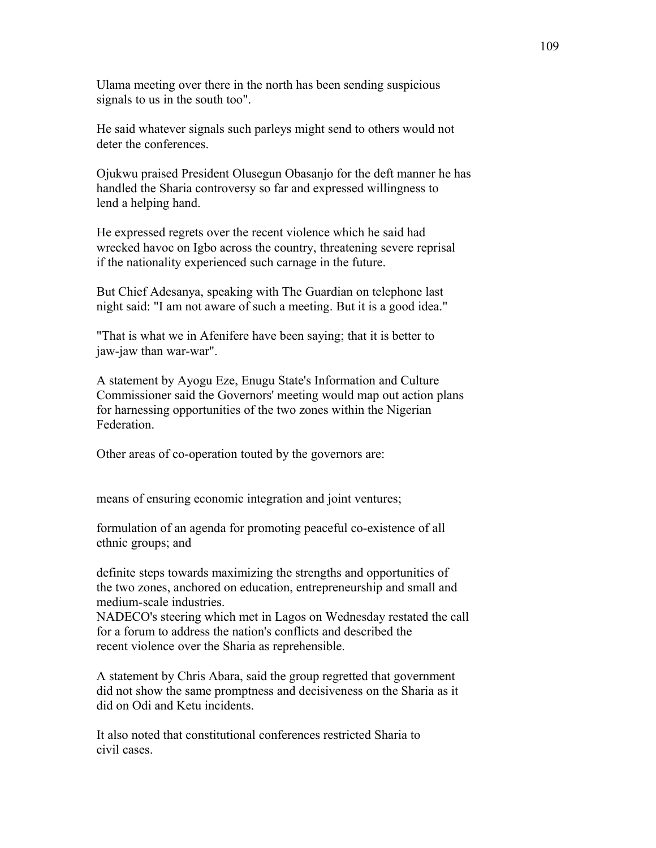Ulama meeting over there in the north has been sending suspicious signals to us in the south too".

He said whatever signals such parleys might send to others would not deter the conferences.

Ojukwu praised President Olusegun Obasanjo for the deft manner he has handled the Sharia controversy so far and expressed willingness to lend a helping hand.

He expressed regrets over the recent violence which he said had wrecked havoc on Igbo across the country, threatening severe reprisal if the nationality experienced such carnage in the future.

But Chief Adesanya, speaking with The Guardian on telephone last night said: "I am not aware of such a meeting. But it is a good idea."

"That is what we in Afenifere have been saying; that it is better to jaw-jaw than war-war".

A statement by Ayogu Eze, Enugu State's Information and Culture Commissioner said the Governors' meeting would map out action plans for harnessing opportunities of the two zones within the Nigerian Federation.

Other areas of co-operation touted by the governors are:

means of ensuring economic integration and joint ventures;

formulation of an agenda for promoting peaceful co-existence of all ethnic groups; and

definite steps towards maximizing the strengths and opportunities of the two zones, anchored on education, entrepreneurship and small and medium-scale industries.

NADECO's steering which met in Lagos on Wednesday restated the call for a forum to address the nation's conflicts and described the recent violence over the Sharia as reprehensible.

A statement by Chris Abara, said the group regretted that government did not show the same promptness and decisiveness on the Sharia as it did on Odi and Ketu incidents.

It also noted that constitutional conferences restricted Sharia to civil cases.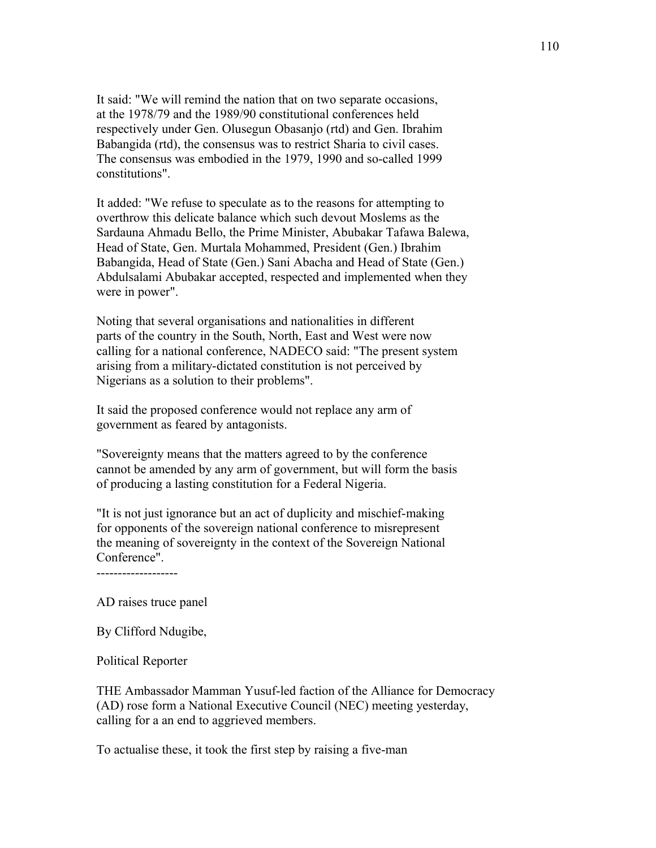It said: "We will remind the nation that on two separate occasions, at the 1978/79 and the 1989/90 constitutional conferences held respectively under Gen. Olusegun Obasanjo (rtd) and Gen. Ibrahim Babangida (rtd), the consensus was to restrict Sharia to civil cases. The consensus was embodied in the 1979, 1990 and so-called 1999 constitutions".

It added: "We refuse to speculate as to the reasons for attempting to overthrow this delicate balance which such devout Moslems as the Sardauna Ahmadu Bello, the Prime Minister, Abubakar Tafawa Balewa, Head of State, Gen. Murtala Mohammed, President (Gen.) Ibrahim Babangida, Head of State (Gen.) Sani Abacha and Head of State (Gen.) Abdulsalami Abubakar accepted, respected and implemented when they were in power".

Noting that several organisations and nationalities in different parts of the country in the South, North, East and West were now calling for a national conference, NADECO said: "The present system arising from a military-dictated constitution is not perceived by Nigerians as a solution to their problems".

It said the proposed conference would not replace any arm of government as feared by antagonists.

"Sovereignty means that the matters agreed to by the conference cannot be amended by any arm of government, but will form the basis of producing a lasting constitution for a Federal Nigeria.

"It is not just ignorance but an act of duplicity and mischief-making for opponents of the sovereign national conference to misrepresent the meaning of sovereignty in the context of the Sovereign National Conference".

AD raises truce panel

-------------------

By Clifford Ndugibe,

Political Reporter

THE Ambassador Mamman Yusuf-led faction of the Alliance for Democracy (AD) rose form a National Executive Council (NEC) meeting yesterday, calling for a an end to aggrieved members.

To actualise these, it took the first step by raising a five-man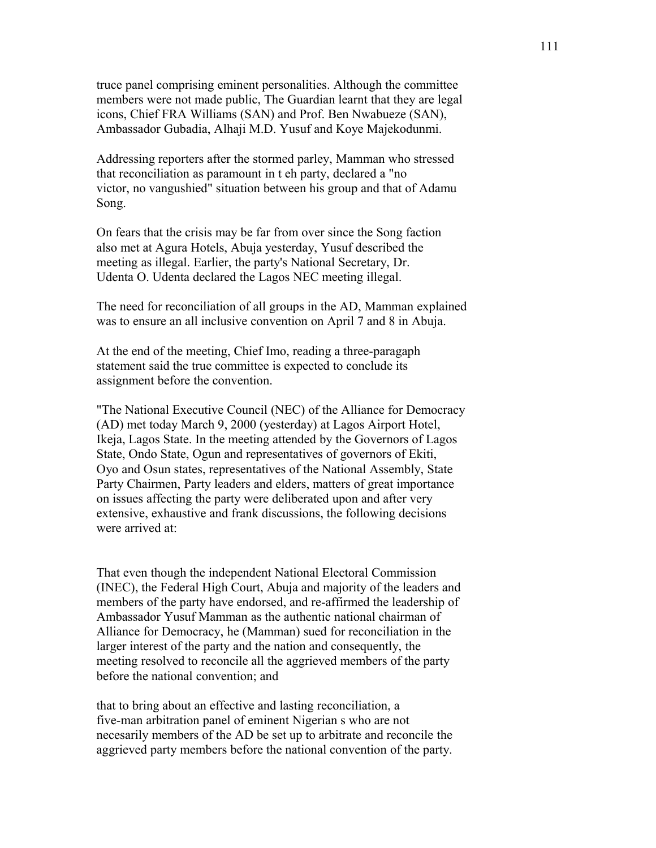truce panel comprising eminent personalities. Although the committee members were not made public, The Guardian learnt that they are legal icons, Chief FRA Williams (SAN) and Prof. Ben Nwabueze (SAN), Ambassador Gubadia, Alhaji M.D. Yusuf and Koye Majekodunmi.

Addressing reporters after the stormed parley, Mamman who stressed that reconciliation as paramount in t eh party, declared a "no victor, no vangushied" situation between his group and that of Adamu Song.

On fears that the crisis may be far from over since the Song faction also met at Agura Hotels, Abuja yesterday, Yusuf described the meeting as illegal. Earlier, the party's National Secretary, Dr. Udenta O. Udenta declared the Lagos NEC meeting illegal.

The need for reconciliation of all groups in the AD, Mamman explained was to ensure an all inclusive convention on April 7 and 8 in Abuja.

At the end of the meeting, Chief Imo, reading a three-paragaph statement said the true committee is expected to conclude its assignment before the convention.

"The National Executive Council (NEC) of the Alliance for Democracy (AD) met today March 9, 2000 (yesterday) at Lagos Airport Hotel, Ikeja, Lagos State. In the meeting attended by the Governors of Lagos State, Ondo State, Ogun and representatives of governors of Ekiti, Oyo and Osun states, representatives of the National Assembly, State Party Chairmen, Party leaders and elders, matters of great importance on issues affecting the party were deliberated upon and after very extensive, exhaustive and frank discussions, the following decisions were arrived at:

That even though the independent National Electoral Commission (INEC), the Federal High Court, Abuja and majority of the leaders and members of the party have endorsed, and re-affirmed the leadership of Ambassador Yusuf Mamman as the authentic national chairman of Alliance for Democracy, he (Mamman) sued for reconciliation in the larger interest of the party and the nation and consequently, the meeting resolved to reconcile all the aggrieved members of the party before the national convention; and

that to bring about an effective and lasting reconciliation, a five-man arbitration panel of eminent Nigerian s who are not necesarily members of the AD be set up to arbitrate and reconcile the aggrieved party members before the national convention of the party.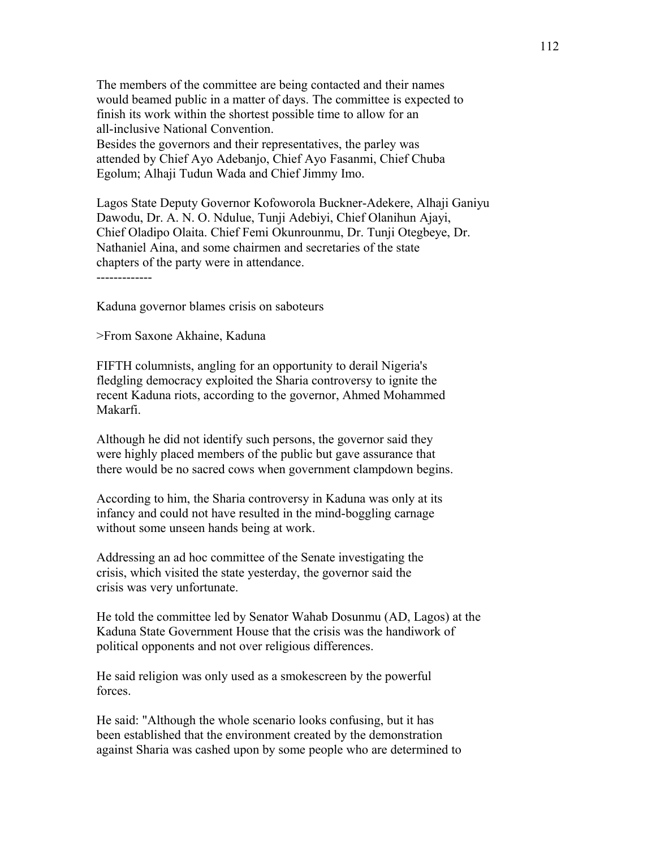The members of the committee are being contacted and their names would beamed public in a matter of days. The committee is expected to finish its work within the shortest possible time to allow for an all-inclusive National Convention. Besides the governors and their representatives, the parley was attended by Chief Ayo Adebanjo, Chief Ayo Fasanmi, Chief Chuba Egolum; Alhaji Tudun Wada and Chief Jimmy Imo.

Lagos State Deputy Governor Kofoworola Buckner-Adekere, Alhaji Ganiyu Dawodu, Dr. A. N. O. Ndulue, Tunji Adebiyi, Chief Olanihun Ajayi, Chief Oladipo Olaita. Chief Femi Okunrounmu, Dr. Tunji Otegbeye, Dr. Nathaniel Aina, and some chairmen and secretaries of the state chapters of the party were in attendance. -------------

Kaduna governor blames crisis on saboteurs

>From Saxone Akhaine, Kaduna

FIFTH columnists, angling for an opportunity to derail Nigeria's fledgling democracy exploited the Sharia controversy to ignite the recent Kaduna riots, according to the governor, Ahmed Mohammed Makarfi.

Although he did not identify such persons, the governor said they were highly placed members of the public but gave assurance that there would be no sacred cows when government clampdown begins.

According to him, the Sharia controversy in Kaduna was only at its infancy and could not have resulted in the mind-boggling carnage without some unseen hands being at work.

Addressing an ad hoc committee of the Senate investigating the crisis, which visited the state yesterday, the governor said the crisis was very unfortunate.

He told the committee led by Senator Wahab Dosunmu (AD, Lagos) at the Kaduna State Government House that the crisis was the handiwork of political opponents and not over religious differences.

He said religion was only used as a smokescreen by the powerful forces.

He said: "Although the whole scenario looks confusing, but it has been established that the environment created by the demonstration against Sharia was cashed upon by some people who are determined to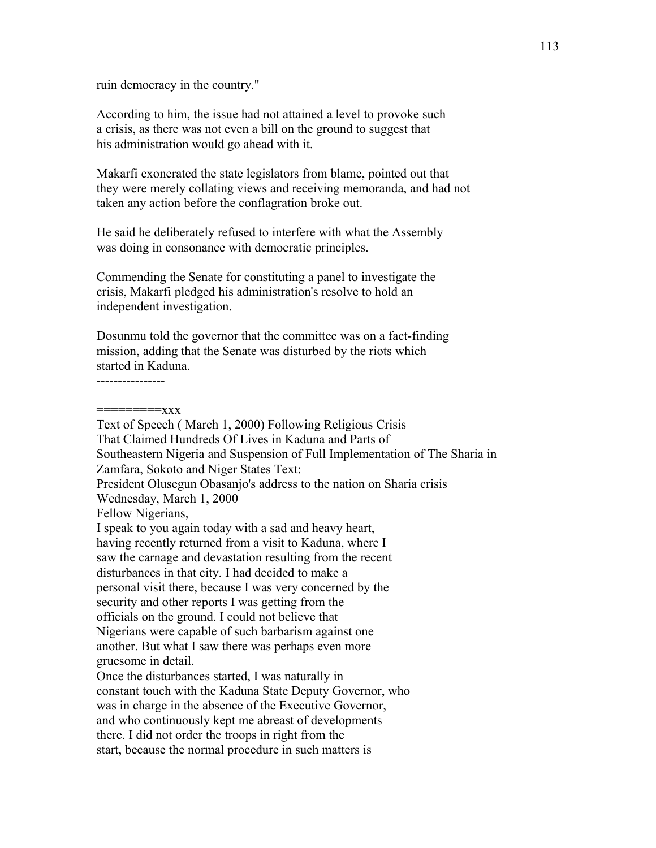ruin democracy in the country."

According to him, the issue had not attained a level to provoke such a crisis, as there was not even a bill on the ground to suggest that his administration would go ahead with it.

Makarfi exonerated the state legislators from blame, pointed out that they were merely collating views and receiving memoranda, and had not taken any action before the conflagration broke out.

He said he deliberately refused to interfere with what the Assembly was doing in consonance with democratic principles.

Commending the Senate for constituting a panel to investigate the crisis, Makarfi pledged his administration's resolve to hold an independent investigation.

Dosunmu told the governor that the committee was on a fact-finding mission, adding that the Senate was disturbed by the riots which started in Kaduna.

----------------

#### =========xxx

Text of Speech ( March 1, 2000) Following Religious Crisis That Claimed Hundreds Of Lives in Kaduna and Parts of Southeastern Nigeria and Suspension of Full Implementation of The Sharia in Zamfara, Sokoto and Niger States Text: President Olusegun Obasanjo's address to the nation on Sharia crisis Wednesday, March 1, 2000 Fellow Nigerians, I speak to you again today with a sad and heavy heart, having recently returned from a visit to Kaduna, where I saw the carnage and devastation resulting from the recent disturbances in that city. I had decided to make a personal visit there, because I was very concerned by the security and other reports I was getting from the officials on the ground. I could not believe that Nigerians were capable of such barbarism against one another. But what I saw there was perhaps even more gruesome in detail. Once the disturbances started, I was naturally in constant touch with the Kaduna State Deputy Governor, who was in charge in the absence of the Executive Governor, and who continuously kept me abreast of developments there. I did not order the troops in right from the start, because the normal procedure in such matters is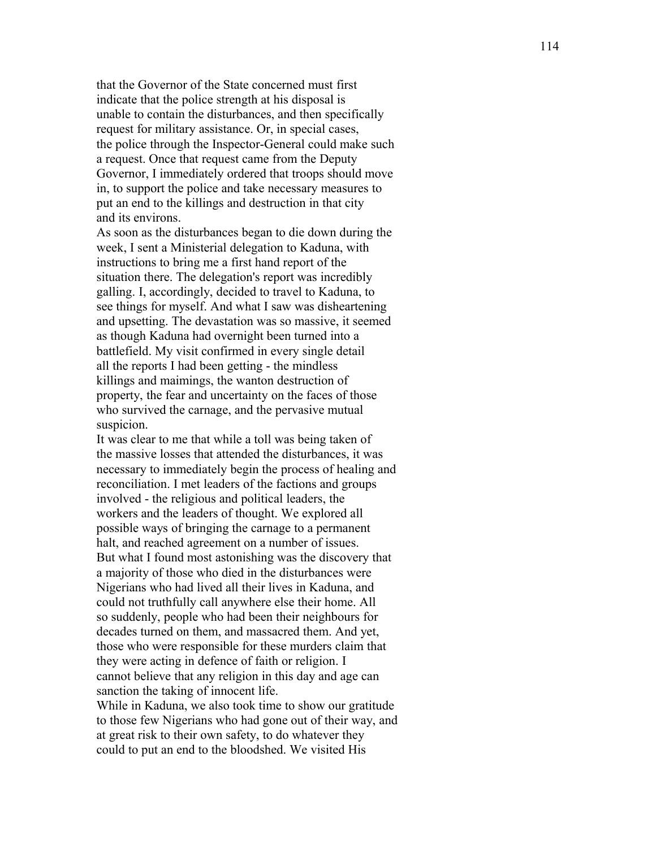that the Governor of the State concerned must first indicate that the police strength at his disposal is unable to contain the disturbances, and then specifically request for military assistance. Or, in special cases, the police through the Inspector-General could make such a request. Once that request came from the Deputy Governor, I immediately ordered that troops should move in, to support the police and take necessary measures to put an end to the killings and destruction in that city and its environs.

As soon as the disturbances began to die down during the week, I sent a Ministerial delegation to Kaduna, with instructions to bring me a first hand report of the situation there. The delegation's report was incredibly galling. I, accordingly, decided to travel to Kaduna, to see things for myself. And what I saw was disheartening and upsetting. The devastation was so massive, it seemed as though Kaduna had overnight been turned into a battlefield. My visit confirmed in every single detail all the reports I had been getting - the mindless killings and maimings, the wanton destruction of property, the fear and uncertainty on the faces of those who survived the carnage, and the pervasive mutual suspicion.

It was clear to me that while a toll was being taken of the massive losses that attended the disturbances, it was necessary to immediately begin the process of healing and reconciliation. I met leaders of the factions and groups involved - the religious and political leaders, the workers and the leaders of thought. We explored all possible ways of bringing the carnage to a permanent halt, and reached agreement on a number of issues. But what I found most astonishing was the discovery that a majority of those who died in the disturbances were Nigerians who had lived all their lives in Kaduna, and could not truthfully call anywhere else their home. All so suddenly, people who had been their neighbours for decades turned on them, and massacred them. And yet, those who were responsible for these murders claim that they were acting in defence of faith or religion. I cannot believe that any religion in this day and age can sanction the taking of innocent life.

While in Kaduna, we also took time to show our gratitude to those few Nigerians who had gone out of their way, and at great risk to their own safety, to do whatever they could to put an end to the bloodshed. We visited His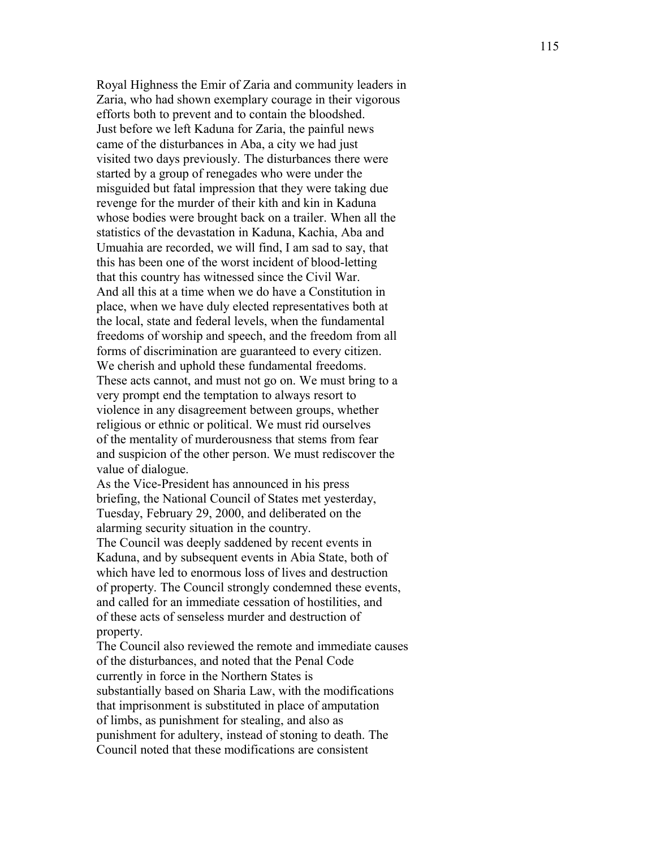Royal Highness the Emir of Zaria and community leaders in Zaria, who had shown exemplary courage in their vigorous efforts both to prevent and to contain the bloodshed. Just before we left Kaduna for Zaria, the painful news came of the disturbances in Aba, a city we had just visited two days previously. The disturbances there were started by a group of renegades who were under the misguided but fatal impression that they were taking due revenge for the murder of their kith and kin in Kaduna whose bodies were brought back on a trailer. When all the statistics of the devastation in Kaduna, Kachia, Aba and Umuahia are recorded, we will find, I am sad to say, that this has been one of the worst incident of blood-letting that this country has witnessed since the Civil War. And all this at a time when we do have a Constitution in place, when we have duly elected representatives both at the local, state and federal levels, when the fundamental freedoms of worship and speech, and the freedom from all forms of discrimination are guaranteed to every citizen. We cherish and uphold these fundamental freedoms. These acts cannot, and must not go on. We must bring to a very prompt end the temptation to always resort to violence in any disagreement between groups, whether religious or ethnic or political. We must rid ourselves of the mentality of murderousness that stems from fear and suspicion of the other person. We must rediscover the value of dialogue.

As the Vice-President has announced in his press briefing, the National Council of States met yesterday, Tuesday, February 29, 2000, and deliberated on the alarming security situation in the country. The Council was deeply saddened by recent events in Kaduna, and by subsequent events in Abia State, both of

which have led to enormous loss of lives and destruction of property. The Council strongly condemned these events, and called for an immediate cessation of hostilities, and of these acts of senseless murder and destruction of property.

The Council also reviewed the remote and immediate causes of the disturbances, and noted that the Penal Code currently in force in the Northern States is substantially based on Sharia Law, with the modifications that imprisonment is substituted in place of amputation of limbs, as punishment for stealing, and also as punishment for adultery, instead of stoning to death. The Council noted that these modifications are consistent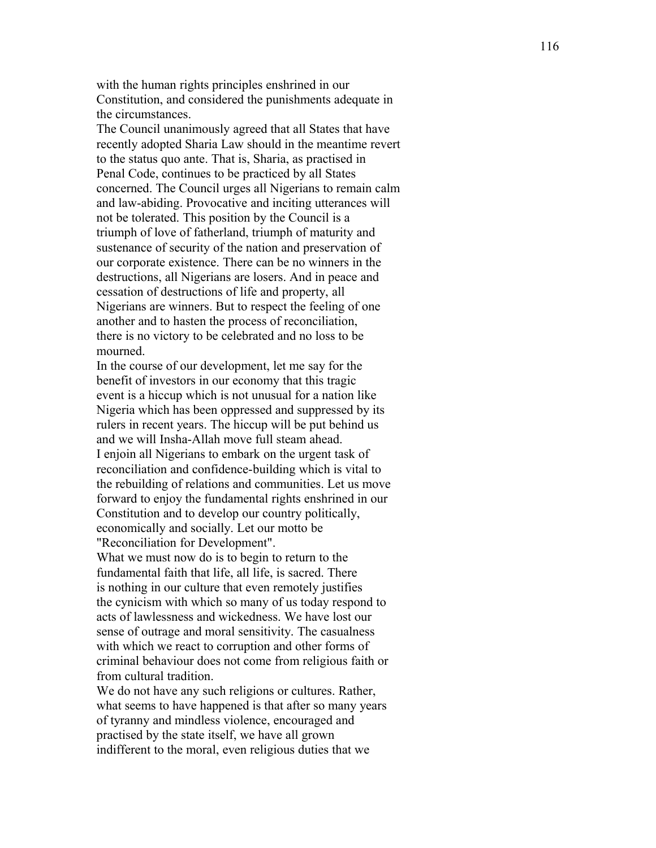with the human rights principles enshrined in our Constitution, and considered the punishments adequate in the circumstances.

The Council unanimously agreed that all States that have recently adopted Sharia Law should in the meantime revert to the status quo ante. That is, Sharia, as practised in Penal Code, continues to be practiced by all States concerned. The Council urges all Nigerians to remain calm and law-abiding. Provocative and inciting utterances will not be tolerated. This position by the Council is a triumph of love of fatherland, triumph of maturity and sustenance of security of the nation and preservation of our corporate existence. There can be no winners in the destructions, all Nigerians are losers. And in peace and cessation of destructions of life and property, all Nigerians are winners. But to respect the feeling of one another and to hasten the process of reconciliation, there is no victory to be celebrated and no loss to be mourned.

In the course of our development, let me say for the benefit of investors in our economy that this tragic event is a hiccup which is not unusual for a nation like Nigeria which has been oppressed and suppressed by its rulers in recent years. The hiccup will be put behind us and we will Insha-Allah move full steam ahead. I enjoin all Nigerians to embark on the urgent task of reconciliation and confidence-building which is vital to the rebuilding of relations and communities. Let us move forward to enjoy the fundamental rights enshrined in our Constitution and to develop our country politically, economically and socially. Let our motto be "Reconciliation for Development".

What we must now do is to begin to return to the fundamental faith that life, all life, is sacred. There is nothing in our culture that even remotely justifies the cynicism with which so many of us today respond to acts of lawlessness and wickedness. We have lost our sense of outrage and moral sensitivity. The casualness with which we react to corruption and other forms of criminal behaviour does not come from religious faith or from cultural tradition.

We do not have any such religions or cultures. Rather, what seems to have happened is that after so many years of tyranny and mindless violence, encouraged and practised by the state itself, we have all grown indifferent to the moral, even religious duties that we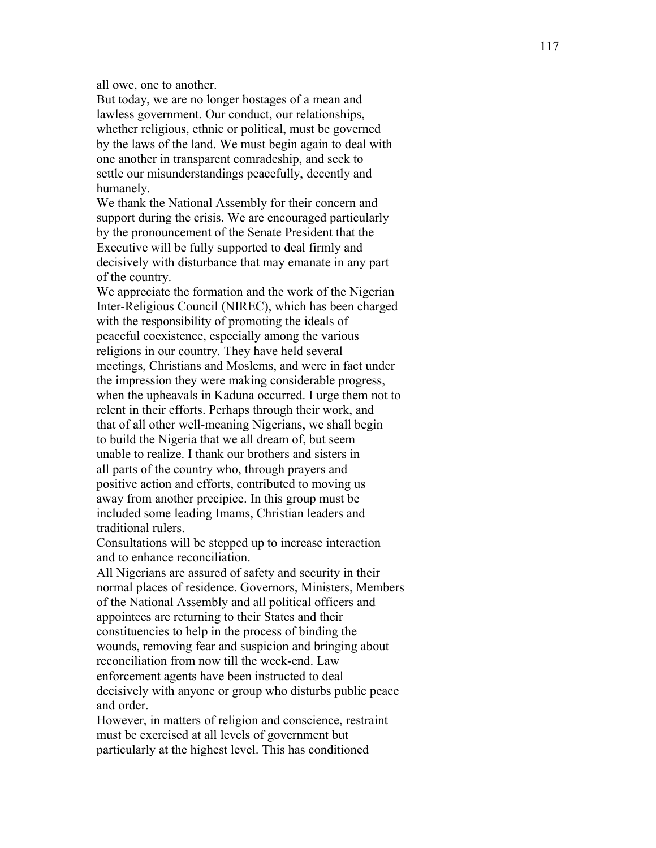all owe, one to another.

But today, we are no longer hostages of a mean and lawless government. Our conduct, our relationships, whether religious, ethnic or political, must be governed by the laws of the land. We must begin again to deal with one another in transparent comradeship, and seek to settle our misunderstandings peacefully, decently and humanely.

We thank the National Assembly for their concern and support during the crisis. We are encouraged particularly by the pronouncement of the Senate President that the Executive will be fully supported to deal firmly and decisively with disturbance that may emanate in any part of the country.

We appreciate the formation and the work of the Nigerian Inter-Religious Council (NIREC), which has been charged with the responsibility of promoting the ideals of peaceful coexistence, especially among the various religions in our country. They have held several meetings, Christians and Moslems, and were in fact under the impression they were making considerable progress, when the upheavals in Kaduna occurred. I urge them not to relent in their efforts. Perhaps through their work, and that of all other well-meaning Nigerians, we shall begin to build the Nigeria that we all dream of, but seem unable to realize. I thank our brothers and sisters in all parts of the country who, through prayers and positive action and efforts, contributed to moving us away from another precipice. In this group must be included some leading Imams, Christian leaders and traditional rulers.

Consultations will be stepped up to increase interaction and to enhance reconciliation.

All Nigerians are assured of safety and security in their normal places of residence. Governors, Ministers, Members of the National Assembly and all political officers and appointees are returning to their States and their constituencies to help in the process of binding the wounds, removing fear and suspicion and bringing about reconciliation from now till the week-end. Law enforcement agents have been instructed to deal decisively with anyone or group who disturbs public peace and order.

However, in matters of religion and conscience, restraint must be exercised at all levels of government but particularly at the highest level. This has conditioned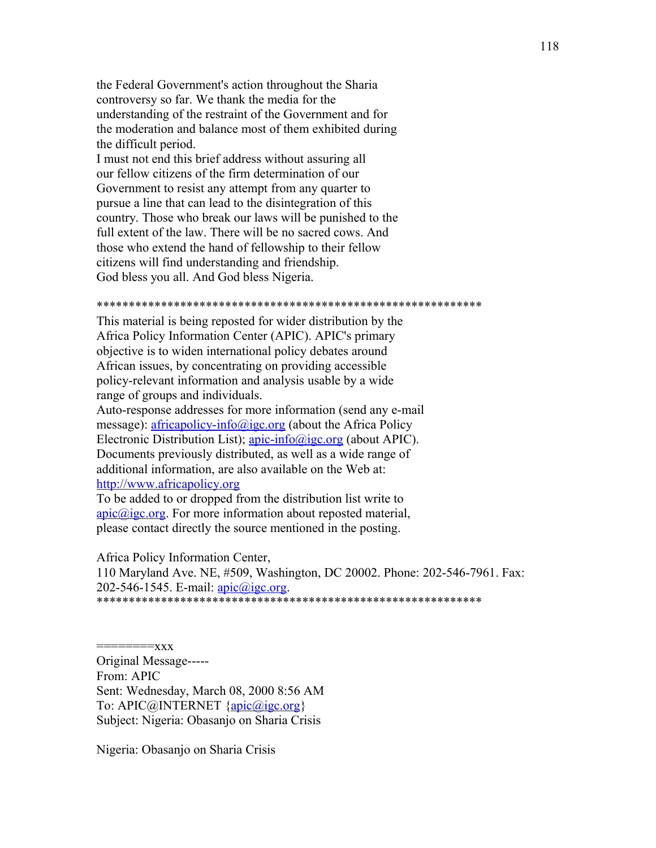the Federal Government's action throughout the Sharia controversy so far. We thank the media for the understanding of the restraint of the Government and for the moderation and balance most of them exhibited during the difficult period.

I must not end this brief address without assuring all our fellow citizens of the firm determination of our Government to resist any attempt from any quarter to pursue a line that can lead to the disintegration of this country. Those who break our laws will be punished to the full extent of the law. There will be no sacred cows. And those who extend the hand of fellowship to their fellow citizens will find understanding and friendship. God bless you all. And God bless Nigeria.

#### \*\*\*\*\*\*\*\*\*\*\*\*\*\*\*\*\*\*\*\*\*\*\*\*\*\*\*\*\*\*\*\*\*\*\*\*\*\*\*\*\*\*\*\*\*\*\*\*\*\*\*\*\*\*\*\*\*\*\*\*

This material is being reposted for wider distribution by the Africa Policy Information Center (APIC). APIC's primary objective is to widen international policy debates around African issues, by concentrating on providing accessible policy-relevant information and analysis usable by a wide range of groups and individuals.

Auto-response addresses for more information (send any e-mail message): [africapolicy-info@igc.org](mailto:africapolicy-info@igc.org) (about the Africa Policy Electronic Distribution List);  $apic-info@ige.org$  (about APIC). Documents previously distributed, as well as a wide range of additional information, are also available on the Web at: [http://www.africapolicy.org](http://www.africapolicy.org/)

To be added to or dropped from the distribution list write to  $apic@i**g**corg. For more information about reported material,$ please contact directly the source mentioned in the posting.

Africa Policy Information Center,

110 Maryland Ave. NE, #509, Washington, DC 20002. Phone: 202-546-7961. Fax: 202-546-1545. E-mail:  $\frac{\text{apic}(a)\text{eg.} \text{org.}}{\text{agic}(a)\text{eg.}}$ \*\*\*\*\*\*\*\*\*\*\*\*\*\*\*\*\*\*\*\*\*\*\*\*\*\*\*\*\*\*\*\*\*\*\*\*\*\*\*\*\*\*\*\*\*\*\*\*\*\*\*\*\*\*\*\*\*\*\*\*

### ========xxx

Original Message----- From: APIC Sent: Wednesday, March 08, 2000 8:56 AM To: APIC@INTERNET [{apic@igc.org}](mailto:apic@igc.org) Subject: Nigeria: Obasanjo on Sharia Crisis

Nigeria: Obasanjo on Sharia Crisis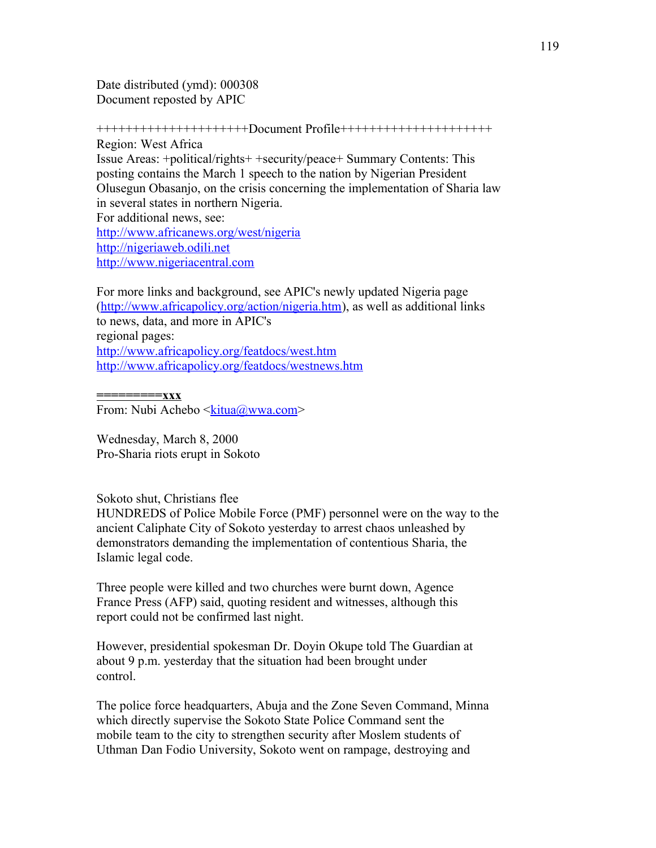Date distributed (ymd): 000308 Document reposted by APIC

+++++++++++++++++++++Document Profile+++++++++++++++++++++ Region: West Africa Issue Areas: +political/rights+ +security/peace+ Summary Contents: This posting contains the March 1 speech to the nation by Nigerian President Olusegun Obasanjo, on the crisis concerning the implementation of Sharia law in several states in northern Nigeria. For additional news, see: <http://www.africanews.org/west/nigeria> [http://nigeriaweb.odili.net](http://nigeriaweb.odili.net/) [http://www.nigeriacentral.com](http://www.nigeriacentral.com/)

For more links and background, see APIC's newly updated Nigeria page [\(http://www.africapolicy.org/action/nigeria.htm\)](http://www.africapolicy.org/action/nigeria.htm), as well as additional links to news, data, and more in APIC's regional pages: <http://www.africapolicy.org/featdocs/west.htm> <http://www.africapolicy.org/featdocs/westnews.htm>

**=========xxx**

From: Nubi Achebo  $\leq$ kitua@wwa.com>

Wednesday, March 8, 2000 Pro-Sharia riots erupt in Sokoto

Sokoto shut, Christians flee

HUNDREDS of Police Mobile Force (PMF) personnel were on the way to the ancient Caliphate City of Sokoto yesterday to arrest chaos unleashed by demonstrators demanding the implementation of contentious Sharia, the Islamic legal code.

Three people were killed and two churches were burnt down, Agence France Press (AFP) said, quoting resident and witnesses, although this report could not be confirmed last night.

However, presidential spokesman Dr. Doyin Okupe told The Guardian at about 9 p.m. yesterday that the situation had been brought under control.

The police force headquarters, Abuja and the Zone Seven Command, Minna which directly supervise the Sokoto State Police Command sent the mobile team to the city to strengthen security after Moslem students of Uthman Dan Fodio University, Sokoto went on rampage, destroying and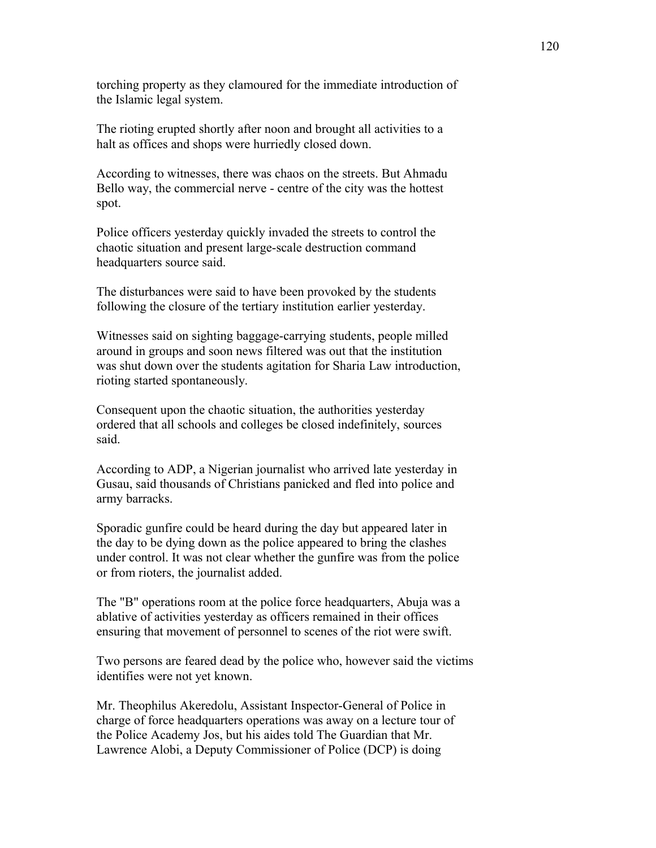torching property as they clamoured for the immediate introduction of the Islamic legal system.

The rioting erupted shortly after noon and brought all activities to a halt as offices and shops were hurriedly closed down.

According to witnesses, there was chaos on the streets. But Ahmadu Bello way, the commercial nerve - centre of the city was the hottest spot.

Police officers yesterday quickly invaded the streets to control the chaotic situation and present large-scale destruction command headquarters source said.

The disturbances were said to have been provoked by the students following the closure of the tertiary institution earlier yesterday.

Witnesses said on sighting baggage-carrying students, people milled around in groups and soon news filtered was out that the institution was shut down over the students agitation for Sharia Law introduction, rioting started spontaneously.

Consequent upon the chaotic situation, the authorities yesterday ordered that all schools and colleges be closed indefinitely, sources said.

According to ADP, a Nigerian journalist who arrived late yesterday in Gusau, said thousands of Christians panicked and fled into police and army barracks.

Sporadic gunfire could be heard during the day but appeared later in the day to be dying down as the police appeared to bring the clashes under control. It was not clear whether the gunfire was from the police or from rioters, the journalist added.

The "B" operations room at the police force headquarters, Abuja was a ablative of activities yesterday as officers remained in their offices ensuring that movement of personnel to scenes of the riot were swift.

Two persons are feared dead by the police who, however said the victims identifies were not yet known.

Mr. Theophilus Akeredolu, Assistant Inspector-General of Police in charge of force headquarters operations was away on a lecture tour of the Police Academy Jos, but his aides told The Guardian that Mr. Lawrence Alobi, a Deputy Commissioner of Police (DCP) is doing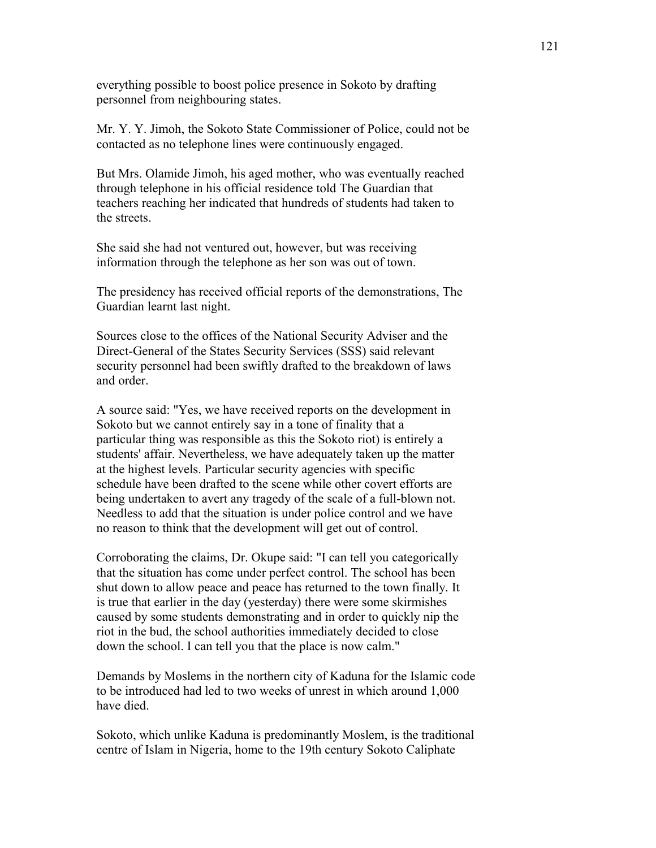everything possible to boost police presence in Sokoto by drafting personnel from neighbouring states.

Mr. Y. Y. Jimoh, the Sokoto State Commissioner of Police, could not be contacted as no telephone lines were continuously engaged.

But Mrs. Olamide Jimoh, his aged mother, who was eventually reached through telephone in his official residence told The Guardian that teachers reaching her indicated that hundreds of students had taken to the streets.

She said she had not ventured out, however, but was receiving information through the telephone as her son was out of town.

The presidency has received official reports of the demonstrations, The Guardian learnt last night.

Sources close to the offices of the National Security Adviser and the Direct-General of the States Security Services (SSS) said relevant security personnel had been swiftly drafted to the breakdown of laws and order.

A source said: "Yes, we have received reports on the development in Sokoto but we cannot entirely say in a tone of finality that a particular thing was responsible as this the Sokoto riot) is entirely a students' affair. Nevertheless, we have adequately taken up the matter at the highest levels. Particular security agencies with specific schedule have been drafted to the scene while other covert efforts are being undertaken to avert any tragedy of the scale of a full-blown not. Needless to add that the situation is under police control and we have no reason to think that the development will get out of control.

Corroborating the claims, Dr. Okupe said: "I can tell you categorically that the situation has come under perfect control. The school has been shut down to allow peace and peace has returned to the town finally. It is true that earlier in the day (yesterday) there were some skirmishes caused by some students demonstrating and in order to quickly nip the riot in the bud, the school authorities immediately decided to close down the school. I can tell you that the place is now calm."

Demands by Moslems in the northern city of Kaduna for the Islamic code to be introduced had led to two weeks of unrest in which around 1,000 have died.

Sokoto, which unlike Kaduna is predominantly Moslem, is the traditional centre of Islam in Nigeria, home to the 19th century Sokoto Caliphate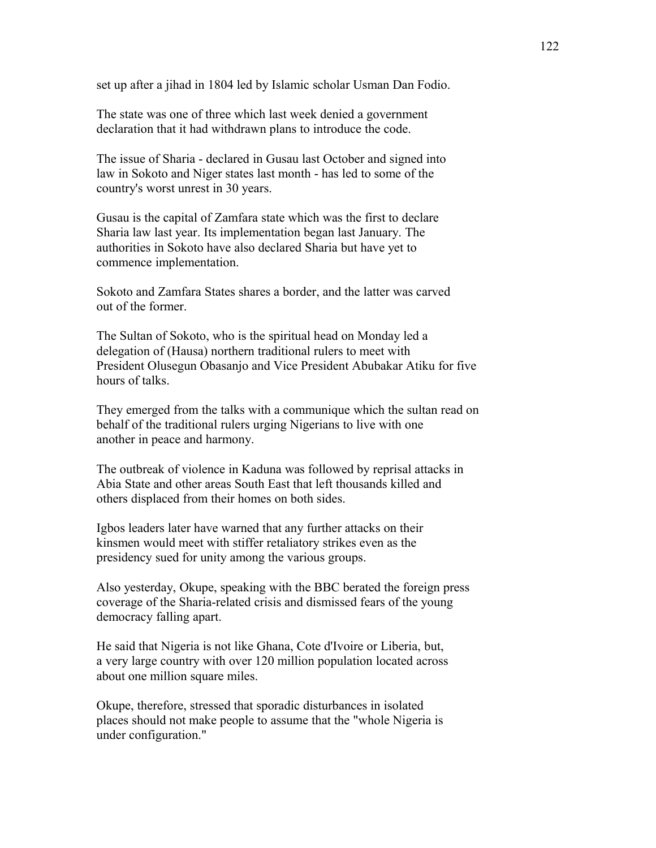set up after a jihad in 1804 led by Islamic scholar Usman Dan Fodio.

The state was one of three which last week denied a government declaration that it had withdrawn plans to introduce the code.

The issue of Sharia - declared in Gusau last October and signed into law in Sokoto and Niger states last month - has led to some of the country's worst unrest in 30 years.

Gusau is the capital of Zamfara state which was the first to declare Sharia law last year. Its implementation began last January. The authorities in Sokoto have also declared Sharia but have yet to commence implementation.

Sokoto and Zamfara States shares a border, and the latter was carved out of the former.

The Sultan of Sokoto, who is the spiritual head on Monday led a delegation of (Hausa) northern traditional rulers to meet with President Olusegun Obasanjo and Vice President Abubakar Atiku for five hours of talks.

They emerged from the talks with a communique which the sultan read on behalf of the traditional rulers urging Nigerians to live with one another in peace and harmony.

The outbreak of violence in Kaduna was followed by reprisal attacks in Abia State and other areas South East that left thousands killed and others displaced from their homes on both sides.

Igbos leaders later have warned that any further attacks on their kinsmen would meet with stiffer retaliatory strikes even as the presidency sued for unity among the various groups.

Also yesterday, Okupe, speaking with the BBC berated the foreign press coverage of the Sharia-related crisis and dismissed fears of the young democracy falling apart.

He said that Nigeria is not like Ghana, Cote d'Ivoire or Liberia, but, a very large country with over 120 million population located across about one million square miles.

Okupe, therefore, stressed that sporadic disturbances in isolated places should not make people to assume that the "whole Nigeria is under configuration."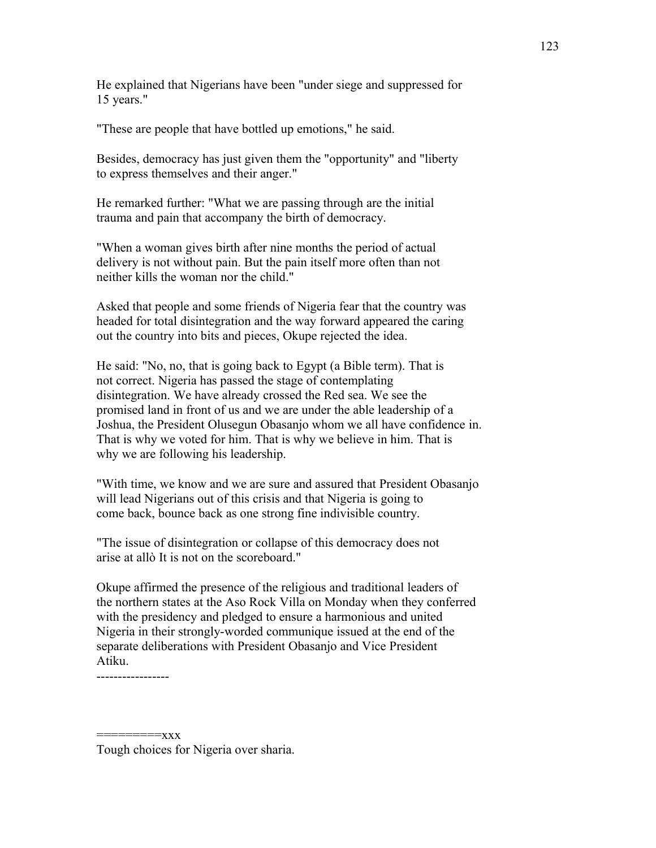He explained that Nigerians have been "under siege and suppressed for 15 years."

"These are people that have bottled up emotions," he said.

Besides, democracy has just given them the "opportunity" and "liberty to express themselves and their anger."

He remarked further: "What we are passing through are the initial trauma and pain that accompany the birth of democracy.

"When a woman gives birth after nine months the period of actual delivery is not without pain. But the pain itself more often than not neither kills the woman nor the child."

Asked that people and some friends of Nigeria fear that the country was headed for total disintegration and the way forward appeared the caring out the country into bits and pieces, Okupe rejected the idea.

He said: "No, no, that is going back to Egypt (a Bible term). That is not correct. Nigeria has passed the stage of contemplating disintegration. We have already crossed the Red sea. We see the promised land in front of us and we are under the able leadership of a Joshua, the President Olusegun Obasanjo whom we all have confidence in. That is why we voted for him. That is why we believe in him. That is why we are following his leadership.

"With time, we know and we are sure and assured that President Obasanjo will lead Nigerians out of this crisis and that Nigeria is going to come back, bounce back as one strong fine indivisible country.

"The issue of disintegration or collapse of this democracy does not arise at allò It is not on the scoreboard."

Okupe affirmed the presence of the religious and traditional leaders of the northern states at the Aso Rock Villa on Monday when they conferred with the presidency and pledged to ensure a harmonious and united Nigeria in their strongly-worded communique issued at the end of the separate deliberations with President Obasanjo and Vice President Atiku.

-----------------

=========xxx

Tough choices for Nigeria over sharia.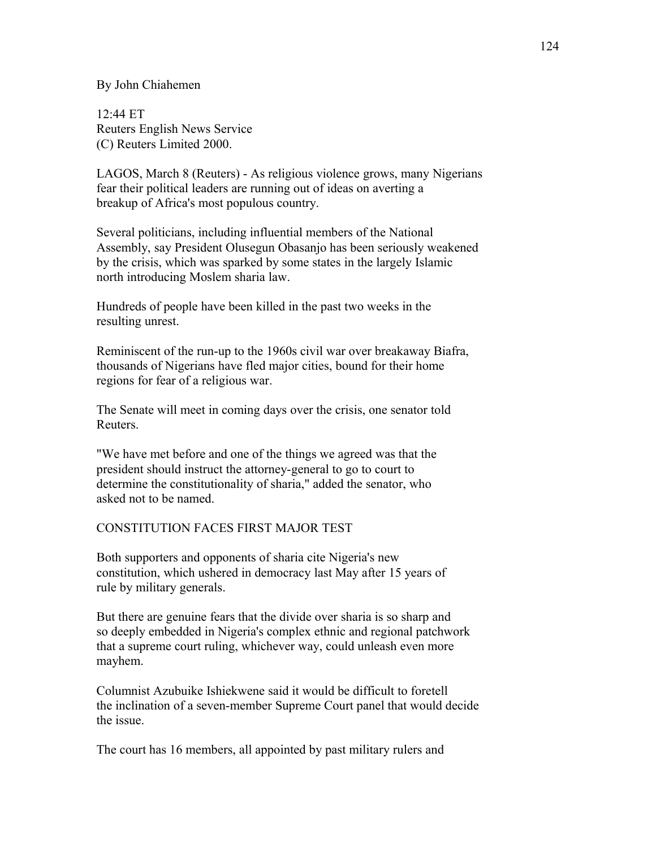### By John Chiahemen

12:44 ET Reuters English News Service (C) Reuters Limited 2000.

LAGOS, March 8 (Reuters) - As religious violence grows, many Nigerians fear their political leaders are running out of ideas on averting a breakup of Africa's most populous country.

Several politicians, including influential members of the National Assembly, say President Olusegun Obasanjo has been seriously weakened by the crisis, which was sparked by some states in the largely Islamic north introducing Moslem sharia law.

Hundreds of people have been killed in the past two weeks in the resulting unrest.

Reminiscent of the run-up to the 1960s civil war over breakaway Biafra, thousands of Nigerians have fled major cities, bound for their home regions for fear of a religious war.

The Senate will meet in coming days over the crisis, one senator told Reuters.

"We have met before and one of the things we agreed was that the president should instruct the attorney-general to go to court to determine the constitutionality of sharia," added the senator, who asked not to be named.

## CONSTITUTION FACES FIRST MAJOR TEST

Both supporters and opponents of sharia cite Nigeria's new constitution, which ushered in democracy last May after 15 years of rule by military generals.

But there are genuine fears that the divide over sharia is so sharp and so deeply embedded in Nigeria's complex ethnic and regional patchwork that a supreme court ruling, whichever way, could unleash even more mayhem.

Columnist Azubuike Ishiekwene said it would be difficult to foretell the inclination of a seven-member Supreme Court panel that would decide the issue.

The court has 16 members, all appointed by past military rulers and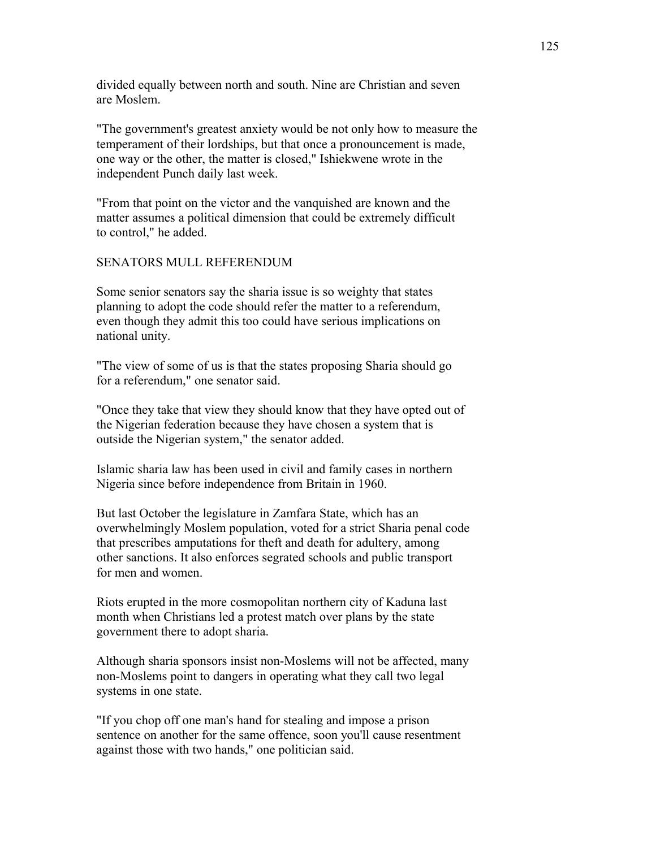divided equally between north and south. Nine are Christian and seven are Moslem.

"The government's greatest anxiety would be not only how to measure the temperament of their lordships, but that once a pronouncement is made, one way or the other, the matter is closed," Ishiekwene wrote in the independent Punch daily last week.

"From that point on the victor and the vanquished are known and the matter assumes a political dimension that could be extremely difficult to control," he added.

# SENATORS MULL REFERENDUM

Some senior senators say the sharia issue is so weighty that states planning to adopt the code should refer the matter to a referendum, even though they admit this too could have serious implications on national unity.

"The view of some of us is that the states proposing Sharia should go for a referendum," one senator said.

"Once they take that view they should know that they have opted out of the Nigerian federation because they have chosen a system that is outside the Nigerian system," the senator added.

Islamic sharia law has been used in civil and family cases in northern Nigeria since before independence from Britain in 1960.

But last October the legislature in Zamfara State, which has an overwhelmingly Moslem population, voted for a strict Sharia penal code that prescribes amputations for theft and death for adultery, among other sanctions. It also enforces segrated schools and public transport for men and women.

Riots erupted in the more cosmopolitan northern city of Kaduna last month when Christians led a protest match over plans by the state government there to adopt sharia.

Although sharia sponsors insist non-Moslems will not be affected, many non-Moslems point to dangers in operating what they call two legal systems in one state.

"If you chop off one man's hand for stealing and impose a prison sentence on another for the same offence, soon you'll cause resentment against those with two hands," one politician said.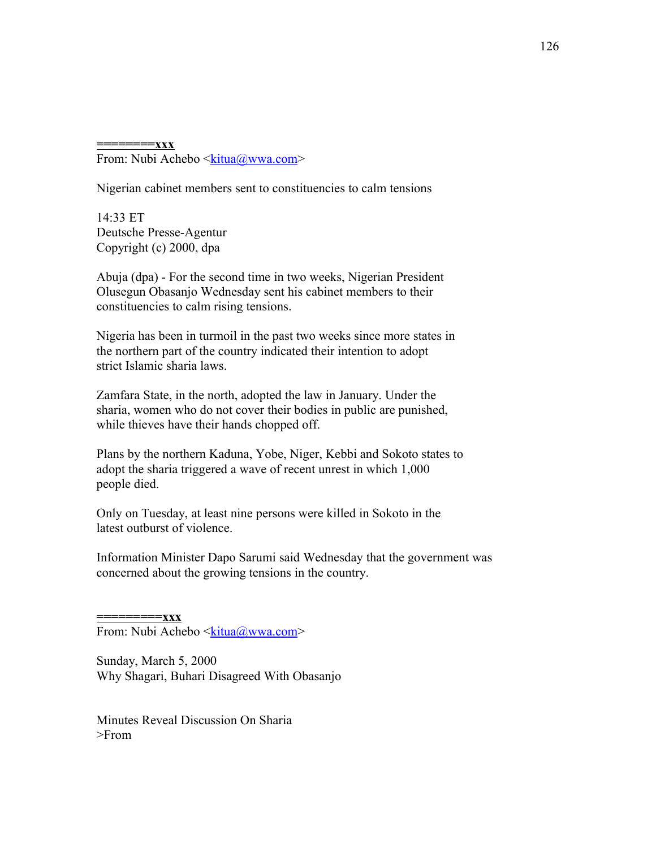**========xxx** From: Nubi Achebo [<kitua@wwa.com>](mailto:kitua@wwa.com)

Nigerian cabinet members sent to constituencies to calm tensions

14:33 ET Deutsche Presse-Agentur Copyright (c) 2000, dpa

Abuja (dpa) - For the second time in two weeks, Nigerian President Olusegun Obasanjo Wednesday sent his cabinet members to their constituencies to calm rising tensions.

Nigeria has been in turmoil in the past two weeks since more states in the northern part of the country indicated their intention to adopt strict Islamic sharia laws.

Zamfara State, in the north, adopted the law in January. Under the sharia, women who do not cover their bodies in public are punished, while thieves have their hands chopped off.

Plans by the northern Kaduna, Yobe, Niger, Kebbi and Sokoto states to adopt the sharia triggered a wave of recent unrest in which 1,000 people died.

Only on Tuesday, at least nine persons were killed in Sokoto in the latest outburst of violence.

Information Minister Dapo Sarumi said Wednesday that the government was concerned about the growing tensions in the country.

**=========xxx** From: Nubi Achebo [<kitua@wwa.com>](mailto:kitua@wwa.com)

Sunday, March 5, 2000 Why Shagari, Buhari Disagreed With Obasanjo

Minutes Reveal Discussion On Sharia >From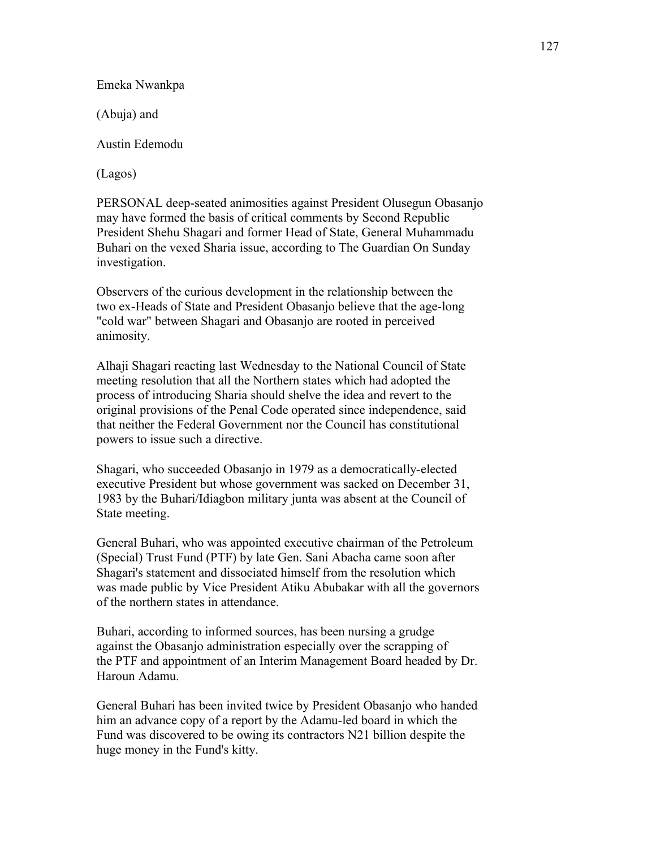Emeka Nwankpa

(Abuja) and

Austin Edemodu

(Lagos)

PERSONAL deep-seated animosities against President Olusegun Obasanjo may have formed the basis of critical comments by Second Republic President Shehu Shagari and former Head of State, General Muhammadu Buhari on the vexed Sharia issue, according to The Guardian On Sunday investigation.

Observers of the curious development in the relationship between the two ex-Heads of State and President Obasanjo believe that the age-long "cold war" between Shagari and Obasanjo are rooted in perceived animosity.

Alhaji Shagari reacting last Wednesday to the National Council of State meeting resolution that all the Northern states which had adopted the process of introducing Sharia should shelve the idea and revert to the original provisions of the Penal Code operated since independence, said that neither the Federal Government nor the Council has constitutional powers to issue such a directive.

Shagari, who succeeded Obasanjo in 1979 as a democratically-elected executive President but whose government was sacked on December 31, 1983 by the Buhari/Idiagbon military junta was absent at the Council of State meeting.

General Buhari, who was appointed executive chairman of the Petroleum (Special) Trust Fund (PTF) by late Gen. Sani Abacha came soon after Shagari's statement and dissociated himself from the resolution which was made public by Vice President Atiku Abubakar with all the governors of the northern states in attendance.

Buhari, according to informed sources, has been nursing a grudge against the Obasanjo administration especially over the scrapping of the PTF and appointment of an Interim Management Board headed by Dr. Haroun Adamu.

General Buhari has been invited twice by President Obasanjo who handed him an advance copy of a report by the Adamu-led board in which the Fund was discovered to be owing its contractors N21 billion despite the huge money in the Fund's kitty.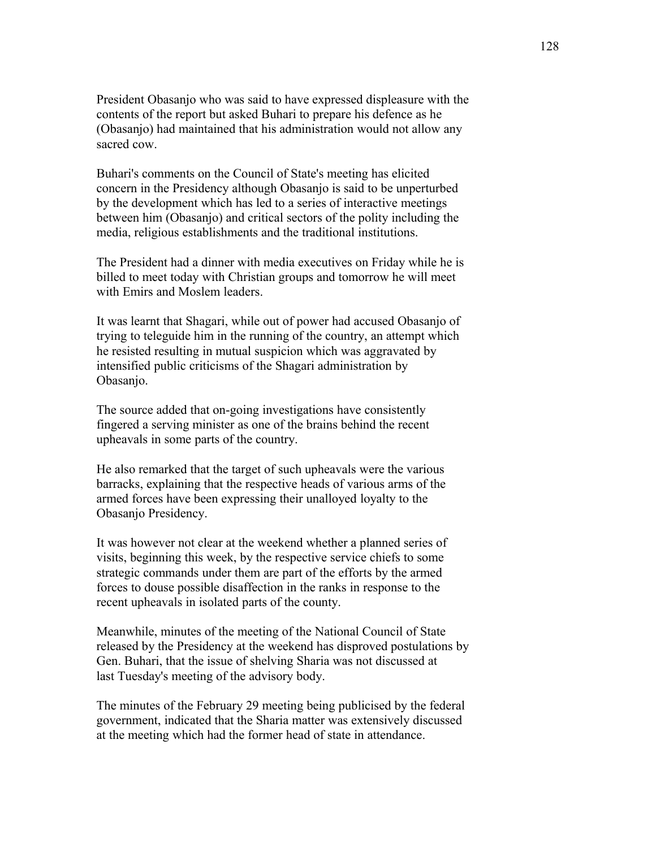President Obasanjo who was said to have expressed displeasure with the contents of the report but asked Buhari to prepare his defence as he (Obasanjo) had maintained that his administration would not allow any sacred cow.

Buhari's comments on the Council of State's meeting has elicited concern in the Presidency although Obasanjo is said to be unperturbed by the development which has led to a series of interactive meetings between him (Obasanjo) and critical sectors of the polity including the media, religious establishments and the traditional institutions.

The President had a dinner with media executives on Friday while he is billed to meet today with Christian groups and tomorrow he will meet with Emirs and Moslem leaders.

It was learnt that Shagari, while out of power had accused Obasanjo of trying to teleguide him in the running of the country, an attempt which he resisted resulting in mutual suspicion which was aggravated by intensified public criticisms of the Shagari administration by Obasanjo.

The source added that on-going investigations have consistently fingered a serving minister as one of the brains behind the recent upheavals in some parts of the country.

He also remarked that the target of such upheavals were the various barracks, explaining that the respective heads of various arms of the armed forces have been expressing their unalloyed loyalty to the Obasanjo Presidency.

It was however not clear at the weekend whether a planned series of visits, beginning this week, by the respective service chiefs to some strategic commands under them are part of the efforts by the armed forces to douse possible disaffection in the ranks in response to the recent upheavals in isolated parts of the county.

Meanwhile, minutes of the meeting of the National Council of State released by the Presidency at the weekend has disproved postulations by Gen. Buhari, that the issue of shelving Sharia was not discussed at last Tuesday's meeting of the advisory body.

The minutes of the February 29 meeting being publicised by the federal government, indicated that the Sharia matter was extensively discussed at the meeting which had the former head of state in attendance.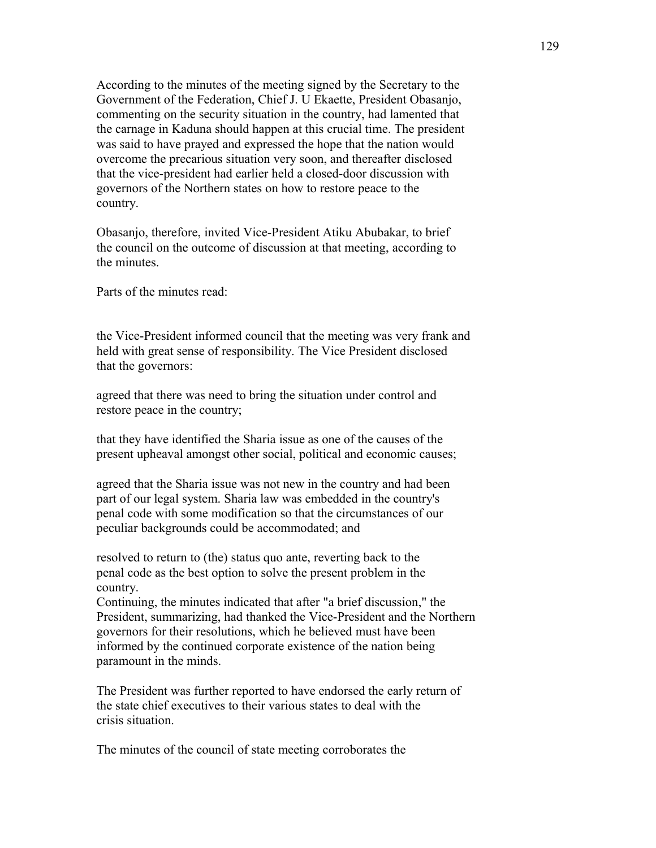According to the minutes of the meeting signed by the Secretary to the Government of the Federation, Chief J. U Ekaette, President Obasanjo, commenting on the security situation in the country, had lamented that the carnage in Kaduna should happen at this crucial time. The president was said to have prayed and expressed the hope that the nation would overcome the precarious situation very soon, and thereafter disclosed that the vice-president had earlier held a closed-door discussion with governors of the Northern states on how to restore peace to the country.

Obasanjo, therefore, invited Vice-President Atiku Abubakar, to brief the council on the outcome of discussion at that meeting, according to the minutes.

Parts of the minutes read:

the Vice-President informed council that the meeting was very frank and held with great sense of responsibility. The Vice President disclosed that the governors:

agreed that there was need to bring the situation under control and restore peace in the country;

that they have identified the Sharia issue as one of the causes of the present upheaval amongst other social, political and economic causes;

agreed that the Sharia issue was not new in the country and had been part of our legal system. Sharia law was embedded in the country's penal code with some modification so that the circumstances of our peculiar backgrounds could be accommodated; and

resolved to return to (the) status quo ante, reverting back to the penal code as the best option to solve the present problem in the country.

Continuing, the minutes indicated that after "a brief discussion," the President, summarizing, had thanked the Vice-President and the Northern governors for their resolutions, which he believed must have been informed by the continued corporate existence of the nation being paramount in the minds.

The President was further reported to have endorsed the early return of the state chief executives to their various states to deal with the crisis situation.

The minutes of the council of state meeting corroborates the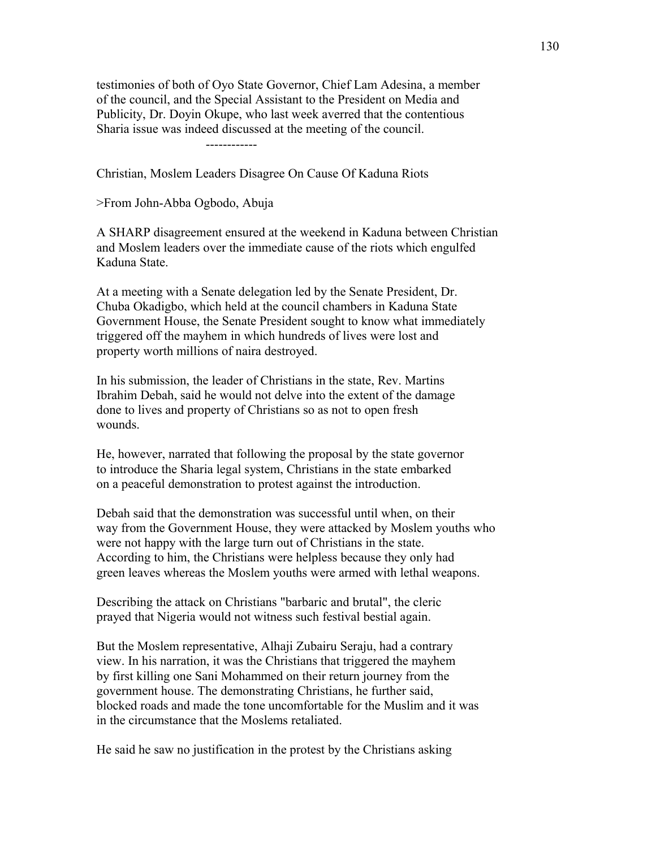testimonies of both of Oyo State Governor, Chief Lam Adesina, a member of the council, and the Special Assistant to the President on Media and Publicity, Dr. Doyin Okupe, who last week averred that the contentious Sharia issue was indeed discussed at the meeting of the council.

------------

Christian, Moslem Leaders Disagree On Cause Of Kaduna Riots

>From John-Abba Ogbodo, Abuja

A SHARP disagreement ensured at the weekend in Kaduna between Christian and Moslem leaders over the immediate cause of the riots which engulfed Kaduna State.

At a meeting with a Senate delegation led by the Senate President, Dr. Chuba Okadigbo, which held at the council chambers in Kaduna State Government House, the Senate President sought to know what immediately triggered off the mayhem in which hundreds of lives were lost and property worth millions of naira destroyed.

In his submission, the leader of Christians in the state, Rev. Martins Ibrahim Debah, said he would not delve into the extent of the damage done to lives and property of Christians so as not to open fresh wounds.

He, however, narrated that following the proposal by the state governor to introduce the Sharia legal system, Christians in the state embarked on a peaceful demonstration to protest against the introduction.

Debah said that the demonstration was successful until when, on their way from the Government House, they were attacked by Moslem youths who were not happy with the large turn out of Christians in the state. According to him, the Christians were helpless because they only had green leaves whereas the Moslem youths were armed with lethal weapons.

Describing the attack on Christians "barbaric and brutal", the cleric prayed that Nigeria would not witness such festival bestial again.

But the Moslem representative, Alhaji Zubairu Seraju, had a contrary view. In his narration, it was the Christians that triggered the mayhem by first killing one Sani Mohammed on their return journey from the government house. The demonstrating Christians, he further said, blocked roads and made the tone uncomfortable for the Muslim and it was in the circumstance that the Moslems retaliated.

He said he saw no justification in the protest by the Christians asking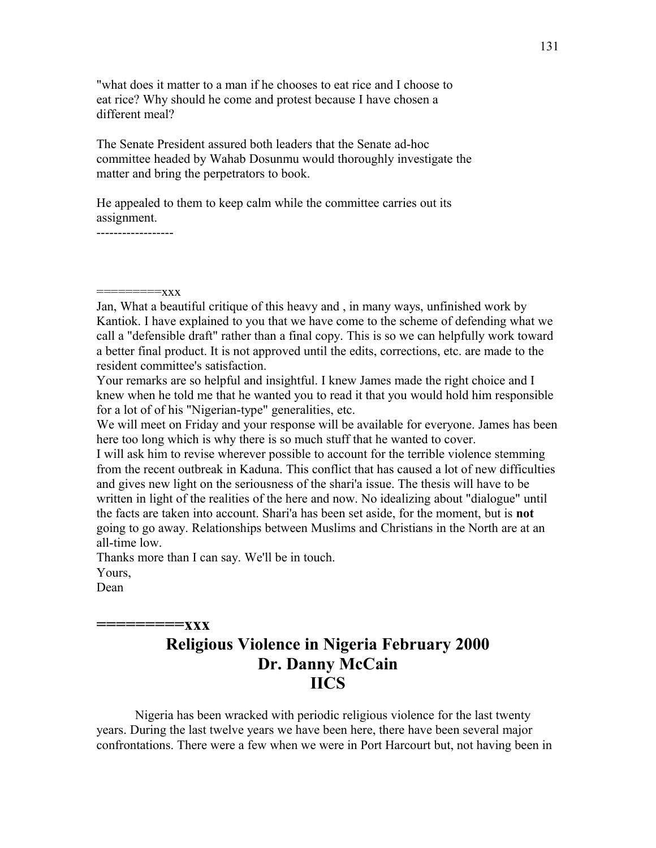"what does it matter to a man if he chooses to eat rice and I choose to eat rice? Why should he come and protest because I have chosen a different meal?

The Senate President assured both leaders that the Senate ad-hoc committee headed by Wahab Dosunmu would thoroughly investigate the matter and bring the perpetrators to book.

He appealed to them to keep calm while the committee carries out its assignment.

------------------

#### =========xxx

Jan, What a beautiful critique of this heavy and , in many ways, unfinished work by Kantiok. I have explained to you that we have come to the scheme of defending what we call a "defensible draft" rather than a final copy. This is so we can helpfully work toward a better final product. It is not approved until the edits, corrections, etc. are made to the resident committee's satisfaction.

Your remarks are so helpful and insightful. I knew James made the right choice and I knew when he told me that he wanted you to read it that you would hold him responsible for a lot of of his "Nigerian-type" generalities, etc.

We will meet on Friday and your response will be available for everyone. James has been here too long which is why there is so much stuff that he wanted to cover.

I will ask him to revise wherever possible to account for the terrible violence stemming from the recent outbreak in Kaduna. This conflict that has caused a lot of new difficulties and gives new light on the seriousness of the shari'a issue. The thesis will have to be written in light of the realities of the here and now. No idealizing about "dialogue" until the facts are taken into account. Shari'a has been set aside, for the moment, but is **not**  going to go away. Relationships between Muslims and Christians in the North are at an all-time low.

Thanks more than I can say. We'll be in touch.

Yours,

Dean

# **=========xxx Religious Violence in Nigeria February 2000 Dr. Danny McCain IICS**

Nigeria has been wracked with periodic religious violence for the last twenty years. During the last twelve years we have been here, there have been several major confrontations. There were a few when we were in Port Harcourt but, not having been in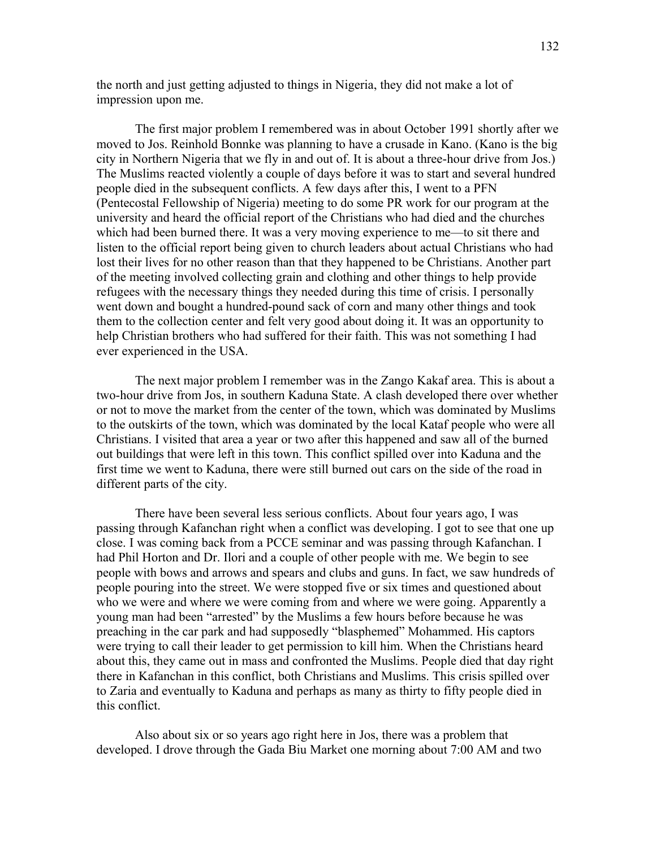the north and just getting adjusted to things in Nigeria, they did not make a lot of impression upon me.

The first major problem I remembered was in about October 1991 shortly after we moved to Jos. Reinhold Bonnke was planning to have a crusade in Kano. (Kano is the big city in Northern Nigeria that we fly in and out of. It is about a three-hour drive from Jos.) The Muslims reacted violently a couple of days before it was to start and several hundred people died in the subsequent conflicts. A few days after this, I went to a PFN (Pentecostal Fellowship of Nigeria) meeting to do some PR work for our program at the university and heard the official report of the Christians who had died and the churches which had been burned there. It was a very moving experience to me—to sit there and listen to the official report being given to church leaders about actual Christians who had lost their lives for no other reason than that they happened to be Christians. Another part of the meeting involved collecting grain and clothing and other things to help provide refugees with the necessary things they needed during this time of crisis. I personally went down and bought a hundred-pound sack of corn and many other things and took them to the collection center and felt very good about doing it. It was an opportunity to help Christian brothers who had suffered for their faith. This was not something I had ever experienced in the USA.

The next major problem I remember was in the Zango Kakaf area. This is about a two-hour drive from Jos, in southern Kaduna State. A clash developed there over whether or not to move the market from the center of the town, which was dominated by Muslims to the outskirts of the town, which was dominated by the local Kataf people who were all Christians. I visited that area a year or two after this happened and saw all of the burned out buildings that were left in this town. This conflict spilled over into Kaduna and the first time we went to Kaduna, there were still burned out cars on the side of the road in different parts of the city.

There have been several less serious conflicts. About four years ago, I was passing through Kafanchan right when a conflict was developing. I got to see that one up close. I was coming back from a PCCE seminar and was passing through Kafanchan. I had Phil Horton and Dr. Ilori and a couple of other people with me. We begin to see people with bows and arrows and spears and clubs and guns. In fact, we saw hundreds of people pouring into the street. We were stopped five or six times and questioned about who we were and where we were coming from and where we were going. Apparently a young man had been "arrested" by the Muslims a few hours before because he was preaching in the car park and had supposedly "blasphemed" Mohammed. His captors were trying to call their leader to get permission to kill him. When the Christians heard about this, they came out in mass and confronted the Muslims. People died that day right there in Kafanchan in this conflict, both Christians and Muslims. This crisis spilled over to Zaria and eventually to Kaduna and perhaps as many as thirty to fifty people died in this conflict.

Also about six or so years ago right here in Jos, there was a problem that developed. I drove through the Gada Biu Market one morning about 7:00 AM and two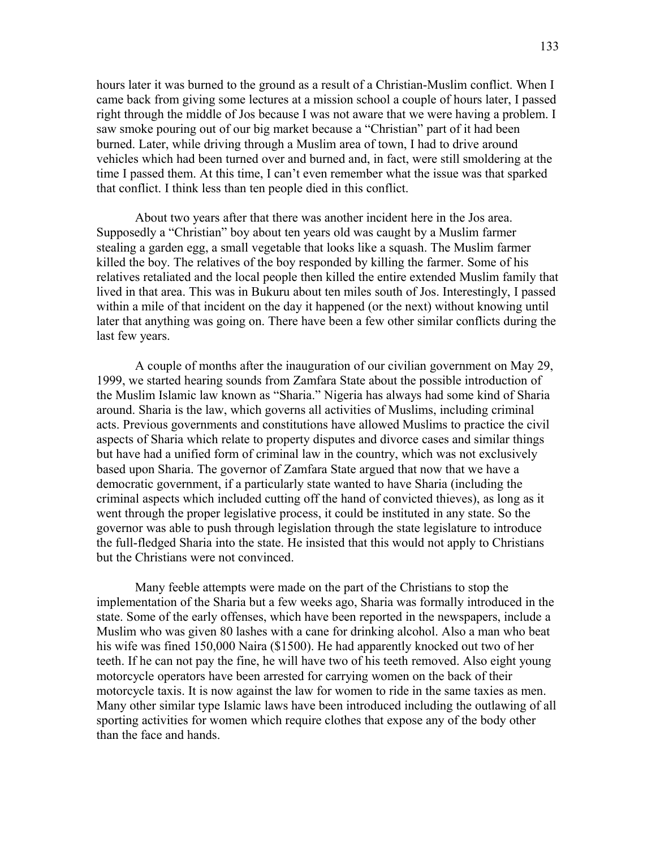hours later it was burned to the ground as a result of a Christian-Muslim conflict. When I came back from giving some lectures at a mission school a couple of hours later, I passed right through the middle of Jos because I was not aware that we were having a problem. I saw smoke pouring out of our big market because a "Christian" part of it had been burned. Later, while driving through a Muslim area of town, I had to drive around vehicles which had been turned over and burned and, in fact, were still smoldering at the time I passed them. At this time, I can't even remember what the issue was that sparked that conflict. I think less than ten people died in this conflict.

About two years after that there was another incident here in the Jos area. Supposedly a "Christian" boy about ten years old was caught by a Muslim farmer stealing a garden egg, a small vegetable that looks like a squash. The Muslim farmer killed the boy. The relatives of the boy responded by killing the farmer. Some of his relatives retaliated and the local people then killed the entire extended Muslim family that lived in that area. This was in Bukuru about ten miles south of Jos. Interestingly, I passed within a mile of that incident on the day it happened (or the next) without knowing until later that anything was going on. There have been a few other similar conflicts during the last few years.

A couple of months after the inauguration of our civilian government on May 29, 1999, we started hearing sounds from Zamfara State about the possible introduction of the Muslim Islamic law known as "Sharia." Nigeria has always had some kind of Sharia around. Sharia is the law, which governs all activities of Muslims, including criminal acts. Previous governments and constitutions have allowed Muslims to practice the civil aspects of Sharia which relate to property disputes and divorce cases and similar things but have had a unified form of criminal law in the country, which was not exclusively based upon Sharia. The governor of Zamfara State argued that now that we have a democratic government, if a particularly state wanted to have Sharia (including the criminal aspects which included cutting off the hand of convicted thieves), as long as it went through the proper legislative process, it could be instituted in any state. So the governor was able to push through legislation through the state legislature to introduce the full-fledged Sharia into the state. He insisted that this would not apply to Christians but the Christians were not convinced.

Many feeble attempts were made on the part of the Christians to stop the implementation of the Sharia but a few weeks ago, Sharia was formally introduced in the state. Some of the early offenses, which have been reported in the newspapers, include a Muslim who was given 80 lashes with a cane for drinking alcohol. Also a man who beat his wife was fined 150,000 Naira (\$1500). He had apparently knocked out two of her teeth. If he can not pay the fine, he will have two of his teeth removed. Also eight young motorcycle operators have been arrested for carrying women on the back of their motorcycle taxis. It is now against the law for women to ride in the same taxies as men. Many other similar type Islamic laws have been introduced including the outlawing of all sporting activities for women which require clothes that expose any of the body other than the face and hands.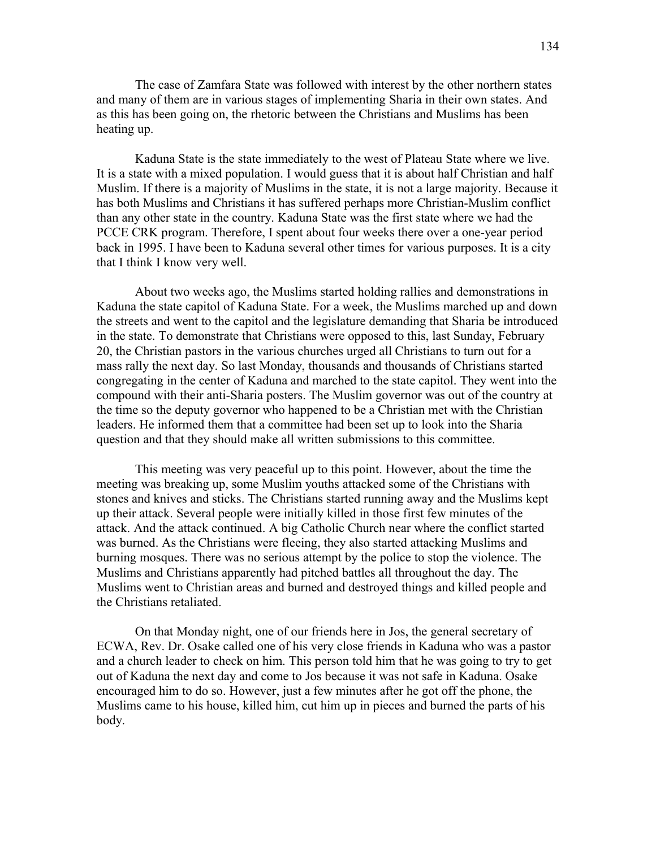The case of Zamfara State was followed with interest by the other northern states and many of them are in various stages of implementing Sharia in their own states. And as this has been going on, the rhetoric between the Christians and Muslims has been heating up.

Kaduna State is the state immediately to the west of Plateau State where we live. It is a state with a mixed population. I would guess that it is about half Christian and half Muslim. If there is a majority of Muslims in the state, it is not a large majority. Because it has both Muslims and Christians it has suffered perhaps more Christian-Muslim conflict than any other state in the country. Kaduna State was the first state where we had the PCCE CRK program. Therefore, I spent about four weeks there over a one-year period back in 1995. I have been to Kaduna several other times for various purposes. It is a city that I think I know very well.

About two weeks ago, the Muslims started holding rallies and demonstrations in Kaduna the state capitol of Kaduna State. For a week, the Muslims marched up and down the streets and went to the capitol and the legislature demanding that Sharia be introduced in the state. To demonstrate that Christians were opposed to this, last Sunday, February 20, the Christian pastors in the various churches urged all Christians to turn out for a mass rally the next day. So last Monday, thousands and thousands of Christians started congregating in the center of Kaduna and marched to the state capitol. They went into the compound with their anti-Sharia posters. The Muslim governor was out of the country at the time so the deputy governor who happened to be a Christian met with the Christian leaders. He informed them that a committee had been set up to look into the Sharia question and that they should make all written submissions to this committee.

This meeting was very peaceful up to this point. However, about the time the meeting was breaking up, some Muslim youths attacked some of the Christians with stones and knives and sticks. The Christians started running away and the Muslims kept up their attack. Several people were initially killed in those first few minutes of the attack. And the attack continued. A big Catholic Church near where the conflict started was burned. As the Christians were fleeing, they also started attacking Muslims and burning mosques. There was no serious attempt by the police to stop the violence. The Muslims and Christians apparently had pitched battles all throughout the day. The Muslims went to Christian areas and burned and destroyed things and killed people and the Christians retaliated.

On that Monday night, one of our friends here in Jos, the general secretary of ECWA, Rev. Dr. Osake called one of his very close friends in Kaduna who was a pastor and a church leader to check on him. This person told him that he was going to try to get out of Kaduna the next day and come to Jos because it was not safe in Kaduna. Osake encouraged him to do so. However, just a few minutes after he got off the phone, the Muslims came to his house, killed him, cut him up in pieces and burned the parts of his body.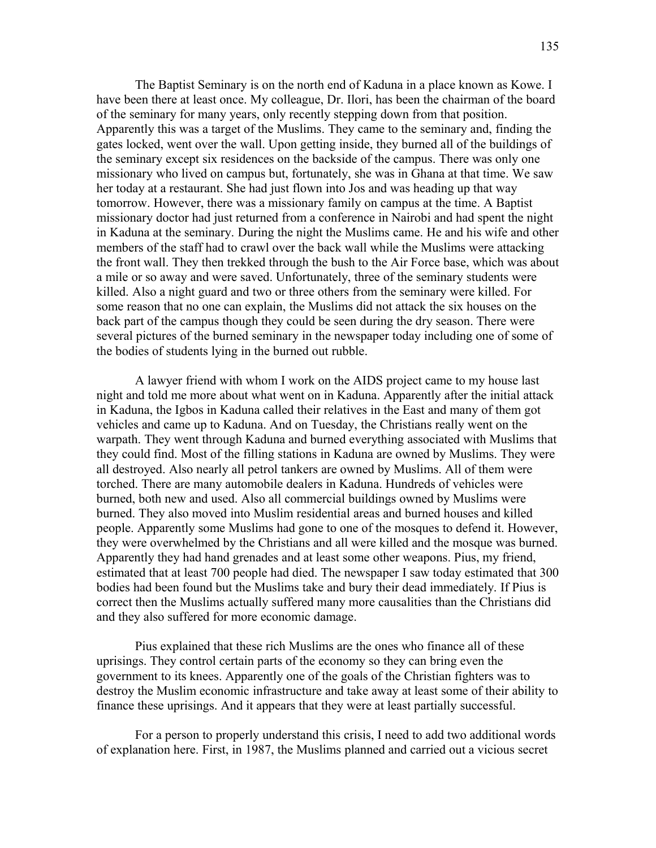The Baptist Seminary is on the north end of Kaduna in a place known as Kowe. I have been there at least once. My colleague, Dr. Ilori, has been the chairman of the board of the seminary for many years, only recently stepping down from that position. Apparently this was a target of the Muslims. They came to the seminary and, finding the gates locked, went over the wall. Upon getting inside, they burned all of the buildings of the seminary except six residences on the backside of the campus. There was only one missionary who lived on campus but, fortunately, she was in Ghana at that time. We saw her today at a restaurant. She had just flown into Jos and was heading up that way tomorrow. However, there was a missionary family on campus at the time. A Baptist missionary doctor had just returned from a conference in Nairobi and had spent the night in Kaduna at the seminary. During the night the Muslims came. He and his wife and other members of the staff had to crawl over the back wall while the Muslims were attacking the front wall. They then trekked through the bush to the Air Force base, which was about a mile or so away and were saved. Unfortunately, three of the seminary students were killed. Also a night guard and two or three others from the seminary were killed. For some reason that no one can explain, the Muslims did not attack the six houses on the back part of the campus though they could be seen during the dry season. There were several pictures of the burned seminary in the newspaper today including one of some of the bodies of students lying in the burned out rubble.

A lawyer friend with whom I work on the AIDS project came to my house last night and told me more about what went on in Kaduna. Apparently after the initial attack in Kaduna, the Igbos in Kaduna called their relatives in the East and many of them got vehicles and came up to Kaduna. And on Tuesday, the Christians really went on the warpath. They went through Kaduna and burned everything associated with Muslims that they could find. Most of the filling stations in Kaduna are owned by Muslims. They were all destroyed. Also nearly all petrol tankers are owned by Muslims. All of them were torched. There are many automobile dealers in Kaduna. Hundreds of vehicles were burned, both new and used. Also all commercial buildings owned by Muslims were burned. They also moved into Muslim residential areas and burned houses and killed people. Apparently some Muslims had gone to one of the mosques to defend it. However, they were overwhelmed by the Christians and all were killed and the mosque was burned. Apparently they had hand grenades and at least some other weapons. Pius, my friend, estimated that at least 700 people had died. The newspaper I saw today estimated that 300 bodies had been found but the Muslims take and bury their dead immediately. If Pius is correct then the Muslims actually suffered many more causalities than the Christians did and they also suffered for more economic damage.

Pius explained that these rich Muslims are the ones who finance all of these uprisings. They control certain parts of the economy so they can bring even the government to its knees. Apparently one of the goals of the Christian fighters was to destroy the Muslim economic infrastructure and take away at least some of their ability to finance these uprisings. And it appears that they were at least partially successful.

For a person to properly understand this crisis, I need to add two additional words of explanation here. First, in 1987, the Muslims planned and carried out a vicious secret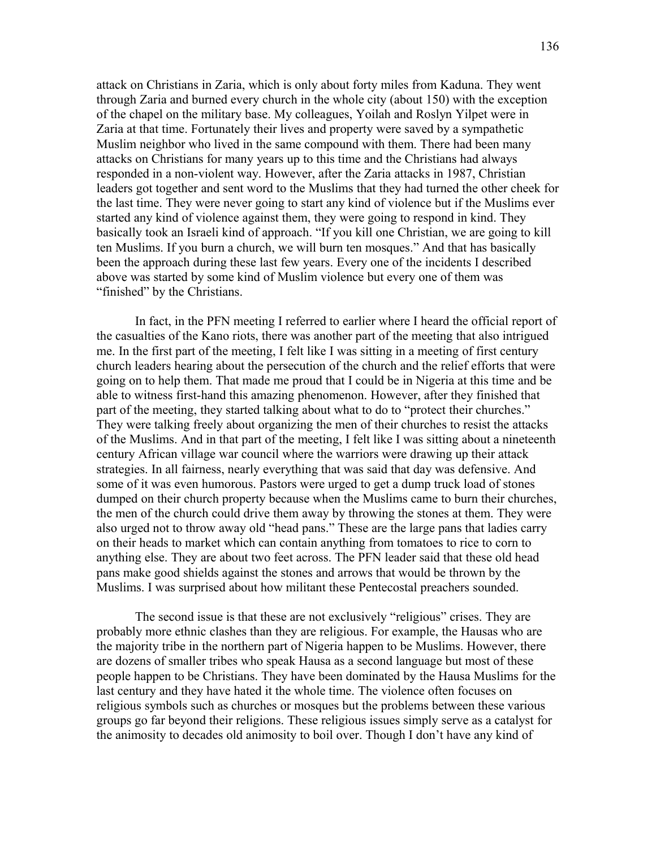attack on Christians in Zaria, which is only about forty miles from Kaduna. They went through Zaria and burned every church in the whole city (about 150) with the exception of the chapel on the military base. My colleagues, Yoilah and Roslyn Yilpet were in Zaria at that time. Fortunately their lives and property were saved by a sympathetic Muslim neighbor who lived in the same compound with them. There had been many attacks on Christians for many years up to this time and the Christians had always responded in a non-violent way. However, after the Zaria attacks in 1987, Christian leaders got together and sent word to the Muslims that they had turned the other cheek for the last time. They were never going to start any kind of violence but if the Muslims ever started any kind of violence against them, they were going to respond in kind. They basically took an Israeli kind of approach. "If you kill one Christian, we are going to kill ten Muslims. If you burn a church, we will burn ten mosques." And that has basically been the approach during these last few years. Every one of the incidents I described above was started by some kind of Muslim violence but every one of them was "finished" by the Christians.

In fact, in the PFN meeting I referred to earlier where I heard the official report of the casualties of the Kano riots, there was another part of the meeting that also intrigued me. In the first part of the meeting, I felt like I was sitting in a meeting of first century church leaders hearing about the persecution of the church and the relief efforts that were going on to help them. That made me proud that I could be in Nigeria at this time and be able to witness first-hand this amazing phenomenon. However, after they finished that part of the meeting, they started talking about what to do to "protect their churches." They were talking freely about organizing the men of their churches to resist the attacks of the Muslims. And in that part of the meeting, I felt like I was sitting about a nineteenth century African village war council where the warriors were drawing up their attack strategies. In all fairness, nearly everything that was said that day was defensive. And some of it was even humorous. Pastors were urged to get a dump truck load of stones dumped on their church property because when the Muslims came to burn their churches, the men of the church could drive them away by throwing the stones at them. They were also urged not to throw away old "head pans." These are the large pans that ladies carry on their heads to market which can contain anything from tomatoes to rice to corn to anything else. They are about two feet across. The PFN leader said that these old head pans make good shields against the stones and arrows that would be thrown by the Muslims. I was surprised about how militant these Pentecostal preachers sounded.

The second issue is that these are not exclusively "religious" crises. They are probably more ethnic clashes than they are religious. For example, the Hausas who are the majority tribe in the northern part of Nigeria happen to be Muslims. However, there are dozens of smaller tribes who speak Hausa as a second language but most of these people happen to be Christians. They have been dominated by the Hausa Muslims for the last century and they have hated it the whole time. The violence often focuses on religious symbols such as churches or mosques but the problems between these various groups go far beyond their religions. These religious issues simply serve as a catalyst for the animosity to decades old animosity to boil over. Though I don't have any kind of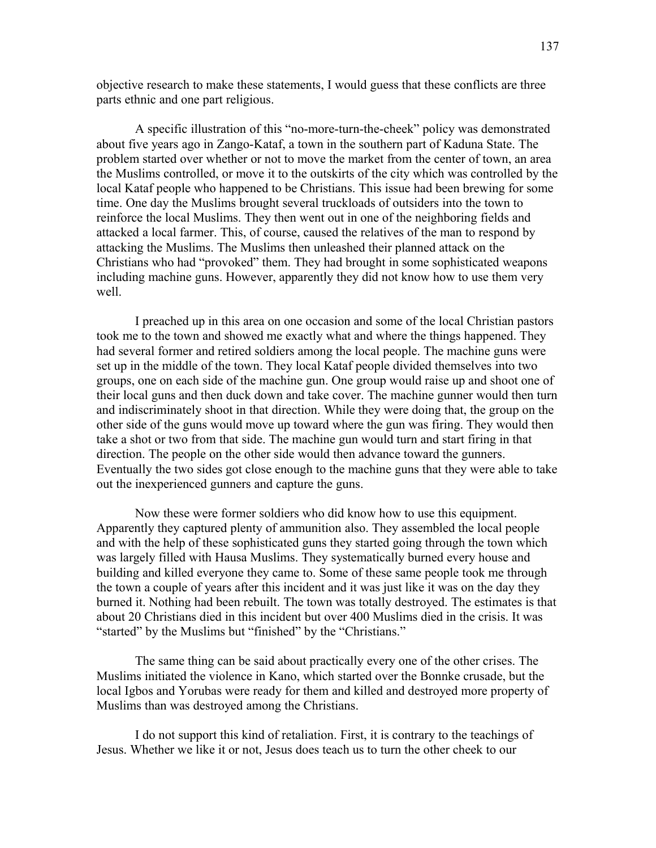objective research to make these statements, I would guess that these conflicts are three parts ethnic and one part religious.

A specific illustration of this "no-more-turn-the-cheek" policy was demonstrated about five years ago in Zango-Kataf, a town in the southern part of Kaduna State. The problem started over whether or not to move the market from the center of town, an area the Muslims controlled, or move it to the outskirts of the city which was controlled by the local Kataf people who happened to be Christians. This issue had been brewing for some time. One day the Muslims brought several truckloads of outsiders into the town to reinforce the local Muslims. They then went out in one of the neighboring fields and attacked a local farmer. This, of course, caused the relatives of the man to respond by attacking the Muslims. The Muslims then unleashed their planned attack on the Christians who had "provoked" them. They had brought in some sophisticated weapons including machine guns. However, apparently they did not know how to use them very well.

I preached up in this area on one occasion and some of the local Christian pastors took me to the town and showed me exactly what and where the things happened. They had several former and retired soldiers among the local people. The machine guns were set up in the middle of the town. They local Kataf people divided themselves into two groups, one on each side of the machine gun. One group would raise up and shoot one of their local guns and then duck down and take cover. The machine gunner would then turn and indiscriminately shoot in that direction. While they were doing that, the group on the other side of the guns would move up toward where the gun was firing. They would then take a shot or two from that side. The machine gun would turn and start firing in that direction. The people on the other side would then advance toward the gunners. Eventually the two sides got close enough to the machine guns that they were able to take out the inexperienced gunners and capture the guns.

Now these were former soldiers who did know how to use this equipment. Apparently they captured plenty of ammunition also. They assembled the local people and with the help of these sophisticated guns they started going through the town which was largely filled with Hausa Muslims. They systematically burned every house and building and killed everyone they came to. Some of these same people took me through the town a couple of years after this incident and it was just like it was on the day they burned it. Nothing had been rebuilt. The town was totally destroyed. The estimates is that about 20 Christians died in this incident but over 400 Muslims died in the crisis. It was "started" by the Muslims but "finished" by the "Christians."

The same thing can be said about practically every one of the other crises. The Muslims initiated the violence in Kano, which started over the Bonnke crusade, but the local Igbos and Yorubas were ready for them and killed and destroyed more property of Muslims than was destroyed among the Christians.

I do not support this kind of retaliation. First, it is contrary to the teachings of Jesus. Whether we like it or not, Jesus does teach us to turn the other cheek to our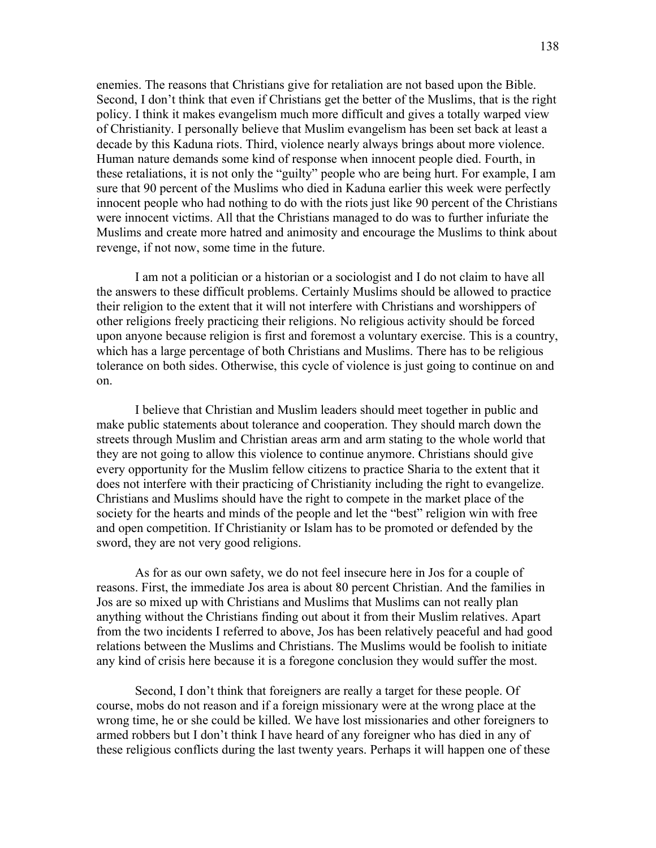enemies. The reasons that Christians give for retaliation are not based upon the Bible. Second, I don't think that even if Christians get the better of the Muslims, that is the right policy. I think it makes evangelism much more difficult and gives a totally warped view of Christianity. I personally believe that Muslim evangelism has been set back at least a decade by this Kaduna riots. Third, violence nearly always brings about more violence. Human nature demands some kind of response when innocent people died. Fourth, in these retaliations, it is not only the "guilty" people who are being hurt. For example, I am sure that 90 percent of the Muslims who died in Kaduna earlier this week were perfectly innocent people who had nothing to do with the riots just like 90 percent of the Christians were innocent victims. All that the Christians managed to do was to further infuriate the Muslims and create more hatred and animosity and encourage the Muslims to think about revenge, if not now, some time in the future.

I am not a politician or a historian or a sociologist and I do not claim to have all the answers to these difficult problems. Certainly Muslims should be allowed to practice their religion to the extent that it will not interfere with Christians and worshippers of other religions freely practicing their religions. No religious activity should be forced upon anyone because religion is first and foremost a voluntary exercise. This is a country, which has a large percentage of both Christians and Muslims. There has to be religious tolerance on both sides. Otherwise, this cycle of violence is just going to continue on and on.

I believe that Christian and Muslim leaders should meet together in public and make public statements about tolerance and cooperation. They should march down the streets through Muslim and Christian areas arm and arm stating to the whole world that they are not going to allow this violence to continue anymore. Christians should give every opportunity for the Muslim fellow citizens to practice Sharia to the extent that it does not interfere with their practicing of Christianity including the right to evangelize. Christians and Muslims should have the right to compete in the market place of the society for the hearts and minds of the people and let the "best" religion win with free and open competition. If Christianity or Islam has to be promoted or defended by the sword, they are not very good religions.

As for as our own safety, we do not feel insecure here in Jos for a couple of reasons. First, the immediate Jos area is about 80 percent Christian. And the families in Jos are so mixed up with Christians and Muslims that Muslims can not really plan anything without the Christians finding out about it from their Muslim relatives. Apart from the two incidents I referred to above, Jos has been relatively peaceful and had good relations between the Muslims and Christians. The Muslims would be foolish to initiate any kind of crisis here because it is a foregone conclusion they would suffer the most.

Second, I don't think that foreigners are really a target for these people. Of course, mobs do not reason and if a foreign missionary were at the wrong place at the wrong time, he or she could be killed. We have lost missionaries and other foreigners to armed robbers but I don't think I have heard of any foreigner who has died in any of these religious conflicts during the last twenty years. Perhaps it will happen one of these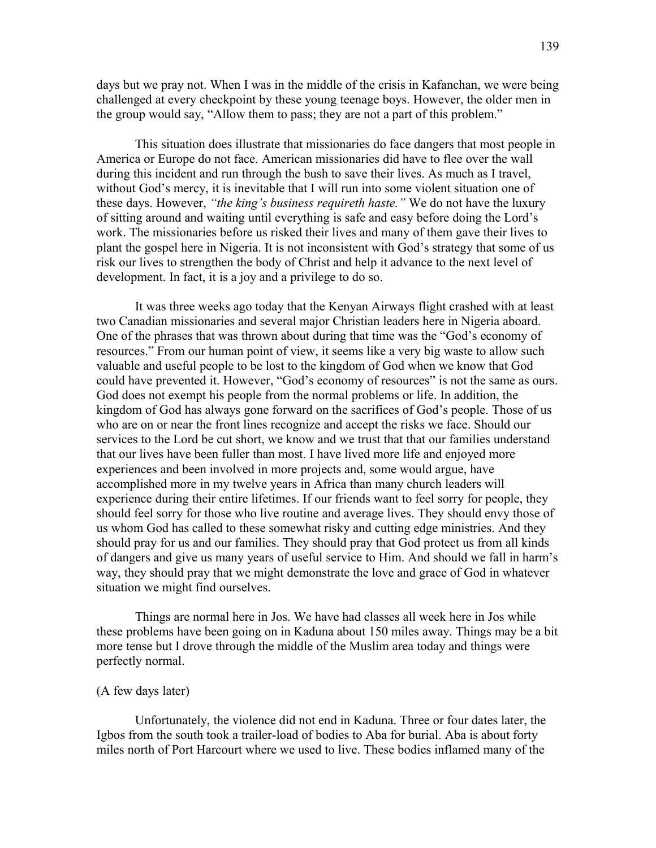days but we pray not. When I was in the middle of the crisis in Kafanchan, we were being challenged at every checkpoint by these young teenage boys. However, the older men in the group would say, "Allow them to pass; they are not a part of this problem."

This situation does illustrate that missionaries do face dangers that most people in America or Europe do not face. American missionaries did have to flee over the wall during this incident and run through the bush to save their lives. As much as I travel, without God's mercy, it is inevitable that I will run into some violent situation one of these days. However, *"the king's business requireth haste."* We do not have the luxury of sitting around and waiting until everything is safe and easy before doing the Lord's work. The missionaries before us risked their lives and many of them gave their lives to plant the gospel here in Nigeria. It is not inconsistent with God's strategy that some of us risk our lives to strengthen the body of Christ and help it advance to the next level of development. In fact, it is a joy and a privilege to do so.

It was three weeks ago today that the Kenyan Airways flight crashed with at least two Canadian missionaries and several major Christian leaders here in Nigeria aboard. One of the phrases that was thrown about during that time was the "God's economy of resources." From our human point of view, it seems like a very big waste to allow such valuable and useful people to be lost to the kingdom of God when we know that God could have prevented it. However, "God's economy of resources" is not the same as ours. God does not exempt his people from the normal problems or life. In addition, the kingdom of God has always gone forward on the sacrifices of God's people. Those of us who are on or near the front lines recognize and accept the risks we face. Should our services to the Lord be cut short, we know and we trust that that our families understand that our lives have been fuller than most. I have lived more life and enjoyed more experiences and been involved in more projects and, some would argue, have accomplished more in my twelve years in Africa than many church leaders will experience during their entire lifetimes. If our friends want to feel sorry for people, they should feel sorry for those who live routine and average lives. They should envy those of us whom God has called to these somewhat risky and cutting edge ministries. And they should pray for us and our families. They should pray that God protect us from all kinds of dangers and give us many years of useful service to Him. And should we fall in harm's way, they should pray that we might demonstrate the love and grace of God in whatever situation we might find ourselves.

Things are normal here in Jos. We have had classes all week here in Jos while these problems have been going on in Kaduna about 150 miles away. Things may be a bit more tense but I drove through the middle of the Muslim area today and things were perfectly normal.

### (A few days later)

Unfortunately, the violence did not end in Kaduna. Three or four dates later, the Igbos from the south took a trailer-load of bodies to Aba for burial. Aba is about forty miles north of Port Harcourt where we used to live. These bodies inflamed many of the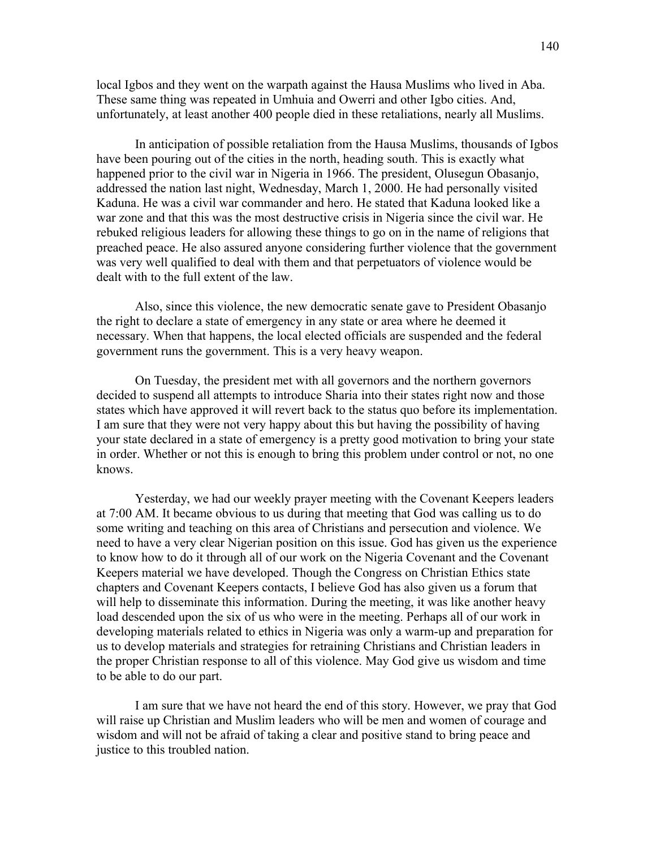local Igbos and they went on the warpath against the Hausa Muslims who lived in Aba. These same thing was repeated in Umhuia and Owerri and other Igbo cities. And, unfortunately, at least another 400 people died in these retaliations, nearly all Muslims.

In anticipation of possible retaliation from the Hausa Muslims, thousands of Igbos have been pouring out of the cities in the north, heading south. This is exactly what happened prior to the civil war in Nigeria in 1966. The president, Olusegun Obasanjo, addressed the nation last night, Wednesday, March 1, 2000. He had personally visited Kaduna. He was a civil war commander and hero. He stated that Kaduna looked like a war zone and that this was the most destructive crisis in Nigeria since the civil war. He rebuked religious leaders for allowing these things to go on in the name of religions that preached peace. He also assured anyone considering further violence that the government was very well qualified to deal with them and that perpetuators of violence would be dealt with to the full extent of the law.

Also, since this violence, the new democratic senate gave to President Obasanjo the right to declare a state of emergency in any state or area where he deemed it necessary. When that happens, the local elected officials are suspended and the federal government runs the government. This is a very heavy weapon.

On Tuesday, the president met with all governors and the northern governors decided to suspend all attempts to introduce Sharia into their states right now and those states which have approved it will revert back to the status quo before its implementation. I am sure that they were not very happy about this but having the possibility of having your state declared in a state of emergency is a pretty good motivation to bring your state in order. Whether or not this is enough to bring this problem under control or not, no one knows.

Yesterday, we had our weekly prayer meeting with the Covenant Keepers leaders at 7:00 AM. It became obvious to us during that meeting that God was calling us to do some writing and teaching on this area of Christians and persecution and violence. We need to have a very clear Nigerian position on this issue. God has given us the experience to know how to do it through all of our work on the Nigeria Covenant and the Covenant Keepers material we have developed. Though the Congress on Christian Ethics state chapters and Covenant Keepers contacts, I believe God has also given us a forum that will help to disseminate this information. During the meeting, it was like another heavy load descended upon the six of us who were in the meeting. Perhaps all of our work in developing materials related to ethics in Nigeria was only a warm-up and preparation for us to develop materials and strategies for retraining Christians and Christian leaders in the proper Christian response to all of this violence. May God give us wisdom and time to be able to do our part.

I am sure that we have not heard the end of this story. However, we pray that God will raise up Christian and Muslim leaders who will be men and women of courage and wisdom and will not be afraid of taking a clear and positive stand to bring peace and justice to this troubled nation.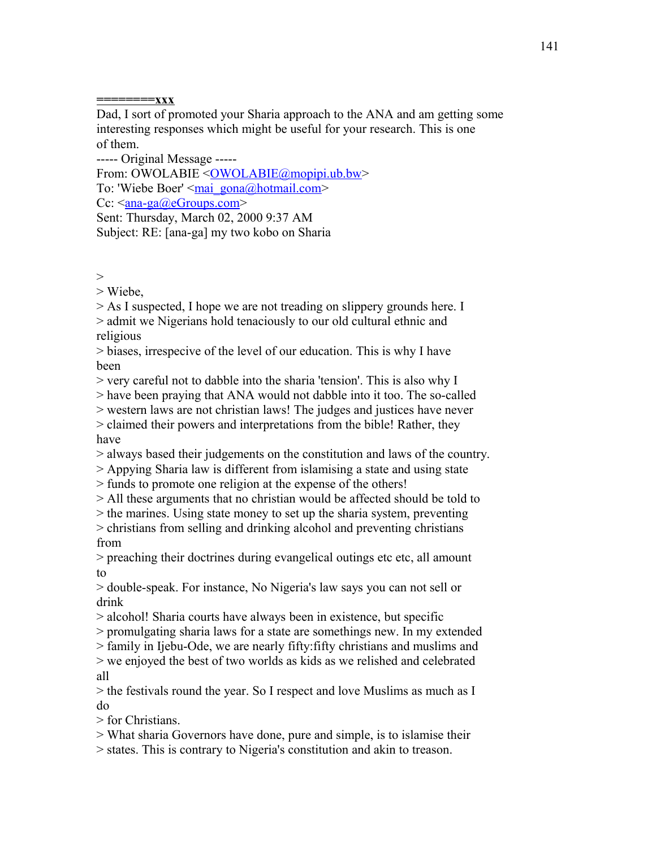**========xxx**

Dad, I sort of promoted your Sharia approach to the ANA and am getting some interesting responses which might be useful for your research. This is one of them.

----- Original Message ----- From: OWOLABIE < OWOLABIE @mopipi.ub.bw> To: 'Wiebe Boer'  $\leq$ mai\_gona@hotmail.com> Cc:  $\langle \text{ana-ga}(\hat{a}) \rangle$ eGroups.com> Sent: Thursday, March 02, 2000 9:37 AM Subject: RE: [ana-ga] my two kobo on Sharia

 $>$ 

> Wiebe,

> As I suspected, I hope we are not treading on slippery grounds here. I

> admit we Nigerians hold tenaciously to our old cultural ethnic and religious

> biases, irrespecive of the level of our education. This is why I have been

> very careful not to dabble into the sharia 'tension'. This is also why I

> have been praying that ANA would not dabble into it too. The so-called

> western laws are not christian laws! The judges and justices have never

> claimed their powers and interpretations from the bible! Rather, they have

> always based their judgements on the constitution and laws of the country.

> Appying Sharia law is different from islamising a state and using state

> funds to promote one religion at the expense of the others!

> All these arguments that no christian would be affected should be told to

> the marines. Using state money to set up the sharia system, preventing

> christians from selling and drinking alcohol and preventing christians from

> preaching their doctrines during evangelical outings etc etc, all amount to

> double-speak. For instance, No Nigeria's law says you can not sell or drink

> alcohol! Sharia courts have always been in existence, but specific

> promulgating sharia laws for a state are somethings new. In my extended

> family in Ijebu-Ode, we are nearly fifty:fifty christians and muslims and

> we enjoyed the best of two worlds as kids as we relished and celebrated all

> the festivals round the year. So I respect and love Muslims as much as I do

> for Christians.

> What sharia Governors have done, pure and simple, is to islamise their

> states. This is contrary to Nigeria's constitution and akin to treason.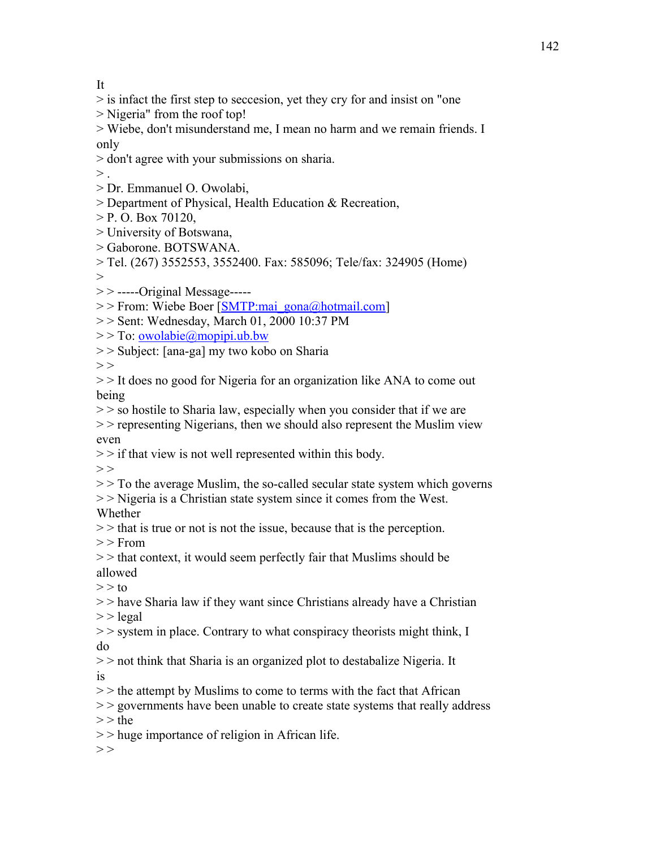It

- > is infact the first step to seccesion, yet they cry for and insist on "one
- > Nigeria" from the roof top!

> Wiebe, don't misunderstand me, I mean no harm and we remain friends. I only

> don't agree with your submissions on sharia.

 $>$  .

- > Dr. Emmanuel O. Owolabi,
- > Department of Physical, Health Education & Recreation,
- $>$  P. O. Box 70120,
- > University of Botswana,
- > Gaborone. BOTSWANA.
- > Tel. (267) 3552553, 3552400. Fax: 585096; Tele/fax: 324905 (Home)
- $>$

 $>$  -----Original Message-----

 $>>$  From: Wiebe Boer [\[SMTP:mai\\_gona@hotmail.com\]](mailto:SMTP:mai_gona@hotmail.com)

- $\ge$  > Sent: Wednesday, March 01, 2000 10:37 PM
- $\geq$   $\geq$  To: [owolabie@mopipi.ub.bw](mailto:owolabie@mopipi.ub.bw)
- > > Subject: [ana-ga] my two kobo on Sharia

 $>$ 

- > > It does no good for Nigeria for an organization like ANA to come out being
- $\ge$  so hostile to Sharia law, especially when you consider that if we are
- $\ge$  > representing Nigerians, then we should also represent the Muslim view even
- $\ge$  if that view is not well represented within this body.

 $>$ 

 $\ge$   $>$  To the average Muslim, the so-called secular state system which governs

> > Nigeria is a Christian state system since it comes from the West.

Whether

- $\ge$   $>$  that is true or not is not the issue, because that is the perception.
- $>$  From
- > > that context, it would seem perfectly fair that Muslims should be allowed
- $> 50$
- $\ge$  > have Sharia law if they want since Christians already have a Christian  $>$  legal
- 

 $\ge$   $>$  system in place. Contrary to what conspiracy theorists might think, I do

- > > not think that Sharia is an organized plot to destabalize Nigeria. It is
- $\ge$   $>$  the attempt by Muslims to come to terms with the fact that African
- $\ge$   $>$  governments have been unable to create state systems that really address
- $>$  the
- > > huge importance of religion in African life.

 $>$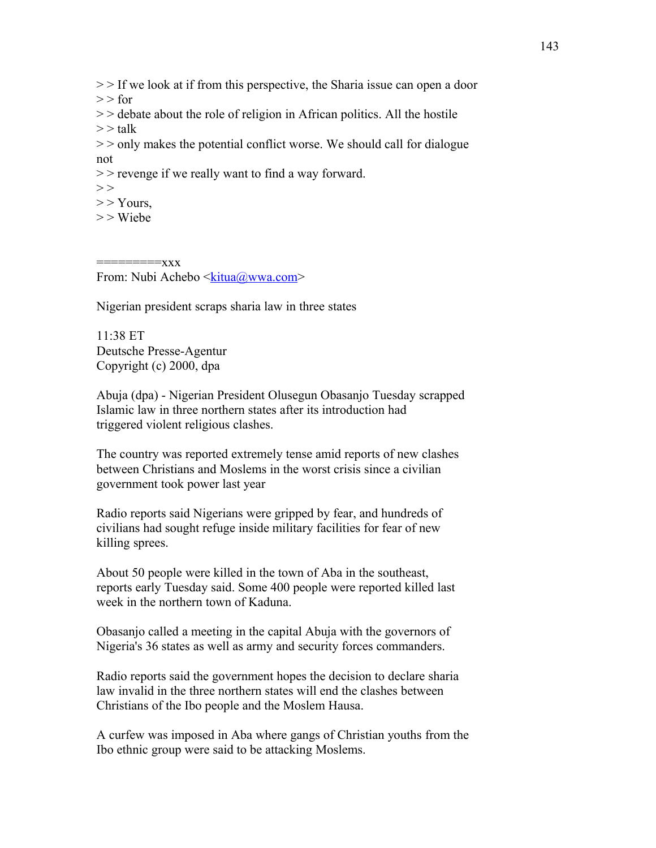$\ge$  > If we look at if from this perspective, the Sharia issue can open a door

 $>$  for

- $\ge$  > debate about the role of religion in African politics. All the hostile
- $>$  talk
- $\ge$  > only makes the potential conflict worse. We should call for dialogue not
- $\ge$  > revenge if we really want to find a way forward.
- $>$
- $>>$  Yours.
- > > Wiebe

# =========xxx

From: Nubi Achebo [<kitua@wwa.com>](mailto:kitua@wwa.com)

Nigerian president scraps sharia law in three states

11:38 ET Deutsche Presse-Agentur Copyright (c) 2000, dpa

Abuja (dpa) - Nigerian President Olusegun Obasanjo Tuesday scrapped Islamic law in three northern states after its introduction had triggered violent religious clashes.

The country was reported extremely tense amid reports of new clashes between Christians and Moslems in the worst crisis since a civilian government took power last year

Radio reports said Nigerians were gripped by fear, and hundreds of civilians had sought refuge inside military facilities for fear of new killing sprees.

About 50 people were killed in the town of Aba in the southeast, reports early Tuesday said. Some 400 people were reported killed last week in the northern town of Kaduna.

Obasanjo called a meeting in the capital Abuja with the governors of Nigeria's 36 states as well as army and security forces commanders.

Radio reports said the government hopes the decision to declare sharia law invalid in the three northern states will end the clashes between Christians of the Ibo people and the Moslem Hausa.

A curfew was imposed in Aba where gangs of Christian youths from the Ibo ethnic group were said to be attacking Moslems.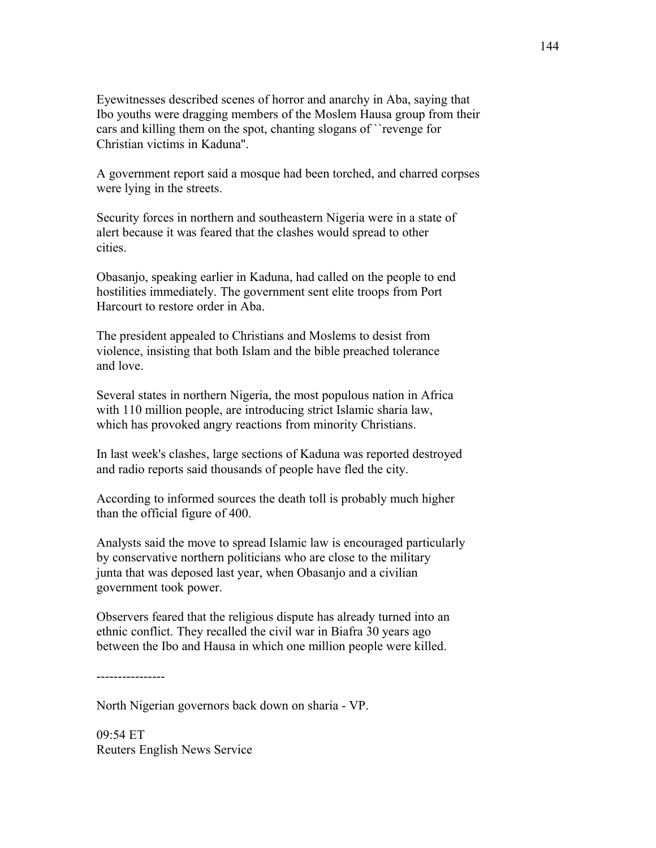Eyewitnesses described scenes of horror and anarchy in Aba, saying that Ibo youths were dragging members of the Moslem Hausa group from their cars and killing them on the spot, chanting slogans of ``revenge for Christian victims in Kaduna''.

A government report said a mosque had been torched, and charred corpses were lying in the streets.

Security forces in northern and southeastern Nigeria were in a state of alert because it was feared that the clashes would spread to other cities.

Obasanjo, speaking earlier in Kaduna, had called on the people to end hostilities immediately. The government sent elite troops from Port Harcourt to restore order in Aba.

The president appealed to Christians and Moslems to desist from violence, insisting that both Islam and the bible preached tolerance and love.

Several states in northern Nigeria, the most populous nation in Africa with 110 million people, are introducing strict Islamic sharia law, which has provoked angry reactions from minority Christians.

In last week's clashes, large sections of Kaduna was reported destroyed and radio reports said thousands of people have fled the city.

According to informed sources the death toll is probably much higher than the official figure of 400.

Analysts said the move to spread Islamic law is encouraged particularly by conservative northern politicians who are close to the military junta that was deposed last year, when Obasanjo and a civilian government took power.

Observers feared that the religious dispute has already turned into an ethnic conflict. They recalled the civil war in Biafra 30 years ago between the Ibo and Hausa in which one million people were killed.

----------------

North Nigerian governors back down on sharia - VP.

09:54 ET Reuters English News Service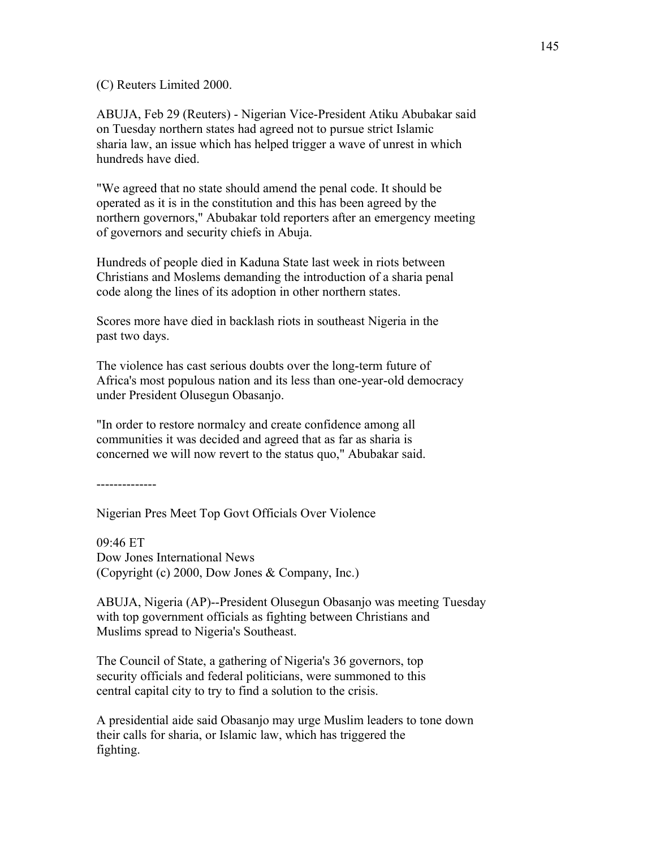(C) Reuters Limited 2000.

ABUJA, Feb 29 (Reuters) - Nigerian Vice-President Atiku Abubakar said on Tuesday northern states had agreed not to pursue strict Islamic sharia law, an issue which has helped trigger a wave of unrest in which hundreds have died.

"We agreed that no state should amend the penal code. It should be operated as it is in the constitution and this has been agreed by the northern governors," Abubakar told reporters after an emergency meeting of governors and security chiefs in Abuja.

Hundreds of people died in Kaduna State last week in riots between Christians and Moslems demanding the introduction of a sharia penal code along the lines of its adoption in other northern states.

Scores more have died in backlash riots in southeast Nigeria in the past two days.

The violence has cast serious doubts over the long-term future of Africa's most populous nation and its less than one-year-old democracy under President Olusegun Obasanjo.

"In order to restore normalcy and create confidence among all communities it was decided and agreed that as far as sharia is concerned we will now revert to the status quo," Abubakar said.

--------------

Nigerian Pres Meet Top Govt Officials Over Violence

09:46 ET Dow Jones International News (Copyright (c) 2000, Dow Jones & Company, Inc.)

ABUJA, Nigeria (AP)--President Olusegun Obasanjo was meeting Tuesday with top government officials as fighting between Christians and Muslims spread to Nigeria's Southeast.

The Council of State, a gathering of Nigeria's 36 governors, top security officials and federal politicians, were summoned to this central capital city to try to find a solution to the crisis.

A presidential aide said Obasanjo may urge Muslim leaders to tone down their calls for sharia, or Islamic law, which has triggered the fighting.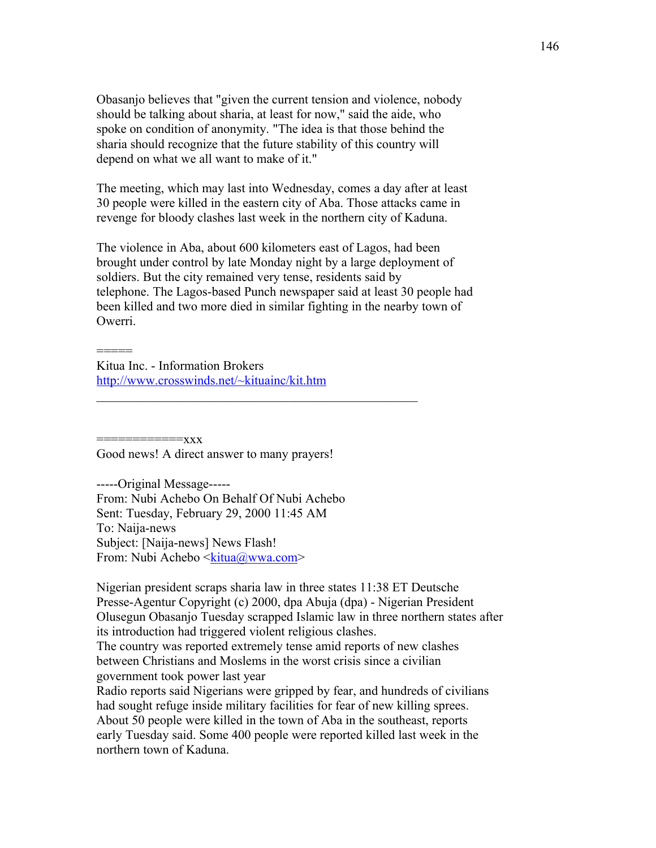Obasanjo believes that "given the current tension and violence, nobody should be talking about sharia, at least for now," said the aide, who spoke on condition of anonymity. "The idea is that those behind the sharia should recognize that the future stability of this country will depend on what we all want to make of it."

The meeting, which may last into Wednesday, comes a day after at least 30 people were killed in the eastern city of Aba. Those attacks came in revenge for bloody clashes last week in the northern city of Kaduna.

The violence in Aba, about 600 kilometers east of Lagos, had been brought under control by late Monday night by a large deployment of soldiers. But the city remained very tense, residents said by telephone. The Lagos-based Punch newspaper said at least 30 people had been killed and two more died in similar fighting in the nearby town of Owerri.

 $\mathcal{L}_\text{max}$  and the contract of the contract of the contract of the contract of the contract of the contract of the contract of the contract of the contract of the contract of the contract of the contract of the contrac

Kitua Inc. - Information Brokers <http://www.crosswinds.net/~kituainc/kit.htm>

=====

============xxx Good news! A direct answer to many prayers!

-----Original Message----- From: Nubi Achebo On Behalf Of Nubi Achebo Sent: Tuesday, February 29, 2000 11:45 AM To: Naija-news Subject: [Naija-news] News Flash! From: Nubi Achebo [<kitua@wwa.com>](mailto:kitua@wwa.com)

Nigerian president scraps sharia law in three states 11:38 ET Deutsche Presse-Agentur Copyright (c) 2000, dpa Abuja (dpa) - Nigerian President Olusegun Obasanjo Tuesday scrapped Islamic law in three northern states after its introduction had triggered violent religious clashes. The country was reported extremely tense amid reports of new clashes between Christians and Moslems in the worst crisis since a civilian government took power last year Radio reports said Nigerians were gripped by fear, and hundreds of civilians had sought refuge inside military facilities for fear of new killing sprees. About 50 people were killed in the town of Aba in the southeast, reports early Tuesday said. Some 400 people were reported killed last week in the northern town of Kaduna.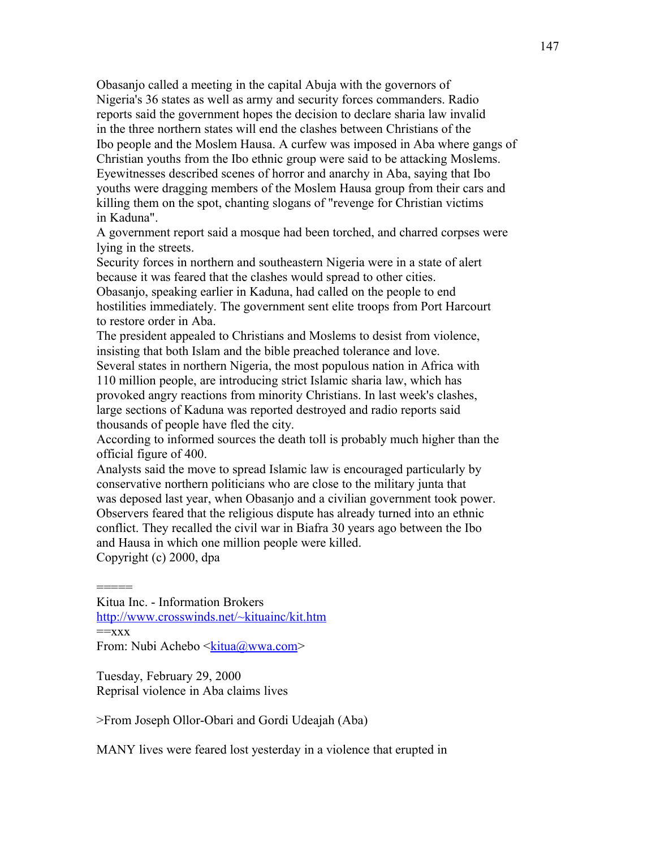Obasanjo called a meeting in the capital Abuja with the governors of Nigeria's 36 states as well as army and security forces commanders. Radio reports said the government hopes the decision to declare sharia law invalid in the three northern states will end the clashes between Christians of the Ibo people and the Moslem Hausa. A curfew was imposed in Aba where gangs of Christian youths from the Ibo ethnic group were said to be attacking Moslems. Eyewitnesses described scenes of horror and anarchy in Aba, saying that Ibo youths were dragging members of the Moslem Hausa group from their cars and killing them on the spot, chanting slogans of "revenge for Christian victims in Kaduna".

A government report said a mosque had been torched, and charred corpses were lying in the streets.

Security forces in northern and southeastern Nigeria were in a state of alert because it was feared that the clashes would spread to other cities. Obasanjo, speaking earlier in Kaduna, had called on the people to end hostilities immediately. The government sent elite troops from Port Harcourt to restore order in Aba.

The president appealed to Christians and Moslems to desist from violence, insisting that both Islam and the bible preached tolerance and love.

Several states in northern Nigeria, the most populous nation in Africa with 110 million people, are introducing strict Islamic sharia law, which has provoked angry reactions from minority Christians. In last week's clashes, large sections of Kaduna was reported destroyed and radio reports said thousands of people have fled the city.

According to informed sources the death toll is probably much higher than the official figure of 400.

Analysts said the move to spread Islamic law is encouraged particularly by conservative northern politicians who are close to the military junta that was deposed last year, when Obasanjo and a civilian government took power. Observers feared that the religious dispute has already turned into an ethnic conflict. They recalled the civil war in Biafra 30 years ago between the Ibo and Hausa in which one million people were killed.

Copyright (c) 2000, dpa

=====

Kitua Inc. - Information Brokers <http://www.crosswinds.net/~kituainc/kit.htm>  $=$  $=$  $<sub>XX</sub>$ </sub> From: Nubi Achebo [<kitua@wwa.com>](mailto:kitua@wwa.com)

Tuesday, February 29, 2000 Reprisal violence in Aba claims lives

>From Joseph Ollor-Obari and Gordi Udeajah (Aba)

MANY lives were feared lost yesterday in a violence that erupted in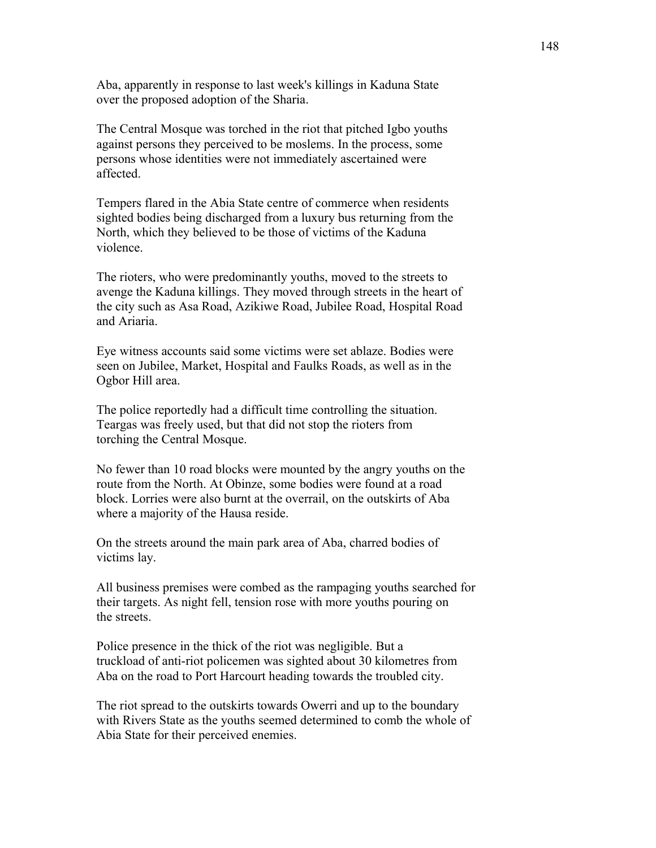Aba, apparently in response to last week's killings in Kaduna State over the proposed adoption of the Sharia.

The Central Mosque was torched in the riot that pitched Igbo youths against persons they perceived to be moslems. In the process, some persons whose identities were not immediately ascertained were affected.

Tempers flared in the Abia State centre of commerce when residents sighted bodies being discharged from a luxury bus returning from the North, which they believed to be those of victims of the Kaduna violence.

The rioters, who were predominantly youths, moved to the streets to avenge the Kaduna killings. They moved through streets in the heart of the city such as Asa Road, Azikiwe Road, Jubilee Road, Hospital Road and Ariaria.

Eye witness accounts said some victims were set ablaze. Bodies were seen on Jubilee, Market, Hospital and Faulks Roads, as well as in the Ogbor Hill area.

The police reportedly had a difficult time controlling the situation. Teargas was freely used, but that did not stop the rioters from torching the Central Mosque.

No fewer than 10 road blocks were mounted by the angry youths on the route from the North. At Obinze, some bodies were found at a road block. Lorries were also burnt at the overrail, on the outskirts of Aba where a majority of the Hausa reside.

On the streets around the main park area of Aba, charred bodies of victims lay.

All business premises were combed as the rampaging youths searched for their targets. As night fell, tension rose with more youths pouring on the streets.

Police presence in the thick of the riot was negligible. But a truckload of anti-riot policemen was sighted about 30 kilometres from Aba on the road to Port Harcourt heading towards the troubled city.

The riot spread to the outskirts towards Owerri and up to the boundary with Rivers State as the youths seemed determined to comb the whole of Abia State for their perceived enemies.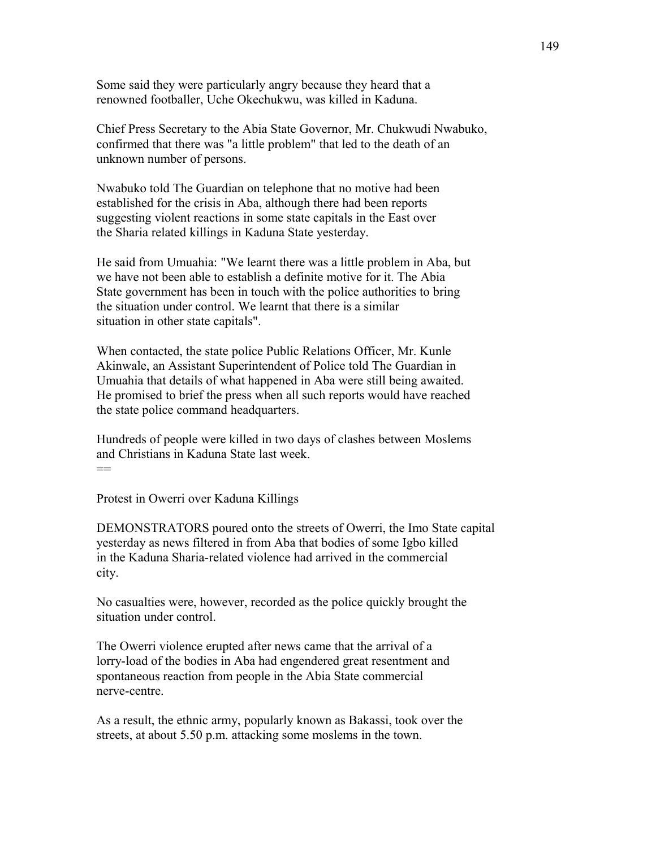Some said they were particularly angry because they heard that a renowned footballer, Uche Okechukwu, was killed in Kaduna.

Chief Press Secretary to the Abia State Governor, Mr. Chukwudi Nwabuko, confirmed that there was "a little problem" that led to the death of an unknown number of persons.

Nwabuko told The Guardian on telephone that no motive had been established for the crisis in Aba, although there had been reports suggesting violent reactions in some state capitals in the East over the Sharia related killings in Kaduna State yesterday.

He said from Umuahia: "We learnt there was a little problem in Aba, but we have not been able to establish a definite motive for it. The Abia State government has been in touch with the police authorities to bring the situation under control. We learnt that there is a similar situation in other state capitals".

When contacted, the state police Public Relations Officer, Mr. Kunle Akinwale, an Assistant Superintendent of Police told The Guardian in Umuahia that details of what happened in Aba were still being awaited. He promised to brief the press when all such reports would have reached the state police command headquarters.

Hundreds of people were killed in two days of clashes between Moslems and Christians in Kaduna State last week. ==

Protest in Owerri over Kaduna Killings

DEMONSTRATORS poured onto the streets of Owerri, the Imo State capital yesterday as news filtered in from Aba that bodies of some Igbo killed in the Kaduna Sharia-related violence had arrived in the commercial city.

No casualties were, however, recorded as the police quickly brought the situation under control.

The Owerri violence erupted after news came that the arrival of a lorry-load of the bodies in Aba had engendered great resentment and spontaneous reaction from people in the Abia State commercial nerve-centre.

As a result, the ethnic army, popularly known as Bakassi, took over the streets, at about 5.50 p.m. attacking some moslems in the town.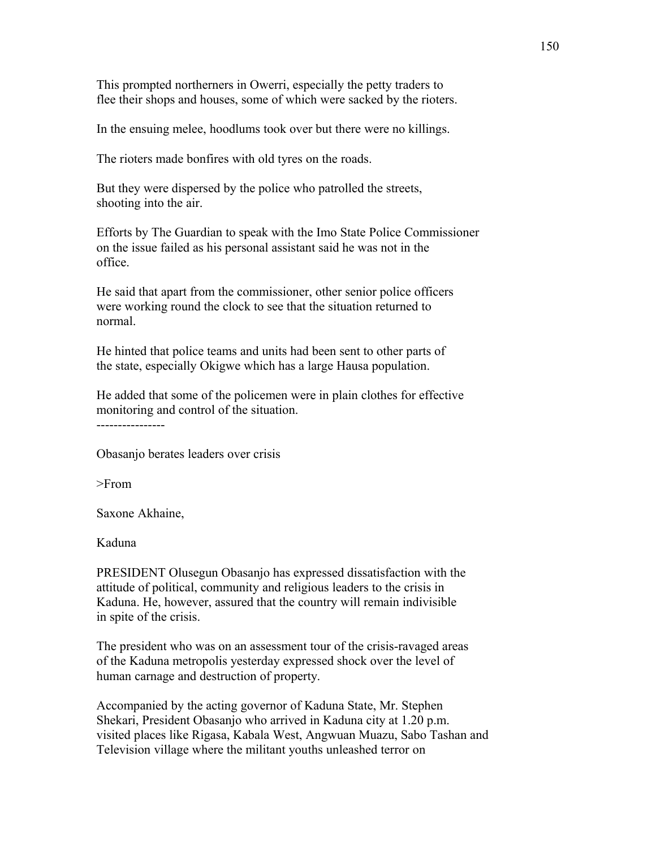This prompted northerners in Owerri, especially the petty traders to flee their shops and houses, some of which were sacked by the rioters.

In the ensuing melee, hoodlums took over but there were no killings.

The rioters made bonfires with old tyres on the roads.

But they were dispersed by the police who patrolled the streets, shooting into the air.

Efforts by The Guardian to speak with the Imo State Police Commissioner on the issue failed as his personal assistant said he was not in the office.

He said that apart from the commissioner, other senior police officers were working round the clock to see that the situation returned to normal.

He hinted that police teams and units had been sent to other parts of the state, especially Okigwe which has a large Hausa population.

He added that some of the policemen were in plain clothes for effective monitoring and control of the situation.

----------------

Obasanjo berates leaders over crisis

>From

Saxone Akhaine,

Kaduna

PRESIDENT Olusegun Obasanjo has expressed dissatisfaction with the attitude of political, community and religious leaders to the crisis in Kaduna. He, however, assured that the country will remain indivisible in spite of the crisis.

The president who was on an assessment tour of the crisis-ravaged areas of the Kaduna metropolis yesterday expressed shock over the level of human carnage and destruction of property.

Accompanied by the acting governor of Kaduna State, Mr. Stephen Shekari, President Obasanjo who arrived in Kaduna city at 1.20 p.m. visited places like Rigasa, Kabala West, Angwuan Muazu, Sabo Tashan and Television village where the militant youths unleashed terror on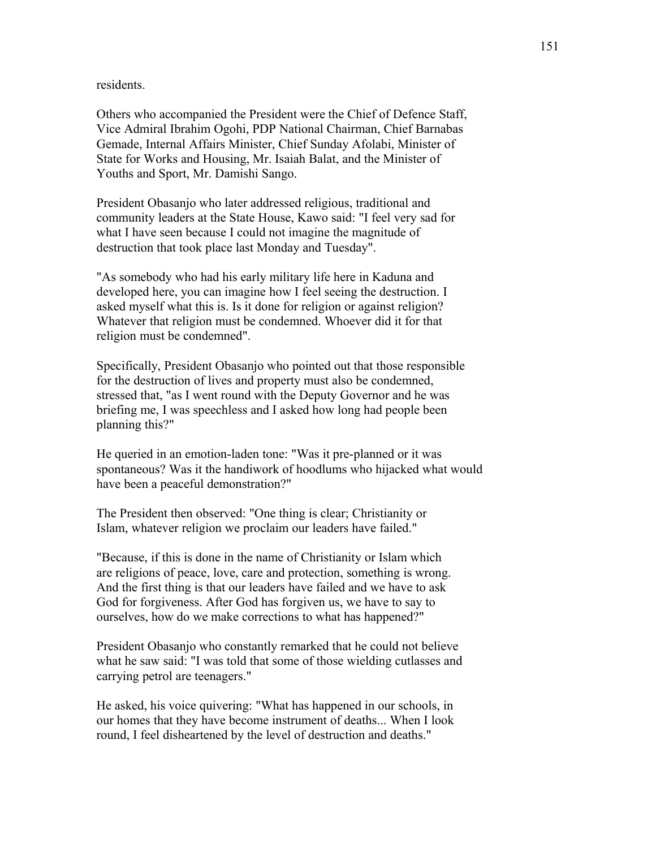residents.

Others who accompanied the President were the Chief of Defence Staff, Vice Admiral Ibrahim Ogohi, PDP National Chairman, Chief Barnabas Gemade, Internal Affairs Minister, Chief Sunday Afolabi, Minister of State for Works and Housing, Mr. Isaiah Balat, and the Minister of Youths and Sport, Mr. Damishi Sango.

President Obasanjo who later addressed religious, traditional and community leaders at the State House, Kawo said: "I feel very sad for what I have seen because I could not imagine the magnitude of destruction that took place last Monday and Tuesday".

"As somebody who had his early military life here in Kaduna and developed here, you can imagine how I feel seeing the destruction. I asked myself what this is. Is it done for religion or against religion? Whatever that religion must be condemned. Whoever did it for that religion must be condemned".

Specifically, President Obasanjo who pointed out that those responsible for the destruction of lives and property must also be condemned, stressed that, "as I went round with the Deputy Governor and he was briefing me, I was speechless and I asked how long had people been planning this?"

He queried in an emotion-laden tone: "Was it pre-planned or it was spontaneous? Was it the handiwork of hoodlums who hijacked what would have been a peaceful demonstration?"

The President then observed: "One thing is clear; Christianity or Islam, whatever religion we proclaim our leaders have failed."

"Because, if this is done in the name of Christianity or Islam which are religions of peace, love, care and protection, something is wrong. And the first thing is that our leaders have failed and we have to ask God for forgiveness. After God has forgiven us, we have to say to ourselves, how do we make corrections to what has happened?"

President Obasanjo who constantly remarked that he could not believe what he saw said: "I was told that some of those wielding cutlasses and carrying petrol are teenagers."

He asked, his voice quivering: "What has happened in our schools, in our homes that they have become instrument of deaths... When I look round, I feel disheartened by the level of destruction and deaths."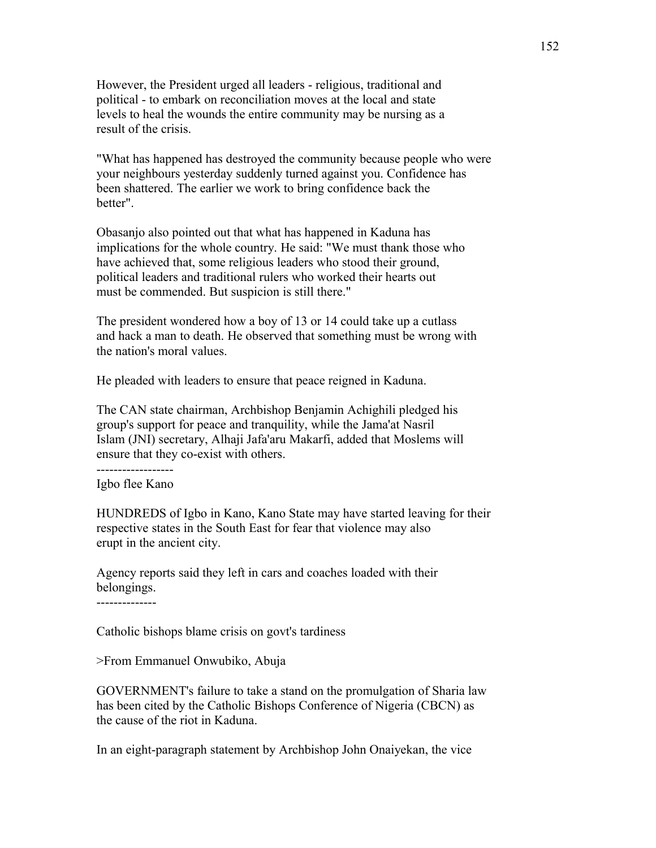However, the President urged all leaders - religious, traditional and political - to embark on reconciliation moves at the local and state levels to heal the wounds the entire community may be nursing as a result of the crisis.

"What has happened has destroyed the community because people who were your neighbours yesterday suddenly turned against you. Confidence has been shattered. The earlier we work to bring confidence back the better".

Obasanjo also pointed out that what has happened in Kaduna has implications for the whole country. He said: "We must thank those who have achieved that, some religious leaders who stood their ground, political leaders and traditional rulers who worked their hearts out must be commended. But suspicion is still there."

The president wondered how a boy of 13 or 14 could take up a cutlass and hack a man to death. He observed that something must be wrong with the nation's moral values.

He pleaded with leaders to ensure that peace reigned in Kaduna.

The CAN state chairman, Archbishop Benjamin Achighili pledged his group's support for peace and tranquility, while the Jama'at Nasril Islam (JNI) secretary, Alhaji Jafa'aru Makarfi, added that Moslems will ensure that they co-exist with others. ------------------

Igbo flee Kano

HUNDREDS of Igbo in Kano, Kano State may have started leaving for their respective states in the South East for fear that violence may also erupt in the ancient city.

Agency reports said they left in cars and coaches loaded with their belongings.

--------------

Catholic bishops blame crisis on govt's tardiness

>From Emmanuel Onwubiko, Abuja

GOVERNMENT's failure to take a stand on the promulgation of Sharia law has been cited by the Catholic Bishops Conference of Nigeria (CBCN) as the cause of the riot in Kaduna.

In an eight-paragraph statement by Archbishop John Onaiyekan, the vice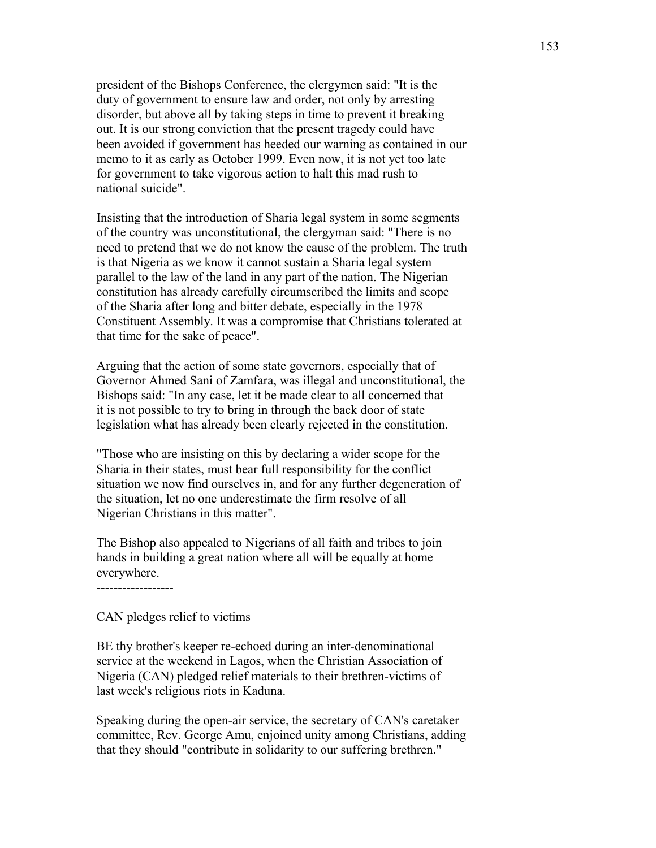president of the Bishops Conference, the clergymen said: "It is the duty of government to ensure law and order, not only by arresting disorder, but above all by taking steps in time to prevent it breaking out. It is our strong conviction that the present tragedy could have been avoided if government has heeded our warning as contained in our memo to it as early as October 1999. Even now, it is not yet too late for government to take vigorous action to halt this mad rush to national suicide".

Insisting that the introduction of Sharia legal system in some segments of the country was unconstitutional, the clergyman said: "There is no need to pretend that we do not know the cause of the problem. The truth is that Nigeria as we know it cannot sustain a Sharia legal system parallel to the law of the land in any part of the nation. The Nigerian constitution has already carefully circumscribed the limits and scope of the Sharia after long and bitter debate, especially in the 1978 Constituent Assembly. It was a compromise that Christians tolerated at that time for the sake of peace".

Arguing that the action of some state governors, especially that of Governor Ahmed Sani of Zamfara, was illegal and unconstitutional, the Bishops said: "In any case, let it be made clear to all concerned that it is not possible to try to bring in through the back door of state legislation what has already been clearly rejected in the constitution.

"Those who are insisting on this by declaring a wider scope for the Sharia in their states, must bear full responsibility for the conflict situation we now find ourselves in, and for any further degeneration of the situation, let no one underestimate the firm resolve of all Nigerian Christians in this matter".

The Bishop also appealed to Nigerians of all faith and tribes to join hands in building a great nation where all will be equally at home everywhere.

------------------

## CAN pledges relief to victims

BE thy brother's keeper re-echoed during an inter-denominational service at the weekend in Lagos, when the Christian Association of Nigeria (CAN) pledged relief materials to their brethren-victims of last week's religious riots in Kaduna.

Speaking during the open-air service, the secretary of CAN's caretaker committee, Rev. George Amu, enjoined unity among Christians, adding that they should "contribute in solidarity to our suffering brethren."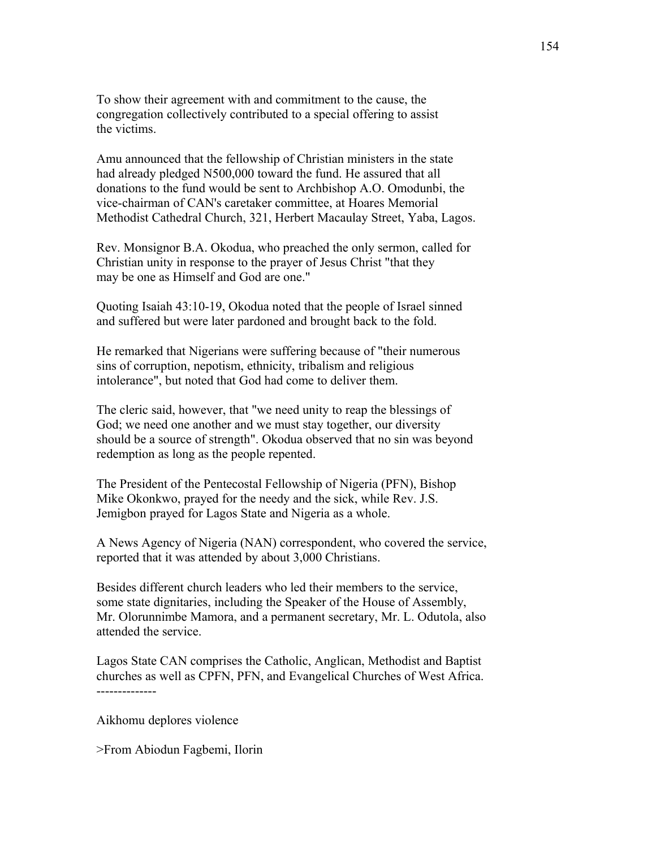To show their agreement with and commitment to the cause, the congregation collectively contributed to a special offering to assist the victims.

Amu announced that the fellowship of Christian ministers in the state had already pledged N500,000 toward the fund. He assured that all donations to the fund would be sent to Archbishop A.O. Omodunbi, the vice-chairman of CAN's caretaker committee, at Hoares Memorial Methodist Cathedral Church, 321, Herbert Macaulay Street, Yaba, Lagos.

Rev. Monsignor B.A. Okodua, who preached the only sermon, called for Christian unity in response to the prayer of Jesus Christ "that they may be one as Himself and God are one."

Quoting Isaiah 43:10-19, Okodua noted that the people of Israel sinned and suffered but were later pardoned and brought back to the fold.

He remarked that Nigerians were suffering because of "their numerous sins of corruption, nepotism, ethnicity, tribalism and religious intolerance", but noted that God had come to deliver them.

The cleric said, however, that "we need unity to reap the blessings of God; we need one another and we must stay together, our diversity should be a source of strength". Okodua observed that no sin was beyond redemption as long as the people repented.

The President of the Pentecostal Fellowship of Nigeria (PFN), Bishop Mike Okonkwo, prayed for the needy and the sick, while Rev. J.S. Jemigbon prayed for Lagos State and Nigeria as a whole.

A News Agency of Nigeria (NAN) correspondent, who covered the service, reported that it was attended by about 3,000 Christians.

Besides different church leaders who led their members to the service, some state dignitaries, including the Speaker of the House of Assembly, Mr. Olorunnimbe Mamora, and a permanent secretary, Mr. L. Odutola, also attended the service.

Lagos State CAN comprises the Catholic, Anglican, Methodist and Baptist churches as well as CPFN, PFN, and Evangelical Churches of West Africa. --------------

Aikhomu deplores violence

>From Abiodun Fagbemi, Ilorin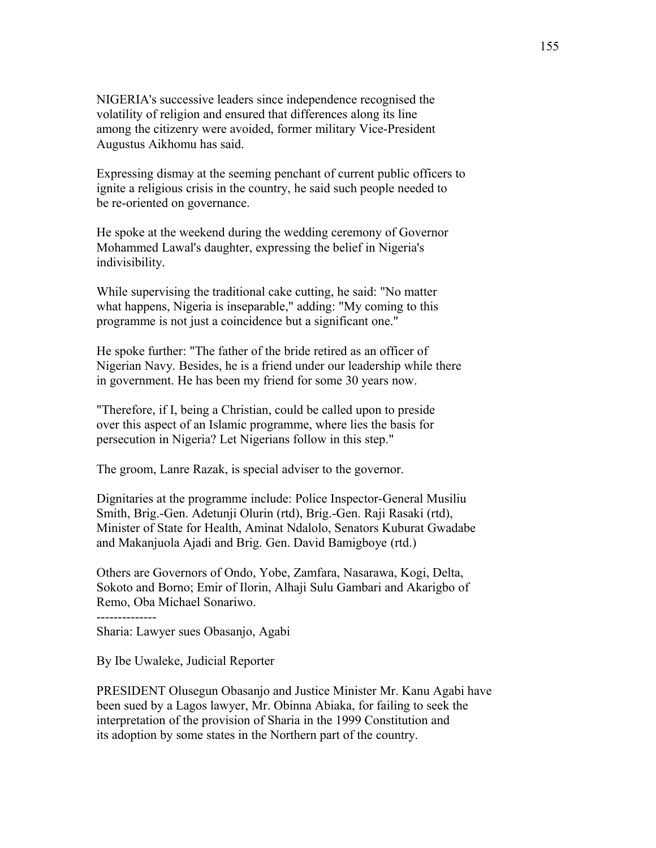NIGERIA's successive leaders since independence recognised the volatility of religion and ensured that differences along its line among the citizenry were avoided, former military Vice-President Augustus Aikhomu has said.

Expressing dismay at the seeming penchant of current public officers to ignite a religious crisis in the country, he said such people needed to be re-oriented on governance.

He spoke at the weekend during the wedding ceremony of Governor Mohammed Lawal's daughter, expressing the belief in Nigeria's indivisibility.

While supervising the traditional cake cutting, he said: "No matter what happens, Nigeria is inseparable," adding: "My coming to this programme is not just a coincidence but a significant one."

He spoke further: "The father of the bride retired as an officer of Nigerian Navy. Besides, he is a friend under our leadership while there in government. He has been my friend for some 30 years now.

"Therefore, if I, being a Christian, could be called upon to preside over this aspect of an Islamic programme, where lies the basis for persecution in Nigeria? Let Nigerians follow in this step."

The groom, Lanre Razak, is special adviser to the governor.

Dignitaries at the programme include: Police Inspector-General Musiliu Smith, Brig.-Gen. Adetunji Olurin (rtd), Brig.-Gen. Raji Rasaki (rtd), Minister of State for Health, Aminat Ndalolo, Senators Kuburat Gwadabe and Makanjuola Ajadi and Brig. Gen. David Bamigboye (rtd.)

Others are Governors of Ondo, Yobe, Zamfara, Nasarawa, Kogi, Delta, Sokoto and Borno; Emir of Ilorin, Alhaji Sulu Gambari and Akarigbo of Remo, Oba Michael Sonariwo.

Sharia: Lawyer sues Obasanjo, Agabi

By Ibe Uwaleke, Judicial Reporter

--------------

PRESIDENT Olusegun Obasanjo and Justice Minister Mr. Kanu Agabi have been sued by a Lagos lawyer, Mr. Obinna Abiaka, for failing to seek the interpretation of the provision of Sharia in the 1999 Constitution and its adoption by some states in the Northern part of the country.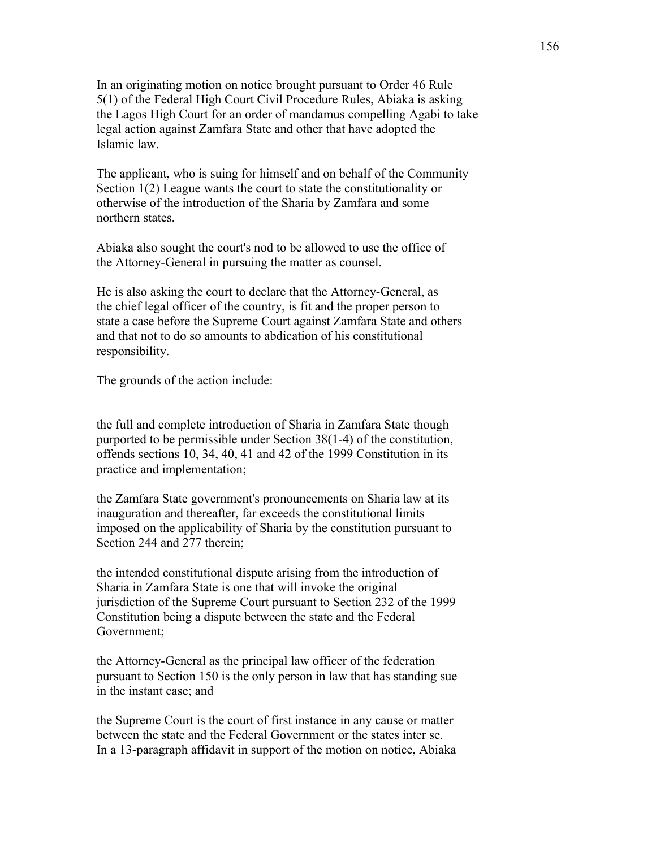In an originating motion on notice brought pursuant to Order 46 Rule 5(1) of the Federal High Court Civil Procedure Rules, Abiaka is asking the Lagos High Court for an order of mandamus compelling Agabi to take legal action against Zamfara State and other that have adopted the Islamic law.

The applicant, who is suing for himself and on behalf of the Community Section 1(2) League wants the court to state the constitutionality or otherwise of the introduction of the Sharia by Zamfara and some northern states.

Abiaka also sought the court's nod to be allowed to use the office of the Attorney-General in pursuing the matter as counsel.

He is also asking the court to declare that the Attorney-General, as the chief legal officer of the country, is fit and the proper person to state a case before the Supreme Court against Zamfara State and others and that not to do so amounts to abdication of his constitutional responsibility.

The grounds of the action include:

the full and complete introduction of Sharia in Zamfara State though purported to be permissible under Section 38(1-4) of the constitution, offends sections 10, 34, 40, 41 and 42 of the 1999 Constitution in its practice and implementation;

the Zamfara State government's pronouncements on Sharia law at its inauguration and thereafter, far exceeds the constitutional limits imposed on the applicability of Sharia by the constitution pursuant to Section 244 and 277 therein;

the intended constitutional dispute arising from the introduction of Sharia in Zamfara State is one that will invoke the original jurisdiction of the Supreme Court pursuant to Section 232 of the 1999 Constitution being a dispute between the state and the Federal Government;

the Attorney-General as the principal law officer of the federation pursuant to Section 150 is the only person in law that has standing sue in the instant case; and

the Supreme Court is the court of first instance in any cause or matter between the state and the Federal Government or the states inter se. In a 13-paragraph affidavit in support of the motion on notice, Abiaka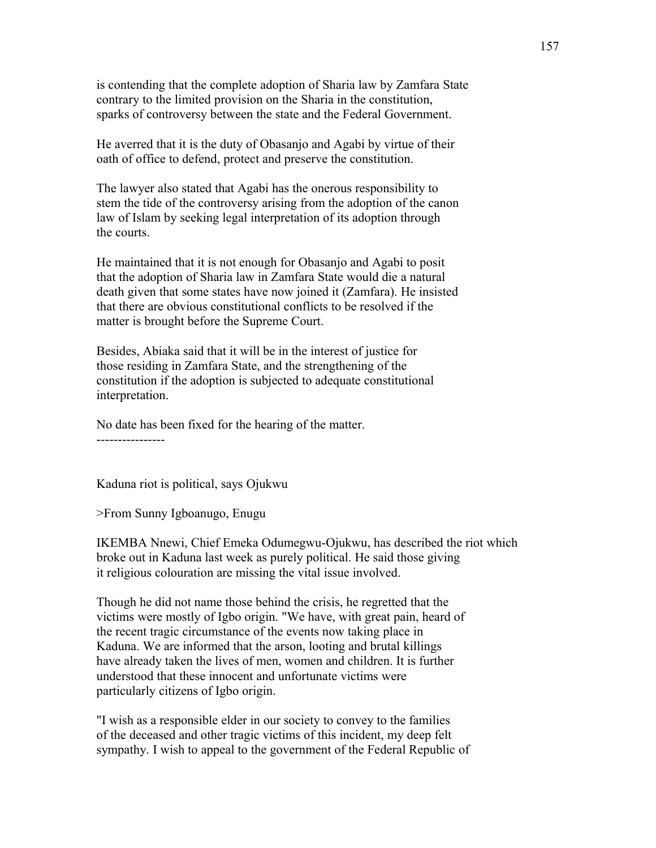is contending that the complete adoption of Sharia law by Zamfara State contrary to the limited provision on the Sharia in the constitution, sparks of controversy between the state and the Federal Government.

He averred that it is the duty of Obasanjo and Agabi by virtue of their oath of office to defend, protect and preserve the constitution.

The lawyer also stated that Agabi has the onerous responsibility to stem the tide of the controversy arising from the adoption of the canon law of Islam by seeking legal interpretation of its adoption through the courts.

He maintained that it is not enough for Obasanjo and Agabi to posit that the adoption of Sharia law in Zamfara State would die a natural death given that some states have now joined it (Zamfara). He insisted that there are obvious constitutional conflicts to be resolved if the matter is brought before the Supreme Court.

Besides, Abiaka said that it will be in the interest of justice for those residing in Zamfara State, and the strengthening of the constitution if the adoption is subjected to adequate constitutional interpretation.

No date has been fixed for the hearing of the matter.

Kaduna riot is political, says Ojukwu

>From Sunny Igboanugo, Enugu

----------------

IKEMBA Nnewi, Chief Emeka Odumegwu-Ojukwu, has described the riot which broke out in Kaduna last week as purely political. He said those giving it religious colouration are missing the vital issue involved.

Though he did not name those behind the crisis, he regretted that the victims were mostly of Igbo origin. "We have, with great pain, heard of the recent tragic circumstance of the events now taking place in Kaduna. We are informed that the arson, looting and brutal killings have already taken the lives of men, women and children. It is further understood that these innocent and unfortunate victims were particularly citizens of Igbo origin.

"I wish as a responsible elder in our society to convey to the families of the deceased and other tragic victims of this incident, my deep felt sympathy. I wish to appeal to the government of the Federal Republic of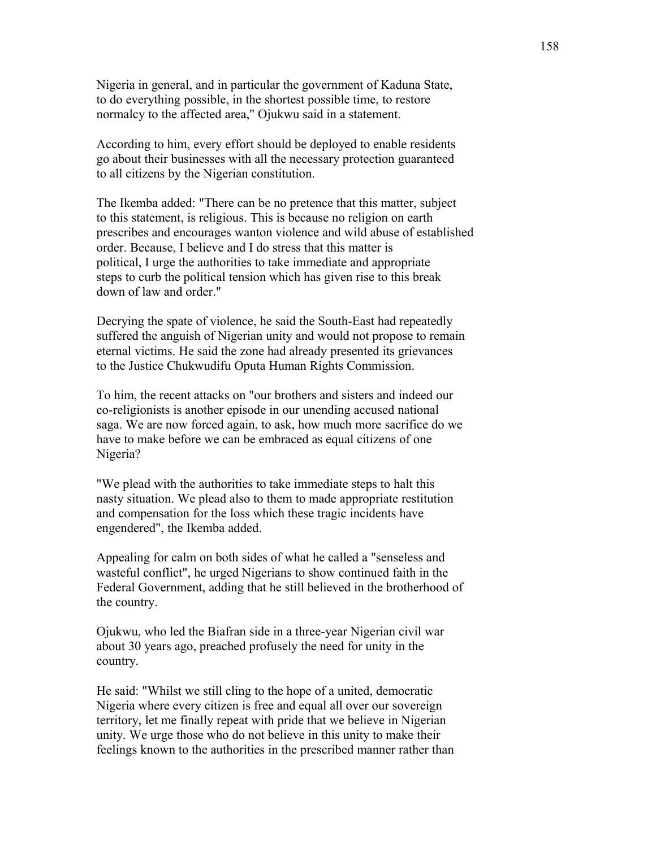Nigeria in general, and in particular the government of Kaduna State, to do everything possible, in the shortest possible time, to restore normalcy to the affected area," Ojukwu said in a statement.

According to him, every effort should be deployed to enable residents go about their businesses with all the necessary protection guaranteed to all citizens by the Nigerian constitution.

The Ikemba added: "There can be no pretence that this matter, subject to this statement, is religious. This is because no religion on earth prescribes and encourages wanton violence and wild abuse of established order. Because, I believe and I do stress that this matter is political, I urge the authorities to take immediate and appropriate steps to curb the political tension which has given rise to this break down of law and order."

Decrying the spate of violence, he said the South-East had repeatedly suffered the anguish of Nigerian unity and would not propose to remain eternal victims. He said the zone had already presented its grievances to the Justice Chukwudifu Oputa Human Rights Commission.

To him, the recent attacks on "our brothers and sisters and indeed our co-religionists is another episode in our unending accused national saga. We are now forced again, to ask, how much more sacrifice do we have to make before we can be embraced as equal citizens of one Nigeria?

"We plead with the authorities to take immediate steps to halt this nasty situation. We plead also to them to made appropriate restitution and compensation for the loss which these tragic incidents have engendered", the Ikemba added.

Appealing for calm on both sides of what he called a "senseless and wasteful conflict", he urged Nigerians to show continued faith in the Federal Government, adding that he still believed in the brotherhood of the country.

Ojukwu, who led the Biafran side in a three-year Nigerian civil war about 30 years ago, preached profusely the need for unity in the country.

He said: "Whilst we still cling to the hope of a united, democratic Nigeria where every citizen is free and equal all over our sovereign territory, let me finally repeat with pride that we believe in Nigerian unity. We urge those who do not believe in this unity to make their feelings known to the authorities in the prescribed manner rather than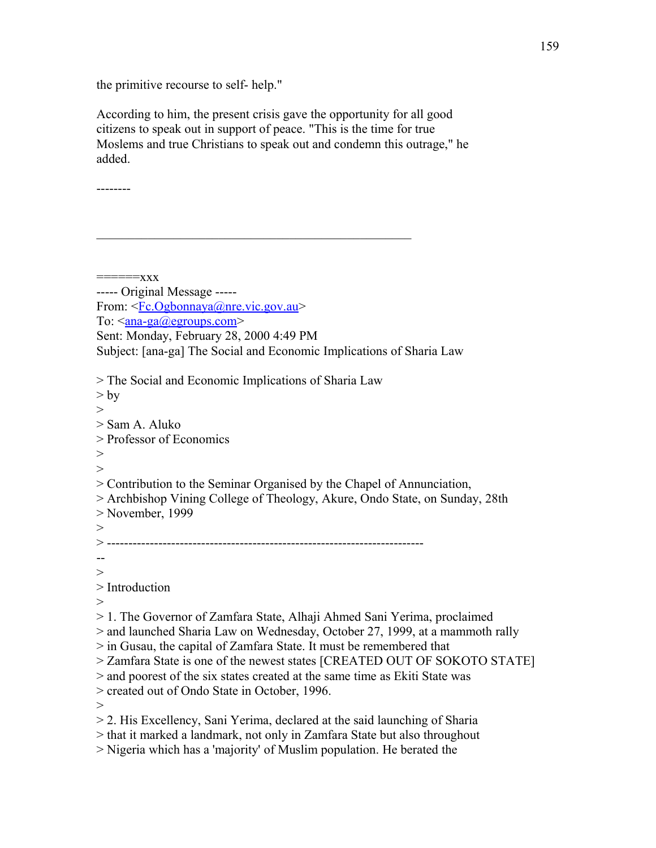the primitive recourse to self- help."

--------

According to him, the present crisis gave the opportunity for all good citizens to speak out in support of peace. "This is the time for true Moslems and true Christians to speak out and condemn this outrage," he added.

 $\mathcal{L}_\text{max}$  , and the contract of the contract of the contract of the contract of the contract of the contract of the contract of the contract of the contract of the contract of the contract of the contract of the contr

======xxx ----- Original Message ----- From: [<Fc.Ogbonnaya@nre.vic.gov.au>](mailto:Fc.Ogbonnaya@nre.vic.gov.au) To:  $\langle \text{ana-ga}(\omega) \rangle$ egroups.com Sent: Monday, February 28, 2000 4:49 PM Subject: [ana-ga] The Social and Economic Implications of Sharia Law > The Social and Economic Implications of Sharia Law  $>$  by  $>$ > Sam A. Aluko > Professor of Economics  $>$  $\geq$ > Contribution to the Seminar Organised by the Chapel of Annunciation, > Archbishop Vining College of Theology, Akure, Ondo State, on Sunday, 28th > November, 1999  $>$ > -------------------------------------------------------------------------- --  $\geq$ > Introduction  $>$ > 1. The Governor of Zamfara State, Alhaji Ahmed Sani Yerima, proclaimed > and launched Sharia Law on Wednesday, October 27, 1999, at a mammoth rally > in Gusau, the capital of Zamfara State. It must be remembered that > Zamfara State is one of the newest states [CREATED OUT OF SOKOTO STATE] > and poorest of the six states created at the same time as Ekiti State was > created out of Ondo State in October, 1996.  $>$ > 2. His Excellency, Sani Yerima, declared at the said launching of Sharia > that it marked a landmark, not only in Zamfara State but also throughout

> Nigeria which has a 'majority' of Muslim population. He berated the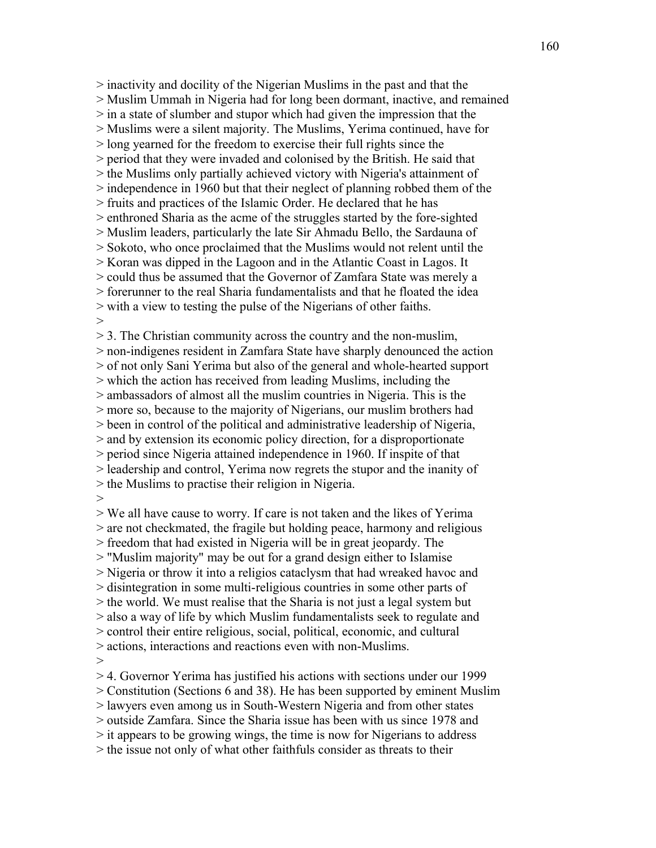> inactivity and docility of the Nigerian Muslims in the past and that the > Muslim Ummah in Nigeria had for long been dormant, inactive, and remained > in a state of slumber and stupor which had given the impression that the > Muslims were a silent majority. The Muslims, Yerima continued, have for > long yearned for the freedom to exercise their full rights since the > period that they were invaded and colonised by the British. He said that > the Muslims only partially achieved victory with Nigeria's attainment of > independence in 1960 but that their neglect of planning robbed them of the > fruits and practices of the Islamic Order. He declared that he has > enthroned Sharia as the acme of the struggles started by the fore-sighted > Muslim leaders, particularly the late Sir Ahmadu Bello, the Sardauna of > Sokoto, who once proclaimed that the Muslims would not relent until the > Koran was dipped in the Lagoon and in the Atlantic Coast in Lagos. It > could thus be assumed that the Governor of Zamfara State was merely a > forerunner to the real Sharia fundamentalists and that he floated the idea > with a view to testing the pulse of the Nigerians of other faiths.  $\geq$ > 3. The Christian community across the country and the non-muslim,

> non-indigenes resident in Zamfara State have sharply denounced the action > of not only Sani Yerima but also of the general and whole-hearted support > which the action has received from leading Muslims, including the > ambassadors of almost all the muslim countries in Nigeria. This is the > more so, because to the majority of Nigerians, our muslim brothers had > been in control of the political and administrative leadership of Nigeria, > and by extension its economic policy direction, for a disproportionate > period since Nigeria attained independence in 1960. If inspite of that > leadership and control, Yerima now regrets the stupor and the inanity of > the Muslims to practise their religion in Nigeria.  $\geq$ 

> We all have cause to worry. If care is not taken and the likes of Yerima > are not checkmated, the fragile but holding peace, harmony and religious > freedom that had existed in Nigeria will be in great jeopardy. The > "Muslim majority" may be out for a grand design either to Islamise > Nigeria or throw it into a religios cataclysm that had wreaked havoc and > disintegration in some multi-religious countries in some other parts of > the world. We must realise that the Sharia is not just a legal system but > also a way of life by which Muslim fundamentalists seek to regulate and > control their entire religious, social, political, economic, and cultural > actions, interactions and reactions even with non-Muslims.  $>$ 

> 4. Governor Yerima has justified his actions with sections under our 1999

> Constitution (Sections 6 and 38). He has been supported by eminent Muslim

> lawyers even among us in South-Western Nigeria and from other states

> outside Zamfara. Since the Sharia issue has been with us since 1978 and

> it appears to be growing wings, the time is now for Nigerians to address

> the issue not only of what other faithfuls consider as threats to their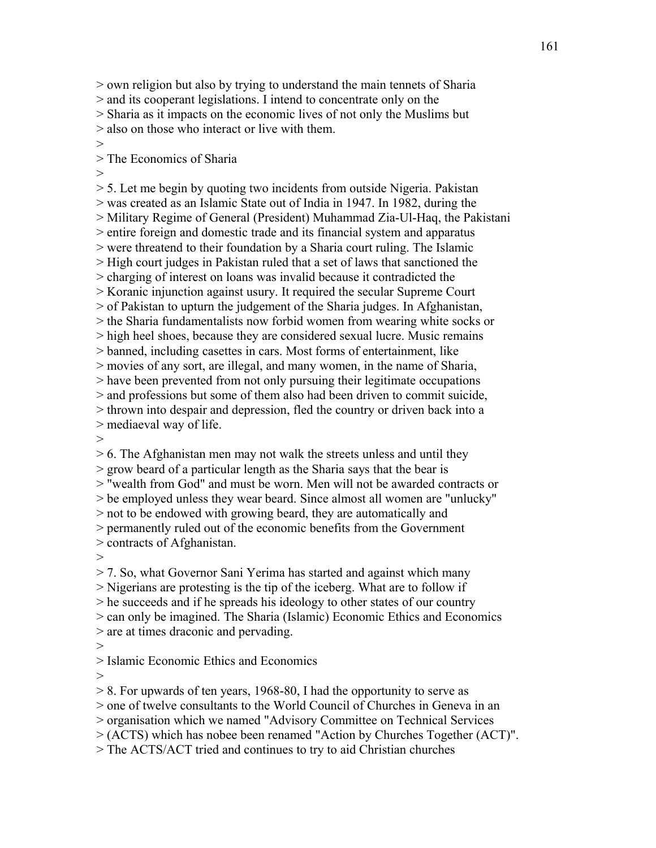> own religion but also by trying to understand the main tennets of Sharia

> and its cooperant legislations. I intend to concentrate only on the

> Sharia as it impacts on the economic lives of not only the Muslims but

> also on those who interact or live with them.

 $>$ 

> The Economics of Sharia

 $>$ 

> 5. Let me begin by quoting two incidents from outside Nigeria. Pakistan > was created as an Islamic State out of India in 1947. In 1982, during the > Military Regime of General (President) Muhammad Zia-Ul-Haq, the Pakistani > entire foreign and domestic trade and its financial system and apparatus > were threatend to their foundation by a Sharia court ruling. The Islamic > High court judges in Pakistan ruled that a set of laws that sanctioned the > charging of interest on loans was invalid because it contradicted the > Koranic injunction against usury. It required the secular Supreme Court > of Pakistan to upturn the judgement of the Sharia judges. In Afghanistan, > the Sharia fundamentalists now forbid women from wearing white socks or > high heel shoes, because they are considered sexual lucre. Music remains > banned, including casettes in cars. Most forms of entertainment, like > movies of any sort, are illegal, and many women, in the name of Sharia, > have been prevented from not only pursuing their legitimate occupations > and professions but some of them also had been driven to commit suicide, > thrown into despair and depression, fled the country or driven back into a > mediaeval way of life.

 $>$ 

> 6. The Afghanistan men may not walk the streets unless and until they

> grow beard of a particular length as the Sharia says that the bear is

> "wealth from God" and must be worn. Men will not be awarded contracts or

> be employed unless they wear beard. Since almost all women are "unlucky"

> not to be endowed with growing beard, they are automatically and

> permanently ruled out of the economic benefits from the Government

> contracts of Afghanistan.

 $\geq$ 

> 7. So, what Governor Sani Yerima has started and against which many

> Nigerians are protesting is the tip of the iceberg. What are to follow if

> he succeeds and if he spreads his ideology to other states of our country

> can only be imagined. The Sharia (Islamic) Economic Ethics and Economics

- > are at times draconic and pervading.
- $>$

> Islamic Economic Ethics and Economics

 $>$ 

> 8. For upwards of ten years, 1968-80, I had the opportunity to serve as

> one of twelve consultants to the World Council of Churches in Geneva in an

> organisation which we named "Advisory Committee on Technical Services

> (ACTS) which has nobee been renamed "Action by Churches Together (ACT)".

> The ACTS/ACT tried and continues to try to aid Christian churches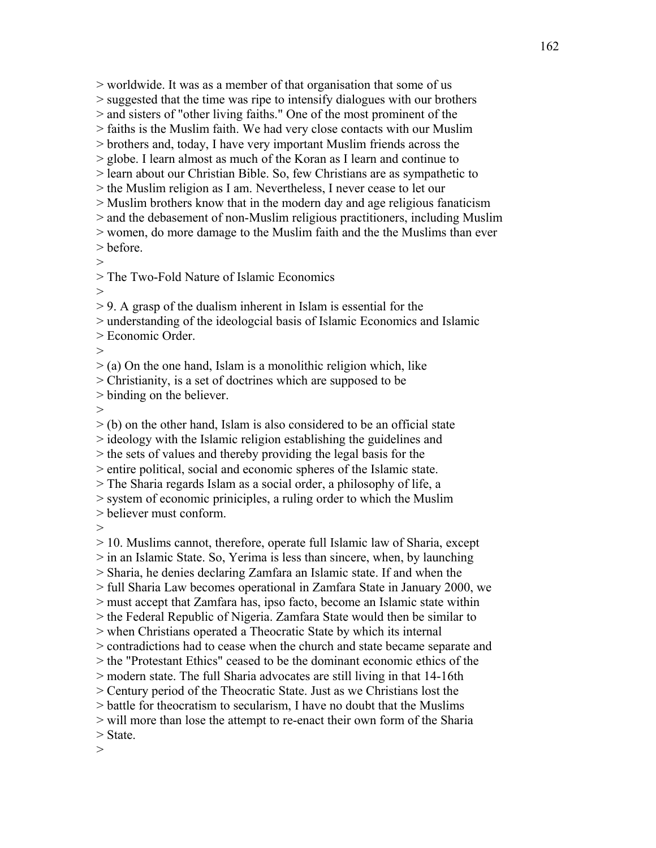> worldwide. It was as a member of that organisation that some of us > suggested that the time was ripe to intensify dialogues with our brothers > and sisters of "other living faiths." One of the most prominent of the > faiths is the Muslim faith. We had very close contacts with our Muslim > brothers and, today, I have very important Muslim friends across the > globe. I learn almost as much of the Koran as I learn and continue to > learn about our Christian Bible. So, few Christians are as sympathetic to > the Muslim religion as I am. Nevertheless, I never cease to let our > Muslim brothers know that in the modern day and age religious fanaticism > and the debasement of non-Muslim religious practitioners, including Muslim > women, do more damage to the Muslim faith and the the Muslims than ever > before.

 $>$ 

> The Two-Fold Nature of Islamic Economics

 $>$ 

> 9. A grasp of the dualism inherent in Islam is essential for the

> understanding of the ideologcial basis of Islamic Economics and Islamic

> Economic Order.

>

 $>$  (a) On the one hand, Islam is a monolithic religion which, like

> Christianity, is a set of doctrines which are supposed to be

> binding on the believer.

 $>$ 

 $>$  (b) on the other hand, Islam is also considered to be an official state

> ideology with the Islamic religion establishing the guidelines and

> the sets of values and thereby providing the legal basis for the

> entire political, social and economic spheres of the Islamic state.

> The Sharia regards Islam as a social order, a philosophy of life, a

> system of economic priniciples, a ruling order to which the Muslim

> believer must conform.

 $>$ 

> 10. Muslims cannot, therefore, operate full Islamic law of Sharia, except > in an Islamic State. So, Yerima is less than sincere, when, by launching > Sharia, he denies declaring Zamfara an Islamic state. If and when the > full Sharia Law becomes operational in Zamfara State in January 2000, we > must accept that Zamfara has, ipso facto, become an Islamic state within > the Federal Republic of Nigeria. Zamfara State would then be similar to > when Christians operated a Theocratic State by which its internal > contradictions had to cease when the church and state became separate and > the "Protestant Ethics" ceased to be the dominant economic ethics of the > modern state. The full Sharia advocates are still living in that 14-16th > Century period of the Theocratic State. Just as we Christians lost the > battle for theocratism to secularism, I have no doubt that the Muslims > will more than lose the attempt to re-enact their own form of the Sharia > State.

 $>$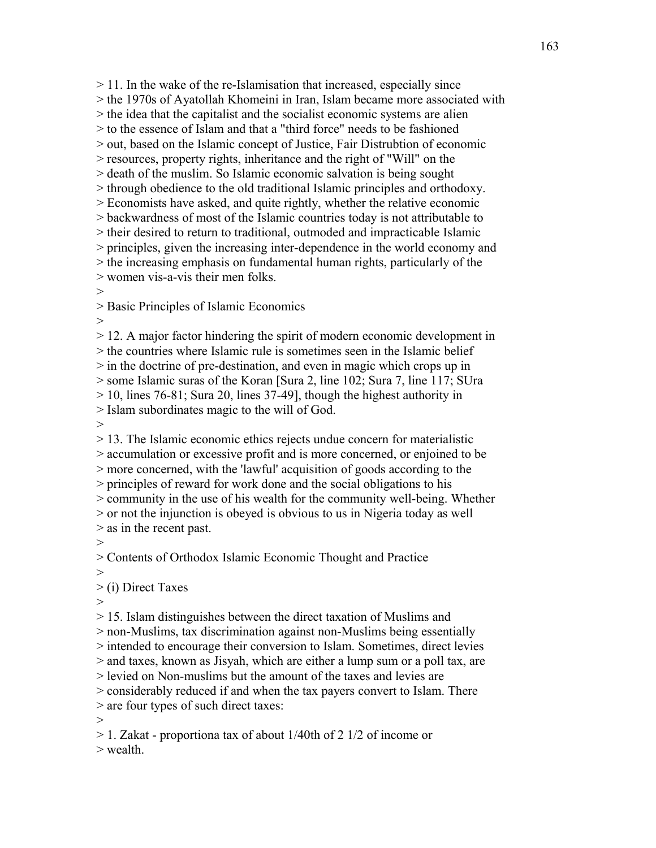> 11. In the wake of the re-Islamisation that increased, especially since > the 1970s of Ayatollah Khomeini in Iran, Islam became more associated with > the idea that the capitalist and the socialist economic systems are alien > to the essence of Islam and that a "third force" needs to be fashioned > out, based on the Islamic concept of Justice, Fair Distrubtion of economic > resources, property rights, inheritance and the right of "Will" on the > death of the muslim. So Islamic economic salvation is being sought > through obedience to the old traditional Islamic principles and orthodoxy. > Economists have asked, and quite rightly, whether the relative economic > backwardness of most of the Islamic countries today is not attributable to > their desired to return to traditional, outmoded and impracticable Islamic > principles, given the increasing inter-dependence in the world economy and > the increasing emphasis on fundamental human rights, particularly of the > women vis-a-vis their men folks.  $>$ 

> Basic Principles of Islamic Economics

 $\rightarrow$ 

> 12. A major factor hindering the spirit of modern economic development in > the countries where Islamic rule is sometimes seen in the Islamic belief > in the doctrine of pre-destination, and even in magic which crops up in > some Islamic suras of the Koran [Sura 2, line 102; Sura 7, line 117; SUra  $> 10$ , lines 76-81; Sura 20, lines 37-49], though the highest authority in > Islam subordinates magic to the will of God.

>

> 13. The Islamic economic ethics rejects undue concern for materialistic > accumulation or excessive profit and is more concerned, or enjoined to be > more concerned, with the 'lawful' acquisition of goods according to the > principles of reward for work done and the social obligations to his > community in the use of his wealth for the community well-being. Whether > or not the injunction is obeyed is obvious to us in Nigeria today as well > as in the recent past.

>

> Contents of Orthodox Islamic Economic Thought and Practice

 $>$ 

> (i) Direct Taxes

 $>$ 

> 15. Islam distinguishes between the direct taxation of Muslims and

> non-Muslims, tax discrimination against non-Muslims being essentially

> intended to encourage their conversion to Islam. Sometimes, direct levies

> and taxes, known as Jisyah, which are either a lump sum or a poll tax, are

> levied on Non-muslims but the amount of the taxes and levies are

> considerably reduced if and when the tax payers convert to Islam. There

> are four types of such direct taxes:

 $>$ 

> 1. Zakat - proportiona tax of about 1/40th of 2 1/2 of income or > wealth.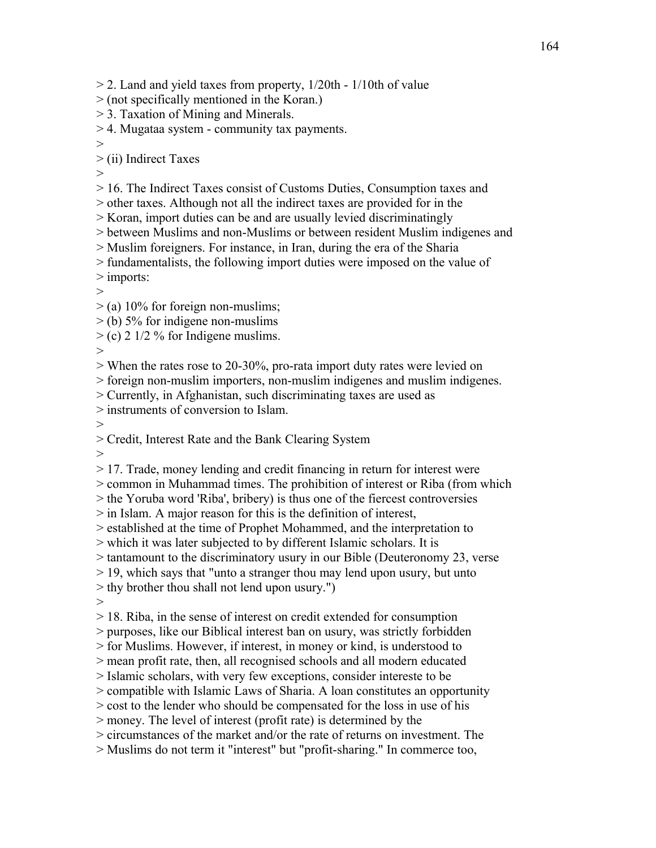> 2. Land and yield taxes from property, 1/20th - 1/10th of value

> (not specifically mentioned in the Koran.)

- > 3. Taxation of Mining and Minerals.
- > 4. Mugataa system community tax payments.

 $>$ 

> (ii) Indirect Taxes

 $>$ 

> 16. The Indirect Taxes consist of Customs Duties, Consumption taxes and

> other taxes. Although not all the indirect taxes are provided for in the

> Koran, import duties can be and are usually levied discriminatingly

> between Muslims and non-Muslims or between resident Muslim indigenes and

> Muslim foreigners. For instance, in Iran, during the era of the Sharia

> fundamentalists, the following import duties were imposed on the value of

> imports:

 $>$ 

 $>$  (a) 10% for foreign non-muslims;

 $>$  (b) 5% for indigene non-muslims

 $>$  (c) 2 1/2 % for Indigene muslims.

 $>$ 

> When the rates rose to 20-30%, pro-rata import duty rates were levied on

> foreign non-muslim importers, non-muslim indigenes and muslim indigenes.

> Currently, in Afghanistan, such discriminating taxes are used as

> instruments of conversion to Islam.

 $>$ 

> Credit, Interest Rate and the Bank Clearing System

 $>$ 

> 17. Trade, money lending and credit financing in return for interest were

> common in Muhammad times. The prohibition of interest or Riba (from which

> the Yoruba word 'Riba', bribery) is thus one of the fiercest controversies

> in Islam. A major reason for this is the definition of interest,

> established at the time of Prophet Mohammed, and the interpretation to

> which it was later subjected to by different Islamic scholars. It is

> tantamount to the discriminatory usury in our Bible (Deuteronomy 23, verse

> 19, which says that "unto a stranger thou may lend upon usury, but unto

> thy brother thou shall not lend upon usury.")

>

> 18. Riba, in the sense of interest on credit extended for consumption

> purposes, like our Biblical interest ban on usury, was strictly forbidden

> for Muslims. However, if interest, in money or kind, is understood to

> mean profit rate, then, all recognised schools and all modern educated

> Islamic scholars, with very few exceptions, consider intereste to be

> compatible with Islamic Laws of Sharia. A loan constitutes an opportunity

> cost to the lender who should be compensated for the loss in use of his

> money. The level of interest (profit rate) is determined by the

> circumstances of the market and/or the rate of returns on investment. The

> Muslims do not term it "interest" but "profit-sharing." In commerce too,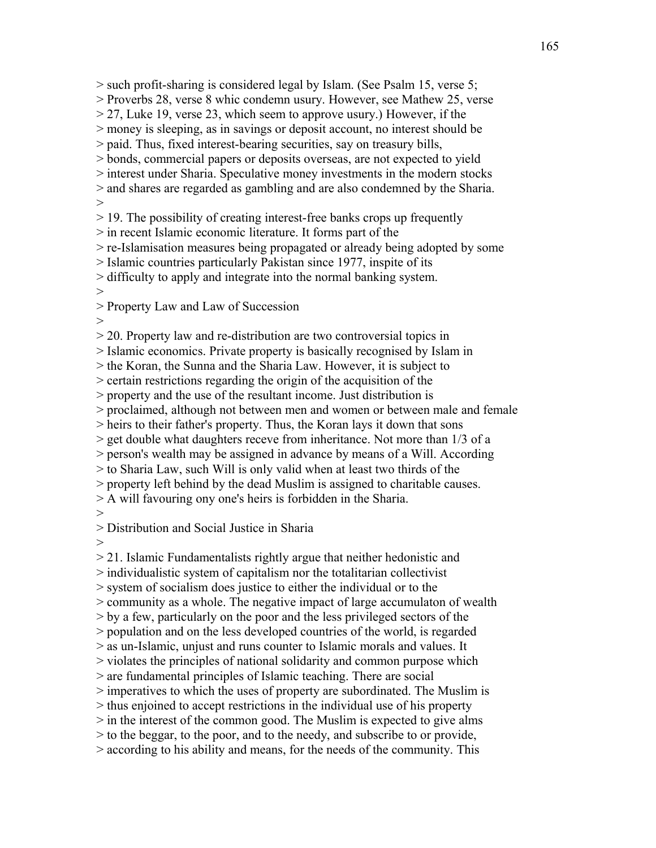> such profit-sharing is considered legal by Islam. (See Psalm 15, verse 5;

> Proverbs 28, verse 8 whic condemn usury. However, see Mathew 25, verse

> 27, Luke 19, verse 23, which seem to approve usury.) However, if the

> money is sleeping, as in savings or deposit account, no interest should be

> paid. Thus, fixed interest-bearing securities, say on treasury bills,

> bonds, commercial papers or deposits overseas, are not expected to yield

> interest under Sharia. Speculative money investments in the modern stocks

> and shares are regarded as gambling and are also condemned by the Sharia.

 $>$ 

> 19. The possibility of creating interest-free banks crops up frequently

> in recent Islamic economic literature. It forms part of the

> re-Islamisation measures being propagated or already being adopted by some

> Islamic countries particularly Pakistan since 1977, inspite of its

> difficulty to apply and integrate into the normal banking system.

 $>$ 

> Property Law and Law of Succession

 $\rightarrow$ 

> 20. Property law and re-distribution are two controversial topics in

> Islamic economics. Private property is basically recognised by Islam in

> the Koran, the Sunna and the Sharia Law. However, it is subject to

> certain restrictions regarding the origin of the acquisition of the

> property and the use of the resultant income. Just distribution is

> proclaimed, although not between men and women or between male and female

> heirs to their father's property. Thus, the Koran lays it down that sons

> get double what daughters receve from inheritance. Not more than 1/3 of a

> person's wealth may be assigned in advance by means of a Will. According

> to Sharia Law, such Will is only valid when at least two thirds of the

> property left behind by the dead Muslim is assigned to charitable causes.

> A will favouring ony one's heirs is forbidden in the Sharia.

>

> Distribution and Social Justice in Sharia

 $>$ 

> 21. Islamic Fundamentalists rightly argue that neither hedonistic and

> individualistic system of capitalism nor the totalitarian collectivist

> system of socialism does justice to either the individual or to the

> community as a whole. The negative impact of large accumulaton of wealth

> by a few, particularly on the poor and the less privileged sectors of the

> population and on the less developed countries of the world, is regarded

> as un-Islamic, unjust and runs counter to Islamic morals and values. It

> violates the principles of national solidarity and common purpose which

> are fundamental principles of Islamic teaching. There are social

> imperatives to which the uses of property are subordinated. The Muslim is

> thus enjoined to accept restrictions in the individual use of his property

> in the interest of the common good. The Muslim is expected to give alms

> to the beggar, to the poor, and to the needy, and subscribe to or provide,

> according to his ability and means, for the needs of the community. This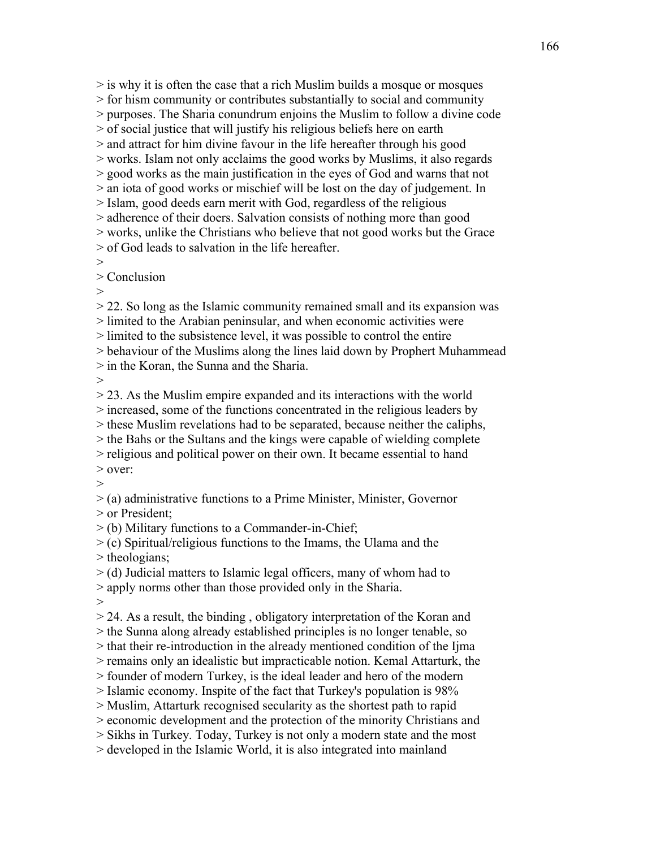> is why it is often the case that a rich Muslim builds a mosque or mosques > for hism community or contributes substantially to social and community > purposes. The Sharia conundrum enjoins the Muslim to follow a divine code > of social justice that will justify his religious beliefs here on earth > and attract for him divine favour in the life hereafter through his good > works. Islam not only acclaims the good works by Muslims, it also regards > good works as the main justification in the eyes of God and warns that not > an iota of good works or mischief will be lost on the day of judgement. In > Islam, good deeds earn merit with God, regardless of the religious > adherence of their doers. Salvation consists of nothing more than good > works, unlike the Christians who believe that not good works but the Grace > of God leads to salvation in the life hereafter.  $>$ 

> Conclusion

 $>$ 

 $>$  22. So long as the Islamic community remained small and its expansion was

> limited to the Arabian peninsular, and when economic activities were

> limited to the subsistence level, it was possible to control the entire

> behaviour of the Muslims along the lines laid down by Prophert Muhammead

> in the Koran, the Sunna and the Sharia.

 $>$ 

 $>$  23. As the Muslim empire expanded and its interactions with the world

> increased, some of the functions concentrated in the religious leaders by

> these Muslim revelations had to be separated, because neither the caliphs,

> the Bahs or the Sultans and the kings were capable of wielding complete

> religious and political power on their own. It became essential to hand

> over:

 $\geq$ 

> (a) administrative functions to a Prime Minister, Minister, Governor

> or President;

> (b) Military functions to a Commander-in-Chief;

> (c) Spiritual/religious functions to the Imams, the Ulama and the

> theologians;

> (d) Judicial matters to Islamic legal officers, many of whom had to

> apply norms other than those provided only in the Sharia.

 $>$ 

> 24. As a result, the binding , obligatory interpretation of the Koran and

> the Sunna along already established principles is no longer tenable, so

> that their re-introduction in the already mentioned condition of the Ijma

> remains only an idealistic but impracticable notion. Kemal Attarturk, the

> founder of modern Turkey, is the ideal leader and hero of the modern

> Islamic economy. Inspite of the fact that Turkey's population is 98%

> Muslim, Attarturk recognised secularity as the shortest path to rapid

> economic development and the protection of the minority Christians and

> Sikhs in Turkey. Today, Turkey is not only a modern state and the most

> developed in the Islamic World, it is also integrated into mainland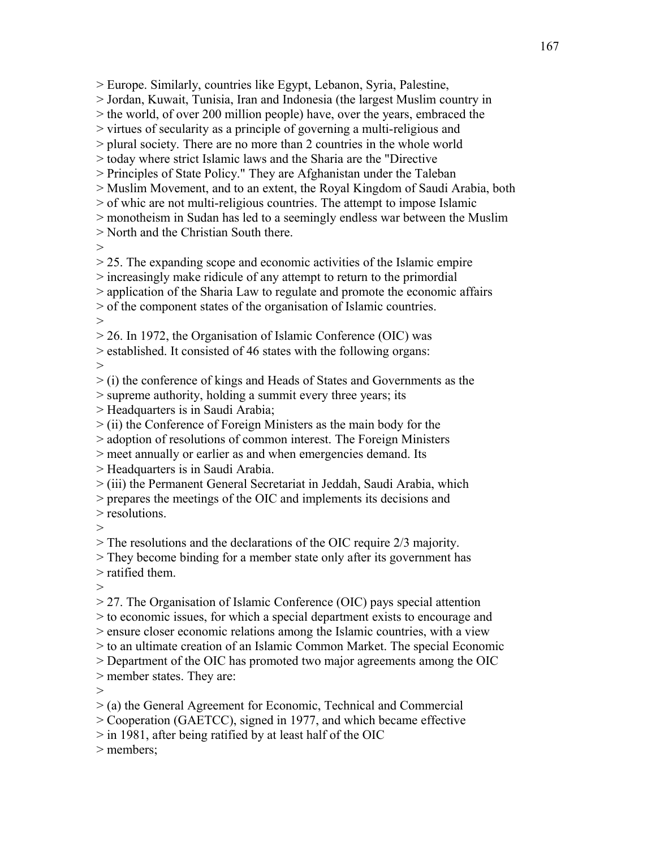> Europe. Similarly, countries like Egypt, Lebanon, Syria, Palestine, > Jordan, Kuwait, Tunisia, Iran and Indonesia (the largest Muslim country in > the world, of over 200 million people) have, over the years, embraced the > virtues of secularity as a principle of governing a multi-religious and > plural society. There are no more than 2 countries in the whole world > today where strict Islamic laws and the Sharia are the "Directive > Principles of State Policy." They are Afghanistan under the Taleban > Muslim Movement, and to an extent, the Royal Kingdom of Saudi Arabia, both > of whic are not multi-religious countries. The attempt to impose Islamic > monotheism in Sudan has led to a seemingly endless war between the Muslim > North and the Christian South there.  $>$ > 25. The expanding scope and economic activities of the Islamic empire > increasingly make ridicule of any attempt to return to the primordial > application of the Sharia Law to regulate and promote the economic affairs > of the component states of the organisation of Islamic countries.  $\geq$ > 26. In 1972, the Organisation of Islamic Conference (OIC) was > established. It consisted of 46 states with the following organs:  $>$ > (i) the conference of kings and Heads of States and Governments as the > supreme authority, holding a summit every three years; its > Headquarters is in Saudi Arabia; > (ii) the Conference of Foreign Ministers as the main body for the > adoption of resolutions of common interest. The Foreign Ministers > meet annually or earlier as and when emergencies demand. Its > Headquarters is in Saudi Arabia. > (iii) the Permanent General Secretariat in Jeddah, Saudi Arabia, which > prepares the meetings of the OIC and implements its decisions and > resolutions.  $\geq$ > The resolutions and the declarations of the OIC require 2/3 majority. > They become binding for a member state only after its government has > ratified them.  $>$ > 27. The Organisation of Islamic Conference (OIC) pays special attention > to economic issues, for which a special department exists to encourage and > ensure closer economic relations among the Islamic countries, with a view > to an ultimate creation of an Islamic Common Market. The special Economic > Department of the OIC has promoted two major agreements among the OIC > member states. They are: > > (a) the General Agreement for Economic, Technical and Commercial

> Cooperation (GAETCC), signed in 1977, and which became effective

> in 1981, after being ratified by at least half of the OIC

> members;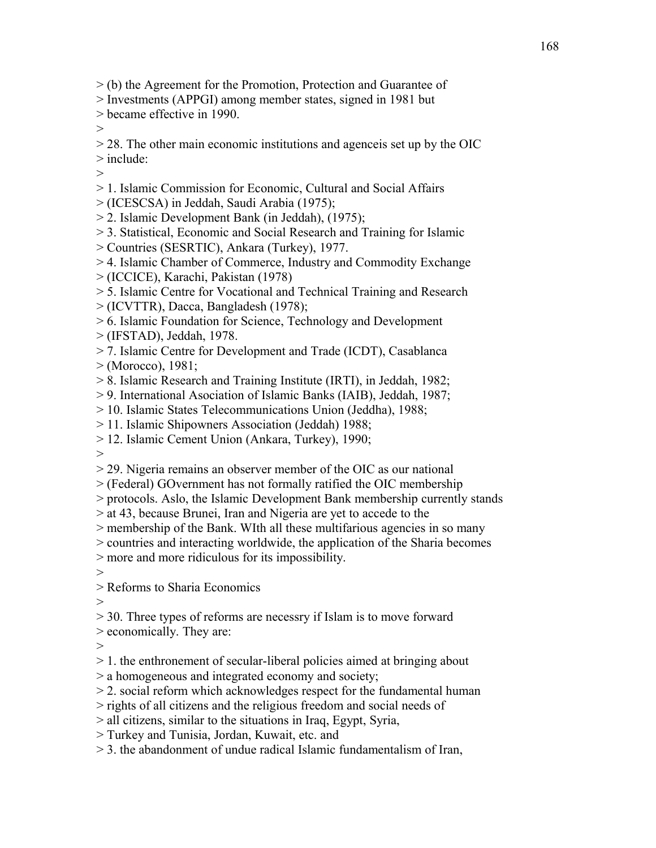> (b) the Agreement for the Promotion, Protection and Guarantee of

> Investments (APPGI) among member states, signed in 1981 but

> became effective in 1990.

 $>$ 

> 28. The other main economic institutions and agenceis set up by the OIC  $>$  include:

 $>$ 

- > 1. Islamic Commission for Economic, Cultural and Social Affairs
- > (ICESCSA) in Jeddah, Saudi Arabia (1975);
- > 2. Islamic Development Bank (in Jeddah), (1975);
- > 3. Statistical, Economic and Social Research and Training for Islamic
- > Countries (SESRTIC), Ankara (Turkey), 1977.
- > 4. Islamic Chamber of Commerce, Industry and Commodity Exchange
- > (ICCICE), Karachi, Pakistan (1978)
- > 5. Islamic Centre for Vocational and Technical Training and Research
- > (ICVTTR), Dacca, Bangladesh (1978);
- > 6. Islamic Foundation for Science, Technology and Development
- > (IFSTAD), Jeddah, 1978.
- > 7. Islamic Centre for Development and Trade (ICDT), Casablanca

> (Morocco), 1981;

- > 8. Islamic Research and Training Institute (IRTI), in Jeddah, 1982;
- > 9. International Asociation of Islamic Banks (IAIB), Jeddah, 1987;
- > 10. Islamic States Telecommunications Union (Jeddha), 1988;
- > 11. Islamic Shipowners Association (Jeddah) 1988;
- > 12. Islamic Cement Union (Ankara, Turkey), 1990;

 $>$ 

- > 29. Nigeria remains an observer member of the OIC as our national
- > (Federal) GOvernment has not formally ratified the OIC membership
- > protocols. Aslo, the Islamic Development Bank membership currently stands
- > at 43, because Brunei, Iran and Nigeria are yet to accede to the
- > membership of the Bank. WIth all these multifarious agencies in so many
- > countries and interacting worldwide, the application of the Sharia becomes
- > more and more ridiculous for its impossibility.

 $>$ 

> Reforms to Sharia Economics

 $>$ 

- > 30. Three types of reforms are necessry if Islam is to move forward
- > economically. They are:

 $\mathbf{r}$ 

> 1. the enthronement of secular-liberal policies aimed at bringing about

- > a homogeneous and integrated economy and society;
- > 2. social reform which acknowledges respect for the fundamental human
- > rights of all citizens and the religious freedom and social needs of
- > all citizens, similar to the situations in Iraq, Egypt, Syria,
- > Turkey and Tunisia, Jordan, Kuwait, etc. and
- > 3. the abandonment of undue radical Islamic fundamentalism of Iran,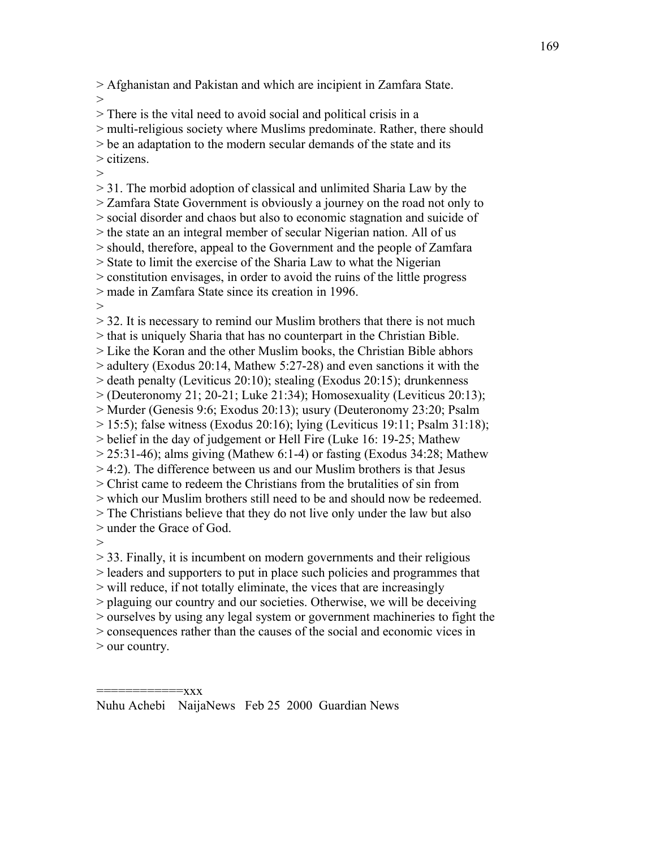> Afghanistan and Pakistan and which are incipient in Zamfara State.  $\geq$ 

> There is the vital need to avoid social and political crisis in a

> multi-religious society where Muslims predominate. Rather, there should

> be an adaptation to the modern secular demands of the state and its

> citizens.

 $>$ 

> 31. The morbid adoption of classical and unlimited Sharia Law by the

> Zamfara State Government is obviously a journey on the road not only to

> social disorder and chaos but also to economic stagnation and suicide of

> the state an an integral member of secular Nigerian nation. All of us

> should, therefore, appeal to the Government and the people of Zamfara

> State to limit the exercise of the Sharia Law to what the Nigerian

> constitution envisages, in order to avoid the ruins of the little progress

> made in Zamfara State since its creation in 1996.

 $\geq$ 

> 32. It is necessary to remind our Muslim brothers that there is not much

> that is uniquely Sharia that has no counterpart in the Christian Bible.

> Like the Koran and the other Muslim books, the Christian Bible abhors

> adultery (Exodus 20:14, Mathew 5:27-28) and even sanctions it with the

> death penalty (Leviticus 20:10); stealing (Exodus 20:15); drunkenness

> (Deuteronomy 21; 20-21; Luke 21:34); Homosexuality (Leviticus 20:13);

> Murder (Genesis 9:6; Exodus 20:13); usury (Deuteronomy 23:20; Psalm

 $> 15:5$ ; false witness (Exodus 20:16); lying (Leviticus 19:11; Psalm 31:18);

> belief in the day of judgement or Hell Fire (Luke 16: 19-25; Mathew

 $>$  25:31-46); alms giving (Mathew 6:1-4) or fasting (Exodus 34:28; Mathew

 $> 4:2$ ). The difference between us and our Muslim brothers is that Jesus

> Christ came to redeem the Christians from the brutalities of sin from

> which our Muslim brothers still need to be and should now be redeemed.

> The Christians believe that they do not live only under the law but also

> under the Grace of God.

>

> 33. Finally, it is incumbent on modern governments and their religious

> leaders and supporters to put in place such policies and programmes that

> will reduce, if not totally eliminate, the vices that are increasingly

> plaguing our country and our societies. Otherwise, we will be deceiving

> ourselves by using any legal system or government machineries to fight the

> consequences rather than the causes of the social and economic vices in

> our country.

 $=xxx$ Nuhu Achebi NaijaNews Feb 25 2000 Guardian News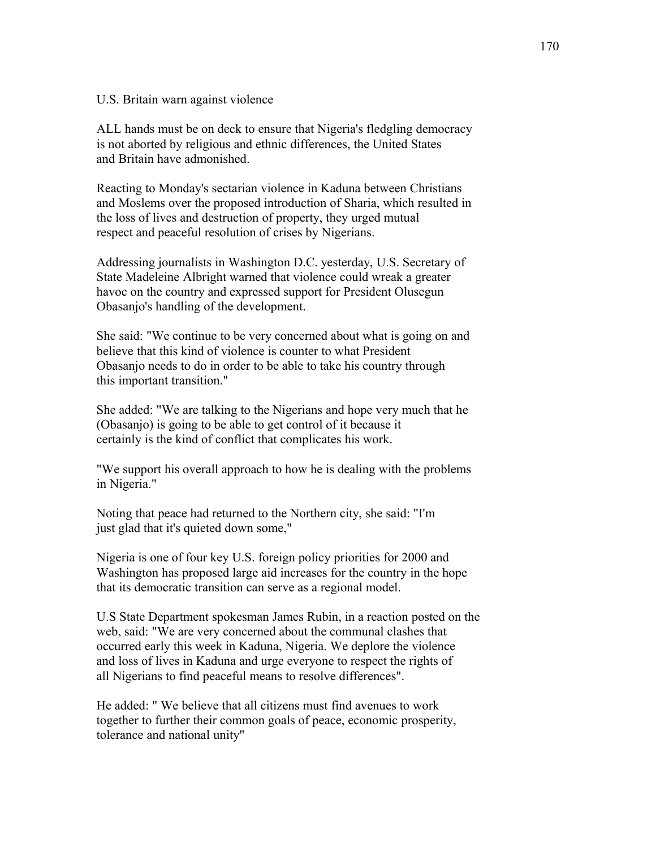## U.S. Britain warn against violence

ALL hands must be on deck to ensure that Nigeria's fledgling democracy is not aborted by religious and ethnic differences, the United States and Britain have admonished.

Reacting to Monday's sectarian violence in Kaduna between Christians and Moslems over the proposed introduction of Sharia, which resulted in the loss of lives and destruction of property, they urged mutual respect and peaceful resolution of crises by Nigerians.

Addressing journalists in Washington D.C. yesterday, U.S. Secretary of State Madeleine Albright warned that violence could wreak a greater havoc on the country and expressed support for President Olusegun Obasanjo's handling of the development.

She said: "We continue to be very concerned about what is going on and believe that this kind of violence is counter to what President Obasanjo needs to do in order to be able to take his country through this important transition."

She added: "We are talking to the Nigerians and hope very much that he (Obasanjo) is going to be able to get control of it because it certainly is the kind of conflict that complicates his work.

"We support his overall approach to how he is dealing with the problems in Nigeria."

Noting that peace had returned to the Northern city, she said: "I'm just glad that it's quieted down some,"

Nigeria is one of four key U.S. foreign policy priorities for 2000 and Washington has proposed large aid increases for the country in the hope that its democratic transition can serve as a regional model.

U.S State Department spokesman James Rubin, in a reaction posted on the web, said: "We are very concerned about the communal clashes that occurred early this week in Kaduna, Nigeria. We deplore the violence and loss of lives in Kaduna and urge everyone to respect the rights of all Nigerians to find peaceful means to resolve differences".

He added: " We believe that all citizens must find avenues to work together to further their common goals of peace, economic prosperity, tolerance and national unity"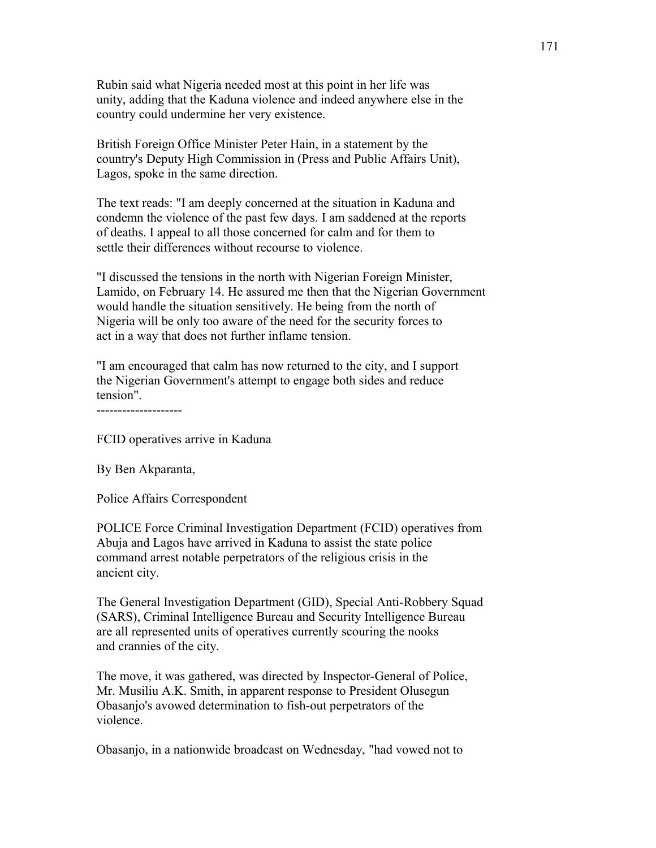Rubin said what Nigeria needed most at this point in her life was unity, adding that the Kaduna violence and indeed anywhere else in the country could undermine her very existence.

British Foreign Office Minister Peter Hain, in a statement by the country's Deputy High Commission in (Press and Public Affairs Unit), Lagos, spoke in the same direction.

The text reads: "I am deeply concerned at the situation in Kaduna and condemn the violence of the past few days. I am saddened at the reports of deaths. I appeal to all those concerned for calm and for them to settle their differences without recourse to violence.

"I discussed the tensions in the north with Nigerian Foreign Minister, Lamido, on February 14. He assured me then that the Nigerian Government would handle the situation sensitively. He being from the north of Nigeria will be only too aware of the need for the security forces to act in a way that does not further inflame tension.

"I am encouraged that calm has now returned to the city, and I support the Nigerian Government's attempt to engage both sides and reduce tension".

--------------------

FCID operatives arrive in Kaduna

By Ben Akparanta,

Police Affairs Correspondent

POLICE Force Criminal Investigation Department (FCID) operatives from Abuja and Lagos have arrived in Kaduna to assist the state police command arrest notable perpetrators of the religious crisis in the ancient city.

The General Investigation Department (GID), Special Anti-Robbery Squad (SARS), Criminal Intelligence Bureau and Security Intelligence Bureau are all represented units of operatives currently scouring the nooks and crannies of the city.

The move, it was gathered, was directed by Inspector-General of Police, Mr. Musiliu A.K. Smith, in apparent response to President Olusegun Obasanjo's avowed determination to fish-out perpetrators of the violence.

Obasanjo, in a nationwide broadcast on Wednesday, "had vowed not to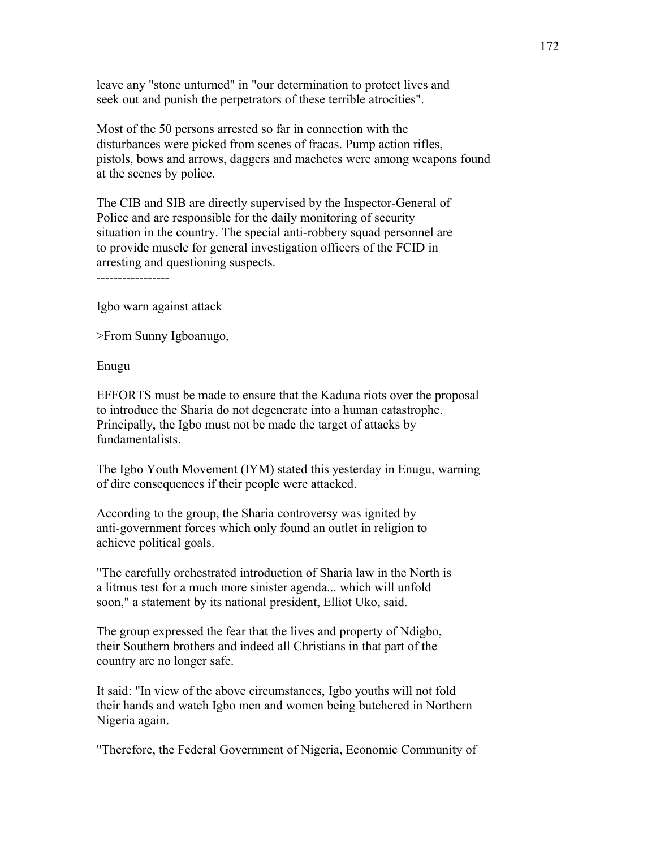leave any "stone unturned" in "our determination to protect lives and seek out and punish the perpetrators of these terrible atrocities".

Most of the 50 persons arrested so far in connection with the disturbances were picked from scenes of fracas. Pump action rifles, pistols, bows and arrows, daggers and machetes were among weapons found at the scenes by police.

The CIB and SIB are directly supervised by the Inspector-General of Police and are responsible for the daily monitoring of security situation in the country. The special anti-robbery squad personnel are to provide muscle for general investigation officers of the FCID in arresting and questioning suspects.

-----------------

Igbo warn against attack

>From Sunny Igboanugo,

Enugu

EFFORTS must be made to ensure that the Kaduna riots over the proposal to introduce the Sharia do not degenerate into a human catastrophe. Principally, the Igbo must not be made the target of attacks by fundamentalists.

The Igbo Youth Movement (IYM) stated this yesterday in Enugu, warning of dire consequences if their people were attacked.

According to the group, the Sharia controversy was ignited by anti-government forces which only found an outlet in religion to achieve political goals.

"The carefully orchestrated introduction of Sharia law in the North is a litmus test for a much more sinister agenda... which will unfold soon," a statement by its national president, Elliot Uko, said.

The group expressed the fear that the lives and property of Ndigbo, their Southern brothers and indeed all Christians in that part of the country are no longer safe.

It said: "In view of the above circumstances, Igbo youths will not fold their hands and watch Igbo men and women being butchered in Northern Nigeria again.

"Therefore, the Federal Government of Nigeria, Economic Community of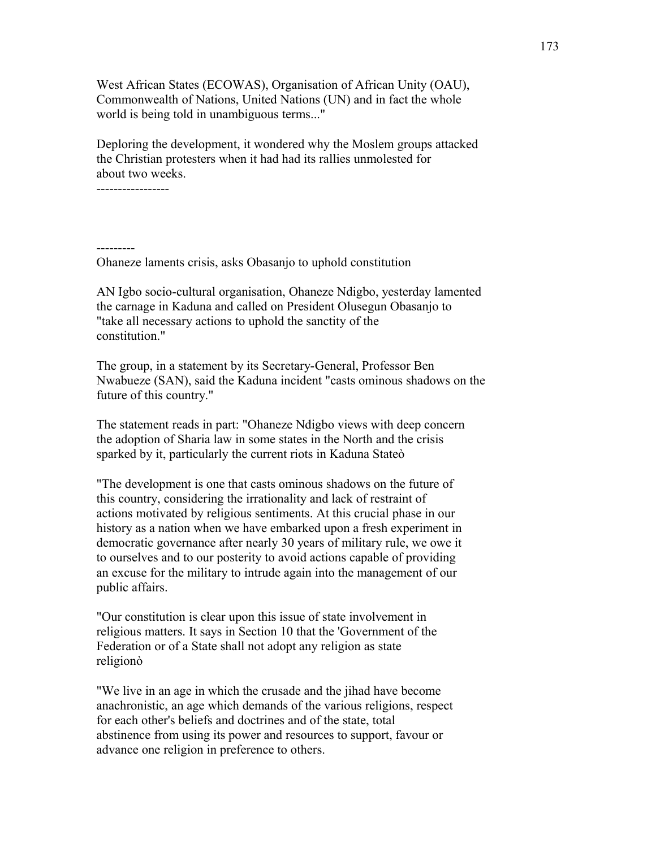West African States (ECOWAS), Organisation of African Unity (OAU), Commonwealth of Nations, United Nations (UN) and in fact the whole world is being told in unambiguous terms..."

Deploring the development, it wondered why the Moslem groups attacked the Christian protesters when it had had its rallies unmolested for about two weeks.

-----------------

---------

Ohaneze laments crisis, asks Obasanjo to uphold constitution

AN Igbo socio-cultural organisation, Ohaneze Ndigbo, yesterday lamented the carnage in Kaduna and called on President Olusegun Obasanjo to "take all necessary actions to uphold the sanctity of the constitution."

The group, in a statement by its Secretary-General, Professor Ben Nwabueze (SAN), said the Kaduna incident "casts ominous shadows on the future of this country."

The statement reads in part: "Ohaneze Ndigbo views with deep concern the adoption of Sharia law in some states in the North and the crisis sparked by it, particularly the current riots in Kaduna Stateò

"The development is one that casts ominous shadows on the future of this country, considering the irrationality and lack of restraint of actions motivated by religious sentiments. At this crucial phase in our history as a nation when we have embarked upon a fresh experiment in democratic governance after nearly 30 years of military rule, we owe it to ourselves and to our posterity to avoid actions capable of providing an excuse for the military to intrude again into the management of our public affairs.

"Our constitution is clear upon this issue of state involvement in religious matters. It says in Section 10 that the 'Government of the Federation or of a State shall not adopt any religion as state religionò

"We live in an age in which the crusade and the jihad have become anachronistic, an age which demands of the various religions, respect for each other's beliefs and doctrines and of the state, total abstinence from using its power and resources to support, favour or advance one religion in preference to others.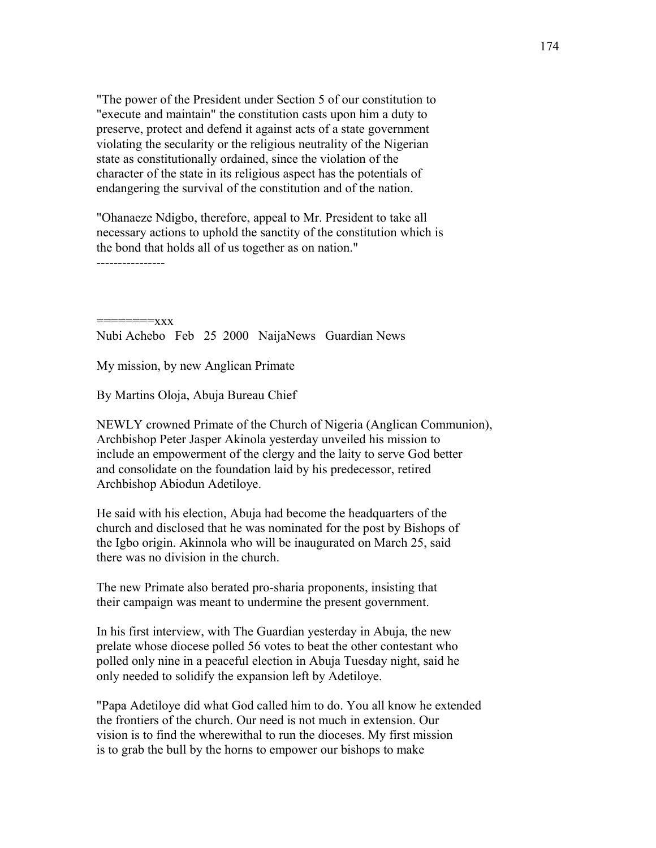"The power of the President under Section 5 of our constitution to "execute and maintain" the constitution casts upon him a duty to preserve, protect and defend it against acts of a state government violating the secularity or the religious neutrality of the Nigerian state as constitutionally ordained, since the violation of the character of the state in its religious aspect has the potentials of endangering the survival of the constitution and of the nation.

"Ohanaeze Ndigbo, therefore, appeal to Mr. President to take all necessary actions to uphold the sanctity of the constitution which is the bond that holds all of us together as on nation." ----------------

 $=xxx$ 

Nubi Achebo Feb 25 2000 NaijaNews Guardian News

My mission, by new Anglican Primate

By Martins Oloja, Abuja Bureau Chief

NEWLY crowned Primate of the Church of Nigeria (Anglican Communion), Archbishop Peter Jasper Akinola yesterday unveiled his mission to include an empowerment of the clergy and the laity to serve God better and consolidate on the foundation laid by his predecessor, retired Archbishop Abiodun Adetiloye.

He said with his election, Abuja had become the headquarters of the church and disclosed that he was nominated for the post by Bishops of the Igbo origin. Akinnola who will be inaugurated on March 25, said there was no division in the church.

The new Primate also berated pro-sharia proponents, insisting that their campaign was meant to undermine the present government.

In his first interview, with The Guardian yesterday in Abuja, the new prelate whose diocese polled 56 votes to beat the other contestant who polled only nine in a peaceful election in Abuja Tuesday night, said he only needed to solidify the expansion left by Adetiloye.

"Papa Adetiloye did what God called him to do. You all know he extended the frontiers of the church. Our need is not much in extension. Our vision is to find the wherewithal to run the dioceses. My first mission is to grab the bull by the horns to empower our bishops to make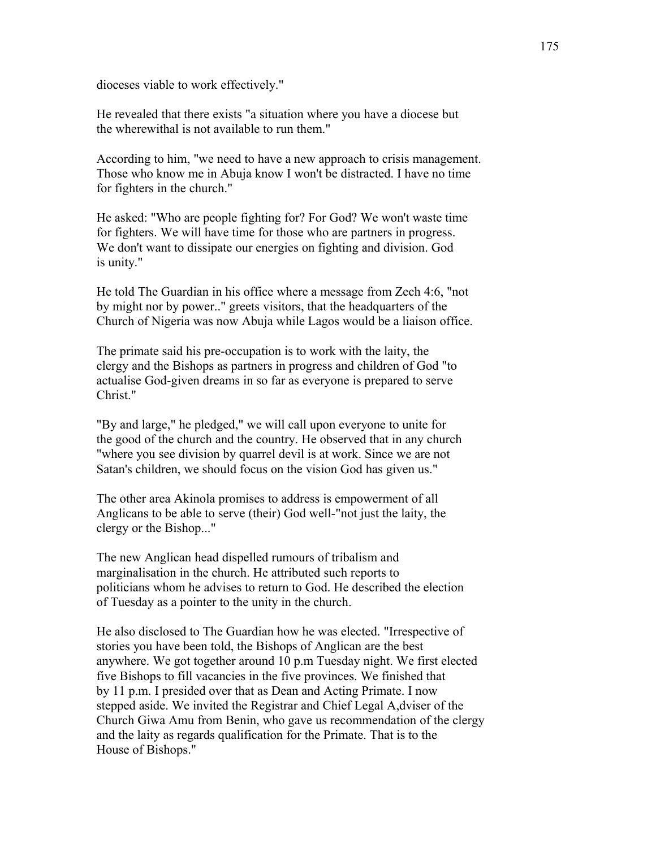dioceses viable to work effectively."

He revealed that there exists "a situation where you have a diocese but the wherewithal is not available to run them."

According to him, "we need to have a new approach to crisis management. Those who know me in Abuja know I won't be distracted. I have no time for fighters in the church."

He asked: "Who are people fighting for? For God? We won't waste time for fighters. We will have time for those who are partners in progress. We don't want to dissipate our energies on fighting and division. God is unity."

He told The Guardian in his office where a message from Zech 4:6, "not by might nor by power.." greets visitors, that the headquarters of the Church of Nigeria was now Abuja while Lagos would be a liaison office.

The primate said his pre-occupation is to work with the laity, the clergy and the Bishops as partners in progress and children of God "to actualise God-given dreams in so far as everyone is prepared to serve Christ."

"By and large," he pledged," we will call upon everyone to unite for the good of the church and the country. He observed that in any church "where you see division by quarrel devil is at work. Since we are not Satan's children, we should focus on the vision God has given us."

The other area Akinola promises to address is empowerment of all Anglicans to be able to serve (their) God well-"not just the laity, the clergy or the Bishop..."

The new Anglican head dispelled rumours of tribalism and marginalisation in the church. He attributed such reports to politicians whom he advises to return to God. He described the election of Tuesday as a pointer to the unity in the church.

He also disclosed to The Guardian how he was elected. "Irrespective of stories you have been told, the Bishops of Anglican are the best anywhere. We got together around 10 p.m Tuesday night. We first elected five Bishops to fill vacancies in the five provinces. We finished that by 11 p.m. I presided over that as Dean and Acting Primate. I now stepped aside. We invited the Registrar and Chief Legal A,dviser of the Church Giwa Amu from Benin, who gave us recommendation of the clergy and the laity as regards qualification for the Primate. That is to the House of Bishops."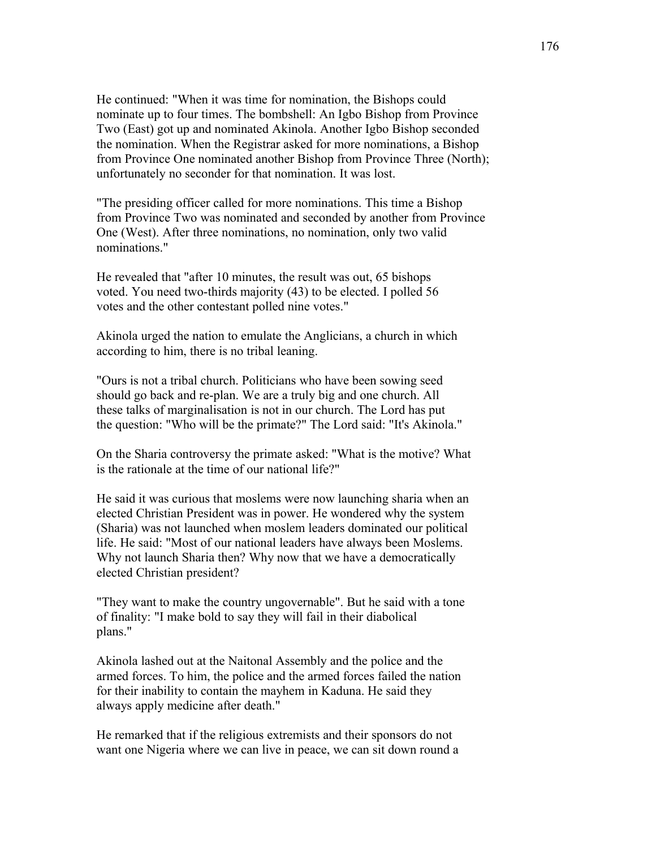He continued: "When it was time for nomination, the Bishops could nominate up to four times. The bombshell: An Igbo Bishop from Province Two (East) got up and nominated Akinola. Another Igbo Bishop seconded the nomination. When the Registrar asked for more nominations, a Bishop from Province One nominated another Bishop from Province Three (North); unfortunately no seconder for that nomination. It was lost.

"The presiding officer called for more nominations. This time a Bishop from Province Two was nominated and seconded by another from Province One (West). After three nominations, no nomination, only two valid nominations."

He revealed that "after 10 minutes, the result was out, 65 bishops voted. You need two-thirds majority (43) to be elected. I polled 56 votes and the other contestant polled nine votes."

Akinola urged the nation to emulate the Anglicians, a church in which according to him, there is no tribal leaning.

"Ours is not a tribal church. Politicians who have been sowing seed should go back and re-plan. We are a truly big and one church. All these talks of marginalisation is not in our church. The Lord has put the question: "Who will be the primate?" The Lord said: "It's Akinola."

On the Sharia controversy the primate asked: "What is the motive? What is the rationale at the time of our national life?"

He said it was curious that moslems were now launching sharia when an elected Christian President was in power. He wondered why the system (Sharia) was not launched when moslem leaders dominated our political life. He said: "Most of our national leaders have always been Moslems. Why not launch Sharia then? Why now that we have a democratically elected Christian president?

"They want to make the country ungovernable". But he said with a tone of finality: "I make bold to say they will fail in their diabolical plans."

Akinola lashed out at the Naitonal Assembly and the police and the armed forces. To him, the police and the armed forces failed the nation for their inability to contain the mayhem in Kaduna. He said they always apply medicine after death."

He remarked that if the religious extremists and their sponsors do not want one Nigeria where we can live in peace, we can sit down round a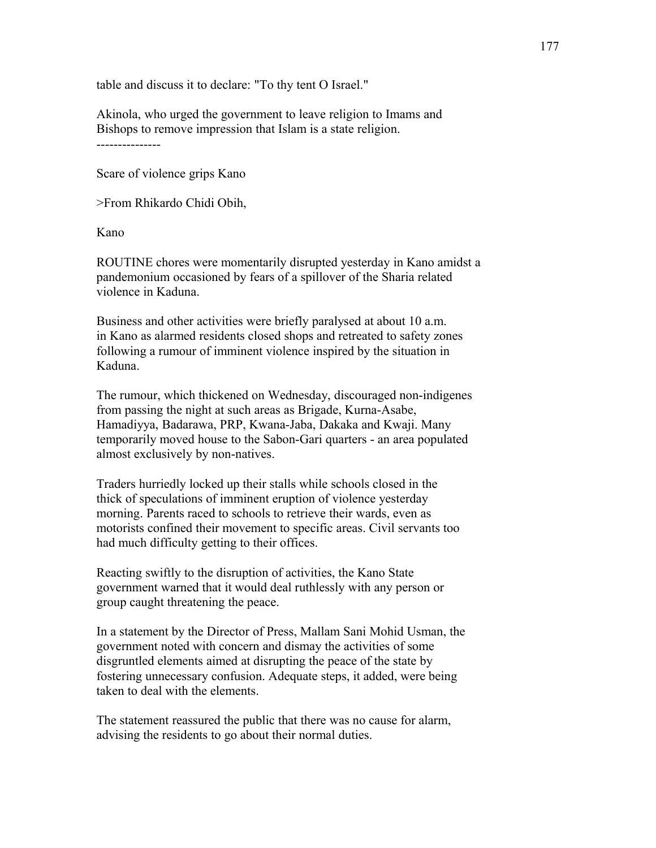table and discuss it to declare: "To thy tent O Israel."

Akinola, who urged the government to leave religion to Imams and Bishops to remove impression that Islam is a state religion. ---------------

Scare of violence grips Kano

>From Rhikardo Chidi Obih,

Kano

ROUTINE chores were momentarily disrupted yesterday in Kano amidst a pandemonium occasioned by fears of a spillover of the Sharia related violence in Kaduna.

Business and other activities were briefly paralysed at about 10 a.m. in Kano as alarmed residents closed shops and retreated to safety zones following a rumour of imminent violence inspired by the situation in Kaduna.

The rumour, which thickened on Wednesday, discouraged non-indigenes from passing the night at such areas as Brigade, Kurna-Asabe, Hamadiyya, Badarawa, PRP, Kwana-Jaba, Dakaka and Kwaji. Many temporarily moved house to the Sabon-Gari quarters - an area populated almost exclusively by non-natives.

Traders hurriedly locked up their stalls while schools closed in the thick of speculations of imminent eruption of violence yesterday morning. Parents raced to schools to retrieve their wards, even as motorists confined their movement to specific areas. Civil servants too had much difficulty getting to their offices.

Reacting swiftly to the disruption of activities, the Kano State government warned that it would deal ruthlessly with any person or group caught threatening the peace.

In a statement by the Director of Press, Mallam Sani Mohid Usman, the government noted with concern and dismay the activities of some disgruntled elements aimed at disrupting the peace of the state by fostering unnecessary confusion. Adequate steps, it added, were being taken to deal with the elements.

The statement reassured the public that there was no cause for alarm, advising the residents to go about their normal duties.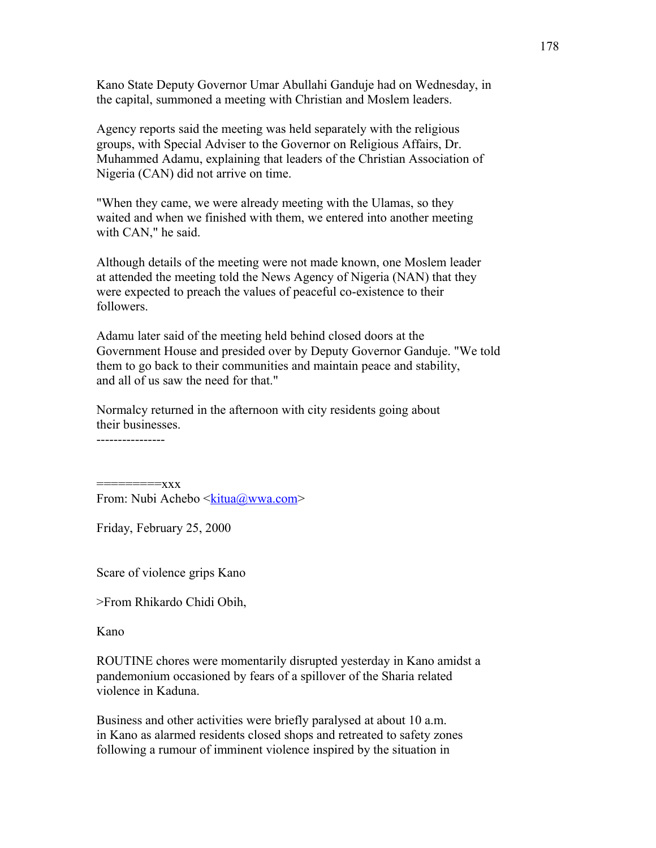Kano State Deputy Governor Umar Abullahi Ganduje had on Wednesday, in the capital, summoned a meeting with Christian and Moslem leaders.

Agency reports said the meeting was held separately with the religious groups, with Special Adviser to the Governor on Religious Affairs, Dr. Muhammed Adamu, explaining that leaders of the Christian Association of Nigeria (CAN) did not arrive on time.

"When they came, we were already meeting with the Ulamas, so they waited and when we finished with them, we entered into another meeting with CAN," he said.

Although details of the meeting were not made known, one Moslem leader at attended the meeting told the News Agency of Nigeria (NAN) that they were expected to preach the values of peaceful co-existence to their followers.

Adamu later said of the meeting held behind closed doors at the Government House and presided over by Deputy Governor Ganduje. "We told them to go back to their communities and maintain peace and stability, and all of us saw the need for that."

Normalcy returned in the afternoon with city residents going about their businesses.

=========xxx From: Nubi Achebo  $\leq$ kitua@wwa.com>

Friday, February 25, 2000

----------------

Scare of violence grips Kano

>From Rhikardo Chidi Obih,

Kano

ROUTINE chores were momentarily disrupted yesterday in Kano amidst a pandemonium occasioned by fears of a spillover of the Sharia related violence in Kaduna.

Business and other activities were briefly paralysed at about 10 a.m. in Kano as alarmed residents closed shops and retreated to safety zones following a rumour of imminent violence inspired by the situation in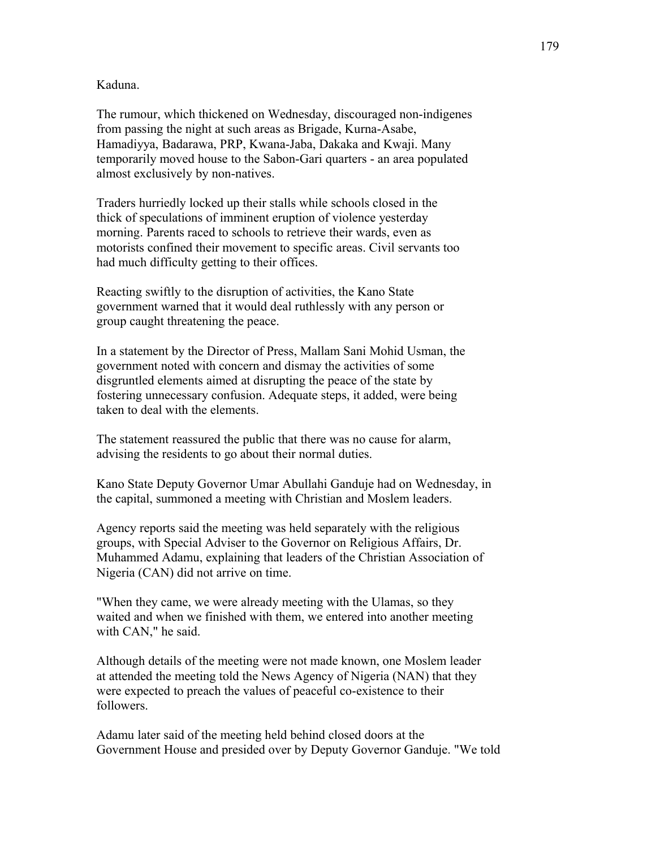## Kaduna.

The rumour, which thickened on Wednesday, discouraged non-indigenes from passing the night at such areas as Brigade, Kurna-Asabe, Hamadiyya, Badarawa, PRP, Kwana-Jaba, Dakaka and Kwaji. Many temporarily moved house to the Sabon-Gari quarters - an area populated almost exclusively by non-natives.

Traders hurriedly locked up their stalls while schools closed in the thick of speculations of imminent eruption of violence yesterday morning. Parents raced to schools to retrieve their wards, even as motorists confined their movement to specific areas. Civil servants too had much difficulty getting to their offices.

Reacting swiftly to the disruption of activities, the Kano State government warned that it would deal ruthlessly with any person or group caught threatening the peace.

In a statement by the Director of Press, Mallam Sani Mohid Usman, the government noted with concern and dismay the activities of some disgruntled elements aimed at disrupting the peace of the state by fostering unnecessary confusion. Adequate steps, it added, were being taken to deal with the elements.

The statement reassured the public that there was no cause for alarm, advising the residents to go about their normal duties.

Kano State Deputy Governor Umar Abullahi Ganduje had on Wednesday, in the capital, summoned a meeting with Christian and Moslem leaders.

Agency reports said the meeting was held separately with the religious groups, with Special Adviser to the Governor on Religious Affairs, Dr. Muhammed Adamu, explaining that leaders of the Christian Association of Nigeria (CAN) did not arrive on time.

"When they came, we were already meeting with the Ulamas, so they waited and when we finished with them, we entered into another meeting with CAN," he said.

Although details of the meeting were not made known, one Moslem leader at attended the meeting told the News Agency of Nigeria (NAN) that they were expected to preach the values of peaceful co-existence to their followers.

Adamu later said of the meeting held behind closed doors at the Government House and presided over by Deputy Governor Ganduje. "We told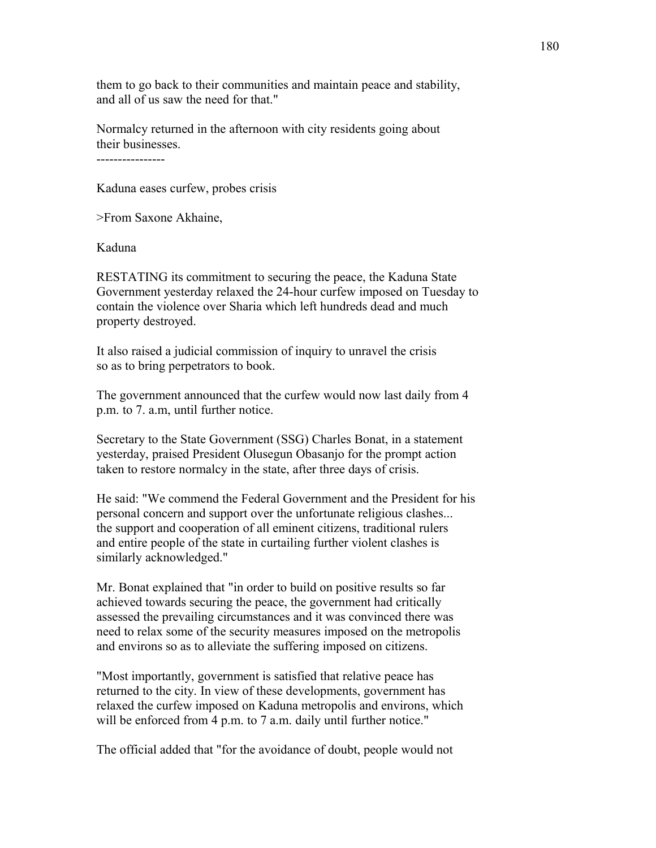them to go back to their communities and maintain peace and stability, and all of us saw the need for that."

Normalcy returned in the afternoon with city residents going about their businesses.

----------------

Kaduna eases curfew, probes crisis

>From Saxone Akhaine,

Kaduna

RESTATING its commitment to securing the peace, the Kaduna State Government yesterday relaxed the 24-hour curfew imposed on Tuesday to contain the violence over Sharia which left hundreds dead and much property destroyed.

It also raised a judicial commission of inquiry to unravel the crisis so as to bring perpetrators to book.

The government announced that the curfew would now last daily from 4 p.m. to 7. a.m, until further notice.

Secretary to the State Government (SSG) Charles Bonat, in a statement yesterday, praised President Olusegun Obasanjo for the prompt action taken to restore normalcy in the state, after three days of crisis.

He said: "We commend the Federal Government and the President for his personal concern and support over the unfortunate religious clashes... the support and cooperation of all eminent citizens, traditional rulers and entire people of the state in curtailing further violent clashes is similarly acknowledged."

Mr. Bonat explained that "in order to build on positive results so far achieved towards securing the peace, the government had critically assessed the prevailing circumstances and it was convinced there was need to relax some of the security measures imposed on the metropolis and environs so as to alleviate the suffering imposed on citizens.

"Most importantly, government is satisfied that relative peace has returned to the city. In view of these developments, government has relaxed the curfew imposed on Kaduna metropolis and environs, which will be enforced from 4 p.m. to 7 a.m. daily until further notice."

The official added that "for the avoidance of doubt, people would not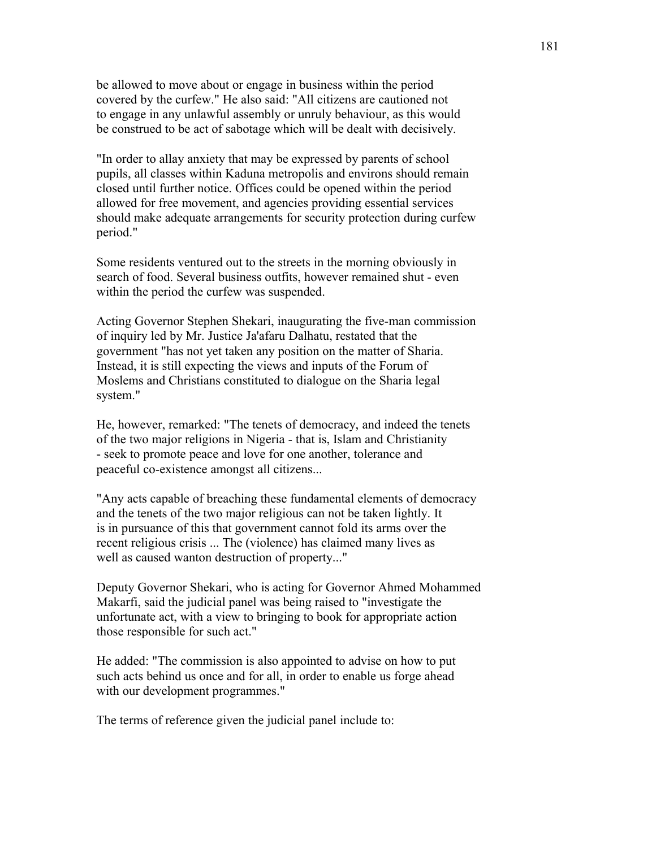be allowed to move about or engage in business within the period covered by the curfew." He also said: "All citizens are cautioned not to engage in any unlawful assembly or unruly behaviour, as this would be construed to be act of sabotage which will be dealt with decisively.

"In order to allay anxiety that may be expressed by parents of school pupils, all classes within Kaduna metropolis and environs should remain closed until further notice. Offices could be opened within the period allowed for free movement, and agencies providing essential services should make adequate arrangements for security protection during curfew period."

Some residents ventured out to the streets in the morning obviously in search of food. Several business outfits, however remained shut - even within the period the curfew was suspended.

Acting Governor Stephen Shekari, inaugurating the five-man commission of inquiry led by Mr. Justice Ja'afaru Dalhatu, restated that the government "has not yet taken any position on the matter of Sharia. Instead, it is still expecting the views and inputs of the Forum of Moslems and Christians constituted to dialogue on the Sharia legal system."

He, however, remarked: "The tenets of democracy, and indeed the tenets of the two major religions in Nigeria - that is, Islam and Christianity - seek to promote peace and love for one another, tolerance and peaceful co-existence amongst all citizens...

"Any acts capable of breaching these fundamental elements of democracy and the tenets of the two major religious can not be taken lightly. It is in pursuance of this that government cannot fold its arms over the recent religious crisis ... The (violence) has claimed many lives as well as caused wanton destruction of property..."

Deputy Governor Shekari, who is acting for Governor Ahmed Mohammed Makarfi, said the judicial panel was being raised to "investigate the unfortunate act, with a view to bringing to book for appropriate action those responsible for such act."

He added: "The commission is also appointed to advise on how to put such acts behind us once and for all, in order to enable us forge ahead with our development programmes."

The terms of reference given the judicial panel include to: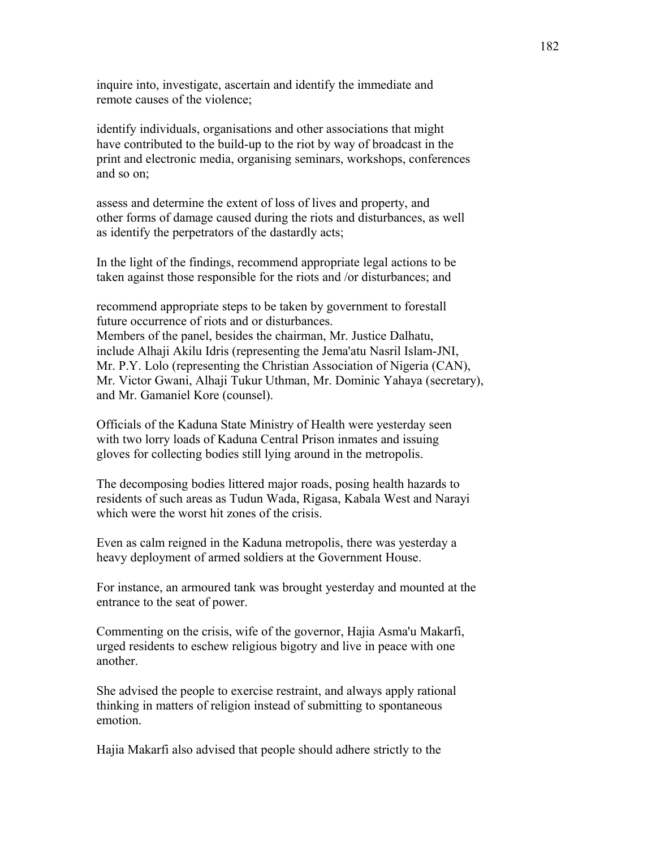inquire into, investigate, ascertain and identify the immediate and remote causes of the violence;

identify individuals, organisations and other associations that might have contributed to the build-up to the riot by way of broadcast in the print and electronic media, organising seminars, workshops, conferences and so on;

assess and determine the extent of loss of lives and property, and other forms of damage caused during the riots and disturbances, as well as identify the perpetrators of the dastardly acts;

In the light of the findings, recommend appropriate legal actions to be taken against those responsible for the riots and /or disturbances; and

recommend appropriate steps to be taken by government to forestall future occurrence of riots and or disturbances. Members of the panel, besides the chairman, Mr. Justice Dalhatu,

include Alhaji Akilu Idris (representing the Jema'atu Nasril Islam-JNI, Mr. P.Y. Lolo (representing the Christian Association of Nigeria (CAN), Mr. Victor Gwani, Alhaji Tukur Uthman, Mr. Dominic Yahaya (secretary), and Mr. Gamaniel Kore (counsel).

Officials of the Kaduna State Ministry of Health were yesterday seen with two lorry loads of Kaduna Central Prison inmates and issuing gloves for collecting bodies still lying around in the metropolis.

The decomposing bodies littered major roads, posing health hazards to residents of such areas as Tudun Wada, Rigasa, Kabala West and Narayi which were the worst hit zones of the crisis.

Even as calm reigned in the Kaduna metropolis, there was yesterday a heavy deployment of armed soldiers at the Government House.

For instance, an armoured tank was brought yesterday and mounted at the entrance to the seat of power.

Commenting on the crisis, wife of the governor, Hajia Asma'u Makarfi, urged residents to eschew religious bigotry and live in peace with one another.

She advised the people to exercise restraint, and always apply rational thinking in matters of religion instead of submitting to spontaneous emotion.

Hajia Makarfi also advised that people should adhere strictly to the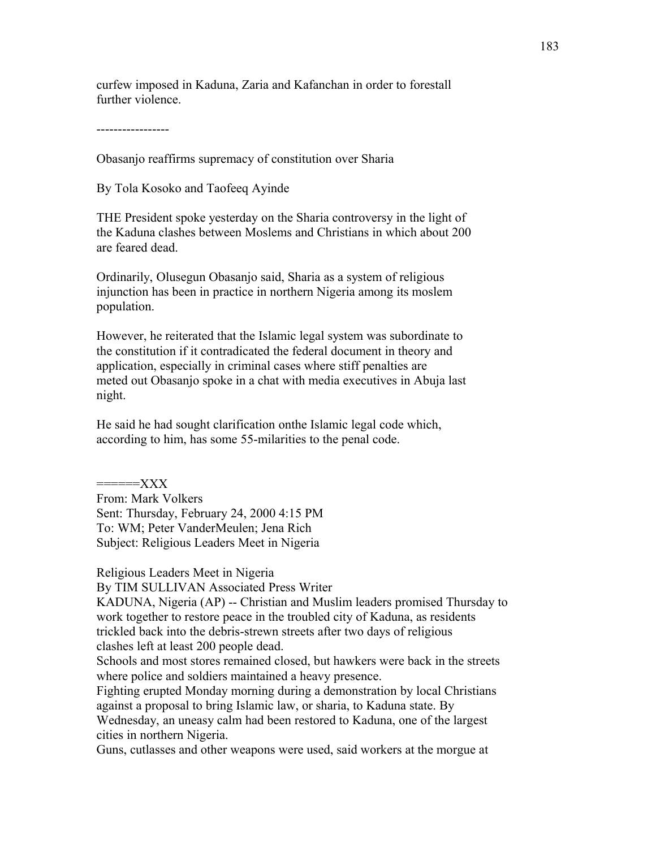curfew imposed in Kaduna, Zaria and Kafanchan in order to forestall further violence.

-----------------

Obasanjo reaffirms supremacy of constitution over Sharia

By Tola Kosoko and Taofeeq Ayinde

THE President spoke yesterday on the Sharia controversy in the light of the Kaduna clashes between Moslems and Christians in which about 200 are feared dead.

Ordinarily, Olusegun Obasanjo said, Sharia as a system of religious injunction has been in practice in northern Nigeria among its moslem population.

However, he reiterated that the Islamic legal system was subordinate to the constitution if it contradicated the federal document in theory and application, especially in criminal cases where stiff penalties are meted out Obasanjo spoke in a chat with media executives in Abuja last night.

He said he had sought clarification onthe Islamic legal code which, according to him, has some 55-milarities to the penal code.

======XXX

From: Mark Volkers Sent: Thursday, February 24, 2000 4:15 PM To: WM; Peter VanderMeulen; Jena Rich Subject: Religious Leaders Meet in Nigeria

Religious Leaders Meet in Nigeria

By TIM SULLIVAN Associated Press Writer

KADUNA, Nigeria (AP) -- Christian and Muslim leaders promised Thursday to work together to restore peace in the troubled city of Kaduna, as residents trickled back into the debris-strewn streets after two days of religious clashes left at least 200 people dead.

Schools and most stores remained closed, but hawkers were back in the streets where police and soldiers maintained a heavy presence.

Fighting erupted Monday morning during a demonstration by local Christians against a proposal to bring Islamic law, or sharia, to Kaduna state. By Wednesday, an uneasy calm had been restored to Kaduna, one of the largest cities in northern Nigeria.

Guns, cutlasses and other weapons were used, said workers at the morgue at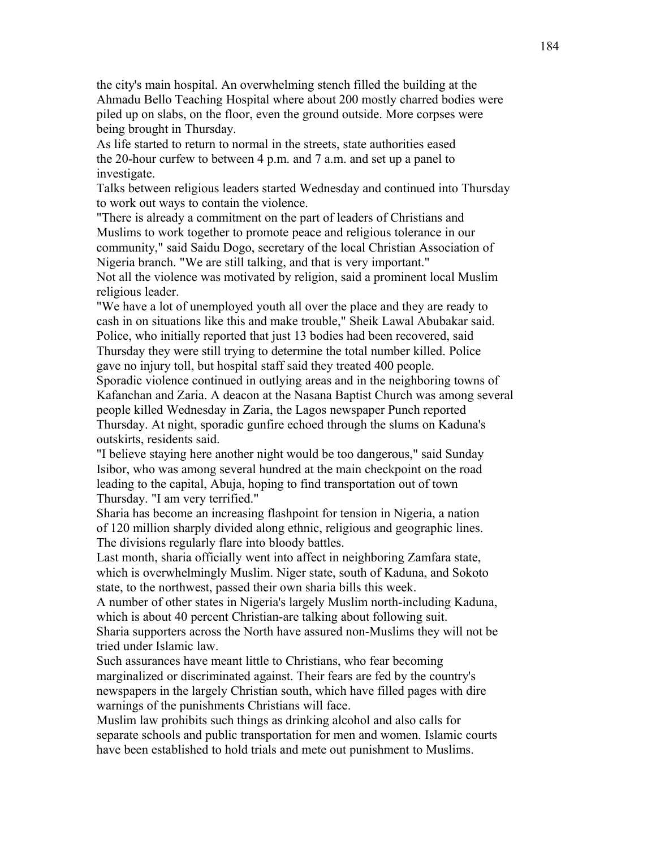the city's main hospital. An overwhelming stench filled the building at the Ahmadu Bello Teaching Hospital where about 200 mostly charred bodies were piled up on slabs, on the floor, even the ground outside. More corpses were being brought in Thursday.

As life started to return to normal in the streets, state authorities eased the 20-hour curfew to between 4 p.m. and 7 a.m. and set up a panel to investigate.

Talks between religious leaders started Wednesday and continued into Thursday to work out ways to contain the violence.

"There is already a commitment on the part of leaders of Christians and Muslims to work together to promote peace and religious tolerance in our community," said Saidu Dogo, secretary of the local Christian Association of Nigeria branch. "We are still talking, and that is very important." Not all the violence was motivated by religion, said a prominent local Muslim religious leader.

"We have a lot of unemployed youth all over the place and they are ready to cash in on situations like this and make trouble," Sheik Lawal Abubakar said. Police, who initially reported that just 13 bodies had been recovered, said Thursday they were still trying to determine the total number killed. Police gave no injury toll, but hospital staff said they treated 400 people.

Sporadic violence continued in outlying areas and in the neighboring towns of Kafanchan and Zaria. A deacon at the Nasana Baptist Church was among several people killed Wednesday in Zaria, the Lagos newspaper Punch reported Thursday. At night, sporadic gunfire echoed through the slums on Kaduna's outskirts, residents said.

"I believe staying here another night would be too dangerous," said Sunday Isibor, who was among several hundred at the main checkpoint on the road leading to the capital, Abuja, hoping to find transportation out of town Thursday. "I am very terrified."

Sharia has become an increasing flashpoint for tension in Nigeria, a nation of 120 million sharply divided along ethnic, religious and geographic lines. The divisions regularly flare into bloody battles.

Last month, sharia officially went into affect in neighboring Zamfara state, which is overwhelmingly Muslim. Niger state, south of Kaduna, and Sokoto state, to the northwest, passed their own sharia bills this week.

A number of other states in Nigeria's largely Muslim north-including Kaduna, which is about 40 percent Christian-are talking about following suit.

Sharia supporters across the North have assured non-Muslims they will not be tried under Islamic law.

Such assurances have meant little to Christians, who fear becoming marginalized or discriminated against. Their fears are fed by the country's newspapers in the largely Christian south, which have filled pages with dire warnings of the punishments Christians will face.

Muslim law prohibits such things as drinking alcohol and also calls for separate schools and public transportation for men and women. Islamic courts have been established to hold trials and mete out punishment to Muslims.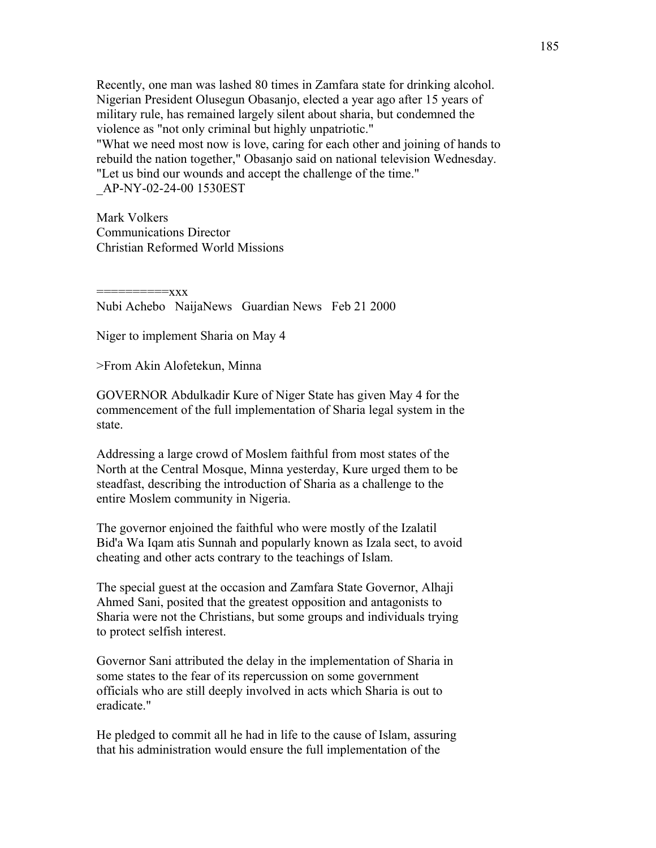Recently, one man was lashed 80 times in Zamfara state for drinking alcohol. Nigerian President Olusegun Obasanjo, elected a year ago after 15 years of military rule, has remained largely silent about sharia, but condemned the violence as "not only criminal but highly unpatriotic."

"What we need most now is love, caring for each other and joining of hands to rebuild the nation together," Obasanjo said on national television Wednesday. "Let us bind our wounds and accept the challenge of the time."

\_AP-NY-02-24-00 1530EST

Mark Volkers Communications Director Christian Reformed World Missions

==========xxx Nubi Achebo NaijaNews Guardian News Feb 21 2000

Niger to implement Sharia on May 4

>From Akin Alofetekun, Minna

GOVERNOR Abdulkadir Kure of Niger State has given May 4 for the commencement of the full implementation of Sharia legal system in the state.

Addressing a large crowd of Moslem faithful from most states of the North at the Central Mosque, Minna yesterday, Kure urged them to be steadfast, describing the introduction of Sharia as a challenge to the entire Moslem community in Nigeria.

The governor enjoined the faithful who were mostly of the Izalatil Bid'a Wa Iqam atis Sunnah and popularly known as Izala sect, to avoid cheating and other acts contrary to the teachings of Islam.

The special guest at the occasion and Zamfara State Governor, Alhaji Ahmed Sani, posited that the greatest opposition and antagonists to Sharia were not the Christians, but some groups and individuals trying to protect selfish interest.

Governor Sani attributed the delay in the implementation of Sharia in some states to the fear of its repercussion on some government officials who are still deeply involved in acts which Sharia is out to eradicate."

He pledged to commit all he had in life to the cause of Islam, assuring that his administration would ensure the full implementation of the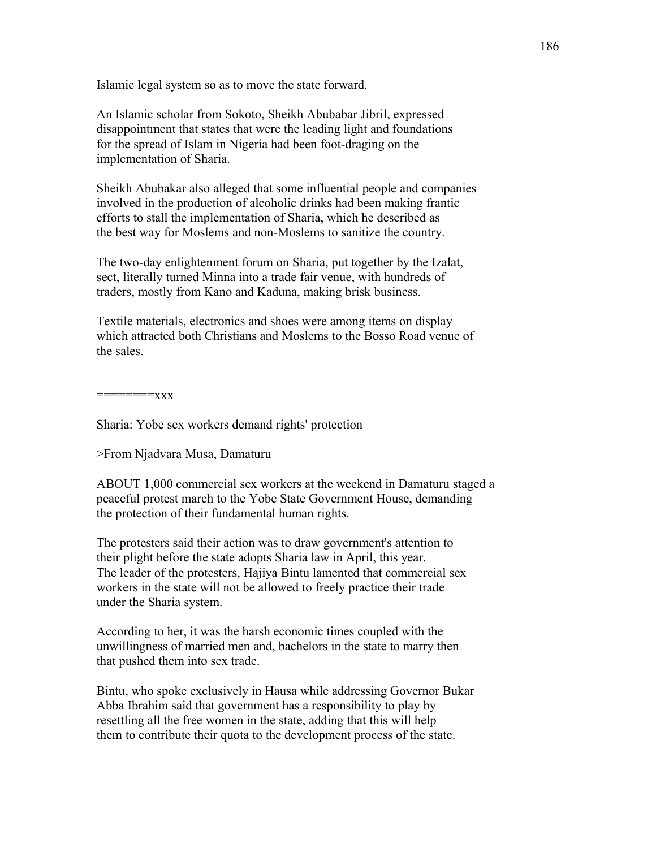Islamic legal system so as to move the state forward.

An Islamic scholar from Sokoto, Sheikh Abubabar Jibril, expressed disappointment that states that were the leading light and foundations for the spread of Islam in Nigeria had been foot-draging on the implementation of Sharia.

Sheikh Abubakar also alleged that some influential people and companies involved in the production of alcoholic drinks had been making frantic efforts to stall the implementation of Sharia, which he described as the best way for Moslems and non-Moslems to sanitize the country.

The two-day enlightenment forum on Sharia, put together by the Izalat, sect, literally turned Minna into a trade fair venue, with hundreds of traders, mostly from Kano and Kaduna, making brisk business.

Textile materials, electronics and shoes were among items on display which attracted both Christians and Moslems to the Bosso Road venue of the sales.

========xxx

Sharia: Yobe sex workers demand rights' protection

>From Njadvara Musa, Damaturu

ABOUT 1,000 commercial sex workers at the weekend in Damaturu staged a peaceful protest march to the Yobe State Government House, demanding the protection of their fundamental human rights.

The protesters said their action was to draw government's attention to their plight before the state adopts Sharia law in April, this year. The leader of the protesters, Hajiya Bintu lamented that commercial sex workers in the state will not be allowed to freely practice their trade under the Sharia system.

According to her, it was the harsh economic times coupled with the unwillingness of married men and, bachelors in the state to marry then that pushed them into sex trade.

Bintu, who spoke exclusively in Hausa while addressing Governor Bukar Abba Ibrahim said that government has a responsibility to play by resettling all the free women in the state, adding that this will help them to contribute their quota to the development process of the state.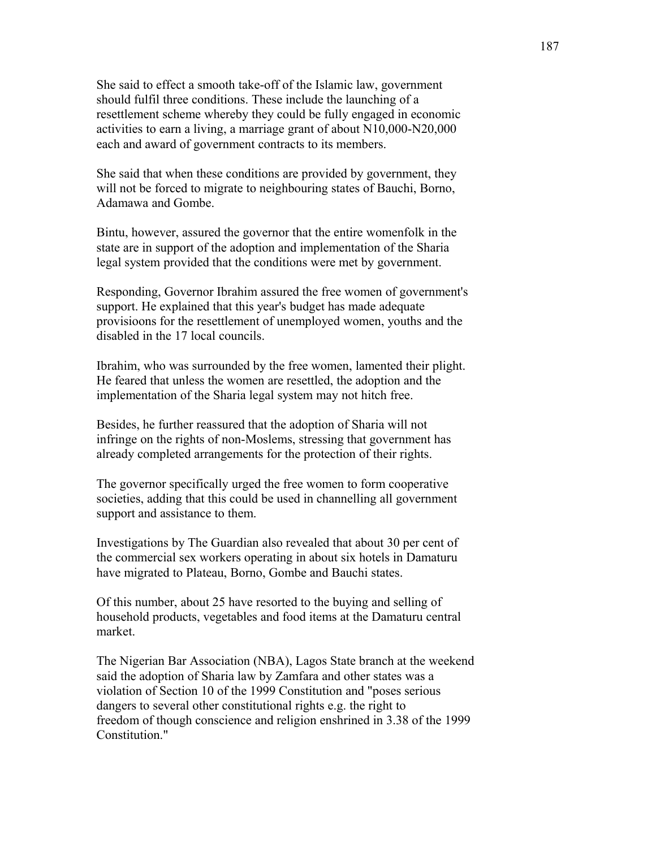She said to effect a smooth take-off of the Islamic law, government should fulfil three conditions. These include the launching of a resettlement scheme whereby they could be fully engaged in economic activities to earn a living, a marriage grant of about N10,000-N20,000 each and award of government contracts to its members.

She said that when these conditions are provided by government, they will not be forced to migrate to neighbouring states of Bauchi, Borno, Adamawa and Gombe.

Bintu, however, assured the governor that the entire womenfolk in the state are in support of the adoption and implementation of the Sharia legal system provided that the conditions were met by government.

Responding, Governor Ibrahim assured the free women of government's support. He explained that this year's budget has made adequate provisioons for the resettlement of unemployed women, youths and the disabled in the 17 local councils.

Ibrahim, who was surrounded by the free women, lamented their plight. He feared that unless the women are resettled, the adoption and the implementation of the Sharia legal system may not hitch free.

Besides, he further reassured that the adoption of Sharia will not infringe on the rights of non-Moslems, stressing that government has already completed arrangements for the protection of their rights.

The governor specifically urged the free women to form cooperative societies, adding that this could be used in channelling all government support and assistance to them.

Investigations by The Guardian also revealed that about 30 per cent of the commercial sex workers operating in about six hotels in Damaturu have migrated to Plateau, Borno, Gombe and Bauchi states.

Of this number, about 25 have resorted to the buying and selling of household products, vegetables and food items at the Damaturu central market.

The Nigerian Bar Association (NBA), Lagos State branch at the weekend said the adoption of Sharia law by Zamfara and other states was a violation of Section 10 of the 1999 Constitution and "poses serious dangers to several other constitutional rights e.g. the right to freedom of though conscience and religion enshrined in 3.38 of the 1999 Constitution."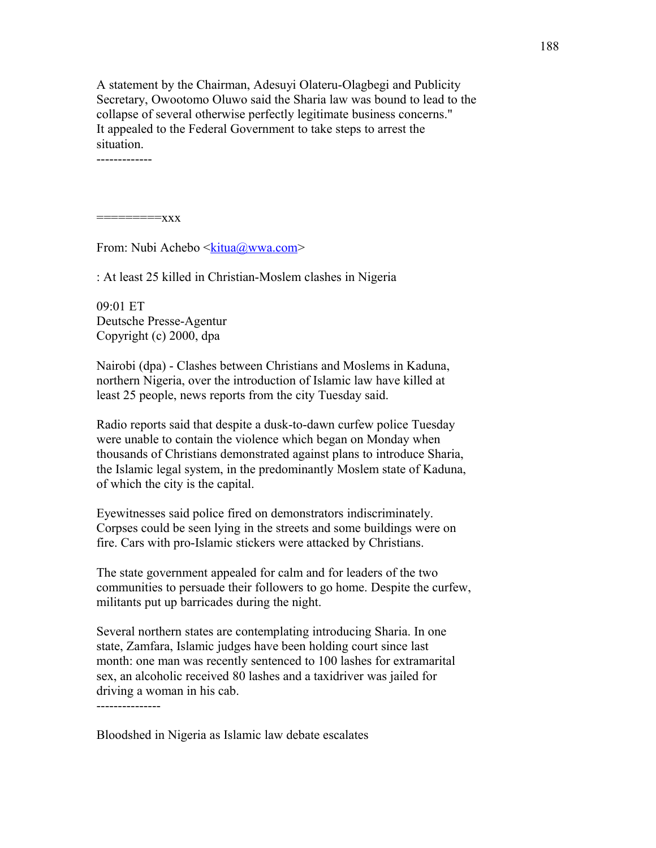A statement by the Chairman, Adesuyi Olateru-Olagbegi and Publicity Secretary, Owootomo Oluwo said the Sharia law was bound to lead to the collapse of several otherwise perfectly legitimate business concerns." It appealed to the Federal Government to take steps to arrest the situation.

-------------

=========xxx

From: Nubi Achebo [<kitua@wwa.com>](mailto:kitua@wwa.com)

: At least 25 killed in Christian-Moslem clashes in Nigeria

09:01 ET Deutsche Presse-Agentur Copyright (c) 2000, dpa

Nairobi (dpa) - Clashes between Christians and Moslems in Kaduna, northern Nigeria, over the introduction of Islamic law have killed at least 25 people, news reports from the city Tuesday said.

Radio reports said that despite a dusk-to-dawn curfew police Tuesday were unable to contain the violence which began on Monday when thousands of Christians demonstrated against plans to introduce Sharia, the Islamic legal system, in the predominantly Moslem state of Kaduna, of which the city is the capital.

Eyewitnesses said police fired on demonstrators indiscriminately. Corpses could be seen lying in the streets and some buildings were on fire. Cars with pro-Islamic stickers were attacked by Christians.

The state government appealed for calm and for leaders of the two communities to persuade their followers to go home. Despite the curfew, militants put up barricades during the night.

Several northern states are contemplating introducing Sharia. In one state, Zamfara, Islamic judges have been holding court since last month: one man was recently sentenced to 100 lashes for extramarital sex, an alcoholic received 80 lashes and a taxidriver was jailed for driving a woman in his cab.

---------------

Bloodshed in Nigeria as Islamic law debate escalates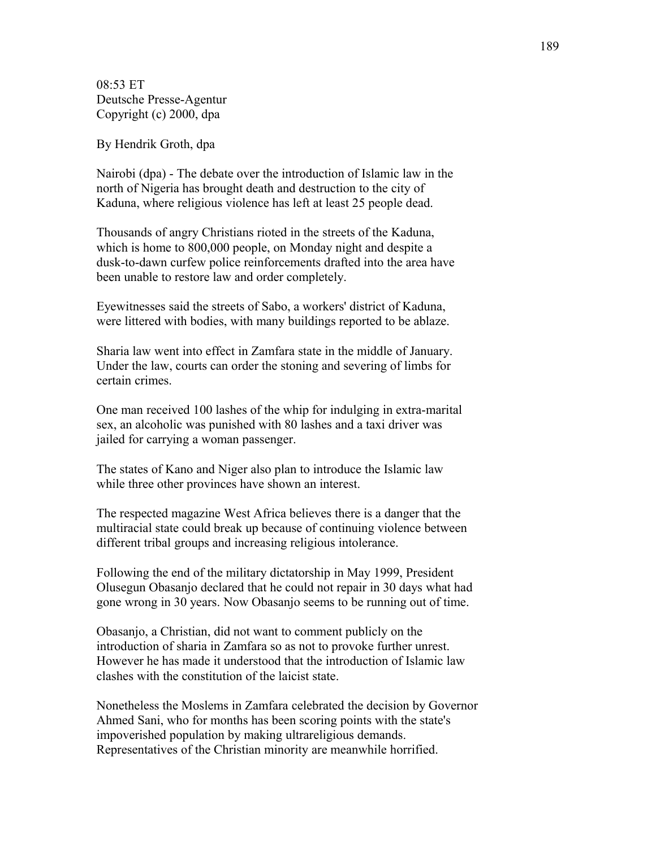08:53 ET Deutsche Presse-Agentur Copyright (c) 2000, dpa

By Hendrik Groth, dpa

Nairobi (dpa) - The debate over the introduction of Islamic law in the north of Nigeria has brought death and destruction to the city of Kaduna, where religious violence has left at least 25 people dead.

Thousands of angry Christians rioted in the streets of the Kaduna, which is home to 800,000 people, on Monday night and despite a dusk-to-dawn curfew police reinforcements drafted into the area have been unable to restore law and order completely.

Eyewitnesses said the streets of Sabo, a workers' district of Kaduna, were littered with bodies, with many buildings reported to be ablaze.

Sharia law went into effect in Zamfara state in the middle of January. Under the law, courts can order the stoning and severing of limbs for certain crimes.

One man received 100 lashes of the whip for indulging in extra-marital sex, an alcoholic was punished with 80 lashes and a taxi driver was jailed for carrying a woman passenger.

The states of Kano and Niger also plan to introduce the Islamic law while three other provinces have shown an interest.

The respected magazine West Africa believes there is a danger that the multiracial state could break up because of continuing violence between different tribal groups and increasing religious intolerance.

Following the end of the military dictatorship in May 1999, President Olusegun Obasanjo declared that he could not repair in 30 days what had gone wrong in 30 years. Now Obasanjo seems to be running out of time.

Obasanjo, a Christian, did not want to comment publicly on the introduction of sharia in Zamfara so as not to provoke further unrest. However he has made it understood that the introduction of Islamic law clashes with the constitution of the laicist state.

Nonetheless the Moslems in Zamfara celebrated the decision by Governor Ahmed Sani, who for months has been scoring points with the state's impoverished population by making ultrareligious demands. Representatives of the Christian minority are meanwhile horrified.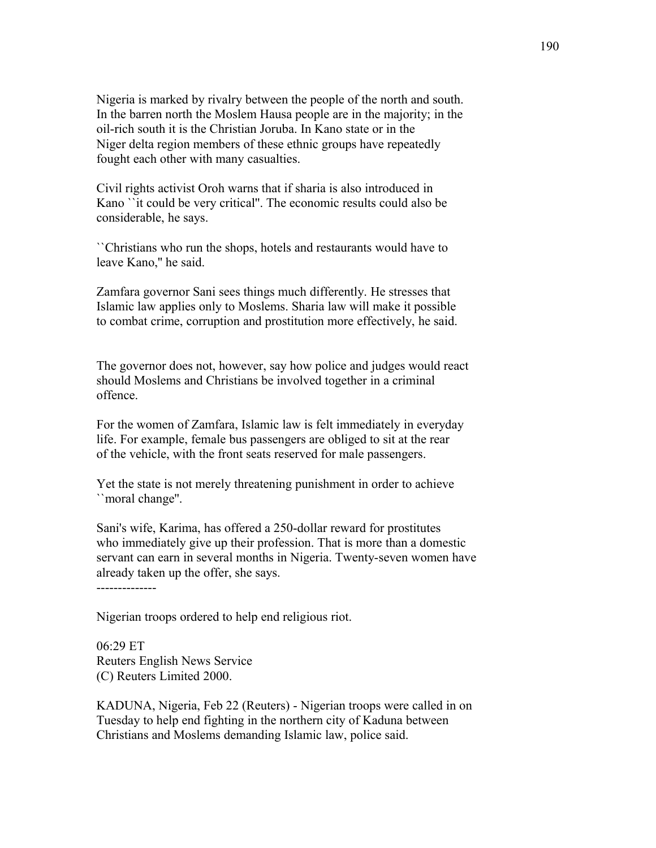Nigeria is marked by rivalry between the people of the north and south. In the barren north the Moslem Hausa people are in the majority; in the oil-rich south it is the Christian Joruba. In Kano state or in the Niger delta region members of these ethnic groups have repeatedly fought each other with many casualties.

Civil rights activist Oroh warns that if sharia is also introduced in Kano ``it could be very critical''. The economic results could also be considerable, he says.

``Christians who run the shops, hotels and restaurants would have to leave Kano,'' he said.

Zamfara governor Sani sees things much differently. He stresses that Islamic law applies only to Moslems. Sharia law will make it possible to combat crime, corruption and prostitution more effectively, he said.

The governor does not, however, say how police and judges would react should Moslems and Christians be involved together in a criminal offence.

For the women of Zamfara, Islamic law is felt immediately in everyday life. For example, female bus passengers are obliged to sit at the rear of the vehicle, with the front seats reserved for male passengers.

Yet the state is not merely threatening punishment in order to achieve ``moral change''.

Sani's wife, Karima, has offered a 250-dollar reward for prostitutes who immediately give up their profession. That is more than a domestic servant can earn in several months in Nigeria. Twenty-seven women have already taken up the offer, she says.

--------------

Nigerian troops ordered to help end religious riot.

06:29 ET Reuters English News Service (C) Reuters Limited 2000.

KADUNA, Nigeria, Feb 22 (Reuters) - Nigerian troops were called in on Tuesday to help end fighting in the northern city of Kaduna between Christians and Moslems demanding Islamic law, police said.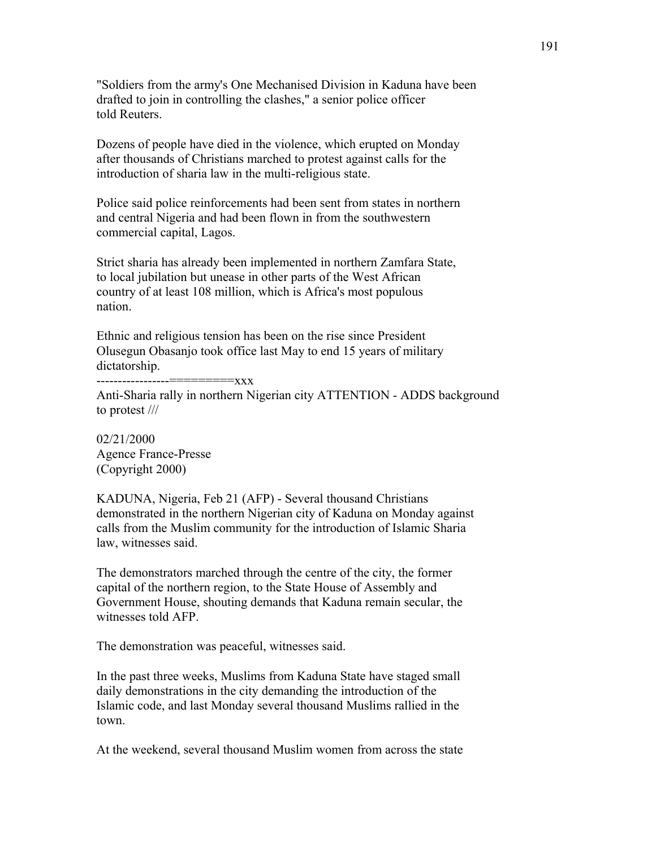"Soldiers from the army's One Mechanised Division in Kaduna have been drafted to join in controlling the clashes," a senior police officer told Reuters.

Dozens of people have died in the violence, which erupted on Monday after thousands of Christians marched to protest against calls for the introduction of sharia law in the multi-religious state.

Police said police reinforcements had been sent from states in northern and central Nigeria and had been flown in from the southwestern commercial capital, Lagos.

Strict sharia has already been implemented in northern Zamfara State, to local jubilation but unease in other parts of the West African country of at least 108 million, which is Africa's most populous nation.

Ethnic and religious tension has been on the rise since President Olusegun Obasanjo took office last May to end 15 years of military dictatorship.

 $=xxx$ 

Anti-Sharia rally in northern Nigerian city ATTENTION - ADDS background to protest ///

02/21/2000 Agence France-Presse (Copyright 2000)

KADUNA, Nigeria, Feb 21 (AFP) - Several thousand Christians demonstrated in the northern Nigerian city of Kaduna on Monday against calls from the Muslim community for the introduction of Islamic Sharia law, witnesses said.

The demonstrators marched through the centre of the city, the former capital of the northern region, to the State House of Assembly and Government House, shouting demands that Kaduna remain secular, the witnesses told AFP.

The demonstration was peaceful, witnesses said.

In the past three weeks, Muslims from Kaduna State have staged small daily demonstrations in the city demanding the introduction of the Islamic code, and last Monday several thousand Muslims rallied in the town.

At the weekend, several thousand Muslim women from across the state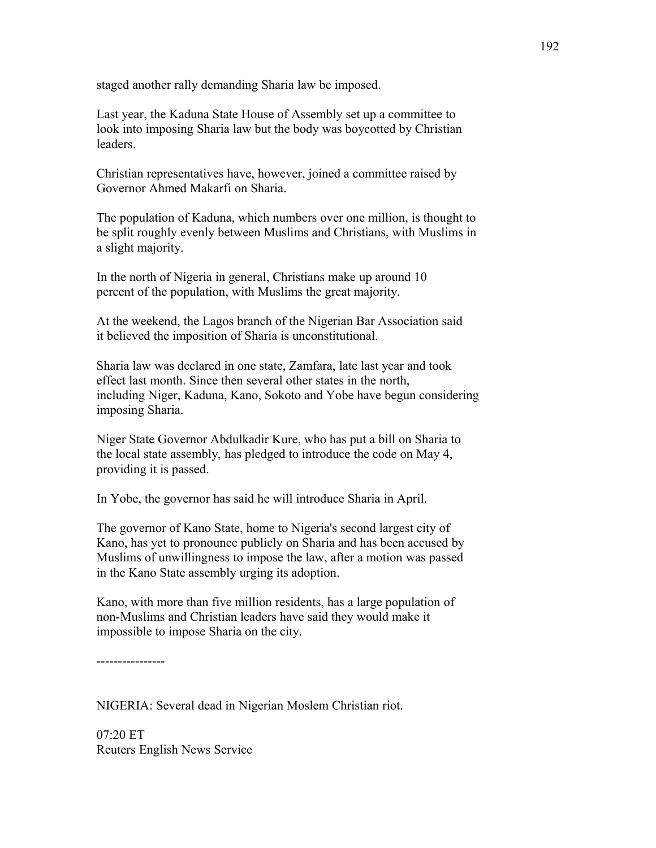staged another rally demanding Sharia law be imposed.

Last year, the Kaduna State House of Assembly set up a committee to look into imposing Sharia law but the body was boycotted by Christian leaders.

Christian representatives have, however, joined a committee raised by Governor Ahmed Makarfi on Sharia.

The population of Kaduna, which numbers over one million, is thought to be split roughly evenly between Muslims and Christians, with Muslims in a slight majority.

In the north of Nigeria in general, Christians make up around 10 percent of the population, with Muslims the great majority.

At the weekend, the Lagos branch of the Nigerian Bar Association said it believed the imposition of Sharia is unconstitutional.

Sharia law was declared in one state, Zamfara, late last year and took effect last month. Since then several other states in the north, including Niger, Kaduna, Kano, Sokoto and Yobe have begun considering imposing Sharia.

Niger State Governor Abdulkadir Kure, who has put a bill on Sharia to the local state assembly, has pledged to introduce the code on May 4, providing it is passed.

In Yobe, the governor has said he will introduce Sharia in April.

The governor of Kano State, home to Nigeria's second largest city of Kano, has yet to pronounce publicly on Sharia and has been accused by Muslims of unwillingness to impose the law, after a motion was passed in the Kano State assembly urging its adoption.

Kano, with more than five million residents, has a large population of non-Muslims and Christian leaders have said they would make it impossible to impose Sharia on the city.

----------------

NIGERIA: Several dead in Nigerian Moslem Christian riot.

07:20 ET Reuters English News Service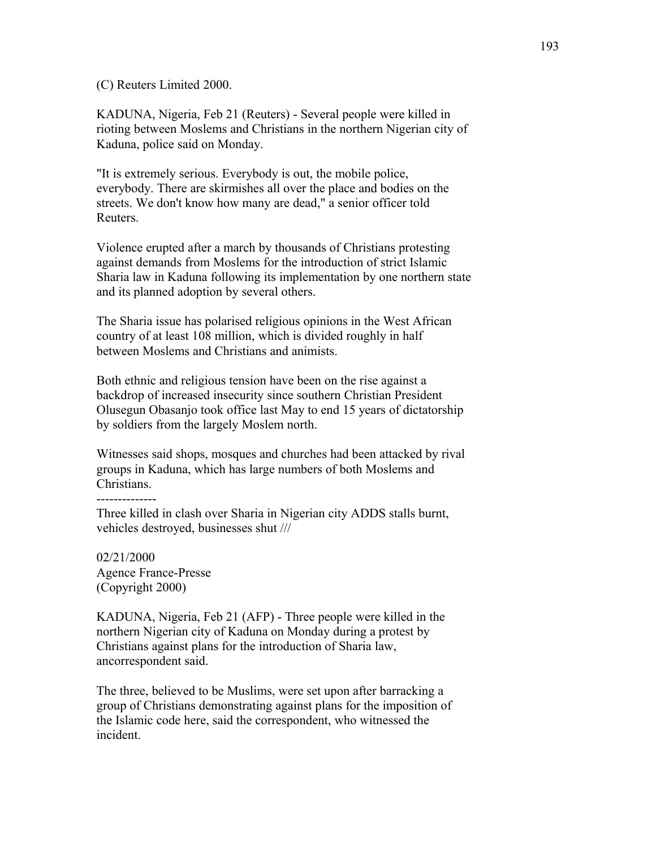(C) Reuters Limited 2000.

KADUNA, Nigeria, Feb 21 (Reuters) - Several people were killed in rioting between Moslems and Christians in the northern Nigerian city of Kaduna, police said on Monday.

"It is extremely serious. Everybody is out, the mobile police, everybody. There are skirmishes all over the place and bodies on the streets. We don't know how many are dead," a senior officer told Reuters.

Violence erupted after a march by thousands of Christians protesting against demands from Moslems for the introduction of strict Islamic Sharia law in Kaduna following its implementation by one northern state and its planned adoption by several others.

The Sharia issue has polarised religious opinions in the West African country of at least 108 million, which is divided roughly in half between Moslems and Christians and animists.

Both ethnic and religious tension have been on the rise against a backdrop of increased insecurity since southern Christian President Olusegun Obasanjo took office last May to end 15 years of dictatorship by soldiers from the largely Moslem north.

Witnesses said shops, mosques and churches had been attacked by rival groups in Kaduna, which has large numbers of both Moslems and Christians.

--------------

Three killed in clash over Sharia in Nigerian city ADDS stalls burnt, vehicles destroyed, businesses shut ///

02/21/2000 Agence France-Presse (Copyright 2000)

KADUNA, Nigeria, Feb 21 (AFP) - Three people were killed in the northern Nigerian city of Kaduna on Monday during a protest by Christians against plans for the introduction of Sharia law, ancorrespondent said.

The three, believed to be Muslims, were set upon after barracking a group of Christians demonstrating against plans for the imposition of the Islamic code here, said the correspondent, who witnessed the incident.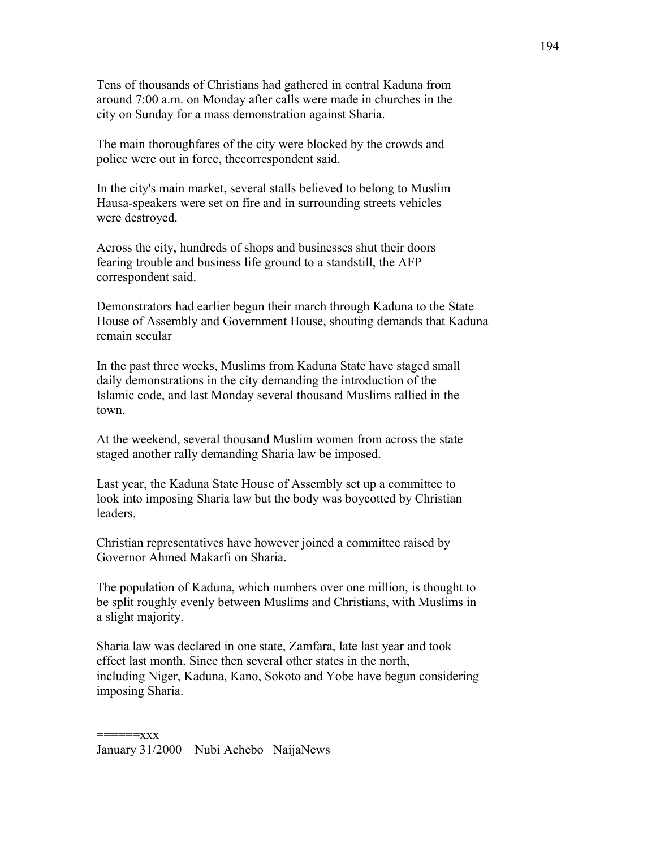Tens of thousands of Christians had gathered in central Kaduna from around 7:00 a.m. on Monday after calls were made in churches in the city on Sunday for a mass demonstration against Sharia.

The main thoroughfares of the city were blocked by the crowds and police were out in force, thecorrespondent said.

In the city's main market, several stalls believed to belong to Muslim Hausa-speakers were set on fire and in surrounding streets vehicles were destroyed.

Across the city, hundreds of shops and businesses shut their doors fearing trouble and business life ground to a standstill, the AFP correspondent said.

Demonstrators had earlier begun their march through Kaduna to the State House of Assembly and Government House, shouting demands that Kaduna remain secular

In the past three weeks, Muslims from Kaduna State have staged small daily demonstrations in the city demanding the introduction of the Islamic code, and last Monday several thousand Muslims rallied in the town.

At the weekend, several thousand Muslim women from across the state staged another rally demanding Sharia law be imposed.

Last year, the Kaduna State House of Assembly set up a committee to look into imposing Sharia law but the body was boycotted by Christian leaders.

Christian representatives have however joined a committee raised by Governor Ahmed Makarfi on Sharia.

The population of Kaduna, which numbers over one million, is thought to be split roughly evenly between Muslims and Christians, with Muslims in a slight majority.

Sharia law was declared in one state, Zamfara, late last year and took effect last month. Since then several other states in the north, including Niger, Kaduna, Kano, Sokoto and Yobe have begun considering imposing Sharia.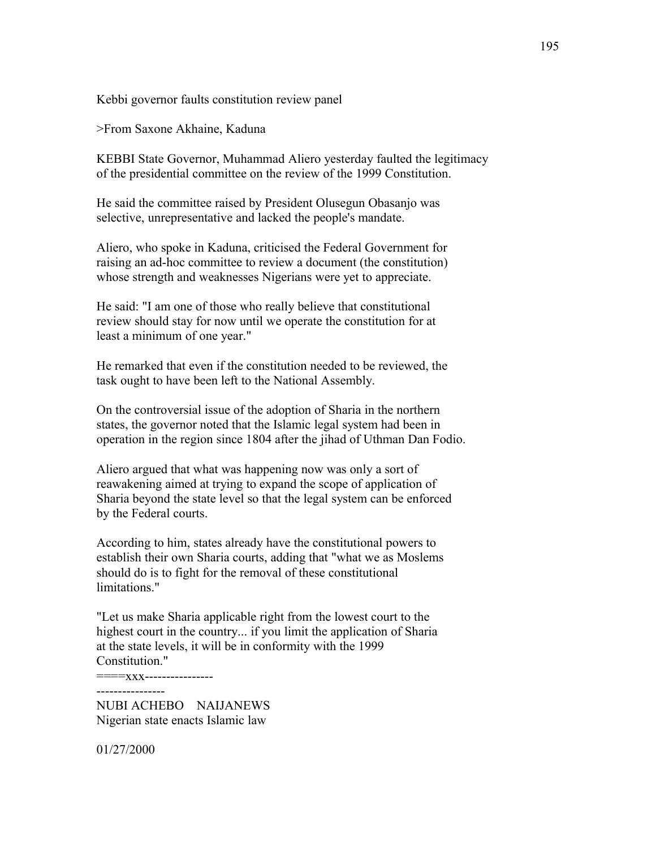Kebbi governor faults constitution review panel

>From Saxone Akhaine, Kaduna

KEBBI State Governor, Muhammad Aliero yesterday faulted the legitimacy of the presidential committee on the review of the 1999 Constitution.

He said the committee raised by President Olusegun Obasanjo was selective, unrepresentative and lacked the people's mandate.

Aliero, who spoke in Kaduna, criticised the Federal Government for raising an ad-hoc committee to review a document (the constitution) whose strength and weaknesses Nigerians were yet to appreciate.

He said: "I am one of those who really believe that constitutional review should stay for now until we operate the constitution for at least a minimum of one year."

He remarked that even if the constitution needed to be reviewed, the task ought to have been left to the National Assembly.

On the controversial issue of the adoption of Sharia in the northern states, the governor noted that the Islamic legal system had been in operation in the region since 1804 after the jihad of Uthman Dan Fodio.

Aliero argued that what was happening now was only a sort of reawakening aimed at trying to expand the scope of application of Sharia beyond the state level so that the legal system can be enforced by the Federal courts.

According to him, states already have the constitutional powers to establish their own Sharia courts, adding that "what we as Moslems should do is to fight for the removal of these constitutional limitations."

"Let us make Sharia applicable right from the lowest court to the highest court in the country... if you limit the application of Sharia at the state levels, it will be in conformity with the 1999 Constitution."

====xxx----------------

----------------

NUBI ACHEBO NAIJANEWS Nigerian state enacts Islamic law

01/27/2000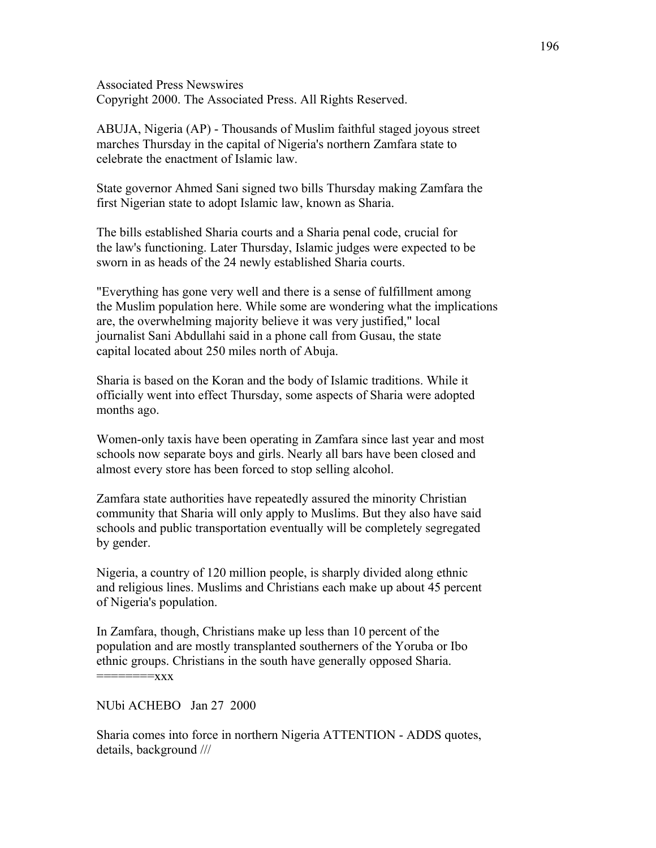Associated Press Newswires Copyright 2000. The Associated Press. All Rights Reserved.

ABUJA, Nigeria (AP) - Thousands of Muslim faithful staged joyous street marches Thursday in the capital of Nigeria's northern Zamfara state to celebrate the enactment of Islamic law.

State governor Ahmed Sani signed two bills Thursday making Zamfara the first Nigerian state to adopt Islamic law, known as Sharia.

The bills established Sharia courts and a Sharia penal code, crucial for the law's functioning. Later Thursday, Islamic judges were expected to be sworn in as heads of the 24 newly established Sharia courts.

"Everything has gone very well and there is a sense of fulfillment among the Muslim population here. While some are wondering what the implications are, the overwhelming majority believe it was very justified," local journalist Sani Abdullahi said in a phone call from Gusau, the state capital located about 250 miles north of Abuja.

Sharia is based on the Koran and the body of Islamic traditions. While it officially went into effect Thursday, some aspects of Sharia were adopted months ago.

Women-only taxis have been operating in Zamfara since last year and most schools now separate boys and girls. Nearly all bars have been closed and almost every store has been forced to stop selling alcohol.

Zamfara state authorities have repeatedly assured the minority Christian community that Sharia will only apply to Muslims. But they also have said schools and public transportation eventually will be completely segregated by gender.

Nigeria, a country of 120 million people, is sharply divided along ethnic and religious lines. Muslims and Christians each make up about 45 percent of Nigeria's population.

In Zamfara, though, Christians make up less than 10 percent of the population and are mostly transplanted southerners of the Yoruba or Ibo ethnic groups. Christians in the south have generally opposed Sharia. ========xxx

NUbi ACHEBO Jan 27 2000

Sharia comes into force in northern Nigeria ATTENTION - ADDS quotes, details, background ///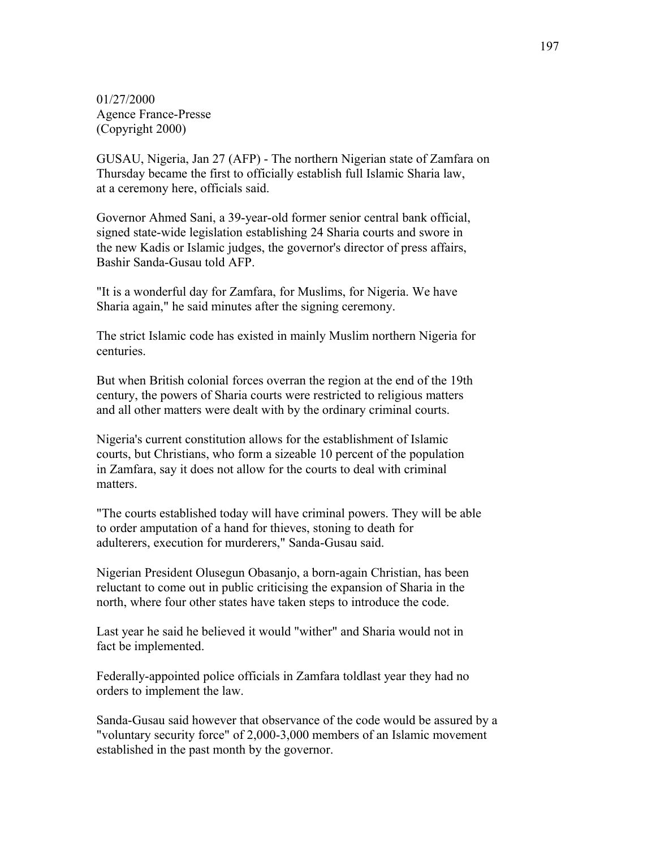01/27/2000 Agence France-Presse (Copyright 2000)

GUSAU, Nigeria, Jan 27 (AFP) - The northern Nigerian state of Zamfara on Thursday became the first to officially establish full Islamic Sharia law, at a ceremony here, officials said.

Governor Ahmed Sani, a 39-year-old former senior central bank official, signed state-wide legislation establishing 24 Sharia courts and swore in the new Kadis or Islamic judges, the governor's director of press affairs, Bashir Sanda-Gusau told AFP.

"It is a wonderful day for Zamfara, for Muslims, for Nigeria. We have Sharia again," he said minutes after the signing ceremony.

The strict Islamic code has existed in mainly Muslim northern Nigeria for centuries.

But when British colonial forces overran the region at the end of the 19th century, the powers of Sharia courts were restricted to religious matters and all other matters were dealt with by the ordinary criminal courts.

Nigeria's current constitution allows for the establishment of Islamic courts, but Christians, who form a sizeable 10 percent of the population in Zamfara, say it does not allow for the courts to deal with criminal matters.

"The courts established today will have criminal powers. They will be able to order amputation of a hand for thieves, stoning to death for adulterers, execution for murderers," Sanda-Gusau said.

Nigerian President Olusegun Obasanjo, a born-again Christian, has been reluctant to come out in public criticising the expansion of Sharia in the north, where four other states have taken steps to introduce the code.

Last year he said he believed it would "wither" and Sharia would not in fact be implemented.

Federally-appointed police officials in Zamfara toldlast year they had no orders to implement the law.

Sanda-Gusau said however that observance of the code would be assured by a "voluntary security force" of 2,000-3,000 members of an Islamic movement established in the past month by the governor.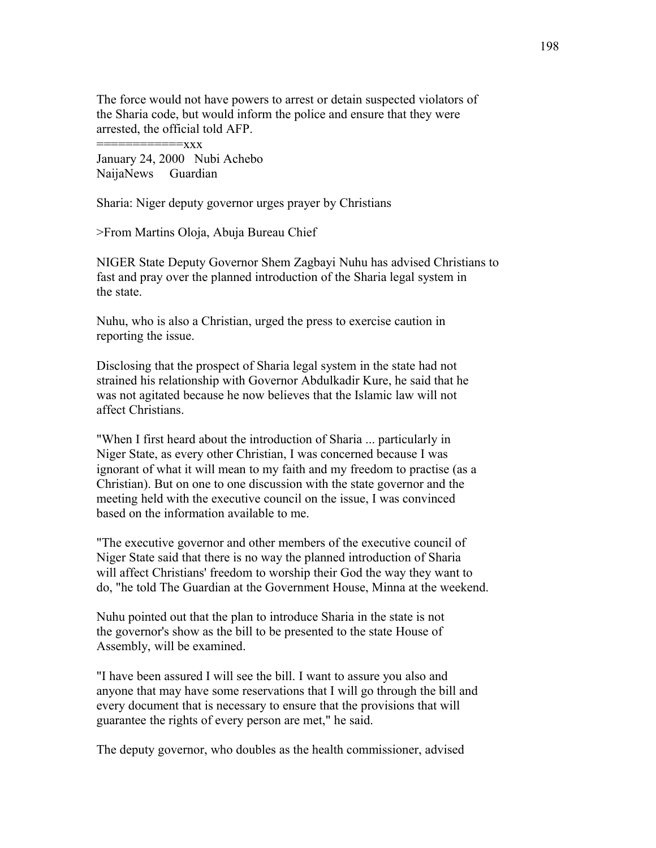The force would not have powers to arrest or detain suspected violators of the Sharia code, but would inform the police and ensure that they were arrested, the official told AFP.

============xxx January 24, 2000 Nubi Achebo NaijaNews Guardian

Sharia: Niger deputy governor urges prayer by Christians

>From Martins Oloja, Abuja Bureau Chief

NIGER State Deputy Governor Shem Zagbayi Nuhu has advised Christians to fast and pray over the planned introduction of the Sharia legal system in the state.

Nuhu, who is also a Christian, urged the press to exercise caution in reporting the issue.

Disclosing that the prospect of Sharia legal system in the state had not strained his relationship with Governor Abdulkadir Kure, he said that he was not agitated because he now believes that the Islamic law will not affect Christians.

"When I first heard about the introduction of Sharia ... particularly in Niger State, as every other Christian, I was concerned because I was ignorant of what it will mean to my faith and my freedom to practise (as a Christian). But on one to one discussion with the state governor and the meeting held with the executive council on the issue, I was convinced based on the information available to me.

"The executive governor and other members of the executive council of Niger State said that there is no way the planned introduction of Sharia will affect Christians' freedom to worship their God the way they want to do, "he told The Guardian at the Government House, Minna at the weekend.

Nuhu pointed out that the plan to introduce Sharia in the state is not the governor's show as the bill to be presented to the state House of Assembly, will be examined.

"I have been assured I will see the bill. I want to assure you also and anyone that may have some reservations that I will go through the bill and every document that is necessary to ensure that the provisions that will guarantee the rights of every person are met," he said.

The deputy governor, who doubles as the health commissioner, advised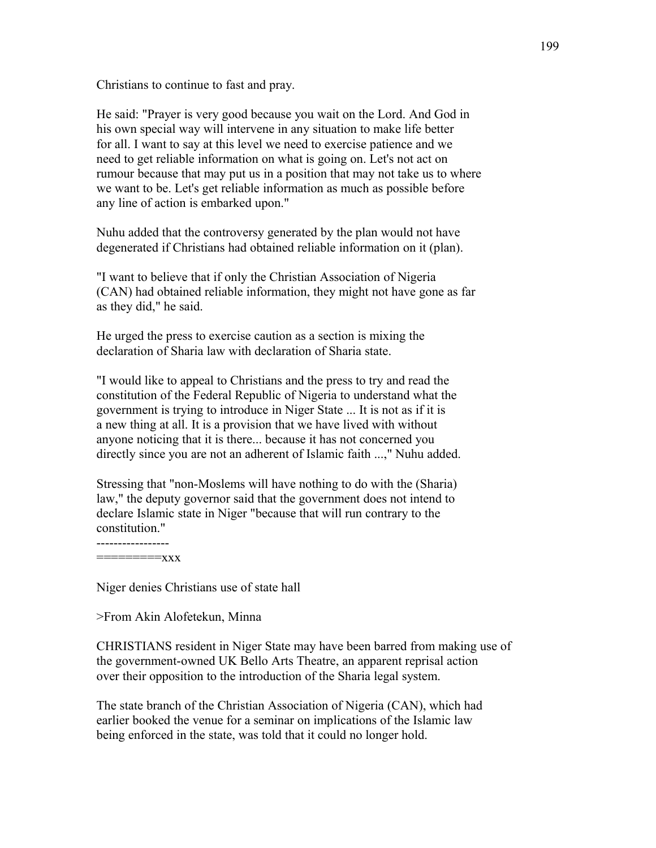Christians to continue to fast and pray.

He said: "Prayer is very good because you wait on the Lord. And God in his own special way will intervene in any situation to make life better for all. I want to say at this level we need to exercise patience and we need to get reliable information on what is going on. Let's not act on rumour because that may put us in a position that may not take us to where we want to be. Let's get reliable information as much as possible before any line of action is embarked upon."

Nuhu added that the controversy generated by the plan would not have degenerated if Christians had obtained reliable information on it (plan).

"I want to believe that if only the Christian Association of Nigeria (CAN) had obtained reliable information, they might not have gone as far as they did," he said.

He urged the press to exercise caution as a section is mixing the declaration of Sharia law with declaration of Sharia state.

"I would like to appeal to Christians and the press to try and read the constitution of the Federal Republic of Nigeria to understand what the government is trying to introduce in Niger State ... It is not as if it is a new thing at all. It is a provision that we have lived with without anyone noticing that it is there... because it has not concerned you directly since you are not an adherent of Islamic faith ...," Nuhu added.

Stressing that "non-Moslems will have nothing to do with the (Sharia) law," the deputy governor said that the government does not intend to declare Islamic state in Niger "because that will run contrary to the constitution."

----------------- =========xxx

Niger denies Christians use of state hall

>From Akin Alofetekun, Minna

CHRISTIANS resident in Niger State may have been barred from making use of the government-owned UK Bello Arts Theatre, an apparent reprisal action over their opposition to the introduction of the Sharia legal system.

The state branch of the Christian Association of Nigeria (CAN), which had earlier booked the venue for a seminar on implications of the Islamic law being enforced in the state, was told that it could no longer hold.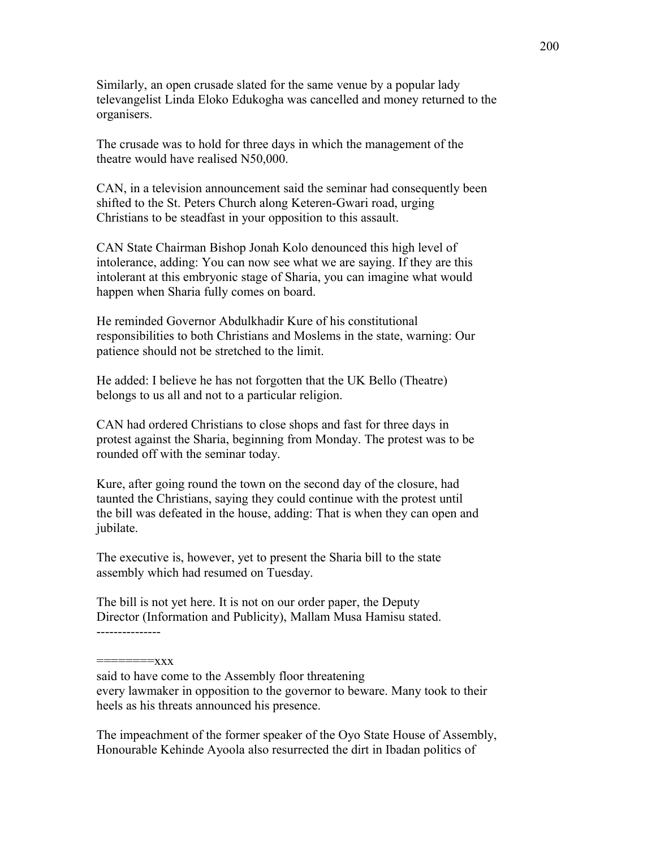Similarly, an open crusade slated for the same venue by a popular lady televangelist Linda Eloko Edukogha was cancelled and money returned to the organisers.

The crusade was to hold for three days in which the management of the theatre would have realised N50,000.

CAN, in a television announcement said the seminar had consequently been shifted to the St. Peters Church along Keteren-Gwari road, urging Christians to be steadfast in your opposition to this assault.

CAN State Chairman Bishop Jonah Kolo denounced this high level of intolerance, adding: You can now see what we are saying. If they are this intolerant at this embryonic stage of Sharia, you can imagine what would happen when Sharia fully comes on board.

He reminded Governor Abdulkhadir Kure of his constitutional responsibilities to both Christians and Moslems in the state, warning: Our patience should not be stretched to the limit.

He added: I believe he has not forgotten that the UK Bello (Theatre) belongs to us all and not to a particular religion.

CAN had ordered Christians to close shops and fast for three days in protest against the Sharia, beginning from Monday. The protest was to be rounded off with the seminar today.

Kure, after going round the town on the second day of the closure, had taunted the Christians, saying they could continue with the protest until the bill was defeated in the house, adding: That is when they can open and jubilate.

The executive is, however, yet to present the Sharia bill to the state assembly which had resumed on Tuesday.

The bill is not yet here. It is not on our order paper, the Deputy Director (Information and Publicity), Mallam Musa Hamisu stated.

---------------

### ========xxx

said to have come to the Assembly floor threatening every lawmaker in opposition to the governor to beware. Many took to their heels as his threats announced his presence.

The impeachment of the former speaker of the Oyo State House of Assembly, Honourable Kehinde Ayoola also resurrected the dirt in Ibadan politics of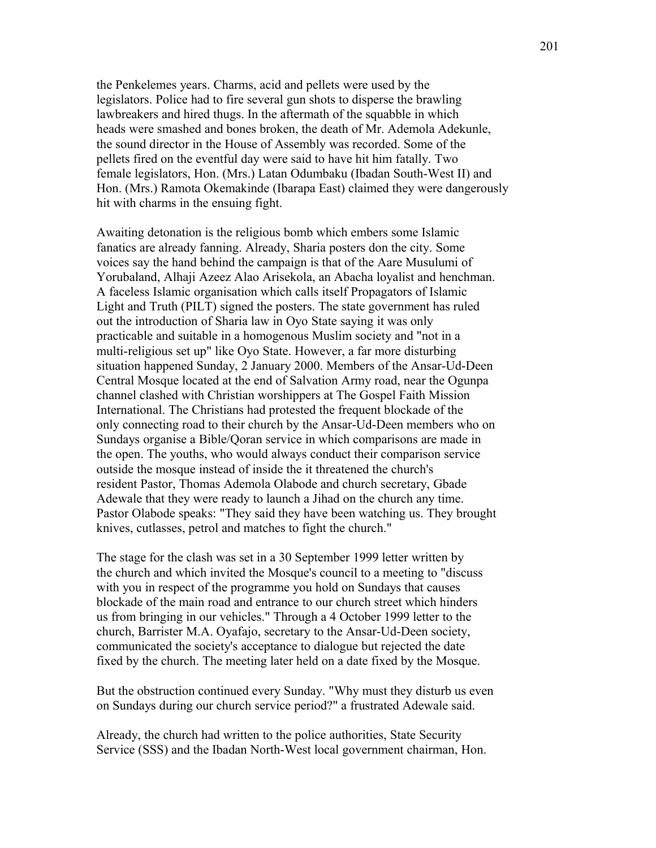the Penkelemes years. Charms, acid and pellets were used by the legislators. Police had to fire several gun shots to disperse the brawling lawbreakers and hired thugs. In the aftermath of the squabble in which heads were smashed and bones broken, the death of Mr. Ademola Adekunle, the sound director in the House of Assembly was recorded. Some of the pellets fired on the eventful day were said to have hit him fatally. Two female legislators, Hon. (Mrs.) Latan Odumbaku (Ibadan South-West II) and Hon. (Mrs.) Ramota Okemakinde (Ibarapa East) claimed they were dangerously hit with charms in the ensuing fight.

Awaiting detonation is the religious bomb which embers some Islamic fanatics are already fanning. Already, Sharia posters don the city. Some voices say the hand behind the campaign is that of the Aare Musulumi of Yorubaland, Alhaji Azeez Alao Arisekola, an Abacha loyalist and henchman. A faceless Islamic organisation which calls itself Propagators of Islamic Light and Truth (PILT) signed the posters. The state government has ruled out the introduction of Sharia law in Oyo State saying it was only practicable and suitable in a homogenous Muslim society and "not in a multi-religious set up" like Oyo State. However, a far more disturbing situation happened Sunday, 2 January 2000. Members of the Ansar-Ud-Deen Central Mosque located at the end of Salvation Army road, near the Ogunpa channel clashed with Christian worshippers at The Gospel Faith Mission International. The Christians had protested the frequent blockade of the only connecting road to their church by the Ansar-Ud-Deen members who on Sundays organise a Bible/Qoran service in which comparisons are made in the open. The youths, who would always conduct their comparison service outside the mosque instead of inside the it threatened the church's resident Pastor, Thomas Ademola Olabode and church secretary, Gbade Adewale that they were ready to launch a Jihad on the church any time. Pastor Olabode speaks: "They said they have been watching us. They brought knives, cutlasses, petrol and matches to fight the church."

The stage for the clash was set in a 30 September 1999 letter written by the church and which invited the Mosque's council to a meeting to "discuss with you in respect of the programme you hold on Sundays that causes blockade of the main road and entrance to our church street which hinders us from bringing in our vehicles." Through a 4 October 1999 letter to the church, Barrister M.A. Oyafajo, secretary to the Ansar-Ud-Deen society, communicated the society's acceptance to dialogue but rejected the date fixed by the church. The meeting later held on a date fixed by the Mosque.

But the obstruction continued every Sunday. "Why must they disturb us even on Sundays during our church service period?" a frustrated Adewale said.

Already, the church had written to the police authorities, State Security Service (SSS) and the Ibadan North-West local government chairman, Hon.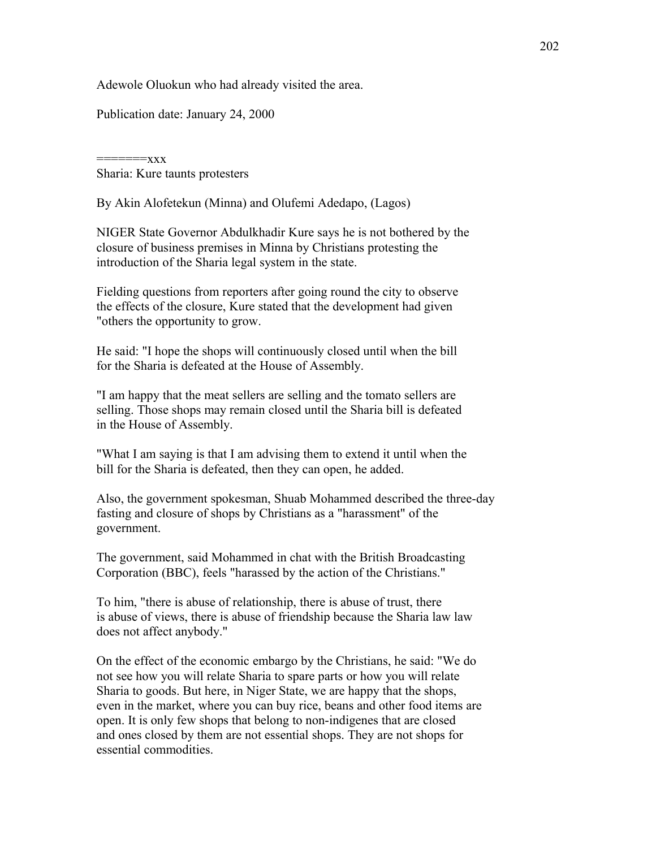Adewole Oluokun who had already visited the area.

Publication date: January 24, 2000

=======xxx Sharia: Kure taunts protesters

By Akin Alofetekun (Minna) and Olufemi Adedapo, (Lagos)

NIGER State Governor Abdulkhadir Kure says he is not bothered by the closure of business premises in Minna by Christians protesting the introduction of the Sharia legal system in the state.

Fielding questions from reporters after going round the city to observe the effects of the closure, Kure stated that the development had given "others the opportunity to grow.

He said: "I hope the shops will continuously closed until when the bill for the Sharia is defeated at the House of Assembly.

"I am happy that the meat sellers are selling and the tomato sellers are selling. Those shops may remain closed until the Sharia bill is defeated in the House of Assembly.

"What I am saying is that I am advising them to extend it until when the bill for the Sharia is defeated, then they can open, he added.

Also, the government spokesman, Shuab Mohammed described the three-day fasting and closure of shops by Christians as a "harassment" of the government.

The government, said Mohammed in chat with the British Broadcasting Corporation (BBC), feels "harassed by the action of the Christians."

To him, "there is abuse of relationship, there is abuse of trust, there is abuse of views, there is abuse of friendship because the Sharia law law does not affect anybody."

On the effect of the economic embargo by the Christians, he said: "We do not see how you will relate Sharia to spare parts or how you will relate Sharia to goods. But here, in Niger State, we are happy that the shops, even in the market, where you can buy rice, beans and other food items are open. It is only few shops that belong to non-indigenes that are closed and ones closed by them are not essential shops. They are not shops for essential commodities.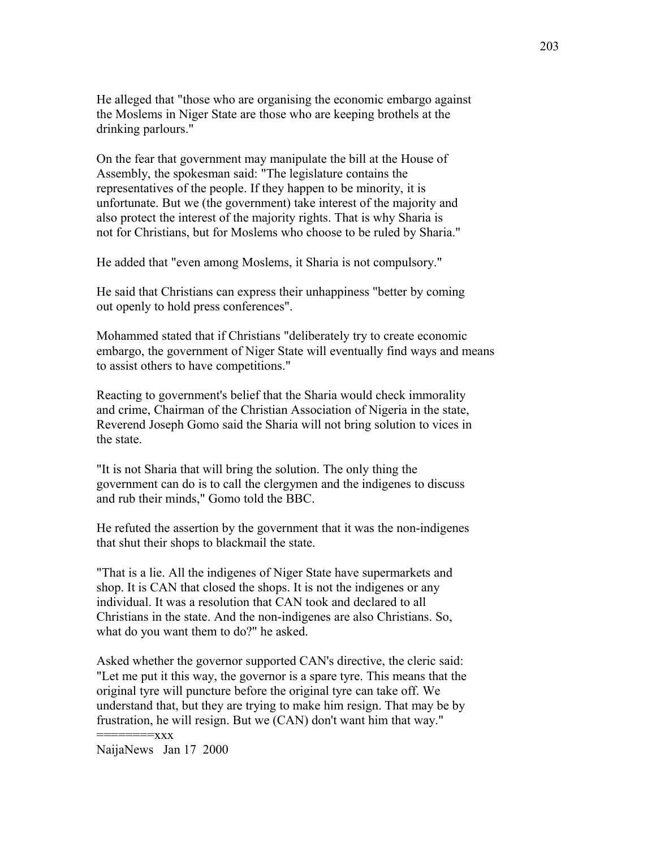He alleged that "those who are organising the economic embargo against the Moslems in Niger State are those who are keeping brothels at the drinking parlours."

On the fear that government may manipulate the bill at the House of Assembly, the spokesman said: "The legislature contains the representatives of the people. If they happen to be minority, it is unfortunate. But we (the government) take interest of the majority and also protect the interest of the majority rights. That is why Sharia is not for Christians, but for Moslems who choose to be ruled by Sharia."

He added that "even among Moslems, it Sharia is not compulsory."

He said that Christians can express their unhappiness "better by coming out openly to hold press conferences".

Mohammed stated that if Christians "deliberately try to create economic embargo, the government of Niger State will eventually find ways and means to assist others to have competitions."

Reacting to government's belief that the Sharia would check immorality and crime, Chairman of the Christian Association of Nigeria in the state, Reverend Joseph Gomo said the Sharia will not bring solution to vices in the state.

"It is not Sharia that will bring the solution. The only thing the government can do is to call the clergymen and the indigenes to discuss and rub their minds," Gomo told the BBC.

He refuted the assertion by the government that it was the non-indigenes that shut their shops to blackmail the state.

"That is a lie. All the indigenes of Niger State have supermarkets and shop. It is CAN that closed the shops. It is not the indigenes or any individual. It was a resolution that CAN took and declared to all Christians in the state. And the non-indigenes are also Christians. So, what do you want them to do?" he asked.

Asked whether the governor supported CAN's directive, the cleric said: "Let me put it this way, the governor is a spare tyre. This means that the original tyre will puncture before the original tyre can take off. We understand that, but they are trying to make him resign. That may be by frustration, he will resign. But we (CAN) don't want him that way."

NaijaNews Jan 17 2000

 $==-xxx$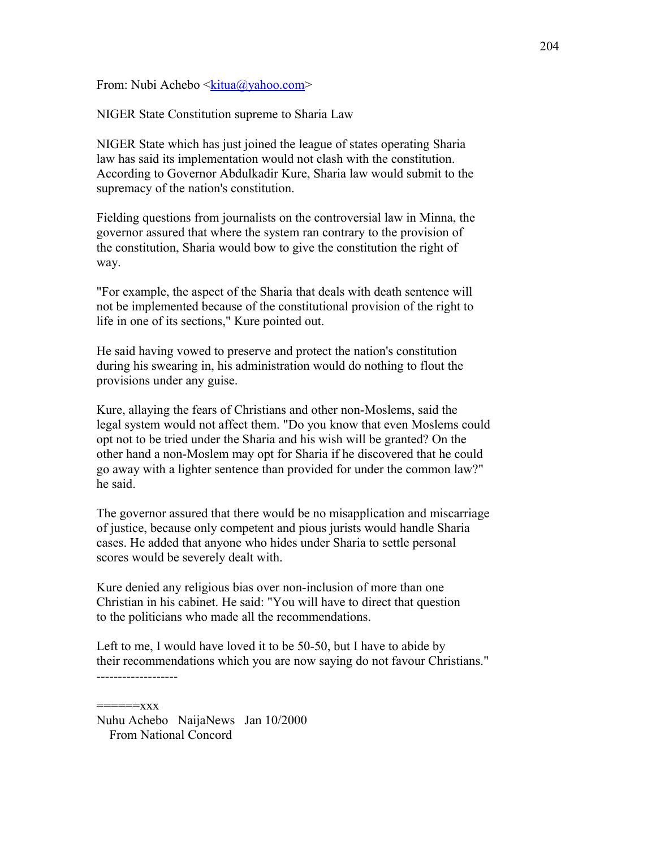From: Nubi Achebo  $\leq$ kitua@yahoo.com>

NIGER State Constitution supreme to Sharia Law

NIGER State which has just joined the league of states operating Sharia law has said its implementation would not clash with the constitution. According to Governor Abdulkadir Kure, Sharia law would submit to the supremacy of the nation's constitution.

Fielding questions from journalists on the controversial law in Minna, the governor assured that where the system ran contrary to the provision of the constitution, Sharia would bow to give the constitution the right of way.

"For example, the aspect of the Sharia that deals with death sentence will not be implemented because of the constitutional provision of the right to life in one of its sections," Kure pointed out.

He said having vowed to preserve and protect the nation's constitution during his swearing in, his administration would do nothing to flout the provisions under any guise.

Kure, allaying the fears of Christians and other non-Moslems, said the legal system would not affect them. "Do you know that even Moslems could opt not to be tried under the Sharia and his wish will be granted? On the other hand a non-Moslem may opt for Sharia if he discovered that he could go away with a lighter sentence than provided for under the common law?" he said.

The governor assured that there would be no misapplication and miscarriage of justice, because only competent and pious jurists would handle Sharia cases. He added that anyone who hides under Sharia to settle personal scores would be severely dealt with.

Kure denied any religious bias over non-inclusion of more than one Christian in his cabinet. He said: "You will have to direct that question to the politicians who made all the recommendations.

Left to me, I would have loved it to be 50-50, but I have to abide by their recommendations which you are now saying do not favour Christians." -------------------

======xxx

Nuhu Achebo NaijaNews Jan 10/2000 From National Concord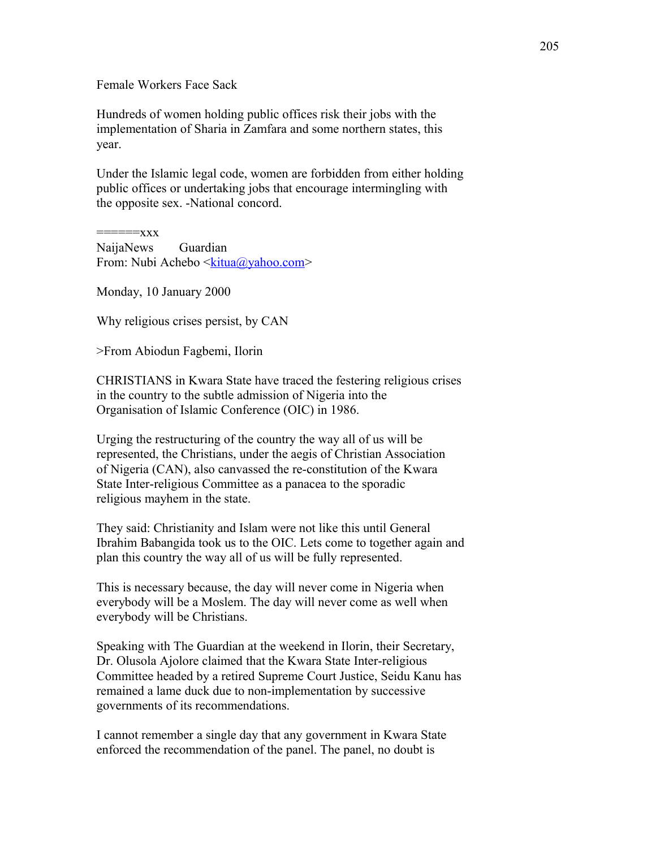Female Workers Face Sack

Hundreds of women holding public offices risk their jobs with the implementation of Sharia in Zamfara and some northern states, this year.

Under the Islamic legal code, women are forbidden from either holding public offices or undertaking jobs that encourage intermingling with the opposite sex. -National concord.

#### ======xxx

NaijaNews Guardian From: Nubi Achebo  $\langle kituaa \rangle$ yahoo.com>

Monday, 10 January 2000

Why religious crises persist, by CAN

>From Abiodun Fagbemi, Ilorin

CHRISTIANS in Kwara State have traced the festering religious crises in the country to the subtle admission of Nigeria into the Organisation of Islamic Conference (OIC) in 1986.

Urging the restructuring of the country the way all of us will be represented, the Christians, under the aegis of Christian Association of Nigeria (CAN), also canvassed the re-constitution of the Kwara State Inter-religious Committee as a panacea to the sporadic religious mayhem in the state.

They said: Christianity and Islam were not like this until General Ibrahim Babangida took us to the OIC. Lets come to together again and plan this country the way all of us will be fully represented.

This is necessary because, the day will never come in Nigeria when everybody will be a Moslem. The day will never come as well when everybody will be Christians.

Speaking with The Guardian at the weekend in Ilorin, their Secretary, Dr. Olusola Ajolore claimed that the Kwara State Inter-religious Committee headed by a retired Supreme Court Justice, Seidu Kanu has remained a lame duck due to non-implementation by successive governments of its recommendations.

I cannot remember a single day that any government in Kwara State enforced the recommendation of the panel. The panel, no doubt is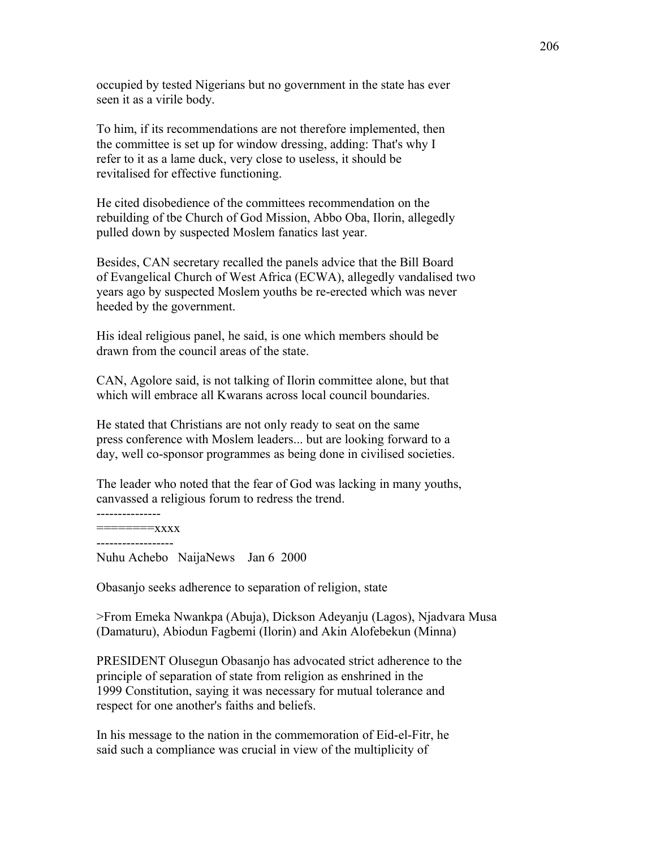occupied by tested Nigerians but no government in the state has ever seen it as a virile body.

To him, if its recommendations are not therefore implemented, then the committee is set up for window dressing, adding: That's why I refer to it as a lame duck, very close to useless, it should be revitalised for effective functioning.

He cited disobedience of the committees recommendation on the rebuilding of tbe Church of God Mission, Abbo Oba, Ilorin, allegedly pulled down by suspected Moslem fanatics last year.

Besides, CAN secretary recalled the panels advice that the Bill Board of Evangelical Church of West Africa (ECWA), allegedly vandalised two years ago by suspected Moslem youths be re-erected which was never heeded by the government.

His ideal religious panel, he said, is one which members should be drawn from the council areas of the state.

CAN, Agolore said, is not talking of Ilorin committee alone, but that which will embrace all Kwarans across local council boundaries.

He stated that Christians are not only ready to seat on the same press conference with Moslem leaders... but are looking forward to a day, well co-sponsor programmes as being done in civilised societies.

The leader who noted that the fear of God was lacking in many youths, canvassed a religious forum to redress the trend.

---------------

========xxxx ------------------

Nuhu Achebo NaijaNews Jan 6 2000

Obasanjo seeks adherence to separation of religion, state

>From Emeka Nwankpa (Abuja), Dickson Adeyanju (Lagos), Njadvara Musa (Damaturu), Abiodun Fagbemi (Ilorin) and Akin Alofebekun (Minna)

PRESIDENT Olusegun Obasanjo has advocated strict adherence to the principle of separation of state from religion as enshrined in the 1999 Constitution, saying it was necessary for mutual tolerance and respect for one another's faiths and beliefs.

In his message to the nation in the commemoration of Eid-el-Fitr, he said such a compliance was crucial in view of the multiplicity of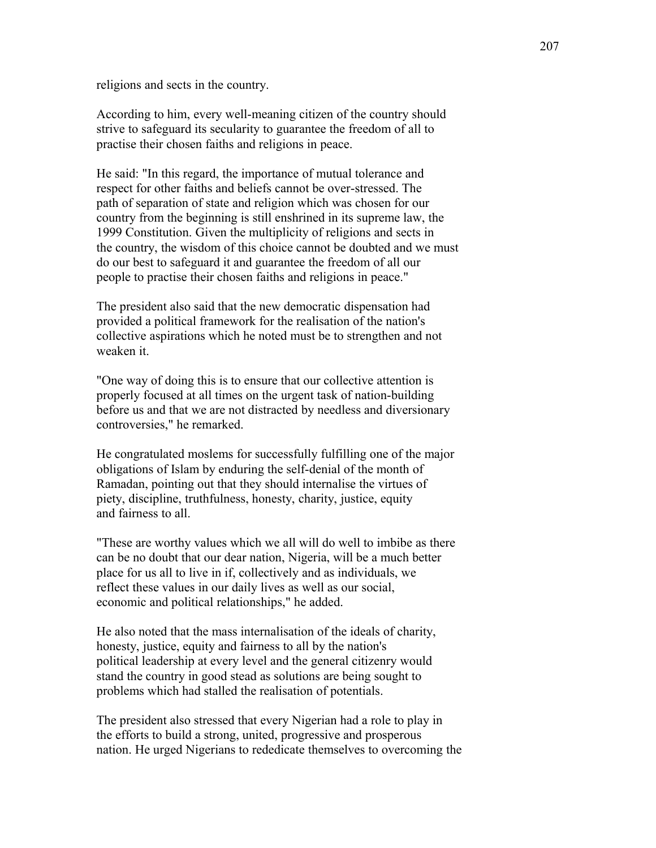religions and sects in the country.

According to him, every well-meaning citizen of the country should strive to safeguard its secularity to guarantee the freedom of all to practise their chosen faiths and religions in peace.

He said: "In this regard, the importance of mutual tolerance and respect for other faiths and beliefs cannot be over-stressed. The path of separation of state and religion which was chosen for our country from the beginning is still enshrined in its supreme law, the 1999 Constitution. Given the multiplicity of religions and sects in the country, the wisdom of this choice cannot be doubted and we must do our best to safeguard it and guarantee the freedom of all our people to practise their chosen faiths and religions in peace."

The president also said that the new democratic dispensation had provided a political framework for the realisation of the nation's collective aspirations which he noted must be to strengthen and not weaken it.

"One way of doing this is to ensure that our collective attention is properly focused at all times on the urgent task of nation-building before us and that we are not distracted by needless and diversionary controversies," he remarked.

He congratulated moslems for successfully fulfilling one of the major obligations of Islam by enduring the self-denial of the month of Ramadan, pointing out that they should internalise the virtues of piety, discipline, truthfulness, honesty, charity, justice, equity and fairness to all.

"These are worthy values which we all will do well to imbibe as there can be no doubt that our dear nation, Nigeria, will be a much better place for us all to live in if, collectively and as individuals, we reflect these values in our daily lives as well as our social, economic and political relationships," he added.

He also noted that the mass internalisation of the ideals of charity, honesty, justice, equity and fairness to all by the nation's political leadership at every level and the general citizenry would stand the country in good stead as solutions are being sought to problems which had stalled the realisation of potentials.

The president also stressed that every Nigerian had a role to play in the efforts to build a strong, united, progressive and prosperous nation. He urged Nigerians to rededicate themselves to overcoming the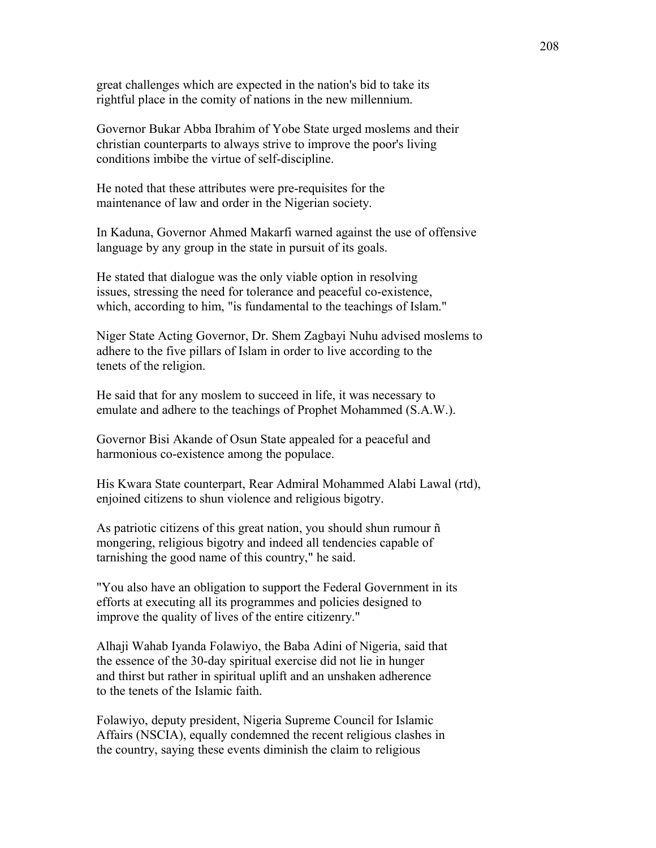great challenges which are expected in the nation's bid to take its rightful place in the comity of nations in the new millennium.

Governor Bukar Abba Ibrahim of Yobe State urged moslems and their christian counterparts to always strive to improve the poor's living conditions imbibe the virtue of self-discipline.

He noted that these attributes were pre-requisites for the maintenance of law and order in the Nigerian society.

In Kaduna, Governor Ahmed Makarfi warned against the use of offensive language by any group in the state in pursuit of its goals.

He stated that dialogue was the only viable option in resolving issues, stressing the need for tolerance and peaceful co-existence, which, according to him, "is fundamental to the teachings of Islam."

Niger State Acting Governor, Dr. Shem Zagbayi Nuhu advised moslems to adhere to the five pillars of Islam in order to live according to the tenets of the religion.

He said that for any moslem to succeed in life, it was necessary to emulate and adhere to the teachings of Prophet Mohammed (S.A.W.).

Governor Bisi Akande of Osun State appealed for a peaceful and harmonious co-existence among the populace.

His Kwara State counterpart, Rear Admiral Mohammed Alabi Lawal (rtd), enjoined citizens to shun violence and religious bigotry.

As patriotic citizens of this great nation, you should shun rumour ñ mongering, religious bigotry and indeed all tendencies capable of tarnishing the good name of this country," he said.

"You also have an obligation to support the Federal Government in its efforts at executing all its programmes and policies designed to improve the quality of lives of the entire citizenry."

Alhaji Wahab Iyanda Folawiyo, the Baba Adini of Nigeria, said that the essence of the 30-day spiritual exercise did not lie in hunger and thirst but rather in spiritual uplift and an unshaken adherence to the tenets of the Islamic faith.

Folawiyo, deputy president, Nigeria Supreme Council for Islamic Affairs (NSCIA), equally condemned the recent religious clashes in the country, saying these events diminish the claim to religious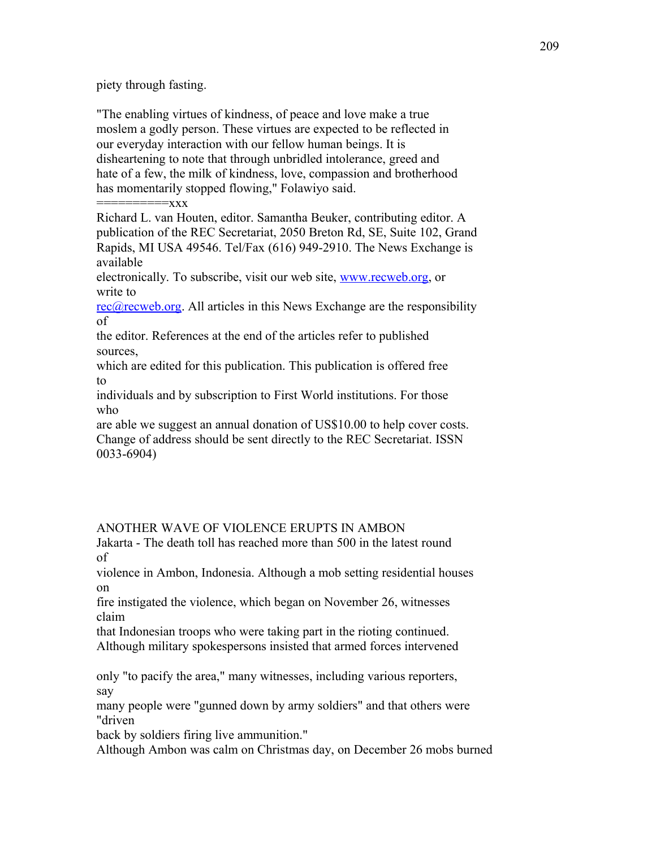piety through fasting.

"The enabling virtues of kindness, of peace and love make a true moslem a godly person. These virtues are expected to be reflected in our everyday interaction with our fellow human beings. It is disheartening to note that through unbridled intolerance, greed and hate of a few, the milk of kindness, love, compassion and brotherhood has momentarily stopped flowing," Folawiyo said.

### $==xxx$

Richard L. van Houten, editor. Samantha Beuker, contributing editor. A publication of the REC Secretariat, 2050 Breton Rd, SE, Suite 102, Grand Rapids, MI USA 49546. Tel/Fax (616) 949-2910. The News Exchange is available

electronically. To subscribe, visit our web site, [www.recweb.org,](http://www.recweb.org/) or write to

[rec@recweb.org.](mailto:rec@recweb.org) All articles in this News Exchange are the responsibility of

the editor. References at the end of the articles refer to published sources,

which are edited for this publication. This publication is offered free to

individuals and by subscription to First World institutions. For those who

are able we suggest an annual donation of US\$10.00 to help cover costs. Change of address should be sent directly to the REC Secretariat. ISSN 0033-6904)

# ANOTHER WAVE OF VIOLENCE ERUPTS IN AMBON

Jakarta - The death toll has reached more than 500 in the latest round of

violence in Ambon, Indonesia. Although a mob setting residential houses on

fire instigated the violence, which began on November 26, witnesses claim

that Indonesian troops who were taking part in the rioting continued. Although military spokespersons insisted that armed forces intervened

only "to pacify the area," many witnesses, including various reporters, say

many people were "gunned down by army soldiers" and that others were "driven

back by soldiers firing live ammunition."

Although Ambon was calm on Christmas day, on December 26 mobs burned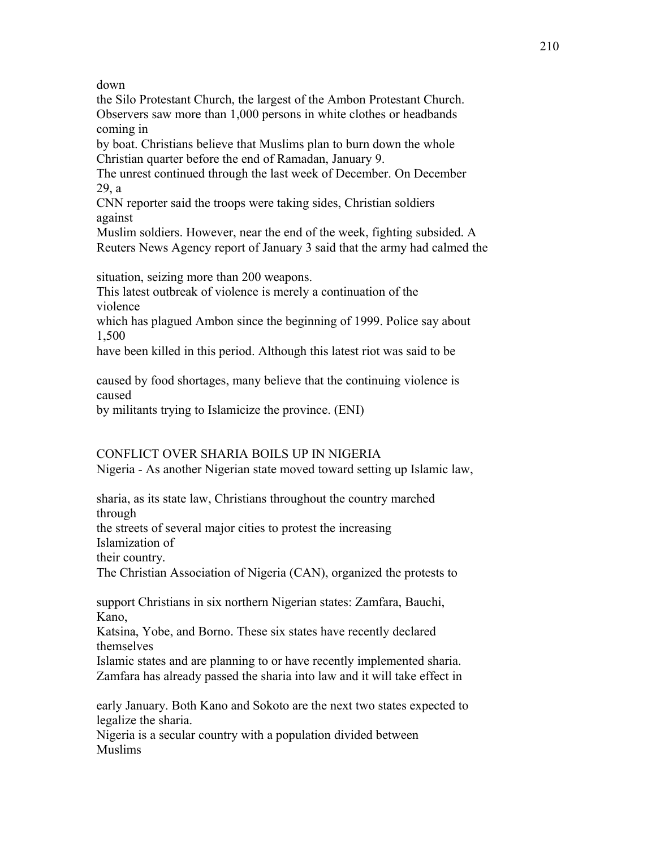down

the Silo Protestant Church, the largest of the Ambon Protestant Church. Observers saw more than 1,000 persons in white clothes or headbands coming in

by boat. Christians believe that Muslims plan to burn down the whole Christian quarter before the end of Ramadan, January 9.

The unrest continued through the last week of December. On December 29, a

CNN reporter said the troops were taking sides, Christian soldiers against

Muslim soldiers. However, near the end of the week, fighting subsided. A Reuters News Agency report of January 3 said that the army had calmed the

situation, seizing more than 200 weapons.

This latest outbreak of violence is merely a continuation of the violence

which has plagued Ambon since the beginning of 1999. Police say about 1,500

have been killed in this period. Although this latest riot was said to be

caused by food shortages, many believe that the continuing violence is caused

by militants trying to Islamicize the province. (ENI)

# CONFLICT OVER SHARIA BOILS UP IN NIGERIA

Nigeria - As another Nigerian state moved toward setting up Islamic law,

sharia, as its state law, Christians throughout the country marched through the streets of several major cities to protest the increasing

Islamization of

their country.

The Christian Association of Nigeria (CAN), organized the protests to

support Christians in six northern Nigerian states: Zamfara, Bauchi, Kano,

Katsina, Yobe, and Borno. These six states have recently declared themselves

Islamic states and are planning to or have recently implemented sharia. Zamfara has already passed the sharia into law and it will take effect in

early January. Both Kano and Sokoto are the next two states expected to legalize the sharia.

Nigeria is a secular country with a population divided between Muslims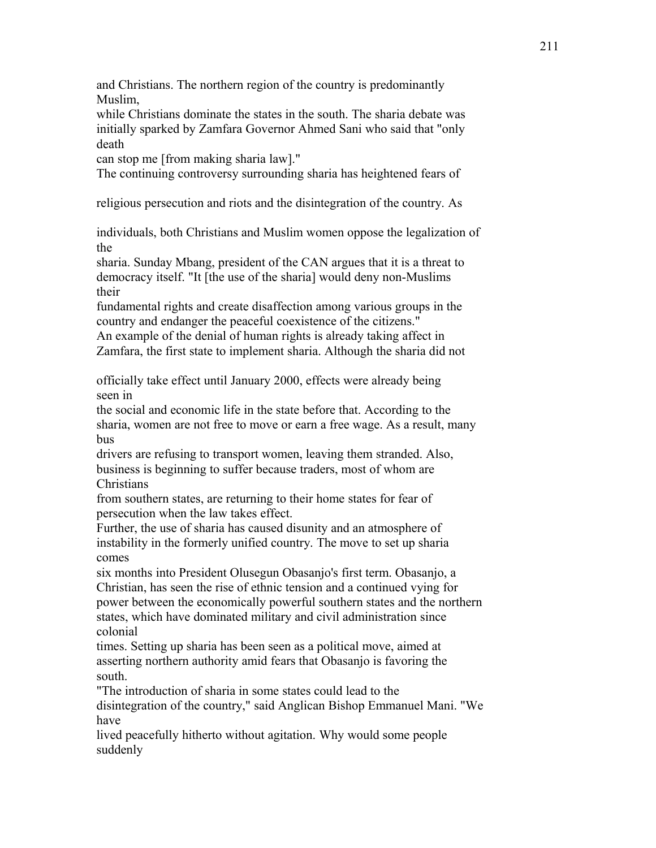and Christians. The northern region of the country is predominantly Muslim,

while Christians dominate the states in the south. The sharia debate was initially sparked by Zamfara Governor Ahmed Sani who said that "only death

can stop me [from making sharia law]."

The continuing controversy surrounding sharia has heightened fears of

religious persecution and riots and the disintegration of the country. As

individuals, both Christians and Muslim women oppose the legalization of the

sharia. Sunday Mbang, president of the CAN argues that it is a threat to democracy itself. "It [the use of the sharia] would deny non-Muslims their

fundamental rights and create disaffection among various groups in the country and endanger the peaceful coexistence of the citizens."

An example of the denial of human rights is already taking affect in Zamfara, the first state to implement sharia. Although the sharia did not

officially take effect until January 2000, effects were already being seen in

the social and economic life in the state before that. According to the sharia, women are not free to move or earn a free wage. As a result, many bus

drivers are refusing to transport women, leaving them stranded. Also, business is beginning to suffer because traders, most of whom are **Christians** 

from southern states, are returning to their home states for fear of persecution when the law takes effect.

Further, the use of sharia has caused disunity and an atmosphere of instability in the formerly unified country. The move to set up sharia comes

six months into President Olusegun Obasanjo's first term. Obasanjo, a Christian, has seen the rise of ethnic tension and a continued vying for power between the economically powerful southern states and the northern states, which have dominated military and civil administration since colonial

times. Setting up sharia has been seen as a political move, aimed at asserting northern authority amid fears that Obasanjo is favoring the south.

"The introduction of sharia in some states could lead to the

disintegration of the country," said Anglican Bishop Emmanuel Mani. "We have

lived peacefully hitherto without agitation. Why would some people suddenly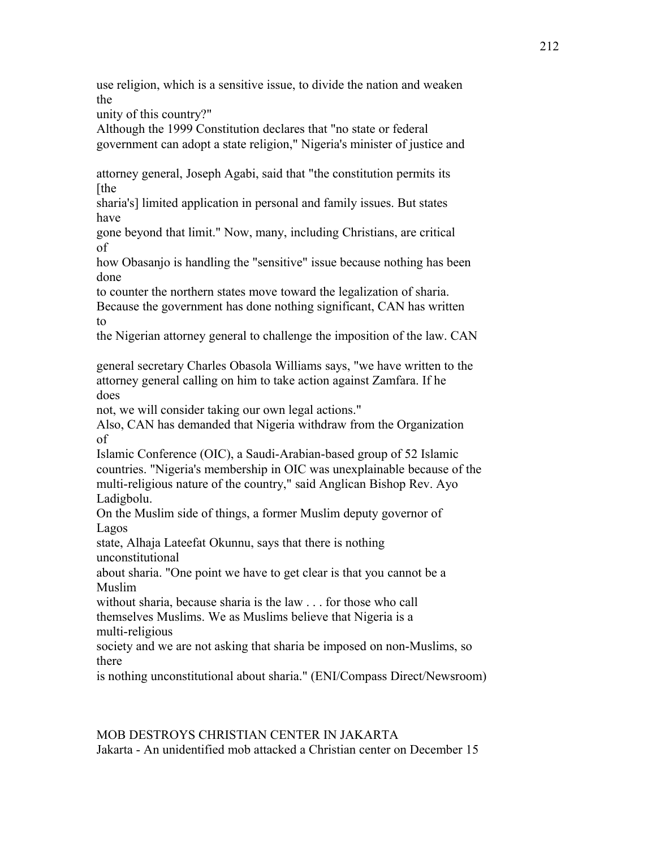use religion, which is a sensitive issue, to divide the nation and weaken the

unity of this country?"

Although the 1999 Constitution declares that "no state or federal government can adopt a state religion," Nigeria's minister of justice and

attorney general, Joseph Agabi, said that "the constitution permits its [the

sharia's] limited application in personal and family issues. But states have

gone beyond that limit." Now, many, including Christians, are critical of

how Obasanjo is handling the "sensitive" issue because nothing has been done

to counter the northern states move toward the legalization of sharia. Because the government has done nothing significant, CAN has written to

the Nigerian attorney general to challenge the imposition of the law. CAN

general secretary Charles Obasola Williams says, "we have written to the attorney general calling on him to take action against Zamfara. If he does

not, we will consider taking our own legal actions."

Also, CAN has demanded that Nigeria withdraw from the Organization of

Islamic Conference (OIC), a Saudi-Arabian-based group of 52 Islamic countries. "Nigeria's membership in OIC was unexplainable because of the multi-religious nature of the country," said Anglican Bishop Rev. Ayo Ladigbolu.

On the Muslim side of things, a former Muslim deputy governor of Lagos

state, Alhaja Lateefat Okunnu, says that there is nothing unconstitutional

about sharia. "One point we have to get clear is that you cannot be a Muslim

without sharia, because sharia is the law . . . for those who call themselves Muslims. We as Muslims believe that Nigeria is a multi-religious

society and we are not asking that sharia be imposed on non-Muslims, so there

is nothing unconstitutional about sharia." (ENI/Compass Direct/Newsroom)

# MOB DESTROYS CHRISTIAN CENTER IN JAKARTA Jakarta - An unidentified mob attacked a Christian center on December 15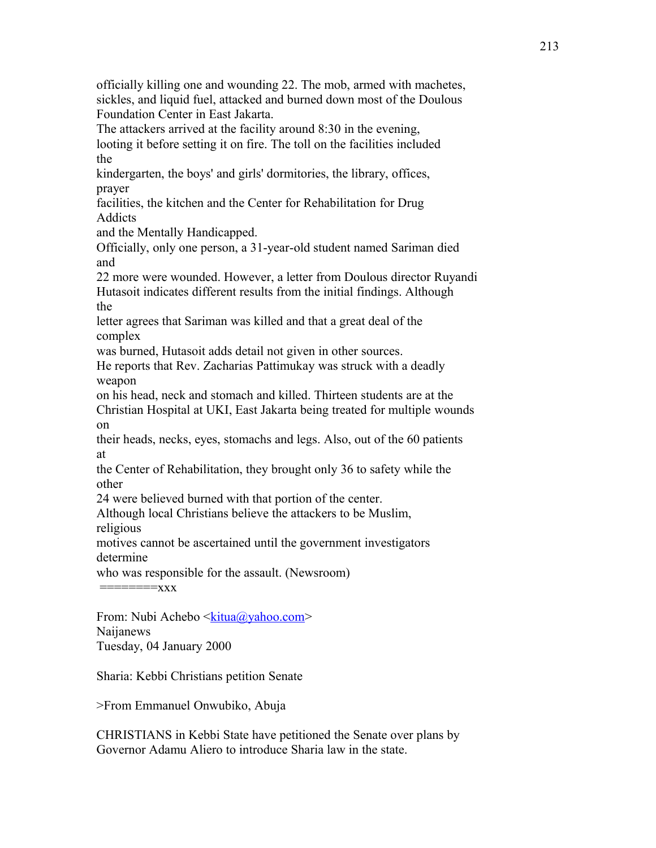officially killing one and wounding 22. The mob, armed with machetes, sickles, and liquid fuel, attacked and burned down most of the Doulous Foundation Center in East Jakarta.

The attackers arrived at the facility around 8:30 in the evening, looting it before setting it on fire. The toll on the facilities included the

kindergarten, the boys' and girls' dormitories, the library, offices, prayer

facilities, the kitchen and the Center for Rehabilitation for Drug Addicts

and the Mentally Handicapped.

Officially, only one person, a 31-year-old student named Sariman died and

22 more were wounded. However, a letter from Doulous director Ruyandi Hutasoit indicates different results from the initial findings. Although the

letter agrees that Sariman was killed and that a great deal of the complex

was burned, Hutasoit adds detail not given in other sources.

He reports that Rev. Zacharias Pattimukay was struck with a deadly weapon

on his head, neck and stomach and killed. Thirteen students are at the Christian Hospital at UKI, East Jakarta being treated for multiple wounds on

their heads, necks, eyes, stomachs and legs. Also, out of the 60 patients at

the Center of Rehabilitation, they brought only 36 to safety while the other

24 were believed burned with that portion of the center.

Although local Christians believe the attackers to be Muslim, religious

motives cannot be ascertained until the government investigators determine

who was responsible for the assault. (Newsroom)

========xxx

From: Nubi Achebo  $\leq$ kitua@yahoo.com> Naijanews Tuesday, 04 January 2000

Sharia: Kebbi Christians petition Senate

>From Emmanuel Onwubiko, Abuja

CHRISTIANS in Kebbi State have petitioned the Senate over plans by Governor Adamu Aliero to introduce Sharia law in the state.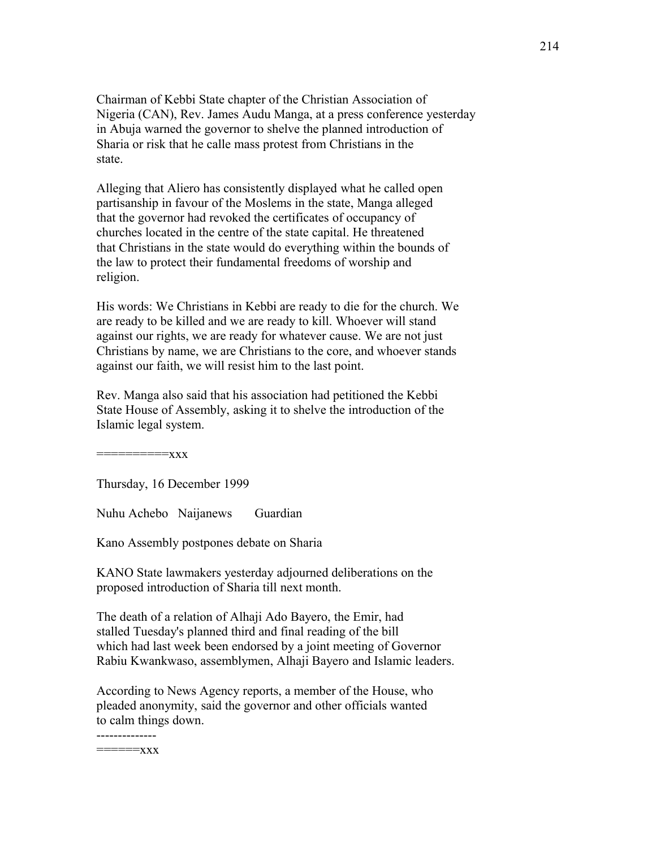Chairman of Kebbi State chapter of the Christian Association of Nigeria (CAN), Rev. James Audu Manga, at a press conference yesterday in Abuja warned the governor to shelve the planned introduction of Sharia or risk that he calle mass protest from Christians in the state.

Alleging that Aliero has consistently displayed what he called open partisanship in favour of the Moslems in the state, Manga alleged that the governor had revoked the certificates of occupancy of churches located in the centre of the state capital. He threatened that Christians in the state would do everything within the bounds of the law to protect their fundamental freedoms of worship and religion.

His words: We Christians in Kebbi are ready to die for the church. We are ready to be killed and we are ready to kill. Whoever will stand against our rights, we are ready for whatever cause. We are not just Christians by name, we are Christians to the core, and whoever stands against our faith, we will resist him to the last point.

Rev. Manga also said that his association had petitioned the Kebbi State House of Assembly, asking it to shelve the introduction of the Islamic legal system.

==========xxx

Thursday, 16 December 1999

Nuhu Achebo Naijanews Guardian

Kano Assembly postpones debate on Sharia

KANO State lawmakers yesterday adjourned deliberations on the proposed introduction of Sharia till next month.

The death of a relation of Alhaji Ado Bayero, the Emir, had stalled Tuesday's planned third and final reading of the bill which had last week been endorsed by a joint meeting of Governor Rabiu Kwankwaso, assemblymen, Alhaji Bayero and Islamic leaders.

According to News Agency reports, a member of the House, who pleaded anonymity, said the governor and other officials wanted to calm things down.

 $=\equiv \equiv \equiv \equiv xxx$ 

--------------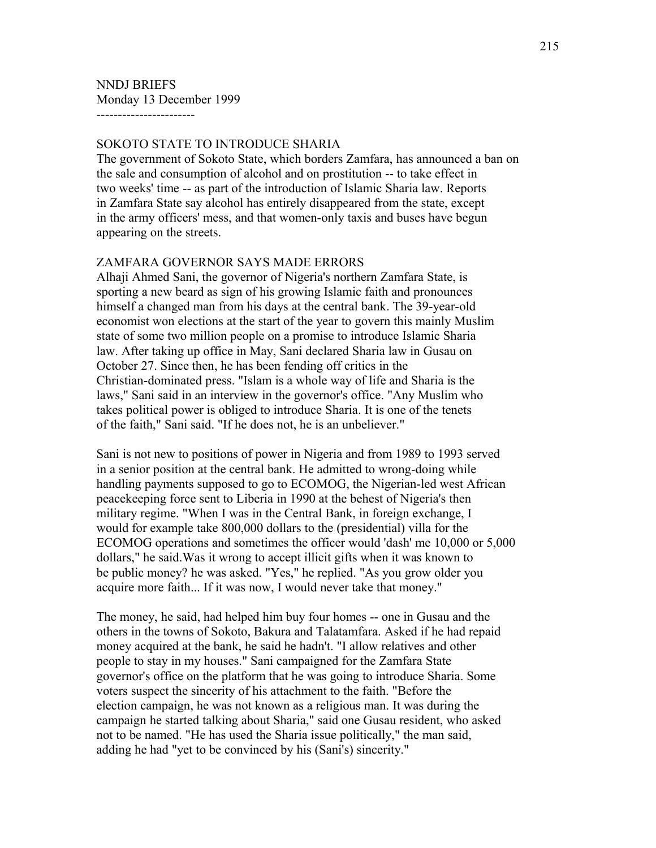## NNDJ BRIEFS Monday 13 December 1999

-----------------------

#### SOKOTO STATE TO INTRODUCE SHARIA

The government of Sokoto State, which borders Zamfara, has announced a ban on the sale and consumption of alcohol and on prostitution -- to take effect in two weeks' time -- as part of the introduction of Islamic Sharia law. Reports in Zamfara State say alcohol has entirely disappeared from the state, except in the army officers' mess, and that women-only taxis and buses have begun appearing on the streets.

#### ZAMFARA GOVERNOR SAYS MADE ERRORS

Alhaji Ahmed Sani, the governor of Nigeria's northern Zamfara State, is sporting a new beard as sign of his growing Islamic faith and pronounces himself a changed man from his days at the central bank. The 39-year-old economist won elections at the start of the year to govern this mainly Muslim state of some two million people on a promise to introduce Islamic Sharia law. After taking up office in May, Sani declared Sharia law in Gusau on October 27. Since then, he has been fending off critics in the Christian-dominated press. "Islam is a whole way of life and Sharia is the laws," Sani said in an interview in the governor's office. "Any Muslim who takes political power is obliged to introduce Sharia. It is one of the tenets of the faith," Sani said. "If he does not, he is an unbeliever."

Sani is not new to positions of power in Nigeria and from 1989 to 1993 served in a senior position at the central bank. He admitted to wrong-doing while handling payments supposed to go to ECOMOG, the Nigerian-led west African peacekeeping force sent to Liberia in 1990 at the behest of Nigeria's then military regime. "When I was in the Central Bank, in foreign exchange, I would for example take 800,000 dollars to the (presidential) villa for the ECOMOG operations and sometimes the officer would 'dash' me 10,000 or 5,000 dollars," he said.Was it wrong to accept illicit gifts when it was known to be public money? he was asked. "Yes," he replied. "As you grow older you acquire more faith... If it was now, I would never take that money."

The money, he said, had helped him buy four homes -- one in Gusau and the others in the towns of Sokoto, Bakura and Talatamfara. Asked if he had repaid money acquired at the bank, he said he hadn't. "I allow relatives and other people to stay in my houses." Sani campaigned for the Zamfara State governor's office on the platform that he was going to introduce Sharia. Some voters suspect the sincerity of his attachment to the faith. "Before the election campaign, he was not known as a religious man. It was during the campaign he started talking about Sharia," said one Gusau resident, who asked not to be named. "He has used the Sharia issue politically," the man said, adding he had "yet to be convinced by his (Sani's) sincerity."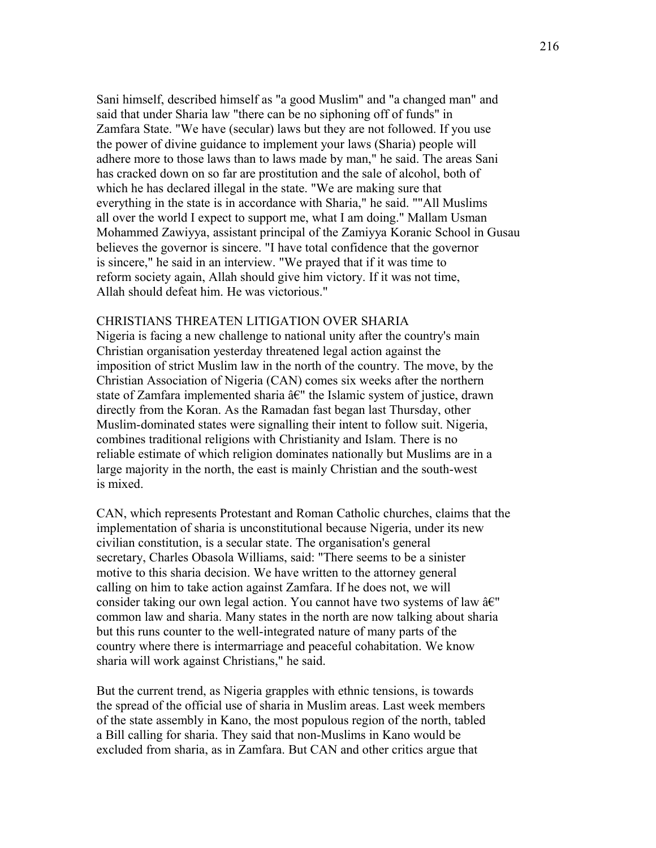Sani himself, described himself as "a good Muslim" and "a changed man" and said that under Sharia law "there can be no siphoning off of funds" in Zamfara State. "We have (secular) laws but they are not followed. If you use the power of divine guidance to implement your laws (Sharia) people will adhere more to those laws than to laws made by man," he said. The areas Sani has cracked down on so far are prostitution and the sale of alcohol, both of which he has declared illegal in the state. "We are making sure that everything in the state is in accordance with Sharia," he said. ""All Muslims all over the world I expect to support me, what I am doing." Mallam Usman Mohammed Zawiyya, assistant principal of the Zamiyya Koranic School in Gusau believes the governor is sincere. "I have total confidence that the governor is sincere," he said in an interview. "We prayed that if it was time to reform society again, Allah should give him victory. If it was not time, Allah should defeat him. He was victorious."

### CHRISTIANS THREATEN LITIGATION OVER SHARIA

Nigeria is facing a new challenge to national unity after the country's main Christian organisation yesterday threatened legal action against the imposition of strict Muslim law in the north of the country. The move, by the Christian Association of Nigeria (CAN) comes six weeks after the northern state of Zamfara implemented sharia â€" the Islamic system of justice, drawn directly from the Koran. As the Ramadan fast began last Thursday, other Muslim-dominated states were signalling their intent to follow suit. Nigeria, combines traditional religions with Christianity and Islam. There is no reliable estimate of which religion dominates nationally but Muslims are in a large majority in the north, the east is mainly Christian and the south-west is mixed.

CAN, which represents Protestant and Roman Catholic churches, claims that the implementation of sharia is unconstitutional because Nigeria, under its new civilian constitution, is a secular state. The organisation's general secretary, Charles Obasola Williams, said: "There seems to be a sinister motive to this sharia decision. We have written to the attorney general calling on him to take action against Zamfara. If he does not, we will consider taking our own legal action. You cannot have two systems of law â€" common law and sharia. Many states in the north are now talking about sharia but this runs counter to the well-integrated nature of many parts of the country where there is intermarriage and peaceful cohabitation. We know sharia will work against Christians," he said.

But the current trend, as Nigeria grapples with ethnic tensions, is towards the spread of the official use of sharia in Muslim areas. Last week members of the state assembly in Kano, the most populous region of the north, tabled a Bill calling for sharia. They said that non-Muslims in Kano would be excluded from sharia, as in Zamfara. But CAN and other critics argue that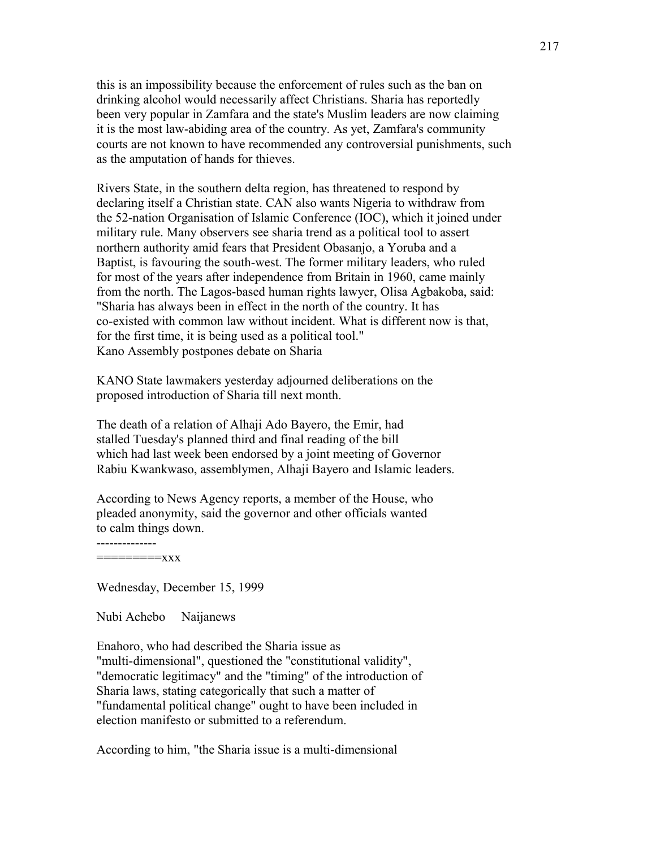this is an impossibility because the enforcement of rules such as the ban on drinking alcohol would necessarily affect Christians. Sharia has reportedly been very popular in Zamfara and the state's Muslim leaders are now claiming it is the most law-abiding area of the country. As yet, Zamfara's community courts are not known to have recommended any controversial punishments, such as the amputation of hands for thieves.

Rivers State, in the southern delta region, has threatened to respond by declaring itself a Christian state. CAN also wants Nigeria to withdraw from the 52-nation Organisation of Islamic Conference (IOC), which it joined under military rule. Many observers see sharia trend as a political tool to assert northern authority amid fears that President Obasanjo, a Yoruba and a Baptist, is favouring the south-west. The former military leaders, who ruled for most of the years after independence from Britain in 1960, came mainly from the north. The Lagos-based human rights lawyer, Olisa Agbakoba, said: "Sharia has always been in effect in the north of the country. It has co-existed with common law without incident. What is different now is that, for the first time, it is being used as a political tool." Kano Assembly postpones debate on Sharia

KANO State lawmakers yesterday adjourned deliberations on the proposed introduction of Sharia till next month.

The death of a relation of Alhaji Ado Bayero, the Emir, had stalled Tuesday's planned third and final reading of the bill which had last week been endorsed by a joint meeting of Governor Rabiu Kwankwaso, assemblymen, Alhaji Bayero and Islamic leaders.

According to News Agency reports, a member of the House, who pleaded anonymity, said the governor and other officials wanted to calm things down.

-------------- =========xxx

Wednesday, December 15, 1999

Nubi Achebo Naijanews

Enahoro, who had described the Sharia issue as "multi-dimensional", questioned the "constitutional validity", "democratic legitimacy" and the "timing" of the introduction of Sharia laws, stating categorically that such a matter of "fundamental political change" ought to have been included in election manifesto or submitted to a referendum.

According to him, "the Sharia issue is a multi-dimensional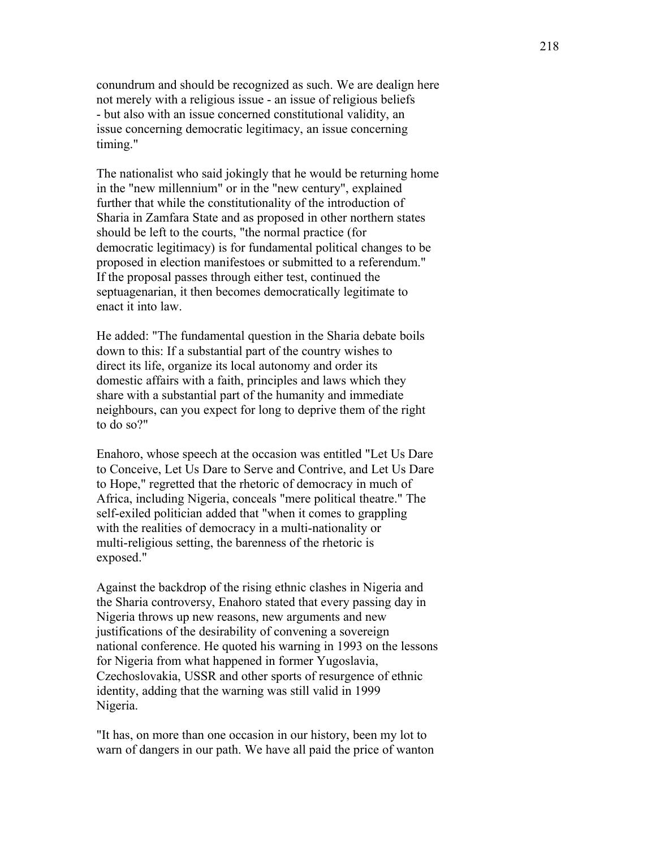conundrum and should be recognized as such. We are dealign here not merely with a religious issue - an issue of religious beliefs - but also with an issue concerned constitutional validity, an issue concerning democratic legitimacy, an issue concerning timing."

The nationalist who said jokingly that he would be returning home in the "new millennium" or in the "new century", explained further that while the constitutionality of the introduction of Sharia in Zamfara State and as proposed in other northern states should be left to the courts, "the normal practice (for democratic legitimacy) is for fundamental political changes to be proposed in election manifestoes or submitted to a referendum." If the proposal passes through either test, continued the septuagenarian, it then becomes democratically legitimate to enact it into law.

He added: "The fundamental question in the Sharia debate boils down to this: If a substantial part of the country wishes to direct its life, organize its local autonomy and order its domestic affairs with a faith, principles and laws which they share with a substantial part of the humanity and immediate neighbours, can you expect for long to deprive them of the right to do so?"

Enahoro, whose speech at the occasion was entitled "Let Us Dare to Conceive, Let Us Dare to Serve and Contrive, and Let Us Dare to Hope," regretted that the rhetoric of democracy in much of Africa, including Nigeria, conceals "mere political theatre." The self-exiled politician added that "when it comes to grappling with the realities of democracy in a multi-nationality or multi-religious setting, the barenness of the rhetoric is exposed."

Against the backdrop of the rising ethnic clashes in Nigeria and the Sharia controversy, Enahoro stated that every passing day in Nigeria throws up new reasons, new arguments and new justifications of the desirability of convening a sovereign national conference. He quoted his warning in 1993 on the lessons for Nigeria from what happened in former Yugoslavia, Czechoslovakia, USSR and other sports of resurgence of ethnic identity, adding that the warning was still valid in 1999 Nigeria.

"It has, on more than one occasion in our history, been my lot to warn of dangers in our path. We have all paid the price of wanton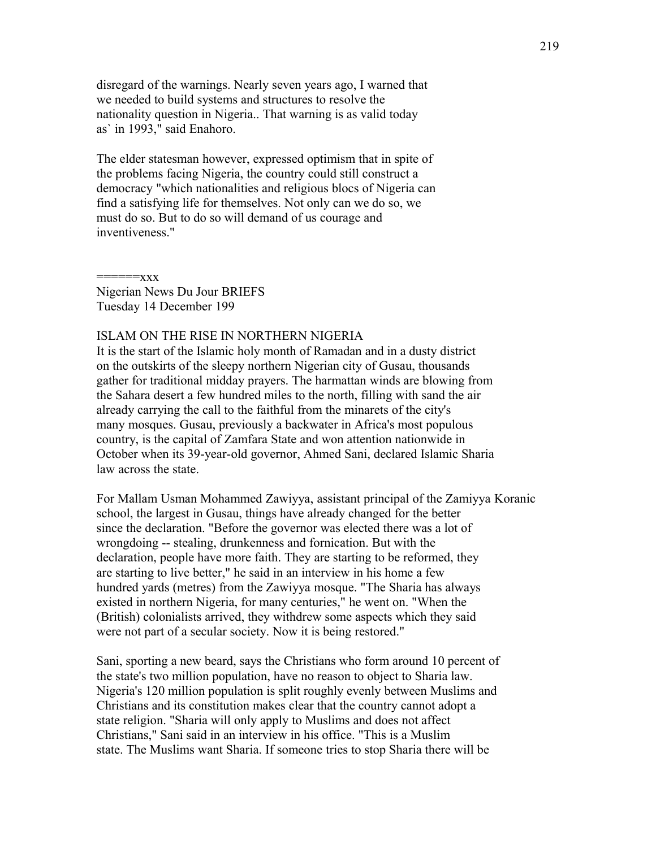disregard of the warnings. Nearly seven years ago, I warned that we needed to build systems and structures to resolve the nationality question in Nigeria.. That warning is as valid today as` in 1993," said Enahoro.

The elder statesman however, expressed optimism that in spite of the problems facing Nigeria, the country could still construct a democracy "which nationalities and religious blocs of Nigeria can find a satisfying life for themselves. Not only can we do so, we must do so. But to do so will demand of us courage and inventiveness."

 $=xxx$ 

Nigerian News Du Jour BRIEFS Tuesday 14 December 199

## ISLAM ON THE RISE IN NORTHERN NIGERIA

It is the start of the Islamic holy month of Ramadan and in a dusty district on the outskirts of the sleepy northern Nigerian city of Gusau, thousands gather for traditional midday prayers. The harmattan winds are blowing from the Sahara desert a few hundred miles to the north, filling with sand the air already carrying the call to the faithful from the minarets of the city's many mosques. Gusau, previously a backwater in Africa's most populous country, is the capital of Zamfara State and won attention nationwide in October when its 39-year-old governor, Ahmed Sani, declared Islamic Sharia law across the state.

For Mallam Usman Mohammed Zawiyya, assistant principal of the Zamiyya Koranic school, the largest in Gusau, things have already changed for the better since the declaration. "Before the governor was elected there was a lot of wrongdoing -- stealing, drunkenness and fornication. But with the declaration, people have more faith. They are starting to be reformed, they are starting to live better," he said in an interview in his home a few hundred yards (metres) from the Zawiyya mosque. "The Sharia has always existed in northern Nigeria, for many centuries," he went on. "When the (British) colonialists arrived, they withdrew some aspects which they said were not part of a secular society. Now it is being restored."

Sani, sporting a new beard, says the Christians who form around 10 percent of the state's two million population, have no reason to object to Sharia law. Nigeria's 120 million population is split roughly evenly between Muslims and Christians and its constitution makes clear that the country cannot adopt a state religion. "Sharia will only apply to Muslims and does not affect Christians," Sani said in an interview in his office. "This is a Muslim state. The Muslims want Sharia. If someone tries to stop Sharia there will be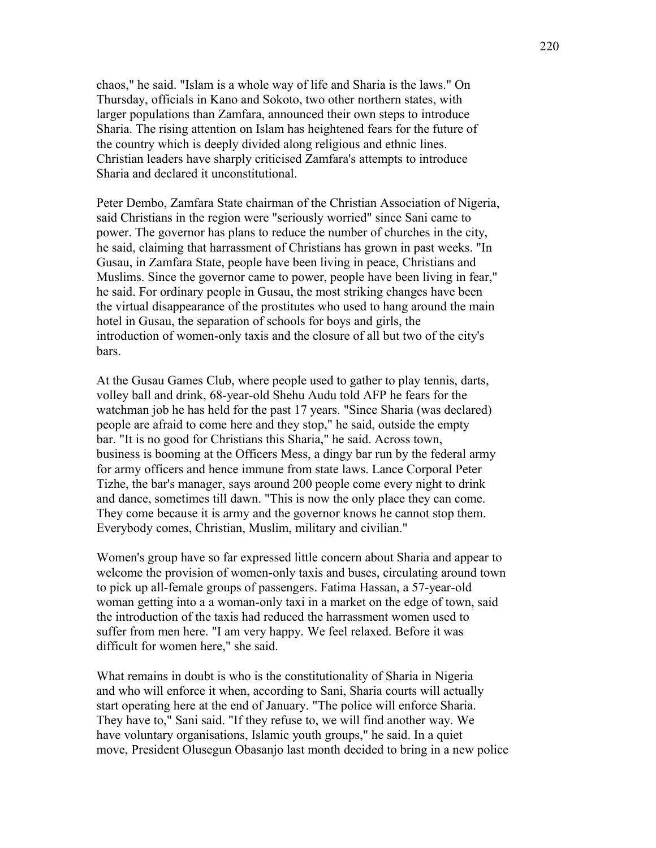chaos," he said. "Islam is a whole way of life and Sharia is the laws." On Thursday, officials in Kano and Sokoto, two other northern states, with larger populations than Zamfara, announced their own steps to introduce Sharia. The rising attention on Islam has heightened fears for the future of the country which is deeply divided along religious and ethnic lines. Christian leaders have sharply criticised Zamfara's attempts to introduce Sharia and declared it unconstitutional.

Peter Dembo, Zamfara State chairman of the Christian Association of Nigeria, said Christians in the region were "seriously worried" since Sani came to power. The governor has plans to reduce the number of churches in the city, he said, claiming that harrassment of Christians has grown in past weeks. "In Gusau, in Zamfara State, people have been living in peace, Christians and Muslims. Since the governor came to power, people have been living in fear," he said. For ordinary people in Gusau, the most striking changes have been the virtual disappearance of the prostitutes who used to hang around the main hotel in Gusau, the separation of schools for boys and girls, the introduction of women-only taxis and the closure of all but two of the city's bars.

At the Gusau Games Club, where people used to gather to play tennis, darts, volley ball and drink, 68-year-old Shehu Audu told AFP he fears for the watchman job he has held for the past 17 years. "Since Sharia (was declared) people are afraid to come here and they stop," he said, outside the empty bar. "It is no good for Christians this Sharia," he said. Across town, business is booming at the Officers Mess, a dingy bar run by the federal army for army officers and hence immune from state laws. Lance Corporal Peter Tizhe, the bar's manager, says around 200 people come every night to drink and dance, sometimes till dawn. "This is now the only place they can come. They come because it is army and the governor knows he cannot stop them. Everybody comes, Christian, Muslim, military and civilian."

Women's group have so far expressed little concern about Sharia and appear to welcome the provision of women-only taxis and buses, circulating around town to pick up all-female groups of passengers. Fatima Hassan, a 57-year-old woman getting into a a woman-only taxi in a market on the edge of town, said the introduction of the taxis had reduced the harrassment women used to suffer from men here. "I am very happy. We feel relaxed. Before it was difficult for women here," she said.

What remains in doubt is who is the constitutionality of Sharia in Nigeria and who will enforce it when, according to Sani, Sharia courts will actually start operating here at the end of January. "The police will enforce Sharia. They have to," Sani said. "If they refuse to, we will find another way. We have voluntary organisations, Islamic youth groups," he said. In a quiet move, President Olusegun Obasanjo last month decided to bring in a new police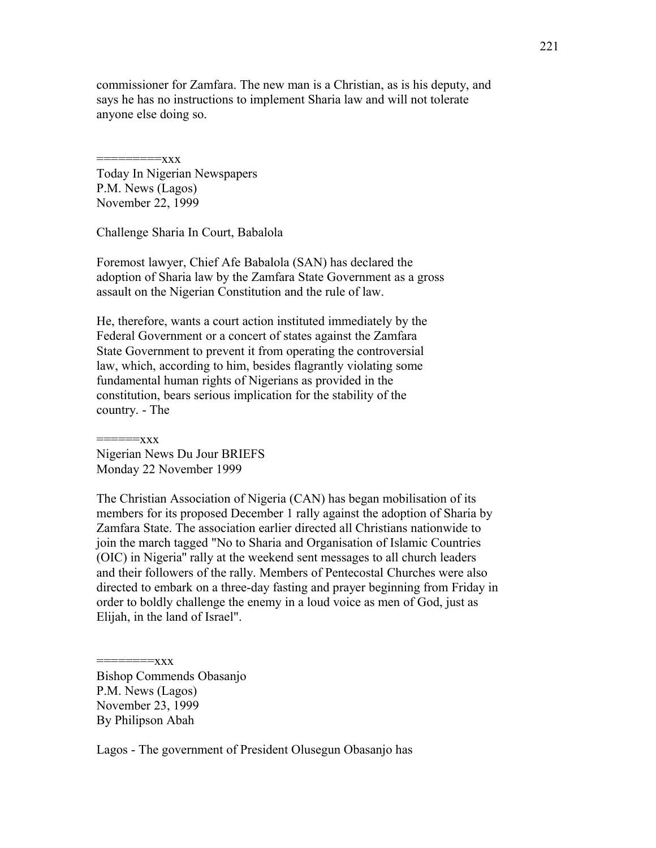commissioner for Zamfara. The new man is a Christian, as is his deputy, and says he has no instructions to implement Sharia law and will not tolerate anyone else doing so.

=========xxx Today In Nigerian Newspapers P.M. News (Lagos) November 22, 1999

Challenge Sharia In Court, Babalola

Foremost lawyer, Chief Afe Babalola (SAN) has declared the adoption of Sharia law by the Zamfara State Government as a gross assault on the Nigerian Constitution and the rule of law.

He, therefore, wants a court action instituted immediately by the Federal Government or a concert of states against the Zamfara State Government to prevent it from operating the controversial law, which, according to him, besides flagrantly violating some fundamental human rights of Nigerians as provided in the constitution, bears serious implication for the stability of the country. - The

======xxx Nigerian News Du Jour BRIEFS Monday 22 November 1999

The Christian Association of Nigeria (CAN) has began mobilisation of its members for its proposed December 1 rally against the adoption of Sharia by Zamfara State. The association earlier directed all Christians nationwide to join the march tagged "No to Sharia and Organisation of Islamic Countries (OIC) in Nigeria'' rally at the weekend sent messages to all church leaders and their followers of the rally. Members of Pentecostal Churches were also directed to embark on a three-day fasting and prayer beginning from Friday in order to boldly challenge the enemy in a loud voice as men of God, just as Elijah, in the land of Israel".

========xxx Bishop Commends Obasanjo P.M. News (Lagos) November 23, 1999 By Philipson Abah

Lagos - The government of President Olusegun Obasanjo has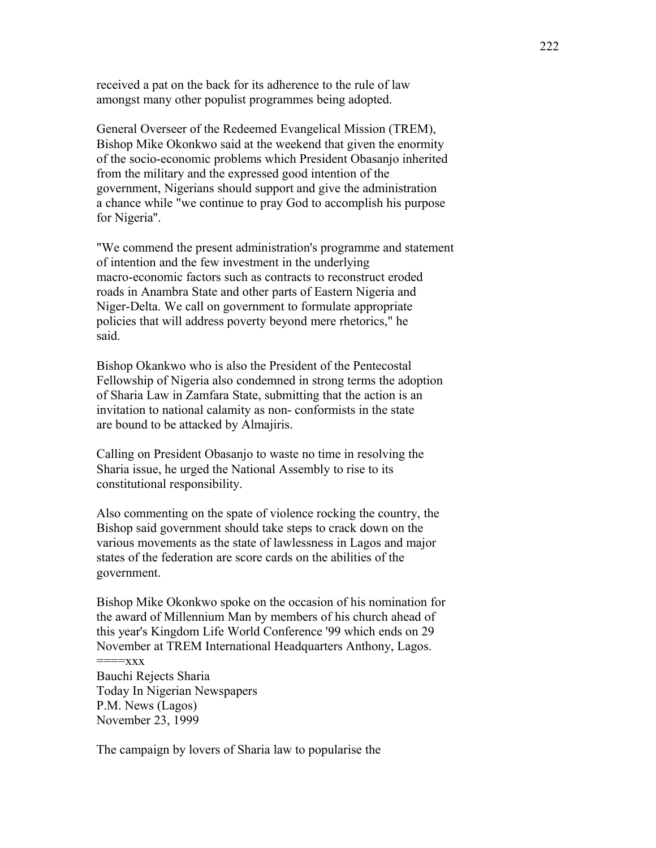received a pat on the back for its adherence to the rule of law amongst many other populist programmes being adopted.

General Overseer of the Redeemed Evangelical Mission (TREM), Bishop Mike Okonkwo said at the weekend that given the enormity of the socio-economic problems which President Obasanjo inherited from the military and the expressed good intention of the government, Nigerians should support and give the administration a chance while "we continue to pray God to accomplish his purpose for Nigeria''.

"We commend the present administration's programme and statement of intention and the few investment in the underlying macro-economic factors such as contracts to reconstruct eroded roads in Anambra State and other parts of Eastern Nigeria and Niger-Delta. We call on government to formulate appropriate policies that will address poverty beyond mere rhetorics," he said.

Bishop Okankwo who is also the President of the Pentecostal Fellowship of Nigeria also condemned in strong terms the adoption of Sharia Law in Zamfara State, submitting that the action is an invitation to national calamity as non- conformists in the state are bound to be attacked by Almajiris.

Calling on President Obasanjo to waste no time in resolving the Sharia issue, he urged the National Assembly to rise to its constitutional responsibility.

Also commenting on the spate of violence rocking the country, the Bishop said government should take steps to crack down on the various movements as the state of lawlessness in Lagos and major states of the federation are score cards on the abilities of the government.

Bishop Mike Okonkwo spoke on the occasion of his nomination for the award of Millennium Man by members of his church ahead of this year's Kingdom Life World Conference '99 which ends on 29 November at TREM International Headquarters Anthony, Lagos.

 $===xxx$ 

Bauchi Rejects Sharia Today In Nigerian Newspapers P.M. News (Lagos) November 23, 1999

The campaign by lovers of Sharia law to popularise the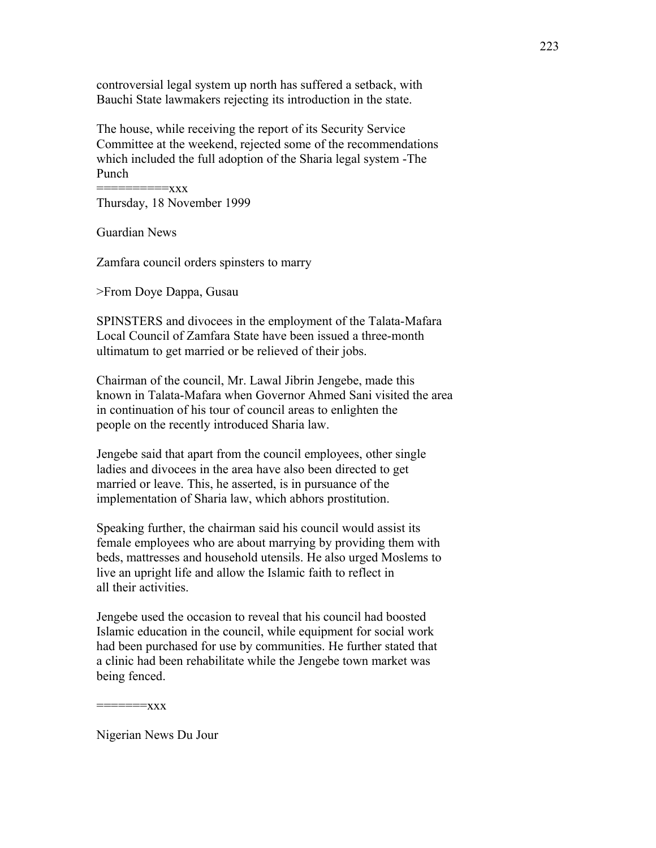controversial legal system up north has suffered a setback, with Bauchi State lawmakers rejecting its introduction in the state.

The house, while receiving the report of its Security Service Committee at the weekend, rejected some of the recommendations which included the full adoption of the Sharia legal system -The Punch

==========xxx Thursday, 18 November 1999

Guardian News

Zamfara council orders spinsters to marry

>From Doye Dappa, Gusau

SPINSTERS and divocees in the employment of the Talata-Mafara Local Council of Zamfara State have been issued a three-month ultimatum to get married or be relieved of their jobs.

Chairman of the council, Mr. Lawal Jibrin Jengebe, made this known in Talata-Mafara when Governor Ahmed Sani visited the area in continuation of his tour of council areas to enlighten the people on the recently introduced Sharia law.

Jengebe said that apart from the council employees, other single ladies and divocees in the area have also been directed to get married or leave. This, he asserted, is in pursuance of the implementation of Sharia law, which abhors prostitution.

Speaking further, the chairman said his council would assist its female employees who are about marrying by providing them with beds, mattresses and household utensils. He also urged Moslems to live an upright life and allow the Islamic faith to reflect in all their activities.

Jengebe used the occasion to reveal that his council had boosted Islamic education in the council, while equipment for social work had been purchased for use by communities. He further stated that a clinic had been rehabilitate while the Jengebe town market was being fenced.

=======xxx

Nigerian News Du Jour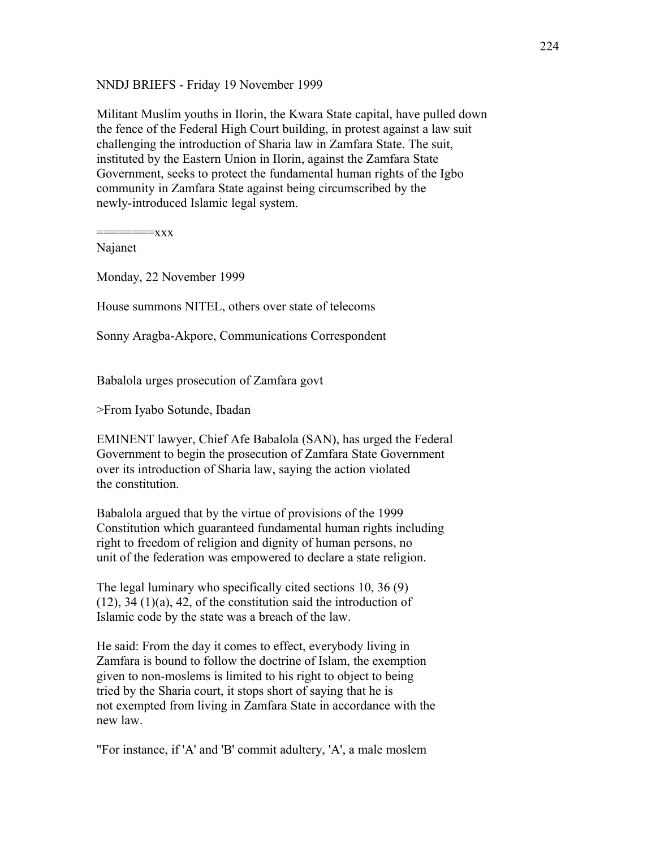NNDJ BRIEFS - Friday 19 November 1999

Militant Muslim youths in Ilorin, the Kwara State capital, have pulled down the fence of the Federal High Court building, in protest against a law suit challenging the introduction of Sharia law in Zamfara State. The suit, instituted by the Eastern Union in Ilorin, against the Zamfara State Government, seeks to protect the fundamental human rights of the Igbo community in Zamfara State against being circumscribed by the newly-introduced Islamic legal system.

========xxx

Najanet

Monday, 22 November 1999

House summons NITEL, others over state of telecoms

Sonny Aragba-Akpore, Communications Correspondent

Babalola urges prosecution of Zamfara govt

>From Iyabo Sotunde, Ibadan

EMINENT lawyer, Chief Afe Babalola (SAN), has urged the Federal Government to begin the prosecution of Zamfara State Government over its introduction of Sharia law, saying the action violated the constitution.

Babalola argued that by the virtue of provisions of the 1999 Constitution which guaranteed fundamental human rights including right to freedom of religion and dignity of human persons, no unit of the federation was empowered to declare a state religion.

The legal luminary who specifically cited sections 10, 36 (9)  $(12)$ , 34  $(1)(a)$ , 42, of the constitution said the introduction of Islamic code by the state was a breach of the law.

He said: From the day it comes to effect, everybody living in Zamfara is bound to follow the doctrine of Islam, the exemption given to non-moslems is limited to his right to object to being tried by the Sharia court, it stops short of saying that he is not exempted from living in Zamfara State in accordance with the new law.

"For instance, if 'A' and 'B' commit adultery, 'A', a male moslem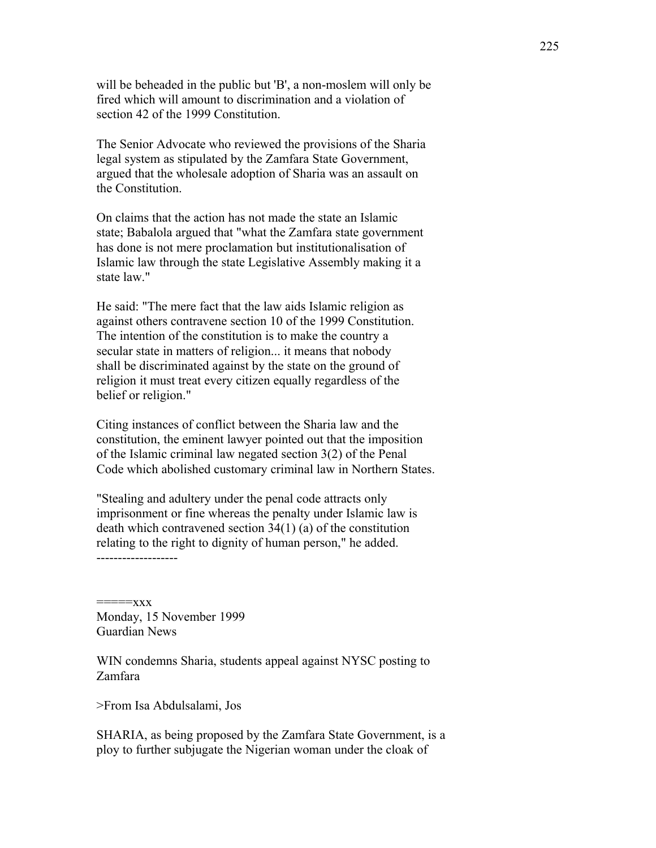will be beheaded in the public but 'B', a non-moslem will only be fired which will amount to discrimination and a violation of section 42 of the 1999 Constitution.

The Senior Advocate who reviewed the provisions of the Sharia legal system as stipulated by the Zamfara State Government, argued that the wholesale adoption of Sharia was an assault on the Constitution.

On claims that the action has not made the state an Islamic state; Babalola argued that "what the Zamfara state government has done is not mere proclamation but institutionalisation of Islamic law through the state Legislative Assembly making it a state law."

He said: "The mere fact that the law aids Islamic religion as against others contravene section 10 of the 1999 Constitution. The intention of the constitution is to make the country a secular state in matters of religion... it means that nobody shall be discriminated against by the state on the ground of religion it must treat every citizen equally regardless of the belief or religion."

Citing instances of conflict between the Sharia law and the constitution, the eminent lawyer pointed out that the imposition of the Islamic criminal law negated section 3(2) of the Penal Code which abolished customary criminal law in Northern States.

"Stealing and adultery under the penal code attracts only imprisonment or fine whereas the penalty under Islamic law is death which contravened section 34(1) (a) of the constitution relating to the right to dignity of human person," he added. -------------------

=====xxx Monday, 15 November 1999 Guardian News

WIN condemns Sharia, students appeal against NYSC posting to Zamfara

>From Isa Abdulsalami, Jos

SHARIA, as being proposed by the Zamfara State Government, is a ploy to further subjugate the Nigerian woman under the cloak of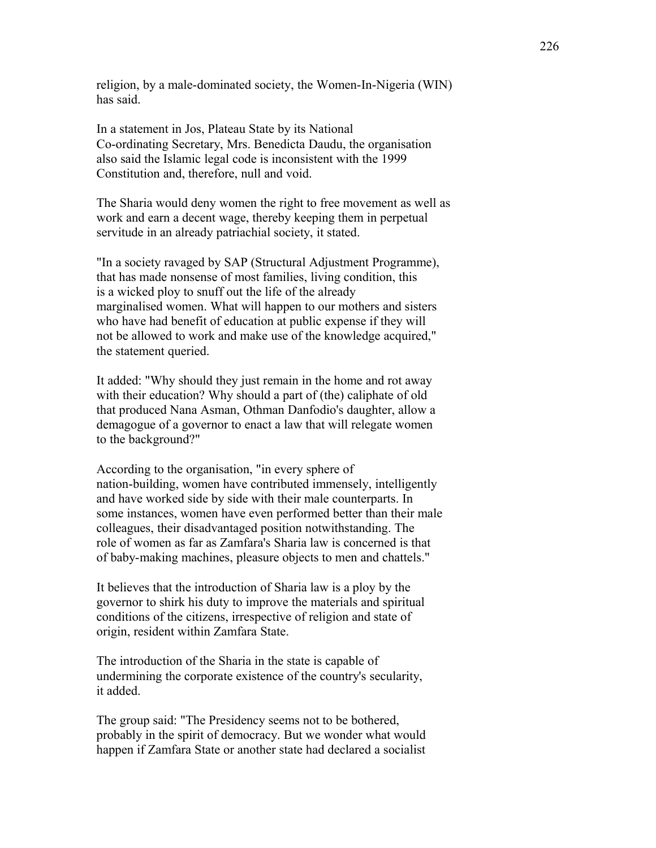religion, by a male-dominated society, the Women-In-Nigeria (WIN) has said.

In a statement in Jos, Plateau State by its National Co-ordinating Secretary, Mrs. Benedicta Daudu, the organisation also said the Islamic legal code is inconsistent with the 1999 Constitution and, therefore, null and void.

The Sharia would deny women the right to free movement as well as work and earn a decent wage, thereby keeping them in perpetual servitude in an already patriachial society, it stated.

"In a society ravaged by SAP (Structural Adjustment Programme), that has made nonsense of most families, living condition, this is a wicked ploy to snuff out the life of the already marginalised women. What will happen to our mothers and sisters who have had benefit of education at public expense if they will not be allowed to work and make use of the knowledge acquired," the statement queried.

It added: "Why should they just remain in the home and rot away with their education? Why should a part of (the) caliphate of old that produced Nana Asman, Othman Danfodio's daughter, allow a demagogue of a governor to enact a law that will relegate women to the background?"

According to the organisation, "in every sphere of nation-building, women have contributed immensely, intelligently and have worked side by side with their male counterparts. In some instances, women have even performed better than their male colleagues, their disadvantaged position notwithstanding. The role of women as far as Zamfara's Sharia law is concerned is that of baby-making machines, pleasure objects to men and chattels."

It believes that the introduction of Sharia law is a ploy by the governor to shirk his duty to improve the materials and spiritual conditions of the citizens, irrespective of religion and state of origin, resident within Zamfara State.

The introduction of the Sharia in the state is capable of undermining the corporate existence of the country's secularity, it added.

The group said: "The Presidency seems not to be bothered, probably in the spirit of democracy. But we wonder what would happen if Zamfara State or another state had declared a socialist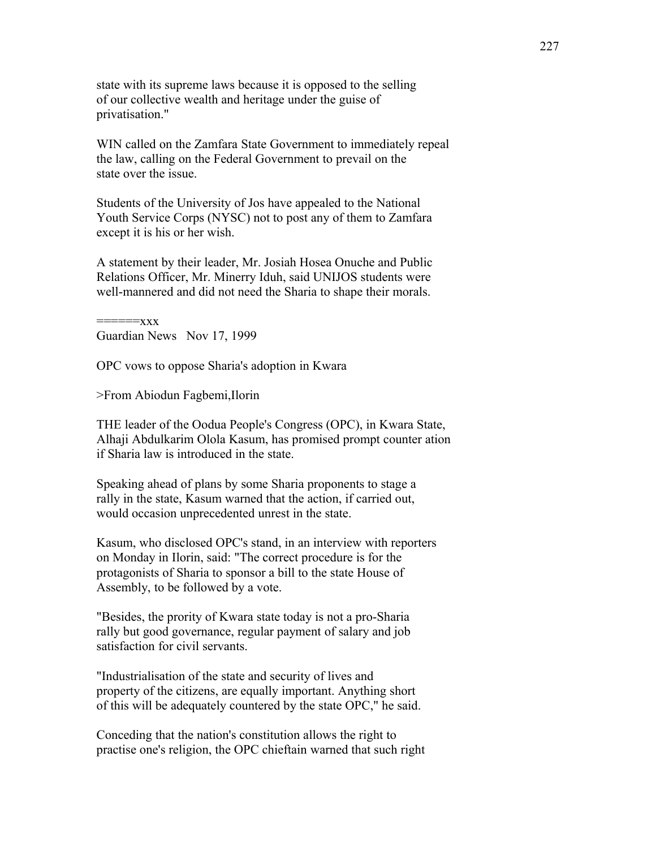state with its supreme laws because it is opposed to the selling of our collective wealth and heritage under the guise of privatisation."

WIN called on the Zamfara State Government to immediately repeal the law, calling on the Federal Government to prevail on the state over the issue.

Students of the University of Jos have appealed to the National Youth Service Corps (NYSC) not to post any of them to Zamfara except it is his or her wish.

A statement by their leader, Mr. Josiah Hosea Onuche and Public Relations Officer, Mr. Minerry Iduh, said UNIJOS students were well-mannered and did not need the Sharia to shape their morals.

 $=\equiv \equiv \equiv \equiv xxx$ Guardian News Nov 17, 1999

OPC vows to oppose Sharia's adoption in Kwara

>From Abiodun Fagbemi,Ilorin

THE leader of the Oodua People's Congress (OPC), in Kwara State, Alhaji Abdulkarim Olola Kasum, has promised prompt counter ation if Sharia law is introduced in the state.

Speaking ahead of plans by some Sharia proponents to stage a rally in the state, Kasum warned that the action, if carried out, would occasion unprecedented unrest in the state.

Kasum, who disclosed OPC's stand, in an interview with reporters on Monday in Ilorin, said: "The correct procedure is for the protagonists of Sharia to sponsor a bill to the state House of Assembly, to be followed by a vote.

"Besides, the prority of Kwara state today is not a pro-Sharia rally but good governance, regular payment of salary and job satisfaction for civil servants.

"Industrialisation of the state and security of lives and property of the citizens, are equally important. Anything short of this will be adequately countered by the state OPC," he said.

Conceding that the nation's constitution allows the right to practise one's religion, the OPC chieftain warned that such right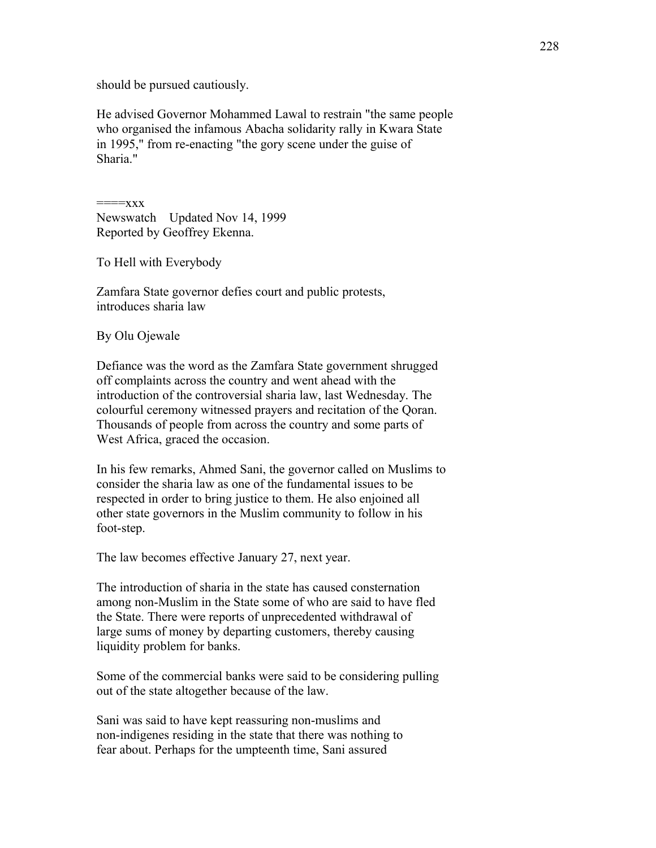should be pursued cautiously.

He advised Governor Mohammed Lawal to restrain "the same people who organised the infamous Abacha solidarity rally in Kwara State in 1995," from re-enacting "the gory scene under the guise of Sharia."

 $==-xxx$ 

Newswatch Updated Nov 14, 1999 Reported by Geoffrey Ekenna.

To Hell with Everybody

Zamfara State governor defies court and public protests, introduces sharia law

By Olu Ojewale

Defiance was the word as the Zamfara State government shrugged off complaints across the country and went ahead with the introduction of the controversial sharia law, last Wednesday. The colourful ceremony witnessed prayers and recitation of the Qoran. Thousands of people from across the country and some parts of West Africa, graced the occasion.

In his few remarks, Ahmed Sani, the governor called on Muslims to consider the sharia law as one of the fundamental issues to be respected in order to bring justice to them. He also enjoined all other state governors in the Muslim community to follow in his foot-step.

The law becomes effective January 27, next year.

The introduction of sharia in the state has caused consternation among non-Muslim in the State some of who are said to have fled the State. There were reports of unprecedented withdrawal of large sums of money by departing customers, thereby causing liquidity problem for banks.

Some of the commercial banks were said to be considering pulling out of the state altogether because of the law.

Sani was said to have kept reassuring non-muslims and non-indigenes residing in the state that there was nothing to fear about. Perhaps for the umpteenth time, Sani assured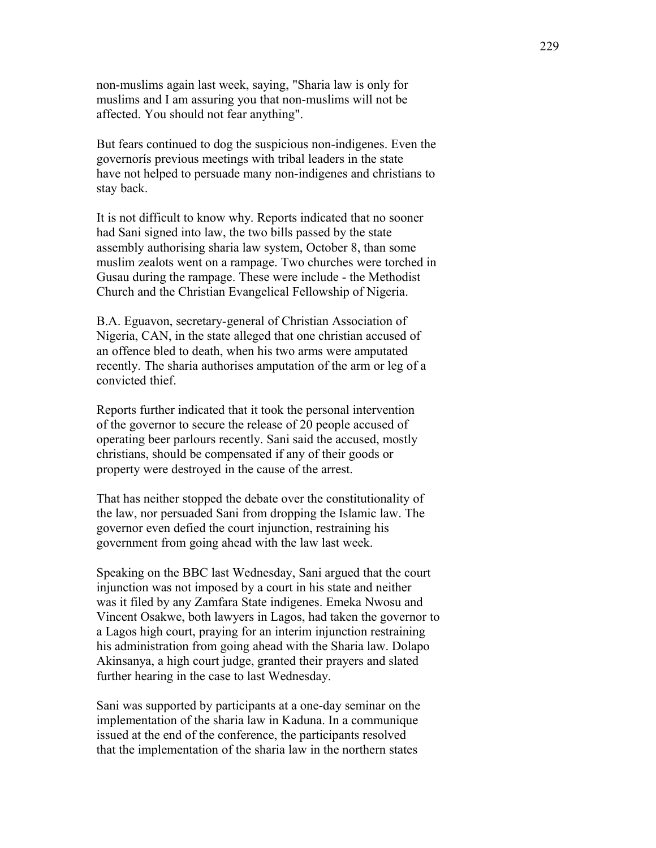non-muslims again last week, saying, "Sharia law is only for muslims and I am assuring you that non-muslims will not be affected. You should not fear anything".

But fears continued to dog the suspicious non-indigenes. Even the governorís previous meetings with tribal leaders in the state have not helped to persuade many non-indigenes and christians to stay back.

It is not difficult to know why. Reports indicated that no sooner had Sani signed into law, the two bills passed by the state assembly authorising sharia law system, October 8, than some muslim zealots went on a rampage. Two churches were torched in Gusau during the rampage. These were include - the Methodist Church and the Christian Evangelical Fellowship of Nigeria.

B.A. Eguavon, secretary-general of Christian Association of Nigeria, CAN, in the state alleged that one christian accused of an offence bled to death, when his two arms were amputated recently. The sharia authorises amputation of the arm or leg of a convicted thief.

Reports further indicated that it took the personal intervention of the governor to secure the release of 20 people accused of operating beer parlours recently. Sani said the accused, mostly christians, should be compensated if any of their goods or property were destroyed in the cause of the arrest.

That has neither stopped the debate over the constitutionality of the law, nor persuaded Sani from dropping the Islamic law. The governor even defied the court injunction, restraining his government from going ahead with the law last week.

Speaking on the BBC last Wednesday, Sani argued that the court injunction was not imposed by a court in his state and neither was it filed by any Zamfara State indigenes. Emeka Nwosu and Vincent Osakwe, both lawyers in Lagos, had taken the governor to a Lagos high court, praying for an interim injunction restraining his administration from going ahead with the Sharia law. Dolapo Akinsanya, a high court judge, granted their prayers and slated further hearing in the case to last Wednesday.

Sani was supported by participants at a one-day seminar on the implementation of the sharia law in Kaduna. In a communique issued at the end of the conference, the participants resolved that the implementation of the sharia law in the northern states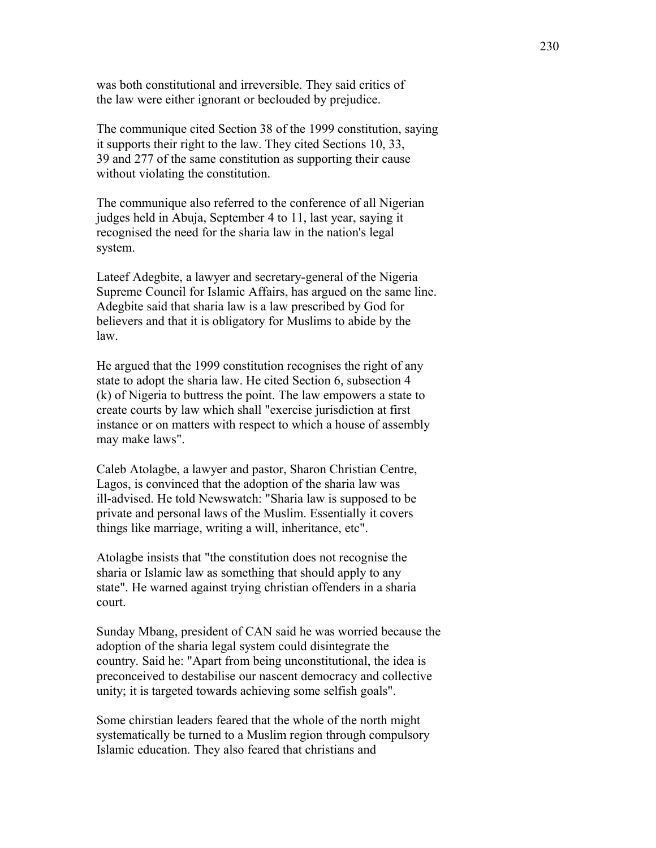was both constitutional and irreversible. They said critics of the law were either ignorant or beclouded by prejudice.

The communique cited Section 38 of the 1999 constitution, saying it supports their right to the law. They cited Sections 10, 33, 39 and 277 of the same constitution as supporting their cause without violating the constitution.

The communique also referred to the conference of all Nigerian judges held in Abuja, September 4 to 11, last year, saying it recognised the need for the sharia law in the nation's legal system.

Lateef Adegbite, a lawyer and secretary-general of the Nigeria Supreme Council for Islamic Affairs, has argued on the same line. Adegbite said that sharia law is a law prescribed by God for believers and that it is obligatory for Muslims to abide by the law.

He argued that the 1999 constitution recognises the right of any state to adopt the sharia law. He cited Section 6, subsection 4 (k) of Nigeria to buttress the point. The law empowers a state to create courts by law which shall "exercise jurisdiction at first instance or on matters with respect to which a house of assembly may make laws".

Caleb Atolagbe, a lawyer and pastor, Sharon Christian Centre, Lagos, is convinced that the adoption of the sharia law was ill-advised. He told Newswatch: "Sharia law is supposed to be private and personal laws of the Muslim. Essentially it covers things like marriage, writing a will, inheritance, etc".

Atolagbe insists that "the constitution does not recognise the sharia or Islamic law as something that should apply to any state". He warned against trying christian offenders in a sharia court.

Sunday Mbang, president of CAN said he was worried because the adoption of the sharia legal system could disintegrate the country. Said he: "Apart from being unconstitutional, the idea is preconceived to destabilise our nascent democracy and collective unity; it is targeted towards achieving some selfish goals".

Some chirstian leaders feared that the whole of the north might systematically be turned to a Muslim region through compulsory Islamic education. They also feared that christians and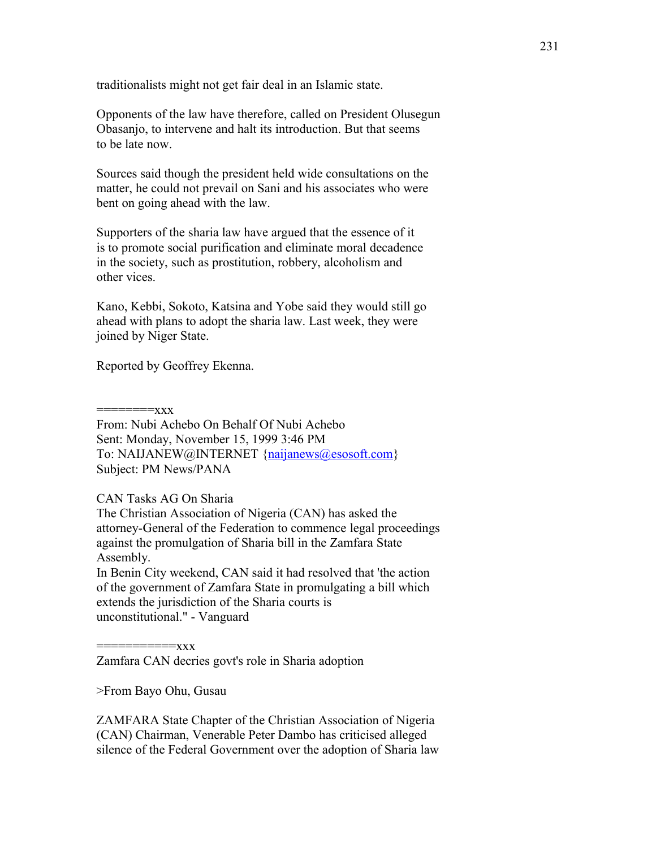traditionalists might not get fair deal in an Islamic state.

Opponents of the law have therefore, called on President Olusegun Obasanjo, to intervene and halt its introduction. But that seems to be late now.

Sources said though the president held wide consultations on the matter, he could not prevail on Sani and his associates who were bent on going ahead with the law.

Supporters of the sharia law have argued that the essence of it is to promote social purification and eliminate moral decadence in the society, such as prostitution, robbery, alcoholism and other vices.

Kano, Kebbi, Sokoto, Katsina and Yobe said they would still go ahead with plans to adopt the sharia law. Last week, they were joined by Niger State.

Reported by Geoffrey Ekenna.

========xxx

From: Nubi Achebo On Behalf Of Nubi Achebo Sent: Monday, November 15, 1999 3:46 PM To: NAIJANEW@INTERNET [{naijanews@esosoft.com}](mailto:naijanews@esosoft.com) Subject: PM News/PANA

CAN Tasks AG On Sharia

The Christian Association of Nigeria (CAN) has asked the attorney-General of the Federation to commence legal proceedings against the promulgation of Sharia bill in the Zamfara State Assembly.

In Benin City weekend, CAN said it had resolved that 'the action of the government of Zamfara State in promulgating a bill which extends the jurisdiction of the Sharia courts is unconstitutional." - Vanguard

===========xxx

Zamfara CAN decries govt's role in Sharia adoption

>From Bayo Ohu, Gusau

ZAMFARA State Chapter of the Christian Association of Nigeria (CAN) Chairman, Venerable Peter Dambo has criticised alleged silence of the Federal Government over the adoption of Sharia law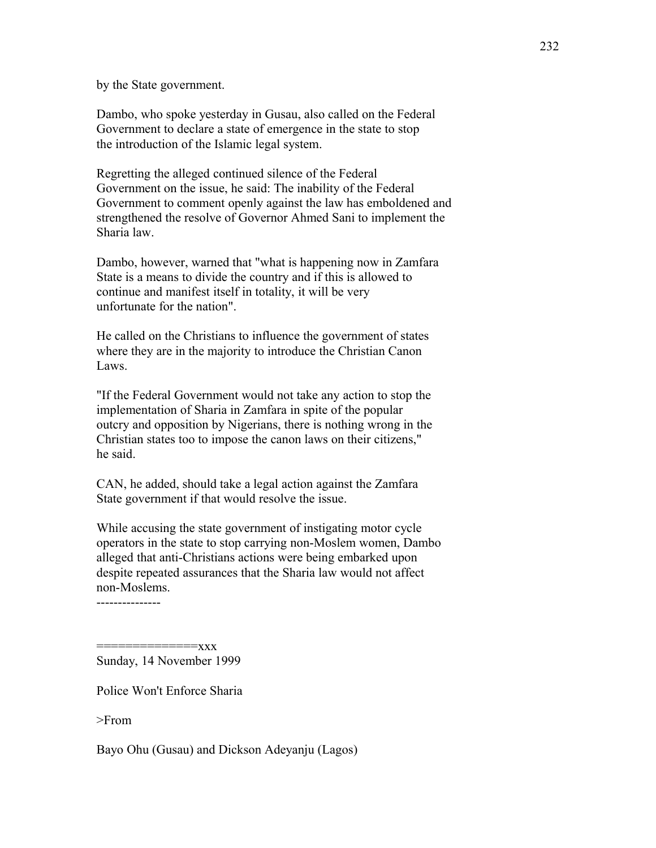by the State government.

Dambo, who spoke yesterday in Gusau, also called on the Federal Government to declare a state of emergence in the state to stop the introduction of the Islamic legal system.

Regretting the alleged continued silence of the Federal Government on the issue, he said: The inability of the Federal Government to comment openly against the law has emboldened and strengthened the resolve of Governor Ahmed Sani to implement the Sharia law.

Dambo, however, warned that "what is happening now in Zamfara State is a means to divide the country and if this is allowed to continue and manifest itself in totality, it will be very unfortunate for the nation".

He called on the Christians to influence the government of states where they are in the majority to introduce the Christian Canon Laws.

"If the Federal Government would not take any action to stop the implementation of Sharia in Zamfara in spite of the popular outcry and opposition by Nigerians, there is nothing wrong in the Christian states too to impose the canon laws on their citizens," he said.

CAN, he added, should take a legal action against the Zamfara State government if that would resolve the issue.

While accusing the state government of instigating motor cycle operators in the state to stop carrying non-Moslem women, Dambo alleged that anti-Christians actions were being embarked upon despite repeated assurances that the Sharia law would not affect non-Moslems.

---------------

Police Won't Enforce Sharia

>From

Bayo Ohu (Gusau) and Dickson Adeyanju (Lagos)

<sup>==============</sup>xxx Sunday, 14 November 1999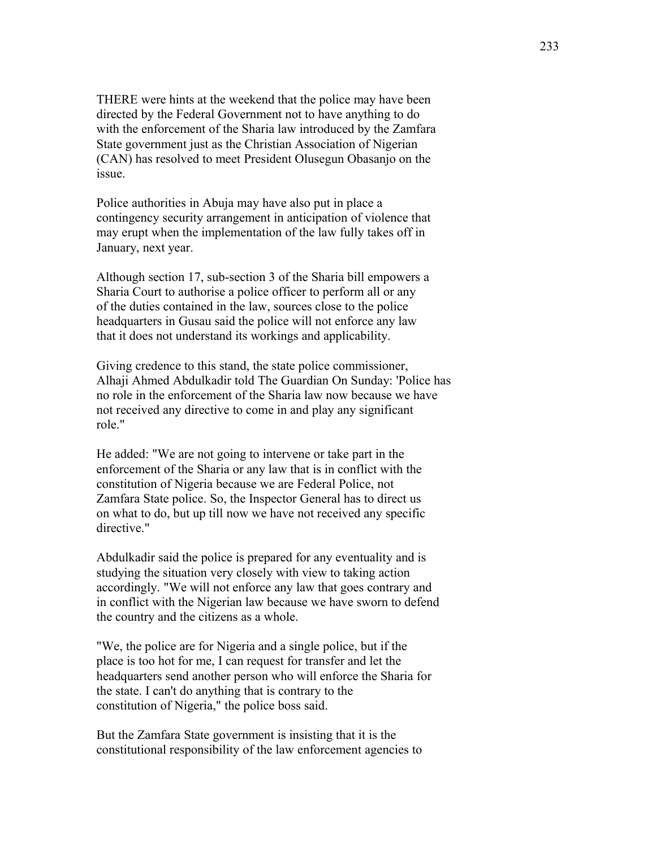THERE were hints at the weekend that the police may have been directed by the Federal Government not to have anything to do with the enforcement of the Sharia law introduced by the Zamfara State government just as the Christian Association of Nigerian (CAN) has resolved to meet President Olusegun Obasanjo on the issue.

Police authorities in Abuja may have also put in place a contingency security arrangement in anticipation of violence that may erupt when the implementation of the law fully takes off in January, next year.

Although section 17, sub-section 3 of the Sharia bill empowers a Sharia Court to authorise a police officer to perform all or any of the duties contained in the law, sources close to the police headquarters in Gusau said the police will not enforce any law that it does not understand its workings and applicability.

Giving credence to this stand, the state police commissioner, Alhaji Ahmed Abdulkadir told The Guardian On Sunday: 'Police has no role in the enforcement of the Sharia law now because we have not received any directive to come in and play any significant role."

He added: "We are not going to intervene or take part in the enforcement of the Sharia or any law that is in conflict with the constitution of Nigeria because we are Federal Police, not Zamfara State police. So, the Inspector General has to direct us on what to do, but up till now we have not received any specific directive."

Abdulkadir said the police is prepared for any eventuality and is studying the situation very closely with view to taking action accordingly. "We will not enforce any law that goes contrary and in conflict with the Nigerian law because we have sworn to defend the country and the citizens as a whole.

"We, the police are for Nigeria and a single police, but if the place is too hot for me, I can request for transfer and let the headquarters send another person who will enforce the Sharia for the state. I can't do anything that is contrary to the constitution of Nigeria," the police boss said.

But the Zamfara State government is insisting that it is the constitutional responsibility of the law enforcement agencies to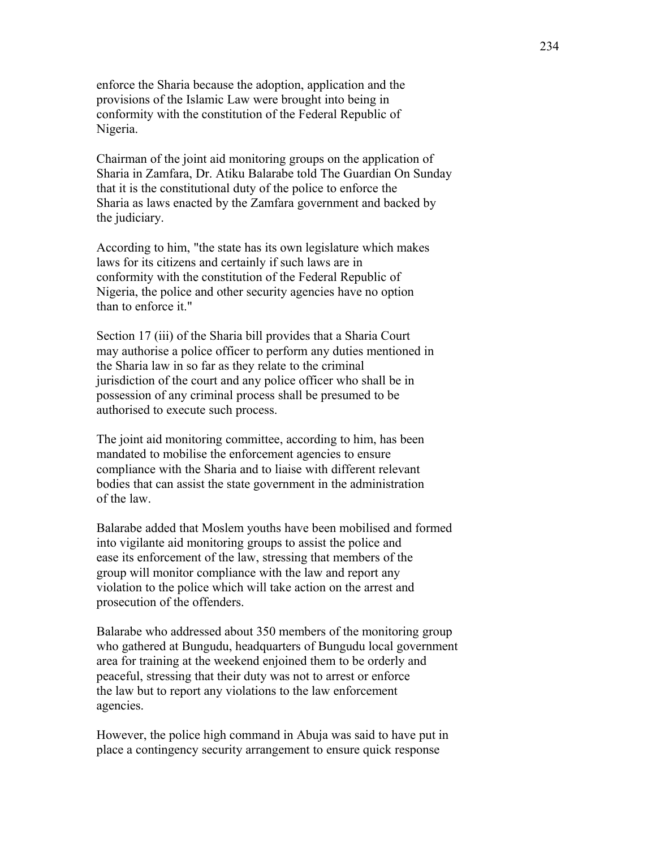enforce the Sharia because the adoption, application and the provisions of the Islamic Law were brought into being in conformity with the constitution of the Federal Republic of Nigeria.

Chairman of the joint aid monitoring groups on the application of Sharia in Zamfara, Dr. Atiku Balarabe told The Guardian On Sunday that it is the constitutional duty of the police to enforce the Sharia as laws enacted by the Zamfara government and backed by the judiciary.

According to him, "the state has its own legislature which makes laws for its citizens and certainly if such laws are in conformity with the constitution of the Federal Republic of Nigeria, the police and other security agencies have no option than to enforce it."

Section 17 (iii) of the Sharia bill provides that a Sharia Court may authorise a police officer to perform any duties mentioned in the Sharia law in so far as they relate to the criminal jurisdiction of the court and any police officer who shall be in possession of any criminal process shall be presumed to be authorised to execute such process.

The joint aid monitoring committee, according to him, has been mandated to mobilise the enforcement agencies to ensure compliance with the Sharia and to liaise with different relevant bodies that can assist the state government in the administration of the law.

Balarabe added that Moslem youths have been mobilised and formed into vigilante aid monitoring groups to assist the police and ease its enforcement of the law, stressing that members of the group will monitor compliance with the law and report any violation to the police which will take action on the arrest and prosecution of the offenders.

Balarabe who addressed about 350 members of the monitoring group who gathered at Bungudu, headquarters of Bungudu local government area for training at the weekend enjoined them to be orderly and peaceful, stressing that their duty was not to arrest or enforce the law but to report any violations to the law enforcement agencies.

However, the police high command in Abuja was said to have put in place a contingency security arrangement to ensure quick response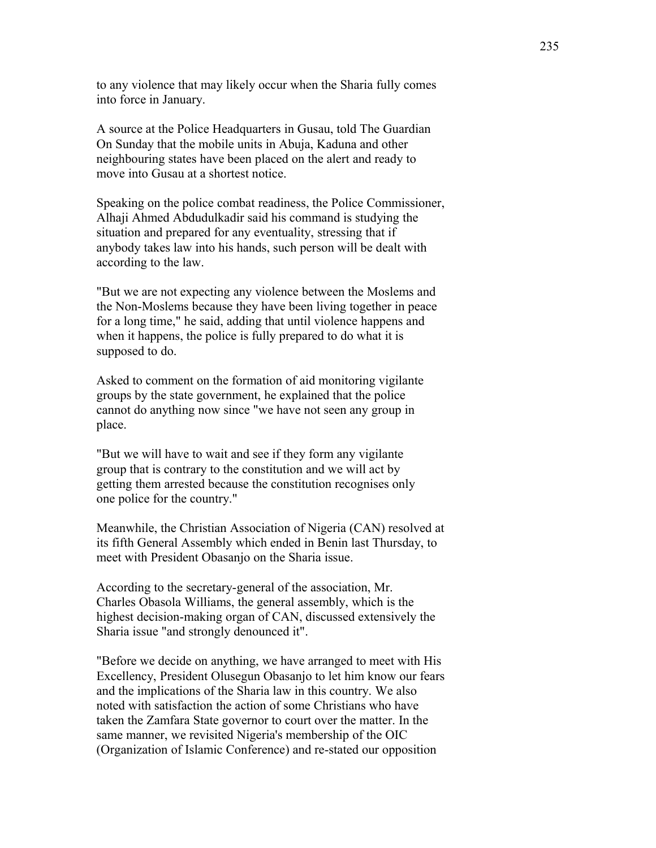to any violence that may likely occur when the Sharia fully comes into force in January.

A source at the Police Headquarters in Gusau, told The Guardian On Sunday that the mobile units in Abuja, Kaduna and other neighbouring states have been placed on the alert and ready to move into Gusau at a shortest notice.

Speaking on the police combat readiness, the Police Commissioner, Alhaji Ahmed Abdudulkadir said his command is studying the situation and prepared for any eventuality, stressing that if anybody takes law into his hands, such person will be dealt with according to the law.

"But we are not expecting any violence between the Moslems and the Non-Moslems because they have been living together in peace for a long time," he said, adding that until violence happens and when it happens, the police is fully prepared to do what it is supposed to do.

Asked to comment on the formation of aid monitoring vigilante groups by the state government, he explained that the police cannot do anything now since "we have not seen any group in place.

"But we will have to wait and see if they form any vigilante group that is contrary to the constitution and we will act by getting them arrested because the constitution recognises only one police for the country."

Meanwhile, the Christian Association of Nigeria (CAN) resolved at its fifth General Assembly which ended in Benin last Thursday, to meet with President Obasanjo on the Sharia issue.

According to the secretary-general of the association, Mr. Charles Obasola Williams, the general assembly, which is the highest decision-making organ of CAN, discussed extensively the Sharia issue "and strongly denounced it".

"Before we decide on anything, we have arranged to meet with His Excellency, President Olusegun Obasanjo to let him know our fears and the implications of the Sharia law in this country. We also noted with satisfaction the action of some Christians who have taken the Zamfara State governor to court over the matter. In the same manner, we revisited Nigeria's membership of the OIC (Organization of Islamic Conference) and re-stated our opposition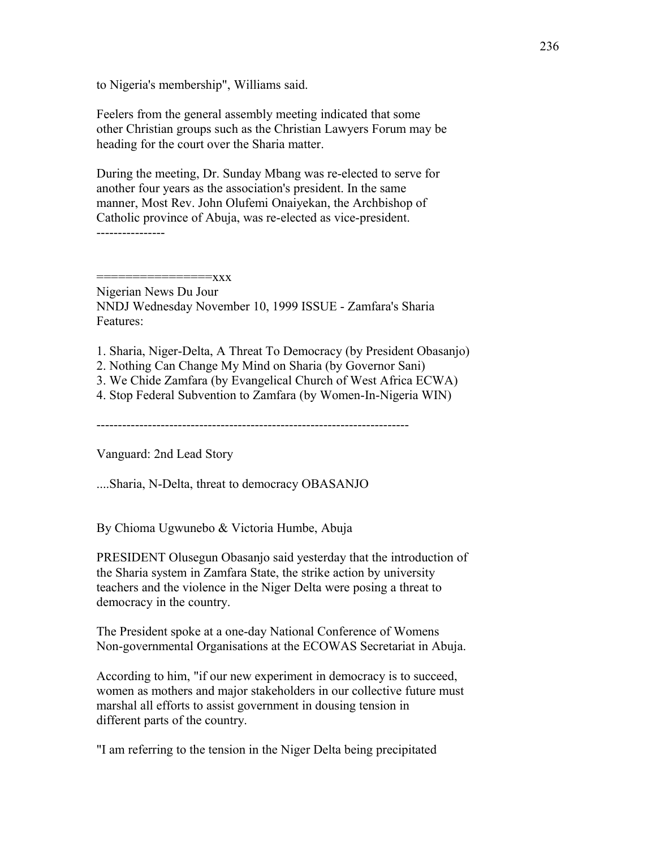to Nigeria's membership", Williams said.

Feelers from the general assembly meeting indicated that some other Christian groups such as the Christian Lawyers Forum may be heading for the court over the Sharia matter.

During the meeting, Dr. Sunday Mbang was re-elected to serve for another four years as the association's president. In the same manner, Most Rev. John Olufemi Onaiyekan, the Archbishop of Catholic province of Abuja, was re-elected as vice-president. ----------------

#### ================xxx

Nigerian News Du Jour NNDJ Wednesday November 10, 1999 ISSUE - Zamfara's Sharia Features:

- 1. Sharia, Niger-Delta, A Threat To Democracy (by President Obasanjo)
- 2. Nothing Can Change My Mind on Sharia (by Governor Sani)
- 3. We Chide Zamfara (by Evangelical Church of West Africa ECWA)

4. Stop Federal Subvention to Zamfara (by Women-In-Nigeria WIN)

-------------------------------------------------------------------------

Vanguard: 2nd Lead Story

....Sharia, N-Delta, threat to democracy OBASANJO

By Chioma Ugwunebo & Victoria Humbe, Abuja

PRESIDENT Olusegun Obasanjo said yesterday that the introduction of the Sharia system in Zamfara State, the strike action by university teachers and the violence in the Niger Delta were posing a threat to democracy in the country.

The President spoke at a one-day National Conference of Womens Non-governmental Organisations at the ECOWAS Secretariat in Abuja.

According to him, "if our new experiment in democracy is to succeed, women as mothers and major stakeholders in our collective future must marshal all efforts to assist government in dousing tension in different parts of the country.

"I am referring to the tension in the Niger Delta being precipitated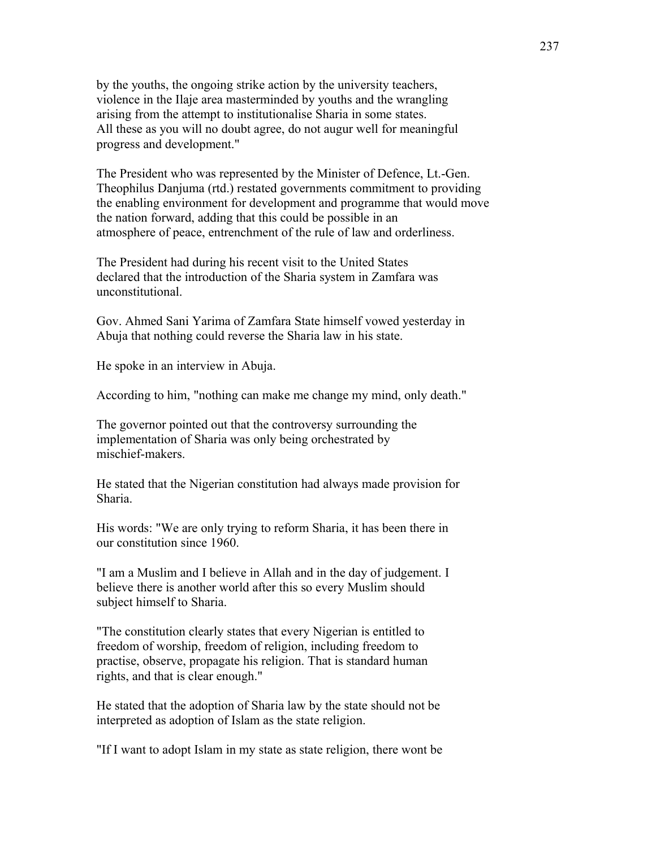by the youths, the ongoing strike action by the university teachers, violence in the Ilaje area masterminded by youths and the wrangling arising from the attempt to institutionalise Sharia in some states. All these as you will no doubt agree, do not augur well for meaningful progress and development."

The President who was represented by the Minister of Defence, Lt.-Gen. Theophilus Danjuma (rtd.) restated governments commitment to providing the enabling environment for development and programme that would move the nation forward, adding that this could be possible in an atmosphere of peace, entrenchment of the rule of law and orderliness.

The President had during his recent visit to the United States declared that the introduction of the Sharia system in Zamfara was unconstitutional.

Gov. Ahmed Sani Yarima of Zamfara State himself vowed yesterday in Abuja that nothing could reverse the Sharia law in his state.

He spoke in an interview in Abuja.

According to him, "nothing can make me change my mind, only death."

The governor pointed out that the controversy surrounding the implementation of Sharia was only being orchestrated by mischief-makers.

He stated that the Nigerian constitution had always made provision for Sharia.

His words: "We are only trying to reform Sharia, it has been there in our constitution since 1960.

"I am a Muslim and I believe in Allah and in the day of judgement. I believe there is another world after this so every Muslim should subject himself to Sharia.

"The constitution clearly states that every Nigerian is entitled to freedom of worship, freedom of religion, including freedom to practise, observe, propagate his religion. That is standard human rights, and that is clear enough."

He stated that the adoption of Sharia law by the state should not be interpreted as adoption of Islam as the state religion.

"If I want to adopt Islam in my state as state religion, there wont be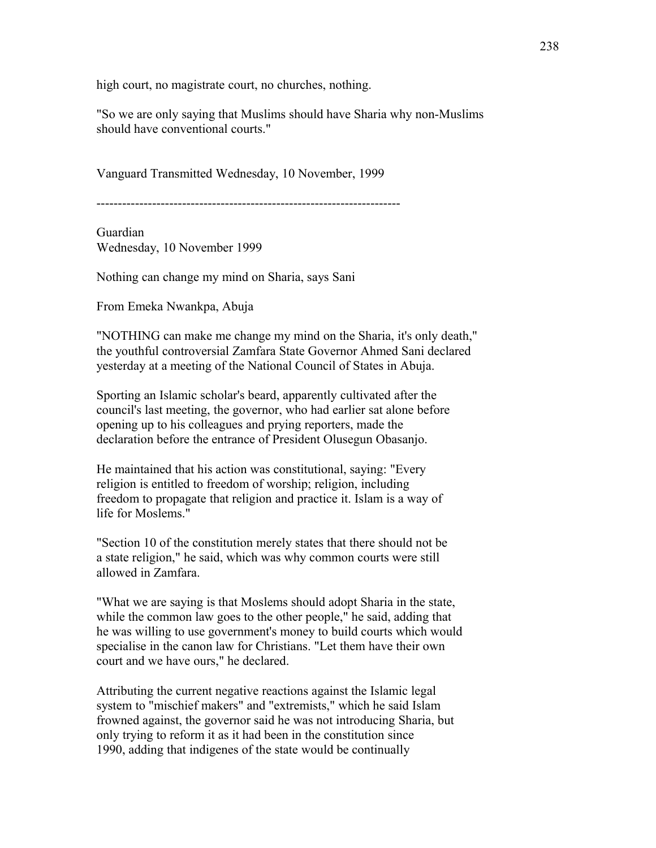high court, no magistrate court, no churches, nothing.

"So we are only saying that Muslims should have Sharia why non-Muslims should have conventional courts."

Vanguard Transmitted Wednesday, 10 November, 1999

-----------------------------------------------------------------------

Guardian Wednesday, 10 November 1999

Nothing can change my mind on Sharia, says Sani

From Emeka Nwankpa, Abuja

"NOTHING can make me change my mind on the Sharia, it's only death," the youthful controversial Zamfara State Governor Ahmed Sani declared yesterday at a meeting of the National Council of States in Abuja.

Sporting an Islamic scholar's beard, apparently cultivated after the council's last meeting, the governor, who had earlier sat alone before opening up to his colleagues and prying reporters, made the declaration before the entrance of President Olusegun Obasanjo.

He maintained that his action was constitutional, saying: "Every religion is entitled to freedom of worship; religion, including freedom to propagate that religion and practice it. Islam is a way of life for Moslems."

"Section 10 of the constitution merely states that there should not be a state religion," he said, which was why common courts were still allowed in Zamfara.

"What we are saying is that Moslems should adopt Sharia in the state, while the common law goes to the other people," he said, adding that he was willing to use government's money to build courts which would specialise in the canon law for Christians. "Let them have their own court and we have ours," he declared.

Attributing the current negative reactions against the Islamic legal system to "mischief makers" and "extremists," which he said Islam frowned against, the governor said he was not introducing Sharia, but only trying to reform it as it had been in the constitution since 1990, adding that indigenes of the state would be continually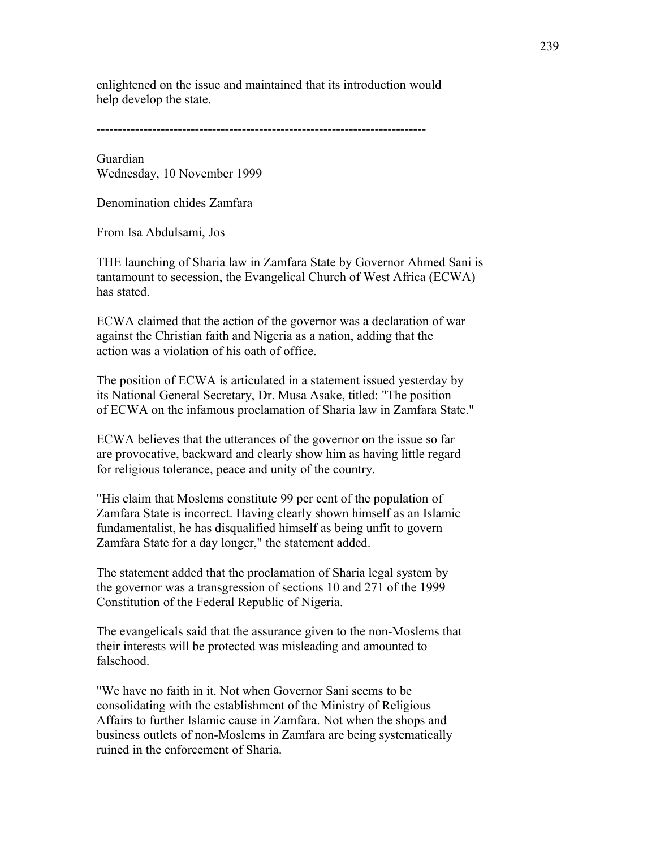enlightened on the issue and maintained that its introduction would help develop the state.

-----------------------------------------------------------------------------

Guardian Wednesday, 10 November 1999

Denomination chides Zamfara

From Isa Abdulsami, Jos

THE launching of Sharia law in Zamfara State by Governor Ahmed Sani is tantamount to secession, the Evangelical Church of West Africa (ECWA) has stated.

ECWA claimed that the action of the governor was a declaration of war against the Christian faith and Nigeria as a nation, adding that the action was a violation of his oath of office.

The position of ECWA is articulated in a statement issued yesterday by its National General Secretary, Dr. Musa Asake, titled: "The position of ECWA on the infamous proclamation of Sharia law in Zamfara State."

ECWA believes that the utterances of the governor on the issue so far are provocative, backward and clearly show him as having little regard for religious tolerance, peace and unity of the country.

"His claim that Moslems constitute 99 per cent of the population of Zamfara State is incorrect. Having clearly shown himself as an Islamic fundamentalist, he has disqualified himself as being unfit to govern Zamfara State for a day longer," the statement added.

The statement added that the proclamation of Sharia legal system by the governor was a transgression of sections 10 and 271 of the 1999 Constitution of the Federal Republic of Nigeria.

The evangelicals said that the assurance given to the non-Moslems that their interests will be protected was misleading and amounted to falsehood.

"We have no faith in it. Not when Governor Sani seems to be consolidating with the establishment of the Ministry of Religious Affairs to further Islamic cause in Zamfara. Not when the shops and business outlets of non-Moslems in Zamfara are being systematically ruined in the enforcement of Sharia.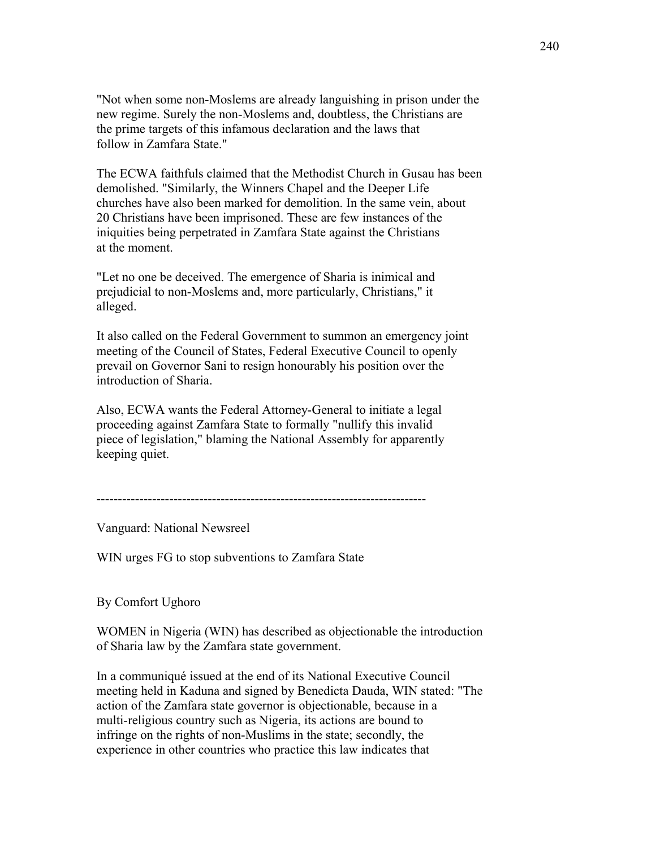"Not when some non-Moslems are already languishing in prison under the new regime. Surely the non-Moslems and, doubtless, the Christians are the prime targets of this infamous declaration and the laws that follow in Zamfara State."

The ECWA faithfuls claimed that the Methodist Church in Gusau has been demolished. "Similarly, the Winners Chapel and the Deeper Life churches have also been marked for demolition. In the same vein, about 20 Christians have been imprisoned. These are few instances of the iniquities being perpetrated in Zamfara State against the Christians at the moment.

"Let no one be deceived. The emergence of Sharia is inimical and prejudicial to non-Moslems and, more particularly, Christians," it alleged.

It also called on the Federal Government to summon an emergency joint meeting of the Council of States, Federal Executive Council to openly prevail on Governor Sani to resign honourably his position over the introduction of Sharia.

Also, ECWA wants the Federal Attorney-General to initiate a legal proceeding against Zamfara State to formally "nullify this invalid piece of legislation," blaming the National Assembly for apparently keeping quiet.

-----------------------------------------------------------------------------

Vanguard: National Newsreel

WIN urges FG to stop subventions to Zamfara State

By Comfort Ughoro

WOMEN in Nigeria (WIN) has described as objectionable the introduction of Sharia law by the Zamfara state government.

In a communiqué issued at the end of its National Executive Council meeting held in Kaduna and signed by Benedicta Dauda, WIN stated: "The action of the Zamfara state governor is objectionable, because in a multi-religious country such as Nigeria, its actions are bound to infringe on the rights of non-Muslims in the state; secondly, the experience in other countries who practice this law indicates that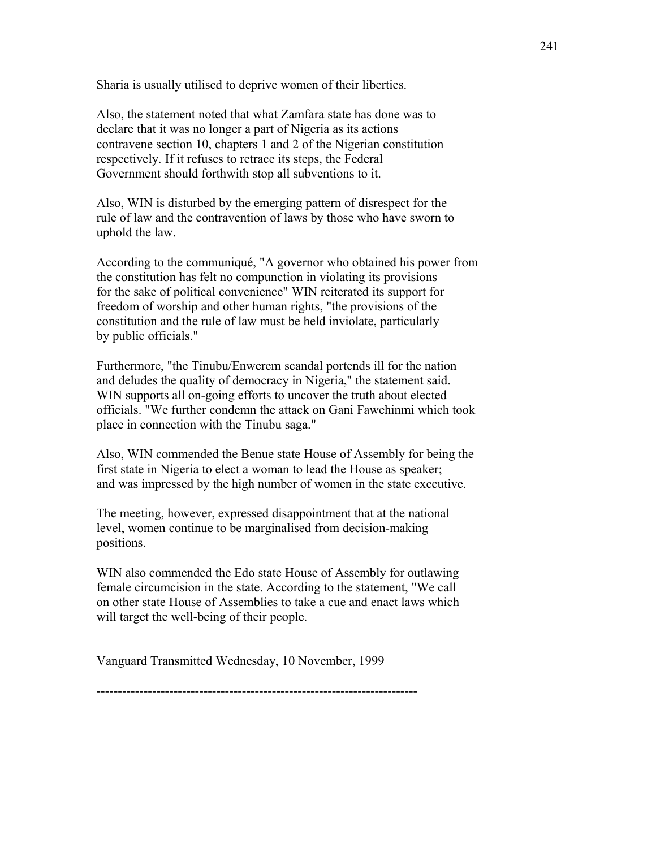Sharia is usually utilised to deprive women of their liberties.

Also, the statement noted that what Zamfara state has done was to declare that it was no longer a part of Nigeria as its actions contravene section 10, chapters 1 and 2 of the Nigerian constitution respectively. If it refuses to retrace its steps, the Federal Government should forthwith stop all subventions to it.

Also, WIN is disturbed by the emerging pattern of disrespect for the rule of law and the contravention of laws by those who have sworn to uphold the law.

According to the communiqué, "A governor who obtained his power from the constitution has felt no compunction in violating its provisions for the sake of political convenience" WIN reiterated its support for freedom of worship and other human rights, "the provisions of the constitution and the rule of law must be held inviolate, particularly by public officials."

Furthermore, "the Tinubu/Enwerem scandal portends ill for the nation and deludes the quality of democracy in Nigeria," the statement said. WIN supports all on-going efforts to uncover the truth about elected officials. "We further condemn the attack on Gani Fawehinmi which took place in connection with the Tinubu saga."

Also, WIN commended the Benue state House of Assembly for being the first state in Nigeria to elect a woman to lead the House as speaker; and was impressed by the high number of women in the state executive.

The meeting, however, expressed disappointment that at the national level, women continue to be marginalised from decision-making positions.

WIN also commended the Edo state House of Assembly for outlawing female circumcision in the state. According to the statement, "We call on other state House of Assemblies to take a cue and enact laws which will target the well-being of their people.

Vanguard Transmitted Wednesday, 10 November, 1999

---------------------------------------------------------------------------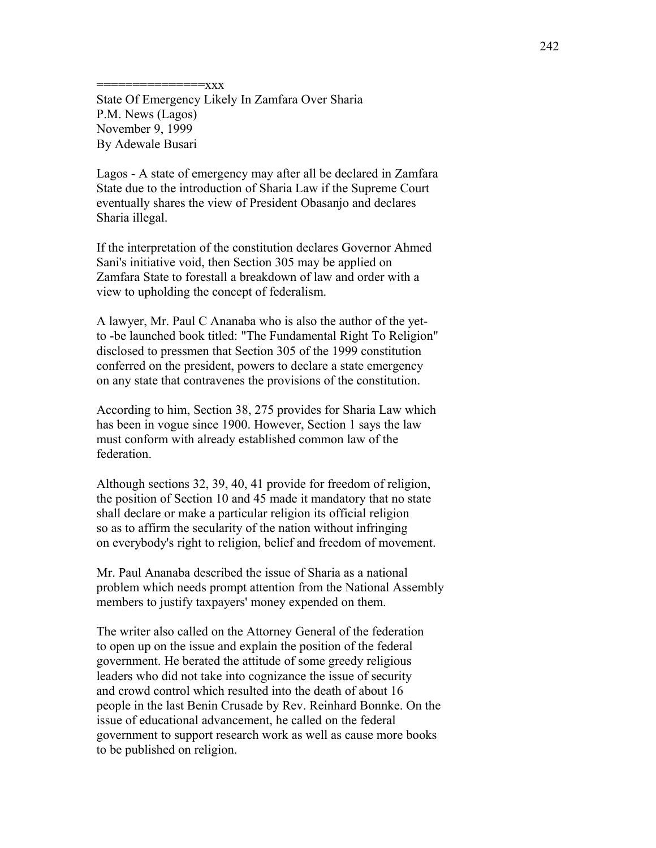===============xxx State Of Emergency Likely In Zamfara Over Sharia P.M. News (Lagos) November 9, 1999 By Adewale Busari

Lagos - A state of emergency may after all be declared in Zamfara State due to the introduction of Sharia Law if the Supreme Court eventually shares the view of President Obasanjo and declares Sharia illegal.

If the interpretation of the constitution declares Governor Ahmed Sani's initiative void, then Section 305 may be applied on Zamfara State to forestall a breakdown of law and order with a view to upholding the concept of federalism.

A lawyer, Mr. Paul C Ananaba who is also the author of the yetto -be launched book titled: "The Fundamental Right To Religion" disclosed to pressmen that Section 305 of the 1999 constitution conferred on the president, powers to declare a state emergency on any state that contravenes the provisions of the constitution.

According to him, Section 38, 275 provides for Sharia Law which has been in vogue since 1900. However, Section 1 says the law must conform with already established common law of the federation.

Although sections 32, 39, 40, 41 provide for freedom of religion, the position of Section 10 and 45 made it mandatory that no state shall declare or make a particular religion its official religion so as to affirm the secularity of the nation without infringing on everybody's right to religion, belief and freedom of movement.

Mr. Paul Ananaba described the issue of Sharia as a national problem which needs prompt attention from the National Assembly members to justify taxpayers' money expended on them.

The writer also called on the Attorney General of the federation to open up on the issue and explain the position of the federal government. He berated the attitude of some greedy religious leaders who did not take into cognizance the issue of security and crowd control which resulted into the death of about 16 people in the last Benin Crusade by Rev. Reinhard Bonnke. On the issue of educational advancement, he called on the federal government to support research work as well as cause more books to be published on religion.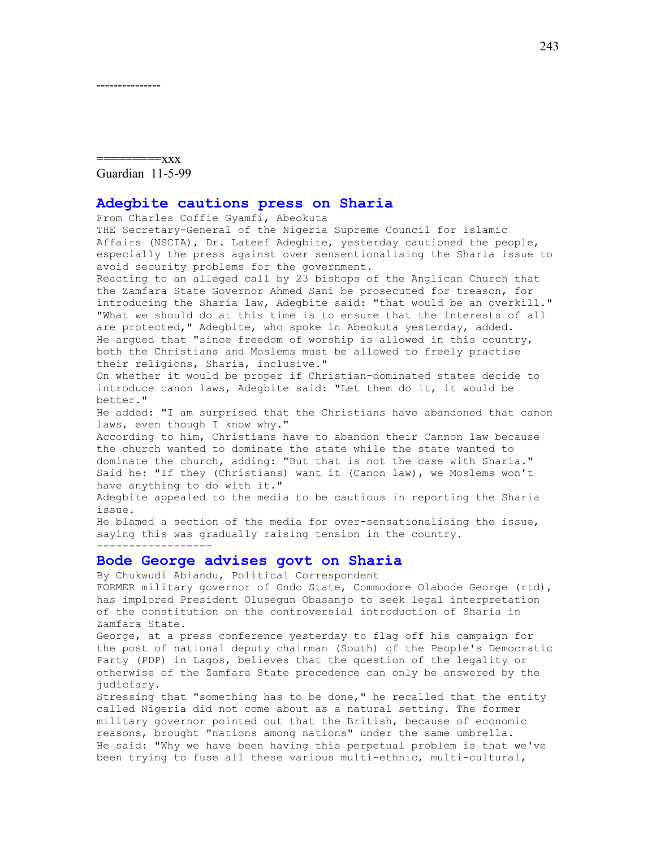=========xxx Guardian 11-5-99

---------------

#### **Adegbite cautions press on Sharia**

From Charles Coffie Gyamfi, Abeokuta

THE Secretary-General of the Nigeria Supreme Council for Islamic Affairs (NSCIA), Dr. Lateef Adegbite, yesterday cautioned the people, especially the press against over sensentionalising the Sharia issue to avoid security problems for the government. Reacting to an alleged call by 23 bishops of the Anglican Church that the Zamfara State Governor Ahmed Sani be prosecuted for treason, for introducing the Sharia law, Adegbite said: "that would be an overkill." "What we should do at this time is to ensure that the interests of all are protected," Adegbite, who spoke in Abeokuta yesterday, added. He argued that "since freedom of worship is allowed in this country, both the Christians and Moslems must be allowed to freely practise their religions, Sharia, inclusive." On whether it would be proper if Christian-dominated states decide to introduce canon laws, Adegbite said: "Let them do it, it would be better." He added: "I am surprised that the Christians have abandoned that canon laws, even though I know why." According to him, Christians have to abandon their Cannon law because

the church wanted to dominate the state while the state wanted to dominate the church, adding: "But that is not the case with Sharia." Said he: "If they (Christians) want it (Canon law), we Moslems won't have anything to do with it."

Adegbite appealed to the media to be cautious in reporting the Sharia issue.

He blamed a section of the media for over-sensationalising the issue, saying this was gradually raising tension in the country. ------------------

#### **Bode George advises govt on Sharia**

By Chukwudi Abiandu, Political Correspondent

FORMER military governor of Ondo State, Commodore Olabode George (rtd), has implored President Olusegun Obasanjo to seek legal interpretation of the constitution on the controversial introduction of Sharia in Zamfara State.

George, at a press conference yesterday to flag off his campaign for the post of national deputy chairman (South) of the People's Democratic Party (PDP) in Lagos, believes that the question of the legality or otherwise of the Zamfara State precedence can only be answered by the judiciary.

Stressing that "something has to be done," he recalled that the entity called Nigeria did not come about as a natural setting. The former military governor pointed out that the British, because of economic reasons, brought "nations among nations" under the same umbrella. He said: "Why we have been having this perpetual problem is that we've been trying to fuse all these various multi-ethnic, multi-cultural,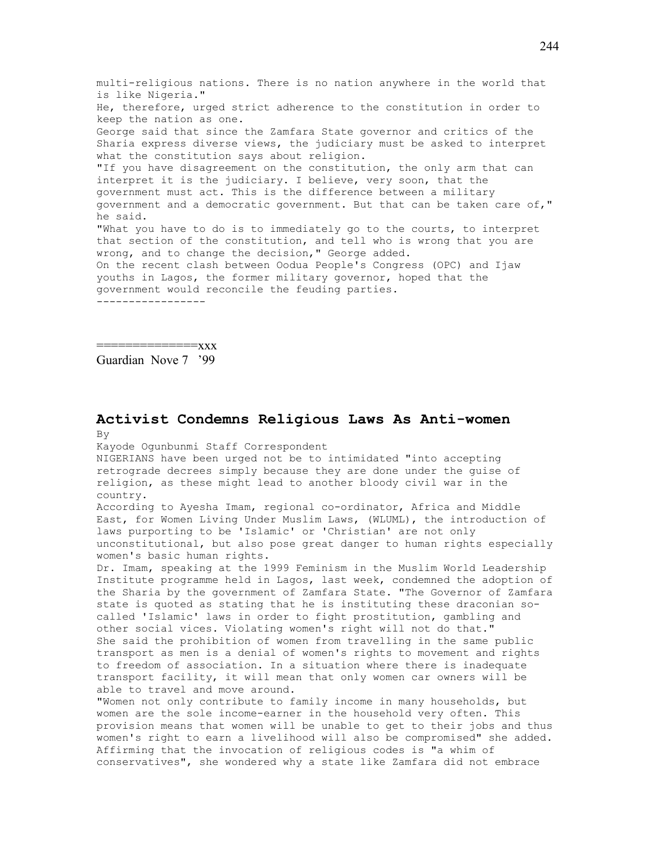multi-religious nations. There is no nation anywhere in the world that is like Nigeria." He, therefore, urged strict adherence to the constitution in order to keep the nation as one. George said that since the Zamfara State governor and critics of the Sharia express diverse views, the judiciary must be asked to interpret what the constitution says about religion. "If you have disagreement on the constitution, the only arm that can interpret it is the judiciary. I believe, very soon, that the government must act. This is the difference between a military government and a democratic government. But that can be taken care of," he said. "What you have to do is to immediately go to the courts, to interpret that section of the constitution, and tell who is wrong that you are wrong, and to change the decision," George added. On the recent clash between Oodua People's Congress (OPC) and Ijaw youths in Lagos, the former military governor, hoped that the government would reconcile the feuding parties. -----------------

==============xxx

Guardian Nove 7 '99

#### **Activist Condemns Religious Laws As Anti-women** By

Kayode Ogunbunmi Staff Correspondent

NIGERIANS have been urged not be to intimidated "into accepting retrograde decrees simply because they are done under the guise of religion, as these might lead to another bloody civil war in the country.

According to Ayesha Imam, regional co-ordinator, Africa and Middle East, for Women Living Under Muslim Laws, (WLUML), the introduction of laws purporting to be 'Islamic' or 'Christian' are not only unconstitutional, but also pose great danger to human rights especially women's basic human rights.

Dr. Imam, speaking at the 1999 Feminism in the Muslim World Leadership Institute programme held in Lagos, last week, condemned the adoption of the Sharia by the government of Zamfara State. "The Governor of Zamfara state is quoted as stating that he is instituting these draconian socalled 'Islamic' laws in order to fight prostitution, gambling and other social vices. Violating women's right will not do that." She said the prohibition of women from travelling in the same public transport as men is a denial of women's rights to movement and rights to freedom of association. In a situation where there is inadequate transport facility, it will mean that only women car owners will be able to travel and move around.

"Women not only contribute to family income in many households, but women are the sole income-earner in the household very often. This provision means that women will be unable to get to their jobs and thus women's right to earn a livelihood will also be compromised" she added. Affirming that the invocation of religious codes is "a whim of conservatives", she wondered why a state like Zamfara did not embrace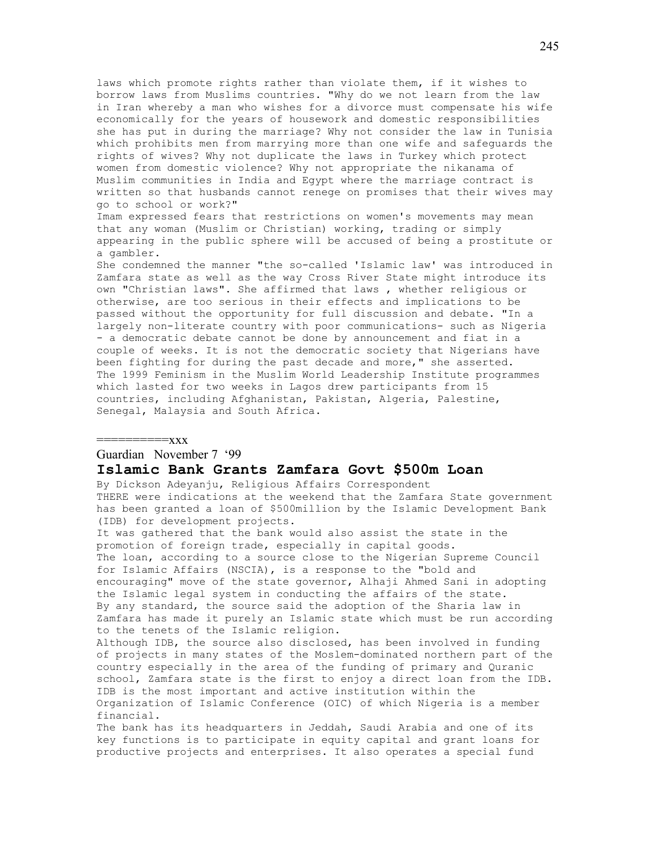laws which promote rights rather than violate them, if it wishes to borrow laws from Muslims countries. "Why do we not learn from the law in Iran whereby a man who wishes for a divorce must compensate his wife economically for the years of housework and domestic responsibilities she has put in during the marriage? Why not consider the law in Tunisia which prohibits men from marrying more than one wife and safeguards the rights of wives? Why not duplicate the laws in Turkey which protect women from domestic violence? Why not appropriate the nikanama of Muslim communities in India and Egypt where the marriage contract is written so that husbands cannot renege on promises that their wives may go to school or work?"

Imam expressed fears that restrictions on women's movements may mean that any woman (Muslim or Christian) working, trading or simply appearing in the public sphere will be accused of being a prostitute or a gambler.

She condemned the manner "the so-called 'Islamic law' was introduced in Zamfara state as well as the way Cross River State might introduce its own "Christian laws". She affirmed that laws , whether religious or otherwise, are too serious in their effects and implications to be passed without the opportunity for full discussion and debate. "In a largely non-literate country with poor communications- such as Nigeria - a democratic debate cannot be done by announcement and fiat in a couple of weeks. It is not the democratic society that Nigerians have been fighting for during the past decade and more," she asserted. The 1999 Feminism in the Muslim World Leadership Institute programmes which lasted for two weeks in Lagos drew participants from 15 countries, including Afghanistan, Pakistan, Algeria, Palestine, Senegal, Malaysia and South Africa.

# ==========xxx

### Guardian November 7 '99

#### **Islamic Bank Grants Zamfara Govt \$500m Loan**

By Dickson Adeyanju, Religious Affairs Correspondent THERE were indications at the weekend that the Zamfara State government has been granted a loan of \$500million by the Islamic Development Bank (IDB) for development projects.

It was gathered that the bank would also assist the state in the promotion of foreign trade, especially in capital goods. The loan, according to a source close to the Nigerian Supreme Council for Islamic Affairs (NSCIA), is a response to the "bold and encouraging" move of the state governor, Alhaji Ahmed Sani in adopting the Islamic legal system in conducting the affairs of the state. By any standard, the source said the adoption of the Sharia law in Zamfara has made it purely an Islamic state which must be run according to the tenets of the Islamic religion.

Although IDB, the source also disclosed, has been involved in funding of projects in many states of the Moslem-dominated northern part of the country especially in the area of the funding of primary and Quranic school, Zamfara state is the first to enjoy a direct loan from the IDB. IDB is the most important and active institution within the Organization of Islamic Conference (OIC) of which Nigeria is a member financial.

The bank has its headquarters in Jeddah, Saudi Arabia and one of its key functions is to participate in equity capital and grant loans for productive projects and enterprises. It also operates a special fund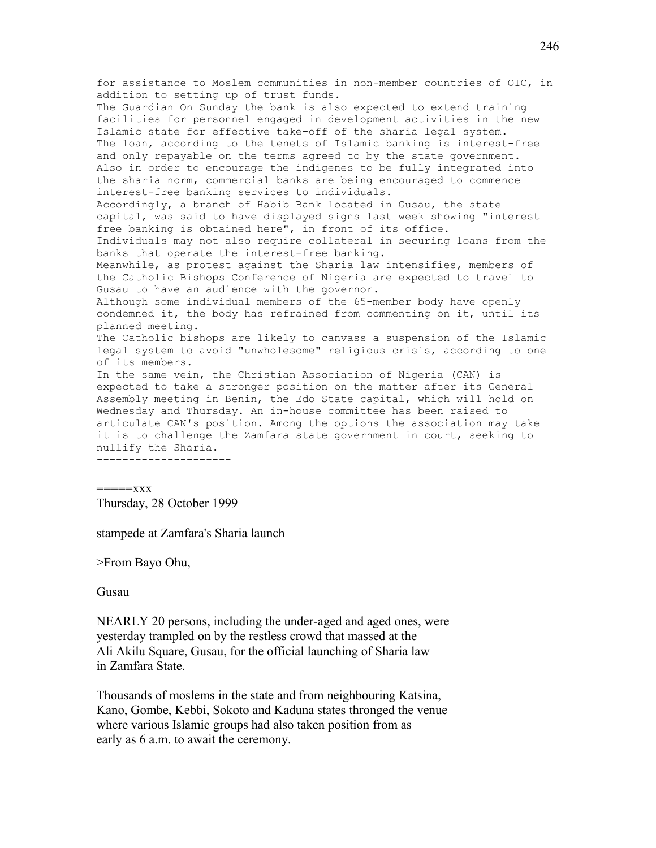for assistance to Moslem communities in non-member countries of OIC, in addition to setting up of trust funds. The Guardian On Sunday the bank is also expected to extend training facilities for personnel engaged in development activities in the new Islamic state for effective take-off of the sharia legal system. The loan, according to the tenets of Islamic banking is interest-free and only repayable on the terms agreed to by the state government. Also in order to encourage the indigenes to be fully integrated into the sharia norm, commercial banks are being encouraged to commence interest-free banking services to individuals. Accordingly, a branch of Habib Bank located in Gusau, the state capital, was said to have displayed signs last week showing "interest free banking is obtained here", in front of its office. Individuals may not also require collateral in securing loans from the banks that operate the interest-free banking. Meanwhile, as protest against the Sharia law intensifies, members of the Catholic Bishops Conference of Nigeria are expected to travel to Gusau to have an audience with the governor. Although some individual members of the 65-member body have openly condemned it, the body has refrained from commenting on it, until its planned meeting. The Catholic bishops are likely to canvass a suspension of the Islamic legal system to avoid "unwholesome" religious crisis, according to one of its members. In the same vein, the Christian Association of Nigeria (CAN) is expected to take a stronger position on the matter after its General Assembly meeting in Benin, the Edo State capital, which will hold on Wednesday and Thursday. An in-house committee has been raised to articulate CAN's position. Among the options the association may take it is to challenge the Zamfara state government in court, seeking to nullify the Sharia. ---------------------

 $====xxx$ Thursday, 28 October 1999

stampede at Zamfara's Sharia launch

>From Bayo Ohu,

Gusau

NEARLY 20 persons, including the under-aged and aged ones, were yesterday trampled on by the restless crowd that massed at the Ali Akilu Square, Gusau, for the official launching of Sharia law in Zamfara State.

Thousands of moslems in the state and from neighbouring Katsina, Kano, Gombe, Kebbi, Sokoto and Kaduna states thronged the venue where various Islamic groups had also taken position from as early as 6 a.m. to await the ceremony.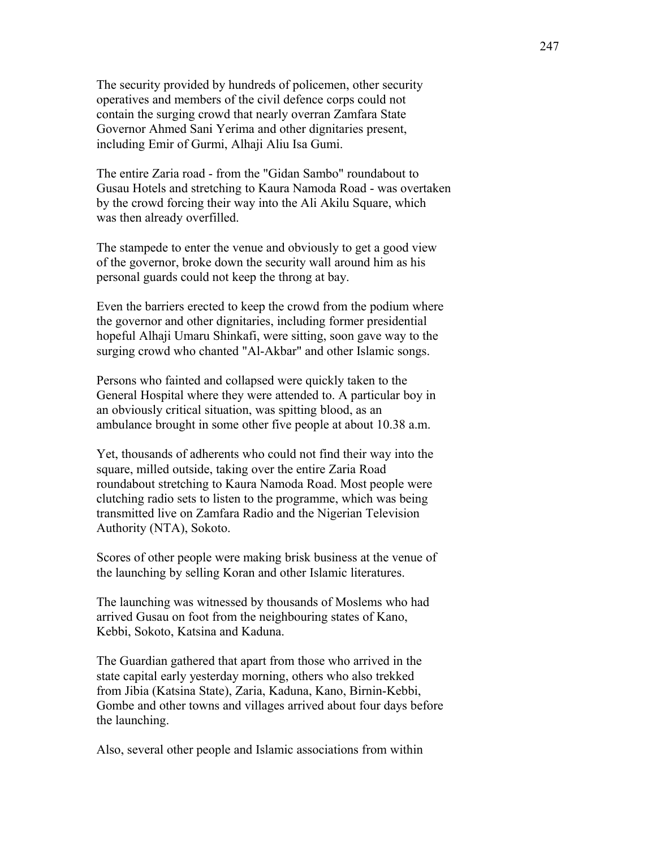The security provided by hundreds of policemen, other security operatives and members of the civil defence corps could not contain the surging crowd that nearly overran Zamfara State Governor Ahmed Sani Yerima and other dignitaries present, including Emir of Gurmi, Alhaji Aliu Isa Gumi.

The entire Zaria road - from the "Gidan Sambo" roundabout to Gusau Hotels and stretching to Kaura Namoda Road - was overtaken by the crowd forcing their way into the Ali Akilu Square, which was then already overfilled.

The stampede to enter the venue and obviously to get a good view of the governor, broke down the security wall around him as his personal guards could not keep the throng at bay.

Even the barriers erected to keep the crowd from the podium where the governor and other dignitaries, including former presidential hopeful Alhaji Umaru Shinkafi, were sitting, soon gave way to the surging crowd who chanted "Al-Akbar" and other Islamic songs.

Persons who fainted and collapsed were quickly taken to the General Hospital where they were attended to. A particular boy in an obviously critical situation, was spitting blood, as an ambulance brought in some other five people at about 10.38 a.m.

Yet, thousands of adherents who could not find their way into the square, milled outside, taking over the entire Zaria Road roundabout stretching to Kaura Namoda Road. Most people were clutching radio sets to listen to the programme, which was being transmitted live on Zamfara Radio and the Nigerian Television Authority (NTA), Sokoto.

Scores of other people were making brisk business at the venue of the launching by selling Koran and other Islamic literatures.

The launching was witnessed by thousands of Moslems who had arrived Gusau on foot from the neighbouring states of Kano, Kebbi, Sokoto, Katsina and Kaduna.

The Guardian gathered that apart from those who arrived in the state capital early yesterday morning, others who also trekked from Jibia (Katsina State), Zaria, Kaduna, Kano, Birnin-Kebbi, Gombe and other towns and villages arrived about four days before the launching.

Also, several other people and Islamic associations from within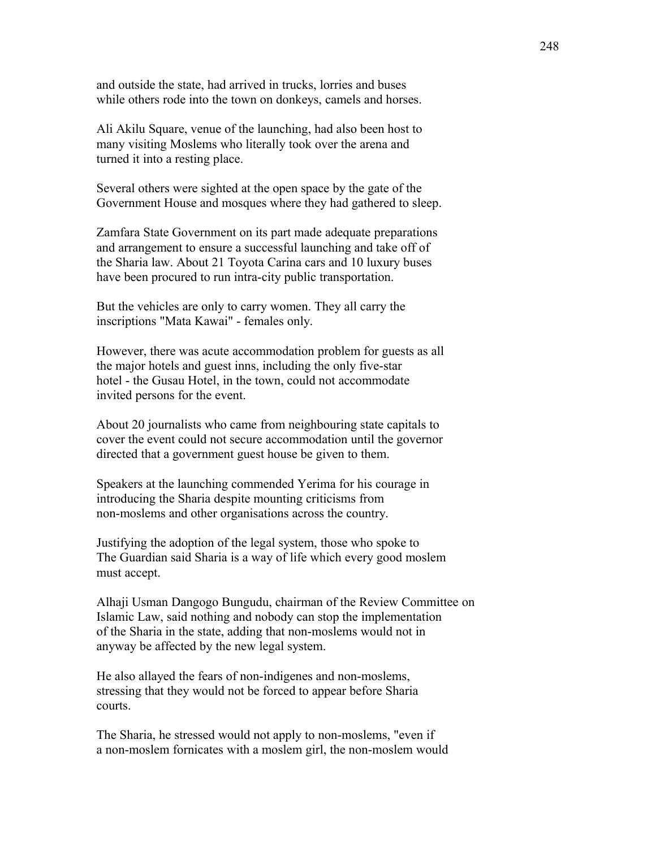and outside the state, had arrived in trucks, lorries and buses while others rode into the town on donkeys, camels and horses.

Ali Akilu Square, venue of the launching, had also been host to many visiting Moslems who literally took over the arena and turned it into a resting place.

Several others were sighted at the open space by the gate of the Government House and mosques where they had gathered to sleep.

Zamfara State Government on its part made adequate preparations and arrangement to ensure a successful launching and take off of the Sharia law. About 21 Toyota Carina cars and 10 luxury buses have been procured to run intra-city public transportation.

But the vehicles are only to carry women. They all carry the inscriptions "Mata Kawai" - females only.

However, there was acute accommodation problem for guests as all the major hotels and guest inns, including the only five-star hotel - the Gusau Hotel, in the town, could not accommodate invited persons for the event.

About 20 journalists who came from neighbouring state capitals to cover the event could not secure accommodation until the governor directed that a government guest house be given to them.

Speakers at the launching commended Yerima for his courage in introducing the Sharia despite mounting criticisms from non-moslems and other organisations across the country.

Justifying the adoption of the legal system, those who spoke to The Guardian said Sharia is a way of life which every good moslem must accept.

Alhaji Usman Dangogo Bungudu, chairman of the Review Committee on Islamic Law, said nothing and nobody can stop the implementation of the Sharia in the state, adding that non-moslems would not in anyway be affected by the new legal system.

He also allayed the fears of non-indigenes and non-moslems, stressing that they would not be forced to appear before Sharia courts.

The Sharia, he stressed would not apply to non-moslems, "even if a non-moslem fornicates with a moslem girl, the non-moslem would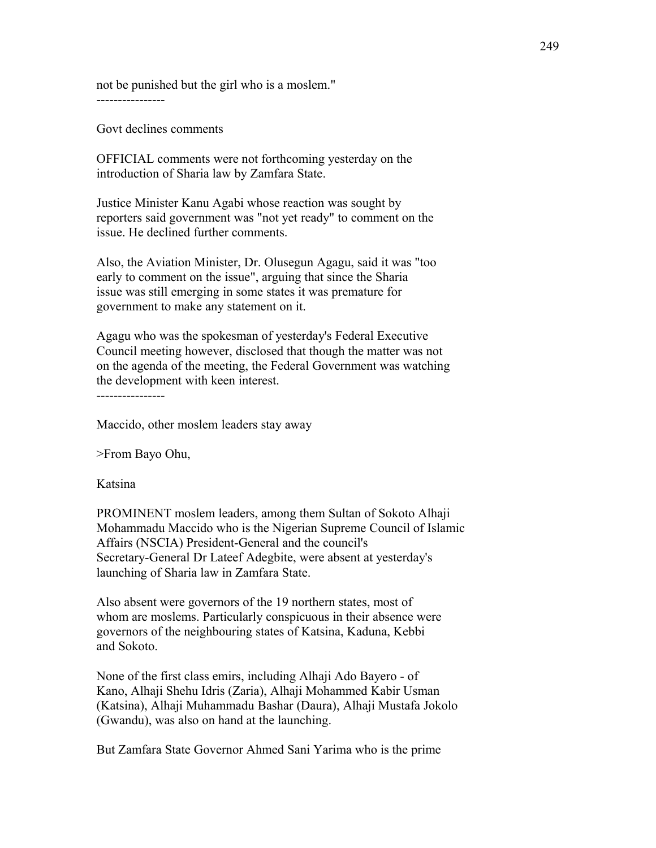not be punished but the girl who is a moslem."

Govt declines comments

----------------

OFFICIAL comments were not forthcoming yesterday on the introduction of Sharia law by Zamfara State.

Justice Minister Kanu Agabi whose reaction was sought by reporters said government was "not yet ready" to comment on the issue. He declined further comments.

Also, the Aviation Minister, Dr. Olusegun Agagu, said it was "too early to comment on the issue", arguing that since the Sharia issue was still emerging in some states it was premature for government to make any statement on it.

Agagu who was the spokesman of yesterday's Federal Executive Council meeting however, disclosed that though the matter was not on the agenda of the meeting, the Federal Government was watching the development with keen interest.

----------------

Maccido, other moslem leaders stay away

>From Bayo Ohu,

Katsina

PROMINENT moslem leaders, among them Sultan of Sokoto Alhaji Mohammadu Maccido who is the Nigerian Supreme Council of Islamic Affairs (NSCIA) President-General and the council's Secretary-General Dr Lateef Adegbite, were absent at yesterday's launching of Sharia law in Zamfara State.

Also absent were governors of the 19 northern states, most of whom are moslems. Particularly conspicuous in their absence were governors of the neighbouring states of Katsina, Kaduna, Kebbi and Sokoto.

None of the first class emirs, including Alhaji Ado Bayero - of Kano, Alhaji Shehu Idris (Zaria), Alhaji Mohammed Kabir Usman (Katsina), Alhaji Muhammadu Bashar (Daura), Alhaji Mustafa Jokolo (Gwandu), was also on hand at the launching.

But Zamfara State Governor Ahmed Sani Yarima who is the prime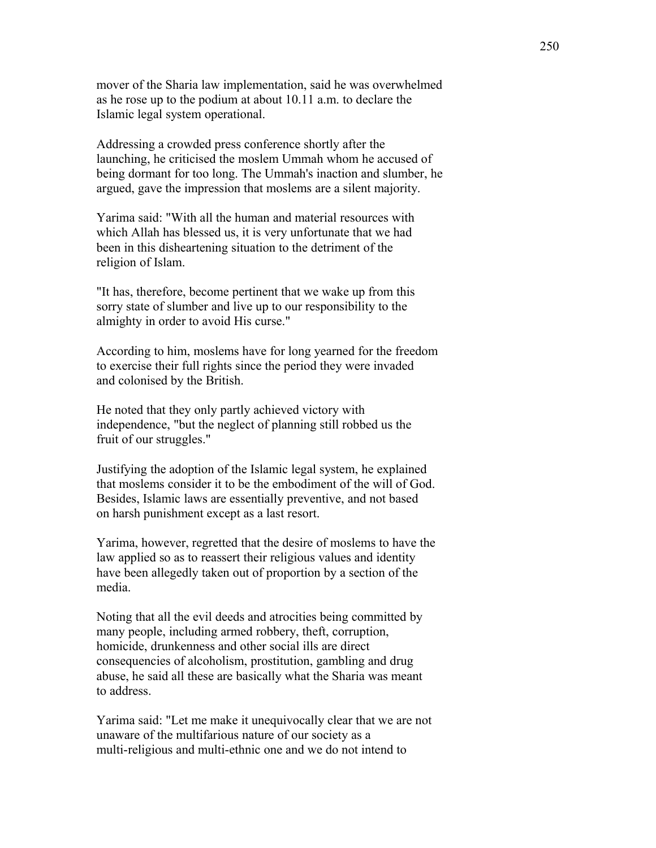mover of the Sharia law implementation, said he was overwhelmed as he rose up to the podium at about 10.11 a.m. to declare the Islamic legal system operational.

Addressing a crowded press conference shortly after the launching, he criticised the moslem Ummah whom he accused of being dormant for too long. The Ummah's inaction and slumber, he argued, gave the impression that moslems are a silent majority.

Yarima said: "With all the human and material resources with which Allah has blessed us, it is very unfortunate that we had been in this disheartening situation to the detriment of the religion of Islam.

"It has, therefore, become pertinent that we wake up from this sorry state of slumber and live up to our responsibility to the almighty in order to avoid His curse."

According to him, moslems have for long yearned for the freedom to exercise their full rights since the period they were invaded and colonised by the British.

He noted that they only partly achieved victory with independence, "but the neglect of planning still robbed us the fruit of our struggles."

Justifying the adoption of the Islamic legal system, he explained that moslems consider it to be the embodiment of the will of God. Besides, Islamic laws are essentially preventive, and not based on harsh punishment except as a last resort.

Yarima, however, regretted that the desire of moslems to have the law applied so as to reassert their religious values and identity have been allegedly taken out of proportion by a section of the media.

Noting that all the evil deeds and atrocities being committed by many people, including armed robbery, theft, corruption, homicide, drunkenness and other social ills are direct consequencies of alcoholism, prostitution, gambling and drug abuse, he said all these are basically what the Sharia was meant to address.

Yarima said: "Let me make it unequivocally clear that we are not unaware of the multifarious nature of our society as a multi-religious and multi-ethnic one and we do not intend to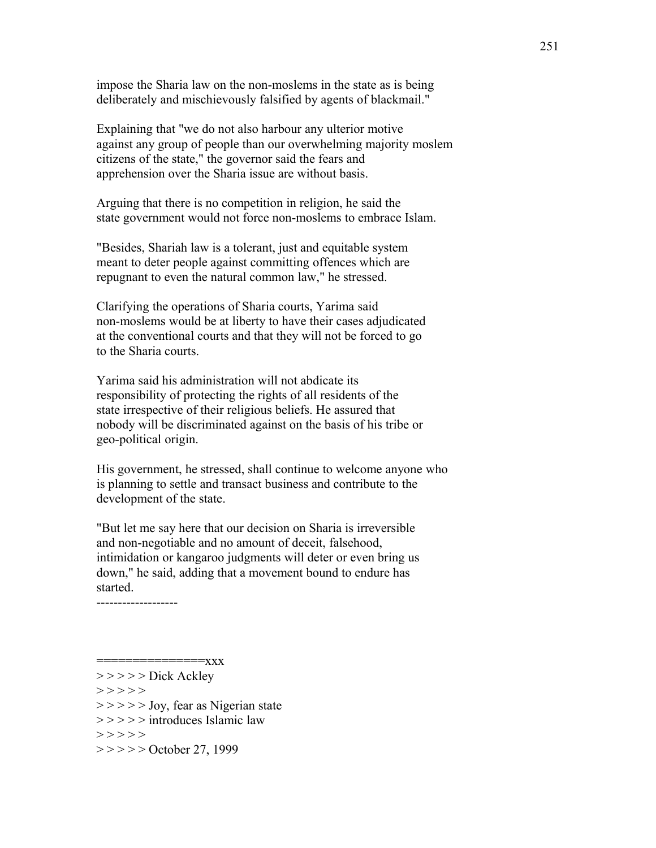impose the Sharia law on the non-moslems in the state as is being deliberately and mischievously falsified by agents of blackmail."

Explaining that "we do not also harbour any ulterior motive against any group of people than our overwhelming majority moslem citizens of the state," the governor said the fears and apprehension over the Sharia issue are without basis.

Arguing that there is no competition in religion, he said the state government would not force non-moslems to embrace Islam.

"Besides, Shariah law is a tolerant, just and equitable system meant to deter people against committing offences which are repugnant to even the natural common law," he stressed.

Clarifying the operations of Sharia courts, Yarima said non-moslems would be at liberty to have their cases adjudicated at the conventional courts and that they will not be forced to go to the Sharia courts.

Yarima said his administration will not abdicate its responsibility of protecting the rights of all residents of the state irrespective of their religious beliefs. He assured that nobody will be discriminated against on the basis of his tribe or geo-political origin.

His government, he stressed, shall continue to welcome anyone who is planning to settle and transact business and contribute to the development of the state.

"But let me say here that our decision on Sharia is irreversible and non-negotiable and no amount of deceit, falsehood, intimidation or kangaroo judgments will deter or even bring us down," he said, adding that a movement bound to endure has started.

-------------------

- $>>$  > > >
- $\gg >>$   $>$  Joy, fear as Nigerian state
- > > > > > introduces Islamic law
- $>>$ >>>
- $>>$  >  $>$  October 27, 1999

<sup>===============</sup>xxx

<sup>&</sup>gt; > > > > Dick Ackley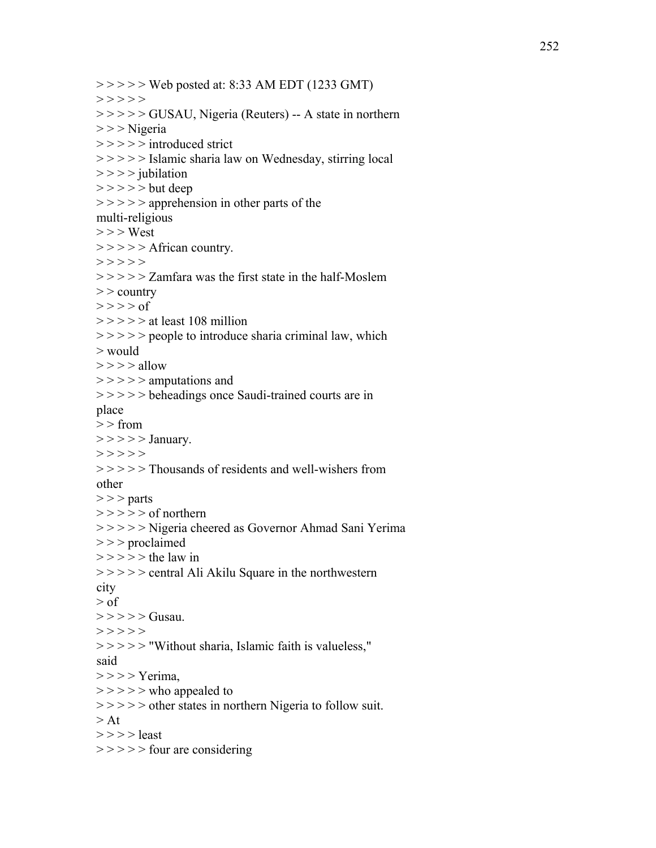$\ge$  > > > Web posted at: 8:33 AM EDT (1233 GMT)  $>>$ >>> > > > > > GUSAU, Nigeria (Reuters) -- A state in northern > > > Nigeria  $\gg >>$  introduced strict > > > > > Islamic sharia law on Wednesday, stirring local  $\gg >>$  jubilation  $>>$  >  $>$  but deep  $\ge$  > > > > apprehension in other parts of the multi-religious  $>>$  West >>>>> African country.  $>$  > > > > >  $\ge$  > > >  $>$  Zamfara was the first state in the half-Moslem  $\geq$   $>$  country  $>>$  >  $\circ$  of  $\gg >> >$  at least 108 million  $\ge$  > > > > people to introduce sharia criminal law, which > would  $>>$  > allow  $\gg >> >$  amputations and  $\ge$  > > > > beheadings once Saudi-trained courts are in place  $>$  from  $>>$  > >  $>$  January.  $>>$ >>>  $\ge$   $\ge$   $\ge$   $\ge$  Thousands of residents and well-wishers from other  $>>$  parts  $>>$  >  $>$  of northern > > > > > Nigeria cheered as Governor Ahmad Sani Yerima > > > proclaimed  $\gg >> \gg$  the law in  $\ge$  > > > > central Ali Akilu Square in the northwestern city > of  $>>$  >  $>$  Gusau.  $>>$ >>> > > > > > "Without sharia, Islamic faith is valueless," said  $>>$  > Yerima,  $\gg >> \gg$  who appealed to > > > > > other states in northern Nigeria to follow suit.  $> At$  $>>$  > least  $\ge$  > > >  $>$  four are considering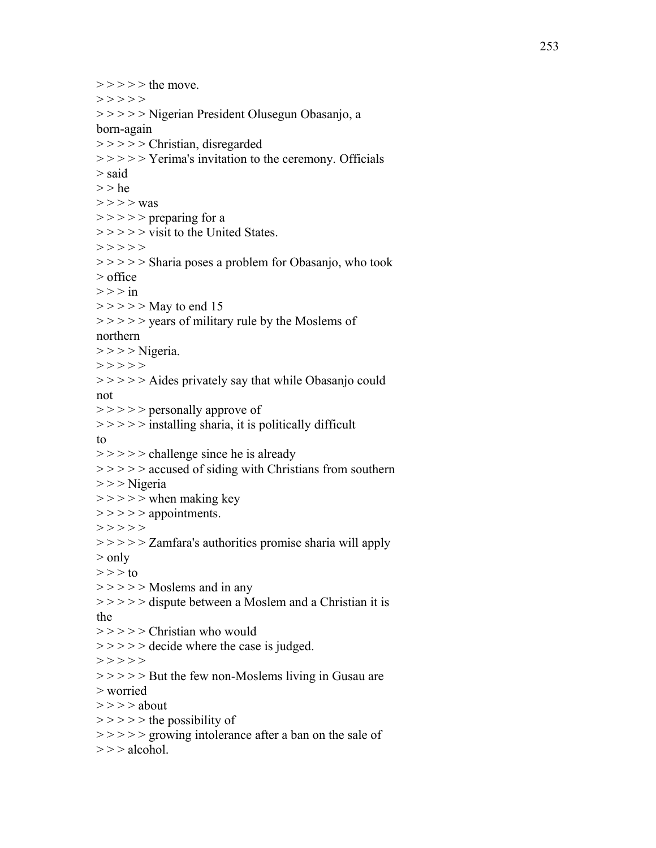```
>> > > the move.
>>>>>
> > > > > Nigerian President Olusegun Obasanjo, a
born-again
> > > > > Christian, disregarded
\ge > > > Yerima's invitation to the ceremony. Officials
> said
> he
>> > > was
\gg >> > > preparing for a
\ge > > > > visit to the United States.
\rightarrow > > > >
> > > > > Sharia poses a problem for Obasanjo, who took
> office
>> in
>> > > > May to end 15
\ge > > > > years of military rule by the Moslems of
northern
>> > \rightarrow Nigeria.
> > > > > >
\ge > > > > Aides privately say that while Obasanjo could
not
> > > > > personally approve of
\ge > > > > installing sharia, it is politically difficult
to
\gg > > > > challenge since he is already
\ge > > > > accused of siding with Christians from southern
>> Nigeria
\gg >> \gg when making key
\gg >> > appointments.
>>>>>
\ge > > > > Zamfara's authorities promise sharia will apply
> only
>> to
\gg >> Moslems and in any
\ge > > > > dispute between a Moslem and a Christian it is
the
\gg >> > \geq \geq \geq \geq \geq \geq \geq \geq \geq \geq \geq \geq \geq \geq \geq \geq \geq \geq \geq \geq \geq \geq \geq \geq \geq \geq \geq \geq \geq \geq \geq \geq \geq \geq \geq \ge\ge > > > > decide where the case is judged.
>>>>>
\ge > > > > But the few non-Moslems living in Gusau are
> worried
>> > > about
\ge > > > the possibility of
\ge > > > > growing intolerance after a ban on the sale of
>> alcohol
```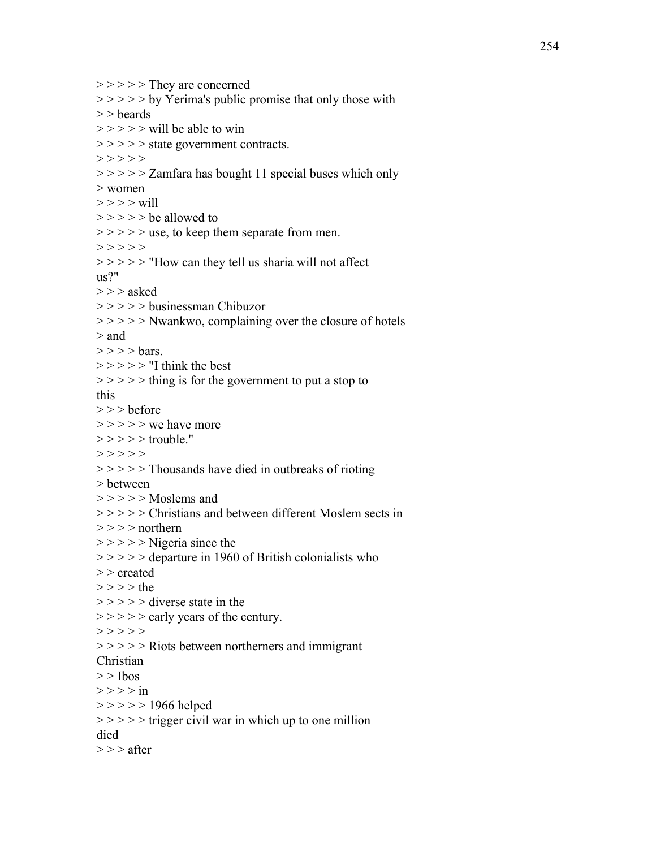> > > > > They are concerned  $\ge$  > > > > by Yerima's public promise that only those with  $>$  beards  $\gg >>$  will be able to win  $\ge$  > > >  $>$  state government contracts.  $>>$ >>>  $\ge$  > > >  $>$  Zamfara has bought 11 special buses which only > women  $>>$  >  $>$  will  $\gg >> >$  be allowed to  $\ge$  > > > > use, to keep them separate from men.  $>>$ >>>  $\ge$  > > >  $\ge$  "How can they tell us sharia will not affect us?"  $\ge$  >  $>$  asked > > > > > businessman Chibuzor  $\ge$  > > > > Nwankwo, complaining over the closure of hotels > and  $>>$  >  $\bar{b}$  hars.  $\ge$  > > >  $\ge$  "I think the best  $\ge$  > > > > thing is for the government to put a stop to this  $\ge$  >  $>$  before  $\gg >> >> \leq$  have more  $>>$  >  $>$  trouble."  $>>$ >>>  $\ge$  > > > > Thousands have died in outbreaks of rioting > between  $\gg >>$  Moslems and > > > > > Christians and between different Moslem sects in  $>>$  >  $>$  northern  $\ge$  > > >  $>$  Nigeria since the  $\ge$  > > >  $>$  departure in 1960 of British colonialists who > > created  $>>$  >  $>$  the  $\gg >>$  diverse state in the  $\ge$  > > >  $>$  early years of the century.  $>>$ >>>  $\ge$  > > >  $>$  Riots between northerners and immigrant Christian  $\ge$  Ibos  $>>$  >  $\sin$  $\gg >> >> 1966$  helped  $\ge$  > > >  $>$  trigger civil war in which up to one million died  $>>$  after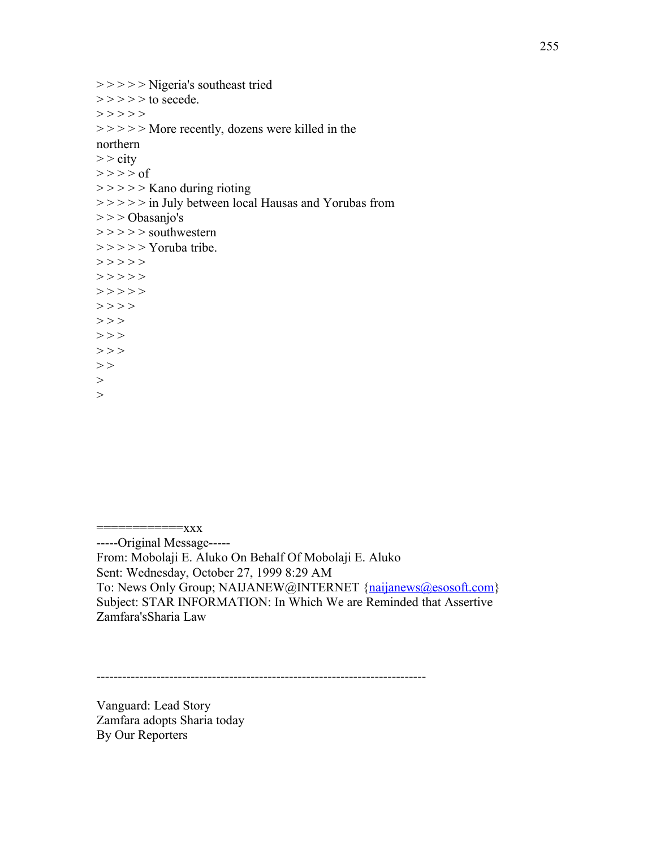> > > > > Nigeria's southeast tried  $>>$  >  $>$  to secede.  $>>$ >>>  $\ge$  > > > > More recently, dozens were killed in the northern  $>$  city  $>>$  of  $>>$  >  $>$  Kano during rioting > > > > > in July between local Hausas and Yorubas from  $>>$  Obasanjo's > > > > > southwestern  $\gg >> \gt$  Yoruba tribe.  $>>$ >>>  $\gt$  > > > >  $>>$ >>>  $\gt$  > > >  $\gt$   $>$  $\,>>\,>$  $>>$  $>$  $>$  $\geq$ 

============xxx

-----Original Message-----

From: Mobolaji E. Aluko On Behalf Of Mobolaji E. Aluko Sent: Wednesday, October 27, 1999 8:29 AM To: News Only Group; NAIJANEW@INTERNET [{naijanews@esosoft.com}](mailto:naijanews@esosoft.com) Subject: STAR INFORMATION: In Which We are Reminded that Assertive Zamfara'sSharia Law

-----------------------------------------------------------------------------

Vanguard: Lead Story Zamfara adopts Sharia today By Our Reporters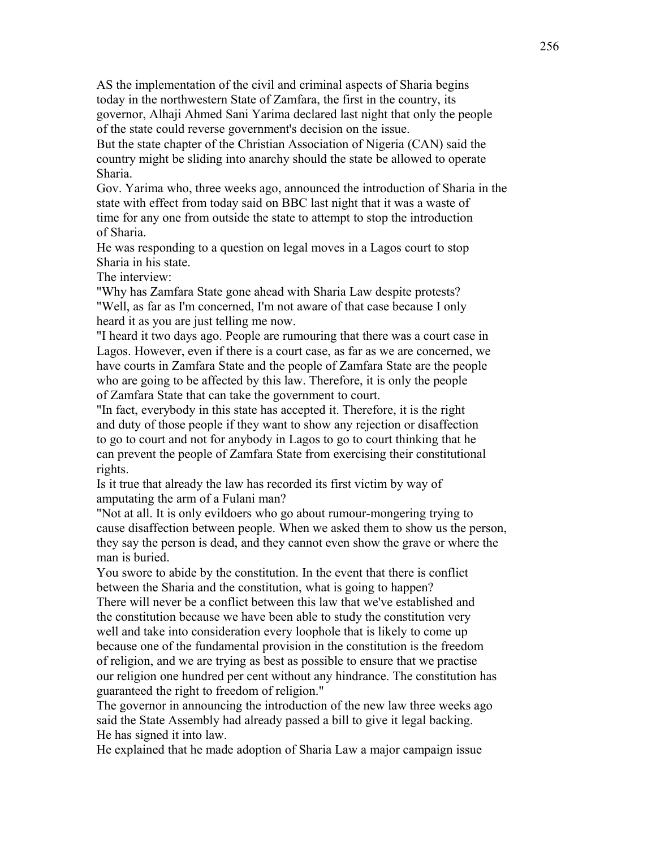AS the implementation of the civil and criminal aspects of Sharia begins today in the northwestern State of Zamfara, the first in the country, its governor, Alhaji Ahmed Sani Yarima declared last night that only the people of the state could reverse government's decision on the issue.

But the state chapter of the Christian Association of Nigeria (CAN) said the country might be sliding into anarchy should the state be allowed to operate Sharia.

Gov. Yarima who, three weeks ago, announced the introduction of Sharia in the state with effect from today said on BBC last night that it was a waste of time for any one from outside the state to attempt to stop the introduction of Sharia.

He was responding to a question on legal moves in a Lagos court to stop Sharia in his state.

The interview:

"Why has Zamfara State gone ahead with Sharia Law despite protests? "Well, as far as I'm concerned, I'm not aware of that case because I only heard it as you are just telling me now.

"I heard it two days ago. People are rumouring that there was a court case in Lagos. However, even if there is a court case, as far as we are concerned, we have courts in Zamfara State and the people of Zamfara State are the people who are going to be affected by this law. Therefore, it is only the people of Zamfara State that can take the government to court.

"In fact, everybody in this state has accepted it. Therefore, it is the right and duty of those people if they want to show any rejection or disaffection to go to court and not for anybody in Lagos to go to court thinking that he can prevent the people of Zamfara State from exercising their constitutional rights.

Is it true that already the law has recorded its first victim by way of amputating the arm of a Fulani man?

"Not at all. It is only evildoers who go about rumour-mongering trying to cause disaffection between people. When we asked them to show us the person, they say the person is dead, and they cannot even show the grave or where the man is buried.

You swore to abide by the constitution. In the event that there is conflict between the Sharia and the constitution, what is going to happen? There will never be a conflict between this law that we've established and the constitution because we have been able to study the constitution very well and take into consideration every loophole that is likely to come up because one of the fundamental provision in the constitution is the freedom of religion, and we are trying as best as possible to ensure that we practise our religion one hundred per cent without any hindrance. The constitution has guaranteed the right to freedom of religion."

The governor in announcing the introduction of the new law three weeks ago said the State Assembly had already passed a bill to give it legal backing. He has signed it into law.

He explained that he made adoption of Sharia Law a major campaign issue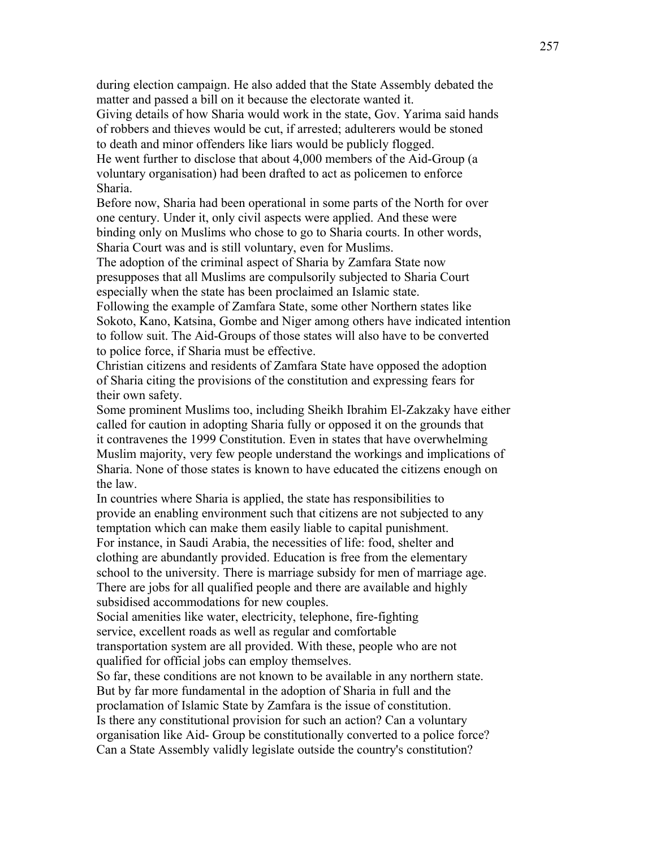during election campaign. He also added that the State Assembly debated the matter and passed a bill on it because the electorate wanted it.

Giving details of how Sharia would work in the state, Gov. Yarima said hands of robbers and thieves would be cut, if arrested; adulterers would be stoned to death and minor offenders like liars would be publicly flogged. He went further to disclose that about 4,000 members of the Aid-Group (a voluntary organisation) had been drafted to act as policemen to enforce Sharia.

Before now, Sharia had been operational in some parts of the North for over one century. Under it, only civil aspects were applied. And these were binding only on Muslims who chose to go to Sharia courts. In other words, Sharia Court was and is still voluntary, even for Muslims.

The adoption of the criminal aspect of Sharia by Zamfara State now presupposes that all Muslims are compulsorily subjected to Sharia Court especially when the state has been proclaimed an Islamic state.

Following the example of Zamfara State, some other Northern states like Sokoto, Kano, Katsina, Gombe and Niger among others have indicated intention to follow suit. The Aid-Groups of those states will also have to be converted to police force, if Sharia must be effective.

Christian citizens and residents of Zamfara State have opposed the adoption of Sharia citing the provisions of the constitution and expressing fears for their own safety.

Some prominent Muslims too, including Sheikh Ibrahim El-Zakzaky have either called for caution in adopting Sharia fully or opposed it on the grounds that it contravenes the 1999 Constitution. Even in states that have overwhelming Muslim majority, very few people understand the workings and implications of Sharia. None of those states is known to have educated the citizens enough on the law.

In countries where Sharia is applied, the state has responsibilities to provide an enabling environment such that citizens are not subjected to any temptation which can make them easily liable to capital punishment. For instance, in Saudi Arabia, the necessities of life: food, shelter and clothing are abundantly provided. Education is free from the elementary school to the university. There is marriage subsidy for men of marriage age. There are jobs for all qualified people and there are available and highly subsidised accommodations for new couples.

Social amenities like water, electricity, telephone, fire-fighting service, excellent roads as well as regular and comfortable transportation system are all provided. With these, people who are not qualified for official jobs can employ themselves.

So far, these conditions are not known to be available in any northern state. But by far more fundamental in the adoption of Sharia in full and the proclamation of Islamic State by Zamfara is the issue of constitution. Is there any constitutional provision for such an action? Can a voluntary organisation like Aid- Group be constitutionally converted to a police force? Can a State Assembly validly legislate outside the country's constitution?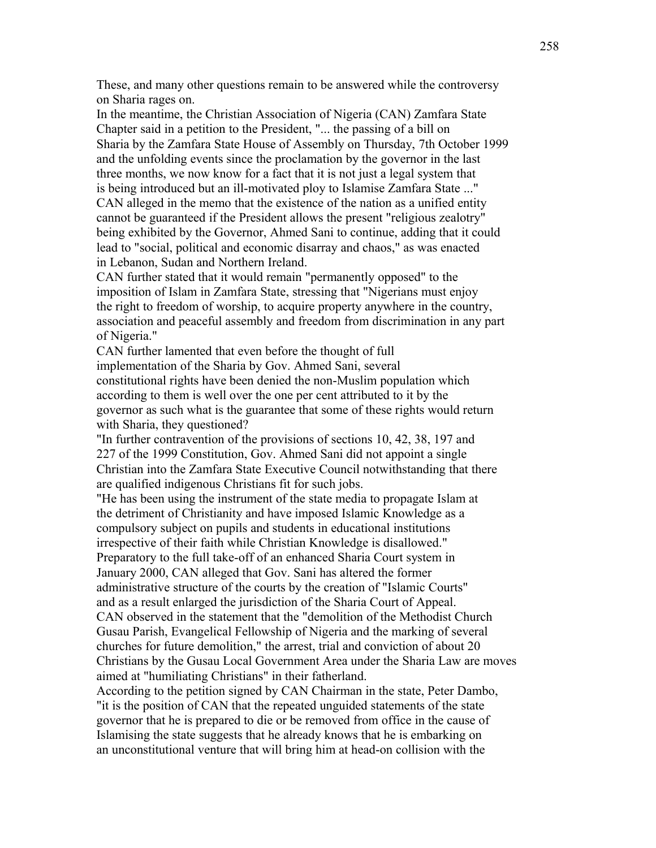These, and many other questions remain to be answered while the controversy on Sharia rages on.

In the meantime, the Christian Association of Nigeria (CAN) Zamfara State Chapter said in a petition to the President, "... the passing of a bill on Sharia by the Zamfara State House of Assembly on Thursday, 7th October 1999 and the unfolding events since the proclamation by the governor in the last three months, we now know for a fact that it is not just a legal system that is being introduced but an ill-motivated ploy to Islamise Zamfara State ..." CAN alleged in the memo that the existence of the nation as a unified entity cannot be guaranteed if the President allows the present "religious zealotry" being exhibited by the Governor, Ahmed Sani to continue, adding that it could lead to "social, political and economic disarray and chaos," as was enacted in Lebanon, Sudan and Northern Ireland.

CAN further stated that it would remain "permanently opposed" to the imposition of Islam in Zamfara State, stressing that "Nigerians must enjoy the right to freedom of worship, to acquire property anywhere in the country, association and peaceful assembly and freedom from discrimination in any part of Nigeria."

CAN further lamented that even before the thought of full implementation of the Sharia by Gov. Ahmed Sani, several constitutional rights have been denied the non-Muslim population which according to them is well over the one per cent attributed to it by the governor as such what is the guarantee that some of these rights would return with Sharia, they questioned?

"In further contravention of the provisions of sections 10, 42, 38, 197 and 227 of the 1999 Constitution, Gov. Ahmed Sani did not appoint a single Christian into the Zamfara State Executive Council notwithstanding that there are qualified indigenous Christians fit for such jobs.

"He has been using the instrument of the state media to propagate Islam at the detriment of Christianity and have imposed Islamic Knowledge as a compulsory subject on pupils and students in educational institutions irrespective of their faith while Christian Knowledge is disallowed." Preparatory to the full take-off of an enhanced Sharia Court system in January 2000, CAN alleged that Gov. Sani has altered the former administrative structure of the courts by the creation of "Islamic Courts" and as a result enlarged the jurisdiction of the Sharia Court of Appeal. CAN observed in the statement that the "demolition of the Methodist Church Gusau Parish, Evangelical Fellowship of Nigeria and the marking of several churches for future demolition," the arrest, trial and conviction of about 20 Christians by the Gusau Local Government Area under the Sharia Law are moves aimed at "humiliating Christians" in their fatherland.

According to the petition signed by CAN Chairman in the state, Peter Dambo, "it is the position of CAN that the repeated unguided statements of the state governor that he is prepared to die or be removed from office in the cause of Islamising the state suggests that he already knows that he is embarking on an unconstitutional venture that will bring him at head-on collision with the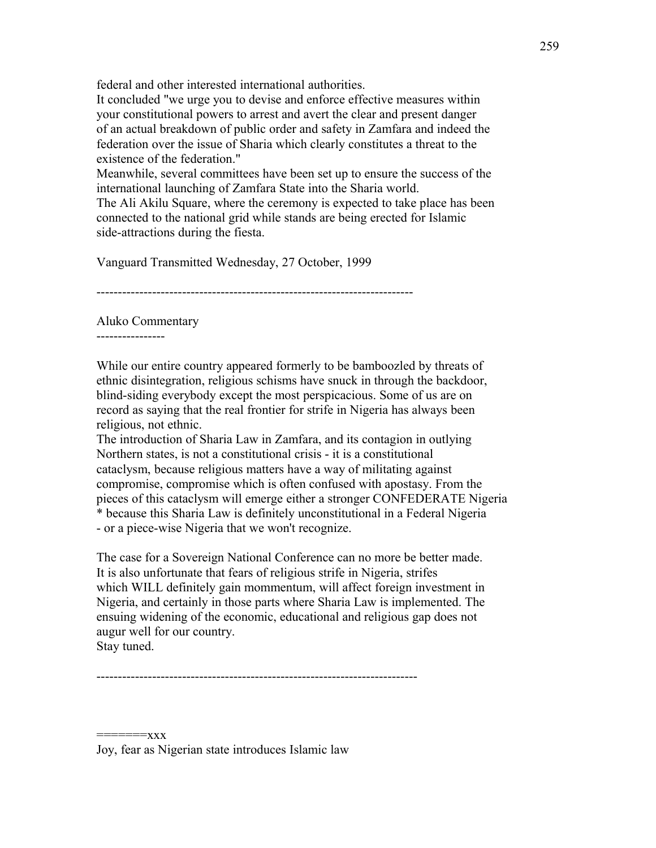federal and other interested international authorities.

It concluded "we urge you to devise and enforce effective measures within your constitutional powers to arrest and avert the clear and present danger of an actual breakdown of public order and safety in Zamfara and indeed the federation over the issue of Sharia which clearly constitutes a threat to the existence of the federation."

Meanwhile, several committees have been set up to ensure the success of the international launching of Zamfara State into the Sharia world.

The Ali Akilu Square, where the ceremony is expected to take place has been connected to the national grid while stands are being erected for Islamic side-attractions during the fiesta.

Vanguard Transmitted Wednesday, 27 October, 1999

--------------------------------------------------------------------------

Aluko Commentary

----------------

While our entire country appeared formerly to be bamboozled by threats of ethnic disintegration, religious schisms have snuck in through the backdoor, blind-siding everybody except the most perspicacious. Some of us are on record as saying that the real frontier for strife in Nigeria has always been religious, not ethnic.

The introduction of Sharia Law in Zamfara, and its contagion in outlying Northern states, is not a constitutional crisis - it is a constitutional cataclysm, because religious matters have a way of militating against compromise, compromise which is often confused with apostasy. From the pieces of this cataclysm will emerge either a stronger CONFEDERATE Nigeria \* because this Sharia Law is definitely unconstitutional in a Federal Nigeria - or a piece-wise Nigeria that we won't recognize.

The case for a Sovereign National Conference can no more be better made. It is also unfortunate that fears of religious strife in Nigeria, strifes which WILL definitely gain mommentum, will affect foreign investment in Nigeria, and certainly in those parts where Sharia Law is implemented. The ensuing widening of the economic, educational and religious gap does not augur well for our country.

Stay tuned.

---------------------------------------------------------------------------

Joy, fear as Nigerian state introduces Islamic law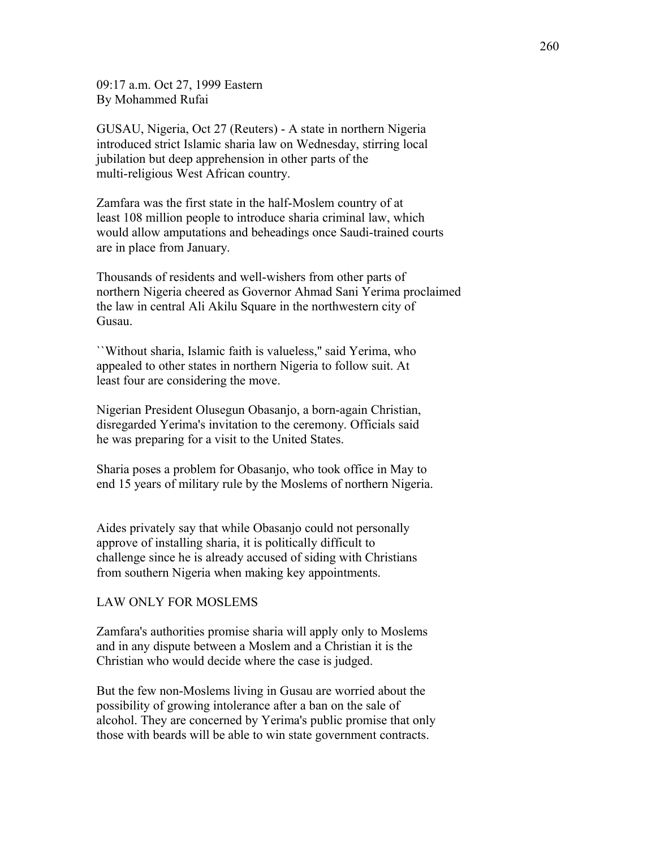09:17 a.m. Oct 27, 1999 Eastern By Mohammed Rufai

GUSAU, Nigeria, Oct 27 (Reuters) - A state in northern Nigeria introduced strict Islamic sharia law on Wednesday, stirring local jubilation but deep apprehension in other parts of the multi-religious West African country.

Zamfara was the first state in the half-Moslem country of at least 108 million people to introduce sharia criminal law, which would allow amputations and beheadings once Saudi-trained courts are in place from January.

Thousands of residents and well-wishers from other parts of northern Nigeria cheered as Governor Ahmad Sani Yerima proclaimed the law in central Ali Akilu Square in the northwestern city of Gusau.

``Without sharia, Islamic faith is valueless,'' said Yerima, who appealed to other states in northern Nigeria to follow suit. At least four are considering the move.

Nigerian President Olusegun Obasanjo, a born-again Christian, disregarded Yerima's invitation to the ceremony. Officials said he was preparing for a visit to the United States.

Sharia poses a problem for Obasanjo, who took office in May to end 15 years of military rule by the Moslems of northern Nigeria.

Aides privately say that while Obasanjo could not personally approve of installing sharia, it is politically difficult to challenge since he is already accused of siding with Christians from southern Nigeria when making key appointments.

#### LAW ONLY FOR MOSLEMS

Zamfara's authorities promise sharia will apply only to Moslems and in any dispute between a Moslem and a Christian it is the Christian who would decide where the case is judged.

But the few non-Moslems living in Gusau are worried about the possibility of growing intolerance after a ban on the sale of alcohol. They are concerned by Yerima's public promise that only those with beards will be able to win state government contracts.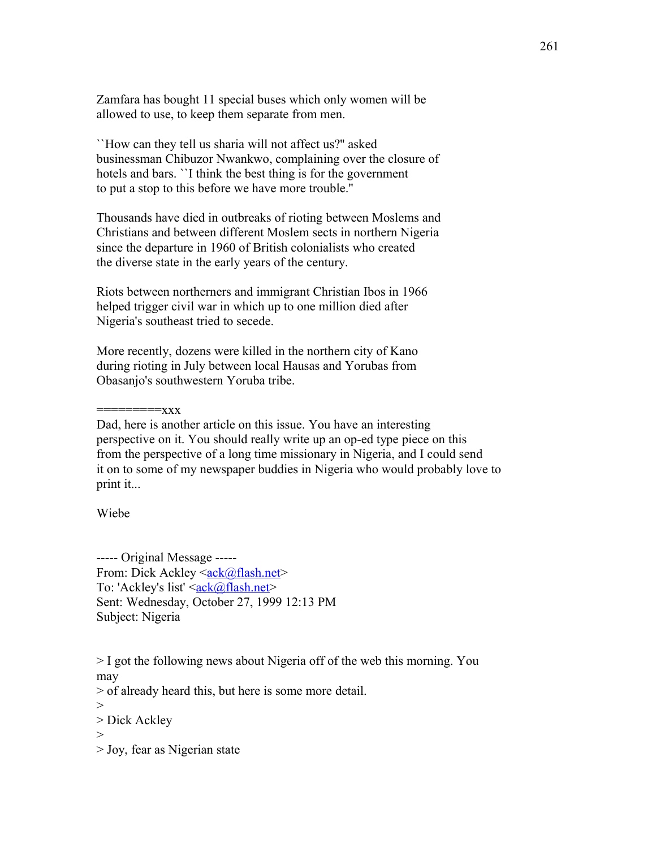Zamfara has bought 11 special buses which only women will be allowed to use, to keep them separate from men.

``How can they tell us sharia will not affect us?'' asked businessman Chibuzor Nwankwo, complaining over the closure of hotels and bars. ``I think the best thing is for the government to put a stop to this before we have more trouble.''

Thousands have died in outbreaks of rioting between Moslems and Christians and between different Moslem sects in northern Nigeria since the departure in 1960 of British colonialists who created the diverse state in the early years of the century.

Riots between northerners and immigrant Christian Ibos in 1966 helped trigger civil war in which up to one million died after Nigeria's southeast tried to secede.

More recently, dozens were killed in the northern city of Kano during rioting in July between local Hausas and Yorubas from Obasanjo's southwestern Yoruba tribe.

Dad, here is another article on this issue. You have an interesting perspective on it. You should really write up an op-ed type piece on this from the perspective of a long time missionary in Nigeria, and I could send it on to some of my newspaper buddies in Nigeria who would probably love to print it...

### Wiebe

----- Original Message ----- From: Dick Ackley [<ack@flash.net>](mailto:ack@flash.net) To: 'Ackley's list' [<ack@flash.net>](mailto:ack@flash.net) Sent: Wednesday, October 27, 1999 12:13 PM Subject: Nigeria

> I got the following news about Nigeria off of the web this morning. You may

> of already heard this, but here is some more detail.

 $>$ 

> Dick Ackley

 $\geq$ 

> Joy, fear as Nigerian state

<sup>=========</sup>xxx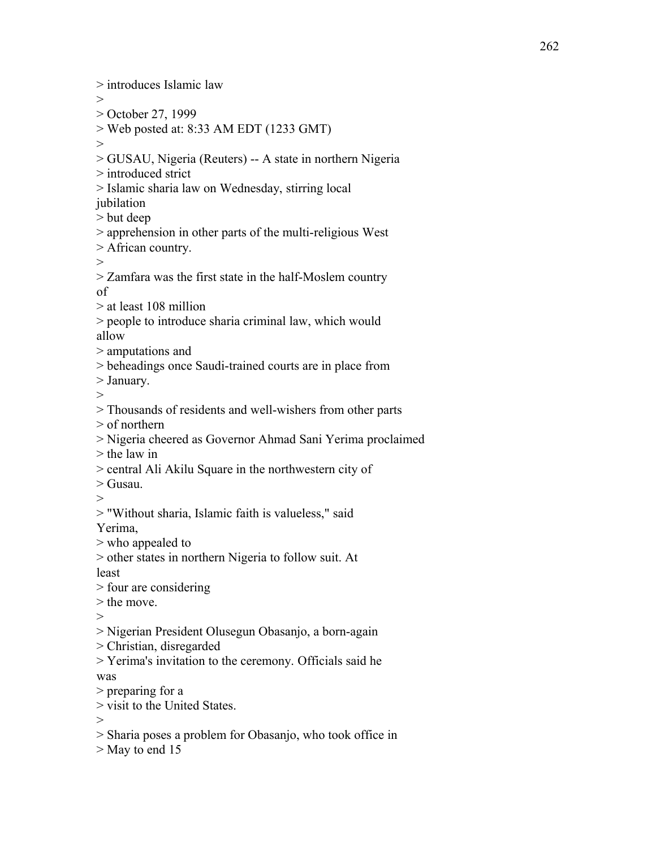> introduces Islamic law  $\rightarrow$ > October 27, 1999 > Web posted at: 8:33 AM EDT (1233 GMT)  $>$ > GUSAU, Nigeria (Reuters) -- A state in northern Nigeria > introduced strict > Islamic sharia law on Wednesday, stirring local jubilation > but deep > apprehension in other parts of the multi-religious West > African country.  $>$ > Zamfara was the first state in the half-Moslem country of > at least 108 million > people to introduce sharia criminal law, which would allow > amputations and > beheadings once Saudi-trained courts are in place from > January.  $>$ > Thousands of residents and well-wishers from other parts > of northern > Nigeria cheered as Governor Ahmad Sani Yerima proclaimed > the law in > central Ali Akilu Square in the northwestern city of > Gusau.  $\geq$ > "Without sharia, Islamic faith is valueless," said Yerima, > who appealed to > other states in northern Nigeria to follow suit. At least > four are considering > the move.  $\geq$ > Nigerian President Olusegun Obasanjo, a born-again > Christian, disregarded > Yerima's invitation to the ceremony. Officials said he was > preparing for a > visit to the United States.  $>$ > Sharia poses a problem for Obasanjo, who took office in > May to end 15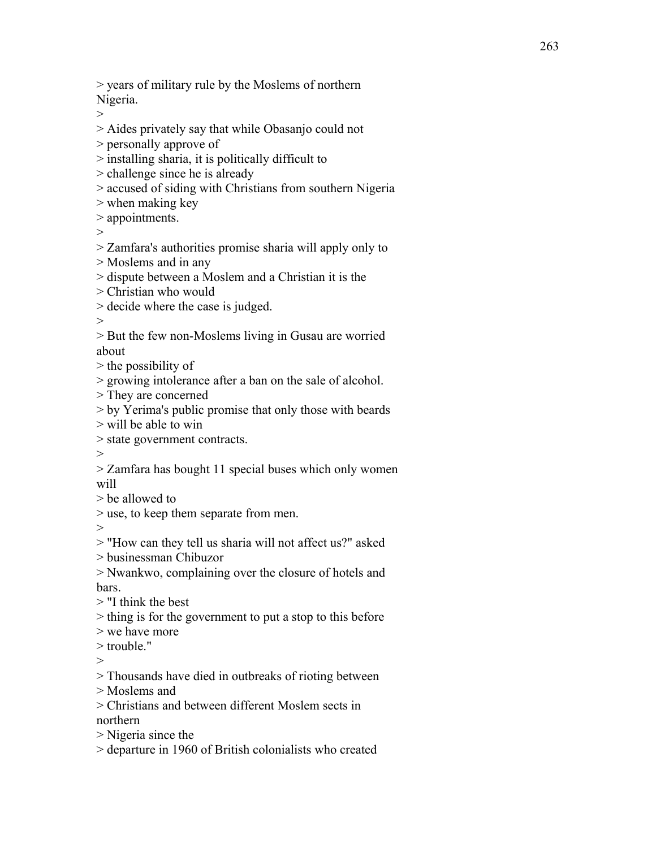> years of military rule by the Moslems of northern Nigeria.

>

> Aides privately say that while Obasanjo could not

> personally approve of

> installing sharia, it is politically difficult to

> challenge since he is already

> accused of siding with Christians from southern Nigeria

> when making key

> appointments.

 $\geq$ 

> Zamfara's authorities promise sharia will apply only to

> Moslems and in any

> dispute between a Moslem and a Christian it is the

> Christian who would

> decide where the case is judged.

 $>$ 

> But the few non-Moslems living in Gusau are worried about

> the possibility of

> growing intolerance after a ban on the sale of alcohol.

> They are concerned

> by Yerima's public promise that only those with beards

> will be able to win

> state government contracts.

>

> Zamfara has bought 11 special buses which only women will

> use, to keep them separate from men.

 $>$ 

> "How can they tell us sharia will not affect us?" asked

> businessman Chibuzor

> Nwankwo, complaining over the closure of hotels and bars.

> "I think the best

> thing is for the government to put a stop to this before

> we have more

> trouble."

 $>$ 

> Thousands have died in outbreaks of rioting between

> Moslems and

> Christians and between different Moslem sects in

northern

> Nigeria since the

> departure in 1960 of British colonialists who created

<sup>&</sup>gt; be allowed to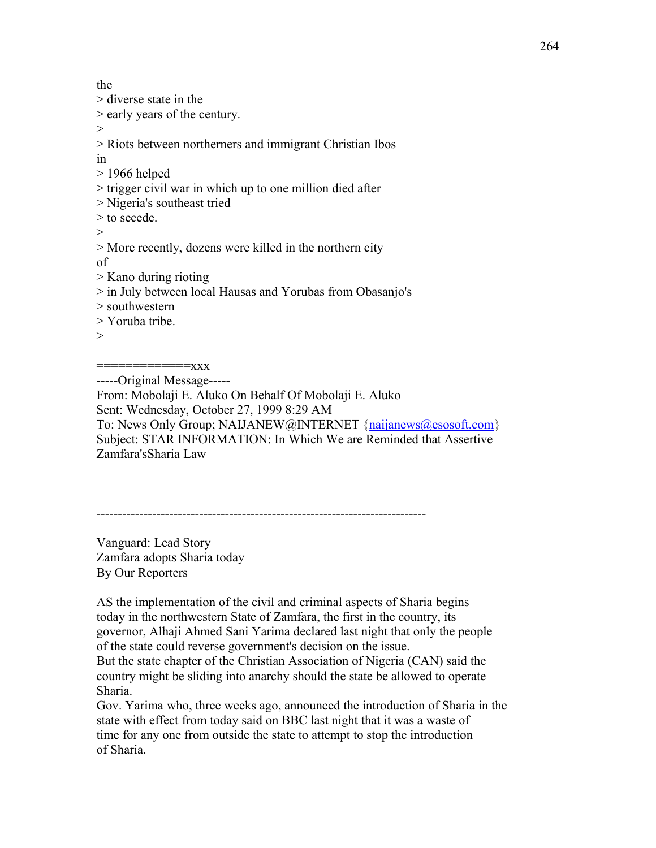the

> diverse state in the

> early years of the century.

 $>$ 

> Riots between northerners and immigrant Christian Ibos

in

> 1966 helped

> trigger civil war in which up to one million died after

> Nigeria's southeast tried

> to secede.

 $\mathbf{r}$ 

> More recently, dozens were killed in the northern city

of

> Kano during rioting

> in July between local Hausas and Yorubas from Obasanjo's

> southwestern

> Yoruba tribe.

 $>$ 

=============xxx

-----Original Message-----

From: Mobolaji E. Aluko On Behalf Of Mobolaji E. Aluko Sent: Wednesday, October 27, 1999 8:29 AM

To: News Only Group; NAIJANEW@INTERNET [{naijanews@esosoft.com}](mailto:naijanews@esosoft.com) Subject: STAR INFORMATION: In Which We are Reminded that Assertive Zamfara'sSharia Law

-----------------------------------------------------------------------------

Vanguard: Lead Story Zamfara adopts Sharia today By Our Reporters

AS the implementation of the civil and criminal aspects of Sharia begins today in the northwestern State of Zamfara, the first in the country, its governor, Alhaji Ahmed Sani Yarima declared last night that only the people of the state could reverse government's decision on the issue.

But the state chapter of the Christian Association of Nigeria (CAN) said the country might be sliding into anarchy should the state be allowed to operate Sharia.

Gov. Yarima who, three weeks ago, announced the introduction of Sharia in the state with effect from today said on BBC last night that it was a waste of time for any one from outside the state to attempt to stop the introduction of Sharia.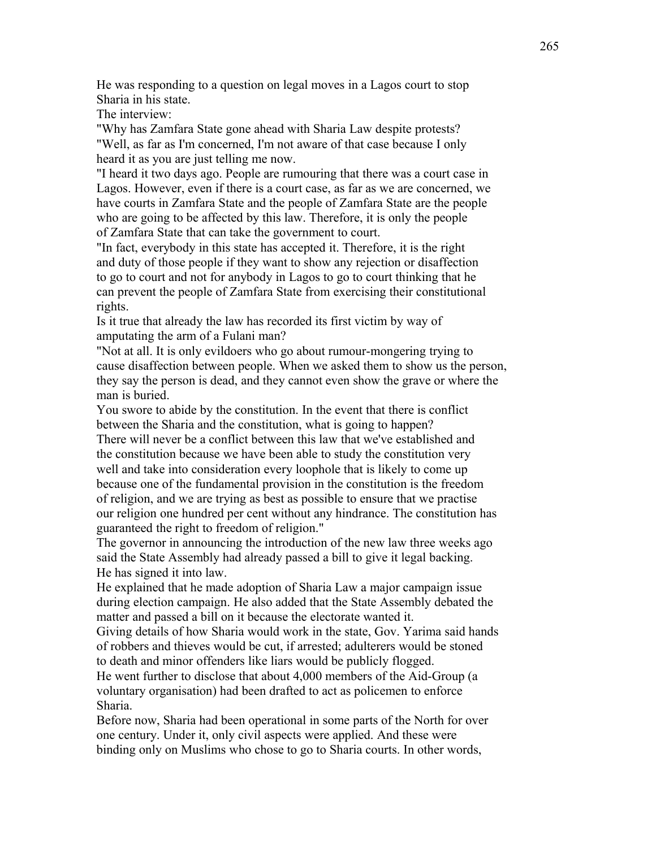He was responding to a question on legal moves in a Lagos court to stop Sharia in his state.

The interview:

"Why has Zamfara State gone ahead with Sharia Law despite protests? "Well, as far as I'm concerned, I'm not aware of that case because I only heard it as you are just telling me now.

"I heard it two days ago. People are rumouring that there was a court case in Lagos. However, even if there is a court case, as far as we are concerned, we have courts in Zamfara State and the people of Zamfara State are the people who are going to be affected by this law. Therefore, it is only the people of Zamfara State that can take the government to court.

"In fact, everybody in this state has accepted it. Therefore, it is the right and duty of those people if they want to show any rejection or disaffection to go to court and not for anybody in Lagos to go to court thinking that he can prevent the people of Zamfara State from exercising their constitutional rights.

Is it true that already the law has recorded its first victim by way of amputating the arm of a Fulani man?

"Not at all. It is only evildoers who go about rumour-mongering trying to cause disaffection between people. When we asked them to show us the person, they say the person is dead, and they cannot even show the grave or where the man is buried.

You swore to abide by the constitution. In the event that there is conflict between the Sharia and the constitution, what is going to happen? There will never be a conflict between this law that we've established and

the constitution because we have been able to study the constitution very well and take into consideration every loophole that is likely to come up because one of the fundamental provision in the constitution is the freedom of religion, and we are trying as best as possible to ensure that we practise our religion one hundred per cent without any hindrance. The constitution has guaranteed the right to freedom of religion."

The governor in announcing the introduction of the new law three weeks ago said the State Assembly had already passed a bill to give it legal backing. He has signed it into law.

He explained that he made adoption of Sharia Law a major campaign issue during election campaign. He also added that the State Assembly debated the matter and passed a bill on it because the electorate wanted it.

Giving details of how Sharia would work in the state, Gov. Yarima said hands of robbers and thieves would be cut, if arrested; adulterers would be stoned to death and minor offenders like liars would be publicly flogged.

He went further to disclose that about 4,000 members of the Aid-Group (a voluntary organisation) had been drafted to act as policemen to enforce Sharia.

Before now, Sharia had been operational in some parts of the North for over one century. Under it, only civil aspects were applied. And these were binding only on Muslims who chose to go to Sharia courts. In other words,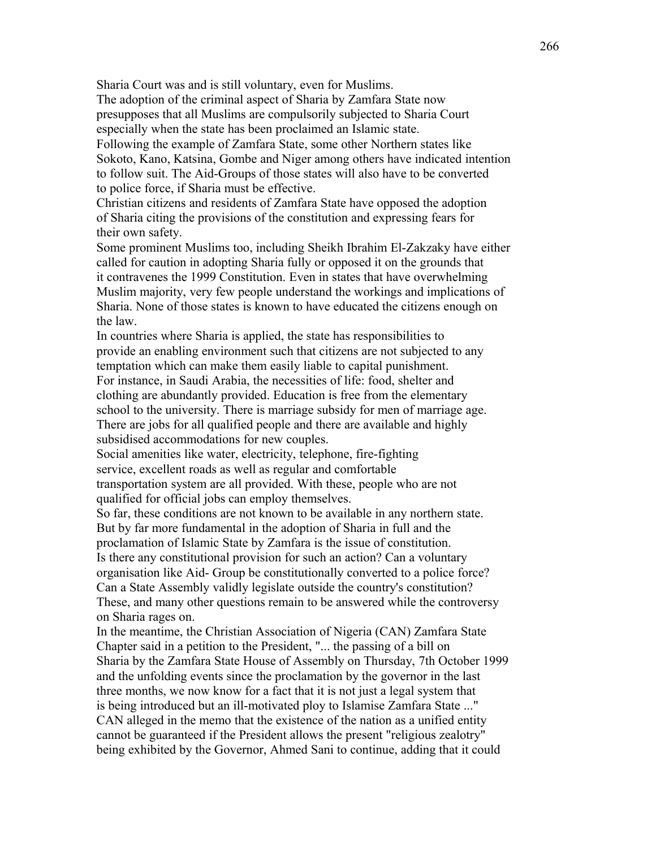Sharia Court was and is still voluntary, even for Muslims.

The adoption of the criminal aspect of Sharia by Zamfara State now presupposes that all Muslims are compulsorily subjected to Sharia Court especially when the state has been proclaimed an Islamic state. Following the example of Zamfara State, some other Northern states like Sokoto, Kano, Katsina, Gombe and Niger among others have indicated intention

to follow suit. The Aid-Groups of those states will also have to be converted to police force, if Sharia must be effective.

Christian citizens and residents of Zamfara State have opposed the adoption of Sharia citing the provisions of the constitution and expressing fears for their own safety.

Some prominent Muslims too, including Sheikh Ibrahim El-Zakzaky have either called for caution in adopting Sharia fully or opposed it on the grounds that it contravenes the 1999 Constitution. Even in states that have overwhelming Muslim majority, very few people understand the workings and implications of Sharia. None of those states is known to have educated the citizens enough on the law.

In countries where Sharia is applied, the state has responsibilities to provide an enabling environment such that citizens are not subjected to any temptation which can make them easily liable to capital punishment. For instance, in Saudi Arabia, the necessities of life: food, shelter and clothing are abundantly provided. Education is free from the elementary school to the university. There is marriage subsidy for men of marriage age. There are jobs for all qualified people and there are available and highly subsidised accommodations for new couples.

Social amenities like water, electricity, telephone, fire-fighting service, excellent roads as well as regular and comfortable transportation system are all provided. With these, people who are not qualified for official jobs can employ themselves.

So far, these conditions are not known to be available in any northern state. But by far more fundamental in the adoption of Sharia in full and the proclamation of Islamic State by Zamfara is the issue of constitution. Is there any constitutional provision for such an action? Can a voluntary organisation like Aid- Group be constitutionally converted to a police force? Can a State Assembly validly legislate outside the country's constitution? These, and many other questions remain to be answered while the controversy on Sharia rages on.

In the meantime, the Christian Association of Nigeria (CAN) Zamfara State Chapter said in a petition to the President, "... the passing of a bill on Sharia by the Zamfara State House of Assembly on Thursday, 7th October 1999 and the unfolding events since the proclamation by the governor in the last three months, we now know for a fact that it is not just a legal system that is being introduced but an ill-motivated ploy to Islamise Zamfara State ..." CAN alleged in the memo that the existence of the nation as a unified entity cannot be guaranteed if the President allows the present "religious zealotry" being exhibited by the Governor, Ahmed Sani to continue, adding that it could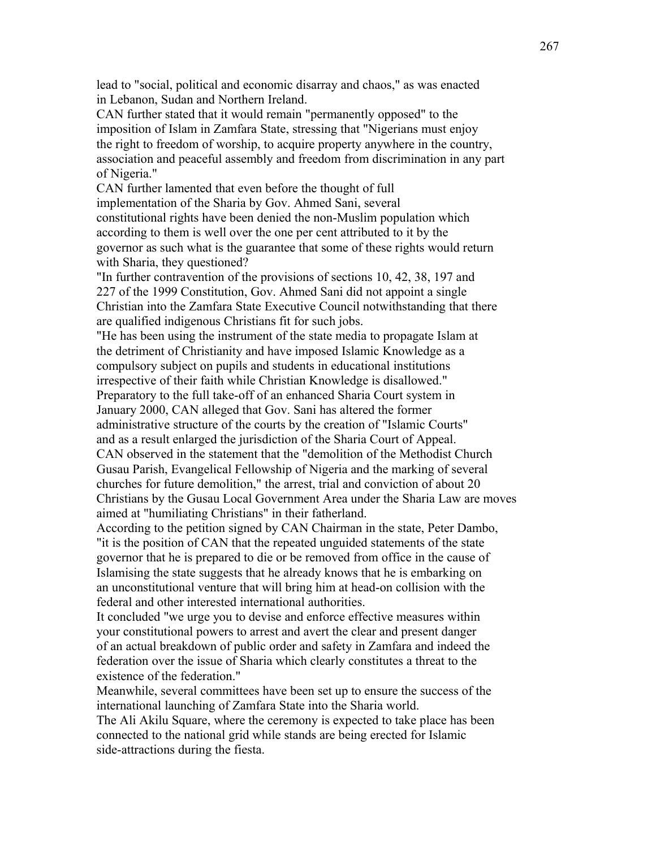lead to "social, political and economic disarray and chaos," as was enacted in Lebanon, Sudan and Northern Ireland.

CAN further stated that it would remain "permanently opposed" to the imposition of Islam in Zamfara State, stressing that "Nigerians must enjoy the right to freedom of worship, to acquire property anywhere in the country, association and peaceful assembly and freedom from discrimination in any part of Nigeria."

CAN further lamented that even before the thought of full implementation of the Sharia by Gov. Ahmed Sani, several constitutional rights have been denied the non-Muslim population which according to them is well over the one per cent attributed to it by the governor as such what is the guarantee that some of these rights would return with Sharia, they questioned?

"In further contravention of the provisions of sections 10, 42, 38, 197 and 227 of the 1999 Constitution, Gov. Ahmed Sani did not appoint a single Christian into the Zamfara State Executive Council notwithstanding that there are qualified indigenous Christians fit for such jobs.

"He has been using the instrument of the state media to propagate Islam at the detriment of Christianity and have imposed Islamic Knowledge as a compulsory subject on pupils and students in educational institutions irrespective of their faith while Christian Knowledge is disallowed." Preparatory to the full take-off of an enhanced Sharia Court system in January 2000, CAN alleged that Gov. Sani has altered the former administrative structure of the courts by the creation of "Islamic Courts" and as a result enlarged the jurisdiction of the Sharia Court of Appeal. CAN observed in the statement that the "demolition of the Methodist Church Gusau Parish, Evangelical Fellowship of Nigeria and the marking of several churches for future demolition," the arrest, trial and conviction of about 20 Christians by the Gusau Local Government Area under the Sharia Law are moves aimed at "humiliating Christians" in their fatherland.

According to the petition signed by CAN Chairman in the state, Peter Dambo, "it is the position of CAN that the repeated unguided statements of the state governor that he is prepared to die or be removed from office in the cause of Islamising the state suggests that he already knows that he is embarking on an unconstitutional venture that will bring him at head-on collision with the federal and other interested international authorities.

It concluded "we urge you to devise and enforce effective measures within your constitutional powers to arrest and avert the clear and present danger of an actual breakdown of public order and safety in Zamfara and indeed the federation over the issue of Sharia which clearly constitutes a threat to the existence of the federation."

Meanwhile, several committees have been set up to ensure the success of the international launching of Zamfara State into the Sharia world.

The Ali Akilu Square, where the ceremony is expected to take place has been connected to the national grid while stands are being erected for Islamic side-attractions during the fiesta.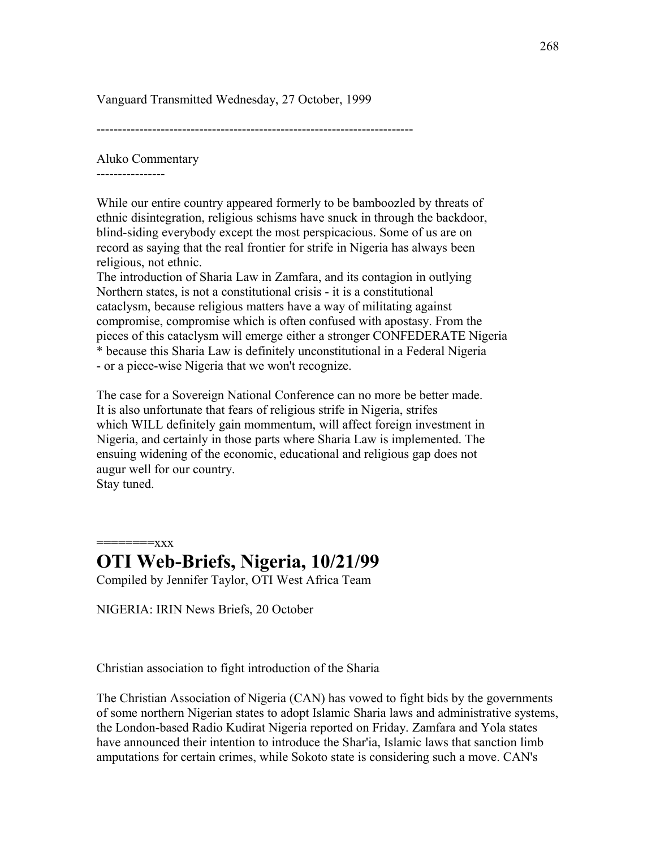Vanguard Transmitted Wednesday, 27 October, 1999

--------------------------------------------------------------------------

Aluko Commentary ----------------

While our entire country appeared formerly to be bamboozled by threats of ethnic disintegration, religious schisms have snuck in through the backdoor, blind-siding everybody except the most perspicacious. Some of us are on record as saying that the real frontier for strife in Nigeria has always been religious, not ethnic.

The introduction of Sharia Law in Zamfara, and its contagion in outlying Northern states, is not a constitutional crisis - it is a constitutional cataclysm, because religious matters have a way of militating against compromise, compromise which is often confused with apostasy. From the pieces of this cataclysm will emerge either a stronger CONFEDERATE Nigeria \* because this Sharia Law is definitely unconstitutional in a Federal Nigeria

- or a piece-wise Nigeria that we won't recognize.

The case for a Sovereign National Conference can no more be better made. It is also unfortunate that fears of religious strife in Nigeria, strifes which WILL definitely gain mommentum, will affect foreign investment in Nigeria, and certainly in those parts where Sharia Law is implemented. The ensuing widening of the economic, educational and religious gap does not augur well for our country.

Stay tuned.

 $=$  $=$  $x$  $x$  $x$ 

# **OTI Web-Briefs, Nigeria, 10/21/99**

Compiled by Jennifer Taylor, OTI West Africa Team

NIGERIA: IRIN News Briefs, 20 October

Christian association to fight introduction of the Sharia

The Christian Association of Nigeria (CAN) has vowed to fight bids by the governments of some northern Nigerian states to adopt Islamic Sharia laws and administrative systems, the London-based Radio Kudirat Nigeria reported on Friday. Zamfara and Yola states have announced their intention to introduce the Shar'ia, Islamic laws that sanction limb amputations for certain crimes, while Sokoto state is considering such a move. CAN's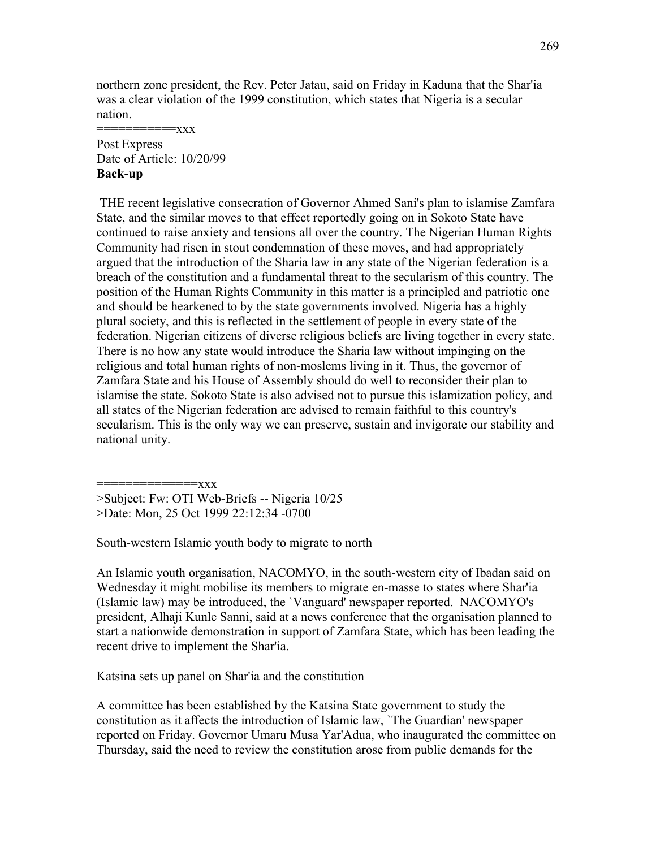northern zone president, the Rev. Peter Jatau, said on Friday in Kaduna that the Shar'ia was a clear violation of the 1999 constitution, which states that Nigeria is a secular nation.

===========xxx

Post Express Date of Article: 10/20/99 **Back-up**

 THE recent legislative consecration of Governor Ahmed Sani's plan to islamise Zamfara State, and the similar moves to that effect reportedly going on in Sokoto State have continued to raise anxiety and tensions all over the country. The Nigerian Human Rights Community had risen in stout condemnation of these moves, and had appropriately argued that the introduction of the Sharia law in any state of the Nigerian federation is a breach of the constitution and a fundamental threat to the secularism of this country. The position of the Human Rights Community in this matter is a principled and patriotic one and should be hearkened to by the state governments involved. Nigeria has a highly plural society, and this is reflected in the settlement of people in every state of the federation. Nigerian citizens of diverse religious beliefs are living together in every state. There is no how any state would introduce the Sharia law without impinging on the religious and total human rights of non-moslems living in it. Thus, the governor of Zamfara State and his House of Assembly should do well to reconsider their plan to islamise the state. Sokoto State is also advised not to pursue this islamization policy, and all states of the Nigerian federation are advised to remain faithful to this country's secularism. This is the only way we can preserve, sustain and invigorate our stability and national unity.

==============xxx >Subject: Fw: OTI Web-Briefs -- Nigeria 10/25 >Date: Mon, 25 Oct 1999 22:12:34 -0700

South-western Islamic youth body to migrate to north

An Islamic youth organisation, NACOMYO, in the south-western city of Ibadan said on Wednesday it might mobilise its members to migrate en-masse to states where Shar'ia (Islamic law) may be introduced, the `Vanguard' newspaper reported. NACOMYO's president, Alhaji Kunle Sanni, said at a news conference that the organisation planned to start a nationwide demonstration in support of Zamfara State, which has been leading the recent drive to implement the Shar'ia.

Katsina sets up panel on Shar'ia and the constitution

A committee has been established by the Katsina State government to study the constitution as it affects the introduction of Islamic law, `The Guardian' newspaper reported on Friday. Governor Umaru Musa Yar'Adua, who inaugurated the committee on Thursday, said the need to review the constitution arose from public demands for the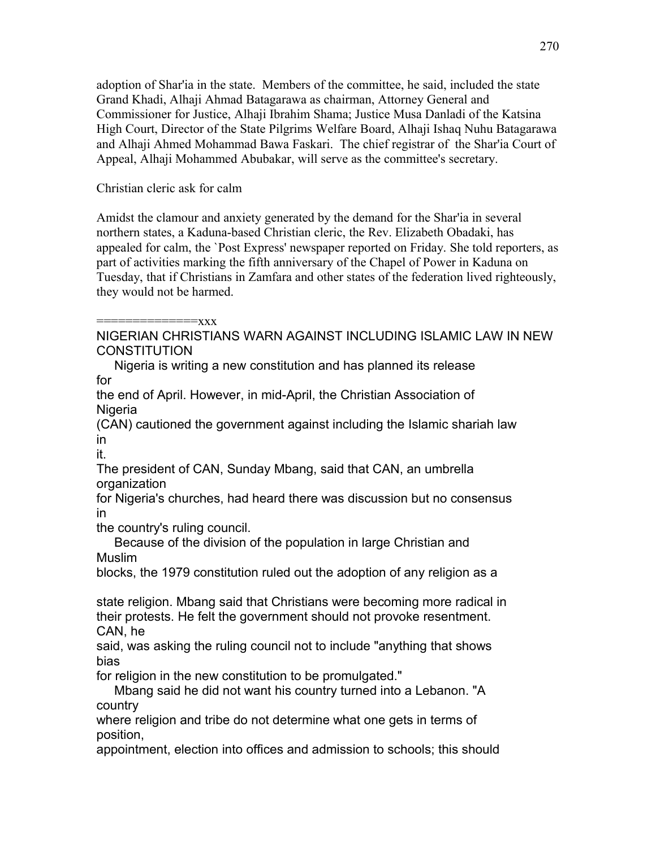adoption of Shar'ia in the state. Members of the committee, he said, included the state Grand Khadi, Alhaji Ahmad Batagarawa as chairman, Attorney General and Commissioner for Justice, Alhaji Ibrahim Shama; Justice Musa Danladi of the Katsina High Court, Director of the State Pilgrims Welfare Board, Alhaji Ishaq Nuhu Batagarawa and Alhaji Ahmed Mohammad Bawa Faskari. The chief registrar of the Shar'ia Court of Appeal, Alhaji Mohammed Abubakar, will serve as the committee's secretary.

Christian cleric ask for calm

Amidst the clamour and anxiety generated by the demand for the Shar'ia in several northern states, a Kaduna-based Christian cleric, the Rev. Elizabeth Obadaki, has appealed for calm, the `Post Express' newspaper reported on Friday. She told reporters, as part of activities marking the fifth anniversary of the Chapel of Power in Kaduna on Tuesday, that if Christians in Zamfara and other states of the federation lived righteously, they would not be harmed.

## $=$  $=$  $xxx$

NIGERIAN CHRISTIANS WARN AGAINST INCLUDING ISLAMIC LAW IN NEW **CONSTITUTION** 

 Nigeria is writing a new constitution and has planned its release for

the end of April. However, in mid-April, the Christian Association of **Nigeria** 

(CAN) cautioned the government against including the Islamic shariah law in

it.

The president of CAN, Sunday Mbang, said that CAN, an umbrella organization

for Nigeria's churches, had heard there was discussion but no consensus in

the country's ruling council.

 Because of the division of the population in large Christian and Muslim

blocks, the 1979 constitution ruled out the adoption of any religion as a

state religion. Mbang said that Christians were becoming more radical in their protests. He felt the government should not provoke resentment. CAN, he

said, was asking the ruling council not to include "anything that shows bias

for religion in the new constitution to be promulgated."

 Mbang said he did not want his country turned into a Lebanon. "A country

where religion and tribe do not determine what one gets in terms of position,

appointment, election into offices and admission to schools; this should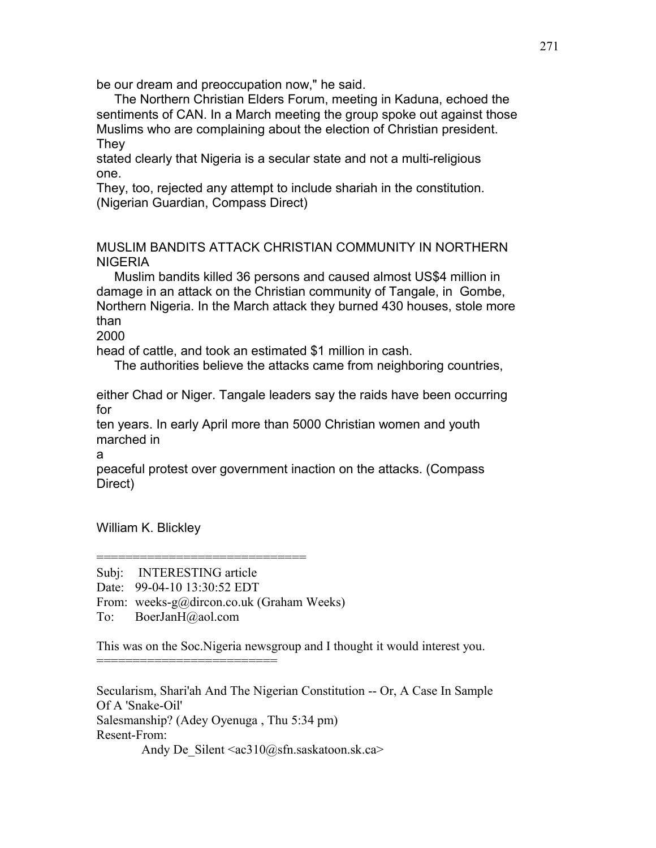be our dream and preoccupation now," he said.

 The Northern Christian Elders Forum, meeting in Kaduna, echoed the sentiments of CAN. In a March meeting the group spoke out against those Muslims who are complaining about the election of Christian president. They

stated clearly that Nigeria is a secular state and not a multi-religious one.

They, too, rejected any attempt to include shariah in the constitution. (Nigerian Guardian, Compass Direct)

MUSLIM BANDITS ATTACK CHRISTIAN COMMUNITY IN NORTHERN NIGERIA

 Muslim bandits killed 36 persons and caused almost US\$4 million in damage in an attack on the Christian community of Tangale, in Gombe, Northern Nigeria. In the March attack they burned 430 houses, stole more than

2000

head of cattle, and took an estimated \$1 million in cash.

The authorities believe the attacks came from neighboring countries,

either Chad or Niger. Tangale leaders say the raids have been occurring for

ten years. In early April more than 5000 Christian women and youth marched in

a

peaceful protest over government inaction on the attacks. (Compass Direct)

William K. Blickley

============================= Subj: INTERESTING article

Date: 99-04-10 13:30:52 EDT

==============================

From: weeks-g@dircon.co.uk (Graham Weeks)

To: BoerJanH@aol.com

This was on the Soc.Nigeria newsgroup and I thought it would interest you.

Secularism, Shari'ah And The Nigerian Constitution -- Or, A Case In Sample Of A 'Snake-Oil' Salesmanship? (Adey Oyenuga , Thu 5:34 pm) Resent-From: Andy De Silent  $\langle ac310@sfn.saskatoon..sk.ca \rangle$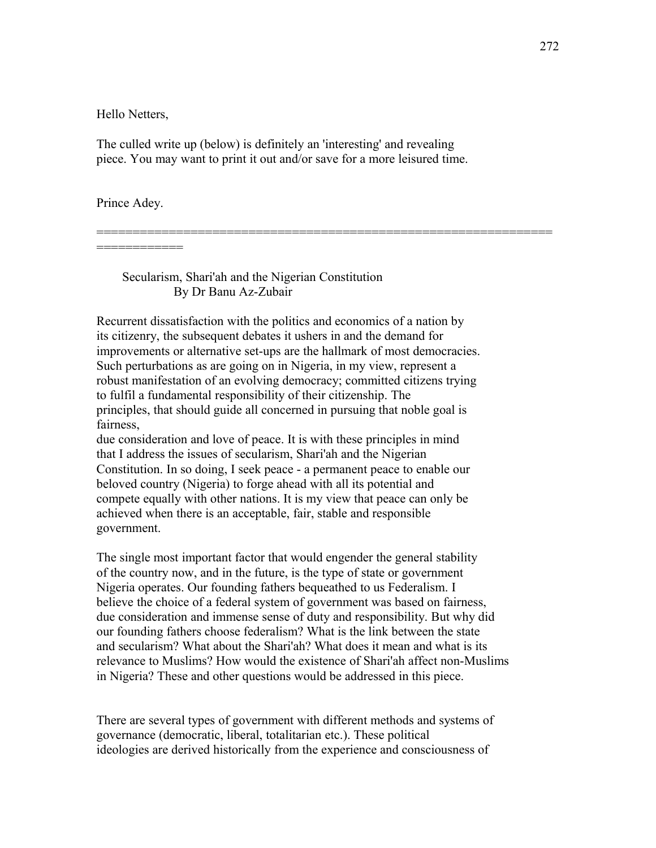Hello Netters,

The culled write up (below) is definitely an 'interesting' and revealing piece. You may want to print it out and/or save for a more leisured time.

===============================================================

Prince Adey.

============

 Secularism, Shari'ah and the Nigerian Constitution By Dr Banu Az-Zubair

Recurrent dissatisfaction with the politics and economics of a nation by its citizenry, the subsequent debates it ushers in and the demand for improvements or alternative set-ups are the hallmark of most democracies. Such perturbations as are going on in Nigeria, in my view, represent a robust manifestation of an evolving democracy; committed citizens trying to fulfil a fundamental responsibility of their citizenship. The principles, that should guide all concerned in pursuing that noble goal is fairness,

due consideration and love of peace. It is with these principles in mind that I address the issues of secularism, Shari'ah and the Nigerian Constitution. In so doing, I seek peace - a permanent peace to enable our beloved country (Nigeria) to forge ahead with all its potential and compete equally with other nations. It is my view that peace can only be achieved when there is an acceptable, fair, stable and responsible government.

The single most important factor that would engender the general stability of the country now, and in the future, is the type of state or government Nigeria operates. Our founding fathers bequeathed to us Federalism. I believe the choice of a federal system of government was based on fairness, due consideration and immense sense of duty and responsibility. But why did our founding fathers choose federalism? What is the link between the state and secularism? What about the Shari'ah? What does it mean and what is its relevance to Muslims? How would the existence of Shari'ah affect non-Muslims in Nigeria? These and other questions would be addressed in this piece.

There are several types of government with different methods and systems of governance (democratic, liberal, totalitarian etc.). These political ideologies are derived historically from the experience and consciousness of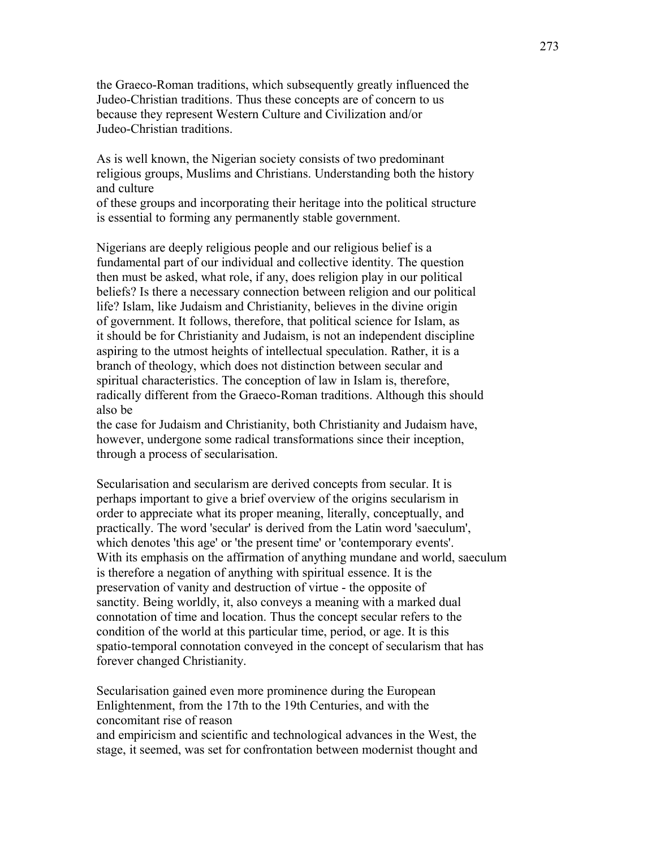the Graeco-Roman traditions, which subsequently greatly influenced the Judeo-Christian traditions. Thus these concepts are of concern to us because they represent Western Culture and Civilization and/or Judeo-Christian traditions.

As is well known, the Nigerian society consists of two predominant religious groups, Muslims and Christians. Understanding both the history and culture

of these groups and incorporating their heritage into the political structure is essential to forming any permanently stable government.

Nigerians are deeply religious people and our religious belief is a fundamental part of our individual and collective identity. The question then must be asked, what role, if any, does religion play in our political beliefs? Is there a necessary connection between religion and our political life? Islam, like Judaism and Christianity, believes in the divine origin of government. It follows, therefore, that political science for Islam, as it should be for Christianity and Judaism, is not an independent discipline aspiring to the utmost heights of intellectual speculation. Rather, it is a branch of theology, which does not distinction between secular and spiritual characteristics. The conception of law in Islam is, therefore, radically different from the Graeco-Roman traditions. Although this should also be

the case for Judaism and Christianity, both Christianity and Judaism have, however, undergone some radical transformations since their inception, through a process of secularisation.

Secularisation and secularism are derived concepts from secular. It is perhaps important to give a brief overview of the origins secularism in order to appreciate what its proper meaning, literally, conceptually, and practically. The word 'secular' is derived from the Latin word 'saeculum', which denotes 'this age' or 'the present time' or 'contemporary events'. With its emphasis on the affirmation of anything mundane and world, saeculum is therefore a negation of anything with spiritual essence. It is the preservation of vanity and destruction of virtue - the opposite of sanctity. Being worldly, it, also conveys a meaning with a marked dual connotation of time and location. Thus the concept secular refers to the condition of the world at this particular time, period, or age. It is this spatio-temporal connotation conveyed in the concept of secularism that has forever changed Christianity.

Secularisation gained even more prominence during the European Enlightenment, from the 17th to the 19th Centuries, and with the concomitant rise of reason

and empiricism and scientific and technological advances in the West, the stage, it seemed, was set for confrontation between modernist thought and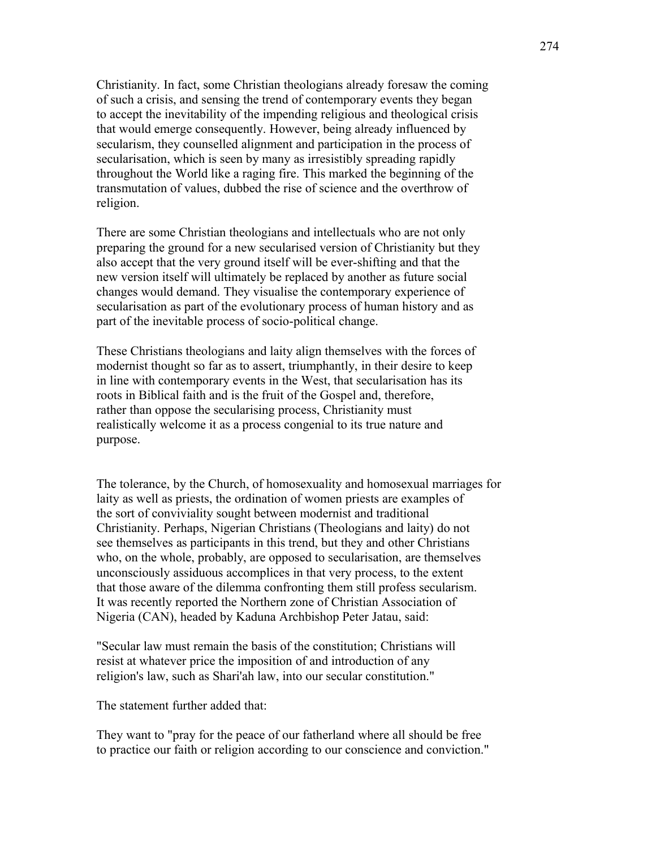Christianity. In fact, some Christian theologians already foresaw the coming of such a crisis, and sensing the trend of contemporary events they began to accept the inevitability of the impending religious and theological crisis that would emerge consequently. However, being already influenced by secularism, they counselled alignment and participation in the process of secularisation, which is seen by many as irresistibly spreading rapidly throughout the World like a raging fire. This marked the beginning of the transmutation of values, dubbed the rise of science and the overthrow of religion.

There are some Christian theologians and intellectuals who are not only preparing the ground for a new secularised version of Christianity but they also accept that the very ground itself will be ever-shifting and that the new version itself will ultimately be replaced by another as future social changes would demand. They visualise the contemporary experience of secularisation as part of the evolutionary process of human history and as part of the inevitable process of socio-political change.

These Christians theologians and laity align themselves with the forces of modernist thought so far as to assert, triumphantly, in their desire to keep in line with contemporary events in the West, that secularisation has its roots in Biblical faith and is the fruit of the Gospel and, therefore, rather than oppose the secularising process, Christianity must realistically welcome it as a process congenial to its true nature and purpose.

The tolerance, by the Church, of homosexuality and homosexual marriages for laity as well as priests, the ordination of women priests are examples of the sort of conviviality sought between modernist and traditional Christianity. Perhaps, Nigerian Christians (Theologians and laity) do not see themselves as participants in this trend, but they and other Christians who, on the whole, probably, are opposed to secularisation, are themselves unconsciously assiduous accomplices in that very process, to the extent that those aware of the dilemma confronting them still profess secularism. It was recently reported the Northern zone of Christian Association of Nigeria (CAN), headed by Kaduna Archbishop Peter Jatau, said:

"Secular law must remain the basis of the constitution; Christians will resist at whatever price the imposition of and introduction of any religion's law, such as Shari'ah law, into our secular constitution."

The statement further added that:

They want to "pray for the peace of our fatherland where all should be free to practice our faith or religion according to our conscience and conviction."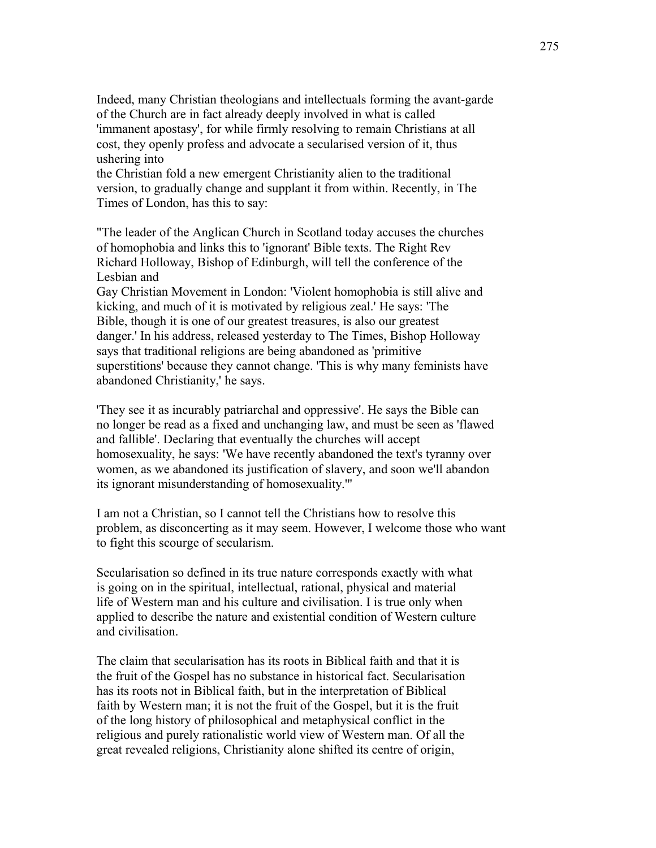Indeed, many Christian theologians and intellectuals forming the avant-garde of the Church are in fact already deeply involved in what is called 'immanent apostasy', for while firmly resolving to remain Christians at all cost, they openly profess and advocate a secularised version of it, thus ushering into

the Christian fold a new emergent Christianity alien to the traditional version, to gradually change and supplant it from within. Recently, in The Times of London, has this to say:

"The leader of the Anglican Church in Scotland today accuses the churches of homophobia and links this to 'ignorant' Bible texts. The Right Rev Richard Holloway, Bishop of Edinburgh, will tell the conference of the Lesbian and

Gay Christian Movement in London: 'Violent homophobia is still alive and kicking, and much of it is motivated by religious zeal.' He says: 'The Bible, though it is one of our greatest treasures, is also our greatest danger.' In his address, released yesterday to The Times, Bishop Holloway says that traditional religions are being abandoned as 'primitive superstitions' because they cannot change. 'This is why many feminists have abandoned Christianity,' he says.

'They see it as incurably patriarchal and oppressive'. He says the Bible can no longer be read as a fixed and unchanging law, and must be seen as 'flawed and fallible'. Declaring that eventually the churches will accept homosexuality, he says: 'We have recently abandoned the text's tyranny over women, as we abandoned its justification of slavery, and soon we'll abandon its ignorant misunderstanding of homosexuality.'"

I am not a Christian, so I cannot tell the Christians how to resolve this problem, as disconcerting as it may seem. However, I welcome those who want to fight this scourge of secularism.

Secularisation so defined in its true nature corresponds exactly with what is going on in the spiritual, intellectual, rational, physical and material life of Western man and his culture and civilisation. I is true only when applied to describe the nature and existential condition of Western culture and civilisation.

The claim that secularisation has its roots in Biblical faith and that it is the fruit of the Gospel has no substance in historical fact. Secularisation has its roots not in Biblical faith, but in the interpretation of Biblical faith by Western man; it is not the fruit of the Gospel, but it is the fruit of the long history of philosophical and metaphysical conflict in the religious and purely rationalistic world view of Western man. Of all the great revealed religions, Christianity alone shifted its centre of origin,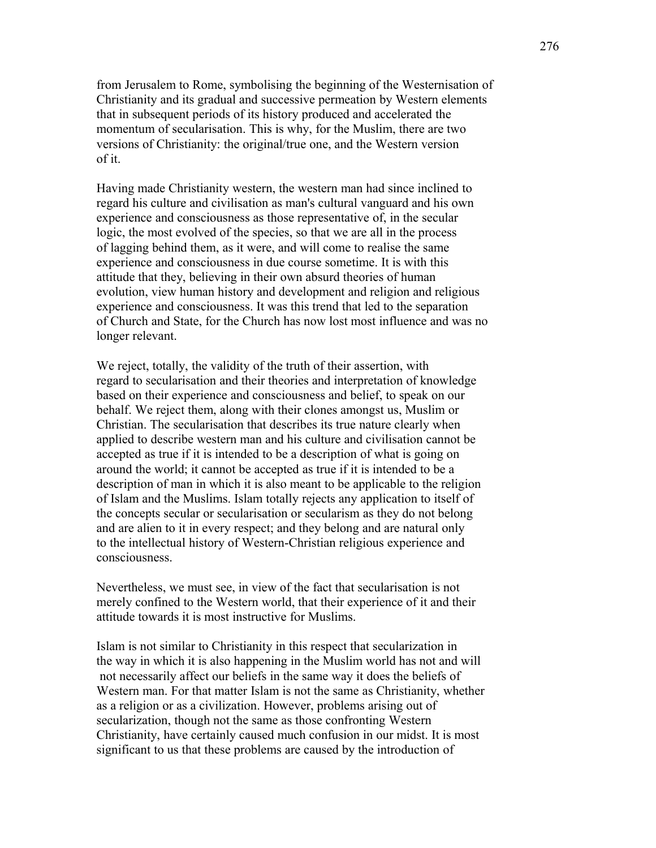from Jerusalem to Rome, symbolising the beginning of the Westernisation of Christianity and its gradual and successive permeation by Western elements that in subsequent periods of its history produced and accelerated the momentum of secularisation. This is why, for the Muslim, there are two versions of Christianity: the original/true one, and the Western version of it.

Having made Christianity western, the western man had since inclined to regard his culture and civilisation as man's cultural vanguard and his own experience and consciousness as those representative of, in the secular logic, the most evolved of the species, so that we are all in the process of lagging behind them, as it were, and will come to realise the same experience and consciousness in due course sometime. It is with this attitude that they, believing in their own absurd theories of human evolution, view human history and development and religion and religious experience and consciousness. It was this trend that led to the separation of Church and State, for the Church has now lost most influence and was no longer relevant.

We reject, totally, the validity of the truth of their assertion, with regard to secularisation and their theories and interpretation of knowledge based on their experience and consciousness and belief, to speak on our behalf. We reject them, along with their clones amongst us, Muslim or Christian. The secularisation that describes its true nature clearly when applied to describe western man and his culture and civilisation cannot be accepted as true if it is intended to be a description of what is going on around the world; it cannot be accepted as true if it is intended to be a description of man in which it is also meant to be applicable to the religion of Islam and the Muslims. Islam totally rejects any application to itself of the concepts secular or secularisation or secularism as they do not belong and are alien to it in every respect; and they belong and are natural only to the intellectual history of Western-Christian religious experience and consciousness.

Nevertheless, we must see, in view of the fact that secularisation is not merely confined to the Western world, that their experience of it and their attitude towards it is most instructive for Muslims.

Islam is not similar to Christianity in this respect that secularization in the way in which it is also happening in the Muslim world has not and will not necessarily affect our beliefs in the same way it does the beliefs of Western man. For that matter Islam is not the same as Christianity, whether as a religion or as a civilization. However, problems arising out of secularization, though not the same as those confronting Western Christianity, have certainly caused much confusion in our midst. It is most significant to us that these problems are caused by the introduction of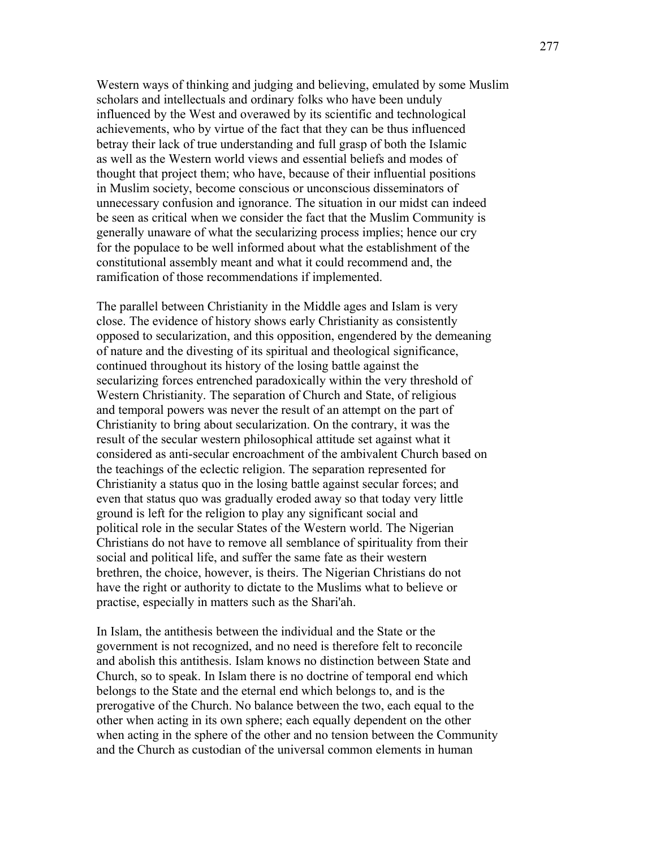Western ways of thinking and judging and believing, emulated by some Muslim scholars and intellectuals and ordinary folks who have been unduly influenced by the West and overawed by its scientific and technological achievements, who by virtue of the fact that they can be thus influenced betray their lack of true understanding and full grasp of both the Islamic as well as the Western world views and essential beliefs and modes of thought that project them; who have, because of their influential positions in Muslim society, become conscious or unconscious disseminators of unnecessary confusion and ignorance. The situation in our midst can indeed be seen as critical when we consider the fact that the Muslim Community is generally unaware of what the secularizing process implies; hence our cry for the populace to be well informed about what the establishment of the constitutional assembly meant and what it could recommend and, the ramification of those recommendations if implemented.

The parallel between Christianity in the Middle ages and Islam is very close. The evidence of history shows early Christianity as consistently opposed to secularization, and this opposition, engendered by the demeaning of nature and the divesting of its spiritual and theological significance, continued throughout its history of the losing battle against the secularizing forces entrenched paradoxically within the very threshold of Western Christianity. The separation of Church and State, of religious and temporal powers was never the result of an attempt on the part of Christianity to bring about secularization. On the contrary, it was the result of the secular western philosophical attitude set against what it considered as anti-secular encroachment of the ambivalent Church based on the teachings of the eclectic religion. The separation represented for Christianity a status quo in the losing battle against secular forces; and even that status quo was gradually eroded away so that today very little ground is left for the religion to play any significant social and political role in the secular States of the Western world. The Nigerian Christians do not have to remove all semblance of spirituality from their social and political life, and suffer the same fate as their western brethren, the choice, however, is theirs. The Nigerian Christians do not have the right or authority to dictate to the Muslims what to believe or practise, especially in matters such as the Shari'ah.

In Islam, the antithesis between the individual and the State or the government is not recognized, and no need is therefore felt to reconcile and abolish this antithesis. Islam knows no distinction between State and Church, so to speak. In Islam there is no doctrine of temporal end which belongs to the State and the eternal end which belongs to, and is the prerogative of the Church. No balance between the two, each equal to the other when acting in its own sphere; each equally dependent on the other when acting in the sphere of the other and no tension between the Community and the Church as custodian of the universal common elements in human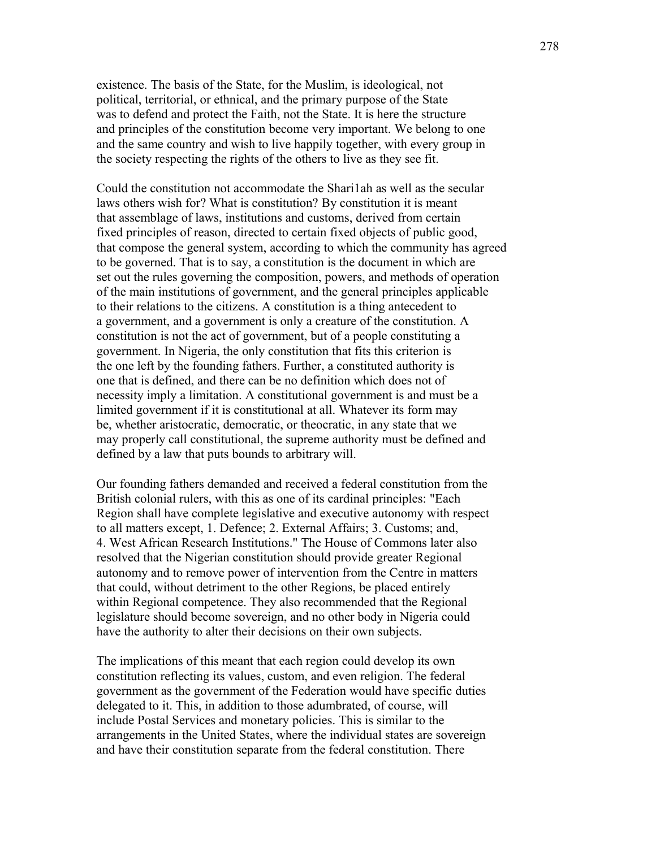existence. The basis of the State, for the Muslim, is ideological, not political, territorial, or ethnical, and the primary purpose of the State was to defend and protect the Faith, not the State. It is here the structure and principles of the constitution become very important. We belong to one and the same country and wish to live happily together, with every group in the society respecting the rights of the others to live as they see fit.

Could the constitution not accommodate the Shari1ah as well as the secular laws others wish for? What is constitution? By constitution it is meant that assemblage of laws, institutions and customs, derived from certain fixed principles of reason, directed to certain fixed objects of public good, that compose the general system, according to which the community has agreed to be governed. That is to say, a constitution is the document in which are set out the rules governing the composition, powers, and methods of operation of the main institutions of government, and the general principles applicable to their relations to the citizens. A constitution is a thing antecedent to a government, and a government is only a creature of the constitution. A constitution is not the act of government, but of a people constituting a government. In Nigeria, the only constitution that fits this criterion is the one left by the founding fathers. Further, a constituted authority is one that is defined, and there can be no definition which does not of necessity imply a limitation. A constitutional government is and must be a limited government if it is constitutional at all. Whatever its form may be, whether aristocratic, democratic, or theocratic, in any state that we may properly call constitutional, the supreme authority must be defined and defined by a law that puts bounds to arbitrary will.

Our founding fathers demanded and received a federal constitution from the British colonial rulers, with this as one of its cardinal principles: "Each Region shall have complete legislative and executive autonomy with respect to all matters except, 1. Defence; 2. External Affairs; 3. Customs; and, 4. West African Research Institutions." The House of Commons later also resolved that the Nigerian constitution should provide greater Regional autonomy and to remove power of intervention from the Centre in matters that could, without detriment to the other Regions, be placed entirely within Regional competence. They also recommended that the Regional legislature should become sovereign, and no other body in Nigeria could have the authority to alter their decisions on their own subjects.

The implications of this meant that each region could develop its own constitution reflecting its values, custom, and even religion. The federal government as the government of the Federation would have specific duties delegated to it. This, in addition to those adumbrated, of course, will include Postal Services and monetary policies. This is similar to the arrangements in the United States, where the individual states are sovereign and have their constitution separate from the federal constitution. There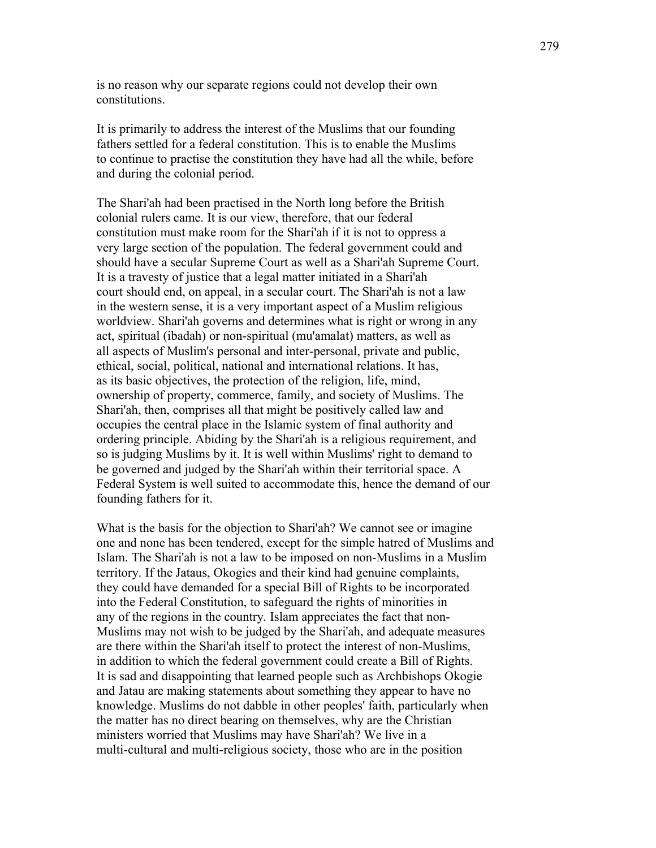is no reason why our separate regions could not develop their own constitutions.

It is primarily to address the interest of the Muslims that our founding fathers settled for a federal constitution. This is to enable the Muslims to continue to practise the constitution they have had all the while, before and during the colonial period.

The Shari'ah had been practised in the North long before the British colonial rulers came. It is our view, therefore, that our federal constitution must make room for the Shari'ah if it is not to oppress a very large section of the population. The federal government could and should have a secular Supreme Court as well as a Shari'ah Supreme Court. It is a travesty of justice that a legal matter initiated in a Shari'ah court should end, on appeal, in a secular court. The Shari'ah is not a law in the western sense, it is a very important aspect of a Muslim religious worldview. Shari'ah governs and determines what is right or wrong in any act, spiritual (ibadah) or non-spiritual (mu'amalat) matters, as well as all aspects of Muslim's personal and inter-personal, private and public, ethical, social, political, national and international relations. It has, as its basic objectives, the protection of the religion, life, mind, ownership of property, commerce, family, and society of Muslims. The Shari'ah, then, comprises all that might be positively called law and occupies the central place in the Islamic system of final authority and ordering principle. Abiding by the Shari'ah is a religious requirement, and so is judging Muslims by it. It is well within Muslims' right to demand to be governed and judged by the Shari'ah within their territorial space. A Federal System is well suited to accommodate this, hence the demand of our founding fathers for it.

What is the basis for the objection to Shari'ah? We cannot see or imagine one and none has been tendered, except for the simple hatred of Muslims and Islam. The Shari'ah is not a law to be imposed on non-Muslims in a Muslim territory. If the Jataus, Okogies and their kind had genuine complaints, they could have demanded for a special Bill of Rights to be incorporated into the Federal Constitution, to safeguard the rights of minorities in any of the regions in the country. Islam appreciates the fact that non-Muslims may not wish to be judged by the Shari'ah, and adequate measures are there within the Shari'ah itself to protect the interest of non-Muslims, in addition to which the federal government could create a Bill of Rights. It is sad and disappointing that learned people such as Archbishops Okogie and Jatau are making statements about something they appear to have no knowledge. Muslims do not dabble in other peoples' faith, particularly when the matter has no direct bearing on themselves, why are the Christian ministers worried that Muslims may have Shari'ah? We live in a multi-cultural and multi-religious society, those who are in the position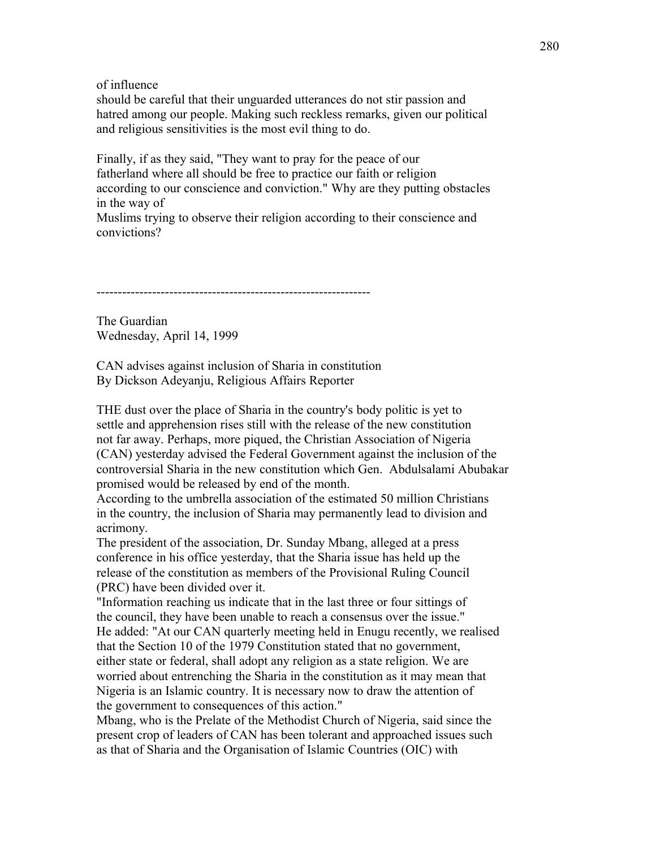of influence

should be careful that their unguarded utterances do not stir passion and hatred among our people. Making such reckless remarks, given our political and religious sensitivities is the most evil thing to do.

Finally, if as they said, "They want to pray for the peace of our fatherland where all should be free to practice our faith or religion according to our conscience and conviction." Why are they putting obstacles in the way of

Muslims trying to observe their religion according to their conscience and convictions?

----------------------------------------------------------------

The Guardian Wednesday, April 14, 1999

CAN advises against inclusion of Sharia in constitution By Dickson Adeyanju, Religious Affairs Reporter

THE dust over the place of Sharia in the country's body politic is yet to settle and apprehension rises still with the release of the new constitution not far away. Perhaps, more piqued, the Christian Association of Nigeria (CAN) yesterday advised the Federal Government against the inclusion of the controversial Sharia in the new constitution which Gen. Abdulsalami Abubakar promised would be released by end of the month.

According to the umbrella association of the estimated 50 million Christians in the country, the inclusion of Sharia may permanently lead to division and acrimony.

The president of the association, Dr. Sunday Mbang, alleged at a press conference in his office yesterday, that the Sharia issue has held up the release of the constitution as members of the Provisional Ruling Council (PRC) have been divided over it.

"Information reaching us indicate that in the last three or four sittings of the council, they have been unable to reach a consensus over the issue." He added: "At our CAN quarterly meeting held in Enugu recently, we realised that the Section 10 of the 1979 Constitution stated that no government, either state or federal, shall adopt any religion as a state religion. We are worried about entrenching the Sharia in the constitution as it may mean that Nigeria is an Islamic country. It is necessary now to draw the attention of the government to consequences of this action."

Mbang, who is the Prelate of the Methodist Church of Nigeria, said since the present crop of leaders of CAN has been tolerant and approached issues such as that of Sharia and the Organisation of Islamic Countries (OIC) with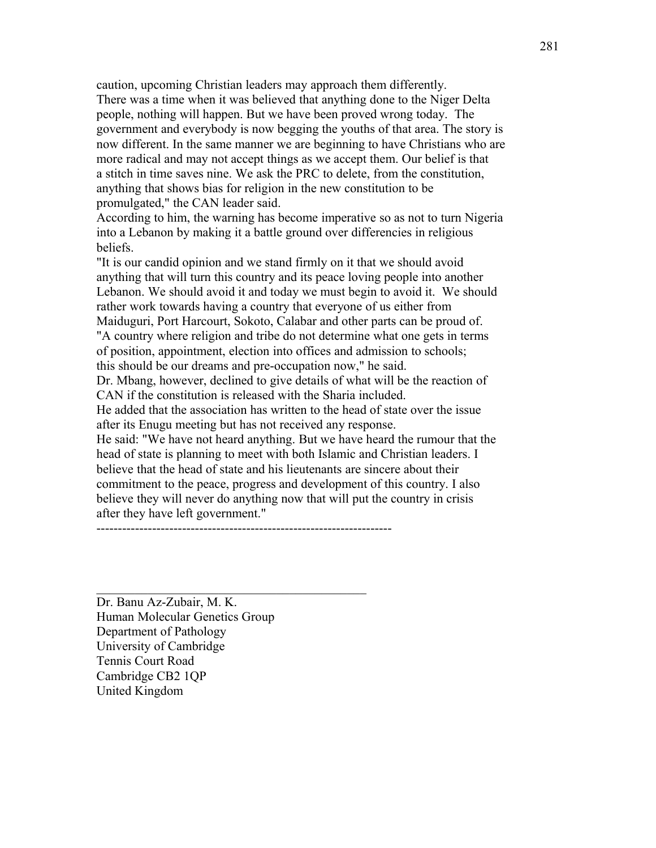caution, upcoming Christian leaders may approach them differently. There was a time when it was believed that anything done to the Niger Delta people, nothing will happen. But we have been proved wrong today. The government and everybody is now begging the youths of that area. The story is now different. In the same manner we are beginning to have Christians who are more radical and may not accept things as we accept them. Our belief is that a stitch in time saves nine. We ask the PRC to delete, from the constitution, anything that shows bias for religion in the new constitution to be promulgated," the CAN leader said.

According to him, the warning has become imperative so as not to turn Nigeria into a Lebanon by making it a battle ground over differencies in religious beliefs.

"It is our candid opinion and we stand firmly on it that we should avoid anything that will turn this country and its peace loving people into another Lebanon. We should avoid it and today we must begin to avoid it. We should rather work towards having a country that everyone of us either from Maiduguri, Port Harcourt, Sokoto, Calabar and other parts can be proud of. "A country where religion and tribe do not determine what one gets in terms of position, appointment, election into offices and admission to schools; this should be our dreams and pre-occupation now," he said.

Dr. Mbang, however, declined to give details of what will be the reaction of CAN if the constitution is released with the Sharia included.

He added that the association has written to the head of state over the issue after its Enugu meeting but has not received any response.

He said: "We have not heard anything. But we have heard the rumour that the head of state is planning to meet with both Islamic and Christian leaders. I believe that the head of state and his lieutenants are sincere about their commitment to the peace, progress and development of this country. I also believe they will never do anything now that will put the country in crisis after they have left government." ---------------------------------------------------------------------

Dr. Banu Az-Zubair, M. K. Human Molecular Genetics Group Department of Pathology University of Cambridge Tennis Court Road Cambridge CB2 1QP United Kingdom

 $\mathcal{L}_\text{max}$  , where  $\mathcal{L}_\text{max}$  and  $\mathcal{L}_\text{max}$  and  $\mathcal{L}_\text{max}$  and  $\mathcal{L}_\text{max}$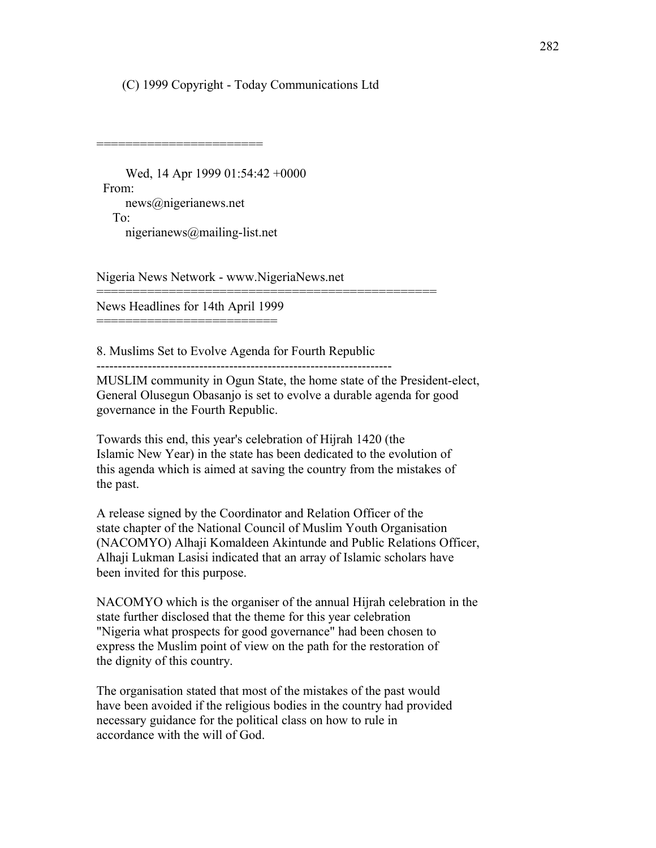#### (C) 1999 Copyright - Today Communications Ltd

Wed, 14 Apr 1999 01:54:42 +0000 From: news@nigerianews.net To: nigerianews@mailing-list.net

=========================

Nigeria News Network - www.NigeriaNews.net

News Headlines for 14th April 1999 =========================

8. Muslims Set to Evolve Agenda for Fourth Republic ---------------------------------------------------------------------

===============================================

MUSLIM community in Ogun State, the home state of the President-elect, General Olusegun Obasanjo is set to evolve a durable agenda for good governance in the Fourth Republic.

Towards this end, this year's celebration of Hijrah 1420 (the Islamic New Year) in the state has been dedicated to the evolution of this agenda which is aimed at saving the country from the mistakes of the past.

A release signed by the Coordinator and Relation Officer of the state chapter of the National Council of Muslim Youth Organisation (NACOMYO) Alhaji Komaldeen Akintunde and Public Relations Officer, Alhaji Lukman Lasisi indicated that an array of Islamic scholars have been invited for this purpose.

NACOMYO which is the organiser of the annual Hijrah celebration in the state further disclosed that the theme for this year celebration "Nigeria what prospects for good governance" had been chosen to express the Muslim point of view on the path for the restoration of the dignity of this country.

The organisation stated that most of the mistakes of the past would have been avoided if the religious bodies in the country had provided necessary guidance for the political class on how to rule in accordance with the will of God.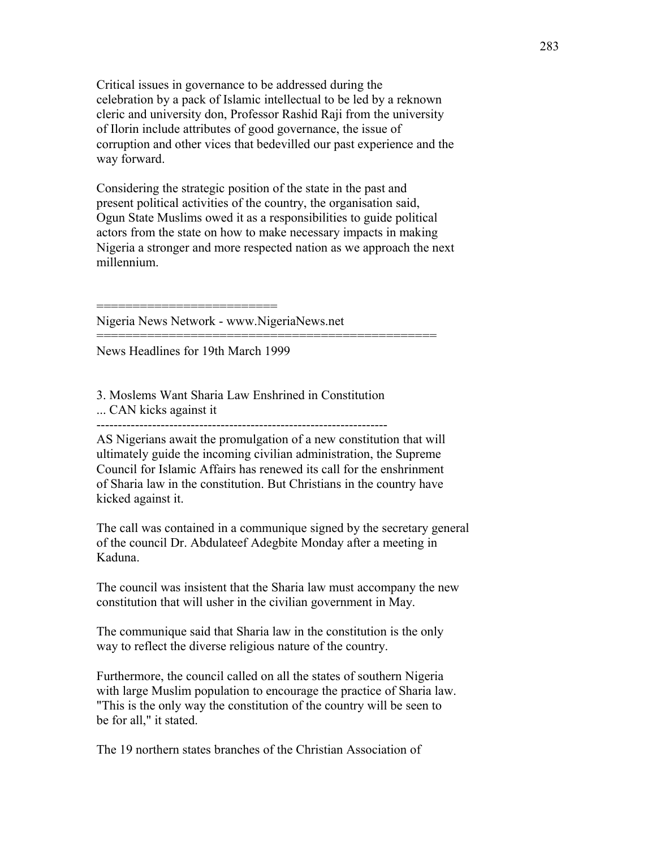Critical issues in governance to be addressed during the celebration by a pack of Islamic intellectual to be led by a reknown cleric and university don, Professor Rashid Raji from the university of Ilorin include attributes of good governance, the issue of corruption and other vices that bedevilled our past experience and the way forward.

Considering the strategic position of the state in the past and present political activities of the country, the organisation said, Ogun State Muslims owed it as a responsibilities to guide political actors from the state on how to make necessary impacts in making Nigeria a stronger and more respected nation as we approach the next millennium.

===============================================

Nigeria News Network - www.NigeriaNews.net

News Headlines for 19th March 1999

==============================

3. Moslems Want Sharia Law Enshrined in Constitution

... CAN kicks against it

--------------------------------------------------------------------

AS Nigerians await the promulgation of a new constitution that will ultimately guide the incoming civilian administration, the Supreme Council for Islamic Affairs has renewed its call for the enshrinment of Sharia law in the constitution. But Christians in the country have kicked against it.

The call was contained in a communique signed by the secretary general of the council Dr. Abdulateef Adegbite Monday after a meeting in Kaduna.

The council was insistent that the Sharia law must accompany the new constitution that will usher in the civilian government in May.

The communique said that Sharia law in the constitution is the only way to reflect the diverse religious nature of the country.

Furthermore, the council called on all the states of southern Nigeria with large Muslim population to encourage the practice of Sharia law. "This is the only way the constitution of the country will be seen to be for all," it stated.

The 19 northern states branches of the Christian Association of